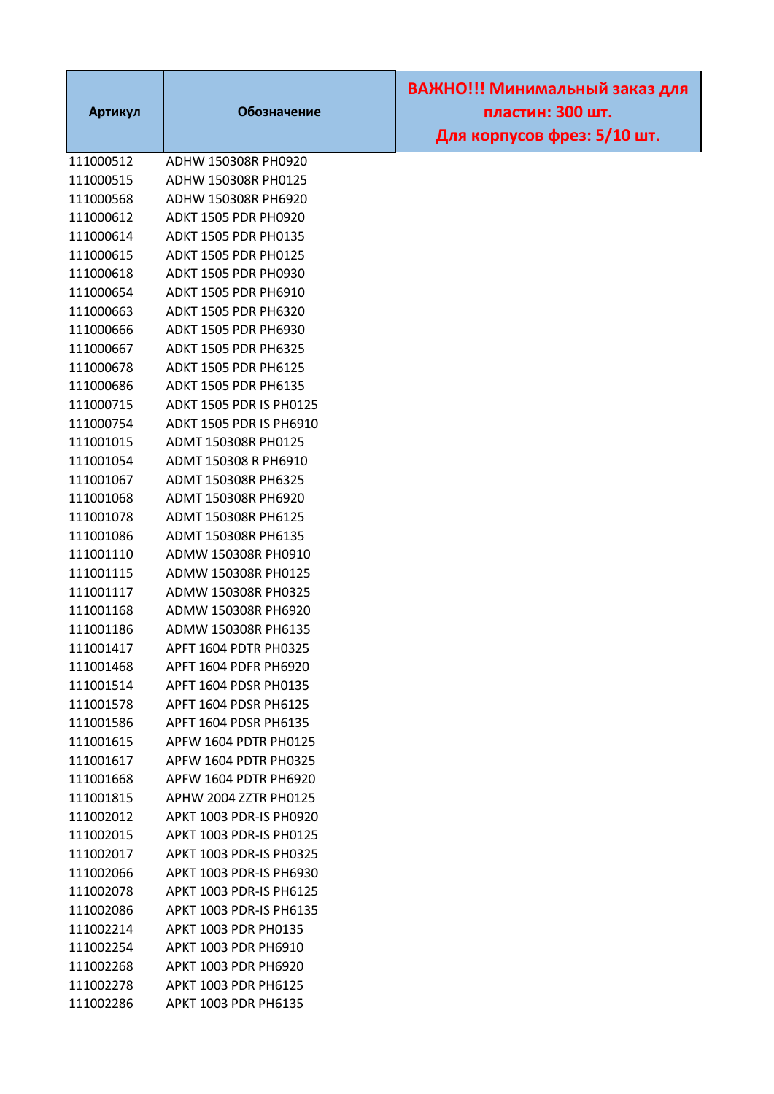| Артикул   | Обозначение                    | ВАЖНО!!! Минимальный заказ для<br>пластин: 300 шт.<br>Для корпусов фрез: 5/10 шт. |
|-----------|--------------------------------|-----------------------------------------------------------------------------------|
| 111000512 | ADHW 150308R PH0920            |                                                                                   |
| 111000515 | ADHW 150308R PH0125            |                                                                                   |
| 111000568 | ADHW 150308R PH6920            |                                                                                   |
| 111000612 | <b>ADKT 1505 PDR PH0920</b>    |                                                                                   |
| 111000614 | <b>ADKT 1505 PDR PH0135</b>    |                                                                                   |
| 111000615 | <b>ADKT 1505 PDR PH0125</b>    |                                                                                   |
| 111000618 | ADKT 1505 PDR PH0930           |                                                                                   |
| 111000654 | ADKT 1505 PDR PH6910           |                                                                                   |
| 111000663 | <b>ADKT 1505 PDR PH6320</b>    |                                                                                   |
| 111000666 | <b>ADKT 1505 PDR PH6930</b>    |                                                                                   |
| 111000667 | <b>ADKT 1505 PDR PH6325</b>    |                                                                                   |
| 111000678 | <b>ADKT 1505 PDR PH6125</b>    |                                                                                   |
| 111000686 | ADKT 1505 PDR PH6135           |                                                                                   |
| 111000715 | <b>ADKT 1505 PDR IS PH0125</b> |                                                                                   |
| 111000754 | ADKT 1505 PDR IS PH6910        |                                                                                   |
| 111001015 | ADMT 150308R PH0125            |                                                                                   |
| 111001054 | ADMT 150308 R PH6910           |                                                                                   |
| 111001067 | ADMT 150308R PH6325            |                                                                                   |
| 111001068 | ADMT 150308R PH6920            |                                                                                   |
| 111001078 | ADMT 150308R PH6125            |                                                                                   |
| 111001086 | ADMT 150308R PH6135            |                                                                                   |
| 111001110 | ADMW 150308R PH0910            |                                                                                   |
| 111001115 | ADMW 150308R PH0125            |                                                                                   |
| 111001117 | ADMW 150308R PH0325            |                                                                                   |
| 111001168 | ADMW 150308R PH6920            |                                                                                   |
| 111001186 | ADMW 150308R PH6135            |                                                                                   |
| 111001417 | APFT 1604 PDTR PH0325          |                                                                                   |
| 111001468 | APFT 1604 PDFR PH6920          |                                                                                   |
| 111001514 | APFT 1604 PDSR PH0135          |                                                                                   |
| 111001578 | APFT 1604 PDSR PH6125          |                                                                                   |
| 111001586 | APFT 1604 PDSR PH6135          |                                                                                   |
| 111001615 | APFW 1604 PDTR PH0125          |                                                                                   |
| 111001617 | APFW 1604 PDTR PH0325          |                                                                                   |
| 111001668 | APFW 1604 PDTR PH6920          |                                                                                   |
| 111001815 | APHW 2004 ZZTR PH0125          |                                                                                   |
| 111002012 | APKT 1003 PDR-IS PH0920        |                                                                                   |
| 111002015 | APKT 1003 PDR-IS PH0125        |                                                                                   |
| 111002017 | APKT 1003 PDR-IS PH0325        |                                                                                   |
| 111002066 | APKT 1003 PDR-IS PH6930        |                                                                                   |
| 111002078 | APKT 1003 PDR-IS PH6125        |                                                                                   |
| 111002086 | APKT 1003 PDR-IS PH6135        |                                                                                   |
| 111002214 | APKT 1003 PDR PH0135           |                                                                                   |
| 111002254 | APKT 1003 PDR PH6910           |                                                                                   |
| 111002268 | APKT 1003 PDR PH6920           |                                                                                   |
| 111002278 | APKT 1003 PDR PH6125           |                                                                                   |
| 111002286 | APKT 1003 PDR PH6135           |                                                                                   |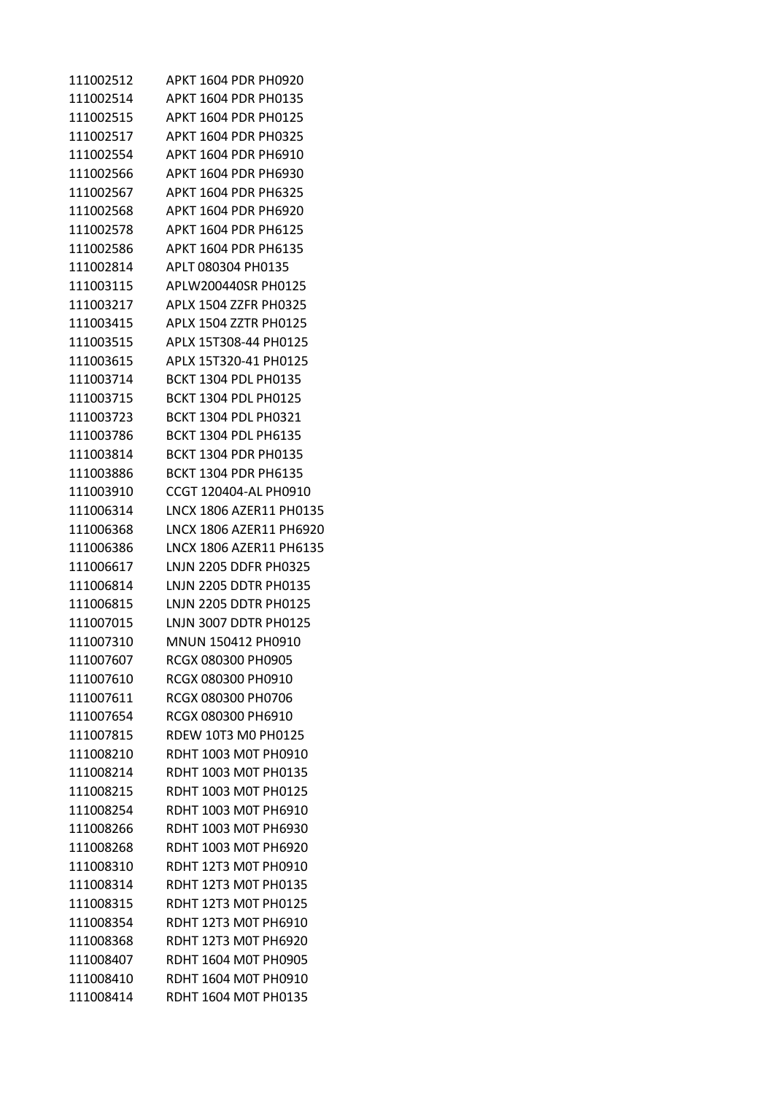| 111002512 | APKT 1604 PDR PH0920        |
|-----------|-----------------------------|
| 111002514 | APKT 1604 PDR PH0135        |
| 111002515 | APKT 1604 PDR PH0125        |
| 111002517 | APKT 1604 PDR PH0325        |
| 111002554 | APKT 1604 PDR PH6910        |
| 111002566 | APKT 1604 PDR PH6930        |
| 111002567 | APKT 1604 PDR PH6325        |
| 111002568 | APKT 1604 PDR PH6920        |
| 111002578 | APKT 1604 PDR PH6125        |
| 111002586 | APKT 1604 PDR PH6135        |
| 111002814 | APLT 080304 PH0135          |
| 111003115 | APLW200440SR PH0125         |
| 111003217 | APLX 1504 ZZFR PH0325       |
| 111003415 | APLX 1504 ZZTR PH0125       |
| 111003515 | APLX 15T308-44 PH0125       |
| 111003615 | APLX 15T320-41 PH0125       |
| 111003714 | <b>BCKT 1304 PDL PH0135</b> |
| 111003715 | <b>BCKT 1304 PDL PH0125</b> |
| 111003723 | BCKT 1304 PDL PH0321        |
| 111003786 | BCKT 1304 PDL PH6135        |
| 111003814 | <b>BCKT 1304 PDR PH0135</b> |
| 111003886 | <b>BCKT 1304 PDR PH6135</b> |
| 111003910 | CCGT 120404-AL PH0910       |
| 111006314 | LNCX 1806 AZER11 PH0135     |
| 111006368 | LNCX 1806 AZER11 PH6920     |
| 111006386 | LNCX 1806 AZER11 PH6135     |
| 111006617 | LNJN 2205 DDFR PH0325       |
| 111006814 | LNJN 2205 DDTR PH0135       |
| 111006815 | LNJN 2205 DDTR PH0125       |
| 111007015 | LNJN 3007 DDTR PH0125       |
| 111007310 | MNUN 150412 PH0910          |
| 111007607 | RCGX 080300 PH0905          |
| 111007610 | RCGX 080300 PH0910          |
| 111007611 | RCGX 080300 PH0706          |
| 111007654 | RCGX 080300 PH6910          |
| 111007815 | RDEW 10T3 M0 PH0125         |
| 111008210 | RDHT 1003 M0T PH0910        |
| 111008214 | RDHT 1003 M0T PH0135        |
| 111008215 | RDHT 1003 M0T PH0125        |
| 111008254 | RDHT 1003 M0T PH6910        |
| 111008266 | RDHT 1003 M0T PH6930        |
| 111008268 | RDHT 1003 M0T PH6920        |
| 111008310 | RDHT 12T3 M0T PH0910        |
| 111008314 | RDHT 12T3 MOT PH0135        |
| 111008315 | RDHT 12T3 M0T PH0125        |
| 111008354 | RDHT 12T3 M0T PH6910        |
| 111008368 | RDHT 12T3 M0T PH6920        |
| 111008407 | RDHT 1604 M0T PH0905        |
| 111008410 | RDHT 1604 M0T PH0910        |
| 111008414 | RDHT 1604 M0T PH0135        |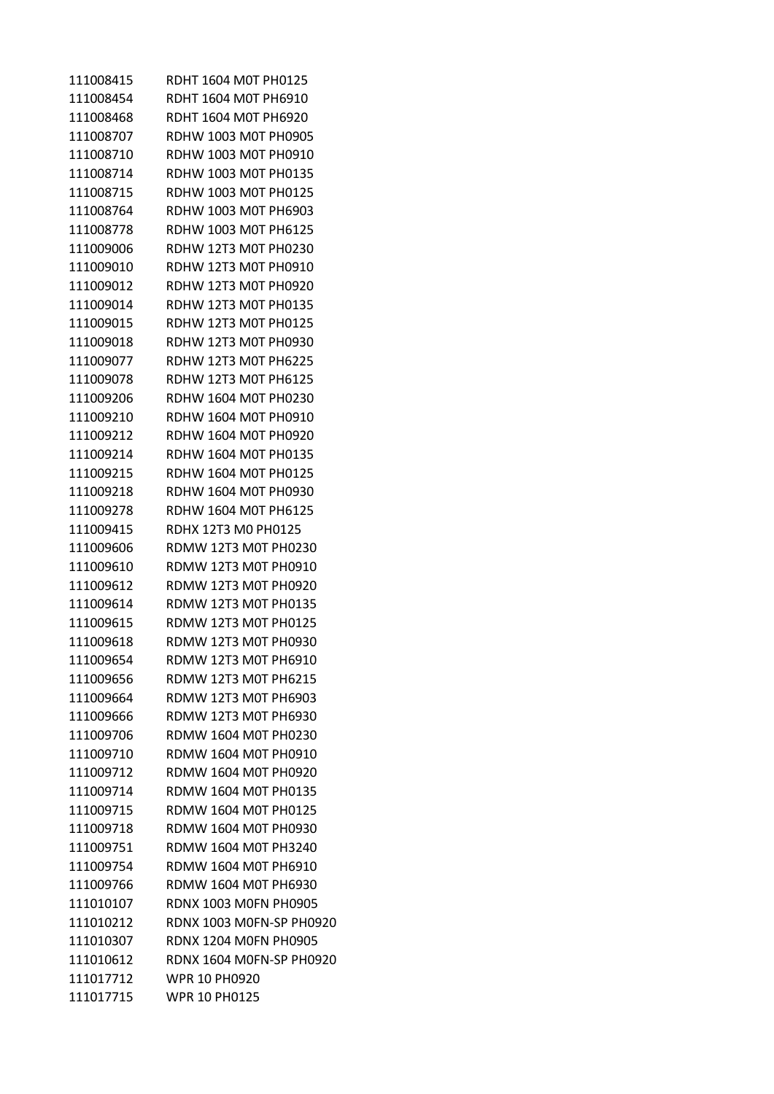| 111008415 | RDHT 1604 M0T PH0125         |
|-----------|------------------------------|
| 111008454 | RDHT 1604 M0T PH6910         |
| 111008468 | RDHT 1604 M0T PH6920         |
| 111008707 | RDHW 1003 M0T PH0905         |
| 111008710 | RDHW 1003 M0T PH0910         |
| 111008714 | RDHW 1003 M0T PH0135         |
| 111008715 | RDHW 1003 M0T PH0125         |
| 111008764 | RDHW 1003 M0T PH6903         |
| 111008778 | RDHW 1003 M0T PH6125         |
| 111009006 | RDHW 12T3 M0T PH0230         |
| 111009010 | RDHW 12T3 M0T PH0910         |
| 111009012 | RDHW 12T3 M0T PH0920         |
| 111009014 | RDHW 12T3 M0T PH0135         |
| 111009015 | RDHW 12T3 M0T PH0125         |
| 111009018 | RDHW 12T3 M0T PH0930         |
| 111009077 | <b>RDHW 12T3 M0T PH6225</b>  |
| 111009078 | <b>RDHW 12T3 M0T PH6125</b>  |
| 111009206 | RDHW 1604 M0T PH0230         |
| 111009210 | RDHW 1604 M0T PH0910         |
| 111009212 | RDHW 1604 M0T PH0920         |
| 111009214 | RDHW 1604 M0T PH0135         |
| 111009215 | RDHW 1604 M0T PH0125         |
| 111009218 | RDHW 1604 M0T PH0930         |
| 111009278 | RDHW 1604 M0T PH6125         |
| 111009415 | RDHX 12T3 M0 PH0125          |
| 111009606 | RDMW 12T3 M0T PH0230         |
| 111009610 | RDMW 12T3 M0T PH0910         |
| 111009612 | RDMW 12T3 M0T PH0920         |
| 111009614 | <b>RDMW 12T3 M0T PH0135</b>  |
| 111009615 | <b>RDMW 12T3 M0T PH0125</b>  |
| 111009618 | RDMW 12T3 M0T PH0930         |
| 111009654 | RDMW 12T3 M0T PH6910         |
| 111009656 | RDMW 12T3 M0T PH6215         |
| 111009664 | RDMW 12T3 M0T PH6903         |
| 111009666 | <b>RDMW 12T3 M0T PH6930</b>  |
| 111009706 | RDMW 1604 M0T PH0230         |
| 111009710 | RDMW 1604 M0T PH0910         |
| 111009712 | RDMW 1604 M0T PH0920         |
| 111009714 | RDMW 1604 M0T PH0135         |
| 111009715 | RDMW 1604 M0T PH0125         |
| 111009718 | RDMW 1604 M0T PH0930         |
| 111009751 | RDMW 1604 M0T PH3240         |
| 111009754 | RDMW 1604 M0T PH6910         |
| 111009766 | RDMW 1604 M0T PH6930         |
| 111010107 | <b>RDNX 1003 MOFN PH0905</b> |
| 111010212 | RDNX 1003 M0FN-SP PH0920     |
| 111010307 | <b>RDNX 1204 MOFN PH0905</b> |
| 111010612 | RDNX 1604 M0FN-SP PH0920     |
| 111017712 | <b>WPR 10 PH0920</b>         |
| 111017715 | <b>WPR 10 PH0125</b>         |
|           |                              |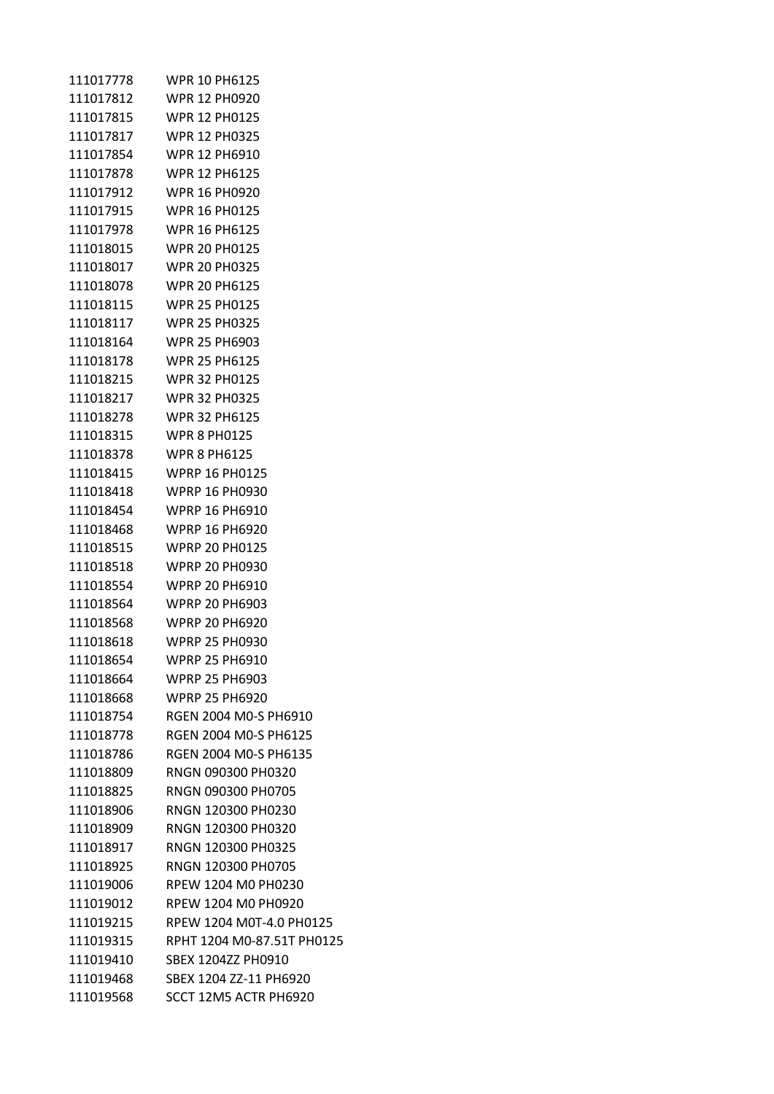| 111017778 | <b>WPR 10 PH6125</b>       |
|-----------|----------------------------|
| 111017812 | <b>WPR 12 PH0920</b>       |
| 111017815 | <b>WPR 12 PH0125</b>       |
| 111017817 | <b>WPR 12 PH0325</b>       |
| 111017854 | <b>WPR 12 PH6910</b>       |
| 111017878 | <b>WPR 12 PH6125</b>       |
| 111017912 | <b>WPR 16 PH0920</b>       |
| 111017915 | <b>WPR 16 PH0125</b>       |
| 111017978 | <b>WPR 16 PH6125</b>       |
| 111018015 | <b>WPR 20 PH0125</b>       |
| 111018017 | <b>WPR 20 PH0325</b>       |
| 111018078 | <b>WPR 20 PH6125</b>       |
| 111018115 | <b>WPR 25 PH0125</b>       |
| 111018117 | <b>WPR 25 PH0325</b>       |
| 111018164 | <b>WPR 25 PH6903</b>       |
| 111018178 | <b>WPR 25 PH6125</b>       |
| 111018215 | <b>WPR 32 PH0125</b>       |
| 111018217 | <b>WPR 32 PH0325</b>       |
| 111018278 | <b>WPR 32 PH6125</b>       |
| 111018315 | <b>WPR 8 PH0125</b>        |
| 111018378 | <b>WPR 8 PH6125</b>        |
| 111018415 | <b>WPRP 16 PH0125</b>      |
| 111018418 | <b>WPRP 16 PH0930</b>      |
| 111018454 | <b>WPRP 16 PH6910</b>      |
| 111018468 | <b>WPRP 16 PH6920</b>      |
| 111018515 | <b>WPRP 20 PH0125</b>      |
| 111018518 | <b>WPRP 20 PH0930</b>      |
| 111018554 | <b>WPRP 20 PH6910</b>      |
| 111018564 | <b>WPRP 20 PH6903</b>      |
| 111018568 | <b>WPRP 20 PH6920</b>      |
| 111018618 | <b>WPRP 25 PH0930</b>      |
| 111018654 | <b>WPRP 25 PH6910</b>      |
| 111018664 | <b>WPRP 25 PH6903</b>      |
| 111018668 | <b>WPRP 25 PH6920</b>      |
| 111018754 | RGEN 2004 M0-S PH6910      |
| 111018778 | RGEN 2004 M0-S PH6125      |
| 111018786 | RGEN 2004 M0-S PH6135      |
| 111018809 | RNGN 090300 PH0320         |
| 111018825 | RNGN 090300 PH0705         |
| 111018906 | RNGN 120300 PH0230         |
| 111018909 | RNGN 120300 PH0320         |
| 111018917 | RNGN 120300 PH0325         |
| 111018925 | RNGN 120300 PH0705         |
| 111019006 | RPEW 1204 M0 PH0230        |
| 111019012 | RPEW 1204 M0 PH0920        |
| 111019215 | RPEW 1204 M0T-4.0 PH0125   |
| 111019315 | RPHT 1204 M0-87.51T PH0125 |
| 111019410 | SBEX 1204ZZ PH0910         |
| 111019468 | SBEX 1204 ZZ-11 PH6920     |
| 111019568 | SCCT 12M5 ACTR PH6920      |
|           |                            |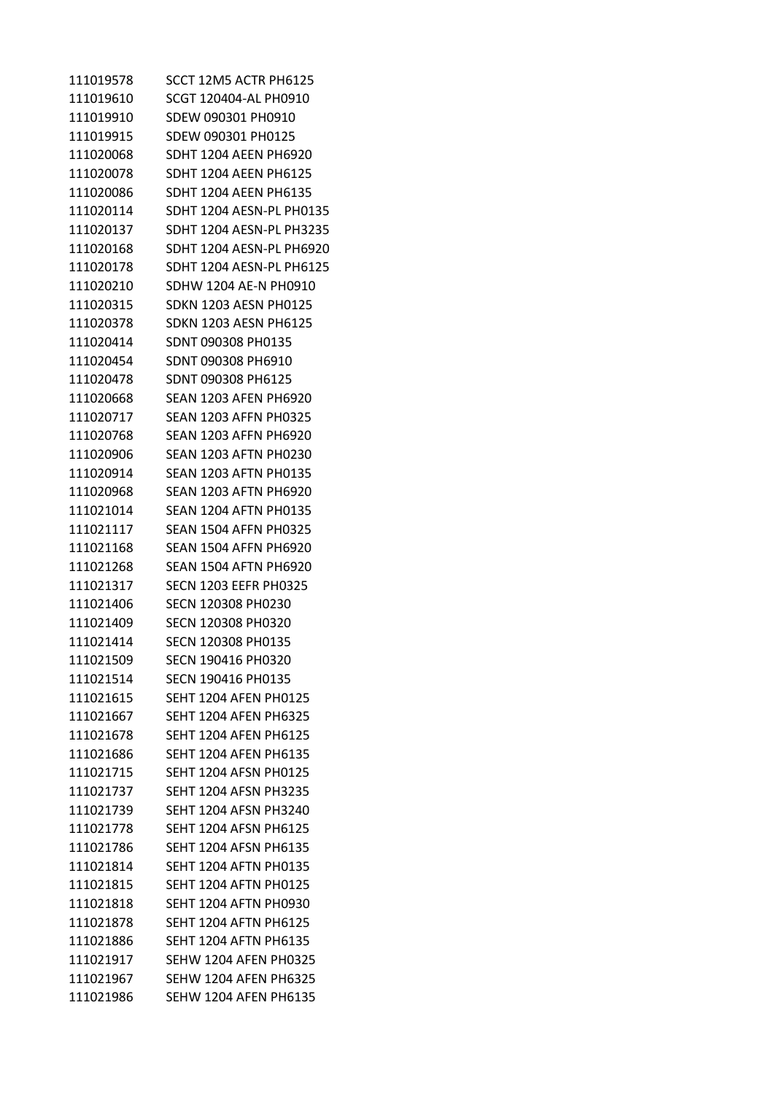| 111019578 | SCCT 12M5 ACTR PH6125        |
|-----------|------------------------------|
| 111019610 | SCGT 120404-AL PH0910        |
| 111019910 | SDEW 090301 PH0910           |
| 111019915 | SDEW 090301 PH0125           |
| 111020068 | <b>SDHT 1204 AEEN PH6920</b> |
| 111020078 | <b>SDHT 1204 AEEN PH6125</b> |
| 111020086 | SDHT 1204 AEEN PH6135        |
| 111020114 | SDHT 1204 AESN-PL PH0135     |
| 111020137 | SDHT 1204 AESN-PL PH3235     |
| 111020168 | SDHT 1204 AESN-PL PH6920     |
| 111020178 | SDHT 1204 AESN-PL PH6125     |
| 111020210 | SDHW 1204 AE-N PH0910        |
| 111020315 | <b>SDKN 1203 AESN PH0125</b> |
| 111020378 | <b>SDKN 1203 AESN PH6125</b> |
| 111020414 | SDNT 090308 PH0135           |
| 111020454 | SDNT 090308 PH6910           |
| 111020478 | SDNT 090308 PH6125           |
| 111020668 | <b>SEAN 1203 AFEN PH6920</b> |
| 111020717 | <b>SEAN 1203 AFFN PH0325</b> |
| 111020768 | <b>SEAN 1203 AFFN PH6920</b> |
| 111020906 | <b>SEAN 1203 AFTN PH0230</b> |
| 111020914 | <b>SEAN 1203 AFTN PH0135</b> |
| 111020968 | <b>SEAN 1203 AFTN PH6920</b> |
| 111021014 | <b>SEAN 1204 AFTN PH0135</b> |
| 111021117 | <b>SEAN 1504 AFFN PH0325</b> |
| 111021168 | <b>SEAN 1504 AFFN PH6920</b> |
| 111021268 | <b>SEAN 1504 AFTN PH6920</b> |
| 111021317 | <b>SECN 1203 EEFR PH0325</b> |
| 111021406 | <b>SECN 120308 PH0230</b>    |
| 111021409 | SECN 120308 PH0320           |
| 111021414 | SECN 120308 PH0135           |
| 111021509 | SECN 190416 PH0320           |
| 111021514 | SFCN 190416 PH0135           |
| 111021615 | <b>SEHT 1204 AFEN PH0125</b> |
| 111021667 | <b>SEHT 1204 AFEN PH6325</b> |
| 111021678 | <b>SEHT 1204 AFEN PH6125</b> |
| 111021686 | <b>SEHT 1204 AFEN PH6135</b> |
| 111021715 | <b>SEHT 1204 AFSN PH0125</b> |
| 111021737 | <b>SEHT 1204 AFSN PH3235</b> |
| 111021739 | <b>SFHT 1204 AFSN PH3240</b> |
| 111021778 | <b>SEHT 1204 AFSN PH6125</b> |
| 111021786 | <b>SEHT 1204 AFSN PH6135</b> |
| 111021814 | <b>SEHT 1204 AFTN PH0135</b> |
| 111021815 | <b>SEHT 1204 AFTN PH0125</b> |
| 111021818 | <b>SEHT 1204 AFTN PH0930</b> |
| 111021878 | <b>SEHT 1204 AFTN PH6125</b> |
| 111021886 | <b>SEHT 1204 AFTN PH6135</b> |
| 111021917 | <b>SEHW 1204 AFEN PH0325</b> |
| 111021967 | <b>SEHW 1204 AFEN PH6325</b> |
| 111021986 | <b>SEHW 1204 AFEN PH6135</b> |
|           |                              |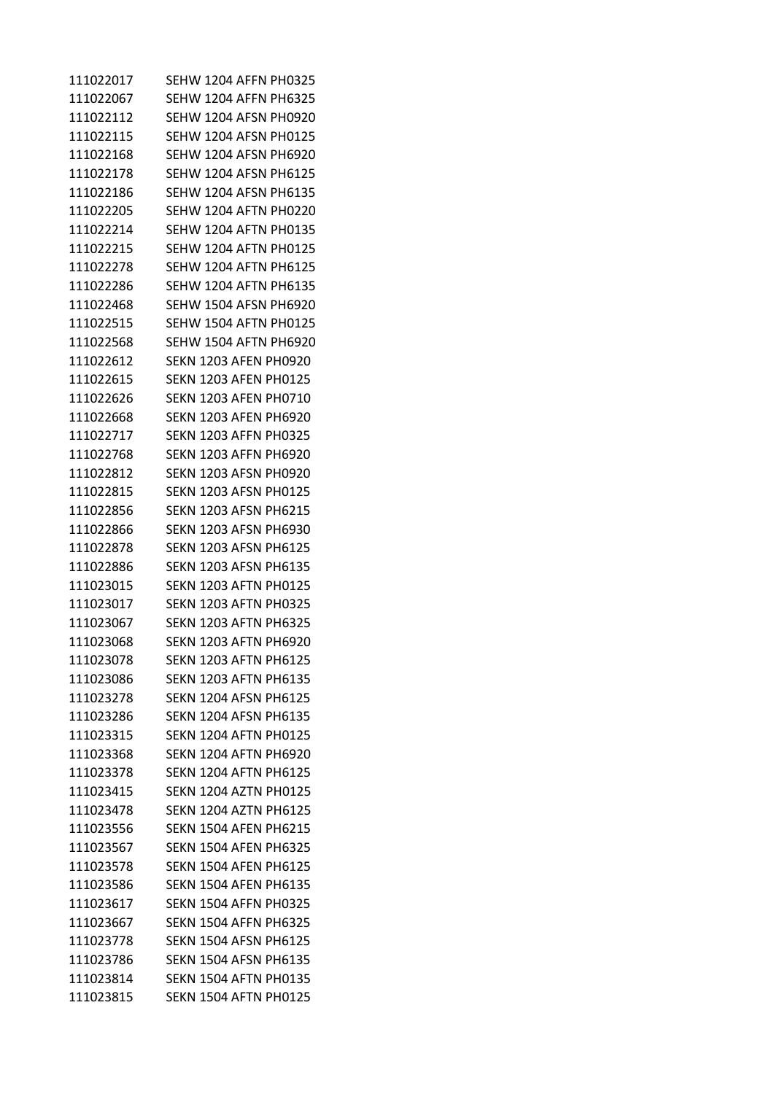| 111022017 | SEHW 1204 AFFN PH0325        |
|-----------|------------------------------|
| 111022067 | SEHW 1204 AFFN PH6325        |
| 111022112 | SEHW 1204 AFSN PH0920        |
| 111022115 | <b>SEHW 1204 AFSN PH0125</b> |
| 111022168 | <b>SEHW 1204 AFSN PH6920</b> |
| 111022178 | <b>SEHW 1204 AFSN PH6125</b> |
| 111022186 | <b>SEHW 1204 AFSN PH6135</b> |
| 111022205 | <b>SEHW 1204 AFTN PH0220</b> |
| 111022214 | <b>SEHW 1204 AFTN PH0135</b> |
| 111022215 | <b>SEHW 1204 AFTN PH0125</b> |
| 111022278 | <b>SEHW 1204 AFTN PH6125</b> |
| 111022286 | <b>SEHW 1204 AFTN PH6135</b> |
| 111022468 | <b>SEHW 1504 AFSN PH6920</b> |
| 111022515 | <b>SEHW 1504 AFTN PH0125</b> |
| 111022568 | <b>SEHW 1504 AFTN PH6920</b> |
| 111022612 | <b>SEKN 1203 AFEN PH0920</b> |
| 111022615 | <b>SEKN 1203 AFEN PH0125</b> |
| 111022626 | <b>SEKN 1203 AFEN PH0710</b> |
| 111022668 | <b>SEKN 1203 AFEN PH6920</b> |
| 111022717 | <b>SEKN 1203 AFFN PH0325</b> |
| 111022768 | <b>SEKN 1203 AFFN PH6920</b> |
| 111022812 | <b>SEKN 1203 AFSN PH0920</b> |
| 111022815 | <b>SEKN 1203 AFSN PH0125</b> |
| 111022856 | <b>SEKN 1203 AFSN PH6215</b> |
| 111022866 | <b>SEKN 1203 AFSN PH6930</b> |
| 111022878 | <b>SEKN 1203 AFSN PH6125</b> |
| 111022886 | <b>SEKN 1203 AFSN PH6135</b> |
| 111023015 | <b>SEKN 1203 AFTN PH0125</b> |
| 111023017 | <b>SEKN 1203 AFTN PH0325</b> |
| 111023067 | <b>SEKN 1203 AFTN PH6325</b> |
| 111023068 | <b>SEKN 1203 AFTN PH6920</b> |
| 111023078 | <b>SEKN 1203 AFTN PH6125</b> |
| 111023086 | <b>SEKN 1203 AFTN PH6135</b> |
| 111023278 | <b>SFKN 1204 AFSN PH6125</b> |
| 111023286 | <b>SEKN 1204 AFSN PH6135</b> |
| 111023315 | <b>SEKN 1204 AFTN PH0125</b> |
| 111023368 | <b>SEKN 1204 AFTN PH6920</b> |
| 111023378 | <b>SEKN 1204 AFTN PH6125</b> |
| 111023415 | <b>SEKN 1204 AZTN PH0125</b> |
| 111023478 | <b>SFKN 1204 AZTN PH6125</b> |
| 111023556 | <b>SEKN 1504 AFEN PH6215</b> |
| 111023567 | <b>SEKN 1504 AFEN PH6325</b> |
| 111023578 | <b>SEKN 1504 AFEN PH6125</b> |
| 111023586 | <b>SEKN 1504 AFEN PH6135</b> |
|           |                              |
| 111023617 | <b>SEKN 1504 AFFN PH0325</b> |
| 111023667 | <b>SEKN 1504 AFFN PH6325</b> |
| 111023778 | <b>SEKN 1504 AFSN PH6125</b> |
| 111023786 | <b>SEKN 1504 AFSN PH6135</b> |
| 111023814 | <b>SEKN 1504 AFTN PH0135</b> |
| 111023815 | <b>SEKN 1504 AFTN PH0125</b> |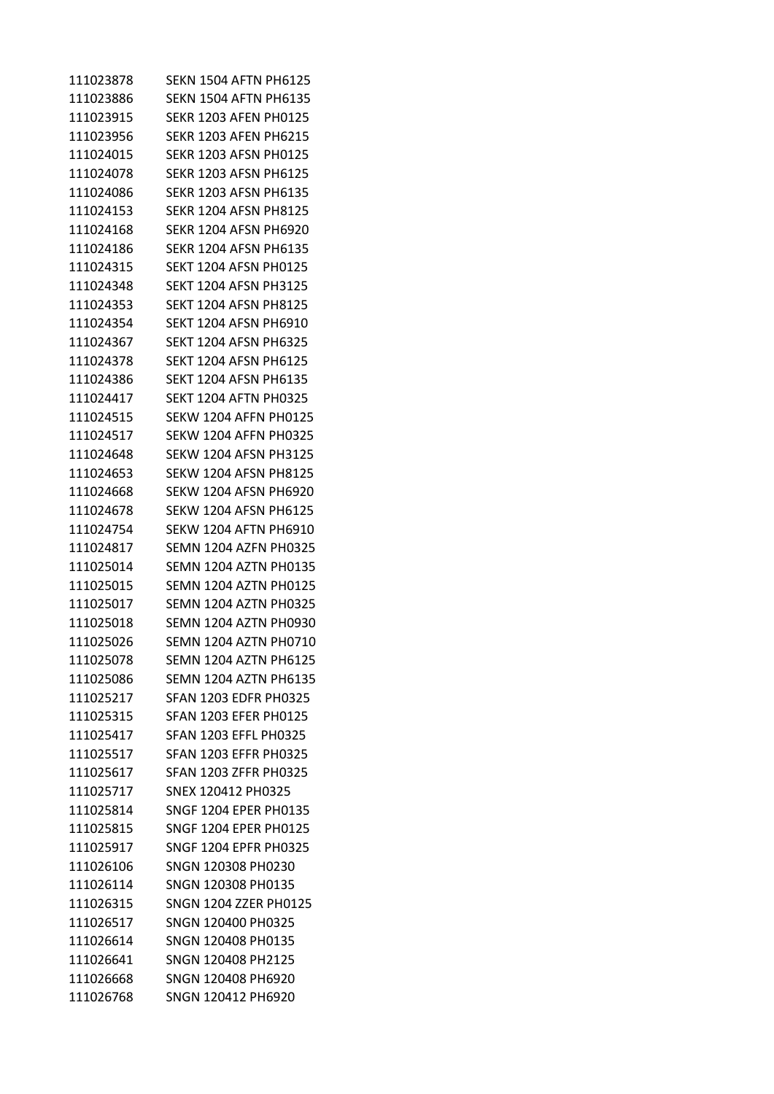| 111023878 | <b>SEKN 1504 AFTN PH6125</b> |
|-----------|------------------------------|
| 111023886 | <b>SEKN 1504 AFTN PH6135</b> |
| 111023915 | <b>SEKR 1203 AFEN PH0125</b> |
| 111023956 | <b>SEKR 1203 AFEN PH6215</b> |
| 111024015 | <b>SEKR 1203 AFSN PH0125</b> |
| 111024078 | <b>SEKR 1203 AFSN PH6125</b> |
| 111024086 | <b>SEKR 1203 AFSN PH6135</b> |
| 111024153 | <b>SEKR 1204 AFSN PH8125</b> |
| 111024168 | <b>SEKR 1204 AFSN PH6920</b> |
| 111024186 | <b>SEKR 1204 AFSN PH6135</b> |
| 111024315 | <b>SEKT 1204 AFSN PH0125</b> |
| 111024348 | <b>SEKT 1204 AFSN PH3125</b> |
| 111024353 | <b>SEKT 1204 AFSN PH8125</b> |
| 111024354 | <b>SEKT 1204 AFSN PH6910</b> |
| 111024367 | <b>SEKT 1204 AFSN PH6325</b> |
| 111024378 | <b>SEKT 1204 AFSN PH6125</b> |
| 111024386 | <b>SEKT 1204 AFSN PH6135</b> |
| 111024417 | <b>SEKT 1204 AFTN PH0325</b> |
| 111024515 | <b>SEKW 1204 AFFN PH0125</b> |
| 111024517 | <b>SEKW 1204 AFFN PH0325</b> |
| 111024648 | <b>SEKW 1204 AFSN PH3125</b> |
| 111024653 | <b>SEKW 1204 AFSN PH8125</b> |
| 111024668 | <b>SEKW 1204 AFSN PH6920</b> |
| 111024678 | <b>SEKW 1204 AFSN PH6125</b> |
| 111024754 | <b>SEKW 1204 AFTN PH6910</b> |
| 111024817 | SEMN 1204 AZFN PH0325        |
| 111025014 | <b>SEMN 1204 AZTN PH0135</b> |
| 111025015 | <b>SEMN 1204 AZTN PH0125</b> |
| 111025017 | <b>SEMN 1204 AZTN PH0325</b> |
| 111025018 | <b>SEMN 1204 AZTN PH0930</b> |
| 111025026 | SEMN 1204 AZTN PH0710        |
| 111025078 | <b>SEMN 1204 AZTN PH6125</b> |
| 111025086 | <b>SEMN 1204 AZTN PH6135</b> |
| 111025217 | <b>SFAN 1203 EDFR PH0325</b> |
| 111025315 | <b>SFAN 1203 EFER PH0125</b> |
| 111025417 | <b>SFAN 1203 EFFL PH0325</b> |
| 111025517 | <b>SFAN 1203 EFFR PH0325</b> |
| 111025617 | <b>SFAN 1203 ZFFR PH0325</b> |
| 111025717 | SNEX 120412 PH0325           |
| 111025814 | SNGF 1204 EPER PH0135        |
| 111025815 | <b>SNGF 1204 EPER PH0125</b> |
| 111025917 | <b>SNGF 1204 EPFR PH0325</b> |
| 111026106 | SNGN 120308 PH0230           |
| 111026114 | SNGN 120308 PH0135           |
| 111026315 | <b>SNGN 1204 ZZER PH0125</b> |
| 111026517 | SNGN 120400 PH0325           |
| 111026614 | SNGN 120408 PH0135           |
| 111026641 | SNGN 120408 PH2125           |
| 111026668 | SNGN 120408 PH6920           |
| 111026768 | SNGN 120412 PH6920           |
|           |                              |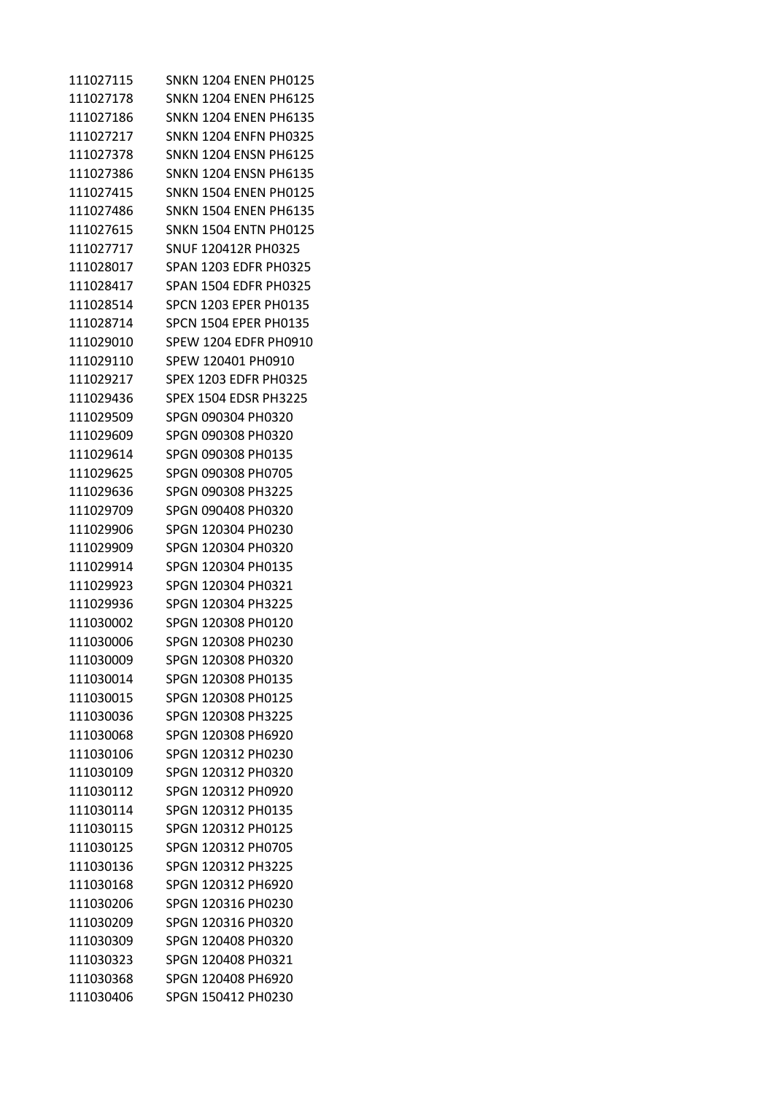| 111027115 | SNKN 1204 ENEN PH0125        |
|-----------|------------------------------|
| 111027178 | <b>SNKN 1204 ENEN PH6125</b> |
| 111027186 | <b>SNKN 1204 ENEN PH6135</b> |
| 111027217 | <b>SNKN 1204 ENFN PH0325</b> |
| 111027378 | <b>SNKN 1204 ENSN PH6125</b> |
| 111027386 | <b>SNKN 1204 ENSN PH6135</b> |
| 111027415 | <b>SNKN 1504 ENEN PH0125</b> |
| 111027486 | <b>SNKN 1504 ENEN PH6135</b> |
| 111027615 | SNKN 1504 ENTN PH0125        |
| 111027717 | <b>SNUF 120412R PH0325</b>   |
| 111028017 | <b>SPAN 1203 EDFR PH0325</b> |
| 111028417 | <b>SPAN 1504 EDFR PH0325</b> |
| 111028514 | <b>SPCN 1203 EPER PH0135</b> |
| 111028714 | <b>SPCN 1504 EPER PH0135</b> |
| 111029010 | SPEW 1204 EDFR PH0910        |
| 111029110 | SPEW 120401 PH0910           |
| 111029217 | <b>SPEX 1203 EDFR PH0325</b> |
| 111029436 | <b>SPEX 1504 EDSR PH3225</b> |
| 111029509 | SPGN 090304 PH0320           |
| 111029609 | SPGN 090308 PH0320           |
| 111029614 | SPGN 090308 PH0135           |
| 111029625 | SPGN 090308 PH0705           |
| 111029636 | SPGN 090308 PH3225           |
| 111029709 | SPGN 090408 PH0320           |
| 111029906 | SPGN 120304 PH0230           |
| 111029909 | SPGN 120304 PH0320           |
| 111029914 | SPGN 120304 PH0135           |
| 111029923 | SPGN 120304 PH0321           |
| 111029936 | SPGN 120304 PH3225           |
| 111030002 | SPGN 120308 PH0120           |
| 111030006 | SPGN 120308 PH0230           |
| 111030009 | SPGN 120308 PH0320           |
| 111030014 | SPGN 120308 PH0135           |
| 111030015 | SPGN 120308 PH0125           |
| 111030036 | SPGN 120308 PH3225           |
| 111030068 | SPGN 120308 PH6920           |
| 111030106 | SPGN 120312 PH0230           |
| 111030109 | SPGN 120312 PH0320           |
| 111030112 | SPGN 120312 PH0920           |
| 111030114 | SPGN 120312 PH0135           |
| 111030115 | SPGN 120312 PH0125           |
| 111030125 | SPGN 120312 PH0705           |
| 111030136 | SPGN 120312 PH3225           |
| 111030168 | SPGN 120312 PH6920           |
| 111030206 | SPGN 120316 PH0230           |
| 111030209 | SPGN 120316 PH0320           |
| 111030309 | SPGN 120408 PH0320           |
| 111030323 | SPGN 120408 PH0321           |
| 111030368 | SPGN 120408 PH6920           |
| 111030406 | SPGN 150412 PH0230           |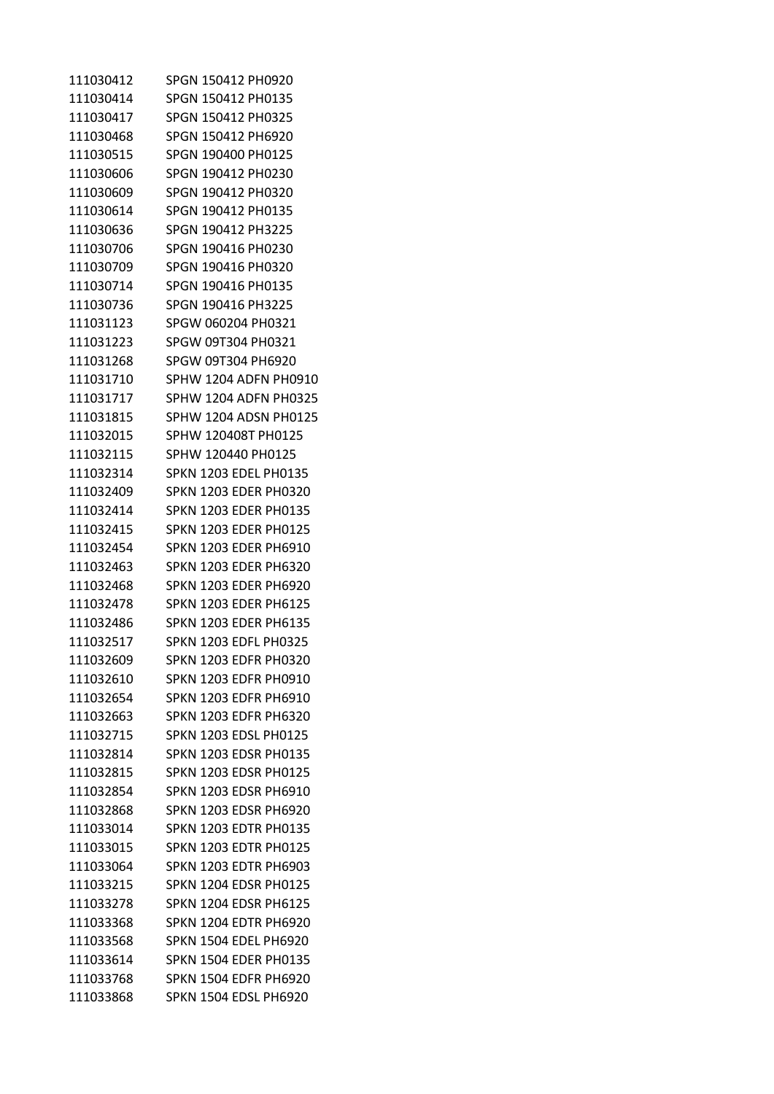| 111030412 | SPGN 150412 PH0920           |
|-----------|------------------------------|
| 111030414 | SPGN 150412 PH0135           |
| 111030417 | SPGN 150412 PH0325           |
| 111030468 | SPGN 150412 PH6920           |
| 111030515 | SPGN 190400 PH0125           |
| 111030606 | SPGN 190412 PH0230           |
| 111030609 | SPGN 190412 PH0320           |
| 111030614 | SPGN 190412 PH0135           |
| 111030636 | SPGN 190412 PH3225           |
| 111030706 | SPGN 190416 PH0230           |
| 111030709 | SPGN 190416 PH0320           |
| 111030714 | SPGN 190416 PH0135           |
| 111030736 | SPGN 190416 PH3225           |
| 111031123 | SPGW 060204 PH0321           |
| 111031223 | SPGW 09T304 PH0321           |
| 111031268 | SPGW 09T304 PH6920           |
| 111031710 | SPHW 1204 ADFN PH0910        |
| 111031717 | SPHW 1204 ADFN PH0325        |
| 111031815 | SPHW 1204 ADSN PH0125        |
| 111032015 | SPHW 120408T PH0125          |
| 111032115 | SPHW 120440 PH0125           |
| 111032314 | <b>SPKN 1203 EDEL PH0135</b> |
| 111032409 | SPKN 1203 EDER PH0320        |
| 111032414 | SPKN 1203 EDER PH0135        |
| 111032415 | SPKN 1203 EDER PH0125        |
| 111032454 | SPKN 1203 EDER PH6910        |
| 111032463 | <b>SPKN 1203 EDER PH6320</b> |
| 111032468 | SPKN 1203 EDER PH6920        |
| 111032478 | SPKN 1203 EDER PH6125        |
| 111032486 | SPKN 1203 EDER PH6135        |
| 111032517 | SPKN 1203 EDFL PH0325        |
| 111032609 | <b>SPKN 1203 EDFR PH0320</b> |
| 111032610 | <b>SPKN 1203 EDFR PH0910</b> |
| 111032654 | <b>SPKN 1203 EDFR PH6910</b> |
| 111032663 | <b>SPKN 1203 EDFR PH6320</b> |
| 111032715 | SPKN 1203 EDSL PH0125        |
| 111032814 | <b>SPKN 1203 EDSR PH0135</b> |
| 111032815 | <b>SPKN 1203 EDSR PH0125</b> |
| 111032854 | <b>SPKN 1203 EDSR PH6910</b> |
| 111032868 | <b>SPKN 1203 EDSR PH6920</b> |
| 111033014 | <b>SPKN 1203 EDTR PH0135</b> |
| 111033015 | <b>SPKN 1203 EDTR PH0125</b> |
| 111033064 | <b>SPKN 1203 EDTR PH6903</b> |
| 111033215 | <b>SPKN 1204 EDSR PH0125</b> |
| 111033278 | <b>SPKN 1204 EDSR PH6125</b> |
| 111033368 | <b>SPKN 1204 EDTR PH6920</b> |
| 111033568 | <b>SPKN 1504 EDEL PH6920</b> |
| 111033614 | <b>SPKN 1504 EDER PH0135</b> |
| 111033768 | <b>SPKN 1504 EDFR PH6920</b> |
| 111033868 | <b>SPKN 1504 EDSL PH6920</b> |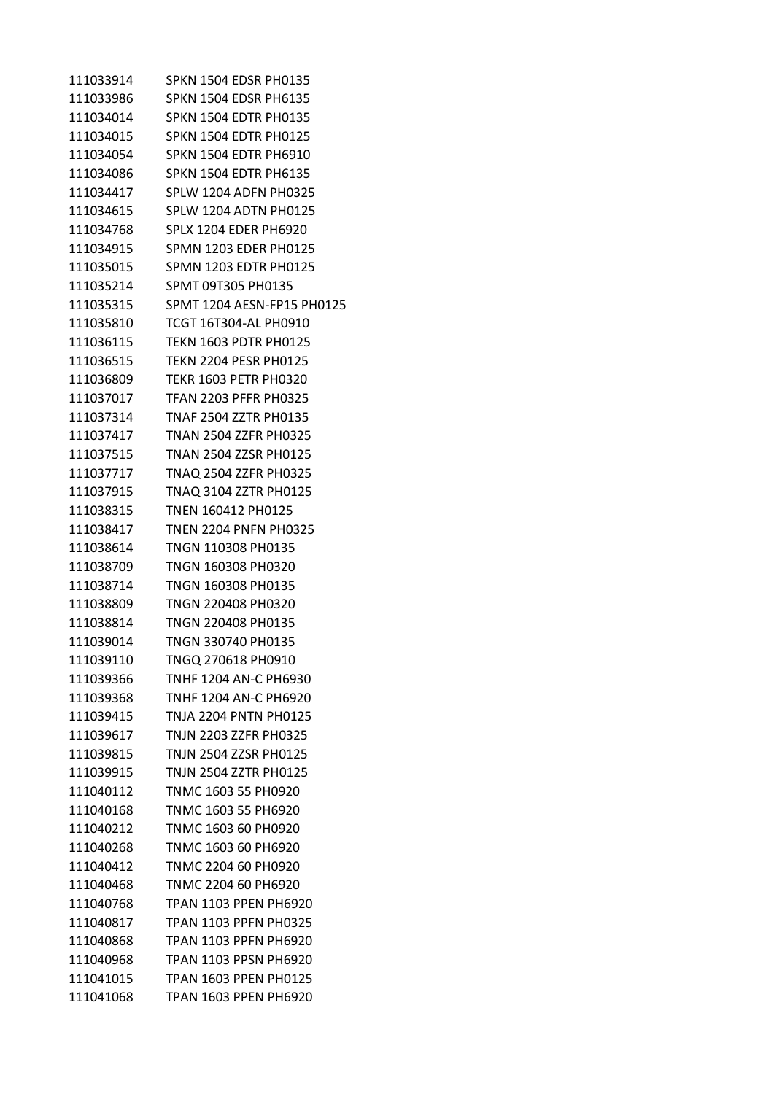| 111033914 | <b>SPKN 1504 EDSR PH0135</b> |
|-----------|------------------------------|
| 111033986 | <b>SPKN 1504 EDSR PH6135</b> |
| 111034014 | <b>SPKN 1504 EDTR PH0135</b> |
| 111034015 | <b>SPKN 1504 EDTR PH0125</b> |
| 111034054 | <b>SPKN 1504 EDTR PH6910</b> |
| 111034086 | <b>SPKN 1504 EDTR PH6135</b> |
| 111034417 | <b>SPLW 1204 ADFN PH0325</b> |
| 111034615 | <b>SPLW 1204 ADTN PH0125</b> |
| 111034768 | <b>SPLX 1204 EDER PH6920</b> |
| 111034915 | <b>SPMN 1203 EDER PH0125</b> |
| 111035015 | <b>SPMN 1203 EDTR PH0125</b> |
| 111035214 | SPMT 09T305 PH0135           |
| 111035315 | SPMT 1204 AESN-FP15 PH0125   |
| 111035810 | <b>TCGT 16T304-AL PH0910</b> |
| 111036115 | <b>TEKN 1603 PDTR PH0125</b> |
| 111036515 | <b>TEKN 2204 PESR PH0125</b> |
| 111036809 | <b>TEKR 1603 PETR PH0320</b> |
| 111037017 | <b>TFAN 2203 PFFR PH0325</b> |
| 111037314 | <b>TNAF 2504 ZZTR PH0135</b> |
| 111037417 | <b>TNAN 2504 ZZFR PH0325</b> |
| 111037515 | TNAN 2504 ZZSR PH0125        |
| 111037717 | TNAQ 2504 ZZFR PH0325        |
| 111037915 | TNAQ 3104 ZZTR PH0125        |
| 111038315 | TNEN 160412 PH0125           |
| 111038417 | <b>TNEN 2204 PNFN PH0325</b> |
| 111038614 | TNGN 110308 PH0135           |
| 111038709 | TNGN 160308 PH0320           |
| 111038714 | TNGN 160308 PH0135           |
| 111038809 | TNGN 220408 PH0320           |
| 111038814 | TNGN 220408 PH0135           |
| 111039014 | TNGN 330740 PH0135           |
| 111039110 | TNGQ 270618 PH0910           |
| 111039366 | TNHF 1204 AN-C PH6930        |
| 111039368 | TNHF 1204 AN-C PH6920        |
| 111039415 | TNJA 2204 PNTN PH0125        |
| 111039617 | TNJN 2203 ZZFR PH0325        |
| 111039815 | <b>TNJN 2504 ZZSR PH0125</b> |
| 111039915 | TNJN 2504 ZZTR PH0125        |
| 111040112 | TNMC 1603 55 PH0920          |
| 111040168 | TNMC 1603 55 PH6920          |
| 111040212 | TNMC 1603 60 PH0920          |
| 111040268 | TNMC 1603 60 PH6920          |
| 111040412 | TNMC 2204 60 PH0920          |
| 111040468 | TNMC 2204 60 PH6920          |
| 111040768 | <b>TPAN 1103 PPEN PH6920</b> |
| 111040817 | <b>TPAN 1103 PPFN PH0325</b> |
| 111040868 | <b>TPAN 1103 PPFN PH6920</b> |
| 111040968 | <b>TPAN 1103 PPSN PH6920</b> |
| 111041015 | <b>TPAN 1603 PPEN PH0125</b> |
| 111041068 | TPAN 1603 PPEN PH6920        |
|           |                              |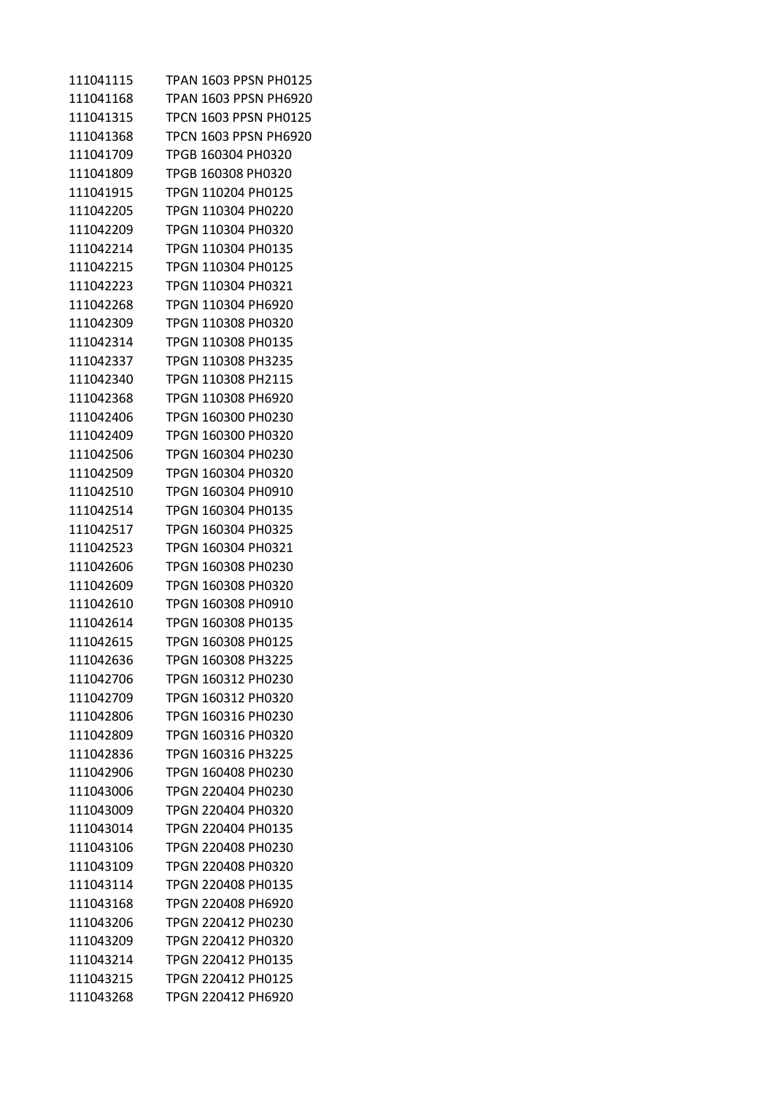| 111041115 | TPAN 1603 PPSN PH0125 |
|-----------|-----------------------|
| 111041168 | TPAN 1603 PPSN PH6920 |
| 111041315 | TPCN 1603 PPSN PH0125 |
| 111041368 | TPCN 1603 PPSN PH6920 |
| 111041709 | TPGB 160304 PH0320    |
| 111041809 | TPGB 160308 PH0320    |
| 111041915 | TPGN 110204 PH0125    |
| 111042205 | TPGN 110304 PH0220    |
| 111042209 | TPGN 110304 PH0320    |
| 111042214 | TPGN 110304 PH0135    |
| 111042215 | TPGN 110304 PH0125    |
| 111042223 | TPGN 110304 PH0321    |
| 111042268 | TPGN 110304 PH6920    |
| 111042309 | TPGN 110308 PH0320    |
| 111042314 | TPGN 110308 PH0135    |
| 111042337 | TPGN 110308 PH3235    |
| 111042340 | TPGN 110308 PH2115    |
| 111042368 | TPGN 110308 PH6920    |
| 111042406 | TPGN 160300 PH0230    |
| 111042409 | TPGN 160300 PH0320    |
| 111042506 | TPGN 160304 PH0230    |
| 111042509 | TPGN 160304 PH0320    |
| 111042510 | TPGN 160304 PH0910    |
| 111042514 | TPGN 160304 PH0135    |
| 111042517 | TPGN 160304 PH0325    |
| 111042523 | TPGN 160304 PH0321    |
| 111042606 | TPGN 160308 PH0230    |
| 111042609 | TPGN 160308 PH0320    |
| 111042610 | TPGN 160308 PH0910    |
| 111042614 | TPGN 160308 PH0135    |
| 111042615 | TPGN 160308 PH0125    |
| 111042636 | TPGN 160308 PH3225    |
| 111042706 | TPGN 160312 PH0230    |
| 111042709 | TPGN 160312 PH0320    |
| 111042806 | TPGN 160316 PH0230    |
| 111042809 | TPGN 160316 PH0320    |
| 111042836 | TPGN 160316 PH3225    |
| 111042906 | TPGN 160408 PH0230    |
| 111043006 | TPGN 220404 PH0230    |
| 111043009 | TPGN 220404 PH0320    |
| 111043014 | TPGN 220404 PH0135    |
| 111043106 | TPGN 220408 PH0230    |
| 111043109 | TPGN 220408 PH0320    |
| 111043114 | TPGN 220408 PH0135    |
| 111043168 | TPGN 220408 PH6920    |
| 111043206 | TPGN 220412 PH0230    |
| 111043209 | TPGN 220412 PH0320    |
| 111043214 | TPGN 220412 PH0135    |
| 111043215 | TPGN 220412 PH0125    |
| 111043268 | TPGN 220412 PH6920    |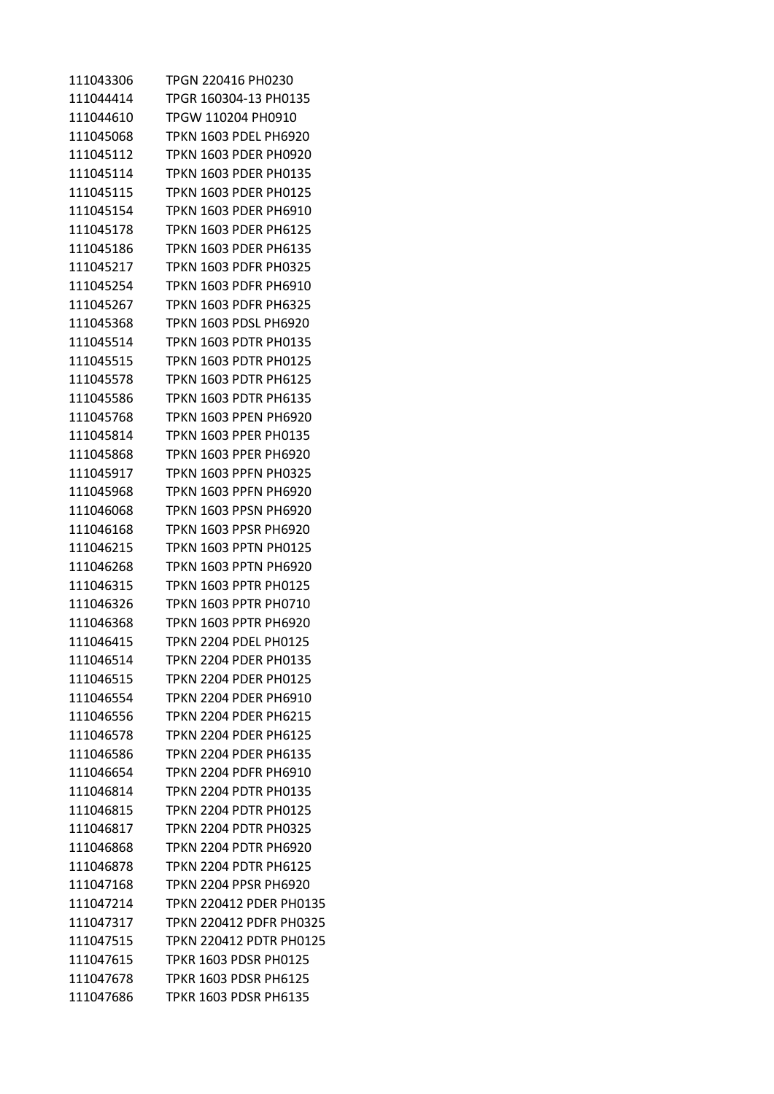| 111043306 | TPGN 220416 PH0230             |
|-----------|--------------------------------|
| 111044414 | TPGR 160304-13 PH0135          |
| 111044610 | TPGW 110204 PH0910             |
| 111045068 | TPKN 1603 PDEL PH6920          |
| 111045112 | <b>TPKN 1603 PDER PH0920</b>   |
| 111045114 | <b>TPKN 1603 PDER PH0135</b>   |
| 111045115 | <b>TPKN 1603 PDER PH0125</b>   |
| 111045154 | TPKN 1603 PDER PH6910          |
| 111045178 | TPKN 1603 PDER PH6125          |
| 111045186 | <b>TPKN 1603 PDER PH6135</b>   |
| 111045217 | <b>TPKN 1603 PDFR PH0325</b>   |
| 111045254 | TPKN 1603 PDFR PH6910          |
| 111045267 | TPKN 1603 PDFR PH6325          |
| 111045368 | TPKN 1603 PDSL PH6920          |
| 111045514 | <b>TPKN 1603 PDTR PH0135</b>   |
| 111045515 | <b>TPKN 1603 PDTR PH0125</b>   |
| 111045578 | <b>TPKN 1603 PDTR PH6125</b>   |
| 111045586 | <b>TPKN 1603 PDTR PH6135</b>   |
| 111045768 | TPKN 1603 PPEN PH6920          |
| 111045814 | <b>TPKN 1603 PPER PH0135</b>   |
| 111045868 | TPKN 1603 PPER PH6920          |
| 111045917 | TPKN 1603 PPFN PH0325          |
| 111045968 | <b>TPKN 1603 PPFN PH6920</b>   |
| 111046068 | TPKN 1603 PPSN PH6920          |
| 111046168 | <b>TPKN 1603 PPSR PH6920</b>   |
| 111046215 | TPKN 1603 PPTN PH0125          |
| 111046268 | TPKN 1603 PPTN PH6920          |
| 111046315 | TPKN 1603 PPTR PH0125          |
| 111046326 | <b>TPKN 1603 PPTR PH0710</b>   |
| 111046368 | <b>TPKN 1603 PPTR PH6920</b>   |
| 111046415 | <b>TPKN 2204 PDEL PH0125</b>   |
| 111046514 | <b>TPKN 2204 PDER PH0135</b>   |
| 111046515 | <b>TPKN 2204 PDER PH0125</b>   |
| 111046554 | TPKN 2204 PDER PH6910          |
| 111046556 | <b>TPKN 2204 PDER PH6215</b>   |
| 111046578 | <b>TPKN 2204 PDER PH6125</b>   |
| 111046586 | <b>TPKN 2204 PDER PH6135</b>   |
| 111046654 | <b>TPKN 2204 PDFR PH6910</b>   |
| 111046814 | <b>TPKN 2204 PDTR PH0135</b>   |
| 111046815 | <b>TPKN 2204 PDTR PH0125</b>   |
| 111046817 | <b>TPKN 2204 PDTR PH0325</b>   |
| 111046868 | <b>TPKN 2204 PDTR PH6920</b>   |
| 111046878 | <b>TPKN 2204 PDTR PH6125</b>   |
| 111047168 | TPKN 2204 PPSR PH6920          |
| 111047214 | TPKN 220412 PDER PH0135        |
| 111047317 | <b>TPKN 220412 PDFR PH0325</b> |
| 111047515 | <b>TPKN 220412 PDTR PH0125</b> |
| 111047615 | <b>TPKR 1603 PDSR PH0125</b>   |
| 111047678 | TPKR 1603 PDSR PH6125          |
| 111047686 | <b>TPKR 1603 PDSR PH6135</b>   |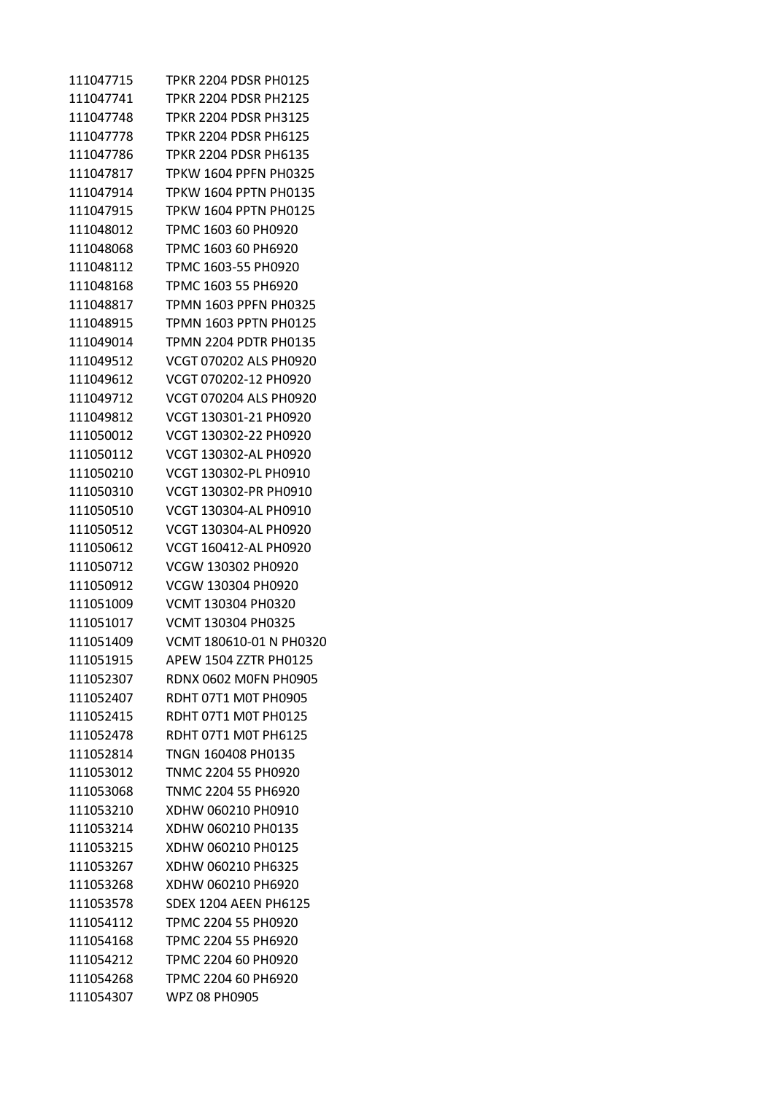| 111047715 | TPKR 2204 PDSR PH0125        |
|-----------|------------------------------|
| 111047741 | <b>TPKR 2204 PDSR PH2125</b> |
| 111047748 | TPKR 2204 PDSR PH3125        |
| 111047778 | TPKR 2204 PDSR PH6125        |
| 111047786 | <b>TPKR 2204 PDSR PH6135</b> |
| 111047817 | <b>TPKW 1604 PPFN PH0325</b> |
| 111047914 | <b>TPKW 1604 PPTN PH0135</b> |
| 111047915 | <b>TPKW 1604 PPTN PH0125</b> |
| 111048012 | TPMC 1603 60 PH0920          |
| 111048068 | TPMC 1603 60 PH6920          |
| 111048112 | TPMC 1603-55 PH0920          |
| 111048168 | TPMC 1603 55 PH6920          |
| 111048817 | TPMN 1603 PPFN PH0325        |
| 111048915 | TPMN 1603 PPTN PH0125        |
| 111049014 | TPMN 2204 PDTR PH0135        |
| 111049512 | VCGT 070202 ALS PH0920       |
| 111049612 | VCGT 070202-12 PH0920        |
| 111049712 | VCGT 070204 ALS PH0920       |
| 111049812 | VCGT 130301-21 PH0920        |
| 111050012 | VCGT 130302-22 PH0920        |
| 111050112 | VCGT 130302-AL PH0920        |
| 111050210 | VCGT 130302-PL PH0910        |
| 111050310 | VCGT 130302-PR PH0910        |
| 111050510 | VCGT 130304-AL PH0910        |
| 111050512 | VCGT 130304-AL PH0920        |
| 111050612 | VCGT 160412-AL PH0920        |
| 111050712 | VCGW 130302 PH0920           |
| 111050912 | VCGW 130304 PH0920           |
| 111051009 | VCMT 130304 PH0320           |
| 111051017 | VCMT 130304 PH0325           |
| 111051409 | VCMT 180610-01 N PH0320      |
| 111051915 | <b>APEW 1504 ZZTR PH0125</b> |
| 111052307 | <b>RDNX 0602 MOFN PH0905</b> |
| 111052407 | RDHT 07T1 M0T PH0905         |
| 111052415 | RDHT 07T1 M0T PH0125         |
| 111052478 | RDHT 07T1 MOT PH6125         |
| 111052814 | TNGN 160408 PH0135           |
| 111053012 | TNMC 2204 55 PH0920          |
| 111053068 | TNMC 2204 55 PH6920          |
| 111053210 | XDHW 060210 PH0910           |
| 111053214 | XDHW 060210 PH0135           |
| 111053215 | XDHW 060210 PH0125           |
| 111053267 | XDHW 060210 PH6325           |
| 111053268 | XDHW 060210 PH6920           |
| 111053578 | <b>SDEX 1204 AEEN PH6125</b> |
| 111054112 | TPMC 2204 55 PH0920          |
| 111054168 | TPMC 2204 55 PH6920          |
| 111054212 | TPMC 2204 60 PH0920          |
| 111054268 | TPMC 2204 60 PH6920          |
| 111054307 | WPZ 08 PH0905                |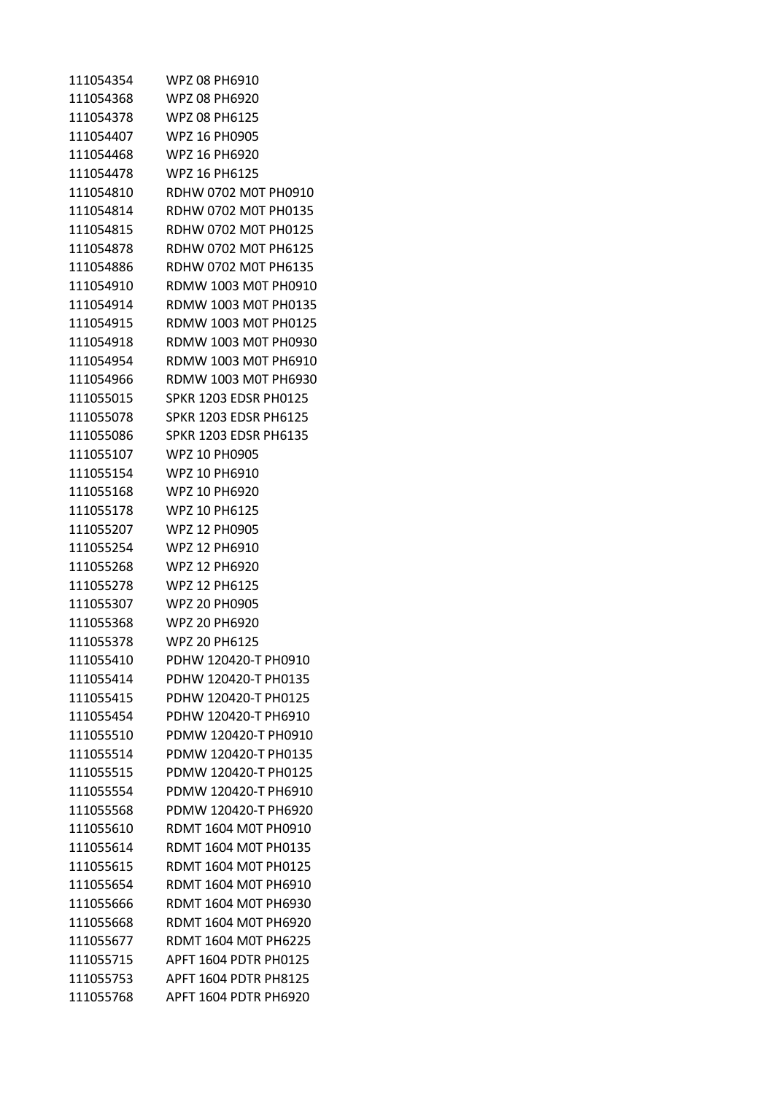| 111054354 | WPZ 08 PH6910                |
|-----------|------------------------------|
| 111054368 | WPZ 08 PH6920                |
| 111054378 | WPZ 08 PH6125                |
| 111054407 | WPZ 16 PH0905                |
| 111054468 | WPZ 16 PH6920                |
| 111054478 | WPZ 16 PH6125                |
| 111054810 | RDHW 0702 M0T PH0910         |
| 111054814 | RDHW 0702 M0T PH0135         |
| 111054815 | RDHW 0702 M0T PH0125         |
| 111054878 | RDHW 0702 M0T PH6125         |
| 111054886 | RDHW 0702 M0T PH6135         |
| 111054910 | RDMW 1003 M0T PH0910         |
| 111054914 | RDMW 1003 M0T PH0135         |
| 111054915 | RDMW 1003 M0T PH0125         |
| 111054918 | RDMW 1003 M0T PH0930         |
| 111054954 | RDMW 1003 M0T PH6910         |
| 111054966 | RDMW 1003 M0T PH6930         |
| 111055015 | <b>SPKR 1203 EDSR PH0125</b> |
| 111055078 | <b>SPKR 1203 EDSR PH6125</b> |
| 111055086 | <b>SPKR 1203 EDSR PH6135</b> |
| 111055107 | WPZ 10 PH0905                |
| 111055154 | WPZ 10 PH6910                |
| 111055168 | WPZ 10 PH6920                |
| 111055178 | WPZ 10 PH6125                |
| 111055207 | WPZ 12 PH0905                |
| 111055254 | WPZ 12 PH6910                |
| 111055268 | WPZ 12 PH6920                |
| 111055278 | WPZ 12 PH6125                |
| 111055307 | <b>WPZ 20 PH0905</b>         |
| 111055368 | <b>WPZ 20 PH6920</b>         |
| 111055378 | WPZ 20 PH6125                |
| 111055410 | PDHW 120420-T PH0910         |
| 111055414 | PDHW 120420-T PH0135         |
| 111055415 | PDHW 120420-T PH0125         |
| 111055454 | PDHW 120420-T PH6910         |
| 111055510 | PDMW 120420-T PH0910         |
| 111055514 | PDMW 120420-T PH0135         |
| 111055515 | PDMW 120420-T PH0125         |
| 111055554 | PDMW 120420-T PH6910         |
| 111055568 | PDMW 120420-T PH6920         |
| 111055610 | RDMT 1604 M0T PH0910         |
| 111055614 | RDMT 1604 M0T PH0135         |
| 111055615 | RDMT 1604 M0T PH0125         |
| 111055654 | RDMT 1604 M0T PH6910         |
| 111055666 | RDMT 1604 M0T PH6930         |
| 111055668 | RDMT 1604 M0T PH6920         |
| 111055677 | <b>RDMT 1604 M0T PH6225</b>  |
| 111055715 | APFT 1604 PDTR PH0125        |
| 111055753 | <b>APFT 1604 PDTR PH8125</b> |
| 111055768 | APFT 1604 PDTR PH6920        |
|           |                              |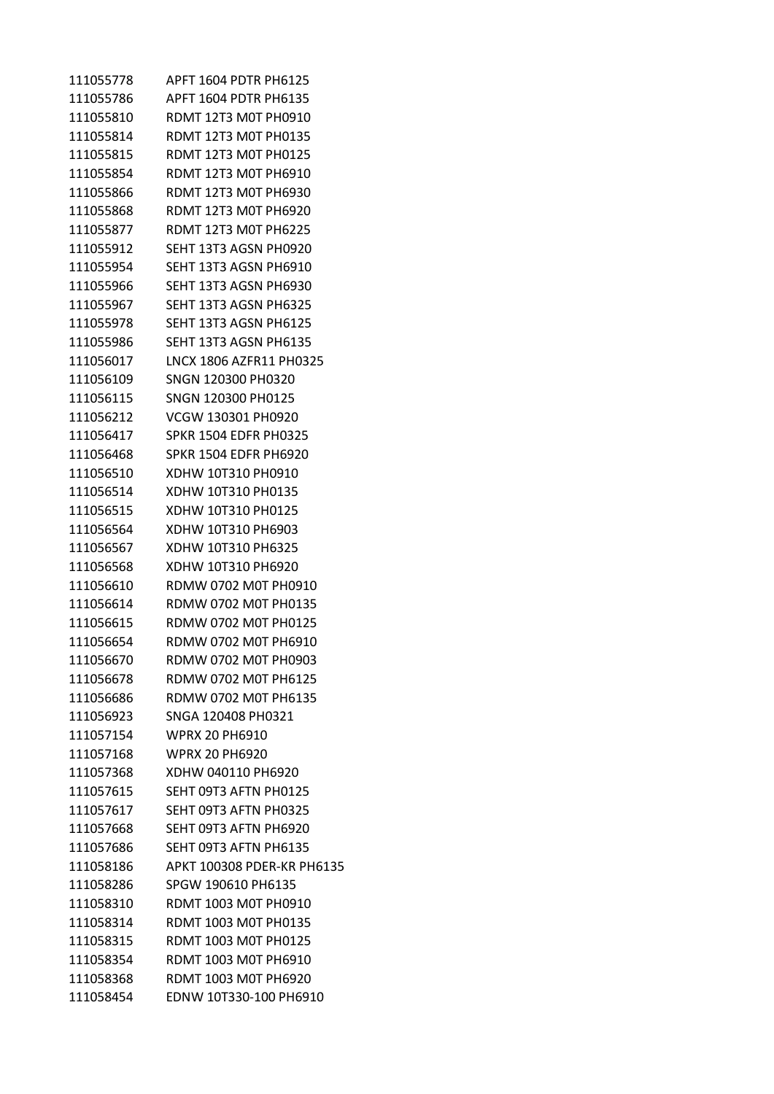| 111055778 | APFT 1604 PDTR PH6125        |
|-----------|------------------------------|
| 111055786 | APFT 1604 PDTR PH6135        |
| 111055810 | <b>RDMT 12T3 M0T PH0910</b>  |
| 111055814 | <b>RDMT 12T3 M0T PH0135</b>  |
| 111055815 | <b>RDMT 12T3 M0T PH0125</b>  |
| 111055854 | RDMT 12T3 M0T PH6910         |
| 111055866 | RDMT 12T3 M0T PH6930         |
| 111055868 | RDMT 12T3 M0T PH6920         |
| 111055877 | <b>RDMT 12T3 M0T PH6225</b>  |
| 111055912 | SEHT 13T3 AGSN PH0920        |
| 111055954 | SEHT 13T3 AGSN PH6910        |
| 111055966 | SEHT 13T3 AGSN PH6930        |
| 111055967 | SEHT 13T3 AGSN PH6325        |
| 111055978 | SEHT 13T3 AGSN PH6125        |
| 111055986 | SEHT 13T3 AGSN PH6135        |
| 111056017 | LNCX 1806 AZFR11 PH0325      |
| 111056109 | SNGN 120300 PH0320           |
| 111056115 | SNGN 120300 PH0125           |
| 111056212 | VCGW 130301 PH0920           |
| 111056417 | <b>SPKR 1504 EDFR PH0325</b> |
| 111056468 | SPKR 1504 EDFR PH6920        |
| 111056510 | XDHW 10T310 PH0910           |
| 111056514 | XDHW 10T310 PH0135           |
| 111056515 | XDHW 10T310 PH0125           |
| 111056564 | XDHW 10T310 PH6903           |
| 111056567 | XDHW 10T310 PH6325           |
| 111056568 | XDHW 10T310 PH6920           |
| 111056610 | RDMW 0702 M0T PH0910         |
| 111056614 | RDMW 0702 M0T PH0135         |
| 111056615 | RDMW 0702 M0T PH0125         |
| 111056654 | RDMW 0702 M0T PH6910         |
| 111056670 | RDMW 0702 M0T PH0903         |
| 111056678 | RDMW 0702 M0T PH6125         |
| 111056686 | RDMW 0702 M0T PH6135         |
| 111056923 | SNGA 120408 PH0321           |
| 111057154 | <b>WPRX 20 PH6910</b>        |
| 111057168 | <b>WPRX 20 PH6920</b>        |
| 111057368 | XDHW 040110 PH6920           |
| 111057615 | SEHT 09T3 AFTN PH0125        |
| 111057617 | SEHT 09T3 AFTN PH0325        |
| 111057668 | SEHT 09T3 AFTN PH6920        |
| 111057686 | SEHT 09T3 AFTN PH6135        |
| 111058186 | APKT 100308 PDER-KR PH6135   |
| 111058286 | SPGW 190610 PH6135           |
| 111058310 | RDMT 1003 M0T PH0910         |
| 111058314 | <b>RDMT 1003 M0T PH0135</b>  |
| 111058315 | RDMT 1003 M0T PH0125         |
| 111058354 | RDMT 1003 M0T PH6910         |
| 111058368 | <b>RDMT 1003 M0T PH6920</b>  |
| 111058454 | EDNW 10T330-100 PH6910       |
|           |                              |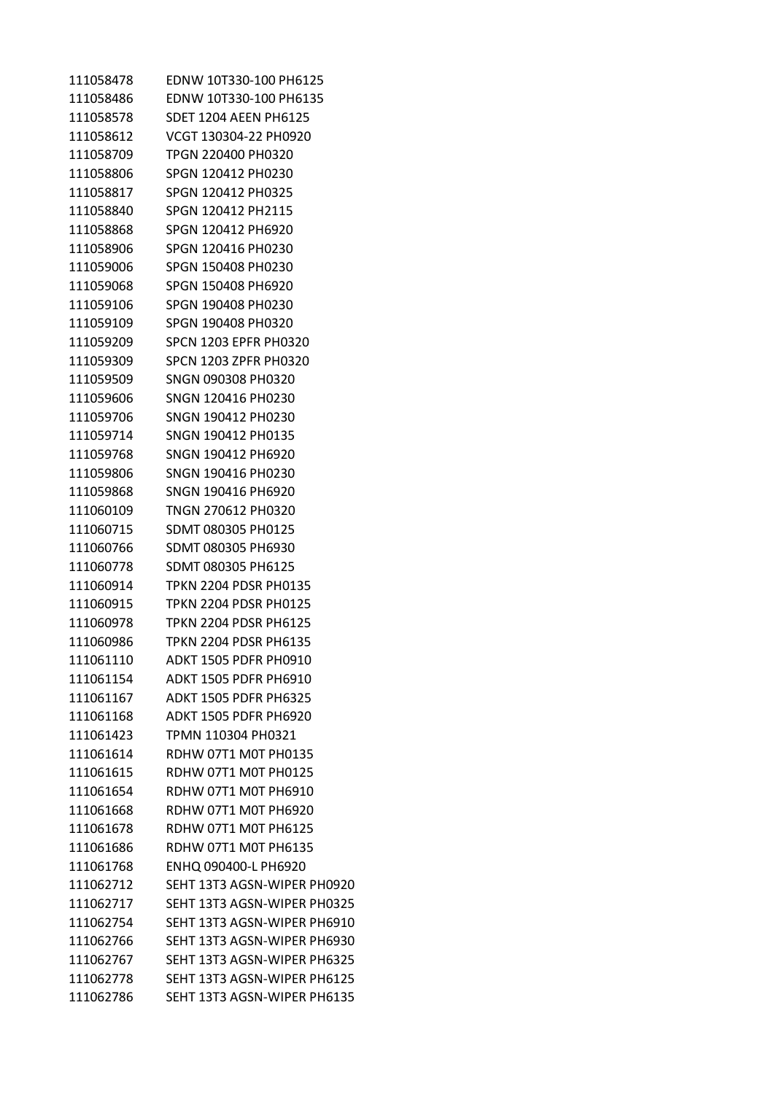| 111058478 | EDNW 10T330-100 PH6125       |
|-----------|------------------------------|
| 111058486 | EDNW 10T330-100 PH6135       |
| 111058578 | <b>SDET 1204 AEEN PH6125</b> |
| 111058612 | VCGT 130304-22 PH0920        |
| 111058709 | TPGN 220400 PH0320           |
| 111058806 | SPGN 120412 PH0230           |
| 111058817 | SPGN 120412 PH0325           |
| 111058840 | SPGN 120412 PH2115           |
| 111058868 | SPGN 120412 PH6920           |
| 111058906 | SPGN 120416 PH0230           |
| 111059006 | SPGN 150408 PH0230           |
| 111059068 | SPGN 150408 PH6920           |
| 111059106 | SPGN 190408 PH0230           |
| 111059109 | SPGN 190408 PH0320           |
| 111059209 | <b>SPCN 1203 EPFR PH0320</b> |
| 111059309 | <b>SPCN 1203 ZPFR PH0320</b> |
| 111059509 | SNGN 090308 PH0320           |
| 111059606 | SNGN 120416 PH0230           |
| 111059706 | SNGN 190412 PH0230           |
| 111059714 | SNGN 190412 PH0135           |
| 111059768 | SNGN 190412 PH6920           |
| 111059806 | SNGN 190416 PH0230           |
| 111059868 | SNGN 190416 PH6920           |
| 111060109 | TNGN 270612 PH0320           |
| 111060715 | SDMT 080305 PH0125           |
| 111060766 | SDMT 080305 PH6930           |
| 111060778 | SDMT 080305 PH6125           |
| 111060914 | TPKN 2204 PDSR PH0135        |
| 111060915 | <b>TPKN 2204 PDSR PH0125</b> |
| 111060978 | <b>TPKN 2204 PDSR PH6125</b> |
| 111060986 | <b>TPKN 2204 PDSR PH6135</b> |
| 111061110 | <b>ADKT 1505 PDFR PH0910</b> |
| 111061154 | ADKT 1505 PDFR PH6910        |
| 111061167 | <b>ADKT 1505 PDFR PH6325</b> |
| 111061168 | <b>ADKT 1505 PDFR PH6920</b> |
| 111061423 | TPMN 110304 PH0321           |
| 111061614 | RDHW 07T1 M0T PH0135         |
| 111061615 | RDHW 07T1 M0T PH0125         |
| 111061654 | RDHW 07T1 M0T PH6910         |
| 111061668 | RDHW 07T1 M0T PH6920         |
| 111061678 | RDHW 07T1 M0T PH6125         |
| 111061686 | RDHW 07T1 M0T PH6135         |
| 111061768 | ENHQ 090400-L PH6920         |
| 111062712 | SEHT 13T3 AGSN-WIPER PH0920  |
| 111062717 | SEHT 13T3 AGSN-WIPER PH0325  |
| 111062754 | SEHT 13T3 AGSN-WIPER PH6910  |
| 111062766 | SEHT 13T3 AGSN-WIPER PH6930  |
| 111062767 | SEHT 13T3 AGSN-WIPER PH6325  |
| 111062778 | SEHT 13T3 AGSN-WIPER PH6125  |
| 111062786 | SEHT 13T3 AGSN-WIPER PH6135  |
|           |                              |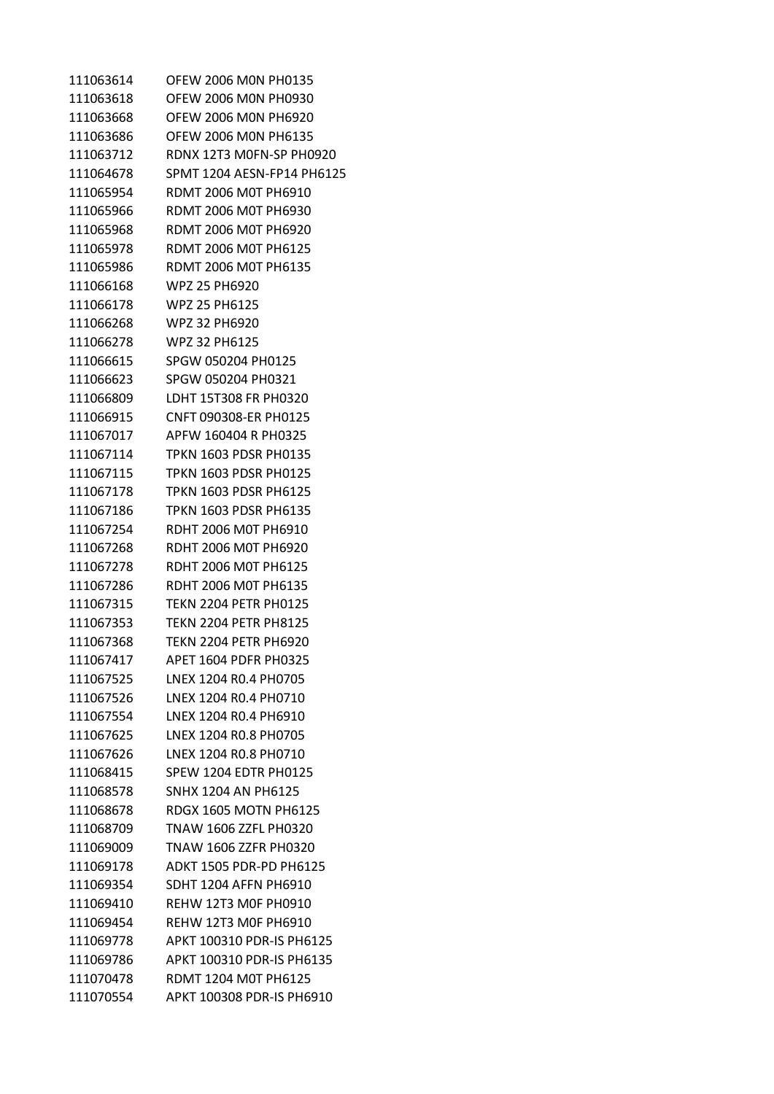OFEW 2006 M0N PH0135 OFEW 2006 M0N PH0930 OFEW 2006 M0N PH6920 OFEW 2006 M0N PH6135 RDNX 12T3 M0FN-SP PH0920 SPMT 1204 AESN-FP14 PH6125 RDMT 2006 M0T PH6910 RDMT 2006 M0T PH6930 RDMT 2006 M0T PH6920 RDMT 2006 M0T PH6125 RDMT 2006 M0T PH6135 WPZ 25 PH6920 WPZ 25 PH6125 WPZ 32 PH6920 WPZ 32 PH6125 SPGW 050204 PH0125 SPGW 050204 PH0321 LDHT 15T308 FR PH0320 CNFT 090308-ER PH0125 APFW 160404 R PH0325 TPKN 1603 PDSR PH0135 TPKN 1603 PDSR PH0125 TPKN 1603 PDSR PH6125 TPKN 1603 PDSR PH6135 RDHT 2006 M0T PH6910 RDHT 2006 M0T PH6920 RDHT 2006 M0T PH6125 RDHT 2006 M0T PH6135 TEKN 2204 PETR PH0125 TEKN 2204 PETR PH8125 TEKN 2204 PETR PH6920 APET 1604 PDFR PH0325 LNEX 1204 R0.4 PH0705 LNEX 1204 R0.4 PH0710 LNEX 1204 R0.4 PH6910 LNEX 1204 R0.8 PH0705 LNEX 1204 R0.8 PH0710 SPEW 1204 EDTR PH0125 SNHX 1204 AN PH6125 RDGX 1605 MOTN PH6125 TNAW 1606 ZZFL PH0320 TNAW 1606 ZZFR PH0320 ADKT 1505 PDR-PD PH6125 SDHT 1204 AFFN PH6910 REHW 12T3 M0F PH0910 REHW 12T3 M0F PH6910 APKT 100310 PDR-IS PH6125 APKT 100310 PDR-IS PH6135 RDMT 1204 M0T PH6125 APKT 100308 PDR-IS PH6910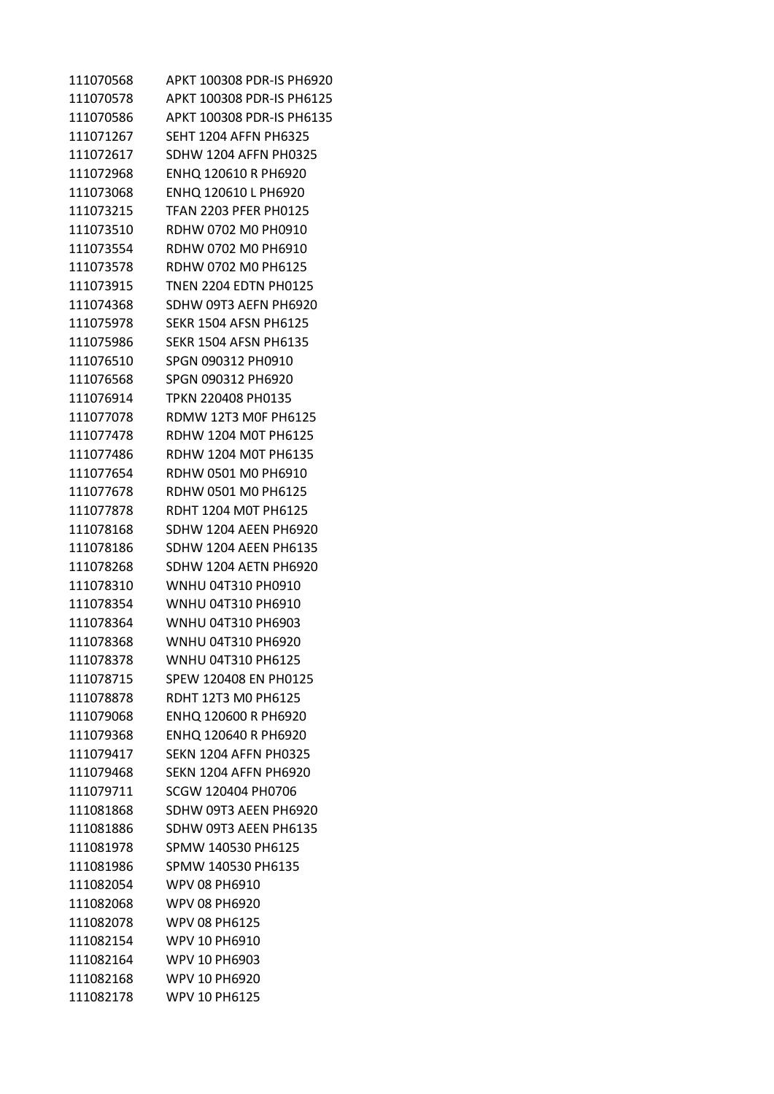| 111070568 | APKT 100308 PDR-IS PH6920    |
|-----------|------------------------------|
| 111070578 | APKT 100308 PDR-IS PH6125    |
| 111070586 | APKT 100308 PDR-IS PH6135    |
| 111071267 | <b>SEHT 1204 AFFN PH6325</b> |
| 111072617 | <b>SDHW 1204 AFFN PH0325</b> |
| 111072968 | ENHQ 120610 R PH6920         |
| 111073068 | ENHQ 120610 L PH6920         |
| 111073215 | <b>TFAN 2203 PFER PH0125</b> |
| 111073510 | RDHW 0702 M0 PH0910          |
| 111073554 | RDHW 0702 M0 PH6910          |
| 111073578 | RDHW 0702 M0 PH6125          |
| 111073915 | <b>TNEN 2204 EDTN PH0125</b> |
| 111074368 | SDHW 09T3 AEFN PH6920        |
| 111075978 | <b>SEKR 1504 AFSN PH6125</b> |
| 111075986 | <b>SEKR 1504 AFSN PH6135</b> |
| 111076510 | SPGN 090312 PH0910           |
| 111076568 | SPGN 090312 PH6920           |
| 111076914 | TPKN 220408 PH0135           |
| 111077078 | RDMW 12T3 M0F PH6125         |
| 111077478 | <b>RDHW 1204 M0T PH6125</b>  |
| 111077486 | RDHW 1204 M0T PH6135         |
| 111077654 | RDHW 0501 M0 PH6910          |
| 111077678 | RDHW 0501 M0 PH6125          |
| 111077878 | RDHT 1204 M0T PH6125         |
| 111078168 | <b>SDHW 1204 AEEN PH6920</b> |
| 111078186 | <b>SDHW 1204 AEEN PH6135</b> |
| 111078268 | <b>SDHW 1204 AETN PH6920</b> |
| 111078310 | WNHU 04T310 PH0910           |
| 111078354 | WNHU 04T310 PH6910           |
| 111078364 | WNHU 04T310 PH6903           |
| 111078368 | WNHU 04T310 PH6920           |
| 111078378 | WNHU 04T310 PH6125           |
| 111078715 | SPEW 120408 EN PH0125        |
| 111078878 | RDHT 12T3 M0 PH6125          |
| 111079068 | ENHQ 120600 R PH6920         |
| 111079368 | ENHQ 120640 R PH6920         |
| 111079417 | <b>SEKN 1204 AFFN PH0325</b> |
| 111079468 | <b>SEKN 1204 AFFN PH6920</b> |
| 111079711 | SCGW 120404 PH0706           |
| 111081868 | SDHW 09T3 AEEN PH6920        |
| 111081886 | SDHW 09T3 AEEN PH6135        |
| 111081978 | SPMW 140530 PH6125           |
| 111081986 | SPMW 140530 PH6135           |
| 111082054 | WPV 08 PH6910                |
| 111082068 | <b>WPV 08 PH6920</b>         |
| 111082078 | <b>WPV 08 PH6125</b>         |
| 111082154 | WPV 10 PH6910                |
| 111082164 | WPV 10 PH6903                |
| 111082168 | WPV 10 PH6920                |
| 111082178 | WPV 10 PH6125                |
|           |                              |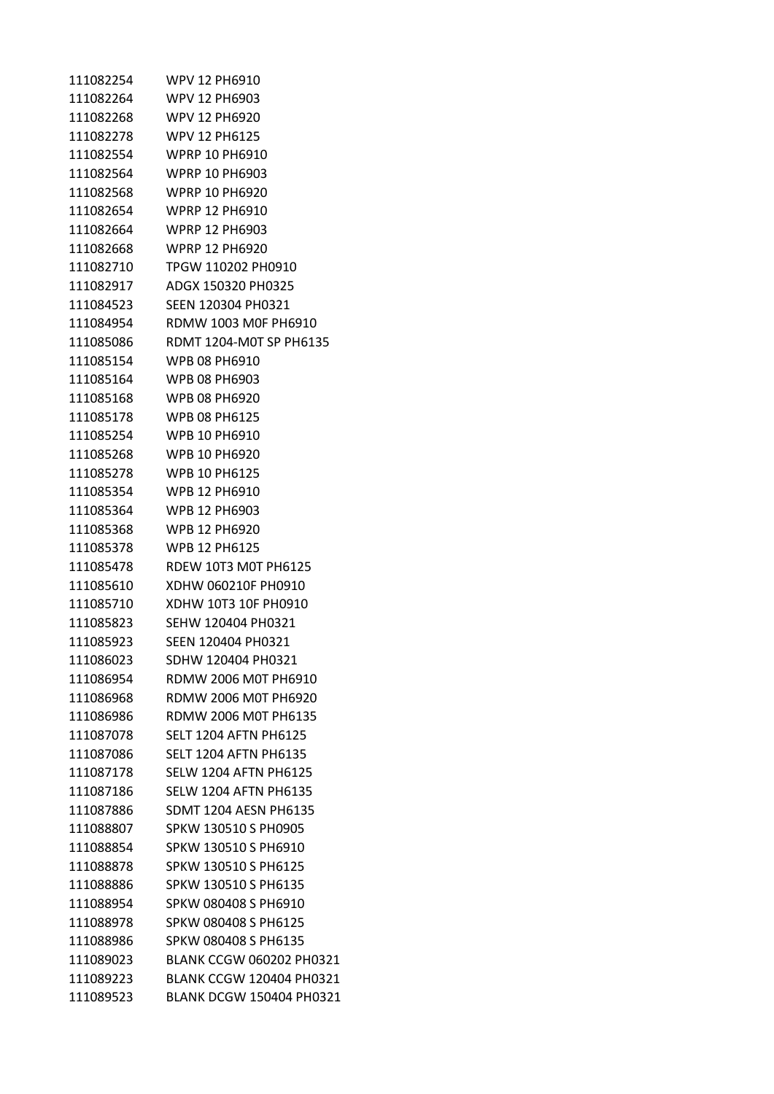| 111082254 | WPV 12 PH6910                   |
|-----------|---------------------------------|
| 111082264 | WPV 12 PH6903                   |
| 111082268 | <b>WPV 12 PH6920</b>            |
| 111082278 | <b>WPV 12 PH6125</b>            |
| 111082554 | <b>WPRP 10 PH6910</b>           |
| 111082564 | <b>WPRP 10 PH6903</b>           |
| 111082568 | <b>WPRP 10 PH6920</b>           |
| 111082654 | <b>WPRP 12 PH6910</b>           |
| 111082664 | <b>WPRP 12 PH6903</b>           |
| 111082668 | <b>WPRP 12 PH6920</b>           |
| 111082710 | TPGW 110202 PH0910              |
| 111082917 | ADGX 150320 PH0325              |
| 111084523 | SEEN 120304 PH0321              |
| 111084954 | RDMW 1003 M0F PH6910            |
| 111085086 | RDMT 1204-M0T SP PH6135         |
| 111085154 | WPB 08 PH6910                   |
| 111085164 | <b>WPB 08 PH6903</b>            |
| 111085168 | <b>WPB 08 PH6920</b>            |
| 111085178 | <b>WPB 08 PH6125</b>            |
| 111085254 | WPB 10 PH6910                   |
| 111085268 | <b>WPB 10 PH6920</b>            |
| 111085278 | <b>WPB 10 PH6125</b>            |
| 111085354 | WPB 12 PH6910                   |
| 111085364 | <b>WPB 12 PH6903</b>            |
| 111085368 | WPB 12 PH6920                   |
| 111085378 | <b>WPB 12 PH6125</b>            |
| 111085478 | <b>RDEW 10T3 MOT PH6125</b>     |
| 111085610 | XDHW 060210F PH0910             |
| 111085710 | XDHW 10T3 10F PH0910            |
| 111085823 | SEHW 120404 PH0321              |
| 111085923 | SEEN 120404 PH0321              |
| 111086023 | SDHW 120404 PH0321              |
| 111086954 | RDMW 2006 M0T PH6910            |
| 111086968 | RDMW 2006 M0T PH6920            |
| 111086986 | RDMW 2006 M0T PH6135            |
| 111087078 | <b>SELT 1204 AFTN PH6125</b>    |
| 111087086 | <b>SELT 1204 AFTN PH6135</b>    |
| 111087178 | <b>SELW 1204 AFTN PH6125</b>    |
| 111087186 | <b>SELW 1204 AFTN PH6135</b>    |
| 111087886 | <b>SDMT 1204 AESN PH6135</b>    |
| 111088807 | SPKW 130510 S PH0905            |
| 111088854 | SPKW 130510 S PH6910            |
| 111088878 | SPKW 130510 S PH6125            |
| 111088886 | SPKW 130510 S PH6135            |
| 111088954 | SPKW 080408 S PH6910            |
| 111088978 | SPKW 080408 S PH6125            |
| 111088986 | SPKW 080408 S PH6135            |
| 111089023 | <b>BLANK CCGW 060202 PH0321</b> |
| 111089223 | <b>BLANK CCGW 120404 PH0321</b> |
| 111089523 | <b>BLANK DCGW 150404 PH0321</b> |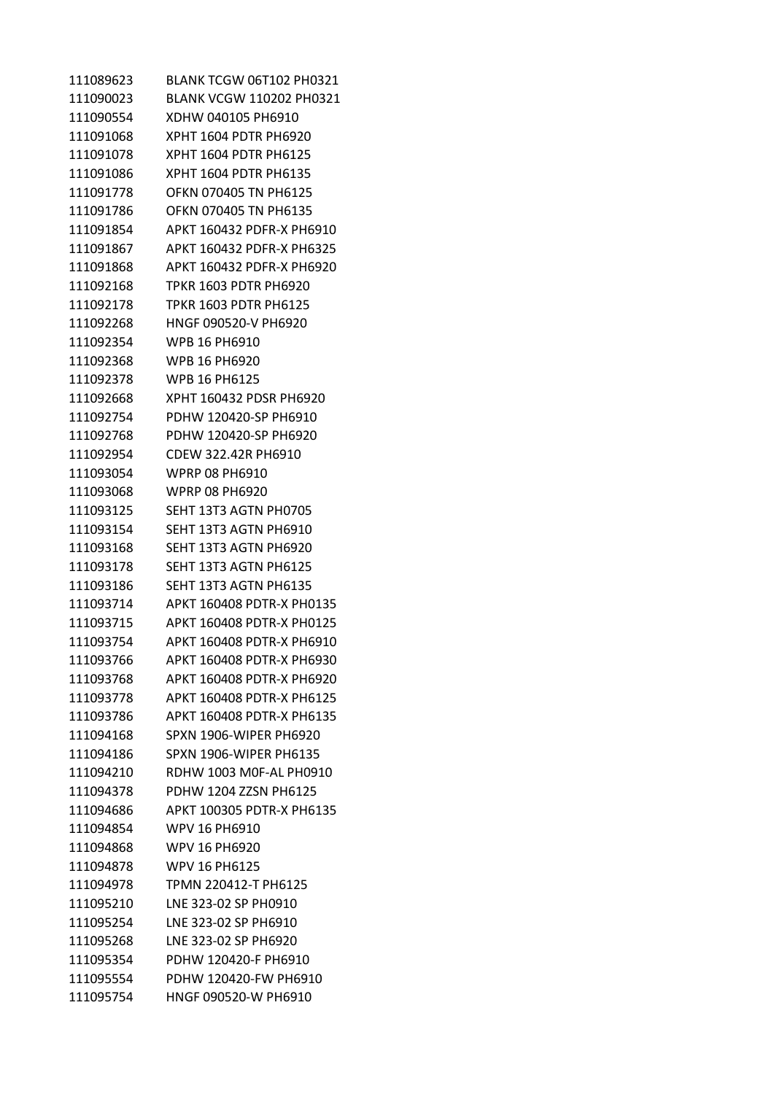| 111089623 | BLANK TCGW 06T102 PH0321      |
|-----------|-------------------------------|
| 111090023 | BLANK VCGW 110202 PH0321      |
| 111090554 | XDHW 040105 PH6910            |
| 111091068 | XPHT 1604 PDTR PH6920         |
| 111091078 | XPHT 1604 PDTR PH6125         |
| 111091086 | XPHT 1604 PDTR PH6135         |
| 111091778 | OFKN 070405 TN PH6125         |
| 111091786 | OFKN 070405 TN PH6135         |
| 111091854 | APKT 160432 PDFR-X PH6910     |
| 111091867 | APKT 160432 PDFR-X PH6325     |
| 111091868 | APKT 160432 PDFR-X PH6920     |
| 111092168 | TPKR 1603 PDTR PH6920         |
| 111092178 | TPKR 1603 PDTR PH6125         |
| 111092268 | HNGF 090520-V PH6920          |
| 111092354 | WPB 16 PH6910                 |
| 111092368 | WPB 16 PH6920                 |
| 111092378 | WPB 16 PH6125                 |
| 111092668 | XPHT 160432 PDSR PH6920       |
| 111092754 | PDHW 120420-SP PH6910         |
| 111092768 | PDHW 120420-SP PH6920         |
| 111092954 | CDEW 322.42R PH6910           |
| 111093054 | WPRP 08 PH6910                |
| 111093068 | WPRP 08 PH6920                |
| 111093125 | SEHT 13T3 AGTN PH0705         |
| 111093154 | SEHT 13T3 AGTN PH6910         |
| 111093168 | SEHT 13T3 AGTN PH6920         |
| 111093178 | SEHT 13T3 AGTN PH6125         |
| 111093186 | SEHT 13T3 AGTN PH6135         |
| 111093714 | APKT 160408 PDTR-X PH0135     |
| 111093715 | APKT 160408 PDTR-X PH0125     |
| 111093754 | APKT 160408 PDTR-X PH6910     |
| 111093766 | APKT 160408 PDTR-X PH6930     |
| 111093768 | APKT 160408 PDTR-X PH6920     |
| 111093778 | APKT 160408 PDTR-X PH6125     |
| 111093786 | APKT 160408 PDTR-X PH6135     |
| 111094168 | <b>SPXN 1906-WIPER PH6920</b> |
| 111094186 | SPXN 1906-WIPER PH6135        |
| 111094210 | RDHW 1003 M0F-AL PH0910       |
| 111094378 | PDHW 1204 ZZSN PH6125         |
| 111094686 | APKT 100305 PDTR-X PH6135     |
| 111094854 | WPV 16 PH6910                 |
| 111094868 | <b>WPV 16 PH6920</b>          |
| 111094878 | <b>WPV 16 PH6125</b>          |
| 111094978 | TPMN 220412-T PH6125          |
| 111095210 | LNE 323-02 SP PH0910          |
| 111095254 | LNE 323-02 SP PH6910          |
| 111095268 | LNE 323-02 SP PH6920          |
| 111095354 | PDHW 120420-F PH6910          |
| 111095554 | PDHW 120420-FW PH6910         |
| 111095754 | HNGF 090520-W PH6910          |
|           |                               |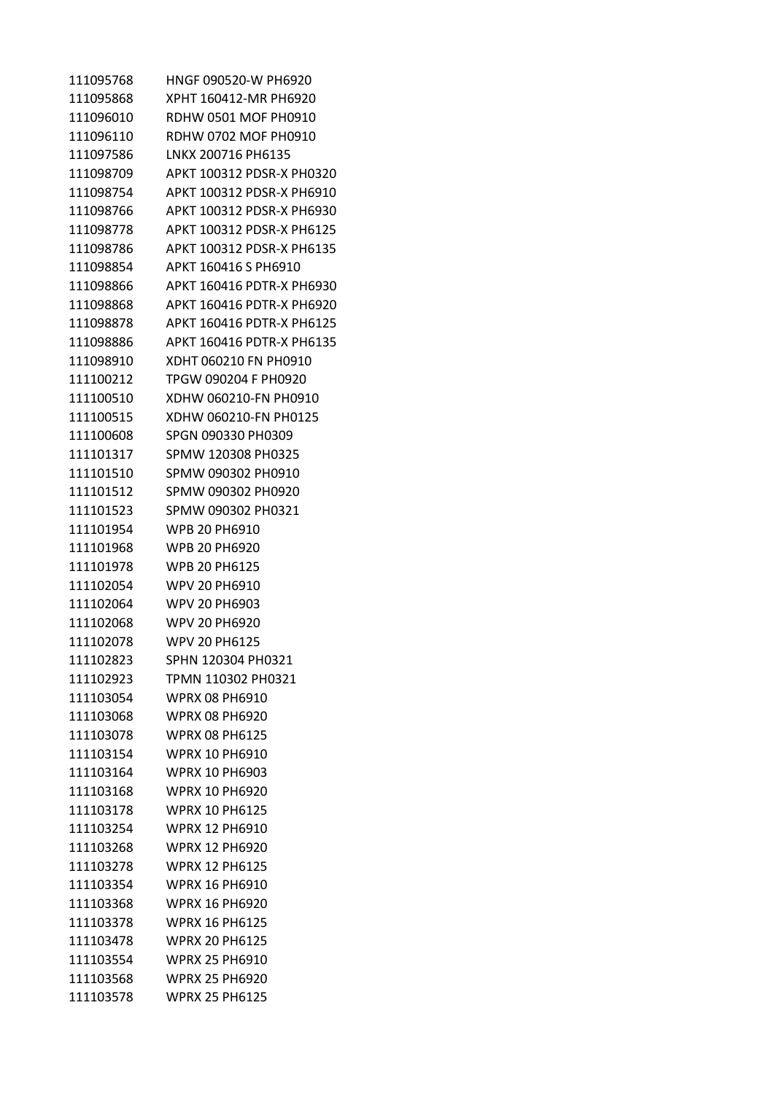| 111095768 | HNGF 090520-W PH6920      |
|-----------|---------------------------|
| 111095868 | XPHT 160412-MR PH6920     |
| 111096010 | RDHW 0501 MOF PH0910      |
| 111096110 | RDHW 0702 MOF PH0910      |
| 111097586 | LNKX 200716 PH6135        |
| 111098709 | APKT 100312 PDSR-X PH0320 |
| 111098754 | APKT 100312 PDSR-X PH6910 |
| 111098766 | APKT 100312 PDSR-X PH6930 |
| 111098778 | APKT 100312 PDSR-X PH6125 |
| 111098786 | APKT 100312 PDSR-X PH6135 |
| 111098854 | APKT 160416 S PH6910      |
| 111098866 | APKT 160416 PDTR-X PH6930 |
| 111098868 | APKT 160416 PDTR-X PH6920 |
| 111098878 | APKT 160416 PDTR-X PH6125 |
| 111098886 | APKT 160416 PDTR-X PH6135 |
| 111098910 | XDHT 060210 FN PH0910     |
| 111100212 | TPGW 090204 F PH0920      |
| 111100510 | XDHW 060210-FN PH0910     |
| 111100515 | XDHW 060210-FN PH0125     |
| 111100608 | SPGN 090330 PH0309        |
| 111101317 | SPMW 120308 PH0325        |
| 111101510 | SPMW 090302 PH0910        |
| 111101512 | SPMW 090302 PH0920        |
| 111101523 | SPMW 090302 PH0321        |
| 111101954 | WPB 20 PH6910             |
| 111101968 | WPB 20 PH6920             |
| 111101978 | <b>WPB 20 PH6125</b>      |
| 111102054 | WPV 20 PH6910             |
| 111102064 | WPV 20 PH6903             |
| 111102068 | <b>WPV 20 PH6920</b>      |
| 111102078 | <b>WPV 20 PH6125</b>      |
| 111102823 | SPHN 120304 PH0321        |
| 111102923 | TPMN 110302 PH0321        |
| 111103054 | <b>WPRX 08 PH6910</b>     |
| 111103068 | <b>WPRX 08 PH6920</b>     |
| 111103078 | <b>WPRX 08 PH6125</b>     |
| 111103154 | <b>WPRX 10 PH6910</b>     |
| 111103164 | <b>WPRX 10 PH6903</b>     |
| 111103168 | <b>WPRX 10 PH6920</b>     |
| 111103178 | <b>WPRX 10 PH6125</b>     |
| 111103254 | <b>WPRX 12 PH6910</b>     |
| 111103268 | <b>WPRX 12 PH6920</b>     |
| 111103278 | <b>WPRX 12 PH6125</b>     |
| 111103354 | <b>WPRX 16 PH6910</b>     |
| 111103368 | <b>WPRX 16 PH6920</b>     |
| 111103378 | <b>WPRX 16 PH6125</b>     |
| 111103478 | <b>WPRX 20 PH6125</b>     |
| 111103554 | <b>WPRX 25 PH6910</b>     |
| 111103568 | <b>WPRX 25 PH6920</b>     |
| 111103578 | <b>WPRX 25 PH6125</b>     |
|           |                           |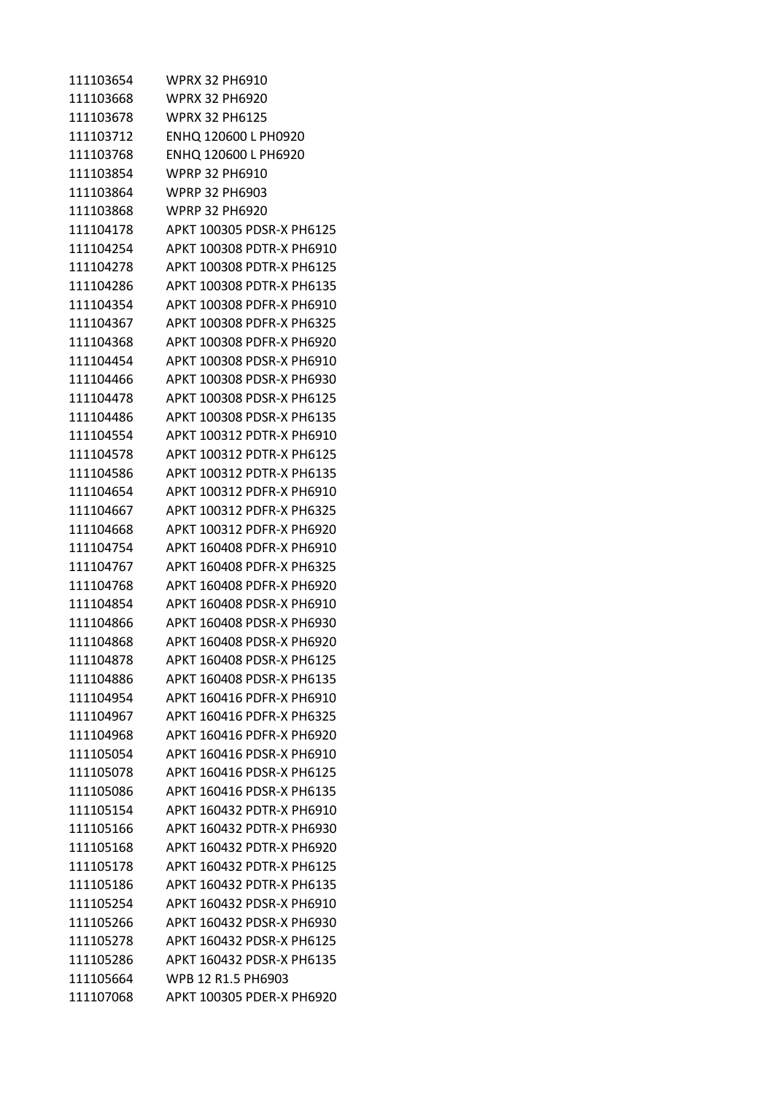| 111103654 | WPRX 32 PH6910            |
|-----------|---------------------------|
| 111103668 | WPRX 32 PH6920            |
| 111103678 | WPRX 32 PH6125            |
| 111103712 | ENHQ 120600 L PH0920      |
| 111103768 | ENHQ 120600 L PH6920      |
| 111103854 | WPRP 32 PH6910            |
| 111103864 | <b>WPRP 32 PH6903</b>     |
| 111103868 | WPRP 32 PH6920            |
| 111104178 | APKT 100305 PDSR-X PH6125 |
| 111104254 | APKT 100308 PDTR-X PH6910 |
| 111104278 | APKT 100308 PDTR-X PH6125 |
| 111104286 | APKT 100308 PDTR-X PH6135 |
| 111104354 | APKT 100308 PDFR-X PH6910 |
| 111104367 | APKT 100308 PDFR-X PH6325 |
| 111104368 | APKT 100308 PDFR-X PH6920 |
| 111104454 | APKT 100308 PDSR-X PH6910 |
| 111104466 | APKT 100308 PDSR-X PH6930 |
| 111104478 | APKT 100308 PDSR-X PH6125 |
| 111104486 | APKT 100308 PDSR-X PH6135 |
| 111104554 | APKT 100312 PDTR-X PH6910 |
| 111104578 | APKT 100312 PDTR-X PH6125 |
| 111104586 | APKT 100312 PDTR-X PH6135 |
| 111104654 | APKT 100312 PDFR-X PH6910 |
| 111104667 | APKT 100312 PDFR-X PH6325 |
| 111104668 | APKT 100312 PDFR-X PH6920 |
| 111104754 | APKT 160408 PDFR-X PH6910 |
| 111104767 | APKT 160408 PDFR-X PH6325 |
| 111104768 | APKT 160408 PDFR-X PH6920 |
| 111104854 | APKT 160408 PDSR-X PH6910 |
| 111104866 | APKT 160408 PDSR-X PH6930 |
| 111104868 | APKT 160408 PDSR-X PH6920 |
| 111104878 | APKT 160408 PDSR-X PH6125 |
| 111104886 | APKT 160408 PDSR-X PH6135 |
| 111104954 | APKT 160416 PDFR-X PH6910 |
| 111104967 | APKT 160416 PDFR-X PH6325 |
| 111104968 | APKT 160416 PDFR-X PH6920 |
| 111105054 | APKT 160416 PDSR-X PH6910 |
| 111105078 | APKT 160416 PDSR-X PH6125 |
| 111105086 | APKT 160416 PDSR-X PH6135 |
| 111105154 | APKT 160432 PDTR-X PH6910 |
| 111105166 | APKT 160432 PDTR-X PH6930 |
| 111105168 | APKT 160432 PDTR-X PH6920 |
| 111105178 | APKT 160432 PDTR-X PH6125 |
| 111105186 | APKT 160432 PDTR-X PH6135 |
| 111105254 | APKT 160432 PDSR-X PH6910 |
| 111105266 | APKT 160432 PDSR-X PH6930 |
| 111105278 | APKT 160432 PDSR-X PH6125 |
| 111105286 | APKT 160432 PDSR-X PH6135 |
| 111105664 | WPB 12 R1.5 PH6903        |
| 111107068 | APKT 100305 PDER-X PH6920 |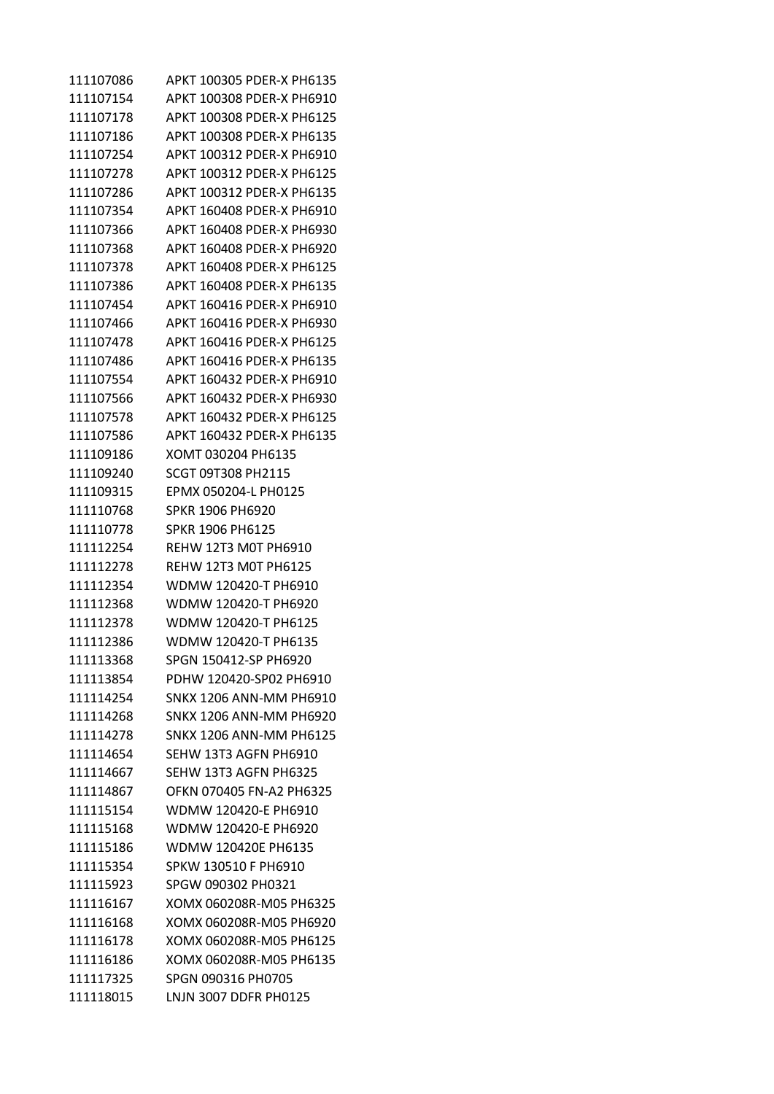| 111107086 | APKT 100305 PDER-X PH6135      |
|-----------|--------------------------------|
| 111107154 | APKT 100308 PDER-X PH6910      |
| 111107178 | APKT 100308 PDER-X PH6125      |
| 111107186 | APKT 100308 PDER-X PH6135      |
| 111107254 | APKT 100312 PDER-X PH6910      |
| 111107278 | APKT 100312 PDER-X PH6125      |
| 111107286 | APKT 100312 PDER-X PH6135      |
| 111107354 | APKT 160408 PDER-X PH6910      |
| 111107366 | APKT 160408 PDER-X PH6930      |
| 111107368 | APKT 160408 PDER-X PH6920      |
| 111107378 | APKT 160408 PDER-X PH6125      |
| 111107386 | APKT 160408 PDER-X PH6135      |
| 111107454 | APKT 160416 PDER-X PH6910      |
| 111107466 | APKT 160416 PDER-X PH6930      |
| 111107478 | APKT 160416 PDER-X PH6125      |
| 111107486 | APKT 160416 PDER-X PH6135      |
| 111107554 | APKT 160432 PDER-X PH6910      |
| 111107566 | APKT 160432 PDER-X PH6930      |
| 111107578 | APKT 160432 PDER-X PH6125      |
| 111107586 | APKT 160432 PDER-X PH6135      |
| 111109186 | XOMT 030204 PH6135             |
| 111109240 | SCGT 09T308 PH2115             |
| 111109315 | EPMX 050204-L PH0125           |
| 111110768 | SPKR 1906 PH6920               |
| 111110778 | SPKR 1906 PH6125               |
| 111112254 | REHW 12T3 M0T PH6910           |
| 111112278 | REHW 12T3 MOT PH6125           |
| 111112354 | WDMW 120420-T PH6910           |
| 111112368 | WDMW 120420-T PH6920           |
| 111112378 | WDMW 120420-T PH6125           |
| 111112386 | WDMW 120420-T PH6135           |
| 111113368 | SPGN 150412-SP PH6920          |
| 111113854 | PDHW 120420-SP02 PH6910        |
| 111114254 | <b>SNKX 1206 ANN-MM PH6910</b> |
| 111114268 | <b>SNKX 1206 ANN-MM PH6920</b> |
| 111114278 | SNKX 1206 ANN-MM PH6125        |
| 111114654 | SEHW 13T3 AGFN PH6910          |
| 111114667 | SEHW 13T3 AGFN PH6325          |
| 111114867 | OFKN 070405 FN-A2 PH6325       |
| 111115154 | WDMW 120420-E PH6910           |
| 111115168 | WDMW 120420-E PH6920           |
| 111115186 | WDMW 120420E PH6135            |
| 111115354 | SPKW 130510 F PH6910           |
| 111115923 | SPGW 090302 PH0321             |
| 111116167 | XOMX 060208R-M05 PH6325        |
| 111116168 | XOMX 060208R-M05 PH6920        |
| 111116178 | XOMX 060208R-M05 PH6125        |
| 111116186 | XOMX 060208R-M05 PH6135        |
| 111117325 | SPGN 090316 PH0705             |
| 111118015 | LNJN 3007 DDFR PH0125          |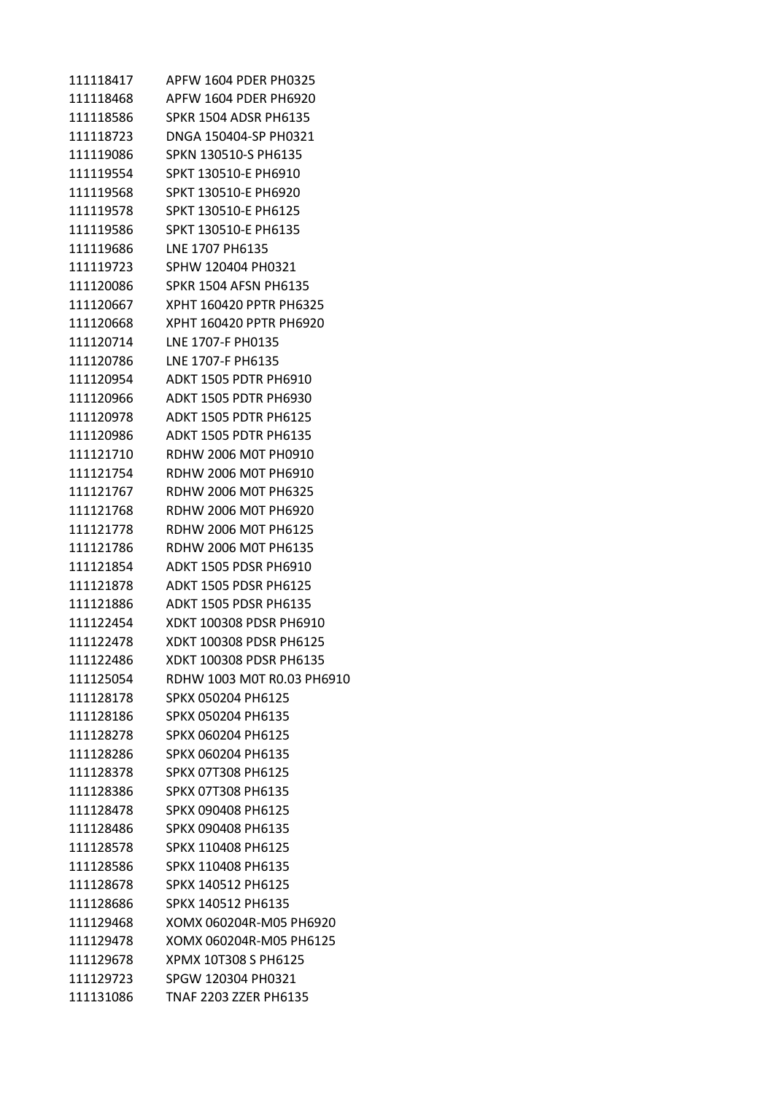| 111118417 | APFW 1604 PDER PH0325        |
|-----------|------------------------------|
| 111118468 | APFW 1604 PDER PH6920        |
| 111118586 | <b>SPKR 1504 ADSR PH6135</b> |
| 111118723 | DNGA 150404-SP PH0321        |
| 111119086 | SPKN 130510-S PH6135         |
| 111119554 | SPKT 130510-E PH6910         |
| 111119568 | SPKT 130510-E PH6920         |
| 111119578 | SPKT 130510-E PH6125         |
| 111119586 | SPKT 130510-E PH6135         |
| 111119686 | LNE 1707 PH6135              |
| 111119723 | SPHW 120404 PH0321           |
| 111120086 | <b>SPKR 1504 AFSN PH6135</b> |
| 111120667 | XPHT 160420 PPTR PH6325      |
| 111120668 | XPHT 160420 PPTR PH6920      |
| 111120714 | LNE 1707-F PH0135            |
| 111120786 | LNE 1707-F PH6135            |
| 111120954 | <b>ADKT 1505 PDTR PH6910</b> |
| 111120966 | <b>ADKT 1505 PDTR PH6930</b> |
| 111120978 | <b>ADKT 1505 PDTR PH6125</b> |
| 111120986 | <b>ADKT 1505 PDTR PH6135</b> |
| 111121710 | RDHW 2006 M0T PH0910         |
| 111121754 | RDHW 2006 M0T PH6910         |
| 111121767 | RDHW 2006 M0T PH6325         |
| 111121768 | RDHW 2006 M0T PH6920         |
| 111121778 | RDHW 2006 M0T PH6125         |
| 111121786 | RDHW 2006 M0T PH6135         |
| 111121854 | ADKT 1505 PDSR PH6910        |
| 111121878 | <b>ADKT 1505 PDSR PH6125</b> |
| 111121886 | <b>ADKT 1505 PDSR PH6135</b> |
| 111122454 | XDKT 100308 PDSR PH6910      |
| 111122478 | XDKT 100308 PDSR PH6125      |
| 111122486 | XDKT 100308 PDSR PH6135      |
| 111125054 | RDHW 1003 M0T R0.03 PH6910   |
| 111128178 | SPKX 050204 PH6125           |
| 111128186 | SPKX 050204 PH6135           |
| 111128278 | SPKX 060204 PH6125           |
| 111128286 | SPKX 060204 PH6135           |
| 111128378 | SPKX 07T308 PH6125           |
| 111128386 | SPKX 07T308 PH6135           |
| 111128478 | SPKX 090408 PH6125           |
| 111128486 | SPKX 090408 PH6135           |
| 111128578 | SPKX 110408 PH6125           |
| 111128586 | SPKX 110408 PH6135           |
| 111128678 | SPKX 140512 PH6125           |
| 111128686 | SPKX 140512 PH6135           |
| 111129468 | XOMX 060204R-M05 PH6920      |
| 111129478 | XOMX 060204R-M05 PH6125      |
| 111129678 | XPMX 10T308 S PH6125         |
| 111129723 | SPGW 120304 PH0321           |
| 111131086 | <b>TNAF 2203 ZZER PH6135</b> |
|           |                              |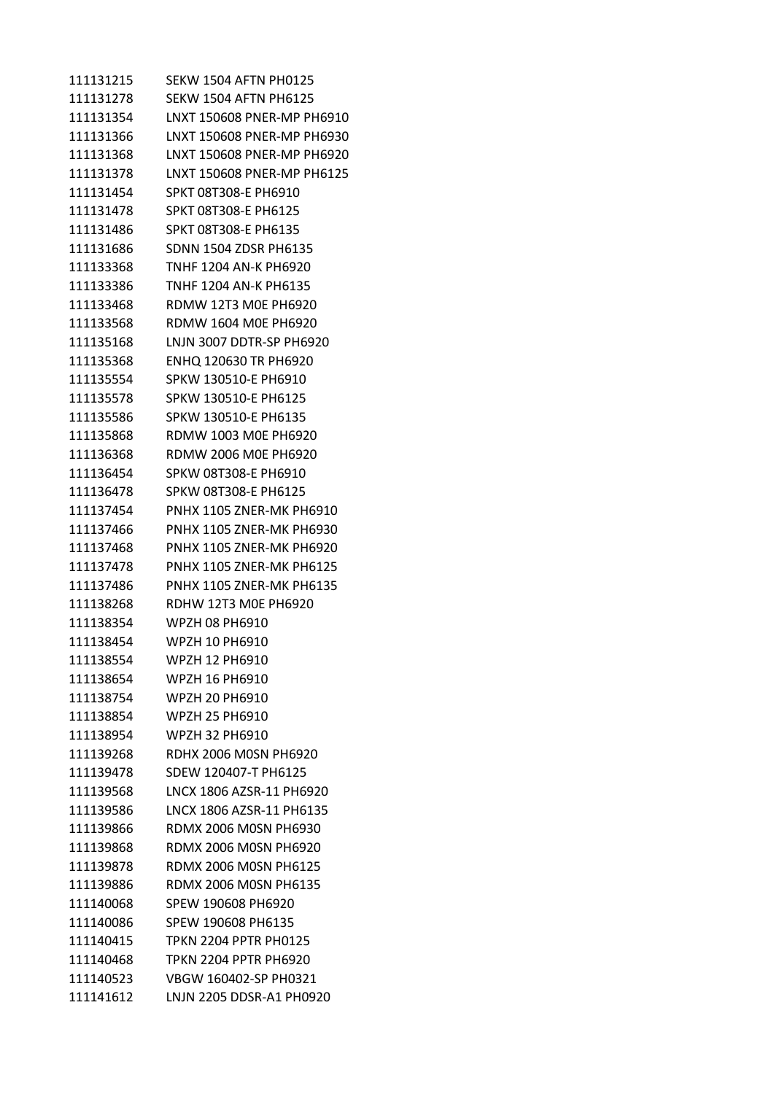SEKW 1504 AFTN PH0125 SEKW 1504 AFTN PH6125 LNXT 150608 PNER-MP PH6910 LNXT 150608 PNER-MP PH6930 LNXT 150608 PNER-MP PH6920 LNXT 150608 PNER-MP PH6125 SPKT 08T308-E PH6910 SPKT 08T308-E PH6125 SPKT 08T308-E PH6135 SDNN 1504 ZDSR PH6135 TNHF 1204 AN-K PH6920 TNHF 1204 AN-K PH6135 RDMW 12T3 M0E PH6920 RDMW 1604 M0E PH6920 LNJN 3007 DDTR-SP PH6920 ENHQ 120630 TR PH6920 SPKW 130510-E PH6910 SPKW 130510-E PH6125 SPKW 130510-E PH6135 RDMW 1003 M0E PH6920 RDMW 2006 M0E PH6920 SPKW 08T308-E PH6910 SPKW 08T308-E PH6125 PNHX 1105 ZNER-MK PH6910 PNHX 1105 ZNER-MK PH6930 PNHX 1105 ZNER-MK PH6920 PNHX 1105 ZNER-MK PH6125 PNHX 1105 ZNER-MK PH6135 RDHW 12T3 M0E PH6920 WPZH 08 PH6910 WPZH 10 PH6910 WPZH 12 PH6910 WPZH 16 PH6910 WPZH 20 PH6910 WPZH 25 PH6910 WPZH 32 PH6910 RDHX 2006 M0SN PH6920 SDEW 120407-T PH6125 LNCX 1806 AZSR-11 PH6920 LNCX 1806 AZSR-11 PH6135 RDMX 2006 M0SN PH6930 RDMX 2006 M0SN PH6920 RDMX 2006 M0SN PH6125 RDMX 2006 M0SN PH6135 SPEW 190608 PH6920 SPEW 190608 PH6135 TPKN 2204 PPTR PH0125 TPKN 2204 PPTR PH6920 VBGW 160402-SP PH0321 LNJN 2205 DDSR-A1 PH0920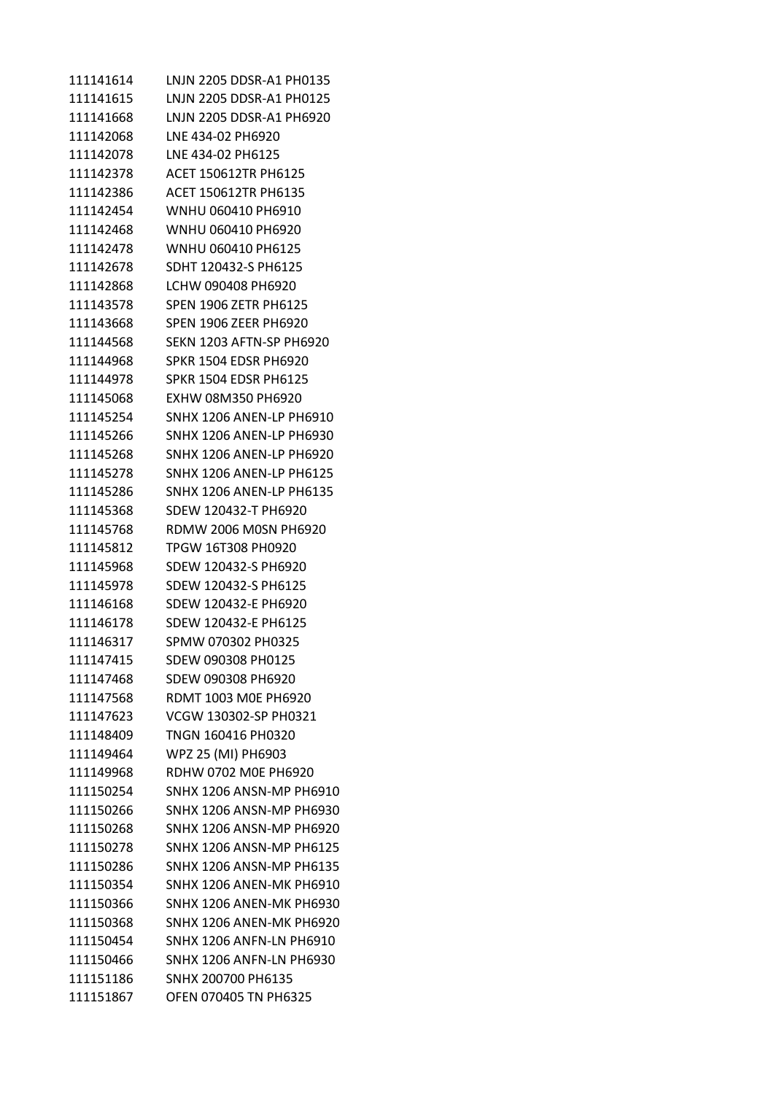| 111141614 | LNJN 2205 DDSR-A1 PH0135        |
|-----------|---------------------------------|
| 111141615 | LNJN 2205 DDSR-A1 PH0125        |
| 111141668 | LNJN 2205 DDSR-A1 PH6920        |
| 111142068 | LNE 434-02 PH6920               |
| 111142078 | LNE 434-02 PH6125               |
| 111142378 | <b>ACET 150612TR PH6125</b>     |
| 111142386 | <b>ACET 150612TR PH6135</b>     |
| 111142454 | WNHU 060410 PH6910              |
| 111142468 | WNHU 060410 PH6920              |
| 111142478 | WNHU 060410 PH6125              |
| 111142678 | SDHT 120432-S PH6125            |
| 111142868 | LCHW 090408 PH6920              |
| 111143578 | <b>SPEN 1906 ZETR PH6125</b>    |
| 111143668 | <b>SPEN 1906 ZEER PH6920</b>    |
| 111144568 | SEKN 1203 AFTN-SP PH6920        |
| 111144968 | SPKR 1504 EDSR PH6920           |
| 111144978 | <b>SPKR 1504 EDSR PH6125</b>    |
| 111145068 | EXHW 08M350 PH6920              |
| 111145254 | <b>SNHX 1206 ANEN-LP PH6910</b> |
| 111145266 | <b>SNHX 1206 ANEN-LP PH6930</b> |
| 111145268 | <b>SNHX 1206 ANEN-LP PH6920</b> |
| 111145278 | SNHX 1206 ANEN-LP PH6125        |
| 111145286 | <b>SNHX 1206 ANEN-LP PH6135</b> |
| 111145368 | SDEW 120432-T PH6920            |
| 111145768 | <b>RDMW 2006 M0SN PH6920</b>    |
| 111145812 | TPGW 16T308 PH0920              |
| 111145968 | SDEW 120432-S PH6920            |
| 111145978 | SDEW 120432-S PH6125            |
| 111146168 | SDEW 120432-E PH6920            |
| 111146178 | SDEW 120432-E PH6125            |
| 111146317 | SPMW 070302 PH0325              |
| 111147415 | SDEW 090308 PH0125              |
| 111147468 | SDEW 090308 PH6920              |
| 111147568 | RDMT 1003 M0E PH6920            |
| 111147623 | VCGW 130302-SP PH0321           |
| 111148409 | TNGN 160416 PH0320              |
| 111149464 | WPZ 25 (MI) PH6903              |
| 111149968 | RDHW 0702 M0E PH6920            |
| 111150254 | <b>SNHX 1206 ANSN-MP PH6910</b> |
| 111150266 | <b>SNHX 1206 ANSN-MP PH6930</b> |
| 111150268 | <b>SNHX 1206 ANSN-MP PH6920</b> |
| 111150278 | <b>SNHX 1206 ANSN-MP PH6125</b> |
| 111150286 | <b>SNHX 1206 ANSN-MP PH6135</b> |
| 111150354 | <b>SNHX 1206 ANEN-MK PH6910</b> |
| 111150366 | <b>SNHX 1206 ANEN-MK PH6930</b> |
| 111150368 | SNHX 1206 ANEN-MK PH6920        |
| 111150454 | <b>SNHX 1206 ANFN-LN PH6910</b> |
| 111150466 | <b>SNHX 1206 ANFN-LN PH6930</b> |
| 111151186 | SNHX 200700 PH6135              |
| 111151867 | OFEN 070405 TN PH6325           |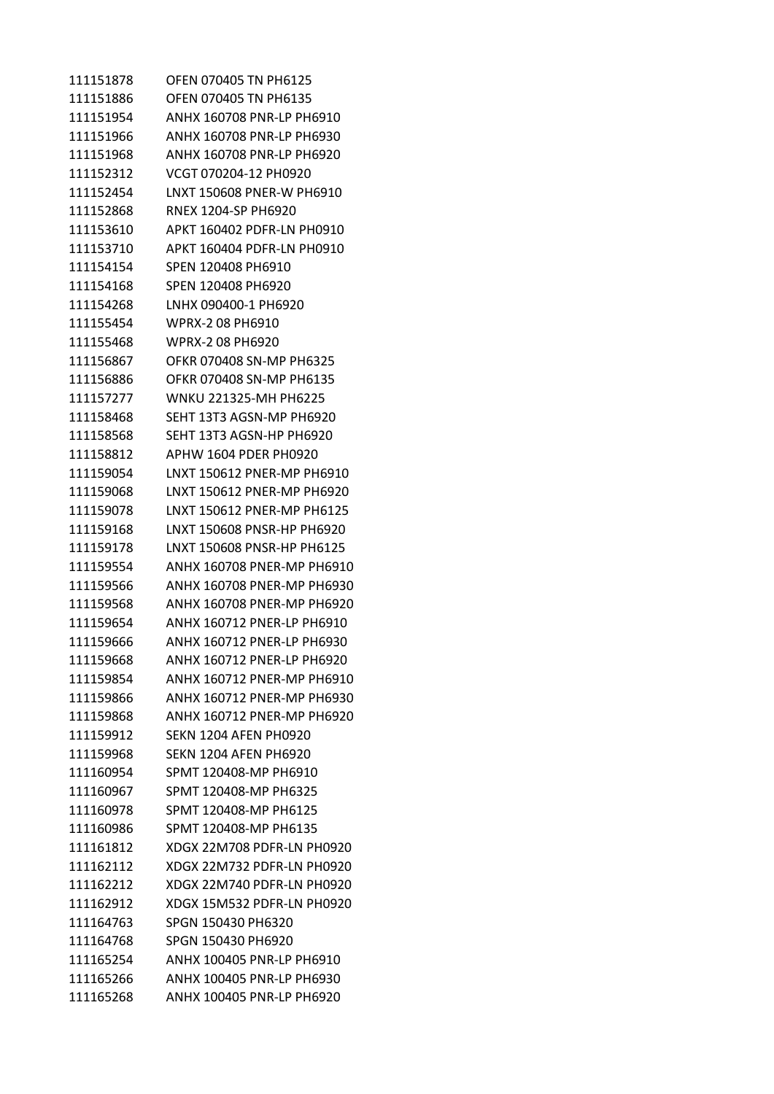| 111151878 | OFEN 070405 TN PH6125        |
|-----------|------------------------------|
| 111151886 | <b>OFEN 070405 TN PH6135</b> |
| 111151954 | ANHX 160708 PNR-LP PH6910    |
| 111151966 | ANHX 160708 PNR-LP PH6930    |
| 111151968 | ANHX 160708 PNR-LP PH6920    |
| 111152312 | VCGT 070204-12 PH0920        |
| 111152454 | LNXT 150608 PNER-W PH6910    |
| 111152868 | <b>RNEX 1204-SP PH6920</b>   |
| 111153610 | APKT 160402 PDFR-LN PH0910   |
| 111153710 | APKT 160404 PDFR-LN PH0910   |
| 111154154 | SPEN 120408 PH6910           |
| 111154168 | SPEN 120408 PH6920           |
| 111154268 | LNHX 090400-1 PH6920         |
| 111155454 | WPRX-2 08 PH6910             |
| 111155468 | <b>WPRX-2 08 PH6920</b>      |
| 111156867 | OFKR 070408 SN-MP PH6325     |
| 111156886 | OFKR 070408 SN-MP PH6135     |
| 111157277 | WNKU 221325-MH PH6225        |
| 111158468 | SEHT 13T3 AGSN-MP PH6920     |
| 111158568 | SEHT 13T3 AGSN-HP PH6920     |
| 111158812 | APHW 1604 PDER PH0920        |
| 111159054 | LNXT 150612 PNER-MP PH6910   |
| 111159068 | LNXT 150612 PNER-MP PH6920   |
| 111159078 | LNXT 150612 PNER-MP PH6125   |
| 111159168 | LNXT 150608 PNSR-HP PH6920   |
| 111159178 | LNXT 150608 PNSR-HP PH6125   |
| 111159554 | ANHX 160708 PNER-MP PH6910   |
| 111159566 | ANHX 160708 PNER-MP PH6930   |
| 111159568 | ANHX 160708 PNER-MP PH6920   |
| 111159654 | ANHX 160712 PNER-LP PH6910   |
| 111159666 | ANHX 160712 PNER-LP PH6930   |
| 111159668 | ANHX 160712 PNER-LP PH6920   |
| 111159854 | ANHX 160712 PNER-MP PH6910   |
| 111159866 | ANHX 160712 PNFR-MP PH6930   |
| 111159868 | ANHX 160712 PNER-MP PH6920   |
| 111159912 | <b>SEKN 1204 AFEN PH0920</b> |
| 111159968 | <b>SEKN 1204 AFEN PH6920</b> |
| 111160954 | SPMT 120408-MP PH6910        |
| 111160967 | SPMT 120408-MP PH6325        |
| 111160978 | SPMT 120408-MP PH6125        |
| 111160986 | SPMT 120408-MP PH6135        |
| 111161812 | XDGX 22M708 PDFR-LN PH0920   |
| 111162112 | XDGX 22M732 PDFR-LN PH0920   |
| 111162212 | XDGX 22M740 PDFR-LN PH0920   |
| 111162912 | XDGX 15M532 PDFR-LN PH0920   |
| 111164763 | SPGN 150430 PH6320           |
| 111164768 | SPGN 150430 PH6920           |
| 111165254 | ANHX 100405 PNR-LP PH6910    |
| 111165266 | ANHX 100405 PNR-LP PH6930    |
| 111165268 | ANHX 100405 PNR-LP PH6920    |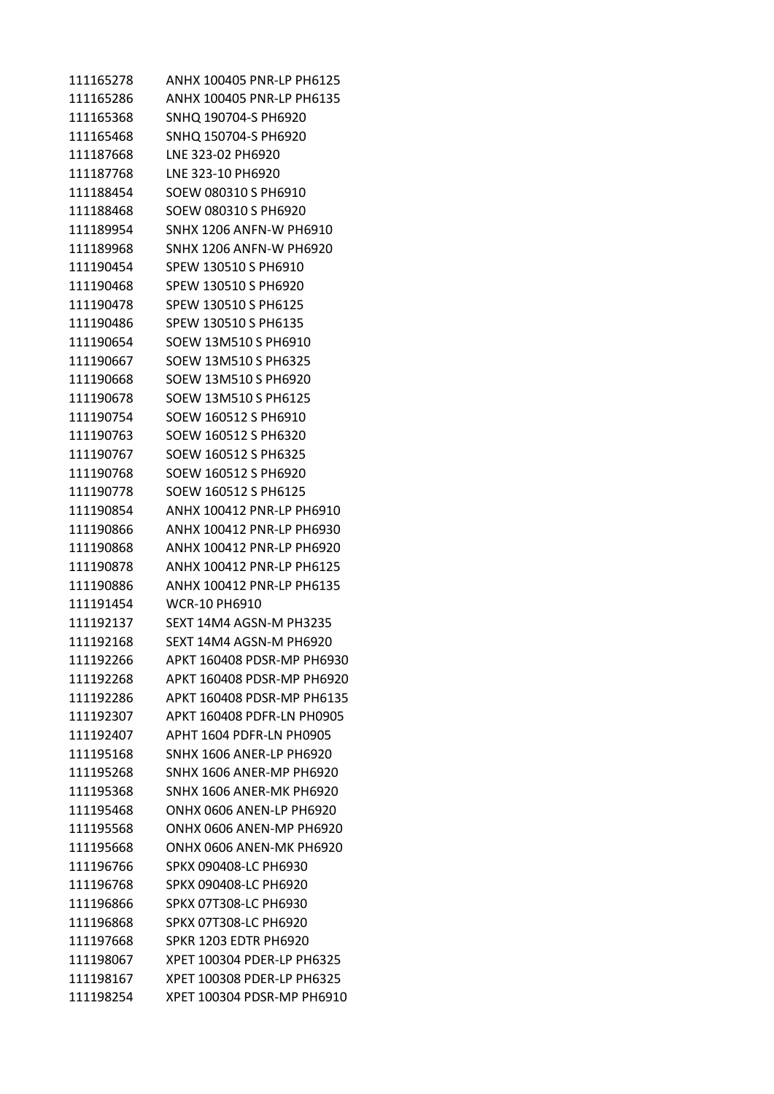| 111165278 | ANHX 100405 PNR-LP PH6125       |
|-----------|---------------------------------|
| 111165286 | ANHX 100405 PNR-LP PH6135       |
| 111165368 | SNHQ 190704-S PH6920            |
| 111165468 | SNHQ 150704-S PH6920            |
| 111187668 | LNE 323-02 PH6920               |
| 111187768 | LNE 323-10 PH6920               |
| 111188454 | SOEW 080310 S PH6910            |
| 111188468 | SOEW 080310 S PH6920            |
| 111189954 | <b>SNHX 1206 ANFN-W PH6910</b>  |
| 111189968 | <b>SNHX 1206 ANFN-W PH6920</b>  |
| 111190454 | SPEW 130510 S PH6910            |
| 111190468 | SPEW 130510 S PH6920            |
| 111190478 | SPEW 130510 S PH6125            |
| 111190486 | SPEW 130510 S PH6135            |
| 111190654 | SOEW 13M510 S PH6910            |
| 111190667 | SOEW 13M510 S PH6325            |
| 111190668 | SOEW 13M510 S PH6920            |
| 111190678 | SOEW 13M510 S PH6125            |
| 111190754 | SOEW 160512 S PH6910            |
| 111190763 | SOEW 160512 S PH6320            |
| 111190767 | SOEW 160512 S PH6325            |
| 111190768 | SOEW 160512 S PH6920            |
| 111190778 | SOEW 160512 S PH6125            |
| 111190854 | ANHX 100412 PNR-LP PH6910       |
| 111190866 | ANHX 100412 PNR-LP PH6930       |
| 111190868 | ANHX 100412 PNR-LP PH6920       |
| 111190878 | ANHX 100412 PNR-LP PH6125       |
| 111190886 | ANHX 100412 PNR-LP PH6135       |
| 111191454 | <b>WCR-10 PH6910</b>            |
| 111192137 | SEXT 14M4 AGSN-M PH3235         |
| 111192168 | SEXT 14M4 AGSN-M PH6920         |
| 111192266 | APKT 160408 PDSR-MP PH6930      |
| 111192268 | APKT 160408 PDSR-MP PH6920      |
| 111192286 | APKT 160408 PDSR-MP PH6135      |
| 111192307 | APKT 160408 PDFR-LN PH0905      |
| 111192407 | APHT 1604 PDFR-LN PH0905        |
| 111195168 | <b>SNHX 1606 ANER-LP PH6920</b> |
| 111195268 | <b>SNHX 1606 ANER-MP PH6920</b> |
| 111195368 | SNHX 1606 ANFR-MK PH6920        |
| 111195468 | ONHX 0606 ANEN-LP PH6920        |
| 111195568 | ONHX 0606 ANEN-MP PH6920        |
| 111195668 | ONHX 0606 ANEN-MK PH6920        |
| 111196766 | SPKX 090408-LC PH6930           |
| 111196768 | SPKX 090408-LC PH6920           |
| 111196866 | SPKX 07T308-LC PH6930           |
| 111196868 | SPKX 07T308-LC PH6920           |
| 111197668 | <b>SPKR 1203 EDTR PH6920</b>    |
| 111198067 | XPET 100304 PDER-LP PH6325      |
| 111198167 | XPET 100308 PDER-LP PH6325      |
| 111198254 | XPET 100304 PDSR-MP PH6910      |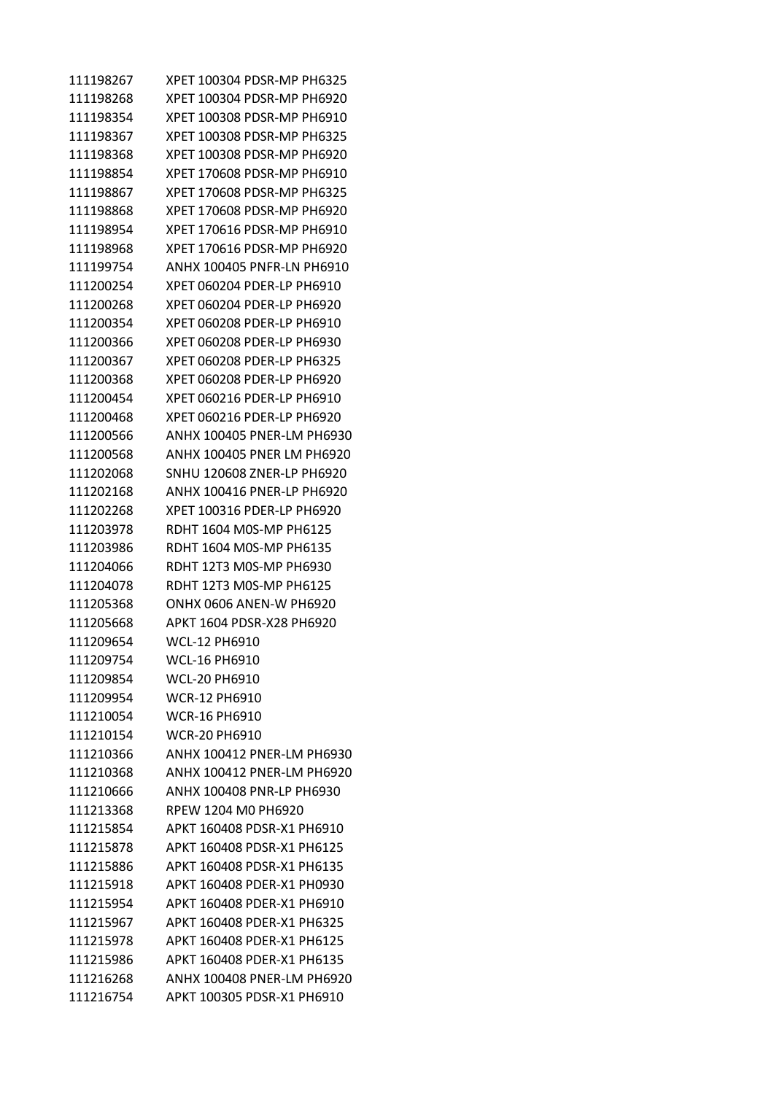| 111198267 | XPET 100304 PDSR-MP PH6325 |
|-----------|----------------------------|
| 111198268 | XPET 100304 PDSR-MP PH6920 |
| 111198354 | XPET 100308 PDSR-MP PH6910 |
| 111198367 | XPET 100308 PDSR-MP PH6325 |
| 111198368 | XPET 100308 PDSR-MP PH6920 |
| 111198854 | XPET 170608 PDSR-MP PH6910 |
| 111198867 | XPET 170608 PDSR-MP PH6325 |
| 111198868 | XPET 170608 PDSR-MP PH6920 |
| 111198954 | XPET 170616 PDSR-MP PH6910 |
| 111198968 | XPET 170616 PDSR-MP PH6920 |
| 111199754 | ANHX 100405 PNFR-LN PH6910 |
| 111200254 | XPET 060204 PDER-LP PH6910 |
| 111200268 | XPET 060204 PDER-LP PH6920 |
| 111200354 | XPET 060208 PDER-LP PH6910 |
| 111200366 | XPET 060208 PDER-LP PH6930 |
| 111200367 | XPET 060208 PDER-LP PH6325 |
| 111200368 | XPET 060208 PDER-LP PH6920 |
| 111200454 | XPET 060216 PDER-LP PH6910 |
| 111200468 | XPET 060216 PDER-LP PH6920 |
| 111200566 | ANHX 100405 PNER-LM PH6930 |
| 111200568 | ANHX 100405 PNER LM PH6920 |
| 111202068 | SNHU 120608 ZNER-LP PH6920 |
| 111202168 | ANHX 100416 PNER-LP PH6920 |
| 111202268 | XPET 100316 PDER-LP PH6920 |
| 111203978 | RDHT 1604 M0S-MP PH6125    |
| 111203986 | RDHT 1604 M0S-MP PH6135    |
| 111204066 | RDHT 12T3 MOS-MP PH6930    |
| 111204078 | RDHT 12T3 M0S-MP PH6125    |
| 111205368 | ONHX 0606 ANEN-W PH6920    |
| 111205668 | APKT 1604 PDSR-X28 PH6920  |
| 111209654 | WCL-12 PH6910              |
| 111209754 | WCL-16 PH6910              |
| 111209854 | <b>WCL-20 PH6910</b>       |
| 111209954 | <b>WCR-12 PH6910</b>       |
| 111210054 | <b>WCR-16 PH6910</b>       |
| 111210154 | <b>WCR-20 PH6910</b>       |
| 111210366 | ANHX 100412 PNER-LM PH6930 |
| 111210368 | ANHX 100412 PNER-LM PH6920 |
| 111210666 | ANHX 100408 PNR-LP PH6930  |
| 111213368 | RPEW 1204 M0 PH6920        |
| 111215854 | APKT 160408 PDSR-X1 PH6910 |
| 111215878 | APKT 160408 PDSR-X1 PH6125 |
| 111215886 | APKT 160408 PDSR-X1 PH6135 |
| 111215918 | APKT 160408 PDER-X1 PH0930 |
| 111215954 | APKT 160408 PDER-X1 PH6910 |
| 111215967 | APKT 160408 PDER-X1 PH6325 |
| 111215978 | APKT 160408 PDER-X1 PH6125 |
| 111215986 | APKT 160408 PDER-X1 PH6135 |
| 111216268 | ANHX 100408 PNER-LM PH6920 |
| 111216754 | APKT 100305 PDSR-X1 PH6910 |
|           |                            |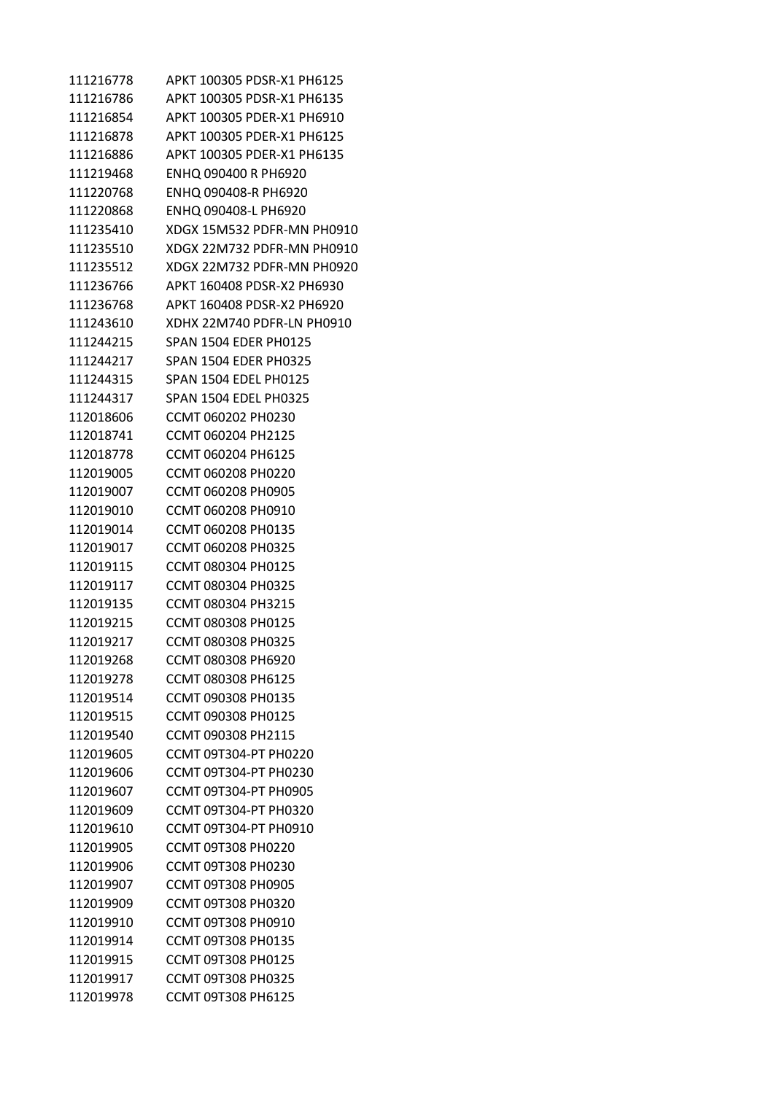| 111216778 | APKT 100305 PDSR-X1 PH6125   |
|-----------|------------------------------|
| 111216786 | APKT 100305 PDSR-X1 PH6135   |
| 111216854 | APKT 100305 PDER-X1 PH6910   |
| 111216878 | APKT 100305 PDER-X1 PH6125   |
| 111216886 | APKT 100305 PDER-X1 PH6135   |
| 111219468 | ENHQ 090400 R PH6920         |
| 111220768 | ENHQ 090408-R PH6920         |
| 111220868 | ENHQ 090408-L PH6920         |
| 111235410 | XDGX 15M532 PDFR-MN PH0910   |
| 111235510 | XDGX 22M732 PDFR-MN PH0910   |
| 111235512 | XDGX 22M732 PDFR-MN PH0920   |
| 111236766 | APKT 160408 PDSR-X2 PH6930   |
| 111236768 | APKT 160408 PDSR-X2 PH6920   |
| 111243610 | XDHX 22M740 PDFR-LN PH0910   |
| 111244215 | <b>SPAN 1504 EDER PH0125</b> |
| 111244217 | <b>SPAN 1504 EDER PH0325</b> |
| 111244315 | <b>SPAN 1504 EDEL PH0125</b> |
| 111244317 | SPAN 1504 EDEL PH0325        |
| 112018606 | CCMT 060202 PH0230           |
| 112018741 | CCMT 060204 PH2125           |
| 112018778 | CCMT 060204 PH6125           |
| 112019005 | CCMT 060208 PH0220           |
| 112019007 | CCMT 060208 PH0905           |
| 112019010 | CCMT 060208 PH0910           |
| 112019014 | CCMT 060208 PH0135           |
| 112019017 | CCMT 060208 PH0325           |
| 112019115 | CCMT 080304 PH0125           |
| 112019117 | CCMT 080304 PH0325           |
| 112019135 | CCMT 080304 PH3215           |
| 112019215 | CCMT 080308 PH0125           |
| 112019217 | CCMT 080308 PH0325           |
| 112019268 | CCMT 080308 PH6920           |
| 112019278 | CCMT 080308 PH6125           |
| 112019514 | CCMT 090308 PH0135           |
| 112019515 | CCMT 090308 PH0125           |
| 112019540 | CCMT 090308 PH2115           |
| 112019605 | <b>CCMT 09T304-PT PH0220</b> |
| 112019606 | CCMT 09T304-PT PH0230        |
| 112019607 | CCMT 09T304-PT PH0905        |
| 112019609 | CCMT 09T304-PT PH0320        |
| 112019610 | CCMT 09T304-PT PH0910        |
| 112019905 | <b>CCMT 09T308 PH0220</b>    |
| 112019906 | CCMT 09T308 PH0230           |
| 112019907 | CCMT 09T308 PH0905           |
| 112019909 | CCMT 09T308 PH0320           |
| 112019910 | CCMT 09T308 PH0910           |
| 112019914 | <b>CCMT 09T308 PH0135</b>    |
| 112019915 | CCMT 09T308 PH0125           |
| 112019917 | <b>CCMT 09T308 PH0325</b>    |
| 112019978 | CCMT 09T308 PH6125           |
|           |                              |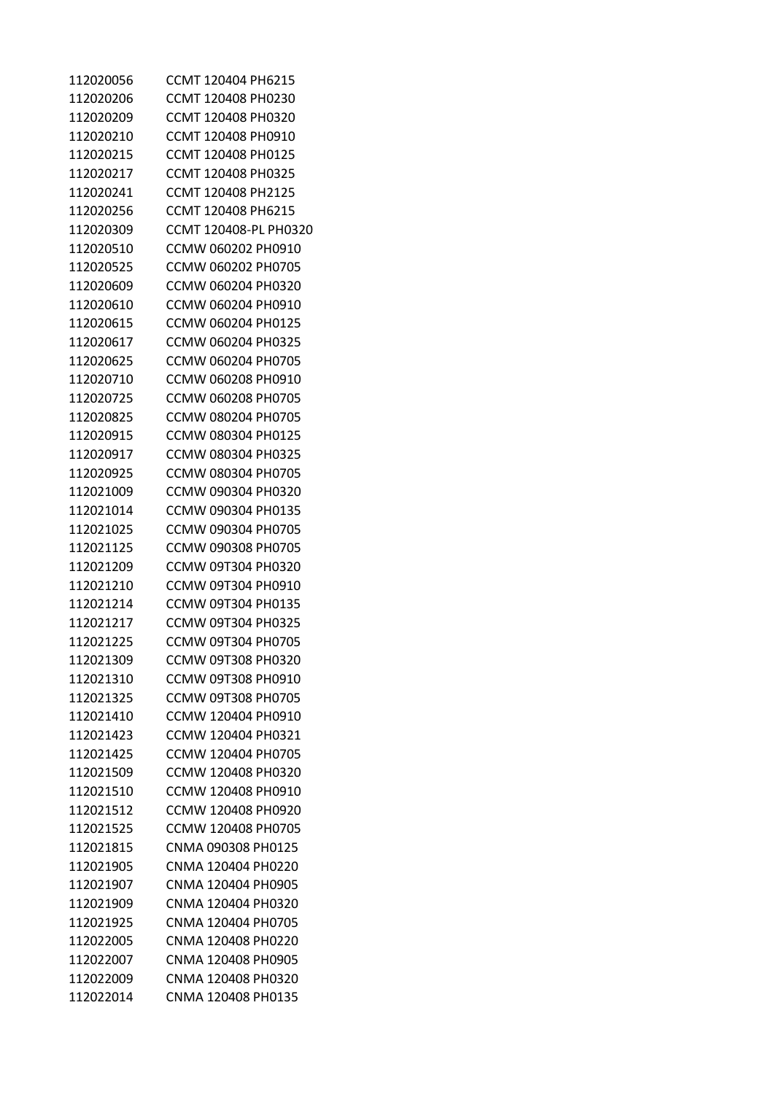| 112020056 | CCMT 120404 PH6215        |
|-----------|---------------------------|
| 112020206 | CCMT 120408 PH0230        |
| 112020209 | CCMT 120408 PH0320        |
| 112020210 | CCMT 120408 PH0910        |
| 112020215 | CCMT 120408 PH0125        |
| 112020217 | CCMT 120408 PH0325        |
| 112020241 | CCMT 120408 PH2125        |
| 112020256 | CCMT 120408 PH6215        |
| 112020309 | CCMT 120408-PL PH0320     |
| 112020510 | CCMW 060202 PH0910        |
| 112020525 | CCMW 060202 PH0705        |
| 112020609 | CCMW 060204 PH0320        |
| 112020610 | CCMW 060204 PH0910        |
| 112020615 | CCMW 060204 PH0125        |
| 112020617 | CCMW 060204 PH0325        |
| 112020625 | CCMW 060204 PH0705        |
| 112020710 | CCMW 060208 PH0910        |
| 112020725 | CCMW 060208 PH0705        |
| 112020825 | CCMW 080204 PH0705        |
| 112020915 | CCMW 080304 PH0125        |
| 112020917 | CCMW 080304 PH0325        |
| 112020925 | CCMW 080304 PH0705        |
| 112021009 | CCMW 090304 PH0320        |
| 112021014 | CCMW 090304 PH0135        |
| 112021025 | CCMW 090304 PH0705        |
| 112021125 | CCMW 090308 PH0705        |
| 112021209 | CCMW 09T304 PH0320        |
| 112021210 | CCMW 09T304 PH0910        |
| 112021214 | CCMW 09T304 PH0135        |
| 112021217 | CCMW 09T304 PH0325        |
| 112021225 | CCMW 09T304 PH0705        |
| 112021309 | CCMW 09T308 PH0320        |
| 112021310 | CCMW 09T308 PH0910        |
| 112021325 | <b>CCMW 09T308 PH0705</b> |
| 112021410 | CCMW 120404 PH0910        |
| 112021423 | CCMW 120404 PH0321        |
| 112021425 | CCMW 120404 PH0705        |
| 112021509 | CCMW 120408 PH0320        |
| 112021510 | CCMW 120408 PH0910        |
| 112021512 | CCMW 120408 PH0920        |
| 112021525 | CCMW 120408 PH0705        |
| 112021815 | CNMA 090308 PH0125        |
| 112021905 | CNMA 120404 PH0220        |
| 112021907 | CNMA 120404 PH0905        |
| 112021909 | CNMA 120404 PH0320        |
| 112021925 | CNMA 120404 PH0705        |
| 112022005 | CNMA 120408 PH0220        |
| 112022007 | CNMA 120408 PH0905        |
| 112022009 | CNMA 120408 PH0320        |
| 112022014 | CNMA 120408 PH0135        |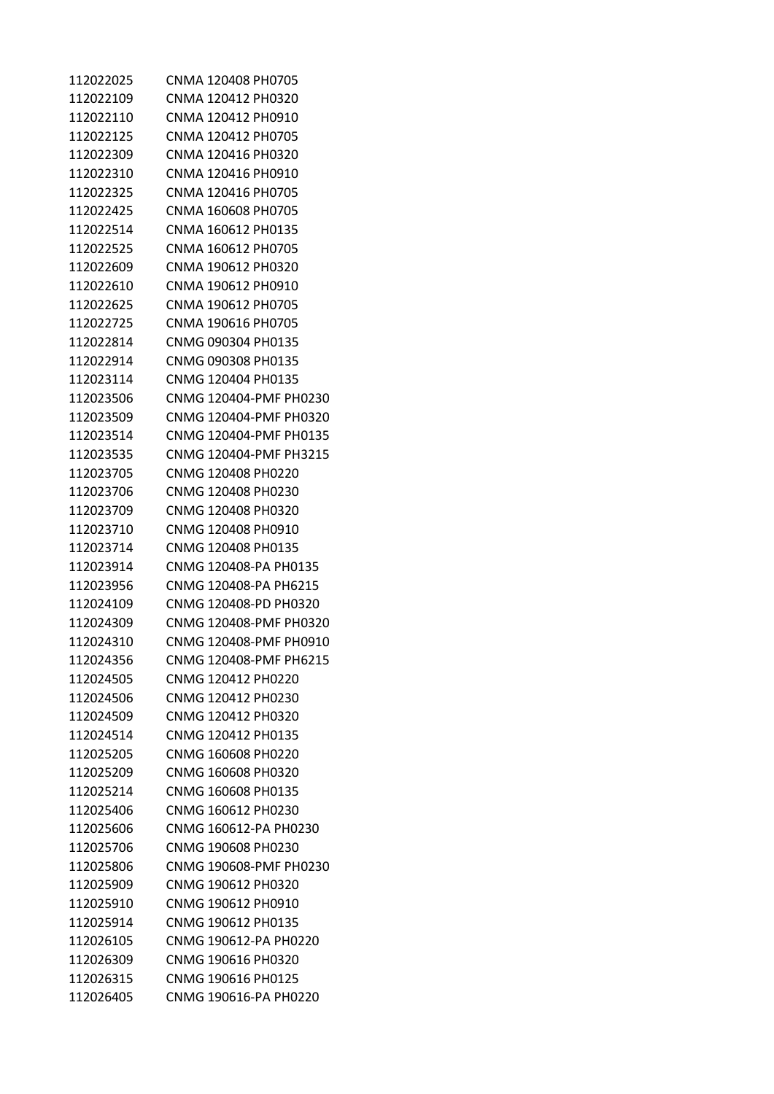| 112022025              | CNMA 120408 PH0705     |
|------------------------|------------------------|
| 112022109              | CNMA 120412 PH0320     |
| 112022110              | CNMA 120412 PH0910     |
| 112022125              | CNMA 120412 PH0705     |
| 112022309              | CNMA 120416 PH0320     |
| 112022310              | CNMA 120416 PH0910     |
| 112022325              | CNMA 120416 PH0705     |
| 112022425              | CNMA 160608 PH0705     |
| 112022514              | CNMA 160612 PH0135     |
| 112022525              | CNMA 160612 PH0705     |
| 112022609              | CNMA 190612 PH0320     |
| 112022610              | CNMA 190612 PH0910     |
| 112022625              | CNMA 190612 PH0705     |
| 112022725              | CNMA 190616 PH0705     |
| 112022814              | CNMG 090304 PH0135     |
| 112022914              | CNMG 090308 PH0135     |
|                        | CNMG 120404 PH0135     |
| 112023114<br>112023506 |                        |
|                        | CNMG 120404-PMF PH0230 |
| 112023509              | CNMG 120404-PMF PH0320 |
| 112023514              | CNMG 120404-PMF PH0135 |
| 112023535              | CNMG 120404-PMF PH3215 |
| 112023705              | CNMG 120408 PH0220     |
| 112023706              | CNMG 120408 PH0230     |
| 112023709              | CNMG 120408 PH0320     |
| 112023710              | CNMG 120408 PH0910     |
| 112023714              | CNMG 120408 PH0135     |
| 112023914              | CNMG 120408-PA PH0135  |
| 112023956              | CNMG 120408-PA PH6215  |
| 112024109              | CNMG 120408-PD PH0320  |
| 112024309              | CNMG 120408-PMF PH0320 |
| 112024310              | CNMG 120408-PMF PH0910 |
| 112024356              | CNMG 120408-PMF PH6215 |
| 112024505              | CNMG 120412 PH0220     |
| 112024506              | CNMG 120412 PH0230     |
| 112024509              | CNMG 120412 PH0320     |
| 112024514              | CNMG 120412 PH0135     |
| 112025205              | CNMG 160608 PH0220     |
| 112025209              | CNMG 160608 PH0320     |
| 112025214              | CNMG 160608 PH0135     |
| 112025406              | CNMG 160612 PH0230     |
| 112025606              | CNMG 160612-PA PH0230  |
| 112025706              | CNMG 190608 PH0230     |
| 112025806              | CNMG 190608-PMF PH0230 |
| 112025909              | CNMG 190612 PH0320     |
| 112025910              | CNMG 190612 PH0910     |
| 112025914              | CNMG 190612 PH0135     |
| 112026105              | CNMG 190612-PA PH0220  |
| 112026309              | CNMG 190616 PH0320     |
| 112026315              | CNMG 190616 PH0125     |
| 112026405              | CNMG 190616-PA PH0220  |
|                        |                        |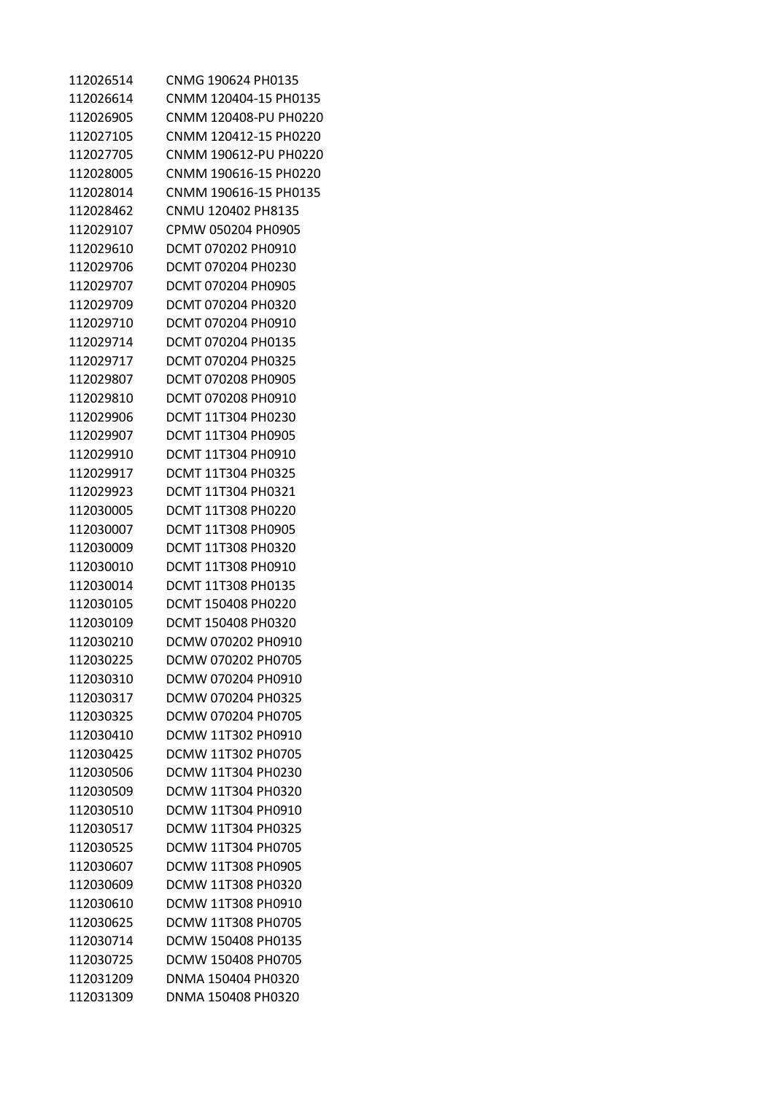| 112026514 | CNMG 190624 PH0135        |
|-----------|---------------------------|
| 112026614 | CNMM 120404-15 PH0135     |
| 112026905 | CNMM 120408-PU PH0220     |
| 112027105 | CNMM 120412-15 PH0220     |
| 112027705 | CNMM 190612-PU PH0220     |
| 112028005 | CNMM 190616-15 PH0220     |
| 112028014 | CNMM 190616-15 PH0135     |
| 112028462 | CNMU 120402 PH8135        |
| 112029107 | CPMW 050204 PH0905        |
| 112029610 | DCMT 070202 PH0910        |
| 112029706 | DCMT 070204 PH0230        |
| 112029707 | DCMT 070204 PH0905        |
| 112029709 | DCMT 070204 PH0320        |
| 112029710 | DCMT 070204 PH0910        |
| 112029714 | DCMT 070204 PH0135        |
| 112029717 | DCMT 070204 PH0325        |
| 112029807 | DCMT 070208 PH0905        |
| 112029810 | DCMT 070208 PH0910        |
| 112029906 | DCMT 11T304 PH0230        |
| 112029907 | DCMT 11T304 PH0905        |
| 112029910 | DCMT 11T304 PH0910        |
| 112029917 | DCMT 11T304 PH0325        |
| 112029923 | DCMT 11T304 PH0321        |
| 112030005 | DCMT 11T308 PH0220        |
| 112030007 | <b>DCMT 11T308 PH0905</b> |
| 112030009 | DCMT 11T308 PH0320        |
| 112030010 | DCMT 11T308 PH0910        |
| 112030014 | DCMT 11T308 PH0135        |
| 112030105 | DCMT 150408 PH0220        |
| 112030109 | DCMT 150408 PH0320        |
| 112030210 | DCMW 070202 PH0910        |
| 112030225 | DCMW 070202 PH0705        |
| 112030310 | DCMW 070204 PH0910        |
| 112030317 | DCMW 070204 PH0325        |
| 112030325 | DCMW 070204 PH0705        |
| 112030410 | DCMW 11T302 PH0910        |
| 112030425 | DCMW 11T302 PH0705        |
| 112030506 | DCMW 11T304 PH0230        |
| 112030509 | DCMW 11T304 PH0320        |
| 112030510 | DCMW 11T304 PH0910        |
| 112030517 | DCMW 11T304 PH0325        |
| 112030525 | DCMW 11T304 PH0705        |
| 112030607 | DCMW 11T308 PH0905        |
| 112030609 | DCMW 11T308 PH0320        |
| 112030610 | DCMW 11T308 PH0910        |
| 112030625 | DCMW 11T308 PH0705        |
| 112030714 | DCMW 150408 PH0135        |
| 112030725 | DCMW 150408 PH0705        |
| 112031209 | DNMA 150404 PH0320        |
| 112031309 | DNMA 150408 PH0320        |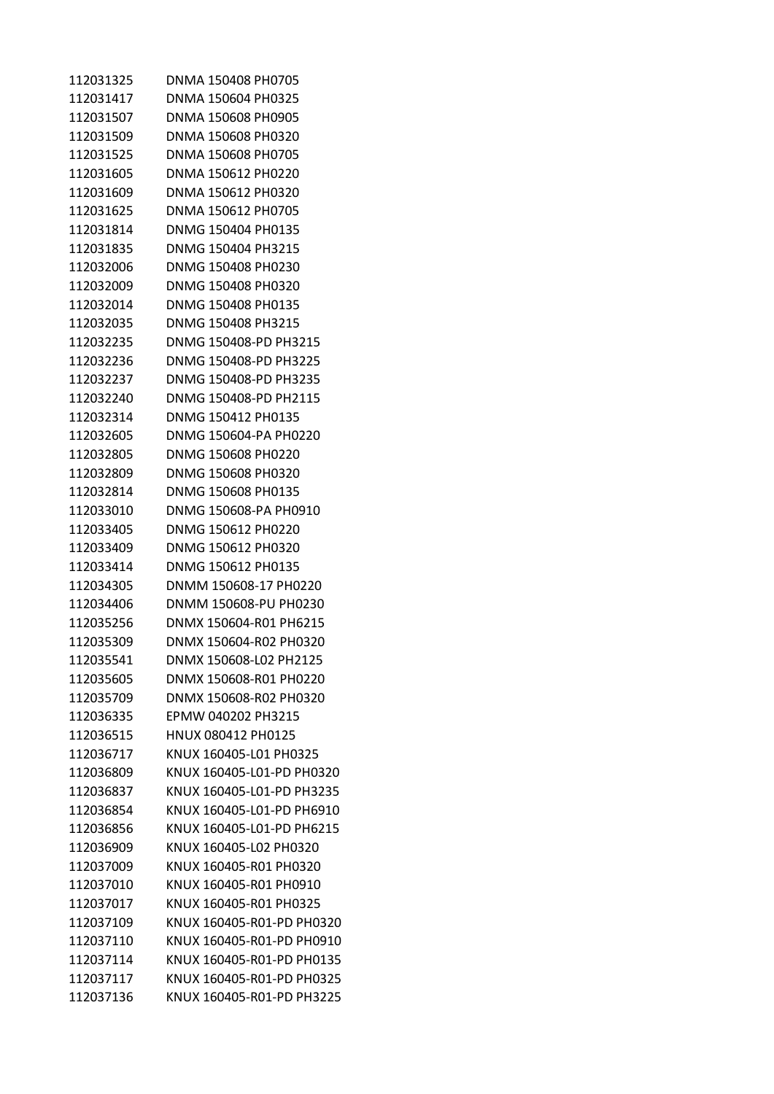| 112031325              | DNMA 150408 PH0705                              |
|------------------------|-------------------------------------------------|
| 112031417              | DNMA 150604 PH0325                              |
| 112031507              | DNMA 150608 PH0905                              |
| 112031509              | DNMA 150608 PH0320                              |
| 112031525              | DNMA 150608 PH0705                              |
| 112031605              | DNMA 150612 PH0220                              |
| 112031609              | DNMA 150612 PH0320                              |
| 112031625              | DNMA 150612 PH0705                              |
| 112031814              | DNMG 150404 PH0135                              |
| 112031835              | DNMG 150404 PH3215                              |
| 112032006              | DNMG 150408 PH0230                              |
| 112032009              | DNMG 150408 PH0320                              |
| 112032014              | DNMG 150408 PH0135                              |
| 112032035              | DNMG 150408 PH3215                              |
| 112032235              | DNMG 150408-PD PH3215                           |
| 112032236              | DNMG 150408-PD PH3225                           |
| 112032237              | DNMG 150408-PD PH3235                           |
| 112032240              | DNMG 150408-PD PH2115                           |
| 112032314              | DNMG 150412 PH0135                              |
| 112032605              | DNMG 150604-PA PH0220                           |
| 112032805              | DNMG 150608 PH0220                              |
| 112032809              | DNMG 150608 PH0320                              |
| 112032814              | DNMG 150608 PH0135                              |
| 112033010              | DNMG 150608-PA PH0910                           |
| 112033405              | DNMG 150612 PH0220                              |
| 112033409              | DNMG 150612 PH0320                              |
| 112033414              | DNMG 150612 PH0135                              |
| 112034305              | DNMM 150608-17 PH0220                           |
|                        |                                                 |
| 112034406<br>112035256 | DNMM 150608-PU PH0230<br>DNMX 150604-R01 PH6215 |
|                        |                                                 |
| 112035309              | DNMX 150604-R02 PH0320                          |
| 112035541              | DNMX 150608-L02 PH2125                          |
| 112035605              | DNMX 150608-R01 PH0220                          |
| 112035709              | DNMX 150608-R02 PH0320                          |
| 112036335              | EPMW 040202 PH3215                              |
| 112036515              | HNUX 080412 PH0125                              |
| 112036717              | KNUX 160405-L01 PH0325                          |
| 112036809              | KNUX 160405-L01-PD PH0320                       |
| 112036837              | KNUX 160405-L01-PD PH3235                       |
| 112036854              | KNUX 160405-L01-PD PH6910                       |
| 112036856              | KNUX 160405-L01-PD PH6215                       |
| 112036909              | KNUX 160405-L02 PH0320                          |
| 112037009              | KNUX 160405-R01 PH0320                          |
| 112037010              | KNUX 160405-R01 PH0910                          |
| 112037017              | KNUX 160405-R01 PH0325                          |
| 112037109              | KNUX 160405-R01-PD PH0320                       |
| 112037110              | KNUX 160405-R01-PD PH0910                       |
| 112037114              | KNUX 160405-R01-PD PH0135                       |
| 112037117              | KNUX 160405-R01-PD PH0325                       |
| 112037136              | KNUX 160405-R01-PD PH3225                       |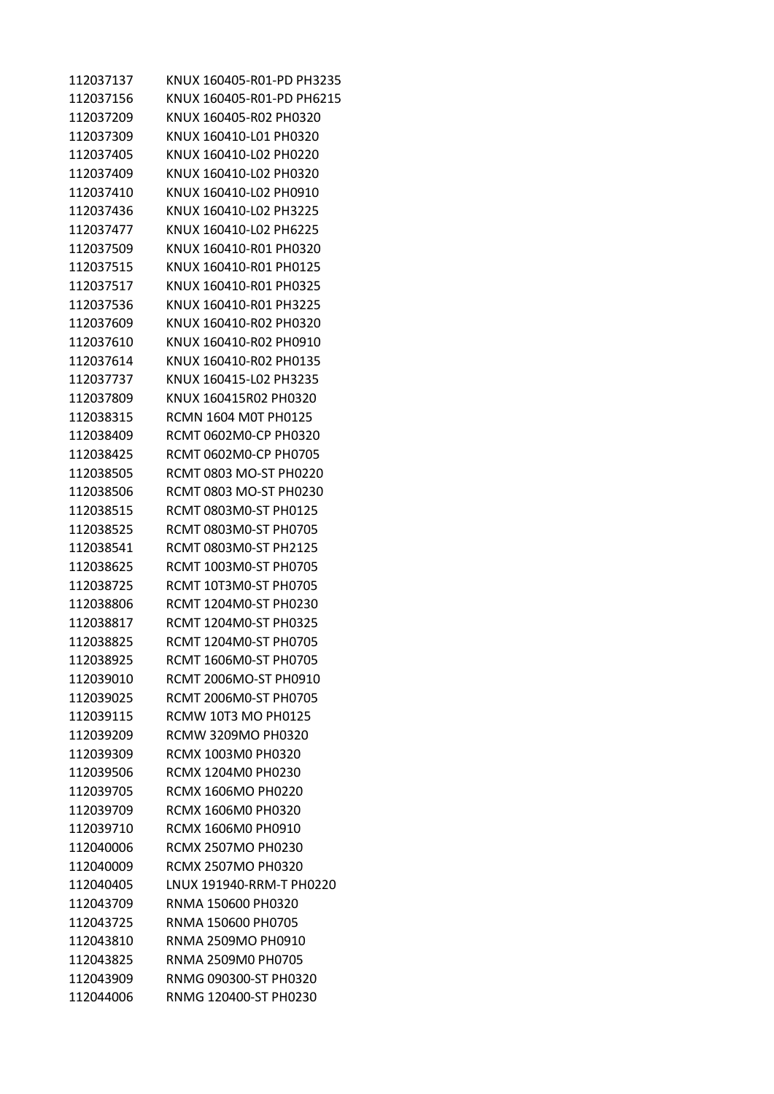| 112037137 | KNUX 160405-R01-PD PH3235 |
|-----------|---------------------------|
| 112037156 | KNUX 160405-R01-PD PH6215 |
| 112037209 | KNUX 160405-R02 PH0320    |
| 112037309 | KNUX 160410-L01 PH0320    |
| 112037405 | KNUX 160410-L02 PH0220    |
| 112037409 | KNUX 160410-L02 PH0320    |
| 112037410 | KNUX 160410-L02 PH0910    |
| 112037436 | KNUX 160410-L02 PH3225    |
| 112037477 | KNUX 160410-L02 PH6225    |
| 112037509 | KNUX 160410-R01 PH0320    |
| 112037515 | KNUX 160410-R01 PH0125    |
| 112037517 | KNUX 160410-R01 PH0325    |
| 112037536 | KNUX 160410-R01 PH3225    |
| 112037609 | KNUX 160410-R02 PH0320    |
| 112037610 | KNUX 160410-R02 PH0910    |
| 112037614 | KNUX 160410-R02 PH0135    |
| 112037737 | KNUX 160415-L02 PH3235    |
| 112037809 | KNUX 160415R02 PH0320     |
| 112038315 | RCMN 1604 M0T PH0125      |
| 112038409 | RCMT 0602M0-CP PH0320     |
| 112038425 | RCMT 0602M0-CP PH0705     |
| 112038505 | RCMT 0803 MO-ST PH0220    |
| 112038506 | RCMT 0803 MO-ST PH0230    |
| 112038515 | RCMT 0803M0-ST PH0125     |
| 112038525 | RCMT 0803M0-ST PH0705     |
| 112038541 | RCMT 0803M0-ST PH2125     |
| 112038625 | RCMT 1003M0-ST PH0705     |
| 112038725 | RCMT 10T3M0-ST PH0705     |
| 112038806 | RCMT 1204M0-ST PH0230     |
| 112038817 | RCMT 1204M0-ST PH0325     |
| 112038825 | RCMT 1204M0-ST PH0705     |
| 112038925 | RCMT 1606M0-ST PH0705     |
| 112039010 | RCMT 2006MO-ST PH0910     |
| 112039025 | RCMT 2006M0-ST PH0705     |
| 112039115 | RCMW 10T3 MO PH0125       |
| 112039209 | <b>RCMW 3209MO PH0320</b> |
| 112039309 | RCMX 1003M0 PH0320        |
| 112039506 | RCMX 1204M0 PH0230        |
| 112039705 | RCMX 1606MO PH0220        |
| 112039709 | RCMX 1606M0 PH0320        |
| 112039710 | RCMX 1606M0 PH0910        |
| 112040006 | <b>RCMX 2507MO PH0230</b> |
| 112040009 | <b>RCMX 2507MO PH0320</b> |
| 112040405 | LNUX 191940-RRM-T PH0220  |
| 112043709 | RNMA 150600 PH0320        |
| 112043725 | RNMA 150600 PH0705        |
| 112043810 | RNMA 2509MO PH0910        |
| 112043825 | RNMA 2509M0 PH0705        |
| 112043909 | RNMG 090300-ST PH0320     |
| 112044006 | RNMG 120400-ST PH0230     |
|           |                           |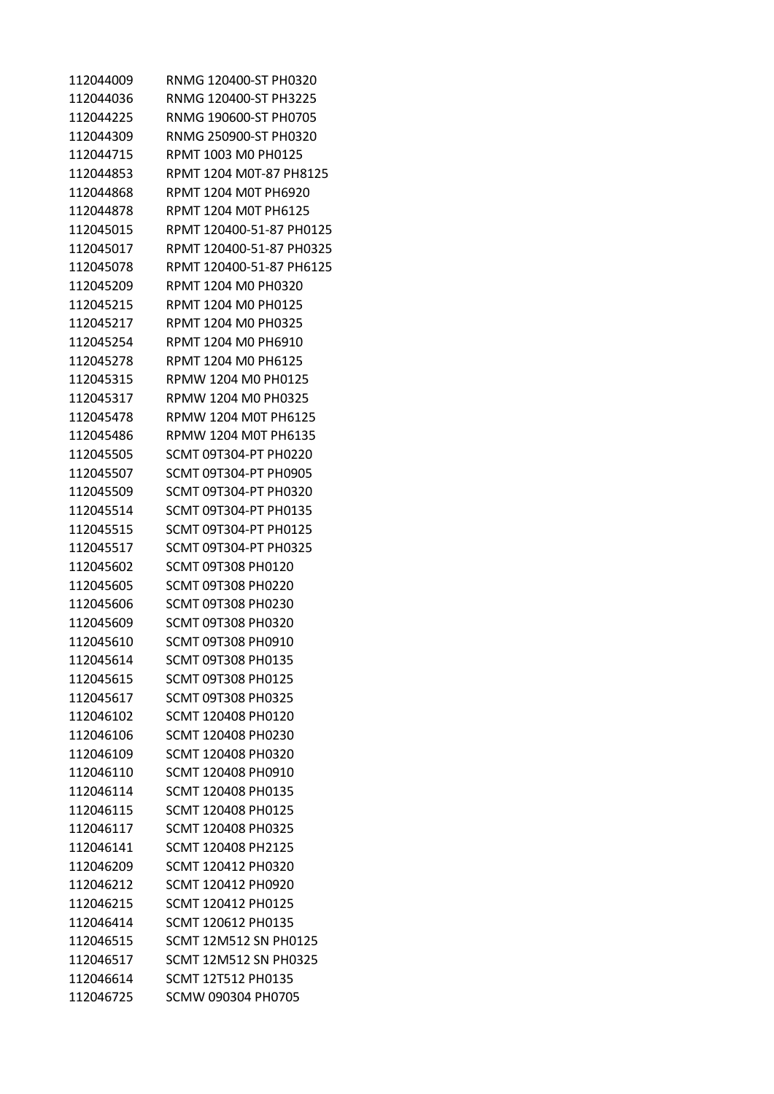| 112044009 | RNMG 120400-ST PH0320        |
|-----------|------------------------------|
| 112044036 | RNMG 120400-ST PH3225        |
| 112044225 | RNMG 190600-ST PH0705        |
| 112044309 | RNMG 250900-ST PH0320        |
| 112044715 | RPMT 1003 M0 PH0125          |
| 112044853 | RPMT 1204 M0T-87 PH8125      |
| 112044868 | RPMT 1204 M0T PH6920         |
| 112044878 | RPMT 1204 M0T PH6125         |
| 112045015 | RPMT 120400-51-87 PH0125     |
| 112045017 | RPMT 120400-51-87 PH0325     |
| 112045078 | RPMT 120400-51-87 PH6125     |
| 112045209 | RPMT 1204 M0 PH0320          |
| 112045215 | RPMT 1204 M0 PH0125          |
| 112045217 | RPMT 1204 M0 PH0325          |
| 112045254 | RPMT 1204 M0 PH6910          |
| 112045278 | RPMT 1204 M0 PH6125          |
| 112045315 | RPMW 1204 M0 PH0125          |
| 112045317 | RPMW 1204 M0 PH0325          |
| 112045478 | RPMW 1204 M0T PH6125         |
| 112045486 | RPMW 1204 M0T PH6135         |
| 112045505 | SCMT 09T304-PT PH0220        |
| 112045507 | SCMT 09T304-PT PH0905        |
| 112045509 | SCMT 09T304-PT PH0320        |
| 112045514 | SCMT 09T304-PT PH0135        |
| 112045515 | SCMT 09T304-PT PH0125        |
| 112045517 | SCMT 09T304-PT PH0325        |
| 112045602 | SCMT 09T308 PH0120           |
| 112045605 | SCMT 09T308 PH0220           |
| 112045606 | SCMT 09T308 PH0230           |
| 112045609 | SCMT 09T308 PH0320           |
| 112045610 | SCMT 09T308 PH0910           |
| 112045614 | SCMT 09T308 PH0135           |
| 112045615 | SCMT 09T308 PH0125           |
| 112045617 | <b>SCMT 09T308 PH0325</b>    |
| 112046102 | SCMT 120408 PH0120           |
| 112046106 | SCMT 120408 PH0230           |
| 112046109 | SCMT 120408 PH0320           |
| 112046110 | SCMT 120408 PH0910           |
| 112046114 | SCMT 120408 PH0135           |
| 112046115 | SCMT 120408 PH0125           |
| 112046117 | SCMT 120408 PH0325           |
| 112046141 | SCMT 120408 PH2125           |
| 112046209 | SCMT 120412 PH0320           |
| 112046212 | SCMT 120412 PH0920           |
| 112046215 | SCMT 120412 PH0125           |
| 112046414 | SCMT 120612 PH0135           |
| 112046515 | <b>SCMT 12M512 SN PH0125</b> |
| 112046517 | <b>SCMT 12M512 SN PH0325</b> |
| 112046614 | SCMT 12T512 PH0135           |
| 112046725 | SCMW 090304 PH0705           |
|           |                              |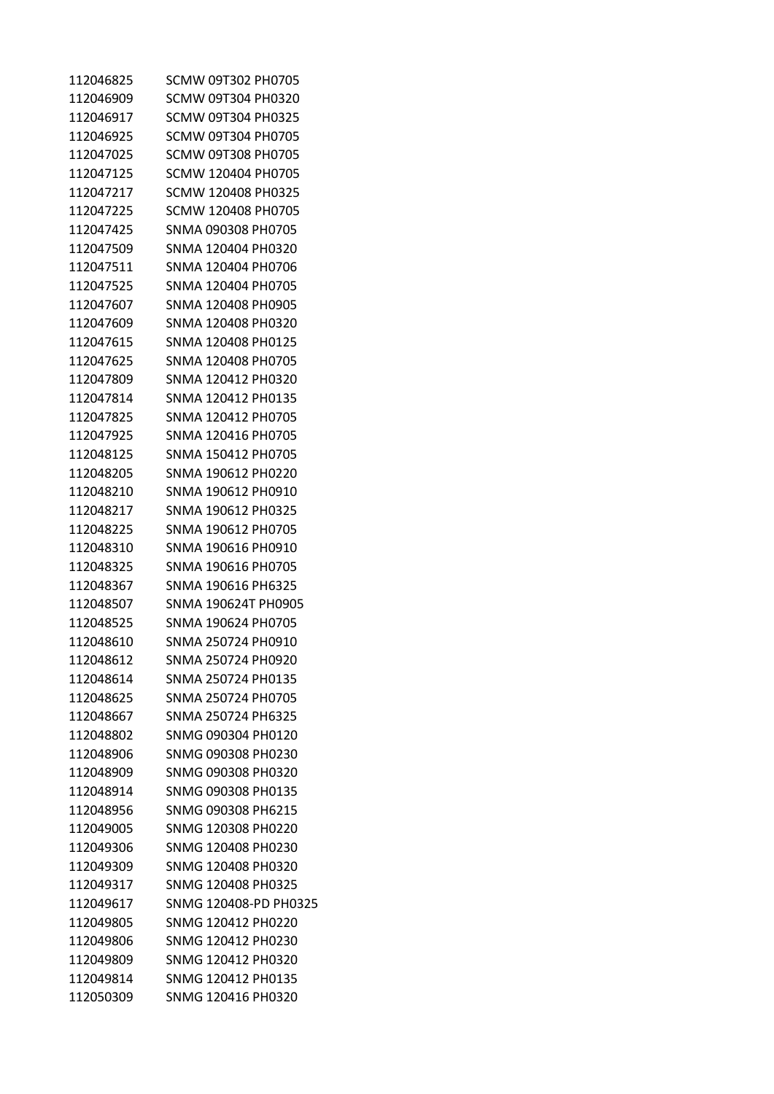| 112046825 | SCMW 09T302 PH0705        |
|-----------|---------------------------|
| 112046909 | SCMW 09T304 PH0320        |
| 112046917 | SCMW 09T304 PH0325        |
| 112046925 | SCMW 09T304 PH0705        |
| 112047025 | <b>SCMW 09T308 PH0705</b> |
| 112047125 | SCMW 120404 PH0705        |
| 112047217 | SCMW 120408 PH0325        |
| 112047225 | SCMW 120408 PH0705        |
| 112047425 | SNMA 090308 PH0705        |
| 112047509 | SNMA 120404 PH0320        |
| 112047511 | SNMA 120404 PH0706        |
| 112047525 | SNMA 120404 PH0705        |
| 112047607 | SNMA 120408 PH0905        |
| 112047609 | SNMA 120408 PH0320        |
| 112047615 | SNMA 120408 PH0125        |
| 112047625 | SNMA 120408 PH0705        |
| 112047809 | SNMA 120412 PH0320        |
| 112047814 | SNMA 120412 PH0135        |
| 112047825 | SNMA 120412 PH0705        |
| 112047925 | SNMA 120416 PH0705        |
| 112048125 | SNMA 150412 PH0705        |
| 112048205 | SNMA 190612 PH0220        |
| 112048210 | SNMA 190612 PH0910        |
| 112048217 | SNMA 190612 PH0325        |
| 112048225 | SNMA 190612 PH0705        |
| 112048310 | SNMA 190616 PH0910        |
| 112048325 | SNMA 190616 PH0705        |
| 112048367 | SNMA 190616 PH6325        |
| 112048507 | SNMA 190624T PH0905       |
| 112048525 | SNMA 190624 PH0705        |
| 112048610 | SNMA 250724 PH0910        |
| 112048612 | SNMA 250724 PH0920        |
| 112048614 | SNMA 250724 PH0135        |
| 112048625 | SNMA 250724 PH0705        |
| 112048667 | SNMA 250724 PH6325        |
| 112048802 | SNMG 090304 PH0120        |
| 112048906 | SNMG 090308 PH0230        |
| 112048909 | SNMG 090308 PH0320        |
| 112048914 | SNMG 090308 PH0135        |
| 112048956 | SNMG 090308 PH6215        |
| 112049005 | SNMG 120308 PH0220        |
| 112049306 | SNMG 120408 PH0230        |
| 112049309 | SNMG 120408 PH0320        |
| 112049317 | SNMG 120408 PH0325        |
| 112049617 | SNMG 120408-PD PH0325     |
| 112049805 | SNMG 120412 PH0220        |
| 112049806 | SNMG 120412 PH0230        |
| 112049809 | SNMG 120412 PH0320        |
| 112049814 | SNMG 120412 PH0135        |
| 112050309 | SNMG 120416 PH0320        |
|           |                           |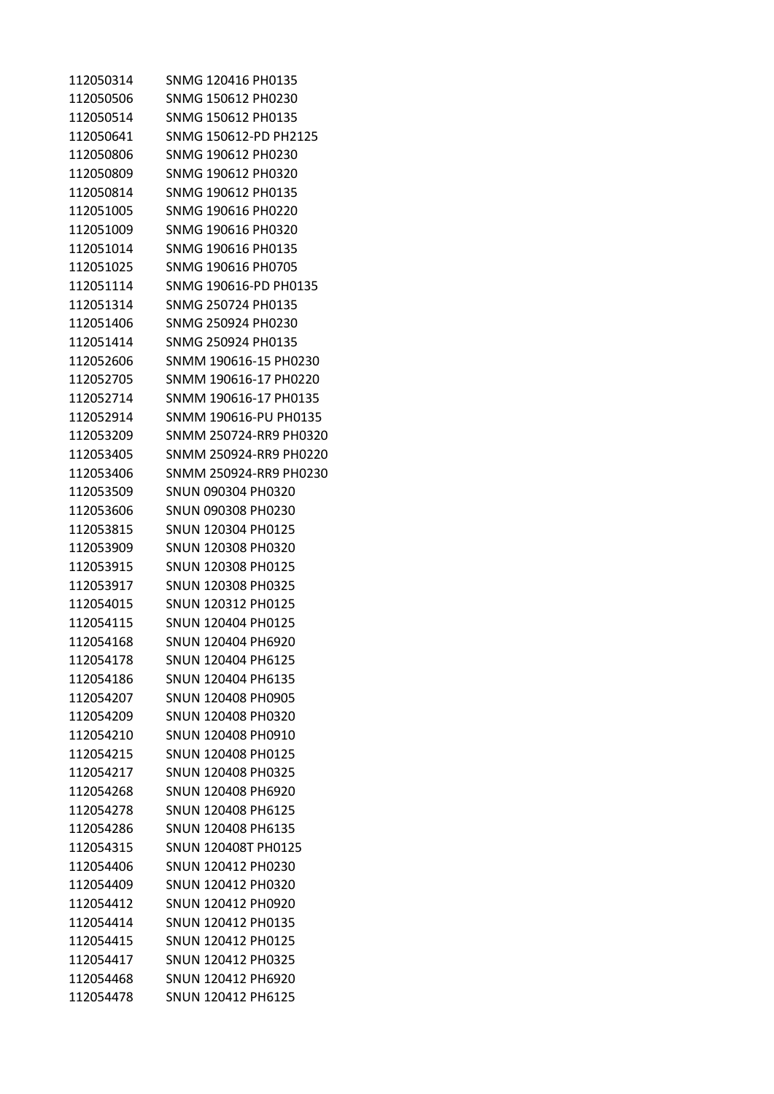| 112050314 | SNMG 120416 PH0135     |
|-----------|------------------------|
| 112050506 | SNMG 150612 PH0230     |
| 112050514 | SNMG 150612 PH0135     |
| 112050641 | SNMG 150612-PD PH2125  |
| 112050806 | SNMG 190612 PH0230     |
| 112050809 | SNMG 190612 PH0320     |
| 112050814 | SNMG 190612 PH0135     |
| 112051005 | SNMG 190616 PH0220     |
| 112051009 | SNMG 190616 PH0320     |
| 112051014 | SNMG 190616 PH0135     |
| 112051025 | SNMG 190616 PH0705     |
| 112051114 | SNMG 190616-PD PH0135  |
| 112051314 | SNMG 250724 PH0135     |
| 112051406 | SNMG 250924 PH0230     |
| 112051414 | SNMG 250924 PH0135     |
| 112052606 | SNMM 190616-15 PH0230  |
| 112052705 | SNMM 190616-17 PH0220  |
| 112052714 | SNMM 190616-17 PH0135  |
| 112052914 | SNMM 190616-PU PH0135  |
| 112053209 | SNMM 250724-RR9 PH0320 |
| 112053405 | SNMM 250924-RR9 PH0220 |
| 112053406 | SNMM 250924-RR9 PH0230 |
| 112053509 | SNUN 090304 PH0320     |
| 112053606 | SNUN 090308 PH0230     |
| 112053815 | SNUN 120304 PH0125     |
| 112053909 | SNUN 120308 PH0320     |
| 112053915 | SNUN 120308 PH0125     |
| 112053917 | SNUN 120308 PH0325     |
| 112054015 | SNUN 120312 PH0125     |
| 112054115 | SNUN 120404 PH0125     |
| 112054168 | SNUN 120404 PH6920     |
| 112054178 | SNUN 120404 PH6125     |
| 112054186 | SNUN 120404 PH6135     |
| 112054207 | SNUN 120408 PH0905     |
| 112054209 | SNUN 120408 PH0320     |
| 112054210 | SNUN 120408 PH0910     |
| 112054215 | SNUN 120408 PH0125     |
| 112054217 | SNUN 120408 PH0325     |
| 112054268 | SNUN 120408 PH6920     |
| 112054278 | SNUN 120408 PH6125     |
| 112054286 | SNUN 120408 PH6135     |
| 112054315 | SNUN 120408T PH0125    |
| 112054406 | SNUN 120412 PH0230     |
| 112054409 | SNUN 120412 PH0320     |
| 112054412 | SNUN 120412 PH0920     |
| 112054414 | SNUN 120412 PH0135     |
| 112054415 | SNUN 120412 PH0125     |
| 112054417 | SNUN 120412 PH0325     |
| 112054468 | SNUN 120412 PH6920     |
| 112054478 | SNUN 120412 PH6125     |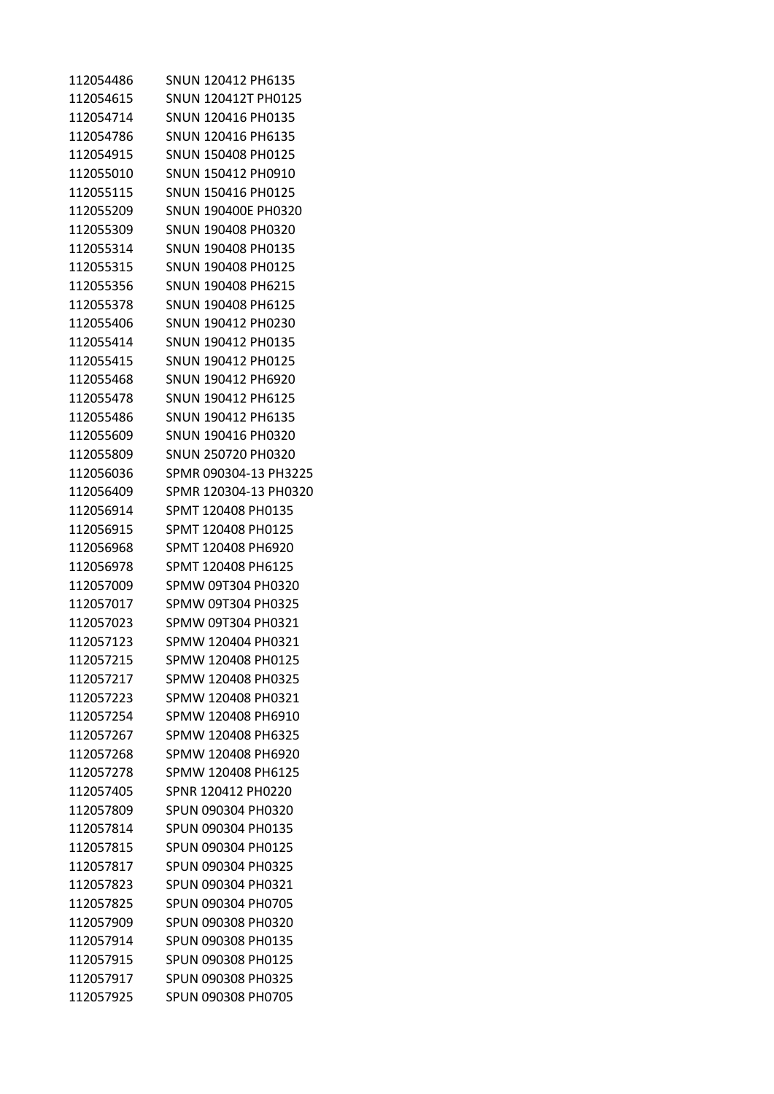| 112054486 | SNUN 120412 PH6135    |
|-----------|-----------------------|
| 112054615 | SNUN 120412T PH0125   |
| 112054714 | SNUN 120416 PH0135    |
| 112054786 | SNUN 120416 PH6135    |
| 112054915 | SNUN 150408 PH0125    |
| 112055010 | SNUN 150412 PH0910    |
| 112055115 | SNUN 150416 PH0125    |
| 112055209 | SNUN 190400E PH0320   |
| 112055309 | SNUN 190408 PH0320    |
| 112055314 | SNUN 190408 PH0135    |
| 112055315 | SNUN 190408 PH0125    |
| 112055356 | SNUN 190408 PH6215    |
| 112055378 | SNUN 190408 PH6125    |
| 112055406 | SNUN 190412 PH0230    |
| 112055414 | SNUN 190412 PH0135    |
| 112055415 | SNUN 190412 PH0125    |
| 112055468 | SNUN 190412 PH6920    |
| 112055478 | SNUN 190412 PH6125    |
| 112055486 | SNUN 190412 PH6135    |
| 112055609 | SNUN 190416 PH0320    |
| 112055809 | SNUN 250720 PH0320    |
| 112056036 | SPMR 090304-13 PH3225 |
| 112056409 | SPMR 120304-13 PH0320 |
| 112056914 | SPMT 120408 PH0135    |
| 112056915 | SPMT 120408 PH0125    |
| 112056968 | SPMT 120408 PH6920    |
| 112056978 | SPMT 120408 PH6125    |
| 112057009 | SPMW 09T304 PH0320    |
| 112057017 | SPMW 09T304 PH0325    |
| 112057023 | SPMW 09T304 PH0321    |
| 112057123 | SPMW 120404 PH0321    |
| 112057215 | SPMW 120408 PH0125    |
| 112057217 | SPMW 120408 PH0325    |
| 112057223 | SPMW 120408 PH0321    |
| 112057254 | SPMW 120408 PH6910    |
| 112057267 | SPMW 120408 PH6325    |
| 112057268 | SPMW 120408 PH6920    |
| 112057278 | SPMW 120408 PH6125    |
| 112057405 | SPNR 120412 PH0220    |
| 112057809 | SPUN 090304 PH0320    |
| 112057814 | SPUN 090304 PH0135    |
| 112057815 | SPUN 090304 PH0125    |
| 112057817 | SPUN 090304 PH0325    |
| 112057823 | SPUN 090304 PH0321    |
| 112057825 | SPUN 090304 PH0705    |
| 112057909 | SPUN 090308 PH0320    |
| 112057914 | SPUN 090308 PH0135    |
| 112057915 | SPUN 090308 PH0125    |
| 112057917 | SPUN 090308 PH0325    |
| 112057925 | SPUN 090308 PH0705    |
|           |                       |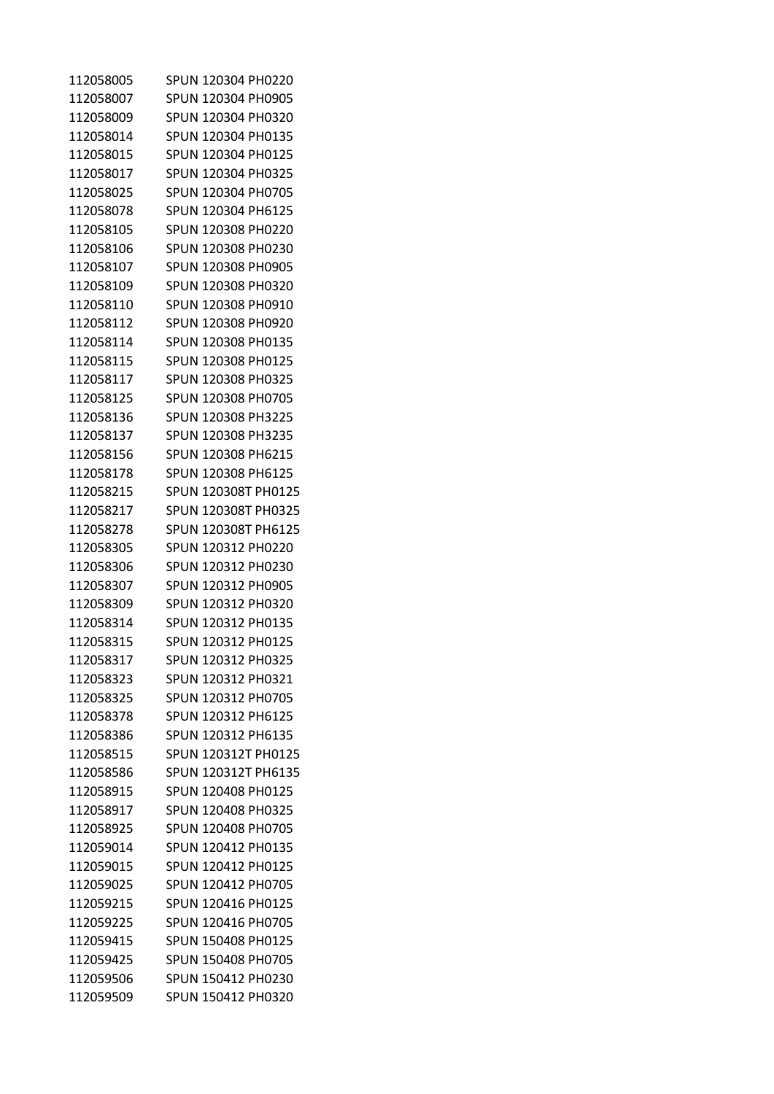| 112058005 | SPUN 120304 PH0220  |
|-----------|---------------------|
| 112058007 | SPUN 120304 PH0905  |
| 112058009 | SPUN 120304 PH0320  |
| 112058014 | SPUN 120304 PH0135  |
| 112058015 | SPUN 120304 PH0125  |
| 112058017 | SPUN 120304 PH0325  |
| 112058025 | SPUN 120304 PH0705  |
| 112058078 | SPUN 120304 PH6125  |
| 112058105 | SPUN 120308 PH0220  |
| 112058106 | SPUN 120308 PH0230  |
| 112058107 | SPUN 120308 PH0905  |
| 112058109 | SPUN 120308 PH0320  |
| 112058110 | SPUN 120308 PH0910  |
| 112058112 | SPUN 120308 PH0920  |
| 112058114 | SPUN 120308 PH0135  |
| 112058115 | SPUN 120308 PH0125  |
| 112058117 | SPUN 120308 PH0325  |
| 112058125 | SPUN 120308 PH0705  |
| 112058136 | SPUN 120308 PH3225  |
| 112058137 | SPUN 120308 PH3235  |
| 112058156 | SPUN 120308 PH6215  |
| 112058178 | SPUN 120308 PH6125  |
| 112058215 | SPUN 120308T PH0125 |
| 112058217 | SPUN 120308T PH0325 |
| 112058278 | SPUN 120308T PH6125 |
| 112058305 | SPUN 120312 PH0220  |
| 112058306 | SPUN 120312 PH0230  |
| 112058307 | SPUN 120312 PH0905  |
| 112058309 | SPUN 120312 PH0320  |
| 112058314 | SPUN 120312 PH0135  |
| 112058315 | SPUN 120312 PH0125  |
| 112058317 | SPUN 120312 PH0325  |
| 112058323 | SPUN 120312 PH0321  |
| 112058325 | SPUN 120312 PH0705  |
| 112058378 | SPUN 120312 PH6125  |
| 112058386 | SPUN 120312 PH6135  |
| 112058515 | SPUN 120312T PH0125 |
| 112058586 | SPUN 120312T PH6135 |
| 112058915 | SPUN 120408 PH0125  |
| 112058917 | SPUN 120408 PH0325  |
| 112058925 | SPUN 120408 PH0705  |
| 112059014 | SPUN 120412 PH0135  |
| 112059015 | SPUN 120412 PH0125  |
| 112059025 | SPUN 120412 PH0705  |
| 112059215 | SPUN 120416 PH0125  |
| 112059225 | SPUN 120416 PH0705  |
| 112059415 | SPUN 150408 PH0125  |
| 112059425 | SPUN 150408 PH0705  |
| 112059506 | SPUN 150412 PH0230  |
| 112059509 | SPUN 150412 PH0320  |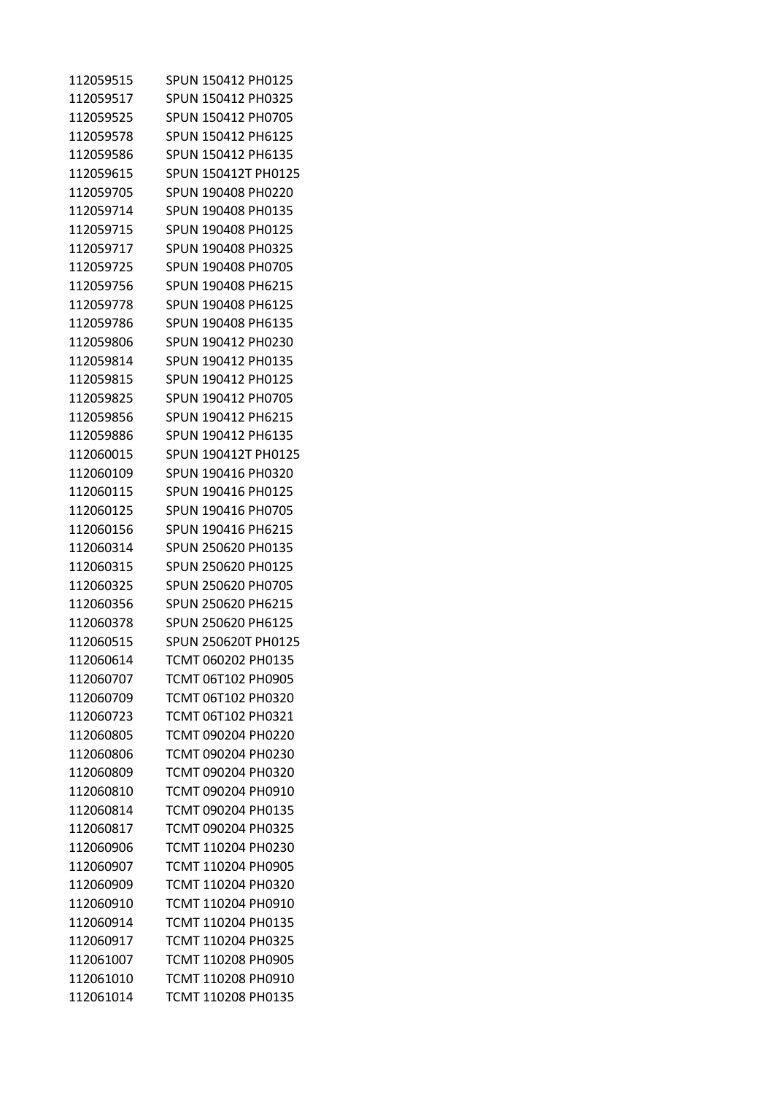| 112059515 | SPUN 150412 PH0125  |
|-----------|---------------------|
| 112059517 | SPUN 150412 PH0325  |
| 112059525 | SPUN 150412 PH0705  |
| 112059578 | SPUN 150412 PH6125  |
| 112059586 | SPUN 150412 PH6135  |
| 112059615 | SPUN 150412T PH0125 |
| 112059705 | SPUN 190408 PH0220  |
| 112059714 | SPUN 190408 PH0135  |
| 112059715 | SPUN 190408 PH0125  |
| 112059717 | SPUN 190408 PH0325  |
| 112059725 | SPUN 190408 PH0705  |
| 112059756 | SPUN 190408 PH6215  |
| 112059778 | SPUN 190408 PH6125  |
| 112059786 | SPUN 190408 PH6135  |
| 112059806 | SPUN 190412 PH0230  |
| 112059814 | SPUN 190412 PH0135  |
| 112059815 | SPUN 190412 PH0125  |
| 112059825 | SPUN 190412 PH0705  |
| 112059856 | SPUN 190412 PH6215  |
| 112059886 | SPUN 190412 PH6135  |
| 112060015 | SPUN 190412T PH0125 |
| 112060109 | SPUN 190416 PH0320  |
| 112060115 | SPUN 190416 PH0125  |
| 112060125 | SPUN 190416 PH0705  |
| 112060156 | SPUN 190416 PH6215  |
| 112060314 | SPUN 250620 PH0135  |
| 112060315 | SPUN 250620 PH0125  |
| 112060325 | SPUN 250620 PH0705  |
| 112060356 | SPUN 250620 PH6215  |
| 112060378 | SPUN 250620 PH6125  |
| 112060515 | SPUN 250620T PH0125 |
| 112060614 | TCMT 060202 PH0135  |
| 112060707 | TCMT 06T102 PH0905  |
| 112060709 | TCMT 06T102 PH0320  |
| 112060723 | TCMT 06T102 PH0321  |
| 112060805 | TCMT 090204 PH0220  |
| 112060806 | TCMT 090204 PH0230  |
| 112060809 | TCMT 090204 PH0320  |
| 112060810 | TCMT 090204 PH0910  |
| 112060814 | TCMT 090204 PH0135  |
| 112060817 | TCMT 090204 PH0325  |
| 112060906 | TCMT 110204 PH0230  |
| 112060907 | TCMT 110204 PH0905  |
| 112060909 | TCMT 110204 PH0320  |
| 112060910 | TCMT 110204 PH0910  |
| 112060914 | TCMT 110204 PH0135  |
| 112060917 | TCMT 110204 PH0325  |
| 112061007 | TCMT 110208 PH0905  |
| 112061010 | TCMT 110208 PH0910  |
| 112061014 | TCMT 110208 PH0135  |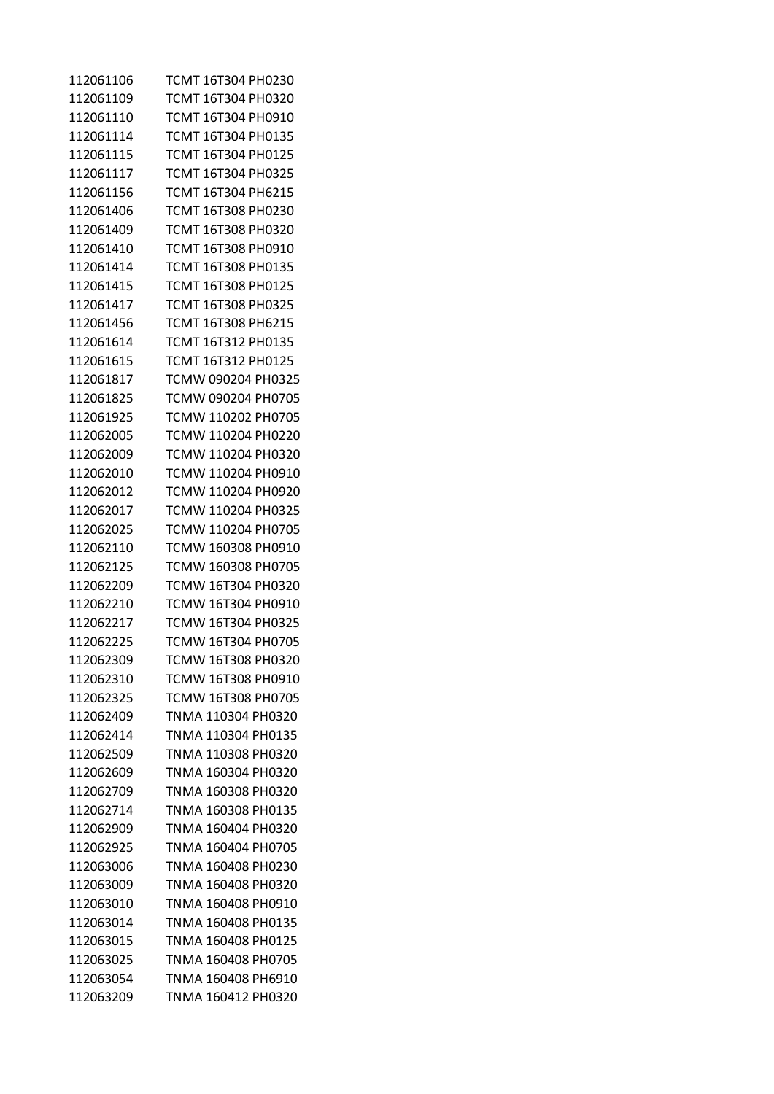| 112061106 | TCMT 16T304 PH0230 |
|-----------|--------------------|
| 112061109 | TCMT 16T304 PH0320 |
| 112061110 | TCMT 16T304 PH0910 |
| 112061114 | TCMT 16T304 PH0135 |
| 112061115 | TCMT 16T304 PH0125 |
| 112061117 | TCMT 16T304 PH0325 |
| 112061156 | TCMT 16T304 PH6215 |
| 112061406 | TCMT 16T308 PH0230 |
| 112061409 | TCMT 16T308 PH0320 |
| 112061410 | TCMT 16T308 PH0910 |
| 112061414 | TCMT 16T308 PH0135 |
| 112061415 | TCMT 16T308 PH0125 |
| 112061417 | TCMT 16T308 PH0325 |
| 112061456 | TCMT 16T308 PH6215 |
| 112061614 | TCMT 16T312 PH0135 |
| 112061615 | TCMT 16T312 PH0125 |
| 112061817 | TCMW 090204 PH0325 |
| 112061825 | TCMW 090204 PH0705 |
| 112061925 | TCMW 110202 PH0705 |
| 112062005 | TCMW 110204 PH0220 |
| 112062009 | TCMW 110204 PH0320 |
| 112062010 | TCMW 110204 PH0910 |
| 112062012 | TCMW 110204 PH0920 |
| 112062017 | TCMW 110204 PH0325 |
| 112062025 | TCMW 110204 PH0705 |
| 112062110 | TCMW 160308 PH0910 |
| 112062125 | TCMW 160308 PH0705 |
| 112062209 | TCMW 16T304 PH0320 |
| 112062210 | TCMW 16T304 PH0910 |
| 112062217 | TCMW 16T304 PH0325 |
| 112062225 | TCMW 16T304 PH0705 |
| 112062309 | TCMW 16T308 PH0320 |
| 112062310 | TCMW 16T308 PH0910 |
| 112062325 | TCMW 16T308 PH0705 |
| 112062409 | TNMA 110304 PH0320 |
| 112062414 | TNMA 110304 PH0135 |
| 112062509 | TNMA 110308 PH0320 |
| 112062609 | TNMA 160304 PH0320 |
| 112062709 | TNMA 160308 PH0320 |
| 112062714 | TNMA 160308 PH0135 |
| 112062909 | TNMA 160404 PH0320 |
| 112062925 | TNMA 160404 PH0705 |
| 112063006 | TNMA 160408 PH0230 |
| 112063009 | TNMA 160408 PH0320 |
| 112063010 | TNMA 160408 PH0910 |
| 112063014 | TNMA 160408 PH0135 |
| 112063015 | TNMA 160408 PH0125 |
| 112063025 | TNMA 160408 PH0705 |
| 112063054 | TNMA 160408 PH6910 |
| 112063209 | TNMA 160412 PH0320 |
|           |                    |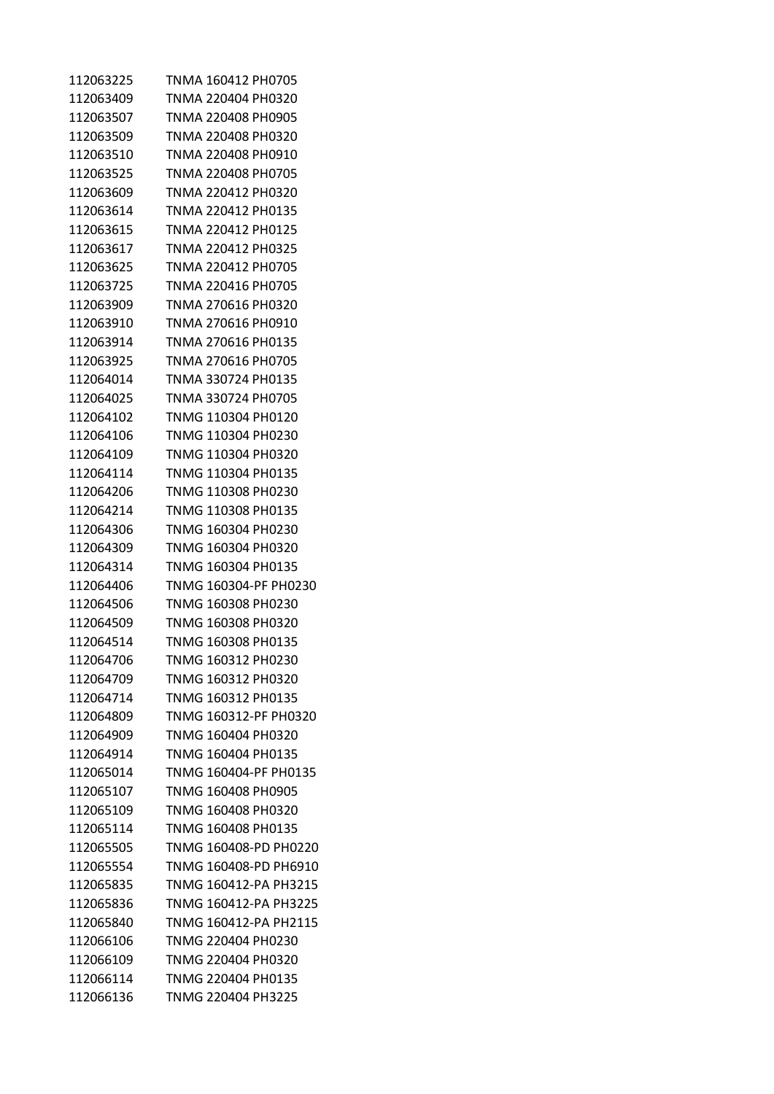| 112063225 | TNMA 160412 PH0705    |
|-----------|-----------------------|
| 112063409 | TNMA 220404 PH0320    |
| 112063507 | TNMA 220408 PH0905    |
| 112063509 | TNMA 220408 PH0320    |
| 112063510 | TNMA 220408 PH0910    |
| 112063525 | TNMA 220408 PH0705    |
| 112063609 | TNMA 220412 PH0320    |
| 112063614 | TNMA 220412 PH0135    |
| 112063615 | TNMA 220412 PH0125    |
| 112063617 | TNMA 220412 PH0325    |
| 112063625 | TNMA 220412 PH0705    |
| 112063725 | TNMA 220416 PH0705    |
| 112063909 | TNMA 270616 PH0320    |
| 112063910 | TNMA 270616 PH0910    |
| 112063914 | TNMA 270616 PH0135    |
| 112063925 | TNMA 270616 PH0705    |
| 112064014 | TNMA 330724 PH0135    |
| 112064025 | TNMA 330724 PH0705    |
| 112064102 | TNMG 110304 PH0120    |
| 112064106 | TNMG 110304 PH0230    |
| 112064109 | TNMG 110304 PH0320    |
| 112064114 | TNMG 110304 PH0135    |
| 112064206 | TNMG 110308 PH0230    |
| 112064214 | TNMG 110308 PH0135    |
| 112064306 | TNMG 160304 PH0230    |
| 112064309 | TNMG 160304 PH0320    |
| 112064314 | TNMG 160304 PH0135    |
| 112064406 | TNMG 160304-PF PH0230 |
| 112064506 | TNMG 160308 PH0230    |
| 112064509 | TNMG 160308 PH0320    |
| 112064514 | TNMG 160308 PH0135    |
| 112064706 | TNMG 160312 PH0230    |
| 112064709 | TNMG 160312 PH0320    |
| 112064714 | TNMG 160312 PH0135    |
| 112064809 | TNMG 160312-PF PH0320 |
| 112064909 | TNMG 160404 PH0320    |
| 112064914 | TNMG 160404 PH0135    |
| 112065014 | TNMG 160404-PF PH0135 |
| 112065107 | TNMG 160408 PH0905    |
| 112065109 | TNMG 160408 PH0320    |
| 112065114 | TNMG 160408 PH0135    |
| 112065505 | TNMG 160408-PD PH0220 |
| 112065554 | TNMG 160408-PD PH6910 |
| 112065835 | TNMG 160412-PA PH3215 |
| 112065836 | TNMG 160412-PA PH3225 |
| 112065840 | TNMG 160412-PA PH2115 |
| 112066106 | TNMG 220404 PH0230    |
| 112066109 | TNMG 220404 PH0320    |
| 112066114 | TNMG 220404 PH0135    |
| 112066136 | TNMG 220404 PH3225    |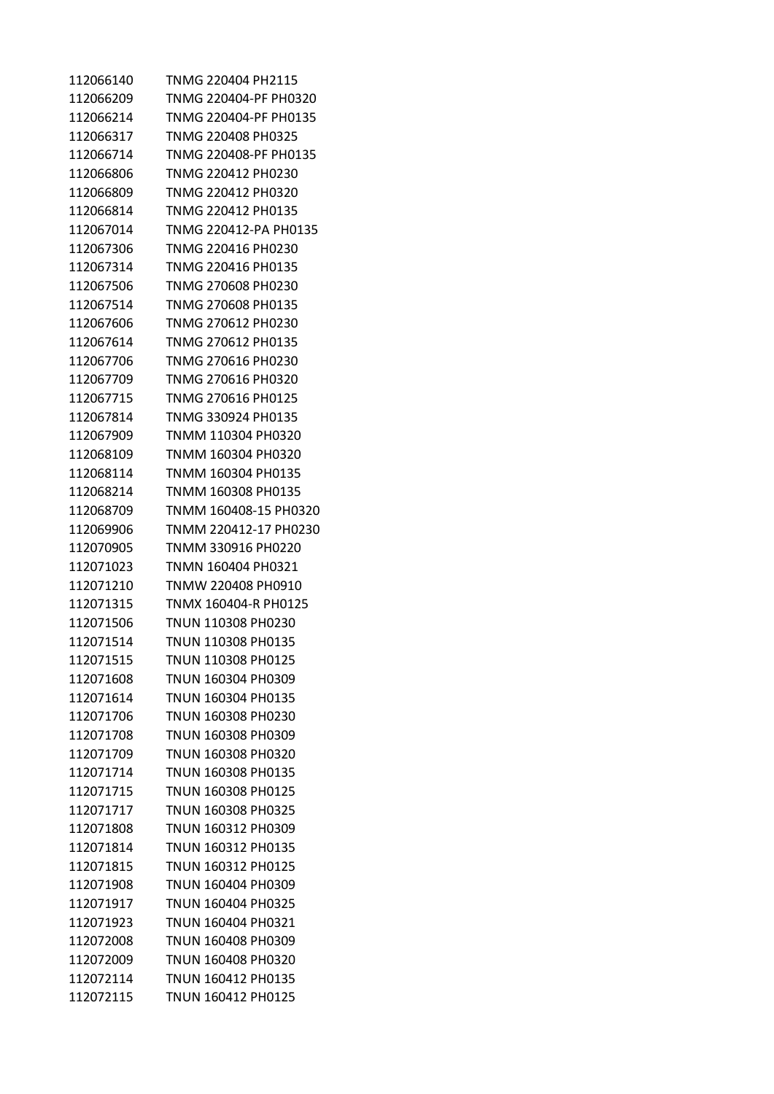| 112066140 | TNMG 220404 PH2115    |
|-----------|-----------------------|
| 112066209 | TNMG 220404-PF PH0320 |
| 112066214 | TNMG 220404-PF PH0135 |
| 112066317 | TNMG 220408 PH0325    |
| 112066714 | TNMG 220408-PF PH0135 |
| 112066806 | TNMG 220412 PH0230    |
| 112066809 | TNMG 220412 PH0320    |
| 112066814 | TNMG 220412 PH0135    |
| 112067014 | TNMG 220412-PA PH0135 |
| 112067306 | TNMG 220416 PH0230    |
| 112067314 | TNMG 220416 PH0135    |
| 112067506 | TNMG 270608 PH0230    |
| 112067514 | TNMG 270608 PH0135    |
| 112067606 | TNMG 270612 PH0230    |
| 112067614 | TNMG 270612 PH0135    |
| 112067706 | TNMG 270616 PH0230    |
| 112067709 | TNMG 270616 PH0320    |
| 112067715 | TNMG 270616 PH0125    |
| 112067814 | TNMG 330924 PH0135    |
| 112067909 | TNMM 110304 PH0320    |
| 112068109 | TNMM 160304 PH0320    |
| 112068114 | TNMM 160304 PH0135    |
| 112068214 | TNMM 160308 PH0135    |
| 112068709 | TNMM 160408-15 PH0320 |
| 112069906 | TNMM 220412-17 PH0230 |
| 112070905 | TNMM 330916 PH0220    |
| 112071023 | TNMN 160404 PH0321    |
| 112071210 | TNMW 220408 PH0910    |
| 112071315 | TNMX 160404-R PH0125  |
| 112071506 | TNUN 110308 PH0230    |
| 112071514 | TNUN 110308 PH0135    |
| 112071515 | TNUN 110308 PH0125    |
| 112071608 | TNUN 160304 PH0309    |
| 112071614 | TNUN 160304 PH0135    |
| 112071706 | TNUN 160308 PH0230    |
| 112071708 | TNUN 160308 PH0309    |
| 112071709 | TNUN 160308 PH0320    |
| 112071714 | TNUN 160308 PH0135    |
| 112071715 | TNUN 160308 PH0125    |
| 112071717 | TNUN 160308 PH0325    |
| 112071808 | TNUN 160312 PH0309    |
| 112071814 | TNUN 160312 PH0135    |
| 112071815 | TNUN 160312 PH0125    |
| 112071908 | TNUN 160404 PH0309    |
| 112071917 | TNUN 160404 PH0325    |
| 112071923 | TNUN 160404 PH0321    |
| 112072008 | TNUN 160408 PH0309    |
| 112072009 | TNUN 160408 PH0320    |
| 112072114 | TNUN 160412 PH0135    |
| 112072115 | TNUN 160412 PH0125    |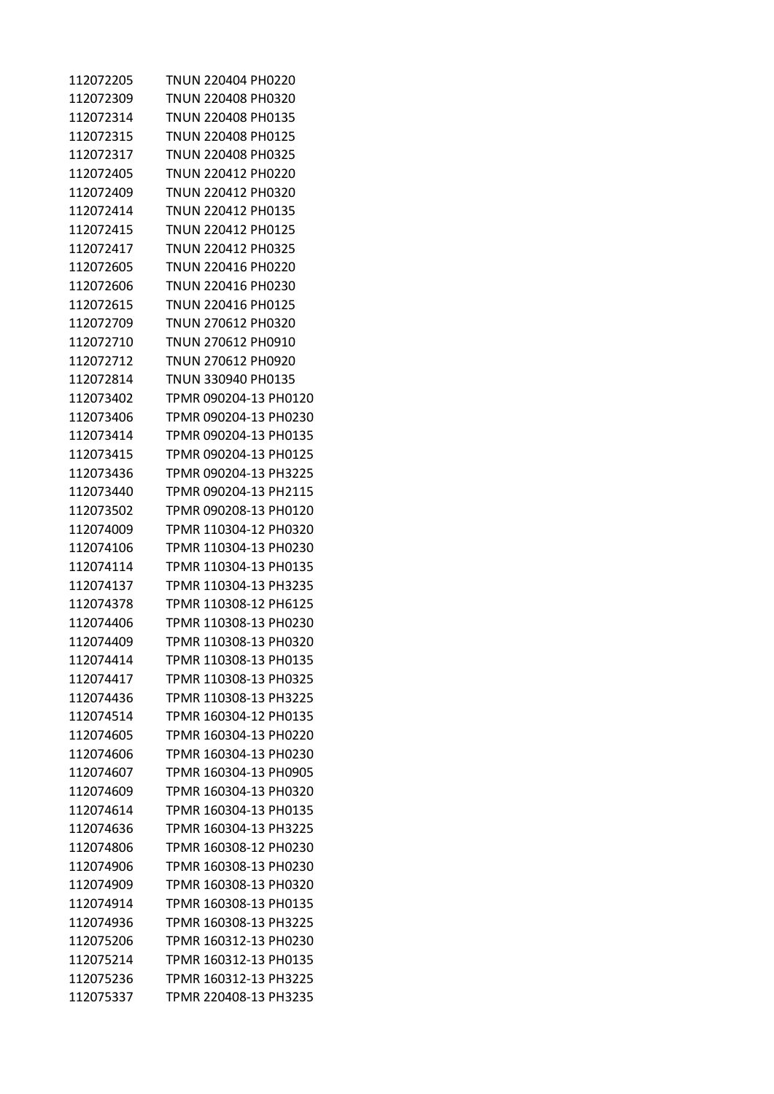| 112072205 | TNUN 220404 PH0220    |
|-----------|-----------------------|
| 112072309 | TNUN 220408 PH0320    |
| 112072314 | TNUN 220408 PH0135    |
| 112072315 | TNUN 220408 PH0125    |
| 112072317 | TNUN 220408 PH0325    |
| 112072405 | TNUN 220412 PH0220    |
| 112072409 | TNUN 220412 PH0320    |
| 112072414 | TNUN 220412 PH0135    |
| 112072415 | TNUN 220412 PH0125    |
| 112072417 | TNUN 220412 PH0325    |
| 112072605 | TNUN 220416 PH0220    |
| 112072606 | TNUN 220416 PH0230    |
| 112072615 | TNUN 220416 PH0125    |
| 112072709 | TNUN 270612 PH0320    |
| 112072710 | TNUN 270612 PH0910    |
| 112072712 | TNUN 270612 PH0920    |
| 112072814 | TNUN 330940 PH0135    |
| 112073402 | TPMR 090204-13 PH0120 |
| 112073406 | TPMR 090204-13 PH0230 |
| 112073414 | TPMR 090204-13 PH0135 |
| 112073415 | TPMR 090204-13 PH0125 |
| 112073436 | TPMR 090204-13 PH3225 |
| 112073440 | TPMR 090204-13 PH2115 |
| 112073502 | TPMR 090208-13 PH0120 |
| 112074009 | TPMR 110304-12 PH0320 |
| 112074106 | TPMR 110304-13 PH0230 |
| 112074114 | TPMR 110304-13 PH0135 |
| 112074137 | TPMR 110304-13 PH3235 |
| 112074378 | TPMR 110308-12 PH6125 |
| 112074406 | TPMR 110308-13 PH0230 |
| 112074409 | TPMR 110308-13 PH0320 |
| 112074414 | TPMR 110308-13 PH0135 |
| 112074417 | TPMR 110308-13 PH0325 |
| 112074436 | TPMR 110308-13 PH3225 |
| 112074514 | TPMR 160304-12 PH0135 |
| 112074605 | TPMR 160304-13 PH0220 |
| 112074606 | TPMR 160304-13 PH0230 |
| 112074607 | TPMR 160304-13 PH0905 |
| 112074609 | TPMR 160304-13 PH0320 |
| 112074614 | TPMR 160304-13 PH0135 |
| 112074636 | TPMR 160304-13 PH3225 |
| 112074806 | TPMR 160308-12 PH0230 |
| 112074906 | TPMR 160308-13 PH0230 |
| 112074909 | TPMR 160308-13 PH0320 |
| 112074914 | TPMR 160308-13 PH0135 |
| 112074936 | TPMR 160308-13 PH3225 |
| 112075206 | TPMR 160312-13 PH0230 |
| 112075214 | TPMR 160312-13 PH0135 |
| 112075236 | TPMR 160312-13 PH3225 |
| 112075337 | TPMR 220408-13 PH3235 |
|           |                       |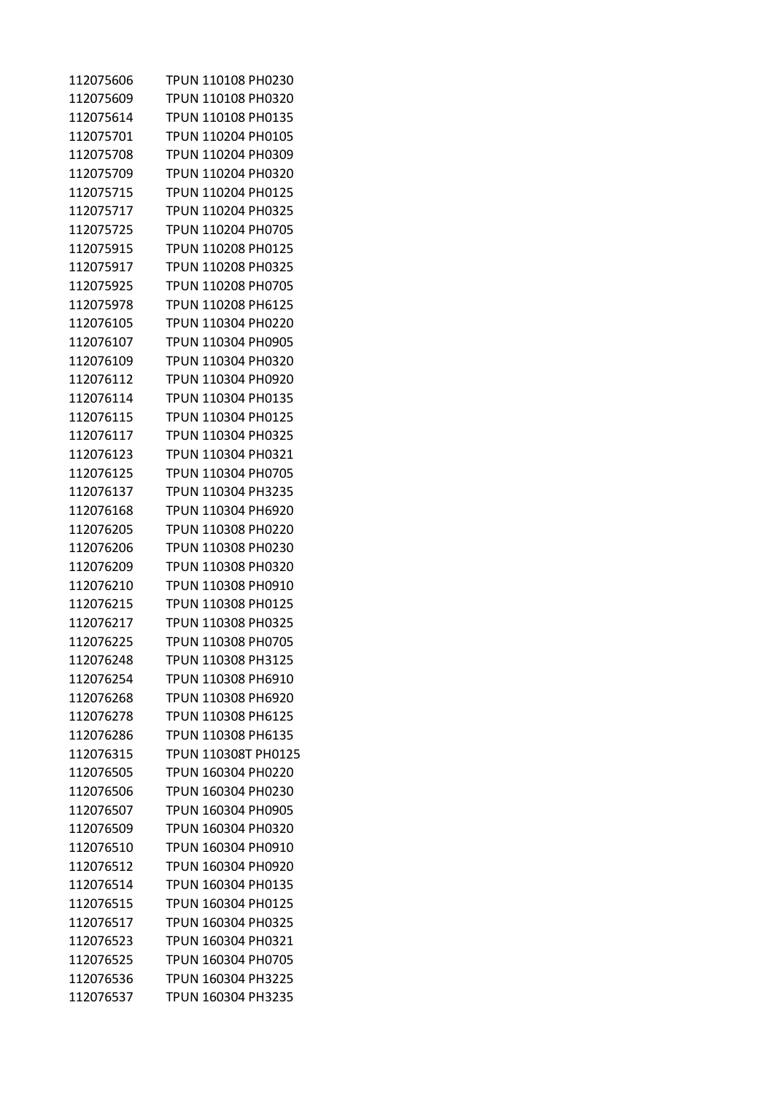| 112075606 | TPUN 110108 PH0230  |
|-----------|---------------------|
| 112075609 | TPUN 110108 PH0320  |
| 112075614 | TPUN 110108 PH0135  |
| 112075701 | TPUN 110204 PH0105  |
| 112075708 | TPUN 110204 PH0309  |
| 112075709 | TPUN 110204 PH0320  |
| 112075715 | TPUN 110204 PH0125  |
| 112075717 | TPUN 110204 PH0325  |
| 112075725 | TPUN 110204 PH0705  |
| 112075915 | TPUN 110208 PH0125  |
| 112075917 | TPUN 110208 PH0325  |
| 112075925 | TPUN 110208 PH0705  |
| 112075978 | TPUN 110208 PH6125  |
| 112076105 | TPUN 110304 PH0220  |
| 112076107 | TPUN 110304 PH0905  |
| 112076109 | TPUN 110304 PH0320  |
| 112076112 | TPUN 110304 PH0920  |
| 112076114 | TPUN 110304 PH0135  |
| 112076115 | TPUN 110304 PH0125  |
| 112076117 | TPUN 110304 PH0325  |
| 112076123 | TPUN 110304 PH0321  |
| 112076125 | TPUN 110304 PH0705  |
| 112076137 | TPUN 110304 PH3235  |
| 112076168 | TPUN 110304 PH6920  |
| 112076205 | TPUN 110308 PH0220  |
| 112076206 | TPUN 110308 PH0230  |
| 112076209 | TPUN 110308 PH0320  |
| 112076210 | TPUN 110308 PH0910  |
| 112076215 | TPUN 110308 PH0125  |
| 112076217 | TPUN 110308 PH0325  |
| 112076225 | TPUN 110308 PH0705  |
| 112076248 | TPUN 110308 PH3125  |
| 112076254 | TPUN 110308 PH6910  |
| 112076268 | TPUN 110308 PH6920  |
| 112076278 | TPUN 110308 PH6125  |
| 112076286 | TPUN 110308 PH6135  |
| 112076315 | TPUN 110308T PH0125 |
| 112076505 | TPUN 160304 PH0220  |
| 112076506 | TPUN 160304 PH0230  |
| 112076507 | TPUN 160304 PH0905  |
| 112076509 | TPUN 160304 PH0320  |
| 112076510 | TPUN 160304 PH0910  |
| 112076512 | TPUN 160304 PH0920  |
| 112076514 | TPUN 160304 PH0135  |
| 112076515 | TPUN 160304 PH0125  |
| 112076517 | TPUN 160304 PH0325  |
| 112076523 | TPUN 160304 PH0321  |
| 112076525 | TPUN 160304 PH0705  |
| 112076536 | TPUN 160304 PH3225  |
| 112076537 | TPUN 160304 PH3235  |
|           |                     |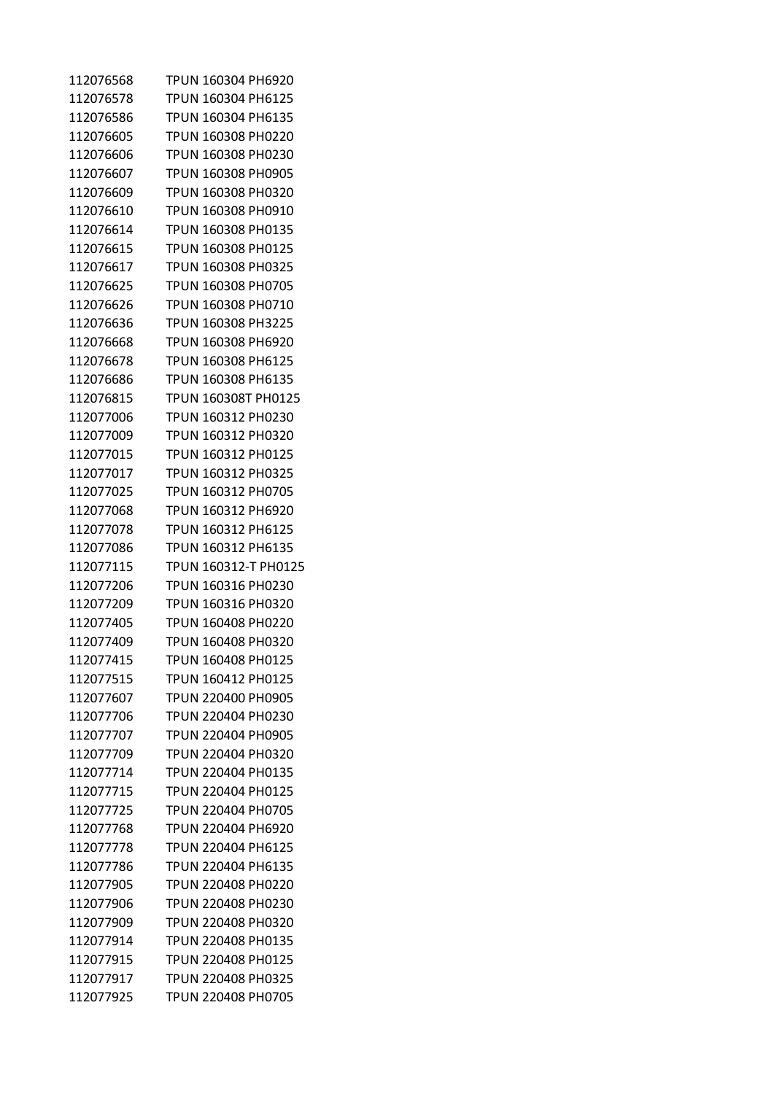| 112076568 | TPUN 160304 PH6920         |
|-----------|----------------------------|
| 112076578 | TPUN 160304 PH6125         |
| 112076586 | TPUN 160304 PH6135         |
| 112076605 | TPUN 160308 PH0220         |
| 112076606 | TPUN 160308 PH0230         |
| 112076607 | TPUN 160308 PH0905         |
| 112076609 | TPUN 160308 PH0320         |
| 112076610 | TPUN 160308 PH0910         |
| 112076614 | TPUN 160308 PH0135         |
| 112076615 | TPUN 160308 PH0125         |
| 112076617 | TPUN 160308 PH0325         |
| 112076625 | TPUN 160308 PH0705         |
| 112076626 | TPUN 160308 PH0710         |
| 112076636 | TPUN 160308 PH3225         |
| 112076668 | TPUN 160308 PH6920         |
| 112076678 | TPUN 160308 PH6125         |
| 112076686 | TPUN 160308 PH6135         |
| 112076815 | <b>TPUN 160308T PH0125</b> |
| 112077006 | TPUN 160312 PH0230         |
| 112077009 | TPUN 160312 PH0320         |
| 112077015 | TPUN 160312 PH0125         |
| 112077017 | TPUN 160312 PH0325         |
| 112077025 | TPUN 160312 PH0705         |
| 112077068 | TPUN 160312 PH6920         |
| 112077078 | TPUN 160312 PH6125         |
| 112077086 | TPUN 160312 PH6135         |
| 112077115 | TPUN 160312-T PH0125       |
| 112077206 | TPUN 160316 PH0230         |
| 112077209 | TPUN 160316 PH0320         |
| 112077405 | TPUN 160408 PH0220         |
| 112077409 | TPUN 160408 PH0320         |
| 112077415 | TPUN 160408 PH0125         |
| 112077515 | TPUN 160412 PH0125         |
| 112077607 | TPUN 220400 PH0905         |
| 112077706 | TPUN 220404 PH0230         |
| 112077707 | TPUN 220404 PH0905         |
| 112077709 | TPUN 220404 PH0320         |
| 112077714 | TPUN 220404 PH0135         |
| 112077715 | TPUN 220404 PH0125         |
| 112077725 | <b>TPUN 220404 PH0705</b>  |
| 112077768 | TPUN 220404 PH6920         |
| 112077778 | <b>TPUN 220404 PH6125</b>  |
| 112077786 | TPUN 220404 PH6135         |
| 112077905 | TPUN 220408 PH0220         |
| 112077906 | TPUN 220408 PH0230         |
| 112077909 | TPUN 220408 PH0320         |
| 112077914 | TPUN 220408 PH0135         |
| 112077915 | TPUN 220408 PH0125         |
| 112077917 | TPUN 220408 PH0325         |
| 112077925 | TPUN 220408 PH0705         |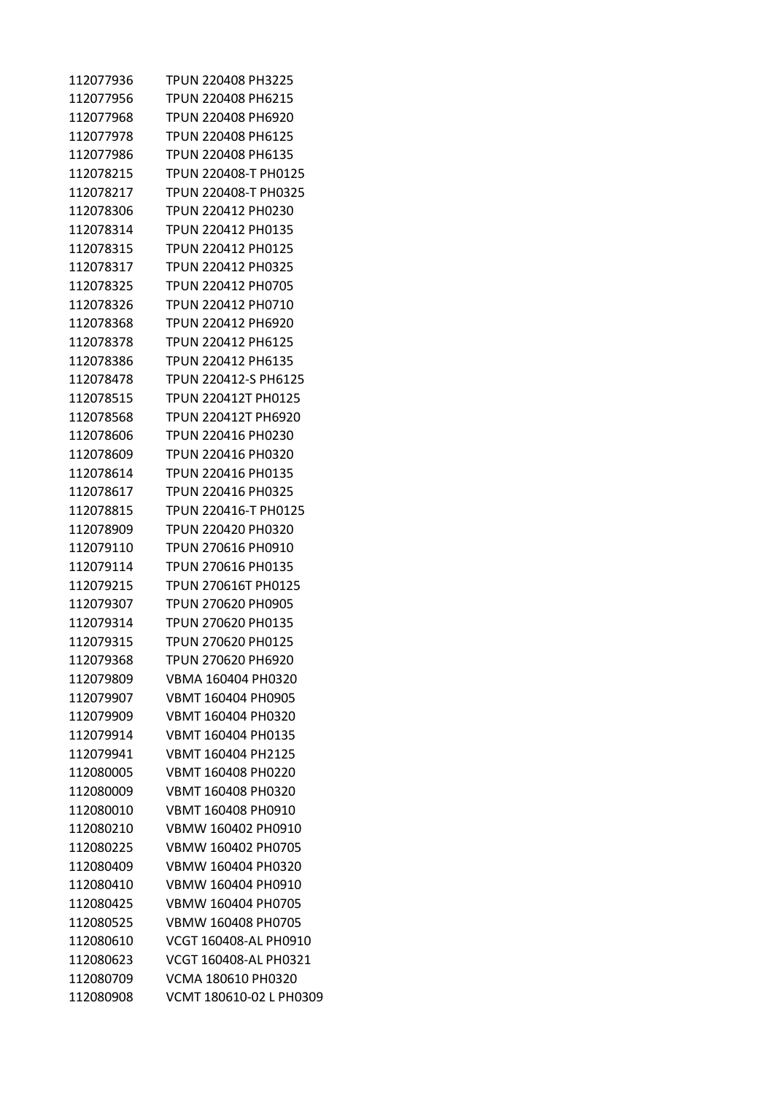| 112077936 | TPUN 220408 PH3225      |
|-----------|-------------------------|
| 112077956 | TPUN 220408 PH6215      |
| 112077968 | TPUN 220408 PH6920      |
| 112077978 | TPUN 220408 PH6125      |
| 112077986 | TPUN 220408 PH6135      |
| 112078215 | TPUN 220408-T PH0125    |
| 112078217 | TPUN 220408-T PH0325    |
| 112078306 | TPUN 220412 PH0230      |
| 112078314 | TPUN 220412 PH0135      |
| 112078315 | TPUN 220412 PH0125      |
| 112078317 | TPUN 220412 PH0325      |
| 112078325 | TPUN 220412 PH0705      |
| 112078326 | TPUN 220412 PH0710      |
| 112078368 | TPUN 220412 PH6920      |
| 112078378 | TPUN 220412 PH6125      |
| 112078386 | TPUN 220412 PH6135      |
| 112078478 | TPUN 220412-S PH6125    |
| 112078515 | TPUN 220412T PH0125     |
| 112078568 | TPUN 220412T PH6920     |
| 112078606 | TPUN 220416 PH0230      |
| 112078609 | TPUN 220416 PH0320      |
| 112078614 | TPUN 220416 PH0135      |
| 112078617 | TPUN 220416 PH0325      |
| 112078815 | TPUN 220416-T PH0125    |
| 112078909 | TPUN 220420 PH0320      |
| 112079110 | TPUN 270616 PH0910      |
| 112079114 | TPUN 270616 PH0135      |
| 112079215 | TPUN 270616T PH0125     |
| 112079307 | TPUN 270620 PH0905      |
| 112079314 | TPUN 270620 PH0135      |
| 112079315 | TPUN 270620 PH0125      |
| 112079368 | TPUN 270620 PH6920      |
| 112079809 | VBMA 160404 PH0320      |
| 112079907 | VBMT 160404 PH0905      |
| 112079909 | VBMT 160404 PH0320      |
| 112079914 | VBMT 160404 PH0135      |
| 112079941 | VBMT 160404 PH2125      |
| 112080005 | VBMT 160408 PH0220      |
| 112080009 | VBMT 160408 PH0320      |
| 112080010 | VBMT 160408 PH0910      |
| 112080210 | VBMW 160402 PH0910      |
| 112080225 | VBMW 160402 PH0705      |
| 112080409 | VBMW 160404 PH0320      |
| 112080410 | VBMW 160404 PH0910      |
| 112080425 | VBMW 160404 PH0705      |
| 112080525 | VBMW 160408 PH0705      |
| 112080610 | VCGT 160408-AL PH0910   |
| 112080623 | VCGT 160408-AL PH0321   |
| 112080709 | VCMA 180610 PH0320      |
| 112080908 | VCMT 180610-02 L PH0309 |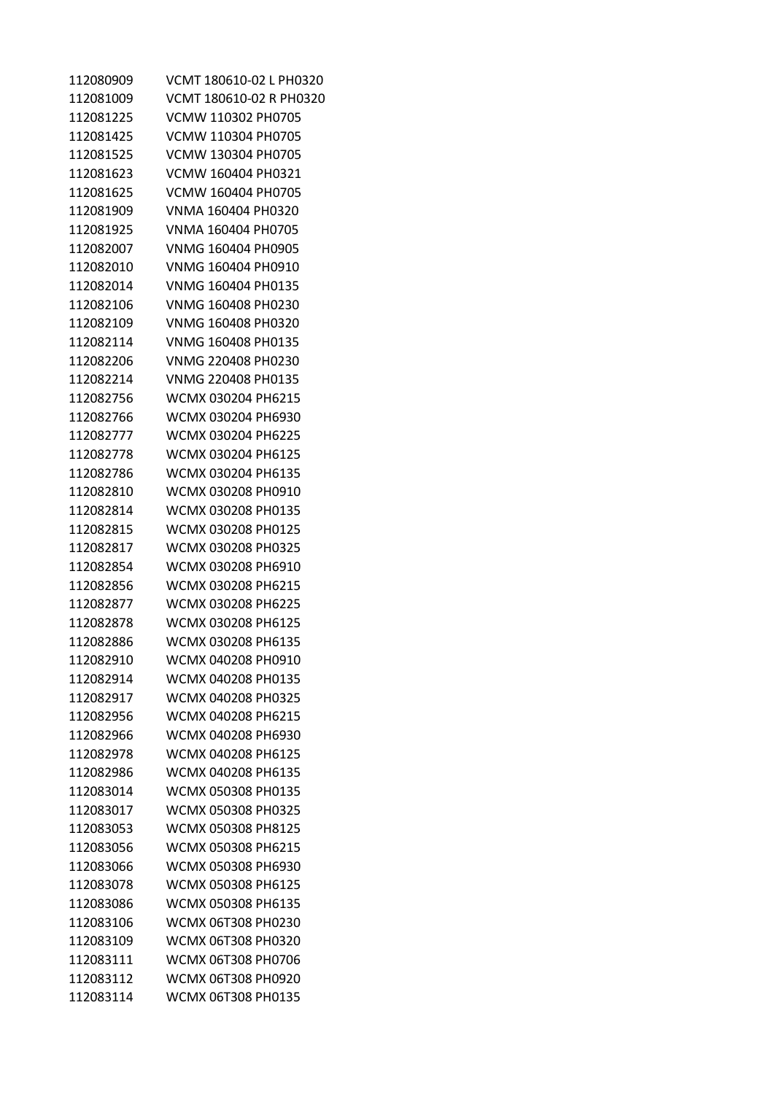| 112080909 | VCMT 180610-02 L PH0320 |
|-----------|-------------------------|
| 112081009 | VCMT 180610-02 R PH0320 |
| 112081225 | VCMW 110302 PH0705      |
| 112081425 | VCMW 110304 PH0705      |
| 112081525 | VCMW 130304 PH0705      |
| 112081623 | VCMW 160404 PH0321      |
| 112081625 | VCMW 160404 PH0705      |
| 112081909 | VNMA 160404 PH0320      |
| 112081925 | VNMA 160404 PH0705      |
| 112082007 | VNMG 160404 PH0905      |
| 112082010 | VNMG 160404 PH0910      |
| 112082014 | VNMG 160404 PH0135      |
| 112082106 | VNMG 160408 PH0230      |
| 112082109 | VNMG 160408 PH0320      |
| 112082114 | VNMG 160408 PH0135      |
| 112082206 | VNMG 220408 PH0230      |
| 112082214 | VNMG 220408 PH0135      |
| 112082756 | WCMX 030204 PH6215      |
| 112082766 | WCMX 030204 PH6930      |
| 112082777 | WCMX 030204 PH6225      |
| 112082778 | WCMX 030204 PH6125      |
| 112082786 | WCMX 030204 PH6135      |
| 112082810 | WCMX 030208 PH0910      |
| 112082814 | WCMX 030208 PH0135      |
| 112082815 | WCMX 030208 PH0125      |
| 112082817 | WCMX 030208 PH0325      |
| 112082854 | WCMX 030208 PH6910      |
| 112082856 | WCMX 030208 PH6215      |
| 112082877 | WCMX 030208 PH6225      |
| 112082878 | WCMX 030208 PH6125      |
| 112082886 | WCMX 030208 PH6135      |
| 112082910 | WCMX 040208 PH0910      |
| 112082914 | WCMX 040208 PH0135      |
| 112082917 | WCMX 040208 PH0325      |
| 112082956 | WCMX 040208 PH6215      |
| 112082966 | WCMX 040208 PH6930      |
| 112082978 | WCMX 040208 PH6125      |
| 112082986 | WCMX 040208 PH6135      |
| 112083014 | WCMX 050308 PH0135      |
| 112083017 | WCMX 050308 PH0325      |
| 112083053 | WCMX 050308 PH8125      |
| 112083056 | WCMX 050308 PH6215      |
| 112083066 | WCMX 050308 PH6930      |
| 112083078 | WCMX 050308 PH6125      |
| 112083086 | WCMX 050308 PH6135      |
| 112083106 | WCMX 06T308 PH0230      |
| 112083109 | WCMX 06T308 PH0320      |
| 112083111 | WCMX 06T308 PH0706      |
| 112083112 | WCMX 06T308 PH0920      |
| 112083114 | WCMX 06T308 PH0135      |
|           |                         |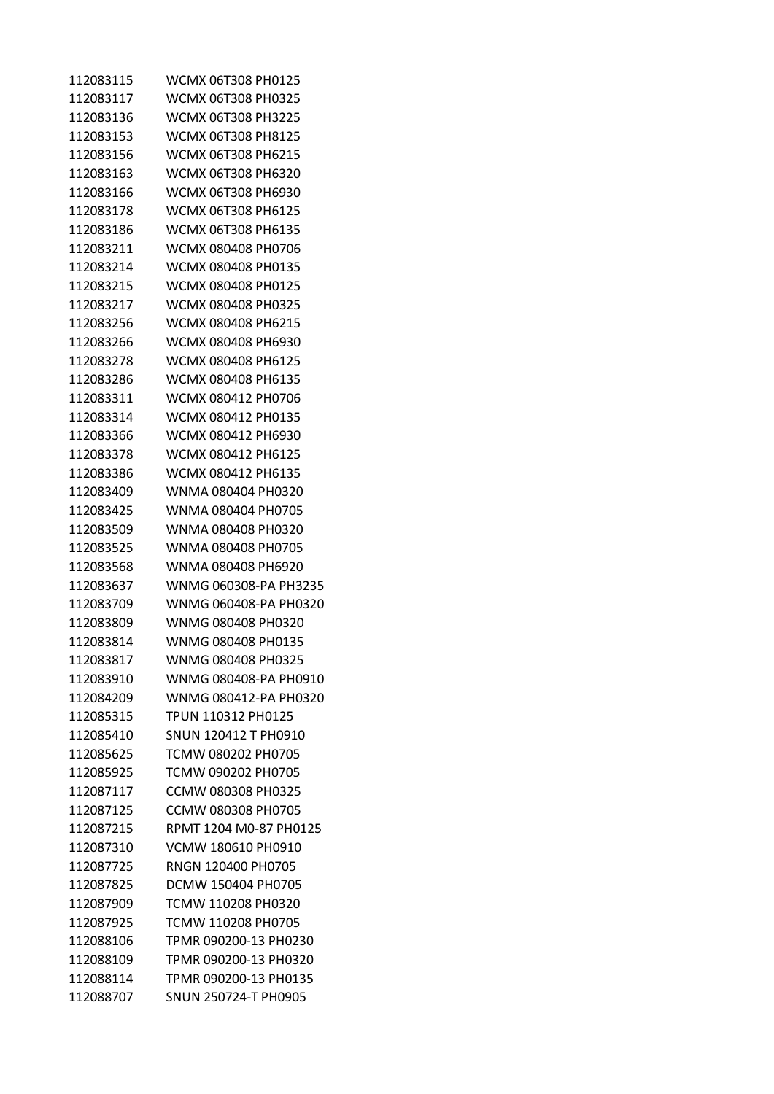| 112083117<br>WCMX 06T308 PH0325<br>112083136<br>WCMX 06T308 PH3225<br>112083153<br>WCMX 06T308 PH8125<br>WCMX 06T308 PH6215<br>112083156<br>WCMX 06T308 PH6320<br>112083163<br>112083166<br>WCMX 06T308 PH6930<br>112083178<br>WCMX 06T308 PH6125<br>112083186<br>WCMX 06T308 PH6135<br>112083211<br>WCMX 080408 PH0706<br>WCMX 080408 PH0135<br>112083214<br>WCMX 080408 PH0125<br>112083215<br>112083217<br>WCMX 080408 PH0325<br>112083256<br>WCMX 080408 PH6215<br>112083266<br>WCMX 080408 PH6930<br>WCMX 080408 PH6125<br>112083278<br>WCMX 080408 PH6135<br>112083286<br>112083311<br>WCMX 080412 PH0706<br>112083314<br>WCMX 080412 PH0135<br>WCMX 080412 PH6930<br>112083366<br>WCMX 080412 PH6125<br>112083378<br>WCMX 080412 PH6135<br>112083386<br>112083409<br>WNMA 080404 PH0320<br>112083425<br>WNMA 080404 PH0705<br>112083509<br>WNMA 080408 PH0320<br>112083525<br>WNMA 080408 PH0705<br>112083568<br>WNMA 080408 PH6920<br>112083637<br>112083709<br>112083809<br>WNMG 080408 PH0320<br>112083814<br>WNMG 080408 PH0135<br>112083817<br>WNMG 080408 PH0325<br>112083910<br>112084209<br>112085315<br>TPUN 110312 PH0125<br>112085410<br>SNUN 120412 T PH0910<br>112085625<br>TCMW 080202 PH0705<br>112085925<br>TCMW 090202 PH0705<br>CCMW 080308 PH0325<br>112087117<br>CCMW 080308 PH0705<br>112087125<br>112087215<br>112087310<br>VCMW 180610 PH0910<br>112087725<br>RNGN 120400 PH0705<br>112087825<br>DCMW 150404 PH0705<br>112087909<br>TCMW 110208 PH0320<br>112087925<br>TCMW 110208 PH0705<br>112088106<br>TPMR 090200-13 PH0230<br>112088109<br>TPMR 090200-13 PH0320<br>112088114<br>TPMR 090200-13 PH0135<br>SNUN 250724-T PH0905<br>112088707 | 112083115 | WCMX 06T308 PH0125     |
|--------------------------------------------------------------------------------------------------------------------------------------------------------------------------------------------------------------------------------------------------------------------------------------------------------------------------------------------------------------------------------------------------------------------------------------------------------------------------------------------------------------------------------------------------------------------------------------------------------------------------------------------------------------------------------------------------------------------------------------------------------------------------------------------------------------------------------------------------------------------------------------------------------------------------------------------------------------------------------------------------------------------------------------------------------------------------------------------------------------------------------------------------------------------------------------------------------------------------------------------------------------------------------------------------------------------------------------------------------------------------------------------------------------------------------------------------------------------------------------------------------------------------------------------------------------------------------------------------------------------------------------------------------------------------------|-----------|------------------------|
|                                                                                                                                                                                                                                                                                                                                                                                                                                                                                                                                                                                                                                                                                                                                                                                                                                                                                                                                                                                                                                                                                                                                                                                                                                                                                                                                                                                                                                                                                                                                                                                                                                                                                |           |                        |
|                                                                                                                                                                                                                                                                                                                                                                                                                                                                                                                                                                                                                                                                                                                                                                                                                                                                                                                                                                                                                                                                                                                                                                                                                                                                                                                                                                                                                                                                                                                                                                                                                                                                                |           |                        |
|                                                                                                                                                                                                                                                                                                                                                                                                                                                                                                                                                                                                                                                                                                                                                                                                                                                                                                                                                                                                                                                                                                                                                                                                                                                                                                                                                                                                                                                                                                                                                                                                                                                                                |           |                        |
|                                                                                                                                                                                                                                                                                                                                                                                                                                                                                                                                                                                                                                                                                                                                                                                                                                                                                                                                                                                                                                                                                                                                                                                                                                                                                                                                                                                                                                                                                                                                                                                                                                                                                |           |                        |
|                                                                                                                                                                                                                                                                                                                                                                                                                                                                                                                                                                                                                                                                                                                                                                                                                                                                                                                                                                                                                                                                                                                                                                                                                                                                                                                                                                                                                                                                                                                                                                                                                                                                                |           |                        |
|                                                                                                                                                                                                                                                                                                                                                                                                                                                                                                                                                                                                                                                                                                                                                                                                                                                                                                                                                                                                                                                                                                                                                                                                                                                                                                                                                                                                                                                                                                                                                                                                                                                                                |           |                        |
|                                                                                                                                                                                                                                                                                                                                                                                                                                                                                                                                                                                                                                                                                                                                                                                                                                                                                                                                                                                                                                                                                                                                                                                                                                                                                                                                                                                                                                                                                                                                                                                                                                                                                |           |                        |
|                                                                                                                                                                                                                                                                                                                                                                                                                                                                                                                                                                                                                                                                                                                                                                                                                                                                                                                                                                                                                                                                                                                                                                                                                                                                                                                                                                                                                                                                                                                                                                                                                                                                                |           |                        |
|                                                                                                                                                                                                                                                                                                                                                                                                                                                                                                                                                                                                                                                                                                                                                                                                                                                                                                                                                                                                                                                                                                                                                                                                                                                                                                                                                                                                                                                                                                                                                                                                                                                                                |           |                        |
|                                                                                                                                                                                                                                                                                                                                                                                                                                                                                                                                                                                                                                                                                                                                                                                                                                                                                                                                                                                                                                                                                                                                                                                                                                                                                                                                                                                                                                                                                                                                                                                                                                                                                |           |                        |
|                                                                                                                                                                                                                                                                                                                                                                                                                                                                                                                                                                                                                                                                                                                                                                                                                                                                                                                                                                                                                                                                                                                                                                                                                                                                                                                                                                                                                                                                                                                                                                                                                                                                                |           |                        |
|                                                                                                                                                                                                                                                                                                                                                                                                                                                                                                                                                                                                                                                                                                                                                                                                                                                                                                                                                                                                                                                                                                                                                                                                                                                                                                                                                                                                                                                                                                                                                                                                                                                                                |           |                        |
|                                                                                                                                                                                                                                                                                                                                                                                                                                                                                                                                                                                                                                                                                                                                                                                                                                                                                                                                                                                                                                                                                                                                                                                                                                                                                                                                                                                                                                                                                                                                                                                                                                                                                |           |                        |
|                                                                                                                                                                                                                                                                                                                                                                                                                                                                                                                                                                                                                                                                                                                                                                                                                                                                                                                                                                                                                                                                                                                                                                                                                                                                                                                                                                                                                                                                                                                                                                                                                                                                                |           |                        |
|                                                                                                                                                                                                                                                                                                                                                                                                                                                                                                                                                                                                                                                                                                                                                                                                                                                                                                                                                                                                                                                                                                                                                                                                                                                                                                                                                                                                                                                                                                                                                                                                                                                                                |           |                        |
|                                                                                                                                                                                                                                                                                                                                                                                                                                                                                                                                                                                                                                                                                                                                                                                                                                                                                                                                                                                                                                                                                                                                                                                                                                                                                                                                                                                                                                                                                                                                                                                                                                                                                |           |                        |
|                                                                                                                                                                                                                                                                                                                                                                                                                                                                                                                                                                                                                                                                                                                                                                                                                                                                                                                                                                                                                                                                                                                                                                                                                                                                                                                                                                                                                                                                                                                                                                                                                                                                                |           |                        |
|                                                                                                                                                                                                                                                                                                                                                                                                                                                                                                                                                                                                                                                                                                                                                                                                                                                                                                                                                                                                                                                                                                                                                                                                                                                                                                                                                                                                                                                                                                                                                                                                                                                                                |           |                        |
|                                                                                                                                                                                                                                                                                                                                                                                                                                                                                                                                                                                                                                                                                                                                                                                                                                                                                                                                                                                                                                                                                                                                                                                                                                                                                                                                                                                                                                                                                                                                                                                                                                                                                |           |                        |
|                                                                                                                                                                                                                                                                                                                                                                                                                                                                                                                                                                                                                                                                                                                                                                                                                                                                                                                                                                                                                                                                                                                                                                                                                                                                                                                                                                                                                                                                                                                                                                                                                                                                                |           |                        |
|                                                                                                                                                                                                                                                                                                                                                                                                                                                                                                                                                                                                                                                                                                                                                                                                                                                                                                                                                                                                                                                                                                                                                                                                                                                                                                                                                                                                                                                                                                                                                                                                                                                                                |           |                        |
|                                                                                                                                                                                                                                                                                                                                                                                                                                                                                                                                                                                                                                                                                                                                                                                                                                                                                                                                                                                                                                                                                                                                                                                                                                                                                                                                                                                                                                                                                                                                                                                                                                                                                |           |                        |
|                                                                                                                                                                                                                                                                                                                                                                                                                                                                                                                                                                                                                                                                                                                                                                                                                                                                                                                                                                                                                                                                                                                                                                                                                                                                                                                                                                                                                                                                                                                                                                                                                                                                                |           |                        |
|                                                                                                                                                                                                                                                                                                                                                                                                                                                                                                                                                                                                                                                                                                                                                                                                                                                                                                                                                                                                                                                                                                                                                                                                                                                                                                                                                                                                                                                                                                                                                                                                                                                                                |           |                        |
|                                                                                                                                                                                                                                                                                                                                                                                                                                                                                                                                                                                                                                                                                                                                                                                                                                                                                                                                                                                                                                                                                                                                                                                                                                                                                                                                                                                                                                                                                                                                                                                                                                                                                |           |                        |
|                                                                                                                                                                                                                                                                                                                                                                                                                                                                                                                                                                                                                                                                                                                                                                                                                                                                                                                                                                                                                                                                                                                                                                                                                                                                                                                                                                                                                                                                                                                                                                                                                                                                                |           |                        |
|                                                                                                                                                                                                                                                                                                                                                                                                                                                                                                                                                                                                                                                                                                                                                                                                                                                                                                                                                                                                                                                                                                                                                                                                                                                                                                                                                                                                                                                                                                                                                                                                                                                                                |           | WNMG 060308-PA PH3235  |
|                                                                                                                                                                                                                                                                                                                                                                                                                                                                                                                                                                                                                                                                                                                                                                                                                                                                                                                                                                                                                                                                                                                                                                                                                                                                                                                                                                                                                                                                                                                                                                                                                                                                                |           | WNMG 060408-PA PH0320  |
|                                                                                                                                                                                                                                                                                                                                                                                                                                                                                                                                                                                                                                                                                                                                                                                                                                                                                                                                                                                                                                                                                                                                                                                                                                                                                                                                                                                                                                                                                                                                                                                                                                                                                |           |                        |
|                                                                                                                                                                                                                                                                                                                                                                                                                                                                                                                                                                                                                                                                                                                                                                                                                                                                                                                                                                                                                                                                                                                                                                                                                                                                                                                                                                                                                                                                                                                                                                                                                                                                                |           |                        |
|                                                                                                                                                                                                                                                                                                                                                                                                                                                                                                                                                                                                                                                                                                                                                                                                                                                                                                                                                                                                                                                                                                                                                                                                                                                                                                                                                                                                                                                                                                                                                                                                                                                                                |           |                        |
|                                                                                                                                                                                                                                                                                                                                                                                                                                                                                                                                                                                                                                                                                                                                                                                                                                                                                                                                                                                                                                                                                                                                                                                                                                                                                                                                                                                                                                                                                                                                                                                                                                                                                |           | WNMG 080408-PA PH0910  |
|                                                                                                                                                                                                                                                                                                                                                                                                                                                                                                                                                                                                                                                                                                                                                                                                                                                                                                                                                                                                                                                                                                                                                                                                                                                                                                                                                                                                                                                                                                                                                                                                                                                                                |           | WNMG 080412-PA PH0320  |
|                                                                                                                                                                                                                                                                                                                                                                                                                                                                                                                                                                                                                                                                                                                                                                                                                                                                                                                                                                                                                                                                                                                                                                                                                                                                                                                                                                                                                                                                                                                                                                                                                                                                                |           |                        |
|                                                                                                                                                                                                                                                                                                                                                                                                                                                                                                                                                                                                                                                                                                                                                                                                                                                                                                                                                                                                                                                                                                                                                                                                                                                                                                                                                                                                                                                                                                                                                                                                                                                                                |           |                        |
|                                                                                                                                                                                                                                                                                                                                                                                                                                                                                                                                                                                                                                                                                                                                                                                                                                                                                                                                                                                                                                                                                                                                                                                                                                                                                                                                                                                                                                                                                                                                                                                                                                                                                |           |                        |
|                                                                                                                                                                                                                                                                                                                                                                                                                                                                                                                                                                                                                                                                                                                                                                                                                                                                                                                                                                                                                                                                                                                                                                                                                                                                                                                                                                                                                                                                                                                                                                                                                                                                                |           |                        |
|                                                                                                                                                                                                                                                                                                                                                                                                                                                                                                                                                                                                                                                                                                                                                                                                                                                                                                                                                                                                                                                                                                                                                                                                                                                                                                                                                                                                                                                                                                                                                                                                                                                                                |           |                        |
|                                                                                                                                                                                                                                                                                                                                                                                                                                                                                                                                                                                                                                                                                                                                                                                                                                                                                                                                                                                                                                                                                                                                                                                                                                                                                                                                                                                                                                                                                                                                                                                                                                                                                |           |                        |
|                                                                                                                                                                                                                                                                                                                                                                                                                                                                                                                                                                                                                                                                                                                                                                                                                                                                                                                                                                                                                                                                                                                                                                                                                                                                                                                                                                                                                                                                                                                                                                                                                                                                                |           | RPMT 1204 M0-87 PH0125 |
|                                                                                                                                                                                                                                                                                                                                                                                                                                                                                                                                                                                                                                                                                                                                                                                                                                                                                                                                                                                                                                                                                                                                                                                                                                                                                                                                                                                                                                                                                                                                                                                                                                                                                |           |                        |
|                                                                                                                                                                                                                                                                                                                                                                                                                                                                                                                                                                                                                                                                                                                                                                                                                                                                                                                                                                                                                                                                                                                                                                                                                                                                                                                                                                                                                                                                                                                                                                                                                                                                                |           |                        |
|                                                                                                                                                                                                                                                                                                                                                                                                                                                                                                                                                                                                                                                                                                                                                                                                                                                                                                                                                                                                                                                                                                                                                                                                                                                                                                                                                                                                                                                                                                                                                                                                                                                                                |           |                        |
|                                                                                                                                                                                                                                                                                                                                                                                                                                                                                                                                                                                                                                                                                                                                                                                                                                                                                                                                                                                                                                                                                                                                                                                                                                                                                                                                                                                                                                                                                                                                                                                                                                                                                |           |                        |
|                                                                                                                                                                                                                                                                                                                                                                                                                                                                                                                                                                                                                                                                                                                                                                                                                                                                                                                                                                                                                                                                                                                                                                                                                                                                                                                                                                                                                                                                                                                                                                                                                                                                                |           |                        |
|                                                                                                                                                                                                                                                                                                                                                                                                                                                                                                                                                                                                                                                                                                                                                                                                                                                                                                                                                                                                                                                                                                                                                                                                                                                                                                                                                                                                                                                                                                                                                                                                                                                                                |           |                        |
|                                                                                                                                                                                                                                                                                                                                                                                                                                                                                                                                                                                                                                                                                                                                                                                                                                                                                                                                                                                                                                                                                                                                                                                                                                                                                                                                                                                                                                                                                                                                                                                                                                                                                |           |                        |
|                                                                                                                                                                                                                                                                                                                                                                                                                                                                                                                                                                                                                                                                                                                                                                                                                                                                                                                                                                                                                                                                                                                                                                                                                                                                                                                                                                                                                                                                                                                                                                                                                                                                                |           |                        |
|                                                                                                                                                                                                                                                                                                                                                                                                                                                                                                                                                                                                                                                                                                                                                                                                                                                                                                                                                                                                                                                                                                                                                                                                                                                                                                                                                                                                                                                                                                                                                                                                                                                                                |           |                        |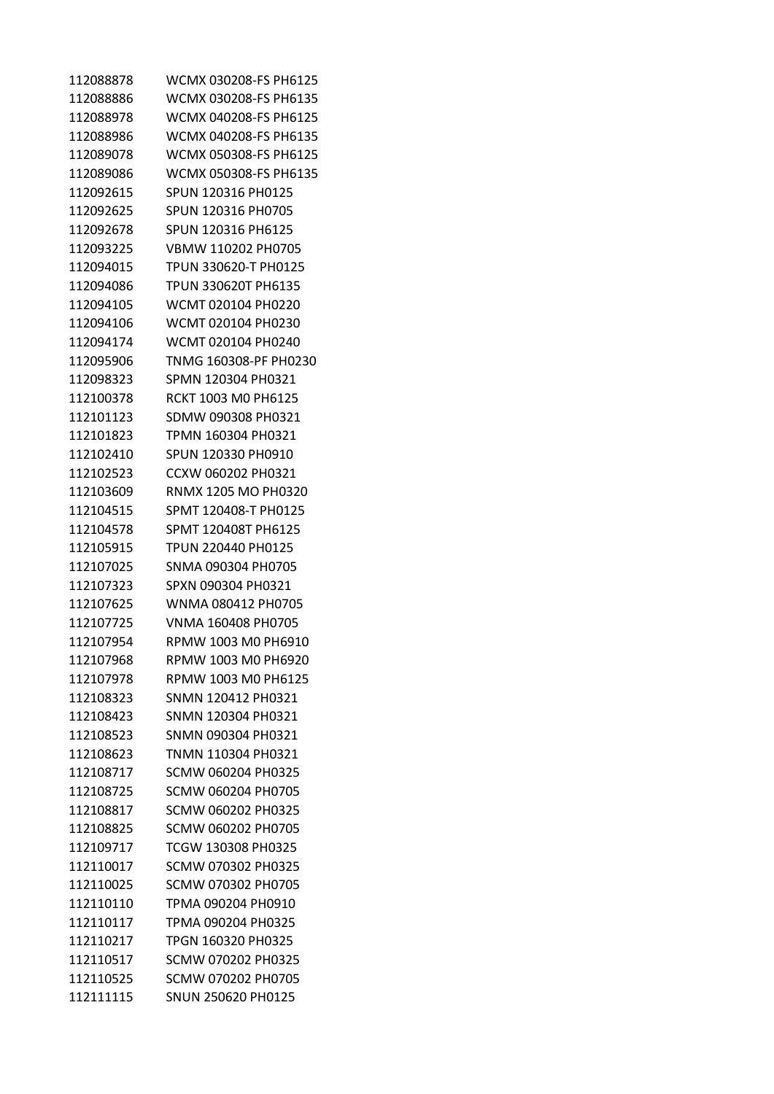| 112088878 | WCMX 030208-FS PH6125 |
|-----------|-----------------------|
| 112088886 | WCMX 030208-FS PH6135 |
| 112088978 | WCMX 040208-FS PH6125 |
| 112088986 | WCMX 040208-FS PH6135 |
| 112089078 | WCMX 050308-FS PH6125 |
| 112089086 | WCMX 050308-FS PH6135 |
| 112092615 | SPUN 120316 PH0125    |
| 112092625 | SPUN 120316 PH0705    |
| 112092678 | SPUN 120316 PH6125    |
| 112093225 | VBMW 110202 PH0705    |
| 112094015 | TPUN 330620-T PH0125  |
| 112094086 | TPUN 330620T PH6135   |
| 112094105 | WCMT 020104 PH0220    |
| 112094106 | WCMT 020104 PH0230    |
| 112094174 | WCMT 020104 PH0240    |
| 112095906 | TNMG 160308-PF PH0230 |
|           |                       |
| 112098323 | SPMN 120304 PH0321    |
| 112100378 | RCKT 1003 M0 PH6125   |
| 112101123 | SDMW 090308 PH0321    |
| 112101823 | TPMN 160304 PH0321    |
| 112102410 | SPUN 120330 PH0910    |
| 112102523 | CCXW 060202 PH0321    |
| 112103609 | RNMX 1205 MO PH0320   |
| 112104515 | SPMT 120408-T PH0125  |
| 112104578 | SPMT 120408T PH6125   |
| 112105915 | TPUN 220440 PH0125    |
| 112107025 | SNMA 090304 PH0705    |
| 112107323 | SPXN 090304 PH0321    |
| 112107625 | WNMA 080412 PH0705    |
| 112107725 | VNMA 160408 PH0705    |
| 112107954 | RPMW 1003 M0 PH6910   |
| 112107968 | RPMW 1003 M0 PH6920   |
| 112107978 | RPMW 1003 M0 PH6125   |
| 112108323 | SNMN 120412 PH0321    |
| 112108423 | SNMN 120304 PH0321    |
| 112108523 | SNMN 090304 PH0321    |
| 112108623 | TNMN 110304 PH0321    |
| 112108717 | SCMW 060204 PH0325    |
| 112108725 | SCMW 060204 PH0705    |
| 112108817 | SCMW 060202 PH0325    |
| 112108825 | SCMW 060202 PH0705    |
| 112109717 | TCGW 130308 PH0325    |
| 112110017 | SCMW 070302 PH0325    |
| 112110025 | SCMW 070302 PH0705    |
| 112110110 | TPMA 090204 PH0910    |
| 112110117 | TPMA 090204 PH0325    |
| 112110217 | TPGN 160320 PH0325    |
| 112110517 | SCMW 070202 PH0325    |
| 112110525 | SCMW 070202 PH0705    |
| 112111115 | SNUN 250620 PH0125    |
|           |                       |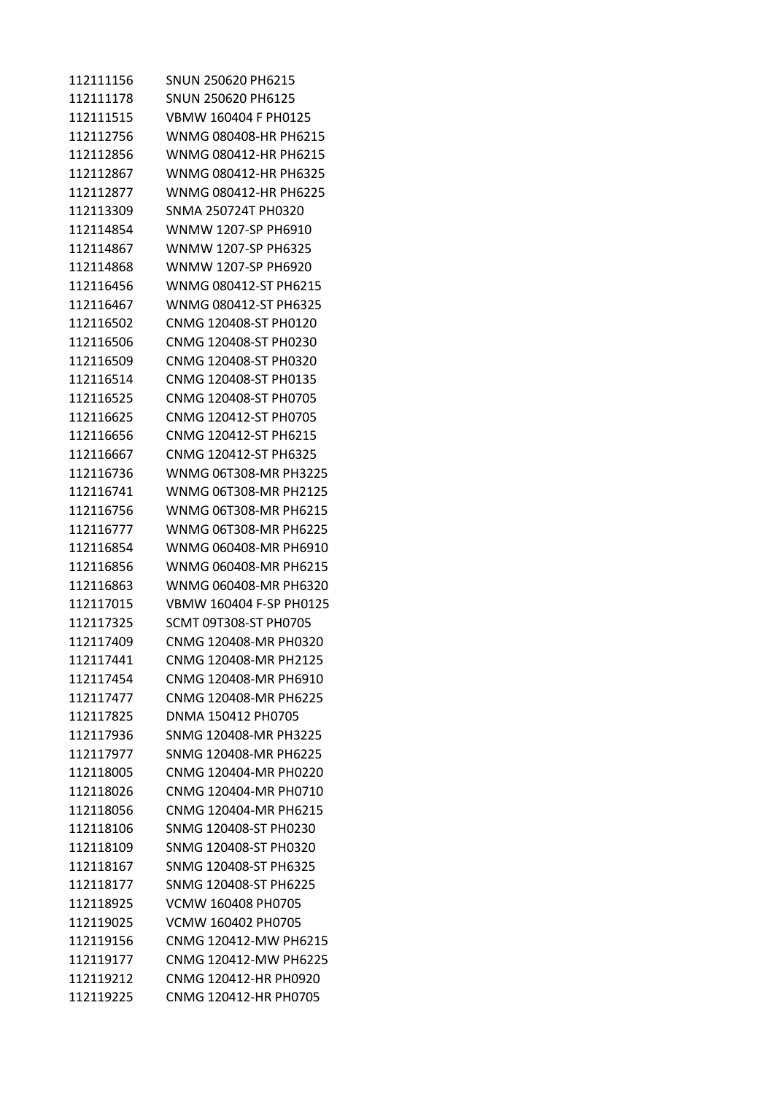SNUN 250620 PH6215 SNUN 250620 PH6125 VBMW 160404 F PH0125 WNMG 080408-HR PH6215 WNMG 080412-HR PH6215 WNMG 080412-HR PH6325 WNMG 080412-HR PH6225 SNMA 250724T PH0320 WNMW 1207-SP PH6910 WNMW 1207-SP PH6325 WNMW 1207-SP PH6920 WNMG 080412-ST PH6215 WNMG 080412-ST PH6325 CNMG 120408-ST PH0120 CNMG 120408-ST PH0230 CNMG 120408-ST PH0320 CNMG 120408-ST PH0135 CNMG 120408-ST PH0705 CNMG 120412-ST PH0705 CNMG 120412-ST PH6215 CNMG 120412-ST PH6325 WNMG 06T308-MR PH3225 WNMG 06T308-MR PH2125 WNMG 06T308-MR PH6215 WNMG 06T308-MR PH6225 WNMG 060408-MR PH6910 WNMG 060408-MR PH6215 WNMG 060408-MR PH6320 VBMW 160404 F-SP PH0125 SCMT 09T308-ST PH0705 CNMG 120408-MR PH0320 CNMG 120408-MR PH2125 CNMG 120408-MR PH6910 CNMG 120408-MR PH6225 DNMA 150412 PH0705 SNMG 120408-MR PH3225 SNMG 120408-MR PH6225 CNMG 120404-MR PH0220 CNMG 120404-MR PH0710 CNMG 120404-MR PH6215 SNMG 120408-ST PH0230 SNMG 120408-ST PH0320 SNMG 120408-ST PH6325 SNMG 120408-ST PH6225 VCMW 160408 PH0705 VCMW 160402 PH0705 CNMG 120412-MW PH6215 CNMG 120412-MW PH6225 CNMG 120412-HR PH0920 CNMG 120412-HR PH0705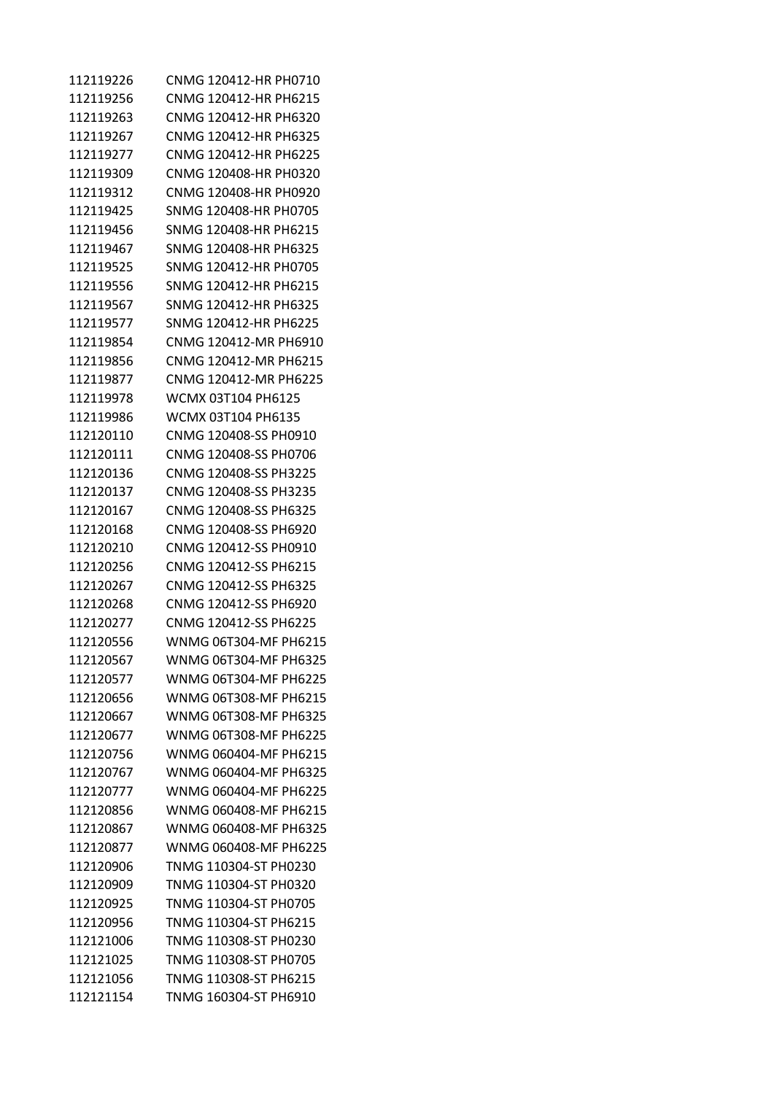| 112119226 | CNMG 120412-HR PH0710 |
|-----------|-----------------------|
| 112119256 | CNMG 120412-HR PH6215 |
| 112119263 | CNMG 120412-HR PH6320 |
| 112119267 | CNMG 120412-HR PH6325 |
| 112119277 | CNMG 120412-HR PH6225 |
| 112119309 | CNMG 120408-HR PH0320 |
| 112119312 | CNMG 120408-HR PH0920 |
| 112119425 | SNMG 120408-HR PH0705 |
| 112119456 | SNMG 120408-HR PH6215 |
| 112119467 | SNMG 120408-HR PH6325 |
| 112119525 | SNMG 120412-HR PH0705 |
| 112119556 | SNMG 120412-HR PH6215 |
| 112119567 | SNMG 120412-HR PH6325 |
| 112119577 | SNMG 120412-HR PH6225 |
| 112119854 | CNMG 120412-MR PH6910 |
| 112119856 | CNMG 120412-MR PH6215 |
| 112119877 | CNMG 120412-MR PH6225 |
| 112119978 | WCMX 03T104 PH6125    |
| 112119986 | WCMX 03T104 PH6135    |
| 112120110 | CNMG 120408-SS PH0910 |
| 112120111 | CNMG 120408-SS PH0706 |
| 112120136 | CNMG 120408-SS PH3225 |
| 112120137 | CNMG 120408-SS PH3235 |
| 112120167 | CNMG 120408-SS PH6325 |
| 112120168 | CNMG 120408-SS PH6920 |
| 112120210 | CNMG 120412-SS PH0910 |
| 112120256 | CNMG 120412-SS PH6215 |
| 112120267 | CNMG 120412-SS PH6325 |
| 112120268 | CNMG 120412-SS PH6920 |
| 112120277 | CNMG 120412-SS PH6225 |
| 112120556 | WNMG 06T304-MF PH6215 |
| 112120567 | WNMG 06T304-MF PH6325 |
| 112120577 | WNMG 06T304-MF PH6225 |
| 112120656 | WNMG 06T308-MF PH6215 |
| 112120667 | WNMG 06T308-MF PH6325 |
| 112120677 | WNMG 06T308-MF PH6225 |
| 112120756 | WNMG 060404-MF PH6215 |
| 112120767 | WNMG 060404-MF PH6325 |
| 112120777 | WNMG 060404-MF PH6225 |
| 112120856 | WNMG 060408-MF PH6215 |
| 112120867 | WNMG 060408-MF PH6325 |
| 112120877 | WNMG 060408-MF PH6225 |
| 112120906 | TNMG 110304-ST PH0230 |
| 112120909 | TNMG 110304-ST PH0320 |
| 112120925 | TNMG 110304-ST PH0705 |
| 112120956 | TNMG 110304-ST PH6215 |
| 112121006 | TNMG 110308-ST PH0230 |
| 112121025 | TNMG 110308-ST PH0705 |
| 112121056 | TNMG 110308-ST PH6215 |
| 112121154 | TNMG 160304-ST PH6910 |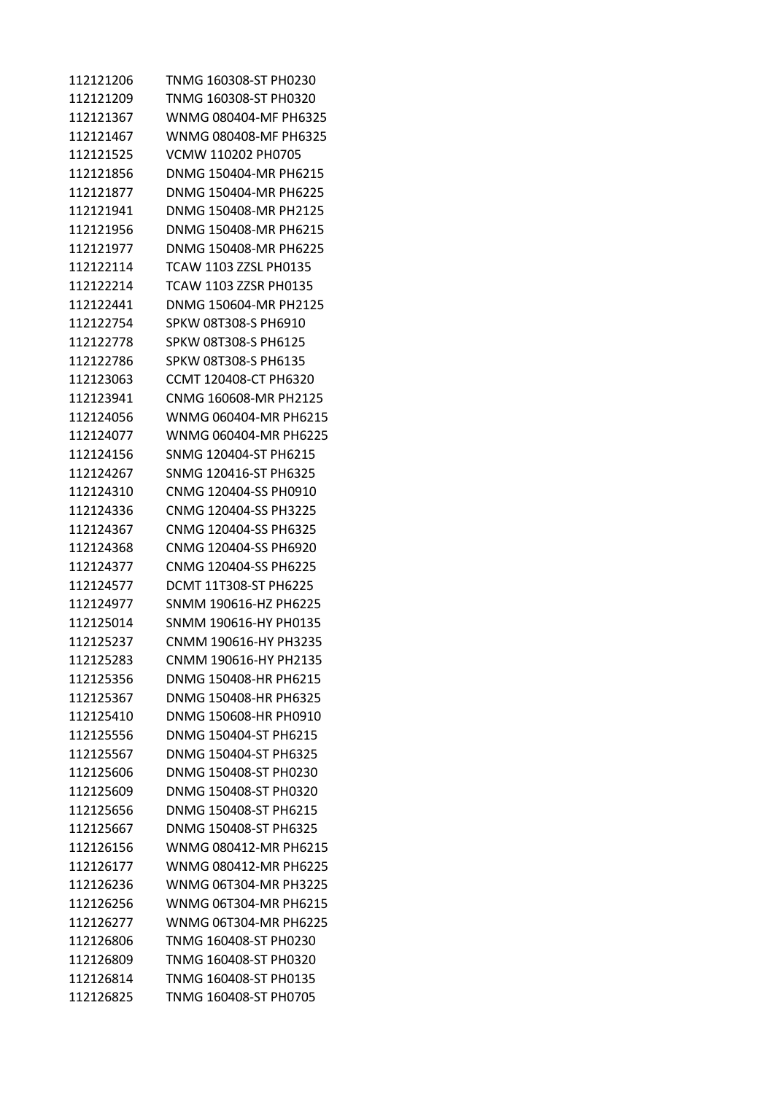| 112121206 | TNMG 160308-ST PH0230 |
|-----------|-----------------------|
| 112121209 | TNMG 160308-ST PH0320 |
| 112121367 | WNMG 080404-MF PH6325 |
| 112121467 | WNMG 080408-MF PH6325 |
| 112121525 | VCMW 110202 PH0705    |
| 112121856 | DNMG 150404-MR PH6215 |
| 112121877 | DNMG 150404-MR PH6225 |
| 112121941 | DNMG 150408-MR PH2125 |
| 112121956 | DNMG 150408-MR PH6215 |
| 112121977 | DNMG 150408-MR PH6225 |
| 112122114 | TCAW 1103 ZZSL PH0135 |
| 112122214 | TCAW 1103 ZZSR PH0135 |
| 112122441 | DNMG 150604-MR PH2125 |
| 112122754 | SPKW 08T308-S PH6910  |
| 112122778 | SPKW 08T308-S PH6125  |
| 112122786 | SPKW 08T308-S PH6135  |
| 112123063 | CCMT 120408-CT PH6320 |
| 112123941 | CNMG 160608-MR PH2125 |
| 112124056 | WNMG 060404-MR PH6215 |
| 112124077 | WNMG 060404-MR PH6225 |
| 112124156 | SNMG 120404-ST PH6215 |
| 112124267 |                       |
|           | SNMG 120416-ST PH6325 |
| 112124310 | CNMG 120404-SS PH0910 |
| 112124336 | CNMG 120404-SS PH3225 |
| 112124367 | CNMG 120404-SS PH6325 |
| 112124368 | CNMG 120404-SS PH6920 |
| 112124377 | CNMG 120404-SS PH6225 |
| 112124577 | DCMT 11T308-ST PH6225 |
| 112124977 | SNMM 190616-HZ PH6225 |
| 112125014 | SNMM 190616-HY PH0135 |
| 112125237 | CNMM 190616-HY PH3235 |
| 112125283 | CNMM 190616-HY PH2135 |
| 112125356 | DNMG 150408-HR PH6215 |
| 112125367 | DNMG 150408-HR PH6325 |
| 112125410 | DNMG 150608-HR PH0910 |
| 112125556 | DNMG 150404-ST PH6215 |
| 112125567 | DNMG 150404-ST PH6325 |
| 112125606 | DNMG 150408-ST PH0230 |
| 112125609 | DNMG 150408-ST PH0320 |
| 112125656 | DNMG 150408-ST PH6215 |
| 112125667 | DNMG 150408-ST PH6325 |
| 112126156 | WNMG 080412-MR PH6215 |
| 112126177 | WNMG 080412-MR PH6225 |
| 112126236 | WNMG 06T304-MR PH3225 |
| 112126256 | WNMG 06T304-MR PH6215 |
| 112126277 | WNMG 06T304-MR PH6225 |
| 112126806 | TNMG 160408-ST PH0230 |
| 112126809 | TNMG 160408-ST PH0320 |
| 112126814 | TNMG 160408-ST PH0135 |
| 112126825 | TNMG 160408-ST PH0705 |
|           |                       |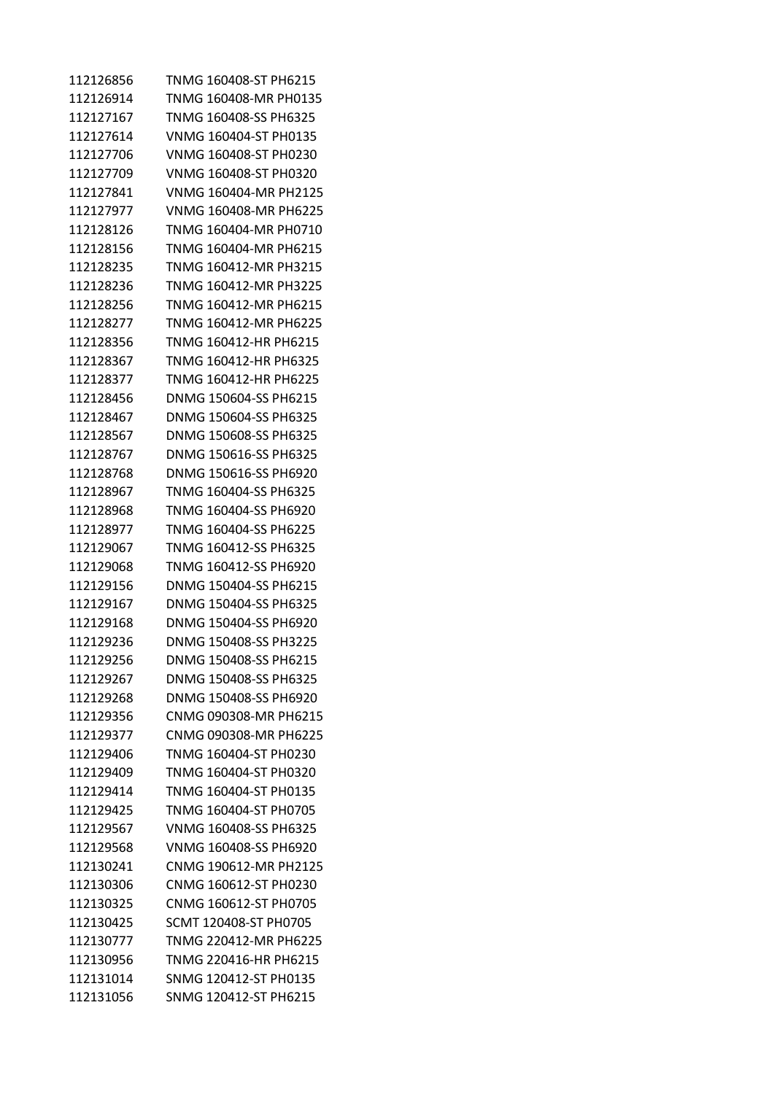| 112126856 | TNMG 160408-ST PH6215 |
|-----------|-----------------------|
| 112126914 | TNMG 160408-MR PH0135 |
| 112127167 | TNMG 160408-SS PH6325 |
| 112127614 | VNMG 160404-ST PH0135 |
| 112127706 | VNMG 160408-ST PH0230 |
| 112127709 | VNMG 160408-ST PH0320 |
| 112127841 | VNMG 160404-MR PH2125 |
| 112127977 | VNMG 160408-MR PH6225 |
| 112128126 | TNMG 160404-MR PH0710 |
| 112128156 | TNMG 160404-MR PH6215 |
| 112128235 | TNMG 160412-MR PH3215 |
| 112128236 | TNMG 160412-MR PH3225 |
| 112128256 | TNMG 160412-MR PH6215 |
| 112128277 | TNMG 160412-MR PH6225 |
| 112128356 | TNMG 160412-HR PH6215 |
| 112128367 | TNMG 160412-HR PH6325 |
| 112128377 | TNMG 160412-HR PH6225 |
| 112128456 | DNMG 150604-SS PH6215 |
| 112128467 | DNMG 150604-SS PH6325 |
| 112128567 | DNMG 150608-SS PH6325 |
| 112128767 | DNMG 150616-SS PH6325 |
| 112128768 | DNMG 150616-SS PH6920 |
| 112128967 | TNMG 160404-SS PH6325 |
| 112128968 | TNMG 160404-SS PH6920 |
| 112128977 | TNMG 160404-SS PH6225 |
| 112129067 | TNMG 160412-SS PH6325 |
| 112129068 | TNMG 160412-SS PH6920 |
| 112129156 | DNMG 150404-SS PH6215 |
| 112129167 | DNMG 150404-SS PH6325 |
| 112129168 | DNMG 150404-SS PH6920 |
| 112129236 | DNMG 150408-SS PH3225 |
| 112129256 | DNMG 150408-SS PH6215 |
| 112129267 | DNMG 150408-SS PH6325 |
| 112129268 | DNMG 150408-SS PH6920 |
| 112129356 | CNMG 090308-MR PH6215 |
| 112129377 | CNMG 090308-MR PH6225 |
| 112129406 | TNMG 160404-ST PH0230 |
| 112129409 | TNMG 160404-ST PH0320 |
| 112129414 | TNMG 160404-ST PH0135 |
| 112129425 | TNMG 160404-ST PH0705 |
| 112129567 | VNMG 160408-SS PH6325 |
| 112129568 | VNMG 160408-SS PH6920 |
| 112130241 | CNMG 190612-MR PH2125 |
| 112130306 | CNMG 160612-ST PH0230 |
| 112130325 | CNMG 160612-ST PH0705 |
| 112130425 | SCMT 120408-ST PH0705 |
| 112130777 | TNMG 220412-MR PH6225 |
| 112130956 | TNMG 220416-HR PH6215 |
| 112131014 | SNMG 120412-ST PH0135 |
| 112131056 | SNMG 120412-ST PH6215 |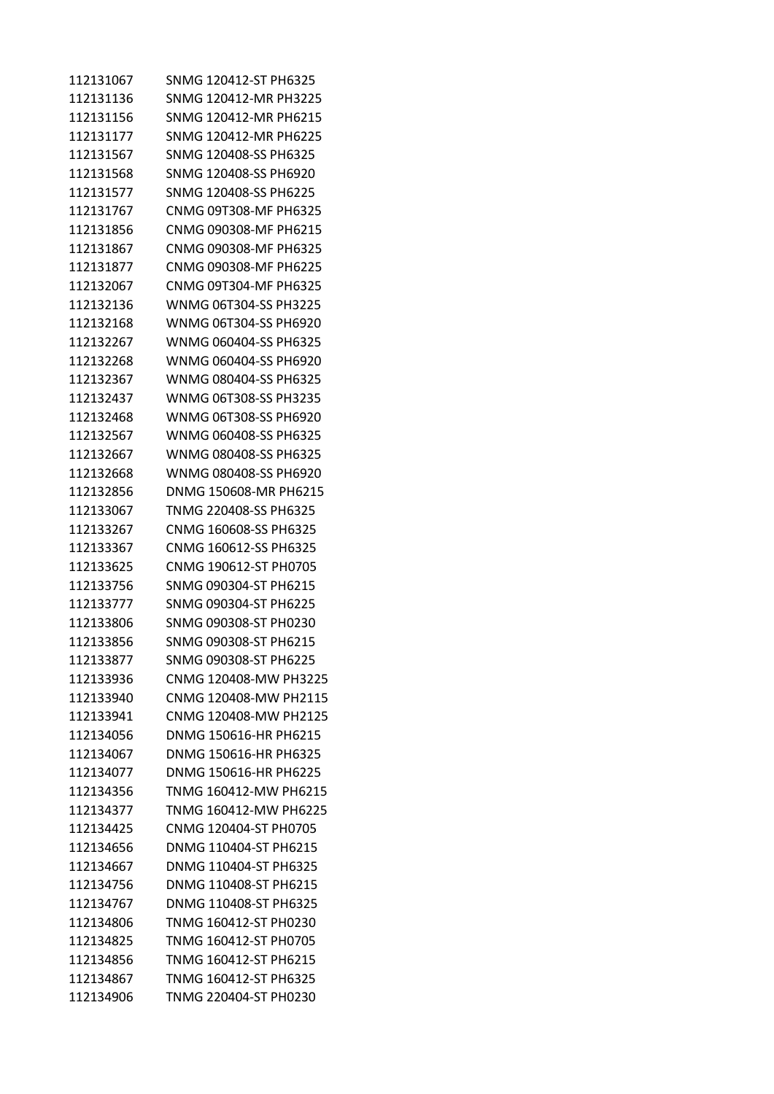| SNMG 120412-MR PH3225<br>SNMG 120412-MR PH6215<br>SNMG 120412-MR PH6225<br>SNMG 120408-SS PH6325<br>SNMG 120408-SS PH6920<br>SNMG 120408-SS PH6225<br>CNMG 09T308-MF PH6325<br>CNMG 090308-MF PH6215<br>CNMG 090308-MF PH6325<br>CNMG 090308-MF PH6225<br>CNMG 09T304-MF PH6325<br>WNMG 06T304-SS PH3225<br>WNMG 06T304-SS PH6920<br>WNMG 060404-SS PH6325<br>WNMG 060404-SS PH6920<br>WNMG 080404-SS PH6325<br>WNMG 06T308-SS PH3235<br>WNMG 06T308-SS PH6920<br>WNMG 060408-SS PH6325<br>WNMG 080408-SS PH6325<br>WNMG 080408-SS PH6920<br>DNMG 150608-MR PH6215<br>TNMG 220408-SS PH6325<br>CNMG 160608-SS PH6325<br>CNMG 160612-SS PH6325 |
|-----------------------------------------------------------------------------------------------------------------------------------------------------------------------------------------------------------------------------------------------------------------------------------------------------------------------------------------------------------------------------------------------------------------------------------------------------------------------------------------------------------------------------------------------------------------------------------------------------------------------------------------------|
|                                                                                                                                                                                                                                                                                                                                                                                                                                                                                                                                                                                                                                               |
|                                                                                                                                                                                                                                                                                                                                                                                                                                                                                                                                                                                                                                               |
|                                                                                                                                                                                                                                                                                                                                                                                                                                                                                                                                                                                                                                               |
|                                                                                                                                                                                                                                                                                                                                                                                                                                                                                                                                                                                                                                               |
|                                                                                                                                                                                                                                                                                                                                                                                                                                                                                                                                                                                                                                               |
|                                                                                                                                                                                                                                                                                                                                                                                                                                                                                                                                                                                                                                               |
|                                                                                                                                                                                                                                                                                                                                                                                                                                                                                                                                                                                                                                               |
|                                                                                                                                                                                                                                                                                                                                                                                                                                                                                                                                                                                                                                               |
|                                                                                                                                                                                                                                                                                                                                                                                                                                                                                                                                                                                                                                               |
|                                                                                                                                                                                                                                                                                                                                                                                                                                                                                                                                                                                                                                               |
|                                                                                                                                                                                                                                                                                                                                                                                                                                                                                                                                                                                                                                               |
|                                                                                                                                                                                                                                                                                                                                                                                                                                                                                                                                                                                                                                               |
|                                                                                                                                                                                                                                                                                                                                                                                                                                                                                                                                                                                                                                               |
|                                                                                                                                                                                                                                                                                                                                                                                                                                                                                                                                                                                                                                               |
|                                                                                                                                                                                                                                                                                                                                                                                                                                                                                                                                                                                                                                               |
|                                                                                                                                                                                                                                                                                                                                                                                                                                                                                                                                                                                                                                               |
|                                                                                                                                                                                                                                                                                                                                                                                                                                                                                                                                                                                                                                               |
|                                                                                                                                                                                                                                                                                                                                                                                                                                                                                                                                                                                                                                               |
|                                                                                                                                                                                                                                                                                                                                                                                                                                                                                                                                                                                                                                               |
|                                                                                                                                                                                                                                                                                                                                                                                                                                                                                                                                                                                                                                               |
|                                                                                                                                                                                                                                                                                                                                                                                                                                                                                                                                                                                                                                               |
|                                                                                                                                                                                                                                                                                                                                                                                                                                                                                                                                                                                                                                               |
|                                                                                                                                                                                                                                                                                                                                                                                                                                                                                                                                                                                                                                               |
|                                                                                                                                                                                                                                                                                                                                                                                                                                                                                                                                                                                                                                               |
|                                                                                                                                                                                                                                                                                                                                                                                                                                                                                                                                                                                                                                               |
| CNMG 190612-ST PH0705                                                                                                                                                                                                                                                                                                                                                                                                                                                                                                                                                                                                                         |
| SNMG 090304-ST PH6215                                                                                                                                                                                                                                                                                                                                                                                                                                                                                                                                                                                                                         |
| SNMG 090304-ST PH6225                                                                                                                                                                                                                                                                                                                                                                                                                                                                                                                                                                                                                         |
| SNMG 090308-ST PH0230                                                                                                                                                                                                                                                                                                                                                                                                                                                                                                                                                                                                                         |
| SNMG 090308-ST PH6215                                                                                                                                                                                                                                                                                                                                                                                                                                                                                                                                                                                                                         |
| SNMG 090308-ST PH6225                                                                                                                                                                                                                                                                                                                                                                                                                                                                                                                                                                                                                         |
| CNMG 120408-MW PH3225                                                                                                                                                                                                                                                                                                                                                                                                                                                                                                                                                                                                                         |
| CNMG 120408-MW PH2115                                                                                                                                                                                                                                                                                                                                                                                                                                                                                                                                                                                                                         |
| CNMG 120408-MW PH2125                                                                                                                                                                                                                                                                                                                                                                                                                                                                                                                                                                                                                         |
| DNMG 150616-HR PH6215                                                                                                                                                                                                                                                                                                                                                                                                                                                                                                                                                                                                                         |
| DNMG 150616-HR PH6325                                                                                                                                                                                                                                                                                                                                                                                                                                                                                                                                                                                                                         |
| DNMG 150616-HR PH6225                                                                                                                                                                                                                                                                                                                                                                                                                                                                                                                                                                                                                         |
| TNMG 160412-MW PH6215                                                                                                                                                                                                                                                                                                                                                                                                                                                                                                                                                                                                                         |
| TNMG 160412-MW PH6225                                                                                                                                                                                                                                                                                                                                                                                                                                                                                                                                                                                                                         |
| CNMG 120404-ST PH0705                                                                                                                                                                                                                                                                                                                                                                                                                                                                                                                                                                                                                         |
| DNMG 110404-ST PH6215                                                                                                                                                                                                                                                                                                                                                                                                                                                                                                                                                                                                                         |
| DNMG 110404-ST PH6325                                                                                                                                                                                                                                                                                                                                                                                                                                                                                                                                                                                                                         |
| DNMG 110408-ST PH6215                                                                                                                                                                                                                                                                                                                                                                                                                                                                                                                                                                                                                         |
| DNMG 110408-ST PH6325                                                                                                                                                                                                                                                                                                                                                                                                                                                                                                                                                                                                                         |
| TNMG 160412-ST PH0230                                                                                                                                                                                                                                                                                                                                                                                                                                                                                                                                                                                                                         |
| TNMG 160412-ST PH0705                                                                                                                                                                                                                                                                                                                                                                                                                                                                                                                                                                                                                         |
| TNMG 160412-ST PH6215                                                                                                                                                                                                                                                                                                                                                                                                                                                                                                                                                                                                                         |
| TNMG 160412-ST PH6325                                                                                                                                                                                                                                                                                                                                                                                                                                                                                                                                                                                                                         |
|                                                                                                                                                                                                                                                                                                                                                                                                                                                                                                                                                                                                                                               |
|                                                                                                                                                                                                                                                                                                                                                                                                                                                                                                                                                                                                                                               |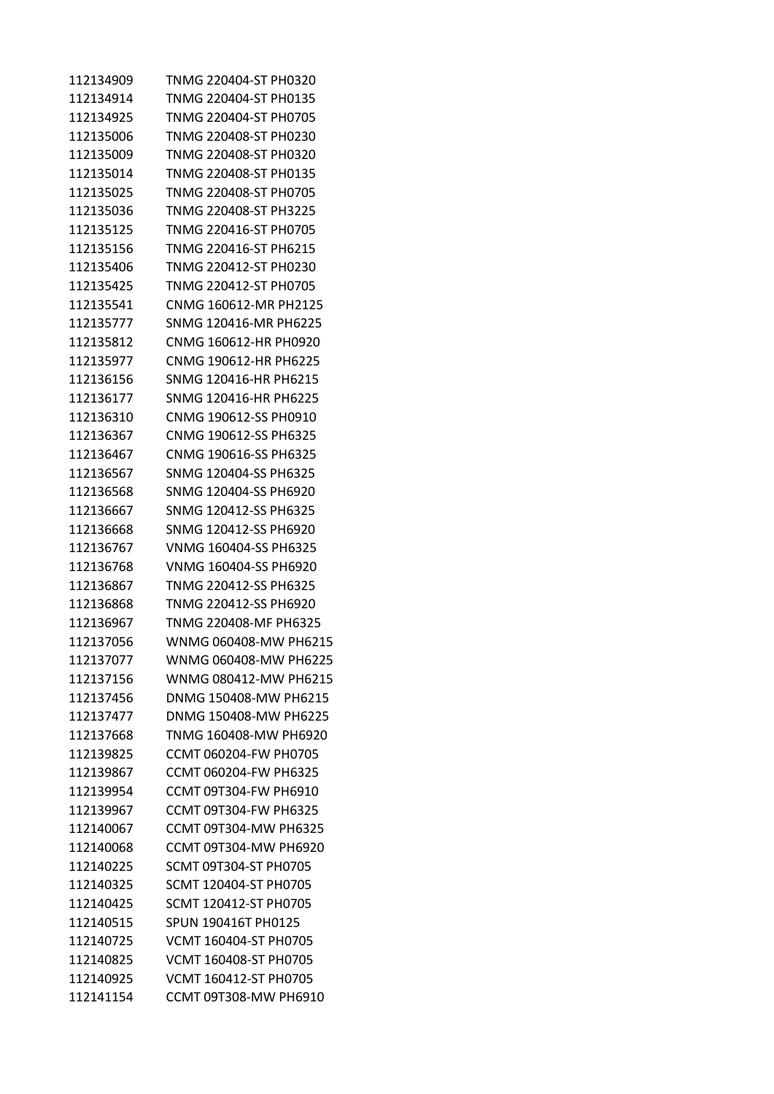| 112134909 | TNMG 220404-ST PH0320        |
|-----------|------------------------------|
| 112134914 | TNMG 220404-ST PH0135        |
| 112134925 | TNMG 220404-ST PH0705        |
| 112135006 | TNMG 220408-ST PH0230        |
| 112135009 | TNMG 220408-ST PH0320        |
| 112135014 | TNMG 220408-ST PH0135        |
| 112135025 | TNMG 220408-ST PH0705        |
| 112135036 | TNMG 220408-ST PH3225        |
| 112135125 | TNMG 220416-ST PH0705        |
| 112135156 | TNMG 220416-ST PH6215        |
| 112135406 | TNMG 220412-ST PH0230        |
| 112135425 | TNMG 220412-ST PH0705        |
| 112135541 | CNMG 160612-MR PH2125        |
| 112135777 | SNMG 120416-MR PH6225        |
| 112135812 | CNMG 160612-HR PH0920        |
| 112135977 | CNMG 190612-HR PH6225        |
| 112136156 | SNMG 120416-HR PH6215        |
| 112136177 | SNMG 120416-HR PH6225        |
| 112136310 | CNMG 190612-SS PH0910        |
| 112136367 | CNMG 190612-SS PH6325        |
| 112136467 | CNMG 190616-SS PH6325        |
| 112136567 | SNMG 120404-SS PH6325        |
| 112136568 | SNMG 120404-SS PH6920        |
| 112136667 | SNMG 120412-SS PH6325        |
| 112136668 | SNMG 120412-SS PH6920        |
| 112136767 | VNMG 160404-SS PH6325        |
| 112136768 | VNMG 160404-SS PH6920        |
| 112136867 | TNMG 220412-SS PH6325        |
| 112136868 | TNMG 220412-SS PH6920        |
| 112136967 | TNMG 220408-MF PH6325        |
| 112137056 | WNMG 060408-MW PH6215        |
| 112137077 | WNMG 060408-MW PH6225        |
| 112137156 | WNMG 080412-MW PH6215        |
| 112137456 | DNMG 150408-MW PH6215        |
| 112137477 | DNMG 150408-MW PH6225        |
| 112137668 | TNMG 160408-MW PH6920        |
| 112139825 | CCMT 060204-FW PH0705        |
| 112139867 | CCMT 060204-FW PH6325        |
| 112139954 | CCMT 09T304-FW PH6910        |
| 112139967 | CCMT 09T304-FW PH6325        |
| 112140067 | <b>CCMT 09T304-MW PH6325</b> |
| 112140068 | CCMT 09T304-MW PH6920        |
| 112140225 | SCMT 09T304-ST PH0705        |
| 112140325 | SCMT 120404-ST PH0705        |
| 112140425 | SCMT 120412-ST PH0705        |
| 112140515 | SPUN 190416T PH0125          |
| 112140725 | VCMT 160404-ST PH0705        |
| 112140825 | VCMT 160408-ST PH0705        |
| 112140925 | VCMT 160412-ST PH0705        |
| 112141154 | CCMT 09T308-MW PH6910        |
|           |                              |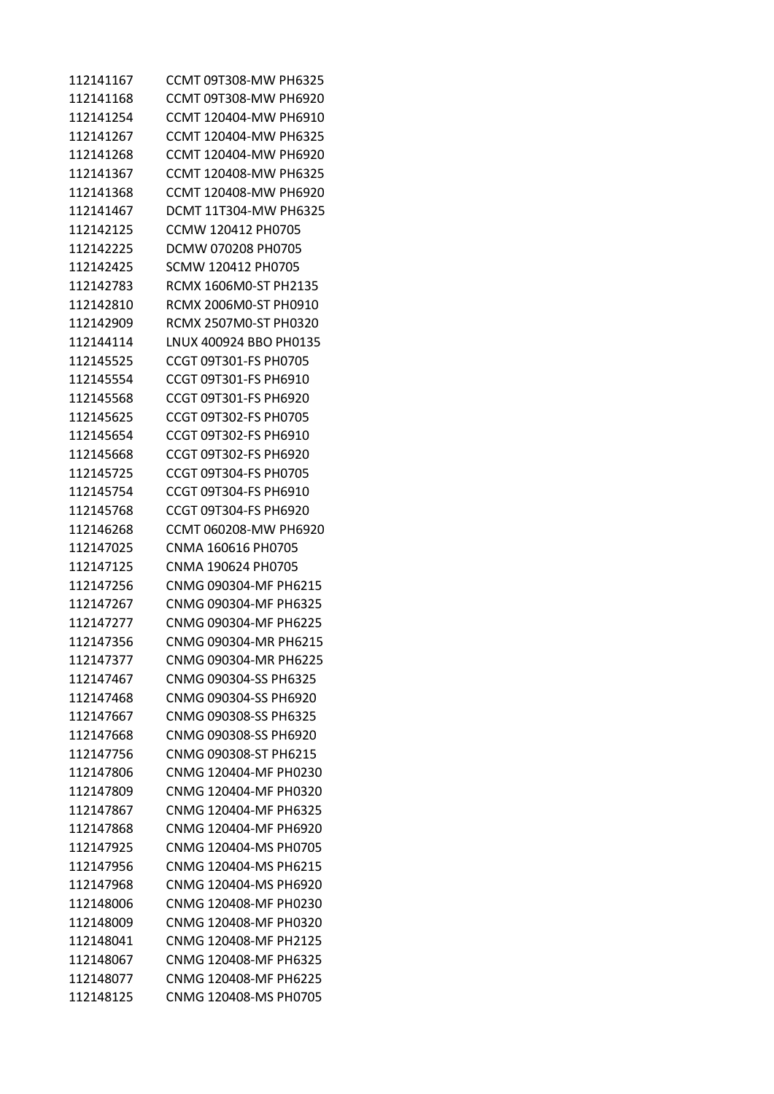| 112141167 | CCMT 09T308-MW PH6325  |
|-----------|------------------------|
| 112141168 | CCMT 09T308-MW PH6920  |
| 112141254 | CCMT 120404-MW PH6910  |
| 112141267 | CCMT 120404-MW PH6325  |
| 112141268 | CCMT 120404-MW PH6920  |
| 112141367 | CCMT 120408-MW PH6325  |
| 112141368 | CCMT 120408-MW PH6920  |
| 112141467 | DCMT 11T304-MW PH6325  |
| 112142125 | CCMW 120412 PH0705     |
| 112142225 | DCMW 070208 PH0705     |
| 112142425 | SCMW 120412 PH0705     |
| 112142783 | RCMX 1606M0-ST PH2135  |
| 112142810 | RCMX 2006M0-ST PH0910  |
| 112142909 | RCMX 2507M0-ST PH0320  |
| 112144114 | LNUX 400924 BBO PH0135 |
| 112145525 | CCGT 09T301-FS PH0705  |
| 112145554 | CCGT 09T301-FS PH6910  |
| 112145568 | CCGT 09T301-FS PH6920  |
| 112145625 | CCGT 09T302-FS PH0705  |
| 112145654 | CCGT 09T302-FS PH6910  |
| 112145668 | CCGT 09T302-FS PH6920  |
| 112145725 | CCGT 09T304-FS PH0705  |
| 112145754 | CCGT 09T304-FS PH6910  |
| 112145768 | CCGT 09T304-FS PH6920  |
| 112146268 | CCMT 060208-MW PH6920  |
| 112147025 | CNMA 160616 PH0705     |
| 112147125 | CNMA 190624 PH0705     |
| 112147256 | CNMG 090304-MF PH6215  |
| 112147267 | CNMG 090304-MF PH6325  |
| 112147277 | CNMG 090304-MF PH6225  |
| 112147356 | CNMG 090304-MR PH6215  |
| 112147377 | CNMG 090304-MR PH6225  |
| 112147467 | CNMG 090304-SS PH6325  |
| 112147468 | CNMG 090304-SS PH6920  |
| 112147667 | CNMG 090308-SS PH6325  |
| 112147668 | CNMG 090308-SS PH6920  |
| 112147756 | CNMG 090308-ST PH6215  |
| 112147806 | CNMG 120404-MF PH0230  |
| 112147809 | CNMG 120404-MF PH0320  |
| 112147867 | CNMG 120404-MF PH6325  |
| 112147868 | CNMG 120404-MF PH6920  |
| 112147925 | CNMG 120404-MS PH0705  |
| 112147956 | CNMG 120404-MS PH6215  |
| 112147968 | CNMG 120404-MS PH6920  |
| 112148006 | CNMG 120408-MF PH0230  |
| 112148009 | CNMG 120408-MF PH0320  |
| 112148041 | CNMG 120408-MF PH2125  |
| 112148067 | CNMG 120408-MF PH6325  |
| 112148077 | CNMG 120408-MF PH6225  |
| 112148125 | CNMG 120408-MS PH0705  |
|           |                        |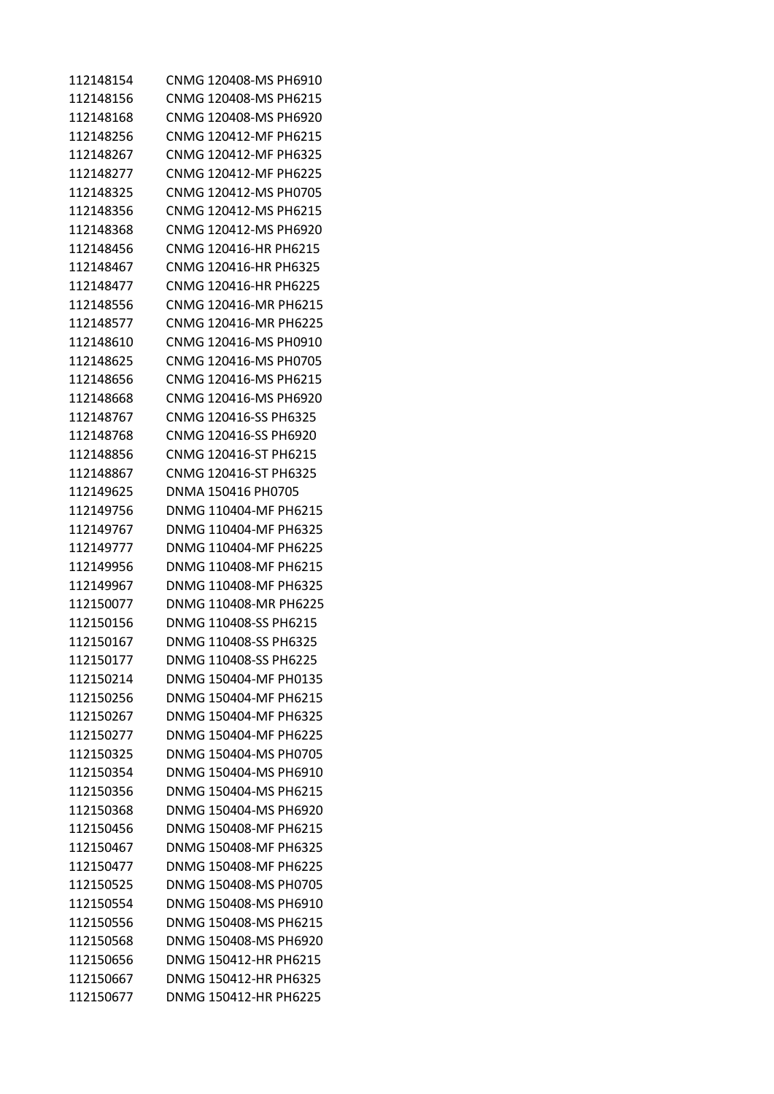| 112148154 | CNMG 120408-MS PH6910 |
|-----------|-----------------------|
| 112148156 | CNMG 120408-MS PH6215 |
| 112148168 | CNMG 120408-MS PH6920 |
| 112148256 | CNMG 120412-MF PH6215 |
| 112148267 | CNMG 120412-MF PH6325 |
| 112148277 | CNMG 120412-MF PH6225 |
| 112148325 | CNMG 120412-MS PH0705 |
| 112148356 | CNMG 120412-MS PH6215 |
| 112148368 | CNMG 120412-MS PH6920 |
| 112148456 | CNMG 120416-HR PH6215 |
| 112148467 | CNMG 120416-HR PH6325 |
| 112148477 | CNMG 120416-HR PH6225 |
| 112148556 | CNMG 120416-MR PH6215 |
| 112148577 | CNMG 120416-MR PH6225 |
| 112148610 | CNMG 120416-MS PH0910 |
| 112148625 | CNMG 120416-MS PH0705 |
| 112148656 | CNMG 120416-MS PH6215 |
| 112148668 | CNMG 120416-MS PH6920 |
| 112148767 | CNMG 120416-SS PH6325 |
| 112148768 | CNMG 120416-SS PH6920 |
| 112148856 | CNMG 120416-ST PH6215 |
| 112148867 | CNMG 120416-ST PH6325 |
| 112149625 | DNMA 150416 PH0705    |
| 112149756 | DNMG 110404-MF PH6215 |
| 112149767 | DNMG 110404-MF PH6325 |
| 112149777 | DNMG 110404-MF PH6225 |
| 112149956 | DNMG 110408-MF PH6215 |
| 112149967 | DNMG 110408-MF PH6325 |
| 112150077 | DNMG 110408-MR PH6225 |
| 112150156 | DNMG 110408-SS PH6215 |
| 112150167 | DNMG 110408-SS PH6325 |
| 112150177 | DNMG 110408-SS PH6225 |
| 112150214 | DNMG 150404-MF PH0135 |
| 112150256 | DNMG 150404-MF PH6215 |
| 112150267 | DNMG 150404-MF PH6325 |
| 112150277 | DNMG 150404-MF PH6225 |
| 112150325 | DNMG 150404-MS PH0705 |
| 112150354 | DNMG 150404-MS PH6910 |
| 112150356 | DNMG 150404-MS PH6215 |
| 112150368 | DNMG 150404-MS PH6920 |
| 112150456 | DNMG 150408-MF PH6215 |
| 112150467 | DNMG 150408-MF PH6325 |
| 112150477 | DNMG 150408-MF PH6225 |
| 112150525 | DNMG 150408-MS PH0705 |
| 112150554 | DNMG 150408-MS PH6910 |
| 112150556 | DNMG 150408-MS PH6215 |
| 112150568 | DNMG 150408-MS PH6920 |
| 112150656 | DNMG 150412-HR PH6215 |
| 112150667 | DNMG 150412-HR PH6325 |
| 112150677 | DNMG 150412-HR PH6225 |
|           |                       |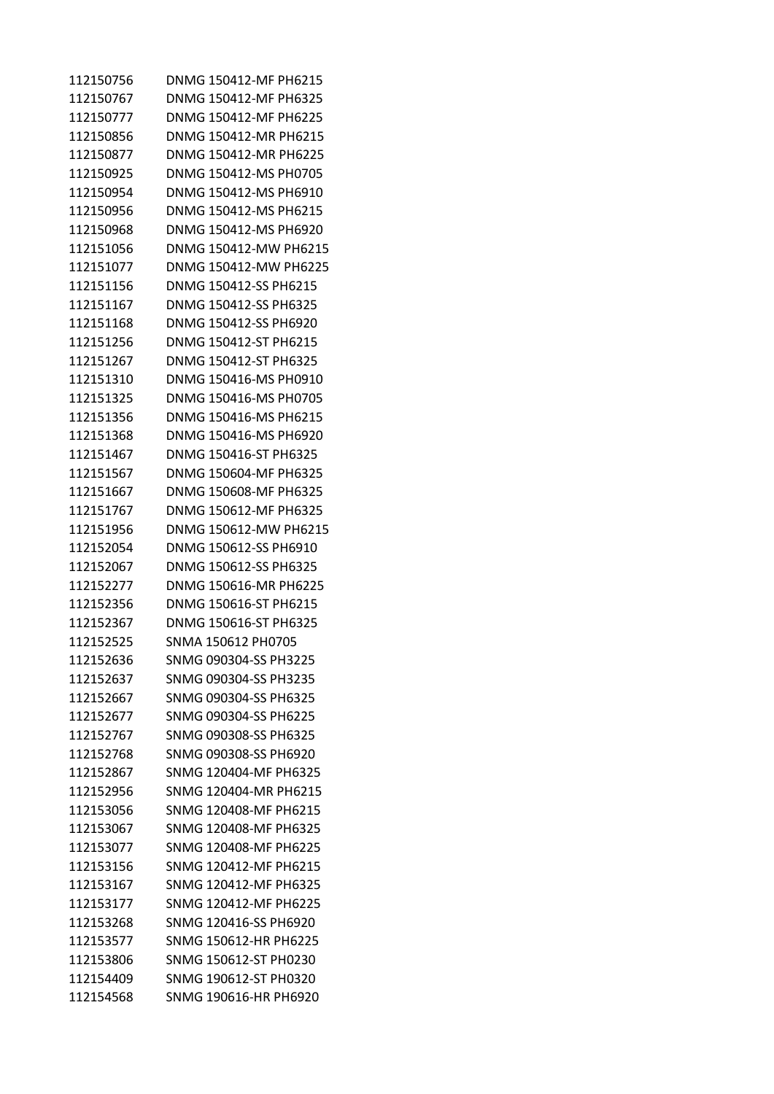| 112150756 | DNMG 150412-MF PH6215 |
|-----------|-----------------------|
| 112150767 | DNMG 150412-MF PH6325 |
| 112150777 | DNMG 150412-MF PH6225 |
| 112150856 | DNMG 150412-MR PH6215 |
| 112150877 | DNMG 150412-MR PH6225 |
| 112150925 | DNMG 150412-MS PH0705 |
| 112150954 | DNMG 150412-MS PH6910 |
| 112150956 | DNMG 150412-MS PH6215 |
| 112150968 | DNMG 150412-MS PH6920 |
| 112151056 | DNMG 150412-MW PH6215 |
| 112151077 | DNMG 150412-MW PH6225 |
| 112151156 | DNMG 150412-SS PH6215 |
| 112151167 | DNMG 150412-SS PH6325 |
| 112151168 | DNMG 150412-SS PH6920 |
| 112151256 | DNMG 150412-ST PH6215 |
| 112151267 | DNMG 150412-ST PH6325 |
| 112151310 | DNMG 150416-MS PH0910 |
| 112151325 | DNMG 150416-MS PH0705 |
| 112151356 | DNMG 150416-MS PH6215 |
| 112151368 | DNMG 150416-MS PH6920 |
| 112151467 | DNMG 150416-ST PH6325 |
| 112151567 | DNMG 150604-MF PH6325 |
| 112151667 | DNMG 150608-MF PH6325 |
| 112151767 | DNMG 150612-MF PH6325 |
| 112151956 | DNMG 150612-MW PH6215 |
| 112152054 | DNMG 150612-SS PH6910 |
| 112152067 | DNMG 150612-SS PH6325 |
| 112152277 | DNMG 150616-MR PH6225 |
| 112152356 | DNMG 150616-ST PH6215 |
| 112152367 | DNMG 150616-ST PH6325 |
| 112152525 | SNMA 150612 PH0705    |
| 112152636 | SNMG 090304-SS PH3225 |
| 112152637 | SNMG 090304-SS PH3235 |
| 112152667 | SNMG 090304-SS PH6325 |
| 112152677 | SNMG 090304-SS PH6225 |
| 112152767 | SNMG 090308-SS PH6325 |
| 112152768 | SNMG 090308-SS PH6920 |
| 112152867 | SNMG 120404-MF PH6325 |
| 112152956 | SNMG 120404-MR PH6215 |
| 112153056 | SNMG 120408-MF PH6215 |
| 112153067 | SNMG 120408-MF PH6325 |
| 112153077 | SNMG 120408-MF PH6225 |
| 112153156 | SNMG 120412-MF PH6215 |
| 112153167 | SNMG 120412-MF PH6325 |
| 112153177 | SNMG 120412-MF PH6225 |
| 112153268 | SNMG 120416-SS PH6920 |
| 112153577 | SNMG 150612-HR PH6225 |
| 112153806 | SNMG 150612-ST PH0230 |
| 112154409 | SNMG 190612-ST PH0320 |
| 112154568 | SNMG 190616-HR PH6920 |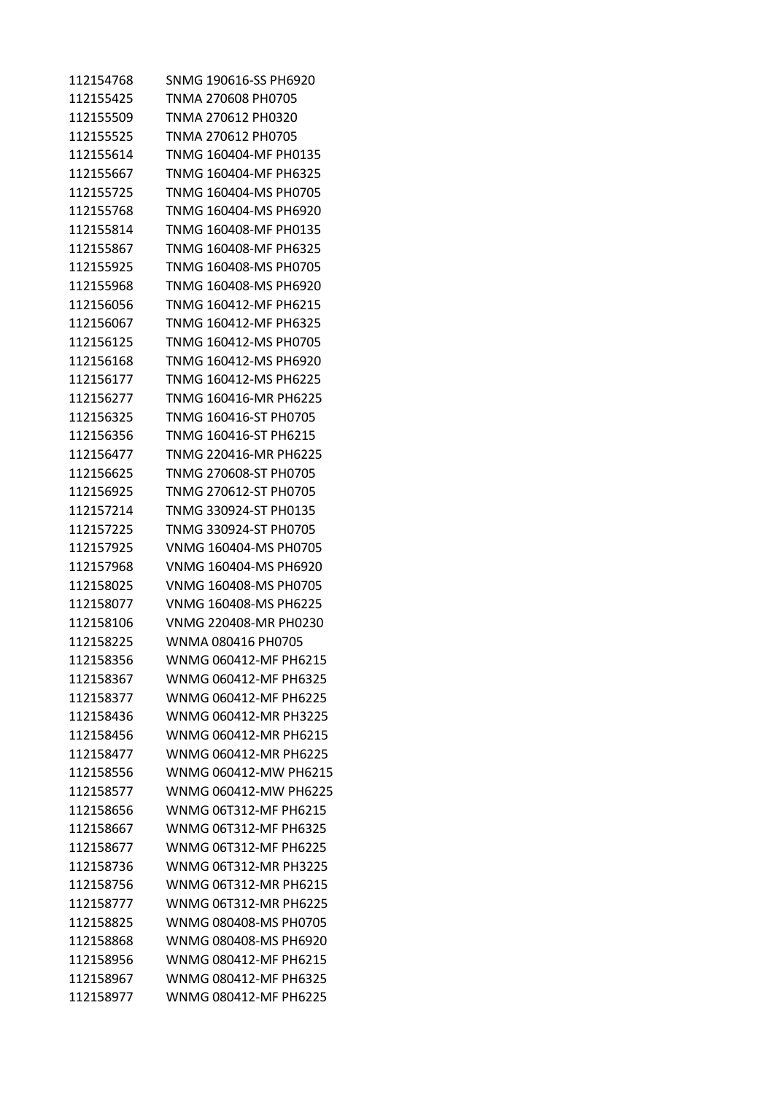| 112154768 | SNMG 190616-SS PH6920 |
|-----------|-----------------------|
| 112155425 | TNMA 270608 PH0705    |
| 112155509 | TNMA 270612 PH0320    |
| 112155525 | TNMA 270612 PH0705    |
| 112155614 | TNMG 160404-MF PH0135 |
| 112155667 | TNMG 160404-MF PH6325 |
| 112155725 | TNMG 160404-MS PH0705 |
| 112155768 | TNMG 160404-MS PH6920 |
| 112155814 | TNMG 160408-MF PH0135 |
| 112155867 | TNMG 160408-MF PH6325 |
| 112155925 | TNMG 160408-MS PH0705 |
| 112155968 | TNMG 160408-MS PH6920 |
| 112156056 | TNMG 160412-MF PH6215 |
| 112156067 | TNMG 160412-MF PH6325 |
| 112156125 | TNMG 160412-MS PH0705 |
| 112156168 | TNMG 160412-MS PH6920 |
| 112156177 | TNMG 160412-MS PH6225 |
| 112156277 | TNMG 160416-MR PH6225 |
| 112156325 | TNMG 160416-ST PH0705 |
| 112156356 | TNMG 160416-ST PH6215 |
| 112156477 | TNMG 220416-MR PH6225 |
| 112156625 | TNMG 270608-ST PH0705 |
| 112156925 | TNMG 270612-ST PH0705 |
| 112157214 | TNMG 330924-ST PH0135 |
| 112157225 | TNMG 330924-ST PH0705 |
| 112157925 | VNMG 160404-MS PH0705 |
| 112157968 | VNMG 160404-MS PH6920 |
| 112158025 | VNMG 160408-MS PH0705 |
| 112158077 | VNMG 160408-MS PH6225 |
| 112158106 | VNMG 220408-MR PH0230 |
| 112158225 | WNMA 080416 PH0705    |
| 112158356 | WNMG 060412-MF PH6215 |
| 112158367 | WNMG 060412-MF PH6325 |
| 112158377 | WNMG 060412-MF PH6225 |
| 112158436 | WNMG 060412-MR PH3225 |
| 112158456 | WNMG 060412-MR PH6215 |
| 112158477 | WNMG 060412-MR PH6225 |
| 112158556 | WNMG 060412-MW PH6215 |
| 112158577 | WNMG 060412-MW PH6225 |
| 112158656 | WNMG 06T312-MF PH6215 |
| 112158667 | WNMG 06T312-MF PH6325 |
| 112158677 | WNMG 06T312-MF PH6225 |
| 112158736 | WNMG 06T312-MR PH3225 |
| 112158756 | WNMG 06T312-MR PH6215 |
| 112158777 | WNMG 06T312-MR PH6225 |
| 112158825 | WNMG 080408-MS PH0705 |
| 112158868 | WNMG 080408-MS PH6920 |
| 112158956 | WNMG 080412-MF PH6215 |
| 112158967 | WNMG 080412-MF PH6325 |
| 112158977 | WNMG 080412-MF PH6225 |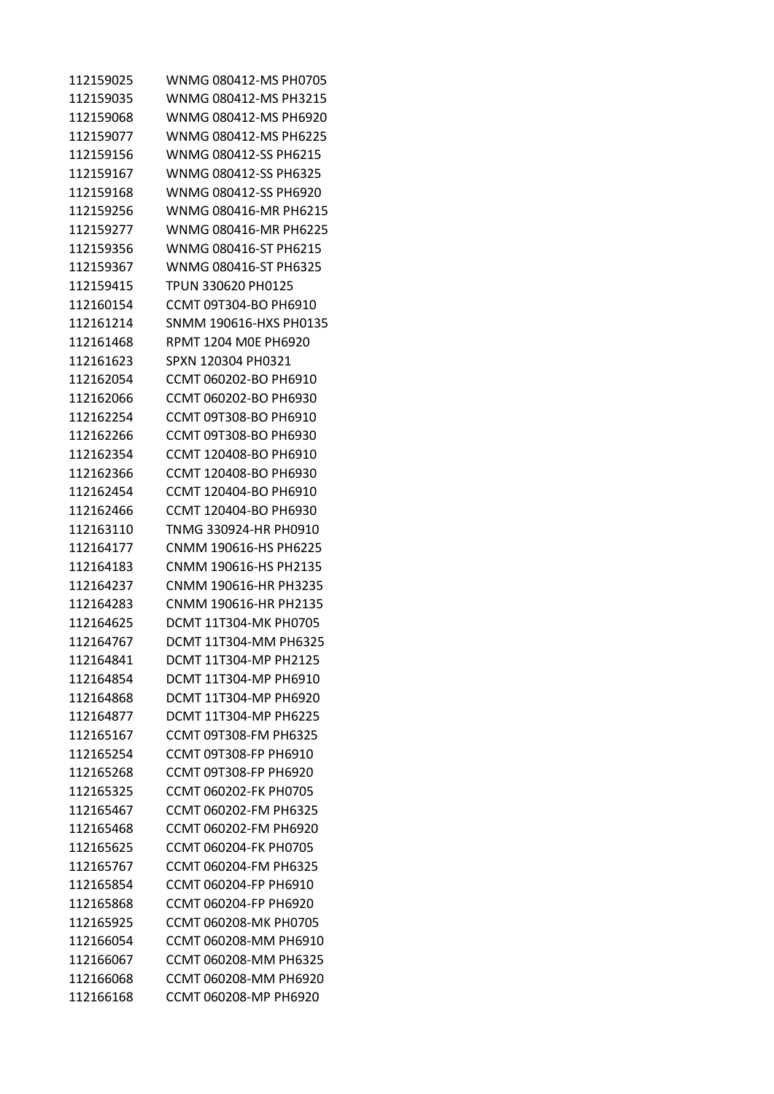| 112159025 | WNMG 080412-MS PH0705        |
|-----------|------------------------------|
| 112159035 | WNMG 080412-MS PH3215        |
| 112159068 | WNMG 080412-MS PH6920        |
| 112159077 | WNMG 080412-MS PH6225        |
| 112159156 | WNMG 080412-SS PH6215        |
| 112159167 | WNMG 080412-SS PH6325        |
| 112159168 | WNMG 080412-SS PH6920        |
| 112159256 | WNMG 080416-MR PH6215        |
| 112159277 | WNMG 080416-MR PH6225        |
| 112159356 | WNMG 080416-ST PH6215        |
| 112159367 | WNMG 080416-ST PH6325        |
| 112159415 | TPUN 330620 PH0125           |
| 112160154 | CCMT 09T304-BO PH6910        |
| 112161214 | SNMM 190616-HXS PH0135       |
| 112161468 | RPMT 1204 M0E PH6920         |
| 112161623 | SPXN 120304 PH0321           |
| 112162054 | CCMT 060202-BO PH6910        |
| 112162066 | CCMT 060202-BO PH6930        |
| 112162254 | CCMT 09T308-BO PH6910        |
| 112162266 | CCMT 09T308-BO PH6930        |
| 112162354 | CCMT 120408-BO PH6910        |
| 112162366 | CCMT 120408-BO PH6930        |
| 112162454 | CCMT 120404-BO PH6910        |
| 112162466 | CCMT 120404-BO PH6930        |
| 112163110 | TNMG 330924-HR PH0910        |
| 112164177 | CNMM 190616-HS PH6225        |
| 112164183 | CNMM 190616-HS PH2135        |
| 112164237 | CNMM 190616-HR PH3235        |
| 112164283 | CNMM 190616-HR PH2135        |
| 112164625 | DCMT 11T304-MK PH0705        |
| 112164767 | DCMT 11T304-MM PH6325        |
| 112164841 | DCMT 11T304-MP PH2125        |
| 112164854 | DCMT 11T304-MP PH6910        |
| 112164868 | DCMT 11T304-MP PH6920        |
| 112164877 | DCMT 11T304-MP PH6225        |
| 112165167 | <b>CCMT 09T308-FM PH6325</b> |
| 112165254 | <b>CCMT 09T308-FP PH6910</b> |
| 112165268 | <b>CCMT 09T308-FP PH6920</b> |
| 112165325 | CCMT 060202-FK PH0705        |
| 112165467 | CCMT 060202-FM PH6325        |
| 112165468 | CCMT 060202-FM PH6920        |
| 112165625 | CCMT 060204-FK PH0705        |
| 112165767 | CCMT 060204-FM PH6325        |
| 112165854 | CCMT 060204-FP PH6910        |
| 112165868 | CCMT 060204-FP PH6920        |
| 112165925 | CCMT 060208-MK PH0705        |
| 112166054 | CCMT 060208-MM PH6910        |
| 112166067 | CCMT 060208-MM PH6325        |
|           |                              |
| 112166068 | CCMT 060208-MM PH6920        |
| 112166168 | CCMT 060208-MP PH6920        |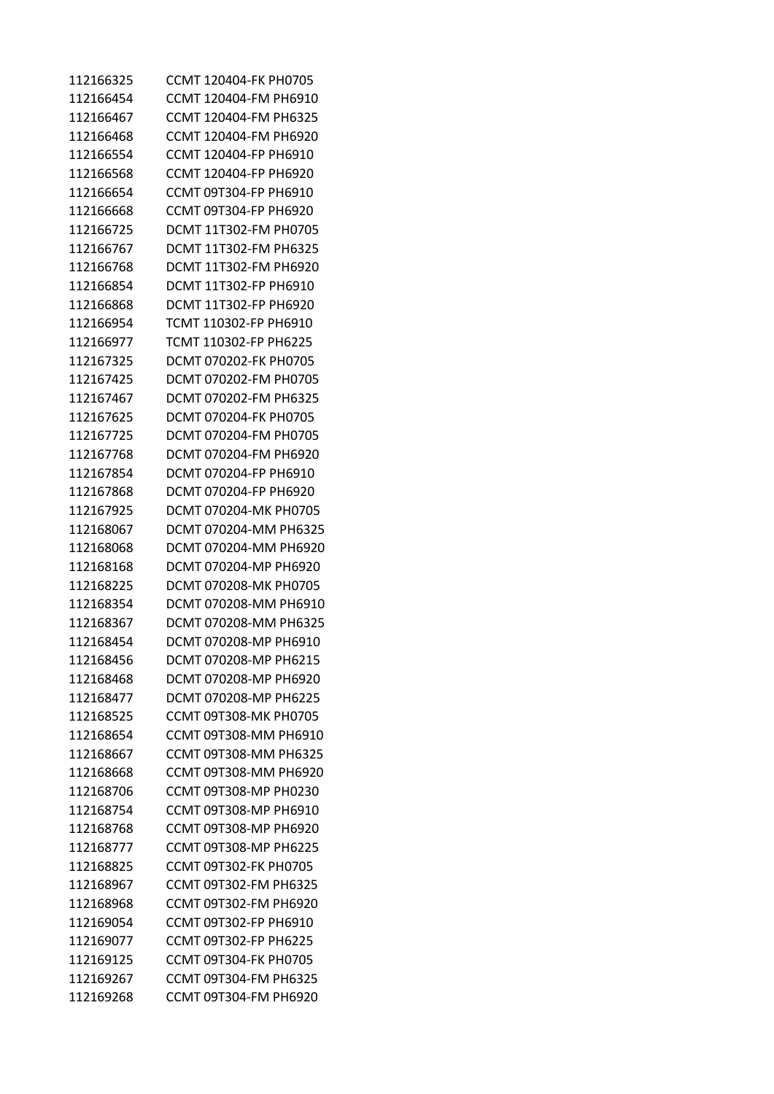| 112166325 | CCMT 120404-FK PH0705 |
|-----------|-----------------------|
| 112166454 | CCMT 120404-FM PH6910 |
| 112166467 | CCMT 120404-FM PH6325 |
| 112166468 | CCMT 120404-FM PH6920 |
| 112166554 | CCMT 120404-FP PH6910 |
| 112166568 | CCMT 120404-FP PH6920 |
| 112166654 | CCMT 09T304-FP PH6910 |
| 112166668 | CCMT 09T304-FP PH6920 |
| 112166725 | DCMT 11T302-FM PH0705 |
| 112166767 | DCMT 11T302-FM PH6325 |
| 112166768 | DCMT 11T302-FM PH6920 |
| 112166854 | DCMT 11T302-FP PH6910 |
| 112166868 | DCMT 11T302-FP PH6920 |
| 112166954 | TCMT 110302-FP PH6910 |
| 112166977 | TCMT 110302-FP PH6225 |
| 112167325 | DCMT 070202-FK PH0705 |
| 112167425 | DCMT 070202-FM PH0705 |
| 112167467 | DCMT 070202-FM PH6325 |
| 112167625 | DCMT 070204-FK PH0705 |
| 112167725 | DCMT 070204-FM PH0705 |
| 112167768 | DCMT 070204-FM PH6920 |
| 112167854 | DCMT 070204-FP PH6910 |
| 112167868 | DCMT 070204-FP PH6920 |
| 112167925 | DCMT 070204-MK PH0705 |
| 112168067 | DCMT 070204-MM PH6325 |
| 112168068 | DCMT 070204-MM PH6920 |
| 112168168 | DCMT 070204-MP PH6920 |
| 112168225 | DCMT 070208-MK PH0705 |
| 112168354 | DCMT 070208-MM PH6910 |
| 112168367 | DCMT 070208-MM PH6325 |
| 112168454 | DCMT 070208-MP PH6910 |
| 112168456 | DCMT 070208-MP PH6215 |
| 112168468 | DCMT 070208-MP PH6920 |
| 112168477 | DCMT 070208-MP PH6225 |
| 112168525 | CCMT 09T308-MK PH0705 |
| 112168654 | CCMT 09T308-MM PH6910 |
| 112168667 | CCMT 09T308-MM PH6325 |
| 112168668 | CCMT 09T308-MM PH6920 |
| 112168706 | CCMT 09T308-MP PH0230 |
| 112168754 | CCMT 09T308-MP PH6910 |
| 112168768 | CCMT 09T308-MP PH6920 |
| 112168777 | CCMT 09T308-MP PH6225 |
| 112168825 | CCMT 09T302-FK PH0705 |
| 112168967 | CCMT 09T302-FM PH6325 |
| 112168968 | CCMT 09T302-FM PH6920 |
| 112169054 | CCMT 09T302-FP PH6910 |
| 112169077 | CCMT 09T302-FP PH6225 |
| 112169125 | CCMT 09T304-FK PH0705 |
| 112169267 | CCMT 09T304-FM PH6325 |
| 112169268 | CCMT 09T304-FM PH6920 |
|           |                       |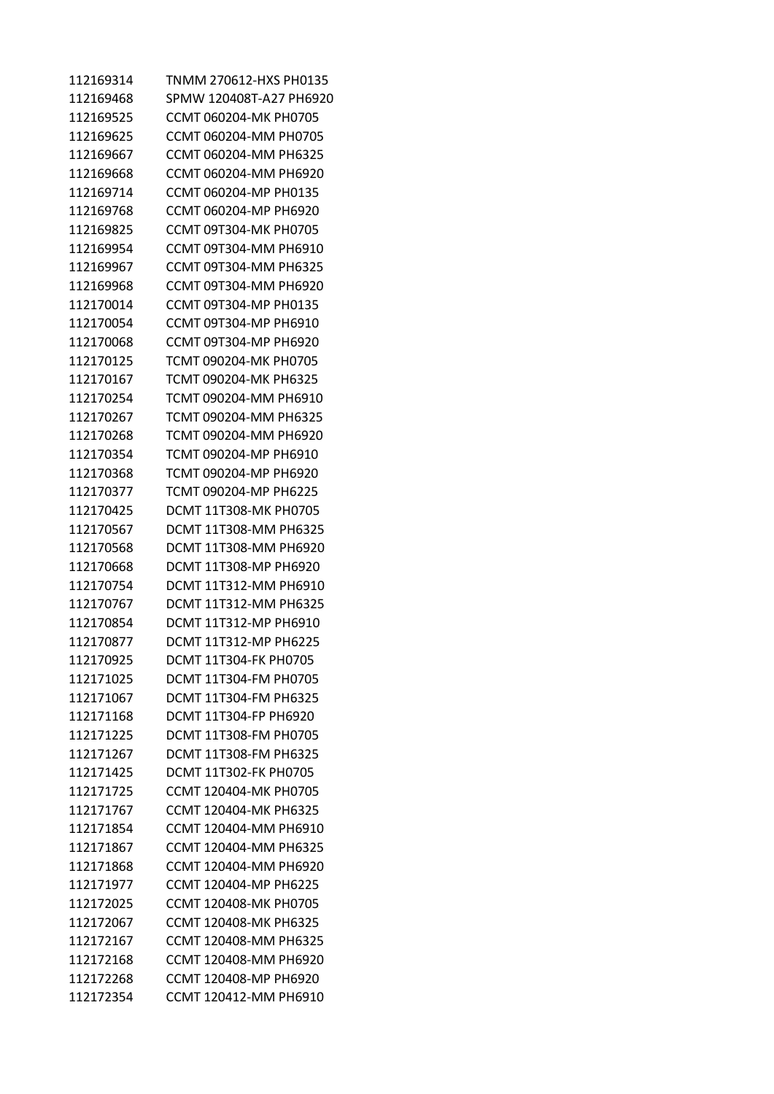| 112169314 | TNMM 270612-HXS PH0135       |
|-----------|------------------------------|
| 112169468 | SPMW 120408T-A27 PH6920      |
| 112169525 | CCMT 060204-MK PH0705        |
| 112169625 | CCMT 060204-MM PH0705        |
| 112169667 | CCMT 060204-MM PH6325        |
| 112169668 | CCMT 060204-MM PH6920        |
| 112169714 | CCMT 060204-MP PH0135        |
| 112169768 | CCMT 060204-MP PH6920        |
| 112169825 | CCMT 09T304-MK PH0705        |
| 112169954 | CCMT 09T304-MM PH6910        |
| 112169967 | CCMT 09T304-MM PH6325        |
| 112169968 | CCMT 09T304-MM PH6920        |
| 112170014 | CCMT 09T304-MP PH0135        |
| 112170054 | CCMT 09T304-MP PH6910        |
| 112170068 | CCMT 09T304-MP PH6920        |
| 112170125 | TCMT 090204-MK PH0705        |
| 112170167 | TCMT 090204-MK PH6325        |
| 112170254 | TCMT 090204-MM PH6910        |
| 112170267 | TCMT 090204-MM PH6325        |
| 112170268 | TCMT 090204-MM PH6920        |
| 112170354 | TCMT 090204-MP PH6910        |
| 112170368 | TCMT 090204-MP PH6920        |
| 112170377 | TCMT 090204-MP PH6225        |
| 112170425 | DCMT 11T308-MK PH0705        |
| 112170567 | DCMT 11T308-MM PH6325        |
| 112170568 | DCMT 11T308-MM PH6920        |
| 112170668 | DCMT 11T308-MP PH6920        |
| 112170754 | DCMT 11T312-MM PH6910        |
| 112170767 | <b>DCMT 11T312-MM PH6325</b> |
| 112170854 | DCMT 11T312-MP PH6910        |
| 112170877 | DCMT 11T312-MP PH6225        |
| 112170925 | DCMT 11T304-FK PH0705        |
| 112171025 | DCMT 11T304-FM PH0705        |
| 112171067 | DCMT 11T304-FM PH6325        |
| 112171168 | DCMT 11T304-FP PH6920        |
| 112171225 | DCMT 11T308-FM PH0705        |
| 112171267 | DCMT 11T308-FM PH6325        |
| 112171425 | <b>DCMT 11T302-FK PH0705</b> |
| 112171725 | CCMT 120404-MK PH0705        |
| 112171767 | CCMT 120404-MK PH6325        |
| 112171854 | CCMT 120404-MM PH6910        |
| 112171867 | CCMT 120404-MM PH6325        |
| 112171868 | CCMT 120404-MM PH6920        |
| 112171977 | CCMT 120404-MP PH6225        |
| 112172025 | CCMT 120408-MK PH0705        |
| 112172067 | CCMT 120408-MK PH6325        |
| 112172167 | CCMT 120408-MM PH6325        |
| 112172168 | CCMT 120408-MM PH6920        |
| 112172268 | CCMT 120408-MP PH6920        |
| 112172354 | CCMT 120412-MM PH6910        |
|           |                              |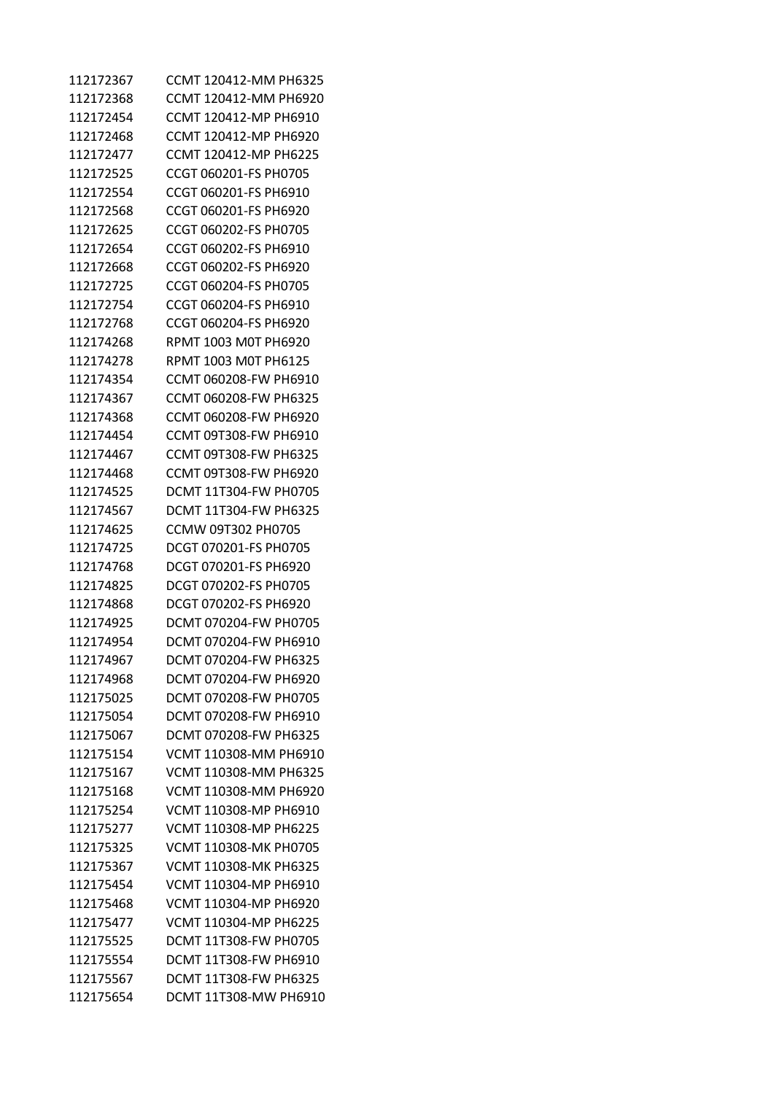| 112172367 | CCMT 120412-MM PH6325        |
|-----------|------------------------------|
| 112172368 | CCMT 120412-MM PH6920        |
| 112172454 | CCMT 120412-MP PH6910        |
| 112172468 | CCMT 120412-MP PH6920        |
| 112172477 | CCMT 120412-MP PH6225        |
| 112172525 | CCGT 060201-FS PH0705        |
| 112172554 | CCGT 060201-FS PH6910        |
| 112172568 | CCGT 060201-FS PH6920        |
| 112172625 | CCGT 060202-FS PH0705        |
| 112172654 | CCGT 060202-FS PH6910        |
| 112172668 | CCGT 060202-FS PH6920        |
| 112172725 | CCGT 060204-FS PH0705        |
| 112172754 | CCGT 060204-FS PH6910        |
| 112172768 | CCGT 060204-FS PH6920        |
| 112174268 | RPMT 1003 M0T PH6920         |
| 112174278 | RPMT 1003 M0T PH6125         |
| 112174354 | CCMT 060208-FW PH6910        |
| 112174367 | CCMT 060208-FW PH6325        |
| 112174368 | CCMT 060208-FW PH6920        |
| 112174454 | CCMT 09T308-FW PH6910        |
| 112174467 | CCMT 09T308-FW PH6325        |
| 112174468 | CCMT 09T308-FW PH6920        |
| 112174525 | DCMT 11T304-FW PH0705        |
| 112174567 | DCMT 11T304-FW PH6325        |
| 112174625 | CCMW 09T302 PH0705           |
| 112174725 | DCGT 070201-FS PH0705        |
| 112174768 | DCGT 070201-FS PH6920        |
| 112174825 | DCGT 070202-FS PH0705        |
| 112174868 | DCGT 070202-FS PH6920        |
| 112174925 | DCMT 070204-FW PH0705        |
| 112174954 | DCMT 070204-FW PH6910        |
| 112174967 | DCMT 070204-FW PH6325        |
| 112174968 | DCMT 070204-FW PH6920        |
| 112175025 | DCMT 070208-FW PH0705        |
| 112175054 | DCMT 070208-FW PH6910        |
| 112175067 | DCMT 070208-FW PH6325        |
| 112175154 | VCMT 110308-MM PH6910        |
| 112175167 | VCMT 110308-MM PH6325        |
| 112175168 | VCMT 110308-MM PH6920        |
| 112175254 | VCMT 110308-MP PH6910        |
| 112175277 | VCMT 110308-MP PH6225        |
| 112175325 | VCMT 110308-MK PH0705        |
| 112175367 | VCMT 110308-MK PH6325        |
| 112175454 | VCMT 110304-MP PH6910        |
| 112175468 | VCMT 110304-MP PH6920        |
| 112175477 | VCMT 110304-MP PH6225        |
| 112175525 | DCMT 11T308-FW PH0705        |
| 112175554 | DCMT 11T308-FW PH6910        |
| 112175567 | <b>DCMT 11T308-FW PH6325</b> |
| 112175654 | DCMT 11T308-MW PH6910        |
|           |                              |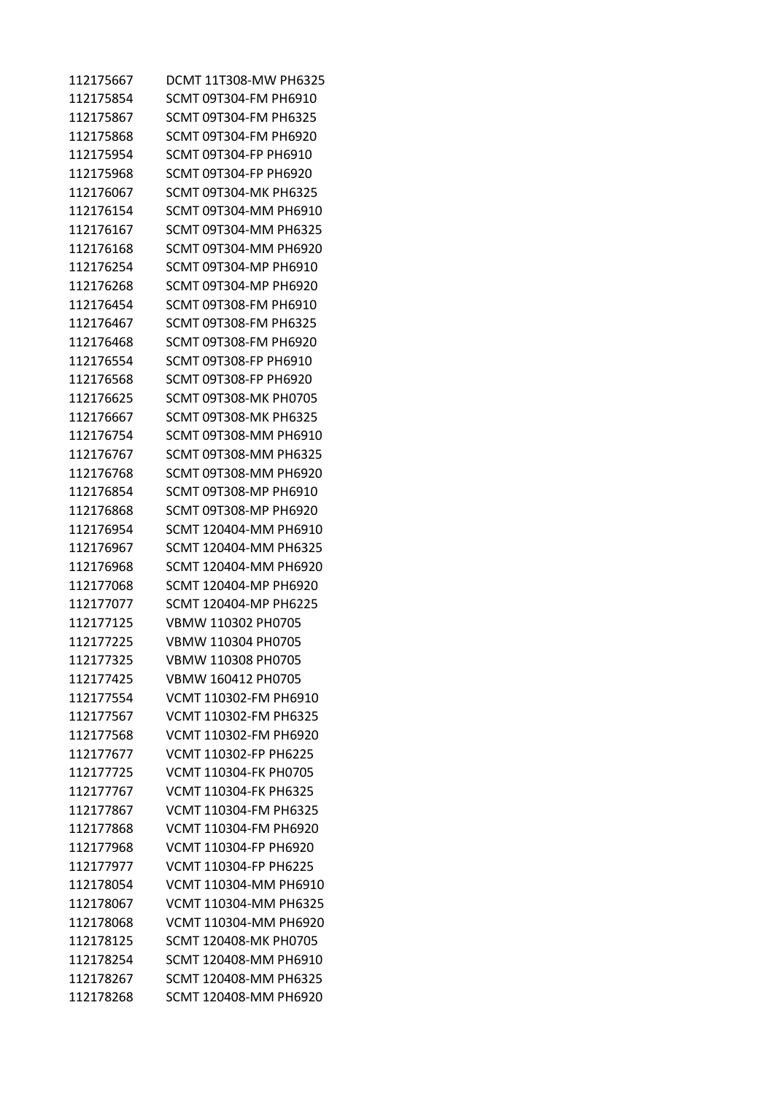| 112175667 | DCMT 11T308-MW PH6325        |
|-----------|------------------------------|
| 112175854 | SCMT 09T304-FM PH6910        |
| 112175867 | SCMT 09T304-FM PH6325        |
| 112175868 | SCMT 09T304-FM PH6920        |
| 112175954 | SCMT 09T304-FP PH6910        |
| 112175968 | SCMT 09T304-FP PH6920        |
| 112176067 | SCMT 09T304-MK PH6325        |
| 112176154 | SCMT 09T304-MM PH6910        |
| 112176167 | SCMT 09T304-MM PH6325        |
| 112176168 | SCMT 09T304-MM PH6920        |
| 112176254 | SCMT 09T304-MP PH6910        |
| 112176268 | SCMT 09T304-MP PH6920        |
| 112176454 | SCMT 09T308-FM PH6910        |
| 112176467 | SCMT 09T308-FM PH6325        |
| 112176468 | SCMT 09T308-FM PH6920        |
| 112176554 | SCMT 09T308-FP PH6910        |
| 112176568 | SCMT 09T308-FP PH6920        |
| 112176625 | SCMT 09T308-MK PH0705        |
| 112176667 | SCMT 09T308-MK PH6325        |
| 112176754 | SCMT 09T308-MM PH6910        |
| 112176767 | SCMT 09T308-MM PH6325        |
| 112176768 | SCMT 09T308-MM PH6920        |
| 112176854 | SCMT 09T308-MP PH6910        |
| 112176868 | SCMT 09T308-MP PH6920        |
| 112176954 | SCMT 120404-MM PH6910        |
| 112176967 | SCMT 120404-MM PH6325        |
| 112176968 | SCMT 120404-MM PH6920        |
| 112177068 | SCMT 120404-MP PH6920        |
| 112177077 | SCMT 120404-MP PH6225        |
| 112177125 | VBMW 110302 PH0705           |
| 112177225 | VBMW 110304 PH0705           |
| 112177325 | VBMW 110308 PH0705           |
| 112177425 | VBMW 160412 PH0705           |
| 112177554 | VCMT 110302-FM PH6910        |
| 112177567 | VCMT 110302-FM PH6325        |
| 112177568 | VCMT 110302-FM PH6920        |
| 112177677 | <b>VCMT 110302-FP PH6225</b> |
| 112177725 | VCMT 110304-FK PH0705        |
| 112177767 | VCMT 110304-FK PH6325        |
| 112177867 | VCMT 110304-FM PH6325        |
| 112177868 | VCMT 110304-FM PH6920        |
| 112177968 | VCMT 110304-FP PH6920        |
| 112177977 | VCMT 110304-FP PH6225        |
| 112178054 | VCMT 110304-MM PH6910        |
| 112178067 | VCMT 110304-MM PH6325        |
| 112178068 | VCMT 110304-MM PH6920        |
| 112178125 | SCMT 120408-MK PH0705        |
| 112178254 | SCMT 120408-MM PH6910        |
| 112178267 | SCMT 120408-MM PH6325        |
| 112178268 | SCMT 120408-MM PH6920        |
|           |                              |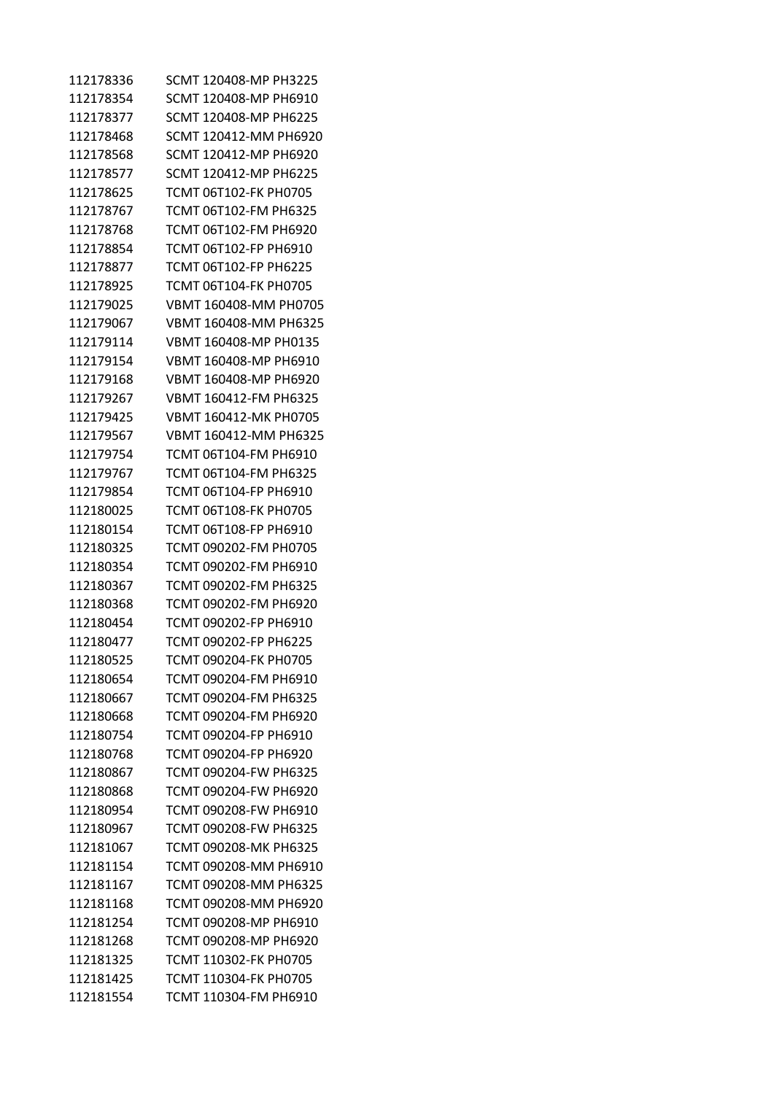| 112178336 | SCMT 120408-MP PH3225 |
|-----------|-----------------------|
| 112178354 | SCMT 120408-MP PH6910 |
| 112178377 | SCMT 120408-MP PH6225 |
| 112178468 | SCMT 120412-MM PH6920 |
| 112178568 | SCMT 120412-MP PH6920 |
| 112178577 | SCMT 120412-MP PH6225 |
| 112178625 | TCMT 06T102-FK PH0705 |
| 112178767 | TCMT 06T102-FM PH6325 |
| 112178768 | TCMT 06T102-FM PH6920 |
| 112178854 | TCMT 06T102-FP PH6910 |
| 112178877 | TCMT 06T102-FP PH6225 |
| 112178925 | TCMT 06T104-FK PH0705 |
| 112179025 | VBMT 160408-MM PH0705 |
| 112179067 | VBMT 160408-MM PH6325 |
| 112179114 | VBMT 160408-MP PH0135 |
| 112179154 | VBMT 160408-MP PH6910 |
| 112179168 | VBMT 160408-MP PH6920 |
| 112179267 | VBMT 160412-FM PH6325 |
| 112179425 | VBMT 160412-MK PH0705 |
| 112179567 | VBMT 160412-MM PH6325 |
| 112179754 | TCMT 06T104-FM PH6910 |
| 112179767 | TCMT 06T104-FM PH6325 |
| 112179854 | TCMT 06T104-FP PH6910 |
| 112180025 | TCMT 06T108-FK PH0705 |
| 112180154 | TCMT 06T108-FP PH6910 |
| 112180325 | TCMT 090202-FM PH0705 |
| 112180354 | TCMT 090202-FM PH6910 |
| 112180367 | TCMT 090202-FM PH6325 |
| 112180368 | TCMT 090202-FM PH6920 |
| 112180454 | TCMT 090202-FP PH6910 |
| 112180477 | TCMT 090202-FP PH6225 |
| 112180525 | TCMT 090204-FK PH0705 |
| 112180654 | TCMT 090204-FM PH6910 |
| 112180667 | TCMT 090204-FM PH6325 |
| 112180668 | TCMT 090204-FM PH6920 |
| 112180754 | TCMT 090204-FP PH6910 |
| 112180768 | TCMT 090204-FP PH6920 |
| 112180867 | TCMT 090204-FW PH6325 |
| 112180868 | TCMT 090204-FW PH6920 |
| 112180954 | TCMT 090208-FW PH6910 |
| 112180967 | TCMT 090208-FW PH6325 |
| 112181067 | TCMT 090208-MK PH6325 |
| 112181154 | TCMT 090208-MM PH6910 |
| 112181167 | TCMT 090208-MM PH6325 |
| 112181168 | TCMT 090208-MM PH6920 |
| 112181254 | TCMT 090208-MP PH6910 |
| 112181268 | TCMT 090208-MP PH6920 |
| 112181325 | TCMT 110302-FK PH0705 |
| 112181425 | TCMT 110304-FK PH0705 |
| 112181554 | TCMT 110304-FM PH6910 |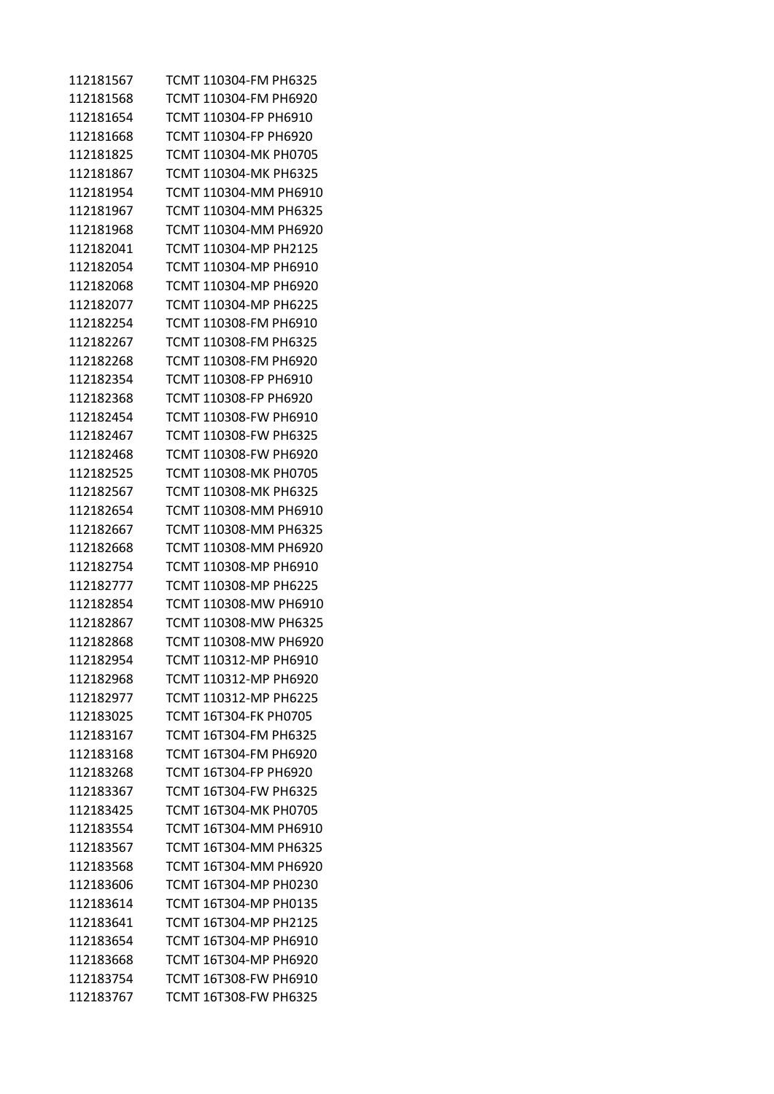| 112181567 | TCMT 110304-FM PH6325 |
|-----------|-----------------------|
| 112181568 | TCMT 110304-FM PH6920 |
| 112181654 | TCMT 110304-FP PH6910 |
| 112181668 | TCMT 110304-FP PH6920 |
| 112181825 | TCMT 110304-MK PH0705 |
| 112181867 | TCMT 110304-MK PH6325 |
| 112181954 | TCMT 110304-MM PH6910 |
| 112181967 | TCMT 110304-MM PH6325 |
| 112181968 | TCMT 110304-MM PH6920 |
| 112182041 | TCMT 110304-MP PH2125 |
| 112182054 | TCMT 110304-MP PH6910 |
| 112182068 | TCMT 110304-MP PH6920 |
| 112182077 | TCMT 110304-MP PH6225 |
| 112182254 | TCMT 110308-FM PH6910 |
| 112182267 | TCMT 110308-FM PH6325 |
| 112182268 | TCMT 110308-FM PH6920 |
| 112182354 | TCMT 110308-FP PH6910 |
| 112182368 | TCMT 110308-FP PH6920 |
| 112182454 | TCMT 110308-FW PH6910 |
| 112182467 | TCMT 110308-FW PH6325 |
| 112182468 | TCMT 110308-FW PH6920 |
| 112182525 | TCMT 110308-MK PH0705 |
| 112182567 | TCMT 110308-MK PH6325 |
| 112182654 | TCMT 110308-MM PH6910 |
| 112182667 | TCMT 110308-MM PH6325 |
| 112182668 | TCMT 110308-MM PH6920 |
| 112182754 | TCMT 110308-MP PH6910 |
| 112182777 | TCMT 110308-MP PH6225 |
| 112182854 | TCMT 110308-MW PH6910 |
| 112182867 | TCMT 110308-MW PH6325 |
| 112182868 | TCMT 110308-MW PH6920 |
| 112182954 | TCMT 110312-MP PH6910 |
| 112182968 | TCMT 110312-MP PH6920 |
| 112182977 | TCMT 110312-MP PH6225 |
| 112183025 | TCMT 16T304-FK PH0705 |
| 112183167 | TCMT 16T304-FM PH6325 |
| 112183168 | TCMT 16T304-FM PH6920 |
| 112183268 | TCMT 16T304-FP PH6920 |
| 112183367 | TCMT 16T304-FW PH6325 |
| 112183425 | TCMT 16T304-MK PH0705 |
| 112183554 | TCMT 16T304-MM PH6910 |
| 112183567 | TCMT 16T304-MM PH6325 |
| 112183568 | TCMT 16T304-MM PH6920 |
| 112183606 | TCMT 16T304-MP PH0230 |
| 112183614 | TCMT 16T304-MP PH0135 |
| 112183641 | TCMT 16T304-MP PH2125 |
| 112183654 | TCMT 16T304-MP PH6910 |
| 112183668 | TCMT 16T304-MP PH6920 |
| 112183754 | TCMT 16T308-FW PH6910 |
| 112183767 | TCMT 16T308-FW PH6325 |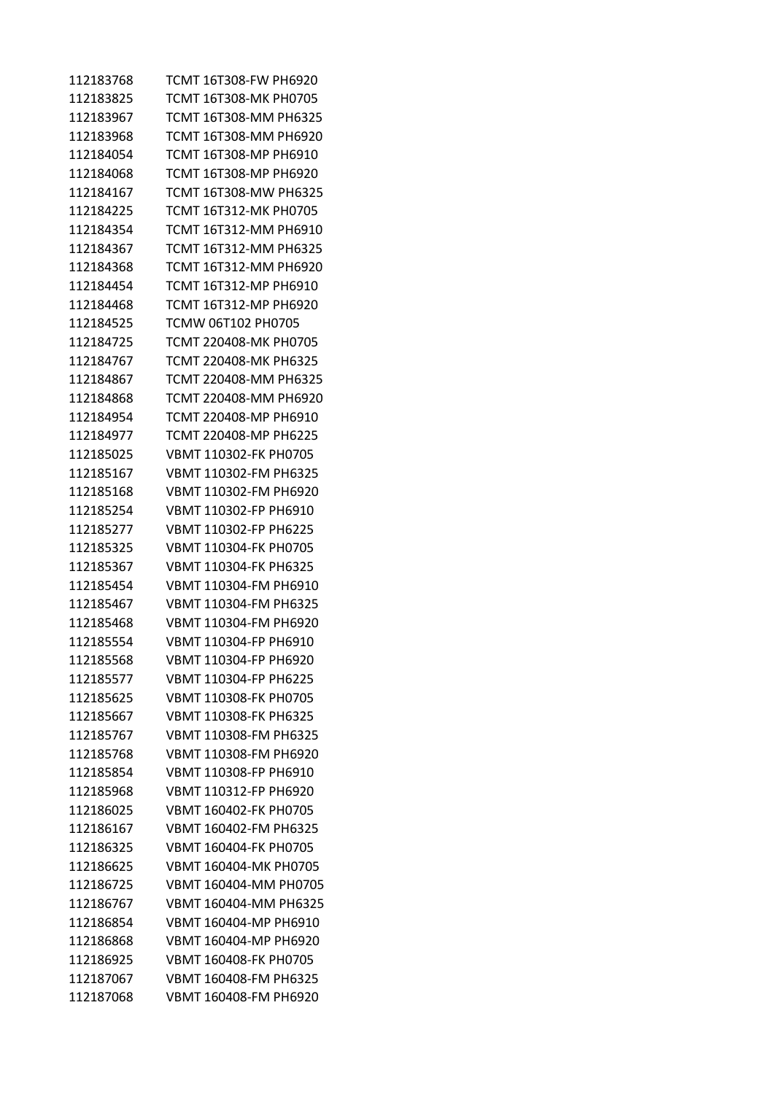| 112183768 | TCMT 16T308-FW PH6920 |
|-----------|-----------------------|
| 112183825 | TCMT 16T308-MK PH0705 |
| 112183967 | TCMT 16T308-MM PH6325 |
| 112183968 | TCMT 16T308-MM PH6920 |
| 112184054 | TCMT 16T308-MP PH6910 |
| 112184068 | TCMT 16T308-MP PH6920 |
| 112184167 | TCMT 16T308-MW PH6325 |
| 112184225 | TCMT 16T312-MK PH0705 |
| 112184354 | TCMT 16T312-MM PH6910 |
| 112184367 | TCMT 16T312-MM PH6325 |
| 112184368 | TCMT 16T312-MM PH6920 |
| 112184454 | TCMT 16T312-MP PH6910 |
| 112184468 | TCMT 16T312-MP PH6920 |
| 112184525 | TCMW 06T102 PH0705    |
| 112184725 | TCMT 220408-MK PH0705 |
| 112184767 | TCMT 220408-MK PH6325 |
| 112184867 | TCMT 220408-MM PH6325 |
| 112184868 | TCMT 220408-MM PH6920 |
| 112184954 | TCMT 220408-MP PH6910 |
| 112184977 | TCMT 220408-MP PH6225 |
| 112185025 | VBMT 110302-FK PH0705 |
| 112185167 | VBMT 110302-FM PH6325 |
| 112185168 | VBMT 110302-FM PH6920 |
| 112185254 | VBMT 110302-FP PH6910 |
| 112185277 | VBMT 110302-FP PH6225 |
| 112185325 | VBMT 110304-FK PH0705 |
| 112185367 | VBMT 110304-FK PH6325 |
| 112185454 | VBMT 110304-FM PH6910 |
| 112185467 | VBMT 110304-FM PH6325 |
| 112185468 | VBMT 110304-FM PH6920 |
| 112185554 | VBMT 110304-FP PH6910 |
| 112185568 | VBMT 110304-FP PH6920 |
| 112185577 | VBMT 110304-FP PH6225 |
| 112185625 | VBMT 110308-FK PH0705 |
| 112185667 | VBMT 110308-FK PH6325 |
| 112185767 | VBMT 110308-FM PH6325 |
| 112185768 | VBMT 110308-FM PH6920 |
| 112185854 | VBMT 110308-FP PH6910 |
| 112185968 | VBMT 110312-FP PH6920 |
| 112186025 | VBMT 160402-FK PH0705 |
| 112186167 | VBMT 160402-FM PH6325 |
| 112186325 | VBMT 160404-FK PH0705 |
| 112186625 | VBMT 160404-MK PH0705 |
| 112186725 | VBMT 160404-MM PH0705 |
| 112186767 | VBMT 160404-MM PH6325 |
| 112186854 | VBMT 160404-MP PH6910 |
| 112186868 | VBMT 160404-MP PH6920 |
| 112186925 | VBMT 160408-FK PH0705 |
| 112187067 | VBMT 160408-FM PH6325 |
| 112187068 | VBMT 160408-FM PH6920 |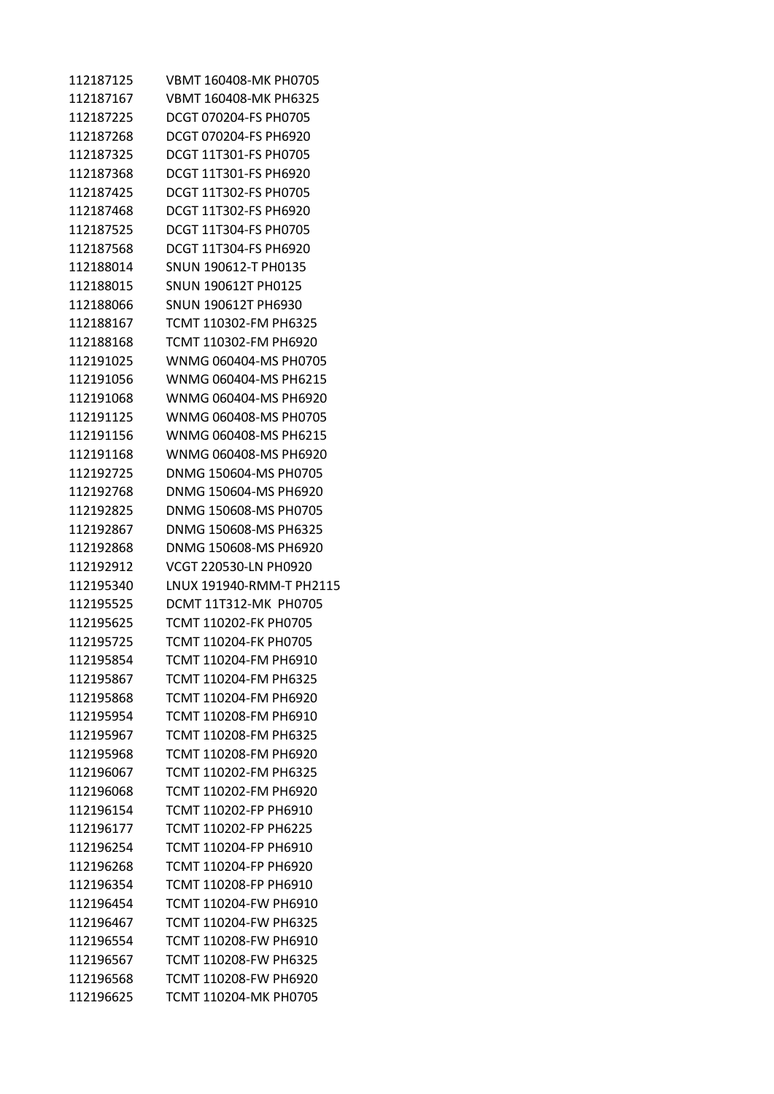VBMT 160408-MK PH0705 VBMT 160408-MK PH6325 DCGT 070204-FS PH0705 DCGT 070204-FS PH6920 DCGT 11T301-FS PH0705 DCGT 11T301-FS PH6920 DCGT 11T302-FS PH0705 DCGT 11T302-FS PH6920 DCGT 11T304-FS PH0705 DCGT 11T304-FS PH6920 SNUN 190612-T PH0135 SNUN 190612T PH0125 SNUN 190612T PH6930 TCMT 110302-FM PH6325 TCMT 110302-FM PH6920 WNMG 060404-MS PH0705 WNMG 060404-MS PH6215 WNMG 060404-MS PH6920 WNMG 060408-MS PH0705 WNMG 060408-MS PH6215 WNMG 060408-MS PH6920 DNMG 150604-MS PH0705 DNMG 150604-MS PH6920 DNMG 150608-MS PH0705 DNMG 150608-MS PH6325 DNMG 150608-MS PH6920 VCGT 220530-LN PH0920 LNUX 191940-RMM-T PH2115 DCMT 11T312-MK PH0705 TCMT 110202-FK PH0705 TCMT 110204-FK PH0705 TCMT 110204-FM PH6910 TCMT 110204-FM PH6325 TCMT 110204-FM PH6920 TCMT 110208-FM PH6910 TCMT 110208-FM PH6325 TCMT 110208-FM PH6920 TCMT 110202-FM PH6325 TCMT 110202-FM PH6920 TCMT 110202-FP PH6910 TCMT 110202-FP PH6225 TCMT 110204-FP PH6910 TCMT 110204-FP PH6920 TCMT 110208-FP PH6910 TCMT 110204-FW PH6910 TCMT 110204-FW PH6325 TCMT 110208-FW PH6910 TCMT 110208-FW PH6325 TCMT 110208-FW PH6920 TCMT 110204-MK PH0705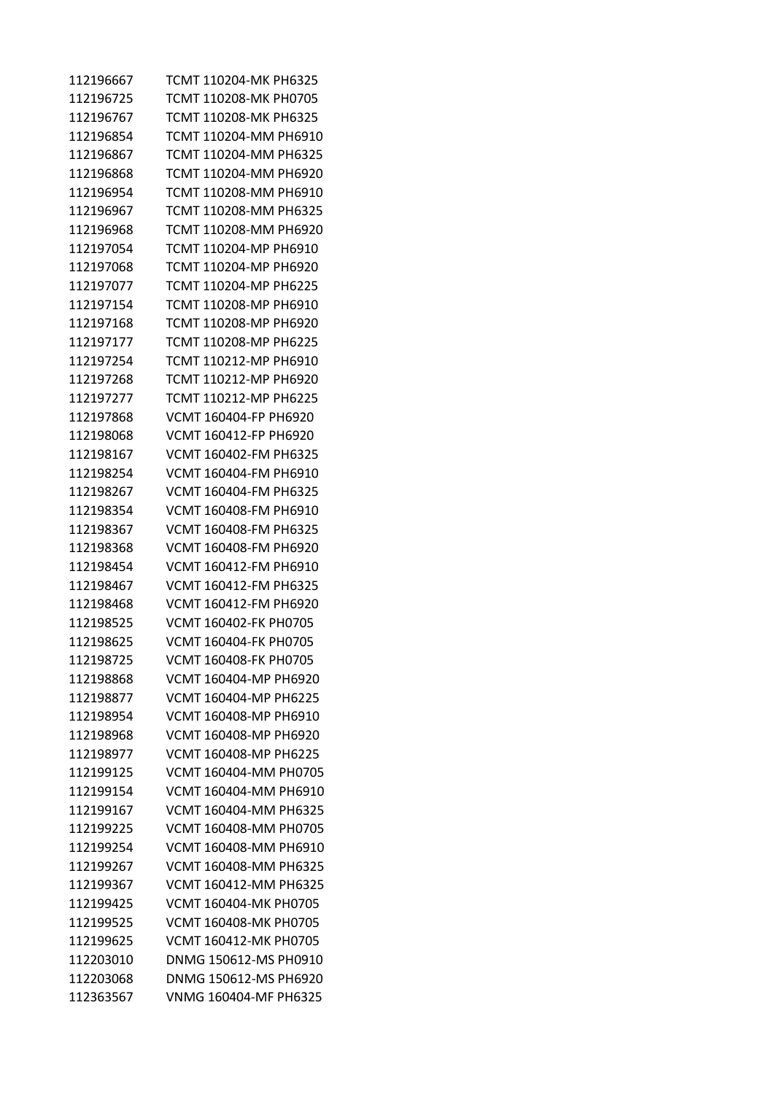| 112196667 | TCMT 110204-MK PH6325 |
|-----------|-----------------------|
| 112196725 | TCMT 110208-MK PH0705 |
| 112196767 | TCMT 110208-MK PH6325 |
| 112196854 | TCMT 110204-MM PH6910 |
| 112196867 | TCMT 110204-MM PH6325 |
| 112196868 | TCMT 110204-MM PH6920 |
| 112196954 | TCMT 110208-MM PH6910 |
| 112196967 | TCMT 110208-MM PH6325 |
| 112196968 | TCMT 110208-MM PH6920 |
| 112197054 | TCMT 110204-MP PH6910 |
| 112197068 | TCMT 110204-MP PH6920 |
| 112197077 | TCMT 110204-MP PH6225 |
| 112197154 | TCMT 110208-MP PH6910 |
| 112197168 | TCMT 110208-MP PH6920 |
| 112197177 | TCMT 110208-MP PH6225 |
| 112197254 | TCMT 110212-MP PH6910 |
| 112197268 | TCMT 110212-MP PH6920 |
| 112197277 | TCMT 110212-MP PH6225 |
| 112197868 | VCMT 160404-FP PH6920 |
| 112198068 | VCMT 160412-FP PH6920 |
| 112198167 | VCMT 160402-FM PH6325 |
| 112198254 | VCMT 160404-FM PH6910 |
| 112198267 | VCMT 160404-FM PH6325 |
| 112198354 | VCMT 160408-FM PH6910 |
| 112198367 | VCMT 160408-FM PH6325 |
| 112198368 | VCMT 160408-FM PH6920 |
| 112198454 | VCMT 160412-FM PH6910 |
| 112198467 | VCMT 160412-FM PH6325 |
| 112198468 | VCMT 160412-FM PH6920 |
| 112198525 | VCMT 160402-FK PH0705 |
| 112198625 | VCMT 160404-FK PH0705 |
| 112198725 | VCMT 160408-FK PH0705 |
| 112198868 | VCMT 160404-MP PH6920 |
| 112198877 | VCMT 160404-MP PH6225 |
| 112198954 | VCMT 160408-MP PH6910 |
| 112198968 | VCMT 160408-MP PH6920 |
| 112198977 | VCMT 160408-MP PH6225 |
| 112199125 | VCMT 160404-MM PH0705 |
| 112199154 | VCMT 160404-MM PH6910 |
| 112199167 | VCMT 160404-MM PH6325 |
| 112199225 | VCMT 160408-MM PH0705 |
| 112199254 | VCMT 160408-MM PH6910 |
| 112199267 | VCMT 160408-MM PH6325 |
| 112199367 | VCMT 160412-MM PH6325 |
| 112199425 | VCMT 160404-MK PH0705 |
| 112199525 | VCMT 160408-MK PH0705 |
| 112199625 | VCMT 160412-MK PH0705 |
| 112203010 | DNMG 150612-MS PH0910 |
| 112203068 | DNMG 150612-MS PH6920 |
| 112363567 | VNMG 160404-MF PH6325 |
|           |                       |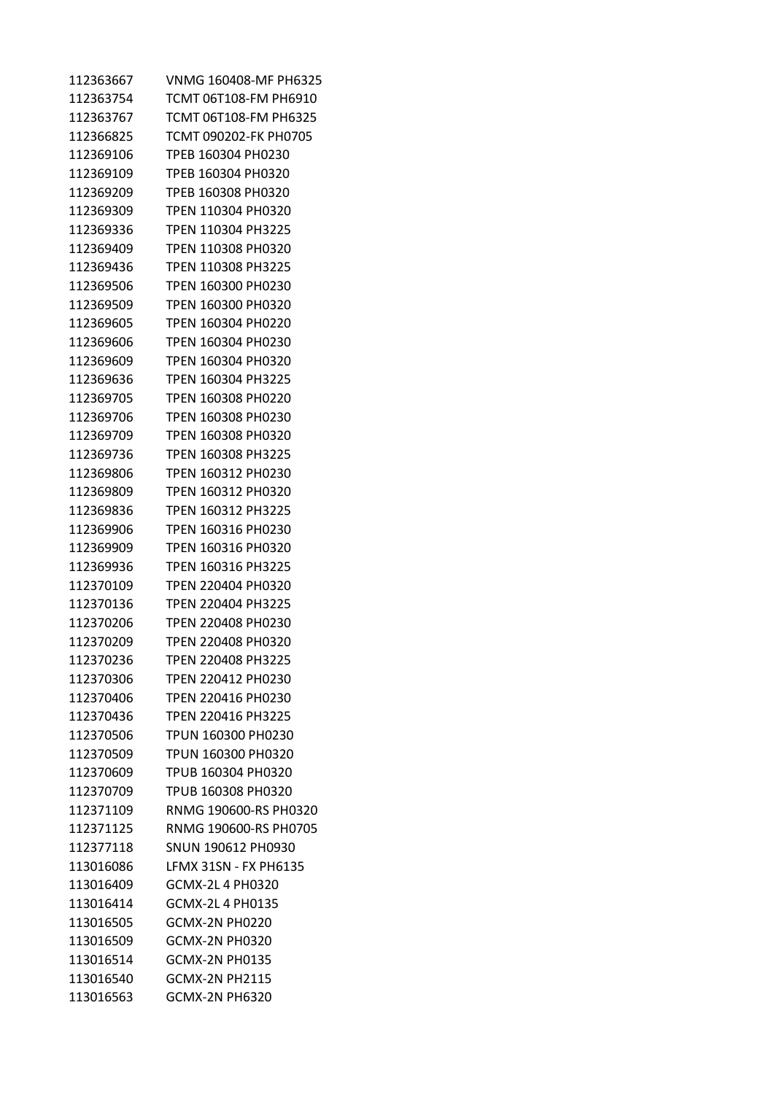| 112363667 | VNMG 160408-MF PH6325        |
|-----------|------------------------------|
| 112363754 | TCMT 06T108-FM PH6910        |
| 112363767 | TCMT 06T108-FM PH6325        |
| 112366825 | TCMT 090202-FK PH0705        |
| 112369106 | TPEB 160304 PH0230           |
| 112369109 | TPEB 160304 PH0320           |
| 112369209 | TPEB 160308 PH0320           |
| 112369309 | TPEN 110304 PH0320           |
| 112369336 | TPEN 110304 PH3225           |
| 112369409 | TPEN 110308 PH0320           |
| 112369436 | TPEN 110308 PH3225           |
| 112369506 | TPEN 160300 PH0230           |
| 112369509 | TPEN 160300 PH0320           |
| 112369605 | TPEN 160304 PH0220           |
| 112369606 | TPEN 160304 PH0230           |
| 112369609 | TPEN 160304 PH0320           |
| 112369636 | TPEN 160304 PH3225           |
| 112369705 | TPEN 160308 PH0220           |
| 112369706 | TPEN 160308 PH0230           |
| 112369709 | TPEN 160308 PH0320           |
| 112369736 | TPEN 160308 PH3225           |
| 112369806 | TPEN 160312 PH0230           |
| 112369809 | TPEN 160312 PH0320           |
| 112369836 | TPEN 160312 PH3225           |
| 112369906 | TPEN 160316 PH0230           |
| 112369909 | TPEN 160316 PH0320           |
| 112369936 | TPEN 160316 PH3225           |
| 112370109 | TPEN 220404 PH0320           |
| 112370136 | TPEN 220404 PH3225           |
| 112370206 | TPEN 220408 PH0230           |
| 112370209 | TPEN 220408 PH0320           |
| 112370236 | TPEN 220408 PH3225           |
| 112370306 | TPEN 220412 PH0230           |
| 112370406 | TPEN 220416 PH0230           |
| 112370436 | <b>TPEN 220416 PH3225</b>    |
| 112370506 | TPUN 160300 PH0230           |
| 112370509 | TPUN 160300 PH0320           |
| 112370609 | TPUB 160304 PH0320           |
| 112370709 | TPUB 160308 PH0320           |
| 112371109 | RNMG 190600-RS PH0320        |
| 112371125 | RNMG 190600-RS PH0705        |
| 112377118 | SNUN 190612 PH0930           |
| 113016086 | <b>LFMX 31SN - FX PH6135</b> |
| 113016409 | GCMX-2L 4 PH0320             |
| 113016414 | GCMX-2L 4 PH0135             |
| 113016505 | <b>GCMX-2N PH0220</b>        |
| 113016509 | <b>GCMX-2N PH0320</b>        |
| 113016514 | <b>GCMX-2N PH0135</b>        |
| 113016540 | <b>GCMX-2N PH2115</b>        |
| 113016563 | <b>GCMX-2N PH6320</b>        |
|           |                              |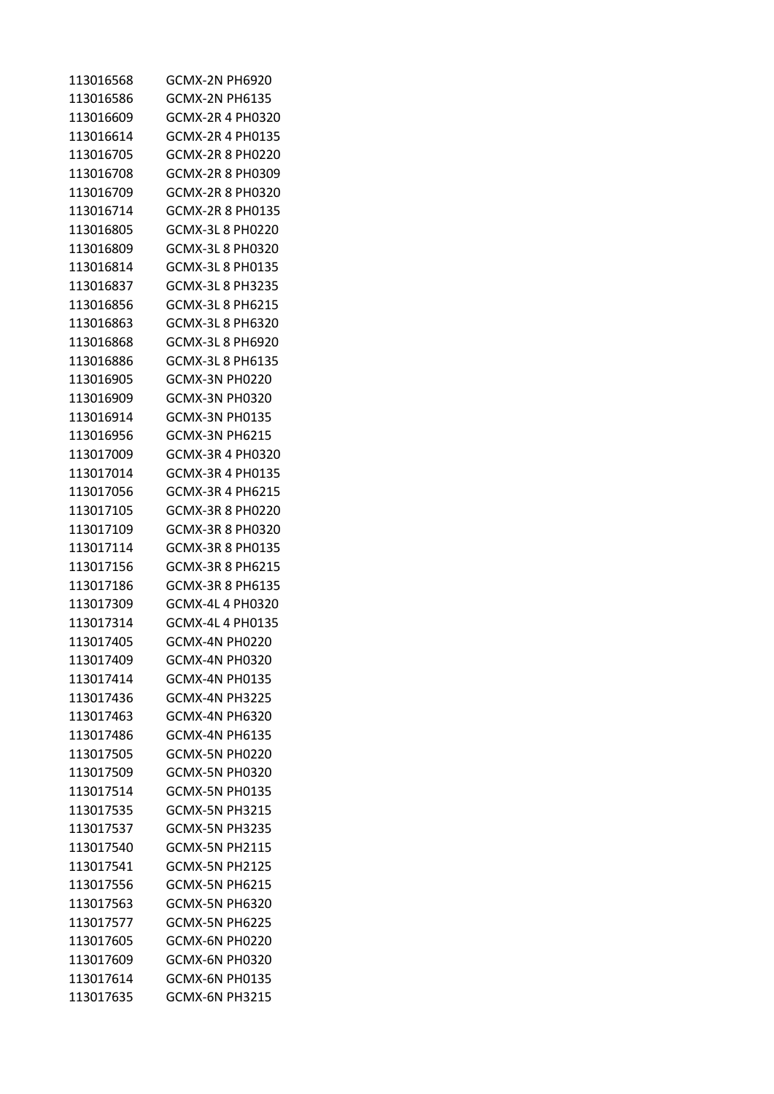| 113016568 | <b>GCMX-2N PH6920</b>   |
|-----------|-------------------------|
| 113016586 | <b>GCMX-2N PH6135</b>   |
| 113016609 | GCMX-2R 4 PH0320        |
| 113016614 | GCMX-2R 4 PH0135        |
| 113016705 | GCMX-2R  8  PH0220      |
| 113016708 | GCMX-2R 8 PH0309        |
| 113016709 | GCMX-2R 8 PH0320        |
| 113016714 | GCMX-2R 8 PH0135        |
| 113016805 | GCMX-3L 8 PH0220        |
| 113016809 | GCMX-3L 8 PH0320        |
| 113016814 | GCMX-3L 8 PH0135        |
| 113016837 | <b>GCMX-3L 8 PH3235</b> |
| 113016856 | GCMX-3L 8 PH6215        |
| 113016863 | GCMX-3L 8 PH6320        |
| 113016868 | GCMX-3L 8 PH6920        |
| 113016886 | GCMX-3L 8 PH6135        |
| 113016905 | GCMX-3N PH0220          |
| 113016909 | GCMX-3N PH0320          |
| 113016914 | GCMX-3N PH0135          |
| 113016956 | GCMX-3N PH6215          |
| 113017009 | GCMX-3R 4 PH0320        |
| 113017014 | GCMX-3R 4 PH0135        |
| 113017056 | GCMX-3R 4 PH6215        |
| 113017105 | GCMX-3R 8 PH0220        |
| 113017109 | GCMX-3R 8 PH0320        |
| 113017114 | GCMX-3R 8 PH0135        |
| 113017156 | GCMX-3R 8 PH6215        |
| 113017186 | GCMX-3R 8 PH6135        |
| 113017309 | GCMX-4L 4 PH0320        |
| 113017314 | GCMX-4L 4 PH0135        |
| 113017405 | GCMX-4N PH0220          |
| 113017409 | <b>GCMX-4N PH0320</b>   |
| 113017414 | GCMX-4N PH0135          |
| 113017436 | <b>GCMX-4N PH3225</b>   |
| 113017463 | GCMX-4N PH6320          |
| 113017486 | <b>GCMX-4N PH6135</b>   |
| 113017505 | GCMX-5N PH0220          |
| 113017509 | <b>GCMX-5N PH0320</b>   |
| 113017514 | GCMX-5N PH0135          |
| 113017535 | <b>GCMX-5N PH3215</b>   |
| 113017537 | <b>GCMX-5N PH3235</b>   |
| 113017540 | <b>GCMX-5N PH2115</b>   |
| 113017541 | <b>GCMX-5N PH2125</b>   |
| 113017556 | <b>GCMX-5N PH6215</b>   |
| 113017563 | GCMX-5N PH6320          |
| 113017577 | GCMX-5N PH6225          |
| 113017605 | GCMX-6N PH0220          |
| 113017609 | GCMX-6N PH0320          |
| 113017614 | GCMX-6N PH0135          |
| 113017635 | <b>GCMX-6N PH3215</b>   |
|           |                         |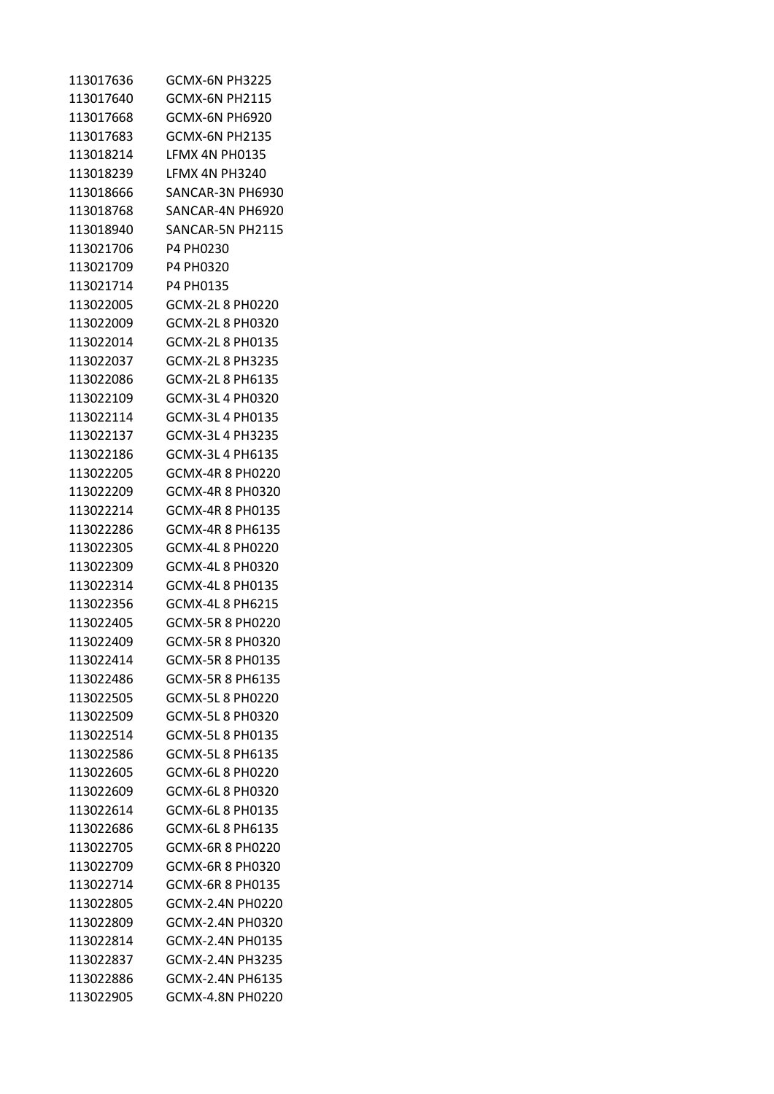| 113017636 | GCMX-6N PH3225         |
|-----------|------------------------|
| 113017640 | GCMX-6N PH2115         |
| 113017668 | GCMX-6N PH6920         |
| 113017683 | GCMX-6N PH2135         |
| 113018214 | LFMX 4N PH0135         |
| 113018239 | LFMX 4N PH3240         |
| 113018666 | SANCAR-3N PH6930       |
| 113018768 | SANCAR-4N PH6920       |
| 113018940 | SANCAR-5N PH2115       |
| 113021706 | P4 PH0230              |
| 113021709 | P4 PH0320              |
| 113021714 | P4 PH0135              |
| 113022005 | <b>GCMX-2L8 PH0220</b> |
| 113022009 | GCMX-2L 8 PH0320       |
| 113022014 | GCMX-2L 8 PH0135       |
| 113022037 | GCMX-2L 8 PH3235       |
| 113022086 | GCMX-2L 8 PH6135       |
| 113022109 | GCMX-3L 4 PH0320       |
| 113022114 | GCMX-3L 4 PH0135       |
| 113022137 | GCMX-3L 4 PH3235       |
| 113022186 | GCMX-3L 4 PH6135       |
| 113022205 | GCMX-4R 8 PH0220       |
| 113022209 | GCMX-4R 8 PH0320       |
| 113022214 | GCMX-4R 8 PH0135       |
| 113022286 | GCMX-4R 8 PH6135       |
| 113022305 | GCMX-4L 8 PH0220       |
| 113022309 | GCMX-4L 8 PH0320       |
| 113022314 | GCMX-4L 8 PH0135       |
| 113022356 | GCMX-4L 8 PH6215       |
| 113022405 |                        |
| 113022409 | GCMX-5R 8 PH0320       |
| 113022414 | GCMX-5R 8 PH0135       |
| 113022486 | GCMX-5R 8 PH6135       |
| 113022505 | <b>GCMX-5L8 PH0220</b> |
| 113022509 | GCMX-5L 8 PH0320       |
| 113022514 | <b>GCMX-5L8 PH0135</b> |
| 113022586 | GCMX-5L 8 PH6135       |
| 113022605 | GCMX-6L 8 PH0220       |
| 113022609 | GCMX-6L 8 PH0320       |
| 113022614 | GCMX-6L 8 PH0135       |
| 113022686 | GCMX-6L 8 PH6135       |
| 113022705 | GCMX-6R 8 PH0220       |
| 113022709 | GCMX-6R 8 PH0320       |
| 113022714 | GCMX-6R 8 PH0135       |
| 113022805 | GCMX-2.4N PH0220       |
| 113022809 | GCMX-2.4N PH0320       |
| 113022814 | GCMX-2.4N PH0135       |
| 113022837 | GCMX-2.4N PH3235       |
| 113022886 | GCMX-2.4N PH6135       |
| 113022905 | GCMX-4.8N PH0220       |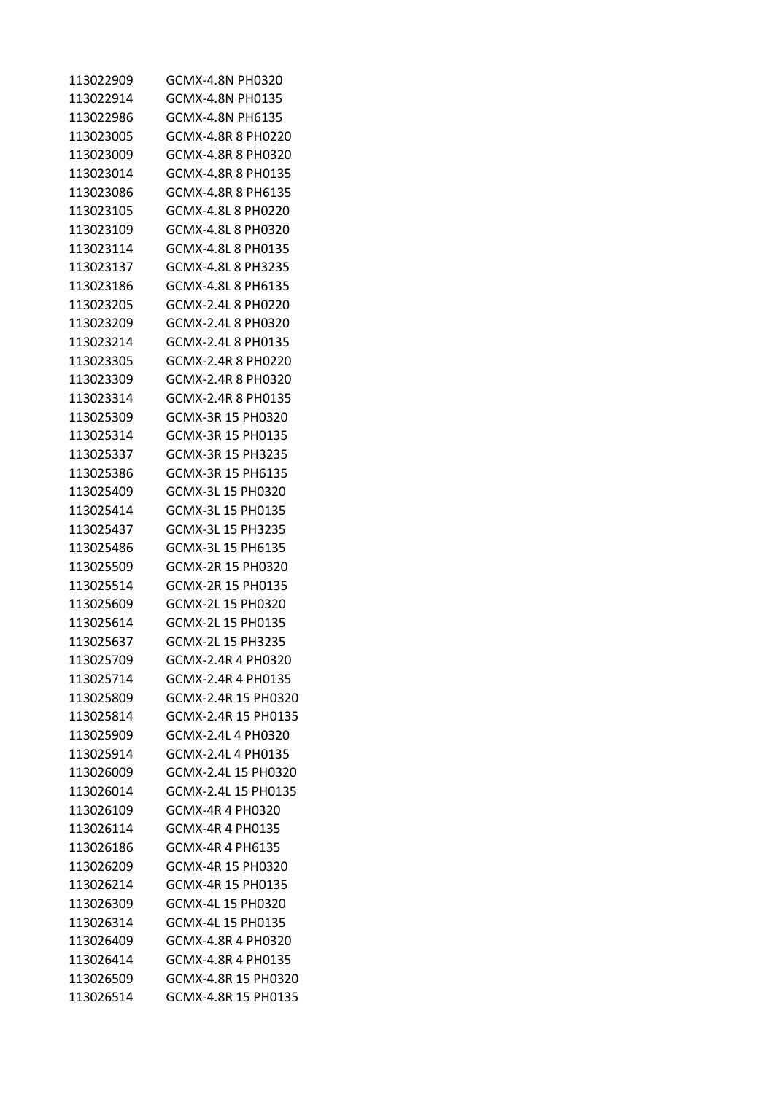| 113022909 | GCMX-4.8N PH0320    |
|-----------|---------------------|
| 113022914 | GCMX-4.8N PH0135    |
| 113022986 | GCMX-4.8N PH6135    |
| 113023005 | GCMX-4.8R 8 PH0220  |
| 113023009 | GCMX-4.8R 8 PH0320  |
| 113023014 | GCMX-4.8R 8 PH0135  |
| 113023086 | GCMX-4.8R 8 PH6135  |
| 113023105 | GCMX-4.8L 8 PH0220  |
| 113023109 | GCMX-4.8L 8 PH0320  |
| 113023114 | GCMX-4.8L 8 PH0135  |
| 113023137 | GCMX-4.8L 8 PH3235  |
| 113023186 | GCMX-4.8L 8 PH6135  |
| 113023205 | GCMX-2.4L 8 PH0220  |
| 113023209 | GCMX-2.4L 8 PH0320  |
| 113023214 | GCMX-2.4L 8 PH0135  |
| 113023305 | GCMX-2.4R 8 PH0220  |
| 113023309 | GCMX-2.4R 8 PH0320  |
| 113023314 | GCMX-2.4R 8 PH0135  |
| 113025309 | GCMX-3R 15 PH0320   |
| 113025314 | GCMX-3R 15 PH0135   |
| 113025337 | GCMX-3R 15 PH3235   |
| 113025386 | GCMX-3R 15 PH6135   |
| 113025409 | GCMX-3L 15 PH0320   |
| 113025414 | GCMX-3L 15 PH0135   |
| 113025437 | GCMX-3L 15 PH3235   |
| 113025486 | GCMX-3L 15 PH6135   |
| 113025509 | GCMX-2R 15 PH0320   |
| 113025514 | GCMX-2R 15 PH0135   |
| 113025609 | GCMX-2L 15 PH0320   |
| 113025614 | GCMX-2L 15 PH0135   |
| 113025637 | GCMX-2L 15 PH3235   |
| 113025709 | GCMX-2.4R 4 PH0320  |
| 113025714 | GCMX-2.4R 4 PH0135  |
| 113025809 | GCMX-2.4R 15 PH0320 |
| 113025814 | GCMX-2.4R 15 PH0135 |
| 113025909 | GCMX-2.4L 4 PH0320  |
| 113025914 | GCMX-2.4L 4 PH0135  |
| 113026009 | GCMX-2.4L 15 PH0320 |
| 113026014 | GCMX-2.4L 15 PH0135 |
| 113026109 | GCMX-4R 4 PH0320    |
| 113026114 | GCMX-4R 4 PH0135    |
| 113026186 | GCMX-4R 4 PH6135    |
| 113026209 | GCMX-4R 15 PH0320   |
| 113026214 | GCMX-4R 15 PH0135   |
| 113026309 | GCMX-4L 15 PH0320   |
| 113026314 | GCMX-4L 15 PH0135   |
| 113026409 | GCMX-4.8R 4 PH0320  |
| 113026414 | GCMX-4.8R 4 PH0135  |
| 113026509 | GCMX-4.8R 15 PH0320 |
| 113026514 | GCMX-4.8R 15 PH0135 |
|           |                     |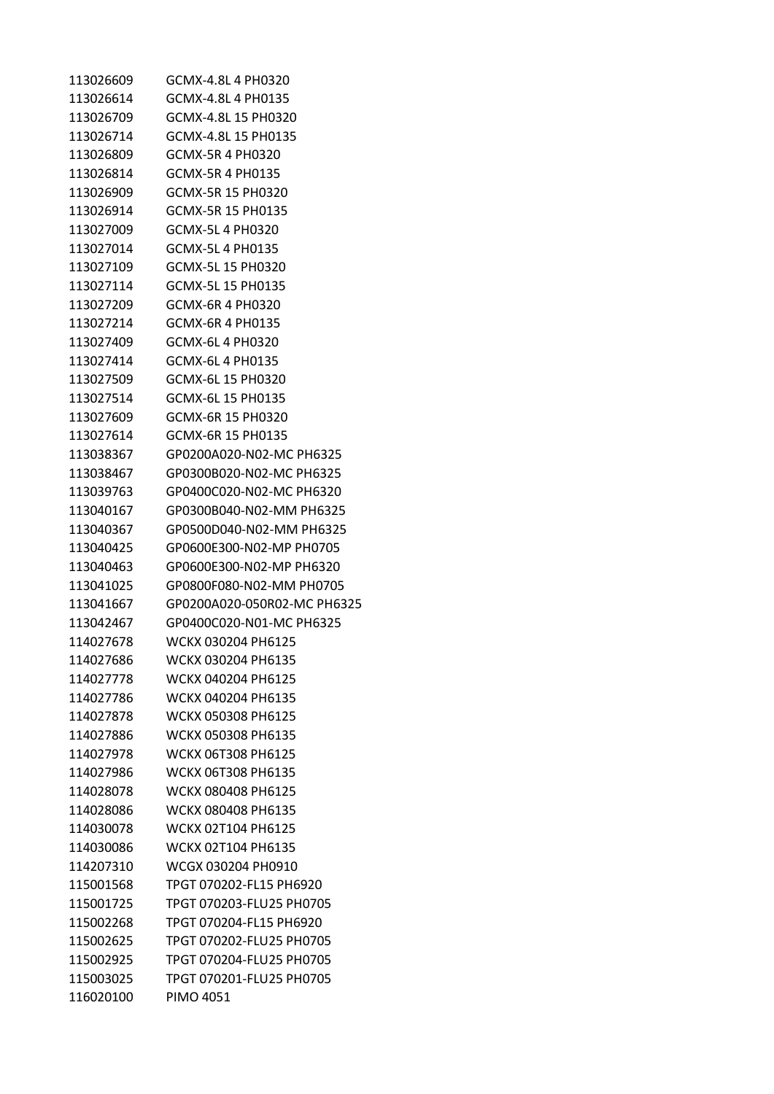| 113026609 | GCMX-4.8L 4 PH0320          |
|-----------|-----------------------------|
| 113026614 | GCMX-4.8L 4 PH0135          |
| 113026709 | GCMX-4.8L 15 PH0320         |
| 113026714 | GCMX-4.8L 15 PH0135         |
| 113026809 | GCMX-5R 4 PH0320            |
| 113026814 | GCMX-5R 4 PH0135            |
| 113026909 | GCMX-5R 15 PH0320           |
| 113026914 | GCMX-5R 15 PH0135           |
| 113027009 | GCMX-5L 4 PH0320            |
| 113027014 | GCMX-5L 4 PH0135            |
| 113027109 | GCMX-5L 15 PH0320           |
| 113027114 | GCMX-5L 15 PH0135           |
| 113027209 | GCMX-6R 4 PH0320            |
| 113027214 | GCMX-6R 4 PH0135            |
| 113027409 | GCMX-6L 4 PH0320            |
| 113027414 | GCMX-6L 4 PH0135            |
| 113027509 | GCMX-6L 15 PH0320           |
| 113027514 | GCMX-6L 15 PH0135           |
| 113027609 | GCMX-6R 15 PH0320           |
| 113027614 | GCMX-6R 15 PH0135           |
| 113038367 | GP0200A020-N02-MC PH6325    |
| 113038467 | GP0300B020-N02-MC PH6325    |
| 113039763 | GP0400C020-N02-MC PH6320    |
| 113040167 | GP0300B040-N02-MM PH6325    |
| 113040367 | GP0500D040-N02-MM PH6325    |
| 113040425 | GP0600E300-N02-MP PH0705    |
| 113040463 | GP0600E300-N02-MP PH6320    |
| 113041025 | GP0800F080-N02-MM PH0705    |
| 113041667 | GP0200A020-050R02-MC PH6325 |
| 113042467 | GP0400C020-N01-MC PH6325    |
| 114027678 | WCKX 030204 PH6125          |
| 114027686 | WCKX 030204 PH6135          |
| 114027778 | WCKX 040204 PH6125          |
| 114027786 | WCKX 040204 PH6135          |
| 114027878 | WCKX 050308 PH6125          |
| 114027886 | WCKX 050308 PH6135          |
| 114027978 | <b>WCKX 06T308 PH6125</b>   |
| 114027986 | <b>WCKX 06T308 PH6135</b>   |
| 114028078 | WCKX 080408 PH6125          |
| 114028086 | WCKX 080408 PH6135          |
| 114030078 | WCKX 02T104 PH6125          |
| 114030086 | WCKX 02T104 PH6135          |
| 114207310 | WCGX 030204 PH0910          |
| 115001568 | TPGT 070202-FL15 PH6920     |
| 115001725 | TPGT 070203-FLU25 PH0705    |
| 115002268 | TPGT 070204-FL15 PH6920     |
| 115002625 | TPGT 070202-FLU25 PH0705    |
| 115002925 | TPGT 070204-FLU25 PH0705    |
| 115003025 | TPGT 070201-FLU25 PH0705    |
| 116020100 | <b>PIMO 4051</b>            |
|           |                             |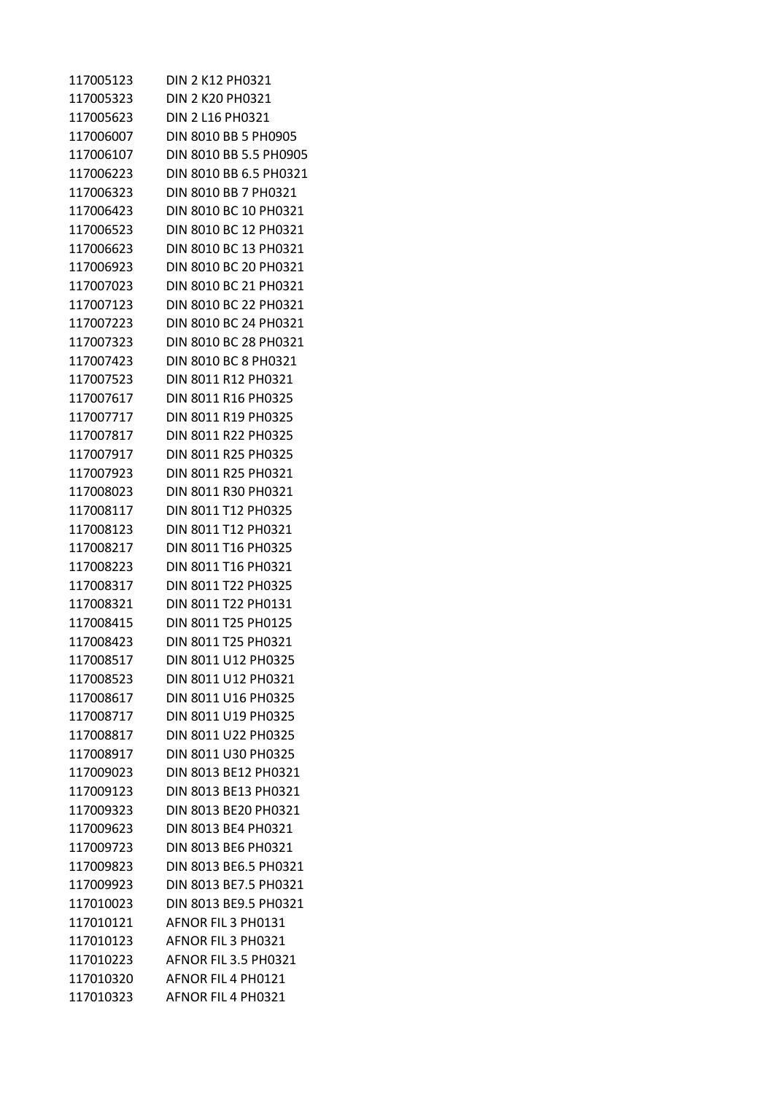| 117005123 | <b>DIN 2 K12 PH0321</b> |
|-----------|-------------------------|
| 117005323 | <b>DIN 2 K20 PH0321</b> |
| 117005623 | DIN 2 L16 PH0321        |
| 117006007 | DIN 8010 BB 5 PH0905    |
| 117006107 | DIN 8010 BB 5.5 PH0905  |
| 117006223 | DIN 8010 BB 6.5 PH0321  |
| 117006323 | DIN 8010 BB 7 PH0321    |
| 117006423 | DIN 8010 BC 10 PH0321   |
| 117006523 | DIN 8010 BC 12 PH0321   |
| 117006623 | DIN 8010 BC 13 PH0321   |
| 117006923 | DIN 8010 BC 20 PH0321   |
| 117007023 | DIN 8010 BC 21 PH0321   |
| 117007123 | DIN 8010 BC 22 PH0321   |
| 117007223 | DIN 8010 BC 24 PH0321   |
| 117007323 | DIN 8010 BC 28 PH0321   |
| 117007423 | DIN 8010 BC 8 PH0321    |
| 117007523 | DIN 8011 R12 PH0321     |
| 117007617 | DIN 8011 R16 PH0325     |
| 117007717 | DIN 8011 R19 PH0325     |
| 117007817 | DIN 8011 R22 PH0325     |
| 117007917 | DIN 8011 R25 PH0325     |
| 117007923 | DIN 8011 R25 PH0321     |
| 117008023 | DIN 8011 R30 PH0321     |
| 117008117 | DIN 8011 T12 PH0325     |
| 117008123 | DIN 8011 T12 PH0321     |
| 117008217 | DIN 8011 T16 PH0325     |
| 117008223 | DIN 8011 T16 PH0321     |
| 117008317 | DIN 8011 T22 PH0325     |
| 117008321 | DIN 8011 T22 PH0131     |
| 117008415 | DIN 8011 T25 PH0125     |
| 117008423 | DIN 8011 T25 PH0321     |
| 117008517 | DIN 8011 U12 PH0325     |
| 117008523 | DIN 8011 U12 PH0321     |
| 117008617 | DIN 8011 U16 PH0325     |
| 117008717 | DIN 8011 U19 PH0325     |
| 117008817 | DIN 8011 U22 PH0325     |
| 117008917 | DIN 8011 U30 PH0325     |
| 117009023 | DIN 8013 BE12 PH0321    |
| 117009123 | DIN 8013 BE13 PH0321    |
| 117009323 | DIN 8013 BE20 PH0321    |
| 117009623 | DIN 8013 BE4 PH0321     |
| 117009723 | DIN 8013 BE6 PH0321     |
| 117009823 | DIN 8013 BE6.5 PH0321   |
| 117009923 | DIN 8013 BE7.5 PH0321   |
| 117010023 | DIN 8013 BE9.5 PH0321   |
| 117010121 | AFNOR FIL 3 PH0131      |
| 117010123 | AFNOR FIL 3 PH0321      |
| 117010223 | AFNOR FIL 3.5 PH0321    |
| 117010320 | AFNOR FIL 4 PH0121      |
| 117010323 | AFNOR FIL 4 PH0321      |
|           |                         |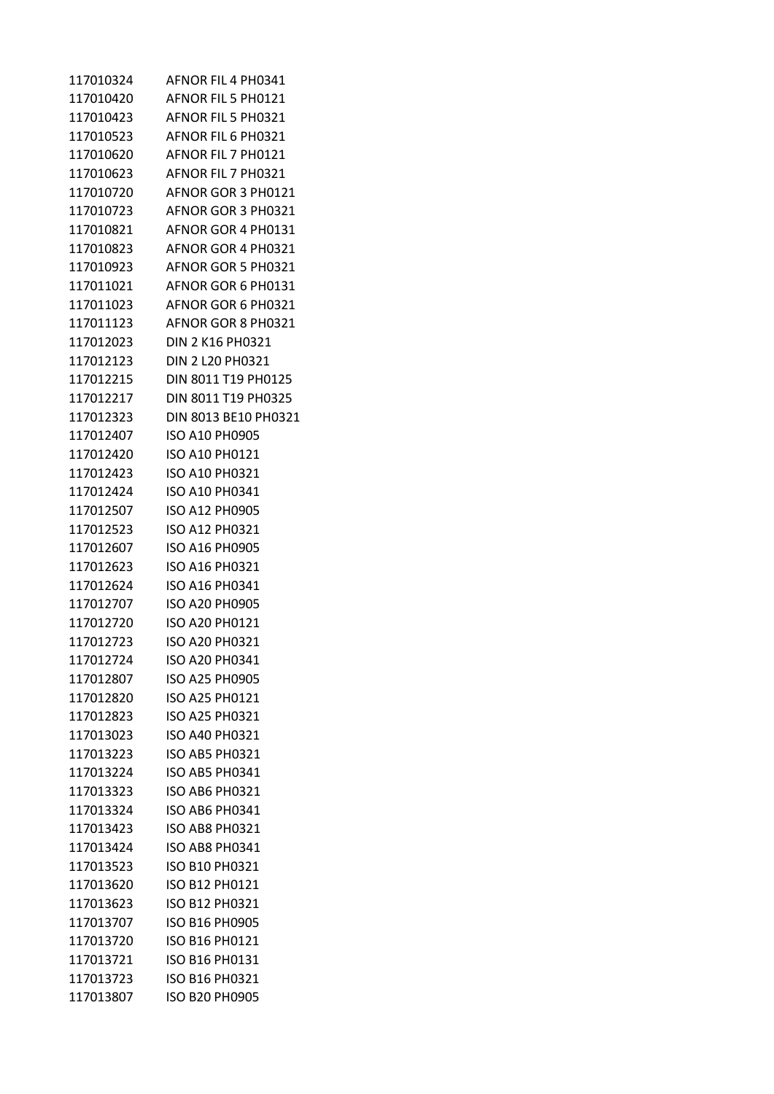| 117010324 | AFNOR FIL 4 PH0341    |
|-----------|-----------------------|
| 117010420 | AFNOR FIL 5 PH0121    |
| 117010423 | AFNOR FIL 5 PH0321    |
| 117010523 | AFNOR FIL 6 PH0321    |
| 117010620 | AFNOR FIL 7 PH0121    |
| 117010623 | AFNOR FIL 7 PH0321    |
| 117010720 | AFNOR GOR 3 PH0121    |
| 117010723 | AFNOR GOR 3 PH0321    |
| 117010821 | AFNOR GOR 4 PH0131    |
| 117010823 | AFNOR GOR 4 PH0321    |
| 117010923 | AFNOR GOR 5 PH0321    |
| 117011021 | AFNOR GOR 6 PH0131    |
| 117011023 | AFNOR GOR 6 PH0321    |
| 117011123 | AFNOR GOR 8 PH0321    |
| 117012023 | DIN 2 K16 PH0321      |
| 117012123 | DIN 2 L20 PH0321      |
| 117012215 | DIN 8011 T19 PH0125   |
| 117012217 | DIN 8011 T19 PH0325   |
| 117012323 | DIN 8013 BE10 PH0321  |
| 117012407 | ISO A10 PH0905        |
| 117012420 | ISO A10 PH0121        |
| 117012423 | ISO A10 PH0321        |
| 117012424 | ISO A10 PH0341        |
| 117012507 | ISO A12 PH0905        |
| 117012523 | <b>ISO A12 PH0321</b> |
| 117012607 | ISO A16 PH0905        |
| 117012623 | ISO A16 PH0321        |
| 117012624 | ISO A16 PH0341        |
| 117012707 | ISO A20 PH0905        |
| 117012720 | ISO A20 PH0121        |
| 117012723 | <b>ISO A20 PH0321</b> |
| 117012724 | ISO A20 PH0341        |
| 117012807 | <b>ISO A25 PH0905</b> |
| 117012820 | <b>ISO A25 PH0121</b> |
| 117012823 | <b>ISO A25 PH0321</b> |
| 117013023 | <b>ISO A40 PH0321</b> |
| 117013223 | <b>ISO AB5 PH0321</b> |
| 117013224 | <b>ISO AB5 PH0341</b> |
| 117013323 | <b>ISO AB6 PH0321</b> |
| 117013324 | <b>ISO AB6 PH0341</b> |
| 117013423 | <b>ISO AB8 PH0321</b> |
| 117013424 | <b>ISO AB8 PH0341</b> |
| 117013523 | ISO B10 PH0321        |
| 117013620 | <b>ISO B12 PH0121</b> |
| 117013623 | <b>ISO B12 PH0321</b> |
| 117013707 | ISO B16 PH0905        |
| 117013720 | <b>ISO B16 PH0121</b> |
| 117013721 | ISO B16 PH0131        |
| 117013723 | <b>ISO B16 PH0321</b> |
| 117013807 | ISO B20 PH0905        |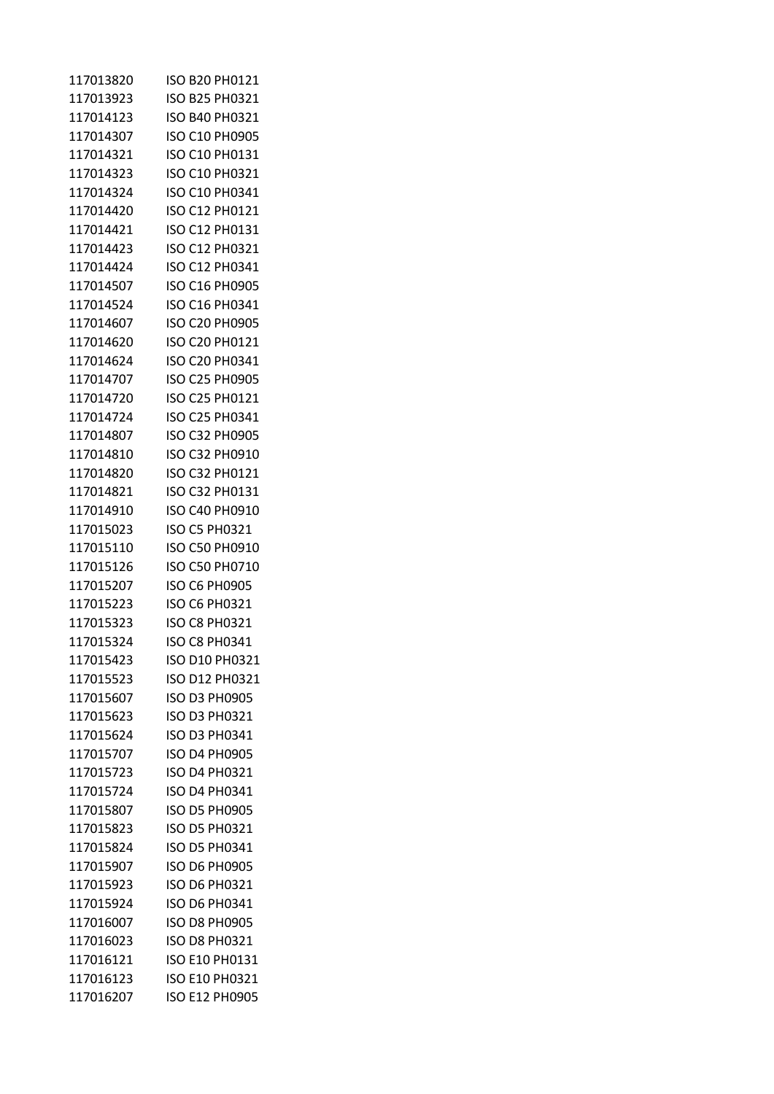| 117013820 | ISO B20 PH0121        |
|-----------|-----------------------|
| 117013923 | ISO B25 PH0321        |
| 117014123 | ISO B40 PH0321        |
| 117014307 | ISO C10 PH0905        |
| 117014321 | ISO C10 PH0131        |
| 117014323 | ISO C10 PH0321        |
| 117014324 | ISO C10 PH0341        |
| 117014420 | ISO C12 PH0121        |
| 117014421 | ISO C12 PH0131        |
| 117014423 | ISO C12 PH0321        |
| 117014424 | ISO C12 PH0341        |
| 117014507 | ISO C16 PH0905        |
| 117014524 | ISO C16 PH0341        |
| 117014607 | ISO C20 PH0905        |
| 117014620 | ISO C20 PH0121        |
| 117014624 | ISO C20 PH0341        |
| 117014707 | ISO C25 PH0905        |
| 117014720 | ISO C25 PH0121        |
| 117014724 | ISO C25 PH0341        |
| 117014807 | ISO C32 PH0905        |
| 117014810 | ISO C32 PH0910        |
| 117014820 | ISO C32 PH0121        |
| 117014821 | ISO C32 PH0131        |
| 117014910 | ISO C40 PH0910        |
| 117015023 | ISO C5 PH0321         |
| 117015110 | <b>ISO C50 PH0910</b> |
| 117015126 | ISO C50 PH0710        |
| 117015207 | ISO C6 PH0905         |
| 117015223 | ISO C6 PH0321         |
| 117015323 | ISO C8 PH0321         |
| 117015324 | ISO C8 PH0341         |
| 117015423 | ISO D10 PH0321        |
| 117015523 | ISO D12 PH0321        |
| 117015607 | <b>ISO D3 PH0905</b>  |
| 117015623 | <b>ISO D3 PH0321</b>  |
| 117015624 | ISO D3 PH0341         |
| 117015707 | <b>ISO D4 PH0905</b>  |
| 117015723 | ISO D4 PH0321         |
| 117015724 | <b>ISO D4 PH0341</b>  |
| 117015807 | <b>ISO D5 PH0905</b>  |
| 117015823 | ISO D5 PH0321         |
| 117015824 | <b>ISO D5 PH0341</b>  |
| 117015907 | <b>ISO D6 PH0905</b>  |
| 117015923 | <b>ISO D6 PH0321</b>  |
| 117015924 | <b>ISO D6 PH0341</b>  |
| 117016007 | <b>ISO D8 PH0905</b>  |
| 117016023 | ISO D8 PH0321         |
| 117016121 | ISO E10 PH0131        |
| 117016123 | <b>ISO E10 PH0321</b> |
| 117016207 | ISO E12 PH0905        |
|           |                       |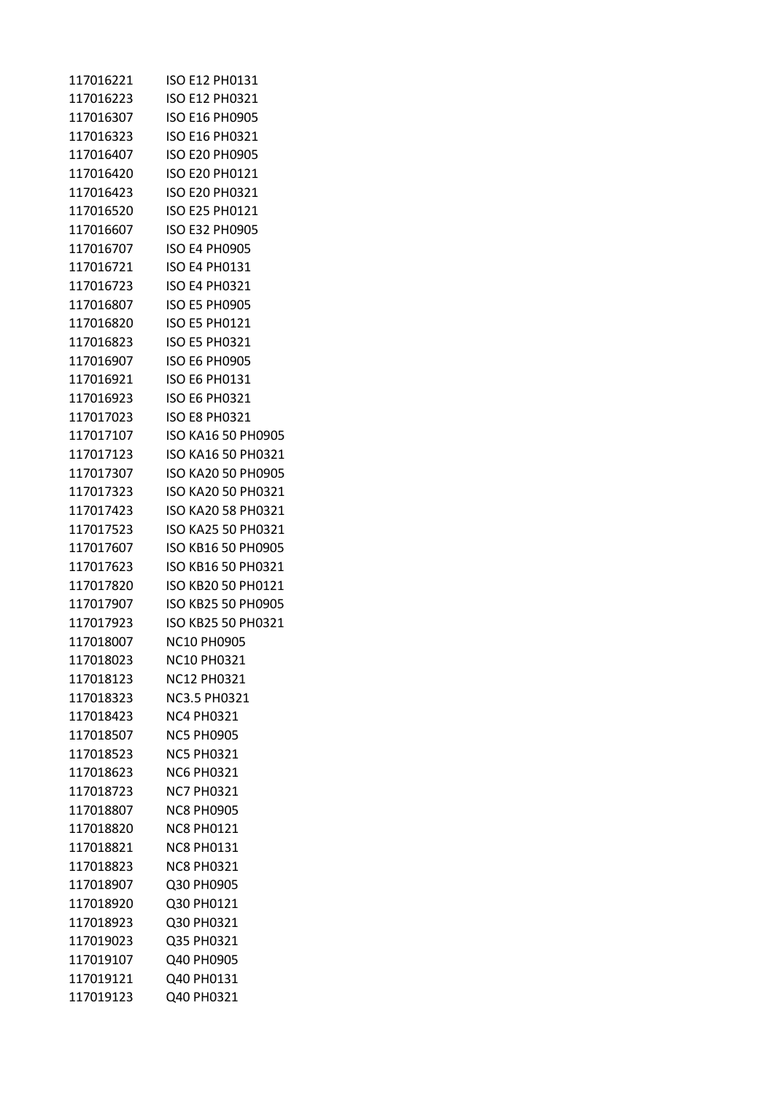| 117016221 | ISO E12 PH0131            |
|-----------|---------------------------|
| 117016223 | <b>ISO E12 PH0321</b>     |
| 117016307 | <b>ISO E16 PH0905</b>     |
| 117016323 | <b>ISO E16 PH0321</b>     |
| 117016407 | <b>ISO E20 PH0905</b>     |
| 117016420 | ISO E20 PH0121            |
| 117016423 | <b>ISO E20 PH0321</b>     |
| 117016520 | ISO E25 PH0121            |
| 117016607 | <b>ISO E32 PH0905</b>     |
| 117016707 | <b>ISO E4 PH0905</b>      |
| 117016721 | <b>ISO E4 PH0131</b>      |
| 117016723 | <b>ISO E4 PH0321</b>      |
| 117016807 | <b>ISO E5 PH0905</b>      |
| 117016820 | <b>ISO E5 PH0121</b>      |
| 117016823 | <b>ISO E5 PH0321</b>      |
| 117016907 | <b>ISO E6 PH0905</b>      |
| 117016921 | <b>ISO E6 PH0131</b>      |
| 117016923 | <b>ISO E6 PH0321</b>      |
| 117017023 | <b>ISO E8 PH0321</b>      |
| 117017107 | ISO KA16 50 PH0905        |
| 117017123 | ISO KA16 50 PH0321        |
| 117017307 | <b>ISO KA20 50 PH0905</b> |
| 117017323 | ISO KA20 50 PH0321        |
| 117017423 | ISO KA20 58 PH0321        |
| 117017523 | ISO KA25 50 PH0321        |
| 117017607 | ISO KB16 50 PH0905        |
| 117017623 | ISO KB16 50 PH0321        |
| 117017820 | ISO KB20 50 PH0121        |
| 117017907 | ISO KB25 50 PH0905        |
| 117017923 | ISO KB25 50 PH0321        |
| 117018007 | <b>NC10 PH0905</b>        |
| 117018023 | NC10 PH0321               |
| 117018123 | <b>NC12 PH0321</b>        |
| 117018323 | <b>NC3.5 PH0321</b>       |
| 117018423 | <b>NC4 PH0321</b>         |
| 117018507 | <b>NC5 PH0905</b>         |
| 117018523 | <b>NC5 PH0321</b>         |
| 117018623 | <b>NC6 PH0321</b>         |
| 117018723 | <b>NC7 PH0321</b>         |
| 117018807 | <b>NC8 PH0905</b>         |
| 117018820 | <b>NC8 PH0121</b>         |
| 117018821 | <b>NC8 PH0131</b>         |
| 117018823 | <b>NC8 PH0321</b>         |
| 117018907 | Q30 PH0905                |
| 117018920 | Q30 PH0121                |
| 117018923 | Q30 PH0321                |
| 117019023 | Q35 PH0321                |
| 117019107 | Q40 PH0905                |
| 117019121 | Q40 PH0131                |
| 117019123 | Q40 PH0321                |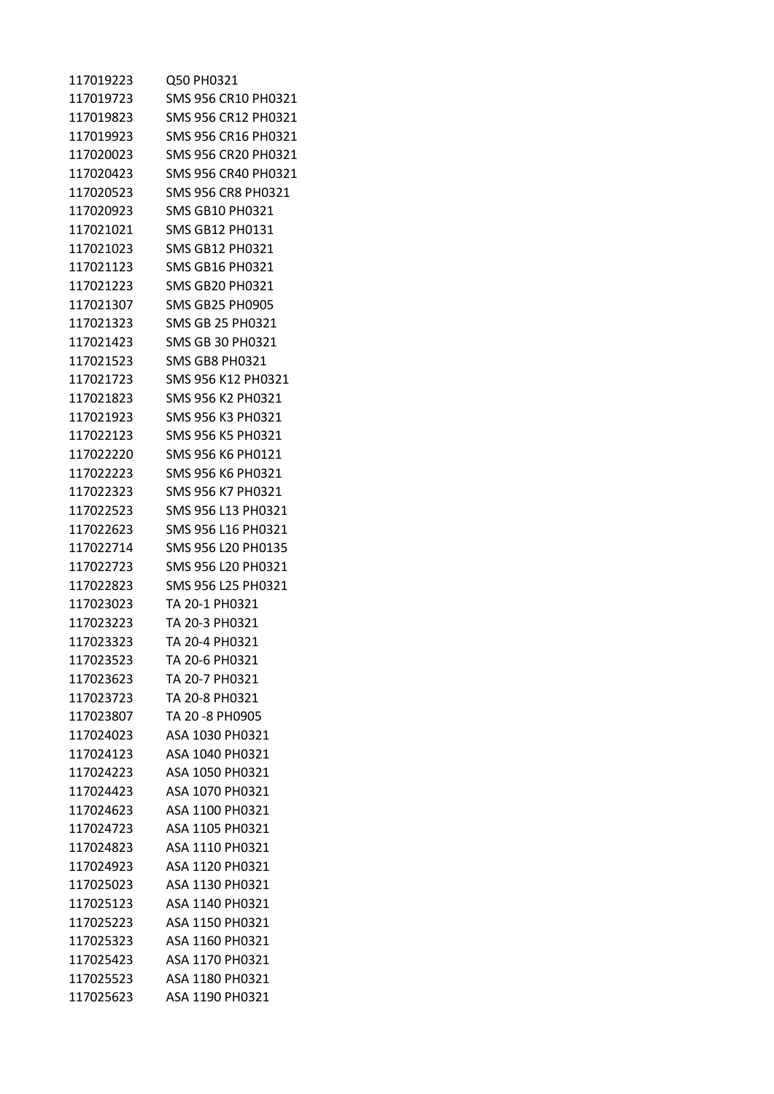| 117019223 | Q50 PH0321             |
|-----------|------------------------|
| 117019723 | SMS 956 CR10 PH0321    |
| 117019823 | SMS 956 CR12 PH0321    |
| 117019923 | SMS 956 CR16 PH0321    |
| 117020023 | SMS 956 CR20 PH0321    |
| 117020423 | SMS 956 CR40 PH0321    |
| 117020523 | SMS 956 CR8 PH0321     |
| 117020923 | <b>SMS GB10 PH0321</b> |
| 117021021 | SMS GB12 PH0131        |
| 117021023 | SMS GB12 PH0321        |
| 117021123 | SMS GB16 PH0321        |
| 117021223 | SMS GB20 PH0321        |
| 117021307 | <b>SMS GB25 PH0905</b> |
| 117021323 | SMS GB 25 PH0321       |
| 117021423 | SMS GB 30 PH0321       |
| 117021523 | <b>SMS GB8 PH0321</b>  |
| 117021723 | SMS 956 K12 PH0321     |
| 117021823 | SMS 956 K2 PH0321      |
| 117021923 | SMS 956 K3 PH0321      |
| 117022123 | SMS 956 K5 PH0321      |
| 117022220 | SMS 956 K6 PH0121      |
| 117022223 | SMS 956 K6 PH0321      |
| 117022323 | SMS 956 K7 PH0321      |
| 117022523 | SMS 956 L13 PH0321     |
| 117022623 | SMS 956 L16 PH0321     |
| 117022714 | SMS 956 L20 PH0135     |
| 117022723 | SMS 956 L20 PH0321     |
| 117022823 | SMS 956 L25 PH0321     |
| 117023023 | TA 20-1 PH0321         |
| 117023223 | TA 20-3 PH0321         |
| 117023323 | TA 20-4 PH0321         |
| 117023523 | TA 20-6 PH0321         |
| 117023623 | TA 20-7 PH0321         |
| 117023723 | TA 20-8 PH0321         |
| 117023807 | TA 20 -8 PH0905        |
| 117024023 | ASA 1030 PH0321        |
| 117024123 | ASA 1040 PH0321        |
| 117024223 | ASA 1050 PH0321        |
| 117024423 | ASA 1070 PH0321        |
| 117024623 | ASA 1100 PH0321        |
| 117024723 | ASA 1105 PH0321        |
| 117024823 | ASA 1110 PH0321        |
| 117024923 | ASA 1120 PH0321        |
| 117025023 | ASA 1130 PH0321        |
| 117025123 | ASA 1140 PH0321        |
| 117025223 | ASA 1150 PH0321        |
| 117025323 | ASA 1160 PH0321        |
| 117025423 | ASA 1170 PH0321        |
| 117025523 | ASA 1180 PH0321        |
| 117025623 | ASA 1190 PH0321        |
|           |                        |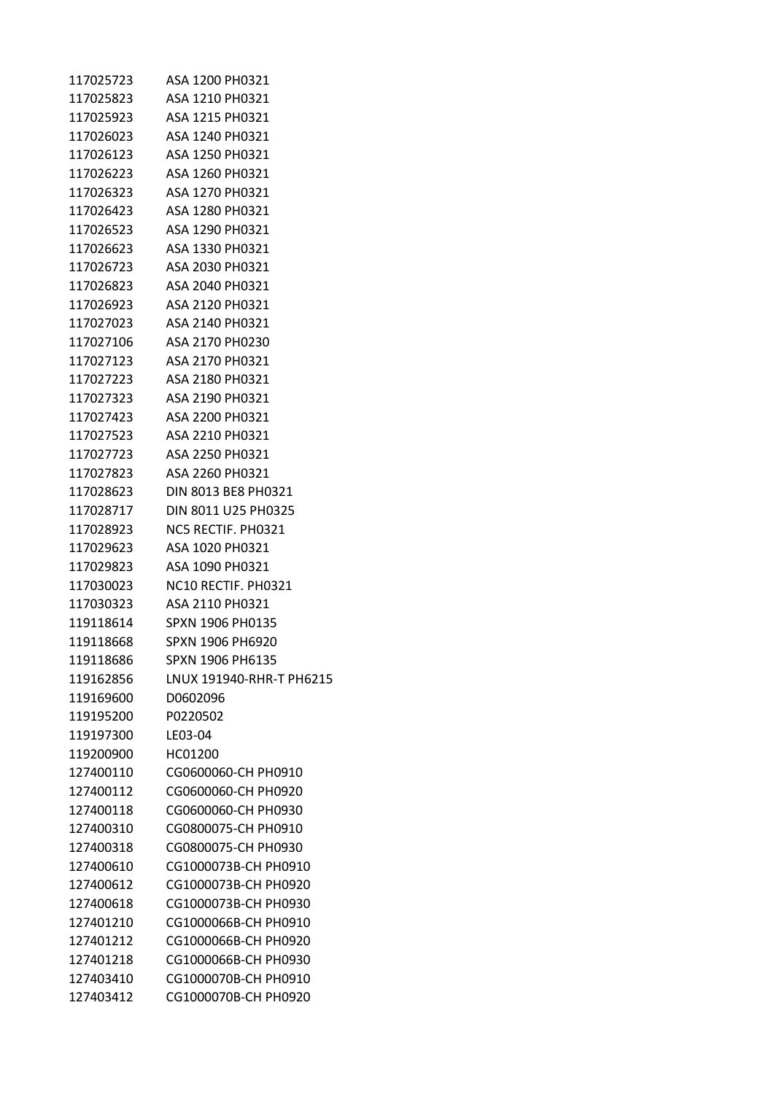| 117025723 | ASA 1200 PH0321                             |
|-----------|---------------------------------------------|
| 117025823 | ASA 1210 PH0321                             |
| 117025923 | ASA 1215 PH0321                             |
| 117026023 | ASA 1240 PH0321                             |
| 117026123 | ASA 1250 PH0321                             |
| 117026223 | ASA 1260 PH0321                             |
| 117026323 | ASA 1270 PH0321                             |
| 117026423 | ASA 1280 PH0321                             |
| 117026523 | ASA 1290 PH0321                             |
| 117026623 | ASA 1330 PH0321                             |
| 117026723 | ASA 2030 PH0321                             |
| 117026823 | ASA 2040 PH0321                             |
| 117026923 | ASA 2120 PH0321                             |
| 117027023 | ASA 2140 PH0321                             |
| 117027106 | ASA 2170 PH0230                             |
| 117027123 | ASA 2170 PH0321                             |
| 117027223 | ASA 2180 PH0321                             |
| 117027323 | ASA 2190 PH0321                             |
| 117027423 | ASA 2200 PH0321                             |
| 117027523 | ASA 2210 PH0321                             |
| 117027723 | ASA 2250 PH0321                             |
| 117027823 | ASA 2260 PH0321                             |
| 117028623 | DIN 8013 BE8 PH0321                         |
| 117028717 | DIN 8011 U25 PH0325                         |
| 117028923 | NC5 RECTIF. PH0321                          |
| 117029623 | ASA 1020 PH0321                             |
| 117029823 | ASA 1090 PH0321                             |
| 117030023 | NC <sub>10</sub> RECTIF, PH <sub>0321</sub> |
| 117030323 | ASA 2110 PH0321                             |
| 119118614 | SPXN 1906 PH0135                            |
| 119118668 | SPXN 1906 PH6920                            |
| 119118686 | SPXN 1906 PH6135                            |
| 119162856 | LNUX 191940-RHR-T PH6215                    |
| 119169600 | D0602096                                    |
| 119195200 | P0220502                                    |
| 119197300 | LE03-04                                     |
| 119200900 | HC01200                                     |
| 127400110 | CG0600060-CH PH0910                         |
| 127400112 | CG0600060-CH PH0920                         |
| 127400118 | CG0600060-CH PH0930                         |
| 127400310 | CG0800075-CH PH0910                         |
| 127400318 | CG0800075-CH PH0930                         |
| 127400610 | CG1000073B-CH PH0910                        |
| 127400612 | CG1000073B-CH PH0920                        |
| 127400618 | CG1000073B-CH PH0930                        |
| 127401210 | CG1000066B-CH PH0910                        |
| 127401212 | CG1000066B-CH PH0920                        |
| 127401218 | CG1000066B-CH PH0930                        |
| 127403410 | CG1000070B-CH PH0910                        |
| 127403412 | CG1000070B-CH PH0920                        |
|           |                                             |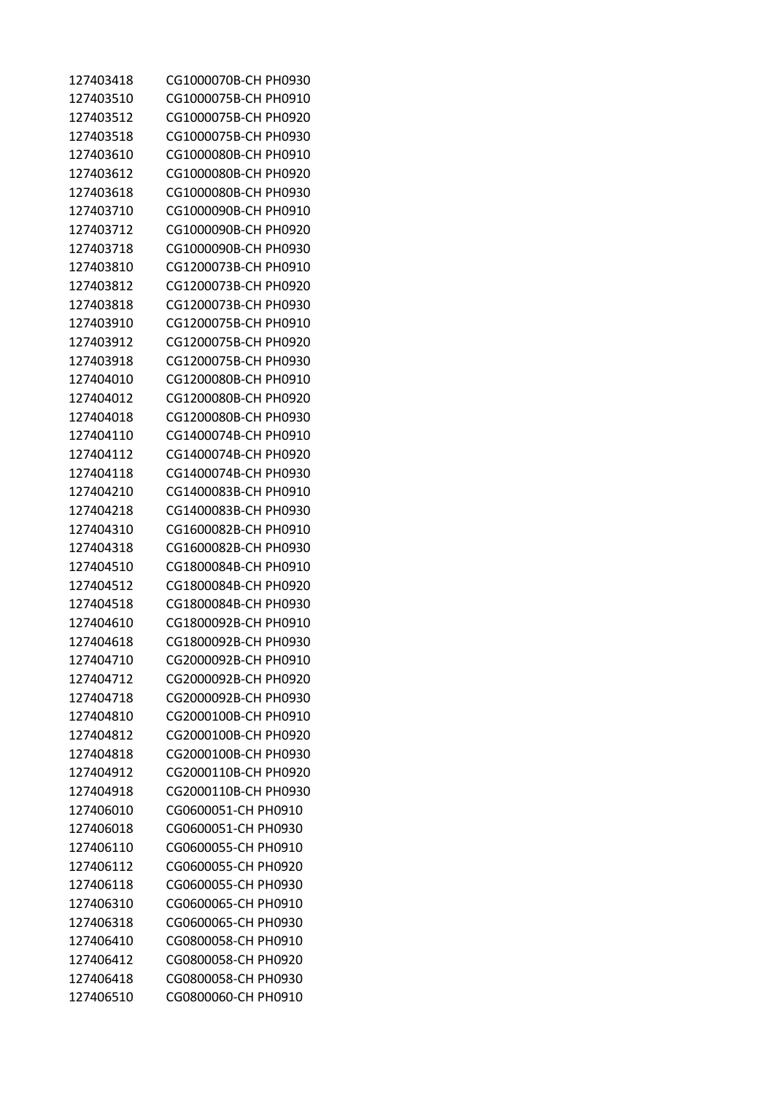| 127403418 | CG1000070B-CH PH0930 |
|-----------|----------------------|
| 127403510 | CG1000075B-CH PH0910 |
| 127403512 | CG1000075B-CH PH0920 |
| 127403518 | CG1000075B-CH PH0930 |
| 127403610 | CG1000080B-CH PH0910 |
| 127403612 | CG1000080B-CH PH0920 |
| 127403618 | CG1000080B-CH PH0930 |
| 127403710 | CG1000090B-CH PH0910 |
| 127403712 | CG1000090B-CH PH0920 |
| 127403718 | CG1000090B-CH PH0930 |
| 127403810 | CG1200073B-CH PH0910 |
| 127403812 | CG1200073B-CH PH0920 |
| 127403818 | CG1200073B-CH PH0930 |
| 127403910 | CG1200075B-CH PH0910 |
| 127403912 | CG1200075B-CH PH0920 |
| 127403918 | CG1200075B-CH PH0930 |
| 127404010 | CG1200080B-CH PH0910 |
| 127404012 | CG1200080B-CH PH0920 |
| 127404018 | CG1200080B-CH PH0930 |
| 127404110 | CG1400074B-CH PH0910 |
| 127404112 | CG1400074B-CH PH0920 |
| 127404118 | CG1400074B-CH PH0930 |
| 127404210 | CG1400083B-CH PH0910 |
| 127404218 | CG1400083B-CH PH0930 |
| 127404310 | CG1600082B-CH PH0910 |
| 127404318 | CG1600082B-CH PH0930 |
| 127404510 | CG1800084B-CH PH0910 |
| 127404512 | CG1800084B-CH PH0920 |
| 127404518 | CG1800084B-CH PH0930 |
| 127404610 | CG1800092B-CH PH0910 |
| 127404618 | CG1800092B-CH PH0930 |
| 127404710 | CG2000092B-CH PH0910 |
| 127404712 | CG2000092B-CH PH0920 |
| 127404718 | CG2000092B-CH PH0930 |
| 127404810 | CG2000100B-CH PH0910 |
| 127404812 | CG2000100B-CH PH0920 |
| 127404818 | CG2000100B-CH PH0930 |
| 127404912 | CG2000110B-CH PH0920 |
| 127404918 | CG2000110B-CH PH0930 |
| 127406010 | CG0600051-CH PH0910  |
| 127406018 | CG0600051-CH PH0930  |
| 127406110 | CG0600055-CH PH0910  |
| 127406112 | CG0600055-CH PH0920  |
| 127406118 | CG0600055-CH PH0930  |
| 127406310 | CG0600065-CH PH0910  |
| 127406318 | CG0600065-CH PH0930  |
| 127406410 | CG0800058-CH PH0910  |
| 127406412 | CG0800058-CH PH0920  |
| 127406418 | CG0800058-CH PH0930  |
| 127406510 | CG0800060-CH PH0910  |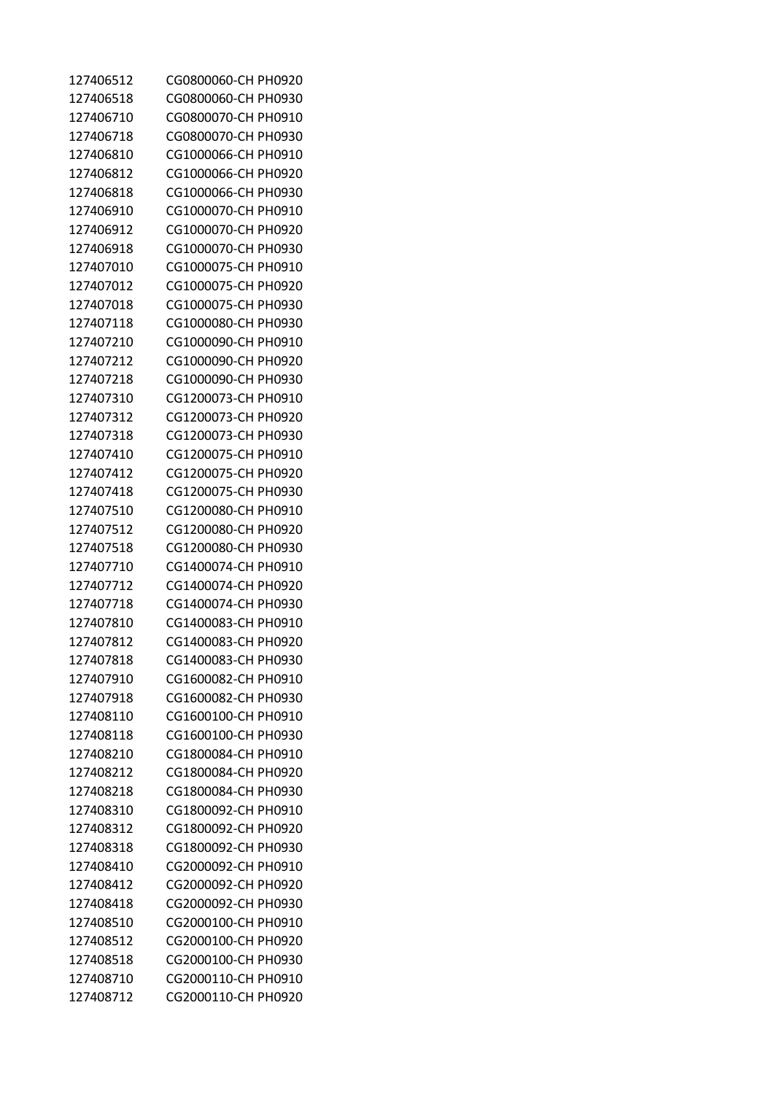| 127406512 | CG0800060-CH PH0920 |
|-----------|---------------------|
| 127406518 | CG0800060-CH PH0930 |
| 127406710 | CG0800070-CH PH0910 |
| 127406718 | CG0800070-CH PH0930 |
| 127406810 | CG1000066-CH PH0910 |
| 127406812 | CG1000066-CH PH0920 |
| 127406818 | CG1000066-CH PH0930 |
| 127406910 | CG1000070-CH PH0910 |
| 127406912 | CG1000070-CH PH0920 |
| 127406918 | CG1000070-CH PH0930 |
| 127407010 | CG1000075-CH PH0910 |
| 127407012 | CG1000075-CH PH0920 |
| 127407018 | CG1000075-CH PH0930 |
| 127407118 | CG1000080-CH PH0930 |
| 127407210 | CG1000090-CH PH0910 |
| 127407212 | CG1000090-CH PH0920 |
| 127407218 | CG1000090-CH PH0930 |
| 127407310 | CG1200073-CH PH0910 |
| 127407312 | CG1200073-CH PH0920 |
| 127407318 | CG1200073-CH PH0930 |
| 127407410 | CG1200075-CH PH0910 |
| 127407412 | CG1200075-CH PH0920 |
| 127407418 | CG1200075-CH PH0930 |
| 127407510 | CG1200080-CH PH0910 |
| 127407512 | CG1200080-CH PH0920 |
| 127407518 | CG1200080-CH PH0930 |
| 127407710 | CG1400074-CH PH0910 |
| 127407712 | CG1400074-CH PH0920 |
| 127407718 | CG1400074-CH PH0930 |
| 127407810 | CG1400083-CH PH0910 |
| 127407812 | CG1400083-CH PH0920 |
| 127407818 | CG1400083-CH PH0930 |
| 127407910 | CG1600082-CH PH0910 |
| 127407918 | CG1600082-CH PH0930 |
| 127408110 | CG1600100-CH PH0910 |
| 127408118 | CG1600100-CH PH0930 |
| 127408210 | CG1800084-CH PH0910 |
| 127408212 | CG1800084-CH PH0920 |
| 127408218 | CG1800084-CH PH0930 |
| 127408310 | CG1800092-CH PH0910 |
| 127408312 | CG1800092-CH PH0920 |
| 127408318 | CG1800092-CH PH0930 |
| 127408410 | CG2000092-CH PH0910 |
| 127408412 |                     |
|           | CG2000092-CH PH0920 |
| 127408418 | CG2000092-CH PH0930 |
| 127408510 | CG2000100-CH PH0910 |
| 127408512 | CG2000100-CH PH0920 |
| 127408518 | CG2000100-CH PH0930 |
| 127408710 | CG2000110-CH PH0910 |
| 127408712 | CG2000110-CH PH0920 |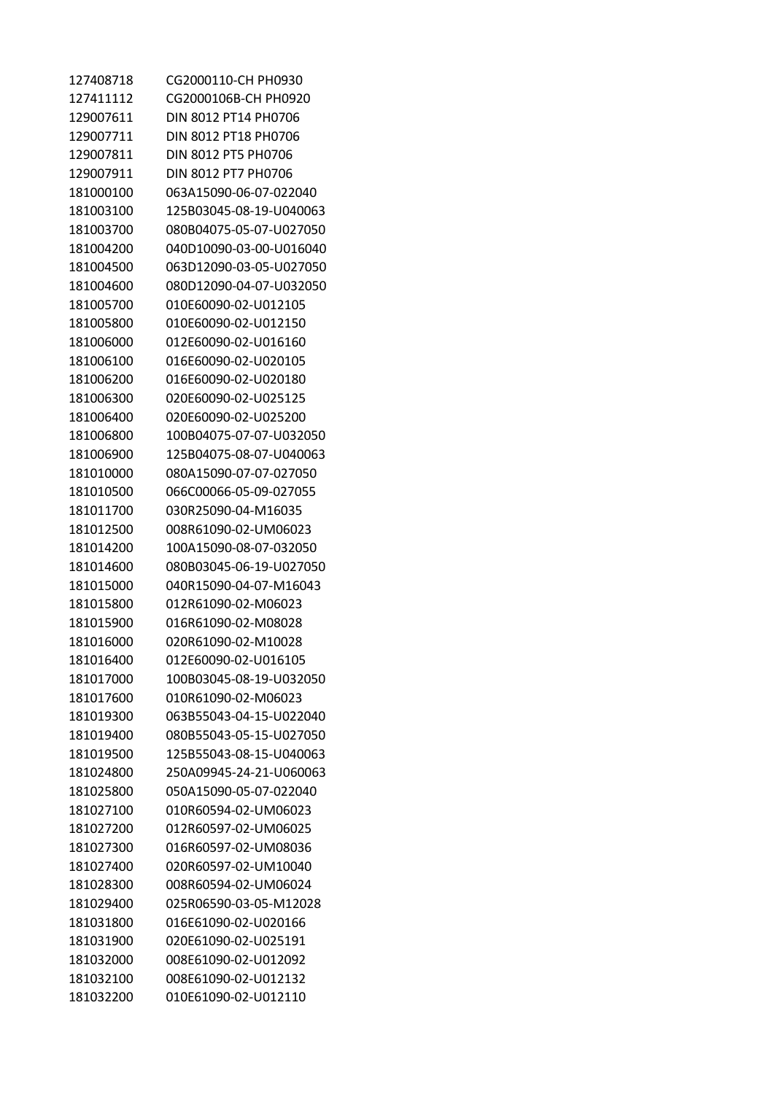| 127408718 | CG2000110-CH PH0930     |
|-----------|-------------------------|
| 127411112 | CG2000106B-CH PH0920    |
| 129007611 | DIN 8012 PT14 PH0706    |
| 129007711 | DIN 8012 PT18 PH0706    |
| 129007811 | DIN 8012 PT5 PH0706     |
| 129007911 | DIN 8012 PT7 PH0706     |
| 181000100 | 063A15090-06-07-022040  |
| 181003100 | 125B03045-08-19-U040063 |
| 181003700 | 080B04075-05-07-U027050 |
| 181004200 | 040D10090-03-00-U016040 |
| 181004500 | 063D12090-03-05-U027050 |
| 181004600 | 080D12090-04-07-U032050 |
| 181005700 | 010E60090-02-U012105    |
| 181005800 | 010E60090-02-U012150    |
| 181006000 | 012E60090-02-U016160    |
| 181006100 | 016E60090-02-U020105    |
| 181006200 | 016E60090-02-U020180    |
| 181006300 | 020E60090-02-U025125    |
| 181006400 | 020E60090-02-U025200    |
| 181006800 | 100B04075-07-07-U032050 |
| 181006900 | 125B04075-08-07-U040063 |
| 181010000 | 080A15090-07-07-027050  |
| 181010500 | 066C00066-05-09-027055  |
| 181011700 | 030R25090-04-M16035     |
| 181012500 | 008R61090-02-UM06023    |
| 181014200 | 100A15090-08-07-032050  |
| 181014600 | 080B03045-06-19-U027050 |
| 181015000 | 040R15090-04-07-M16043  |
| 181015800 | 012R61090-02-M06023     |
| 181015900 | 016R61090-02-M08028     |
| 181016000 | 020R61090-02-M10028     |
| 181016400 | 012E60090-02-U016105    |
| 181017000 | 100B03045-08-19-U032050 |
| 181017600 | 010R61090-02-M06023     |
| 181019300 | 063B55043-04-15-U022040 |
| 181019400 | 080B55043-05-15-U027050 |
| 181019500 | 125B55043-08-15-U040063 |
| 181024800 | 250A09945-24-21-U060063 |
| 181025800 | 050A15090-05-07-022040  |
| 181027100 | 010R60594-02-UM06023    |
| 181027200 | 012R60597-02-UM06025    |
| 181027300 | 016R60597-02-UM08036    |
| 181027400 | 020R60597-02-UM10040    |
| 181028300 | 008R60594-02-UM06024    |
| 181029400 | 025R06590-03-05-M12028  |
| 181031800 | 016E61090-02-U020166    |
| 181031900 | 020E61090-02-U025191    |
| 181032000 | 008E61090-02-U012092    |
| 181032100 | 008E61090-02-U012132    |
| 181032200 | 010E61090-02-U012110    |
|           |                         |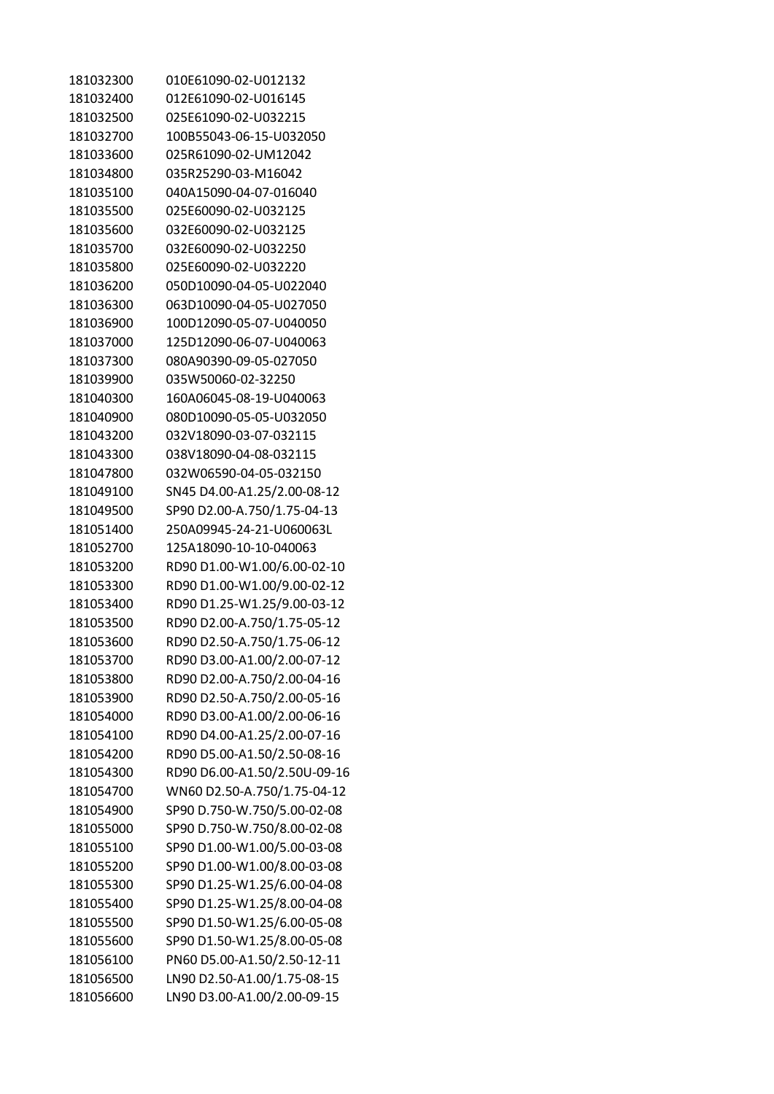| 181032300 | 010E61090-02-U012132         |
|-----------|------------------------------|
| 181032400 | 012E61090-02-U016145         |
| 181032500 | 025E61090-02-U032215         |
| 181032700 | 100B55043-06-15-U032050      |
| 181033600 | 025R61090-02-UM12042         |
| 181034800 | 035R25290-03-M16042          |
| 181035100 | 040A15090-04-07-016040       |
| 181035500 | 025E60090-02-U032125         |
| 181035600 | 032E60090-02-U032125         |
| 181035700 | 032E60090-02-U032250         |
| 181035800 | 025E60090-02-U032220         |
| 181036200 | 050D10090-04-05-U022040      |
| 181036300 | 063D10090-04-05-U027050      |
| 181036900 | 100D12090-05-07-U040050      |
| 181037000 | 125D12090-06-07-U040063      |
| 181037300 | 080A90390-09-05-027050       |
| 181039900 | 035W50060-02-32250           |
| 181040300 | 160A06045-08-19-U040063      |
| 181040900 | 080D10090-05-05-U032050      |
| 181043200 | 032V18090-03-07-032115       |
| 181043300 | 038V18090-04-08-032115       |
| 181047800 | 032W06590-04-05-032150       |
| 181049100 | SN45 D4.00-A1.25/2.00-08-12  |
| 181049500 | SP90 D2.00-A.750/1.75-04-13  |
| 181051400 | 250A09945-24-21-U060063L     |
| 181052700 | 125A18090-10-10-040063       |
| 181053200 | RD90 D1.00-W1.00/6.00-02-10  |
| 181053300 | RD90 D1.00-W1.00/9.00-02-12  |
| 181053400 | RD90 D1.25-W1.25/9.00-03-12  |
| 181053500 | RD90 D2.00-A.750/1.75-05-12  |
| 181053600 | RD90 D2.50-A.750/1.75-06-12  |
| 181053700 | RD90 D3.00-A1.00/2.00-07-12  |
| 181053800 | RD90 D2.00-A.750/2.00-04-16  |
| 181053900 | RD90 D2.50-A.750/2.00-05-16  |
| 181054000 | RD90 D3.00-A1.00/2.00-06-16  |
| 181054100 | RD90 D4.00-A1.25/2.00-07-16  |
| 181054200 | RD90 D5.00-A1.50/2.50-08-16  |
| 181054300 | RD90 D6.00-A1.50/2.50U-09-16 |
| 181054700 | WN60 D2.50-A.750/1.75-04-12  |
| 181054900 | SP90 D.750-W.750/5.00-02-08  |
| 181055000 | SP90 D.750-W.750/8.00-02-08  |
| 181055100 | SP90 D1.00-W1.00/5.00-03-08  |
| 181055200 | SP90 D1.00-W1.00/8.00-03-08  |
| 181055300 | SP90 D1.25-W1.25/6.00-04-08  |
| 181055400 | SP90 D1.25-W1.25/8.00-04-08  |
| 181055500 | SP90 D1.50-W1.25/6.00-05-08  |
| 181055600 | SP90 D1.50-W1.25/8.00-05-08  |
| 181056100 | PN60 D5.00-A1.50/2.50-12-11  |
| 181056500 | LN90 D2.50-A1.00/1.75-08-15  |
| 181056600 | LN90 D3.00-A1.00/2.00-09-15  |
|           |                              |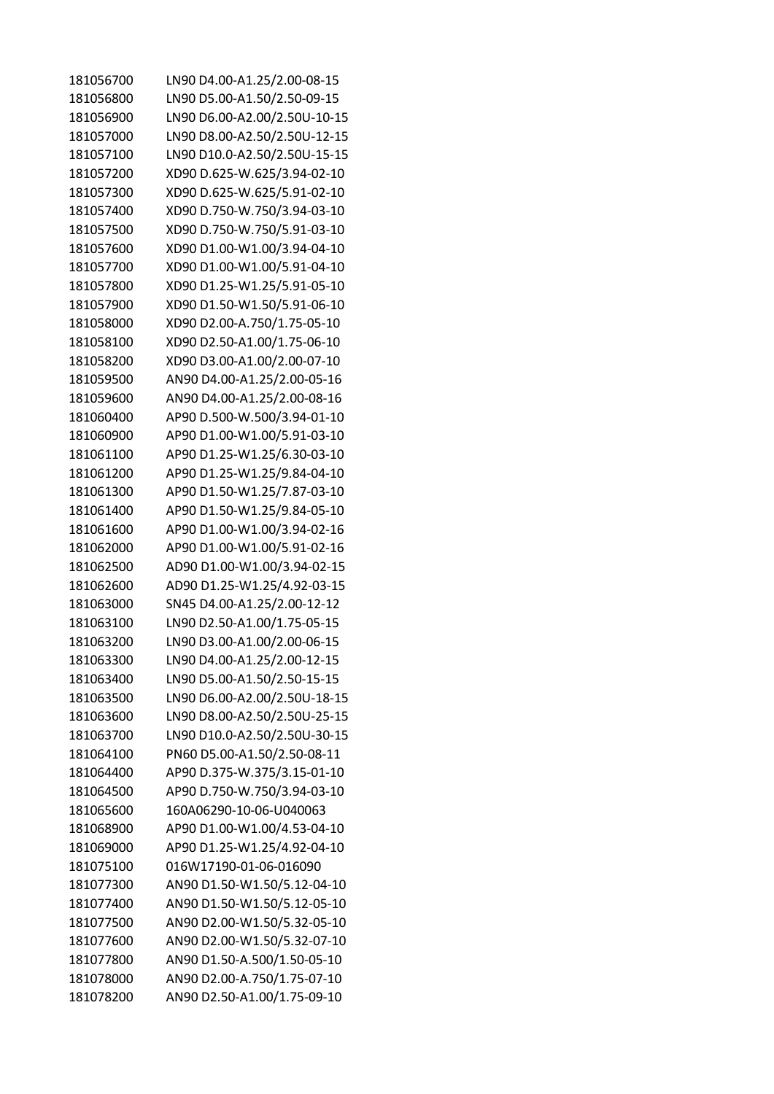| 181056700 | LN90 D4.00-A1.25/2.00-08-15  |
|-----------|------------------------------|
| 181056800 | LN90 D5.00-A1.50/2.50-09-15  |
| 181056900 | LN90 D6.00-A2.00/2.50U-10-15 |
| 181057000 | LN90 D8.00-A2.50/2.50U-12-15 |
| 181057100 | LN90 D10.0-A2.50/2.50U-15-15 |
| 181057200 | XD90 D.625-W.625/3.94-02-10  |
| 181057300 | XD90 D.625-W.625/5.91-02-10  |
| 181057400 | XD90 D.750-W.750/3.94-03-10  |
| 181057500 | XD90 D.750-W.750/5.91-03-10  |
| 181057600 | XD90 D1.00-W1.00/3.94-04-10  |
| 181057700 | XD90 D1.00-W1.00/5.91-04-10  |
| 181057800 | XD90 D1.25-W1.25/5.91-05-10  |
| 181057900 | XD90 D1.50-W1.50/5.91-06-10  |
| 181058000 | XD90 D2.00-A.750/1.75-05-10  |
| 181058100 | XD90 D2.50-A1.00/1.75-06-10  |
| 181058200 | XD90 D3.00-A1.00/2.00-07-10  |
| 181059500 | AN90 D4.00-A1.25/2.00-05-16  |
| 181059600 | AN90 D4.00-A1.25/2.00-08-16  |
| 181060400 | AP90 D.500-W.500/3.94-01-10  |
| 181060900 | AP90 D1.00-W1.00/5.91-03-10  |
| 181061100 | AP90 D1.25-W1.25/6.30-03-10  |
| 181061200 | AP90 D1.25-W1.25/9.84-04-10  |
| 181061300 | AP90 D1.50-W1.25/7.87-03-10  |
| 181061400 | AP90 D1.50-W1.25/9.84-05-10  |
| 181061600 | AP90 D1.00-W1.00/3.94-02-16  |
| 181062000 | AP90 D1.00-W1.00/5.91-02-16  |
| 181062500 | AD90 D1.00-W1.00/3.94-02-15  |
| 181062600 | AD90 D1.25-W1.25/4.92-03-15  |
| 181063000 | SN45 D4.00-A1.25/2.00-12-12  |
| 181063100 | LN90 D2.50-A1.00/1.75-05-15  |
| 181063200 | LN90 D3.00-A1.00/2.00-06-15  |
| 181063300 | LN90 D4.00-A1.25/2.00-12-15  |
| 181063400 | LN90 D5.00-A1.50/2.50-15-15  |
| 181063500 | LN90 D6.00-A2.00/2.50U-18-15 |
| 181063600 | LN90 D8.00-A2.50/2.50U-25-15 |
| 181063700 | LN90 D10.0-A2.50/2.50U-30-15 |
| 181064100 | PN60 D5.00-A1.50/2.50-08-11  |
| 181064400 | AP90 D.375-W.375/3.15-01-10  |
| 181064500 | AP90 D.750-W.750/3.94-03-10  |
| 181065600 | 160A06290-10-06-U040063      |
| 181068900 | AP90 D1.00-W1.00/4.53-04-10  |
| 181069000 | AP90 D1.25-W1.25/4.92-04-10  |
| 181075100 | 016W17190-01-06-016090       |
| 181077300 | AN90 D1.50-W1.50/5.12-04-10  |
| 181077400 | AN90 D1.50-W1.50/5.12-05-10  |
| 181077500 | AN90 D2.00-W1.50/5.32-05-10  |
| 181077600 | AN90 D2.00-W1.50/5.32-07-10  |
| 181077800 | AN90 D1.50-A.500/1.50-05-10  |
| 181078000 | AN90 D2.00-A.750/1.75-07-10  |
| 181078200 | AN90 D2.50-A1.00/1.75-09-10  |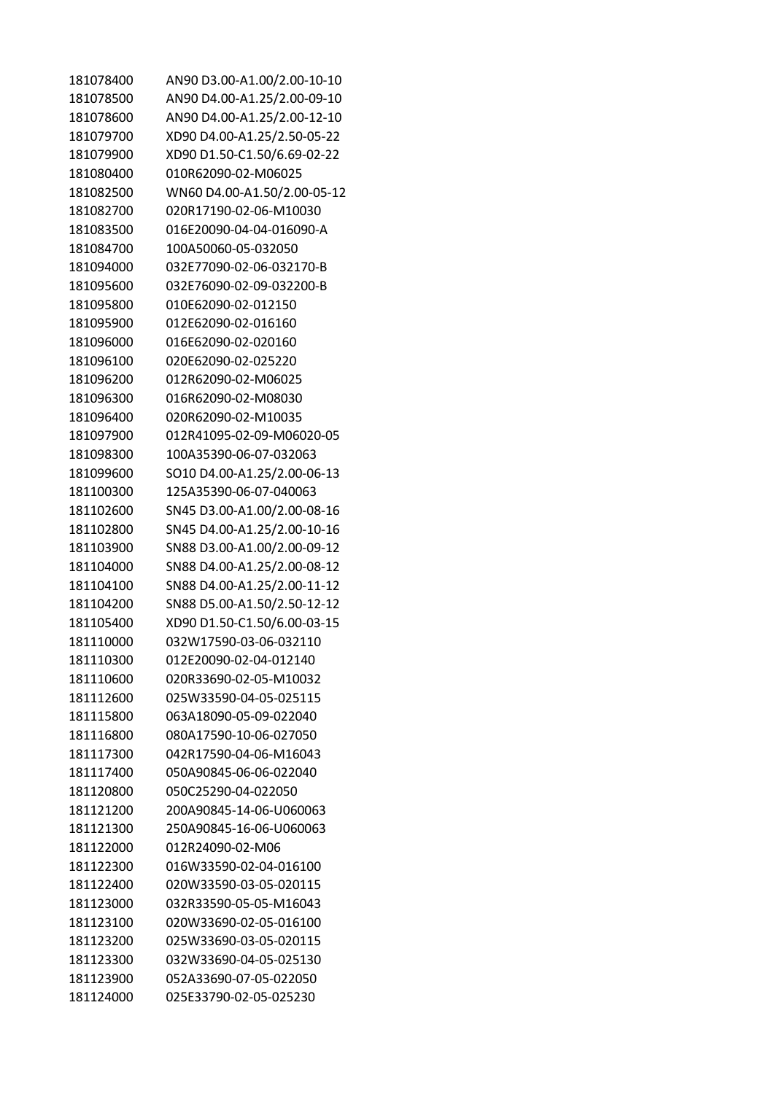| 181078400 | AN90 D3.00-A1.00/2.00-10-10 |
|-----------|-----------------------------|
| 181078500 | AN90 D4.00-A1.25/2.00-09-10 |
| 181078600 | AN90 D4.00-A1.25/2.00-12-10 |
| 181079700 | XD90 D4.00-A1.25/2.50-05-22 |
| 181079900 | XD90 D1.50-C1.50/6.69-02-22 |
| 181080400 | 010R62090-02-M06025         |
| 181082500 | WN60 D4.00-A1.50/2.00-05-12 |
| 181082700 | 020R17190-02-06-M10030      |
| 181083500 | 016E20090-04-04-016090-A    |
| 181084700 | 100A50060-05-032050         |
| 181094000 | 032E77090-02-06-032170-B    |
| 181095600 | 032E76090-02-09-032200-B    |
| 181095800 | 010E62090-02-012150         |
| 181095900 | 012E62090-02-016160         |
| 181096000 | 016E62090-02-020160         |
| 181096100 | 020E62090-02-025220         |
| 181096200 | 012R62090-02-M06025         |
| 181096300 | 016R62090-02-M08030         |
| 181096400 | 020R62090-02-M10035         |
| 181097900 | 012R41095-02-09-M06020-05   |
| 181098300 | 100A35390-06-07-032063      |
| 181099600 | SO10 D4.00-A1.25/2.00-06-13 |
| 181100300 | 125A35390-06-07-040063      |
| 181102600 | SN45 D3.00-A1.00/2.00-08-16 |
| 181102800 | SN45 D4.00-A1.25/2.00-10-16 |
| 181103900 | SN88 D3.00-A1.00/2.00-09-12 |
| 181104000 | SN88 D4.00-A1.25/2.00-08-12 |
| 181104100 | SN88 D4.00-A1.25/2.00-11-12 |
| 181104200 | SN88 D5.00-A1.50/2.50-12-12 |
| 181105400 | XD90 D1.50-C1.50/6.00-03-15 |
| 181110000 | 032W17590-03-06-032110      |
| 181110300 | 012E20090-02-04-012140      |
| 181110600 | 020R33690-02-05-M10032      |
| 181112600 | 025W33590-04-05-025115      |
| 181115800 | 063A18090-05-09-022040      |
| 181116800 | 080A17590-10-06-027050      |
| 181117300 | 042R17590-04-06-M16043      |
| 181117400 | 050A90845-06-06-022040      |
| 181120800 | 050C25290-04-022050         |
| 181121200 | 200A90845-14-06-U060063     |
| 181121300 | 250A90845-16-06-U060063     |
| 181122000 | 012R24090-02-M06            |
| 181122300 | 016W33590-02-04-016100      |
| 181122400 | 020W33590-03-05-020115      |
| 181123000 | 032R33590-05-05-M16043      |
| 181123100 | 020W33690-02-05-016100      |
| 181123200 | 025W33690-03-05-020115      |
| 181123300 | 032W33690-04-05-025130      |
| 181123900 | 052A33690-07-05-022050      |
| 181124000 | 025E33790-02-05-025230      |
|           |                             |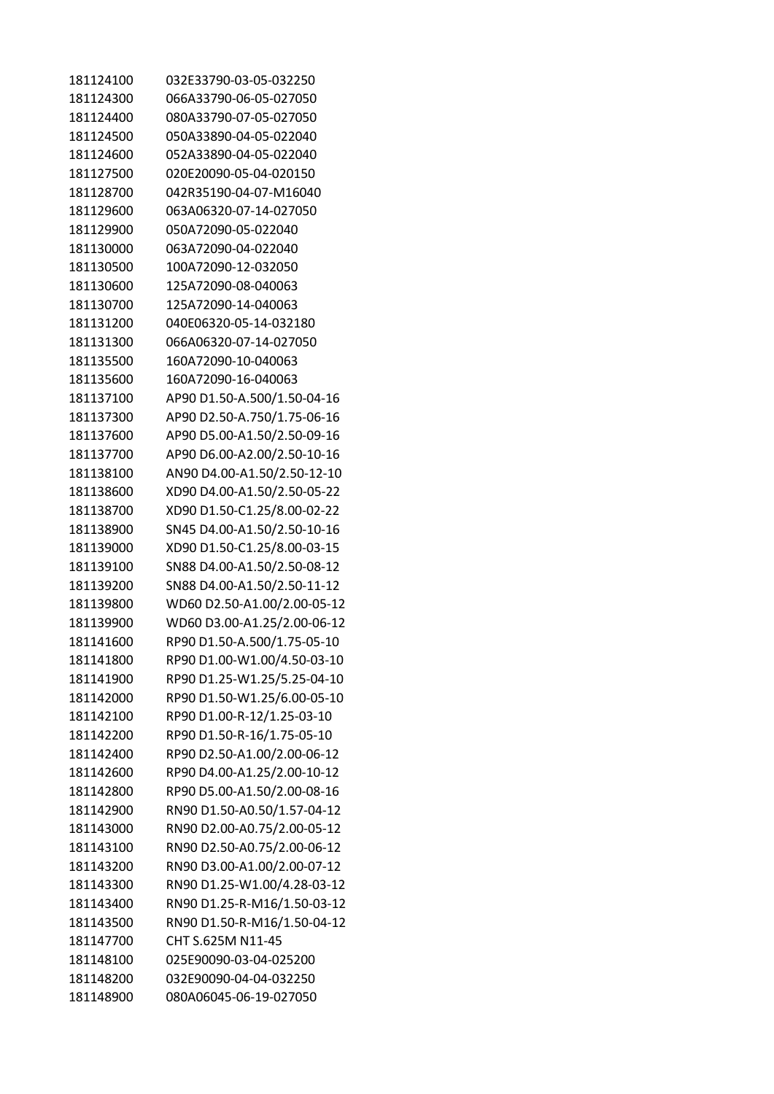| 181124100 | 032E33790-03-05-032250      |
|-----------|-----------------------------|
| 181124300 | 066A33790-06-05-027050      |
| 181124400 | 080A33790-07-05-027050      |
| 181124500 | 050A33890-04-05-022040      |
| 181124600 | 052A33890-04-05-022040      |
| 181127500 | 020E20090-05-04-020150      |
| 181128700 | 042R35190-04-07-M16040      |
| 181129600 | 063A06320-07-14-027050      |
| 181129900 | 050A72090-05-022040         |
| 181130000 | 063A72090-04-022040         |
| 181130500 | 100A72090-12-032050         |
| 181130600 | 125A72090-08-040063         |
| 181130700 | 125A72090-14-040063         |
| 181131200 | 040F06320-05-14-032180      |
| 181131300 | 066A06320-07-14-027050      |
| 181135500 | 160A72090-10-040063         |
| 181135600 | 160A72090-16-040063         |
| 181137100 | AP90 D1.50-A.500/1.50-04-16 |
| 181137300 | AP90 D2.50-A.750/1.75-06-16 |
| 181137600 | AP90 D5.00-A1.50/2.50-09-16 |
| 181137700 | AP90 D6.00-A2.00/2.50-10-16 |
| 181138100 | AN90 D4.00-A1.50/2.50-12-10 |
| 181138600 |                             |
|           | XD90 D4.00-A1.50/2.50-05-22 |
| 181138700 | XD90 D1.50-C1.25/8.00-02-22 |
| 181138900 | SN45 D4.00-A1.50/2.50-10-16 |
| 181139000 | XD90 D1.50-C1.25/8.00-03-15 |
| 181139100 | SN88 D4.00-A1.50/2.50-08-12 |
| 181139200 | SN88 D4.00-A1.50/2.50-11-12 |
| 181139800 | WD60 D2.50-A1.00/2.00-05-12 |
| 181139900 | WD60 D3.00-A1.25/2.00-06-12 |
| 181141600 | RP90 D1.50-A.500/1.75-05-10 |
| 181141800 | RP90 D1.00-W1.00/4.50-03-10 |
| 181141900 | RP90 D1.25-W1.25/5.25-04-10 |
| 181142000 | RP90 D1.50-W1.25/6.00-05-10 |
| 181142100 | RP90 D1.00-R-12/1.25-03-10  |
| 181142200 | RP90 D1.50-R-16/1.75-05-10  |
| 181142400 | RP90 D2.50-A1.00/2.00-06-12 |
| 181142600 | RP90 D4.00-A1.25/2.00-10-12 |
| 181142800 | RP90 D5.00-A1.50/2.00-08-16 |
| 181142900 | RN90 D1.50-A0.50/1.57-04-12 |
| 181143000 | RN90 D2.00-A0.75/2.00-05-12 |
| 181143100 | RN90 D2.50-A0.75/2.00-06-12 |
| 181143200 | RN90 D3.00-A1.00/2.00-07-12 |
| 181143300 | RN90 D1.25-W1.00/4.28-03-12 |
| 181143400 | RN90 D1.25-R-M16/1.50-03-12 |
| 181143500 | RN90 D1.50-R-M16/1.50-04-12 |
| 181147700 | CHT S.625M N11-45           |
| 181148100 | 025E90090-03-04-025200      |
| 181148200 | 032E90090-04-04-032250      |
| 181148900 | 080A06045-06-19-027050      |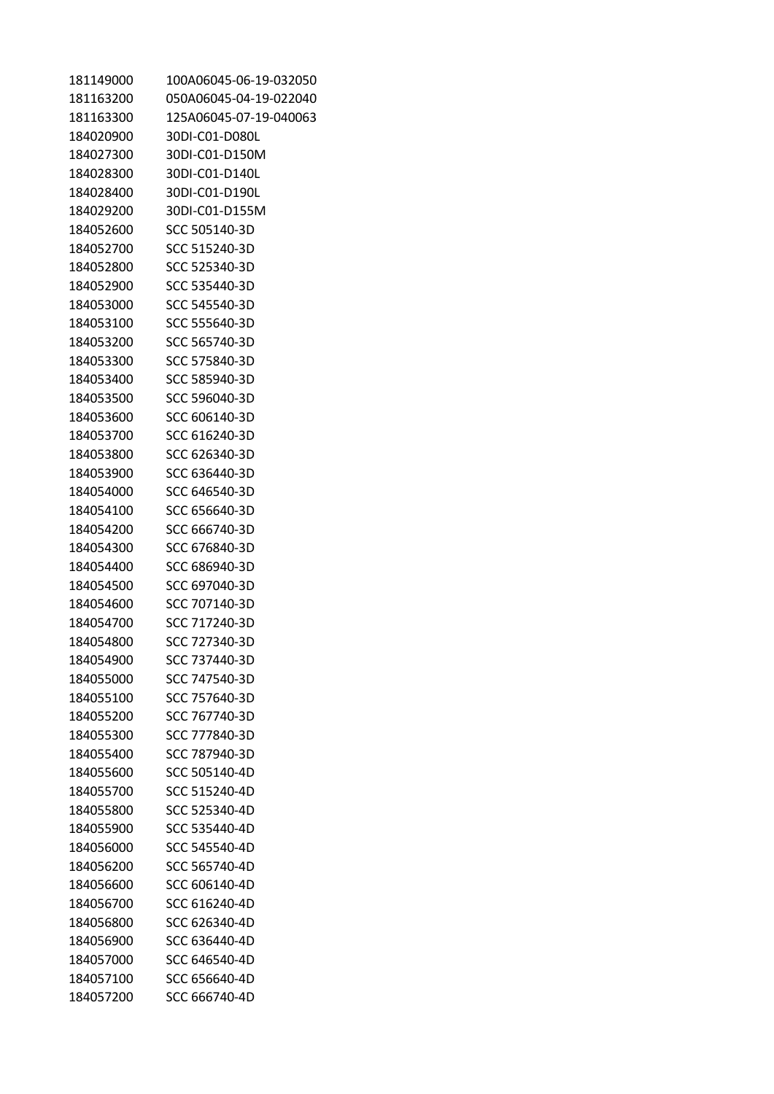| 181149000 | 100A06045-06-19-032050 |
|-----------|------------------------|
| 181163200 | 050A06045-04-19-022040 |
| 181163300 | 125A06045-07-19-040063 |
| 184020900 | 30DI-C01-D080L         |
| 184027300 | 30DI-C01-D150M         |
| 184028300 | 30DI-C01-D140L         |
| 184028400 | 30DI-C01-D190L         |
| 184029200 | 30DI-C01-D155M         |
| 184052600 | SCC 505140-3D          |
| 184052700 | SCC 515240-3D          |
| 184052800 | SCC 525340-3D          |
| 184052900 | SCC 535440-3D          |
| 184053000 | SCC 545540-3D          |
| 184053100 | SCC 555640-3D          |
| 184053200 | SCC 565740-3D          |
| 184053300 | SCC 575840-3D          |
| 184053400 | SCC 585940-3D          |
| 184053500 | SCC 596040-3D          |
| 184053600 | SCC 606140-3D          |
| 184053700 | SCC 616240-3D          |
| 184053800 | SCC 626340-3D          |
| 184053900 | SCC 636440-3D          |
| 184054000 | SCC 646540-3D          |
| 184054100 | SCC 656640-3D          |
| 184054200 | SCC 666740-3D          |
| 184054300 | SCC 676840-3D          |
| 184054400 | SCC 686940-3D          |
| 184054500 | SCC 697040-3D          |
| 184054600 | SCC 707140-3D          |
| 184054700 | SCC 717240-3D          |
| 184054800 | SCC 727340-3D          |
| 184054900 | SCC 737440-3D          |
| 184055000 | SCC 747540-3D          |
| 184055100 | SCC 757640-3D          |
| 184055200 | SCC 767740-3D          |
| 184055300 | SCC 777840-3D          |
| 184055400 | SCC 787940-3D          |
| 184055600 | SCC 505140-4D          |
| 184055700 | SCC 515240-4D          |
| 184055800 | SCC 525340-4D          |
| 184055900 | SCC 535440-4D          |
| 184056000 | SCC 545540-4D          |
| 184056200 | SCC 565740-4D          |
| 184056600 | SCC 606140-4D          |
| 184056700 | SCC 616240-4D          |
| 184056800 | SCC 626340-4D          |
| 184056900 | SCC 636440-4D          |
| 184057000 | SCC 646540-4D          |
| 184057100 | SCC 656640-4D          |
| 184057200 | SCC 666740-4D          |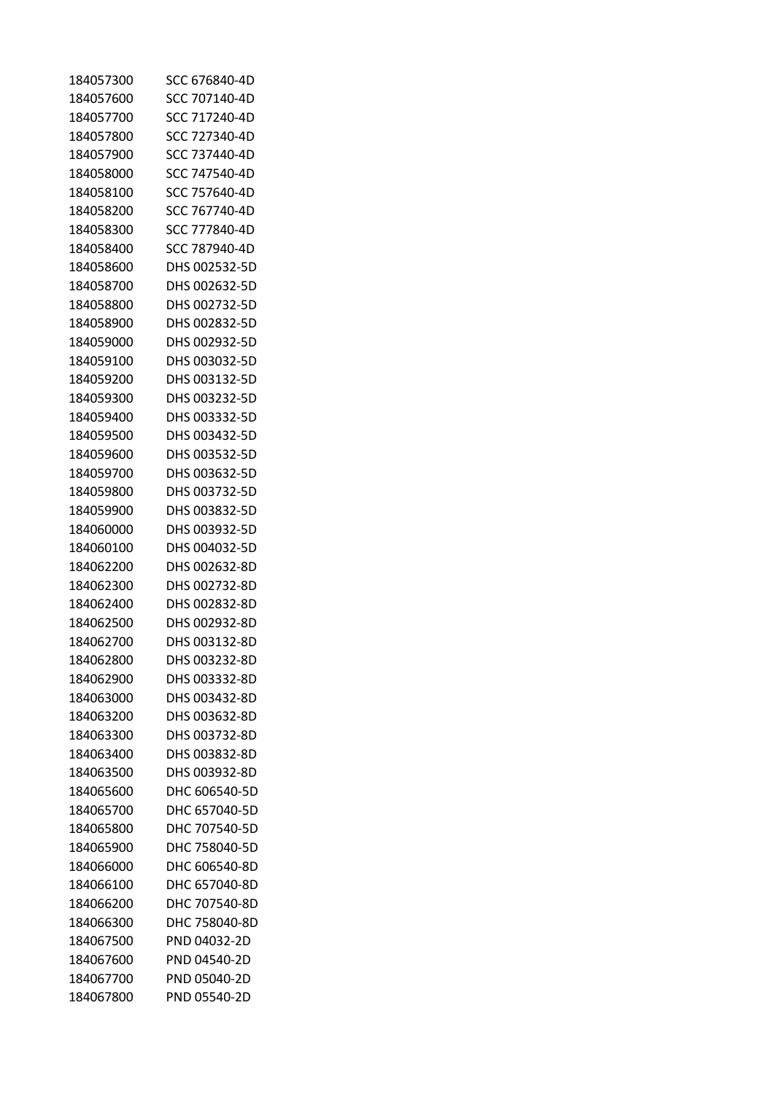| 184057300 | SCC 676840-4D |
|-----------|---------------|
| 184057600 | SCC 707140-4D |
| 184057700 | SCC 717240-4D |
| 184057800 | SCC 727340-4D |
| 184057900 | SCC 737440-4D |
| 184058000 | SCC 747540-4D |
| 184058100 | SCC 757640-4D |
| 184058200 | SCC 767740-4D |
| 184058300 | SCC 777840-4D |
| 184058400 | SCC 787940-4D |
| 184058600 | DHS 002532-5D |
| 184058700 | DHS 002632-5D |
| 184058800 | DHS 002732-5D |
| 184058900 | DHS 002832-5D |
| 184059000 | DHS 002932-5D |
| 184059100 | DHS 003032-5D |
| 184059200 | DHS 003132-5D |
| 184059300 | DHS 003232-5D |
| 184059400 | DHS 003332-5D |
| 184059500 | DHS 003432-5D |
| 184059600 | DHS 003532-5D |
| 184059700 | DHS 003632-5D |
| 184059800 | DHS 003732-5D |
| 184059900 | DHS 003832-5D |
| 184060000 | DHS 003932-5D |
| 184060100 | DHS 004032-5D |
| 184062200 | DHS 002632-8D |
| 184062300 | DHS 002732-8D |
| 184062400 | DHS 002832-8D |
| 184062500 | DHS 002932-8D |
| 184062700 | DHS 003132-8D |
| 184062800 | DHS 003232-8D |
| 184062900 | DHS 003332-8D |
| 184063000 | DHS 003432-8D |
| 184063200 | DHS 003632-8D |
| 184063300 | DHS 003732-8D |
| 184063400 | DHS 003832-8D |
| 184063500 | DHS 003932-8D |
| 184065600 | DHC 606540-5D |
| 184065700 | DHC 657040-5D |
| 184065800 | DHC 707540-5D |
| 184065900 | DHC 758040-5D |
| 184066000 | DHC 606540-8D |
| 184066100 | DHC 657040-8D |
| 184066200 | DHC 707540-8D |
| 184066300 | DHC 758040-8D |
| 184067500 | PND 04032-2D  |
| 184067600 | PND 04540-2D  |
| 184067700 | PND 05040-2D  |
| 184067800 | PND 05540-2D  |
|           |               |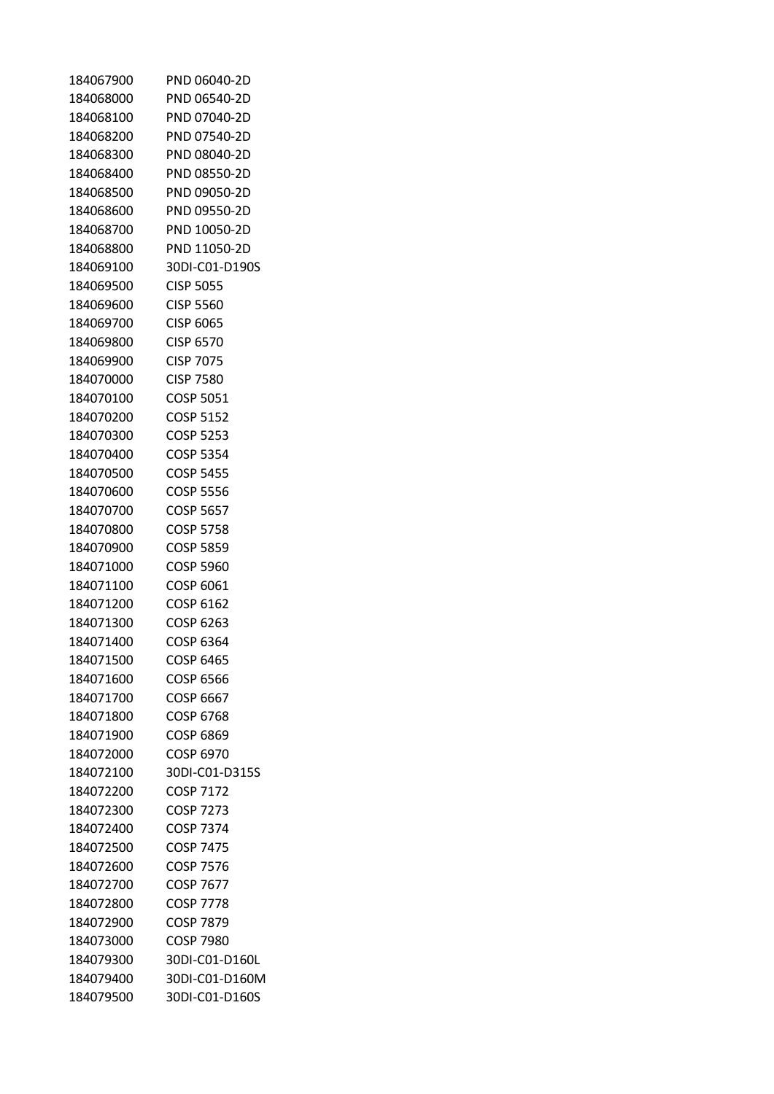| 184067900 | PND 06040-2D     |
|-----------|------------------|
| 184068000 | PND 06540-2D     |
| 184068100 | PND 07040-2D     |
| 184068200 | PND 07540-2D     |
| 184068300 | PND 08040-2D     |
| 184068400 | PND 08550-2D     |
| 184068500 | PND 09050-2D     |
| 184068600 | PND 09550-2D     |
| 184068700 | PND 10050-2D     |
| 184068800 | PND 11050-2D     |
| 184069100 | 30DI-C01-D190S   |
| 184069500 | <b>CISP 5055</b> |
| 184069600 | <b>CISP 5560</b> |
| 184069700 | <b>CISP 6065</b> |
| 184069800 | CISP 6570        |
| 184069900 | <b>CISP 7075</b> |
| 184070000 | CISP 7580        |
| 184070100 | COSP 5051        |
| 184070200 | <b>COSP 5152</b> |
| 184070300 | COSP 5253        |
| 184070400 | COSP 5354        |
| 184070500 | <b>COSP 5455</b> |
| 184070600 | COSP 5556        |
| 184070700 | COSP 5657        |
| 184070800 | COSP 5758        |
| 184070900 | COSP 5859        |
| 184071000 | <b>COSP 5960</b> |
| 184071100 | COSP 6061        |
| 184071200 | COSP 6162        |
| 184071300 | COSP 6263        |
| 184071400 | COSP 6364        |
| 184071500 | <b>COSP 6465</b> |
| 184071600 | COSP 6566        |
| 184071700 | COSP 6667        |
| 184071800 | <b>COSP 6768</b> |
| 184071900 | COSP 6869        |
| 184072000 | <b>COSP 6970</b> |
| 184072100 | 30DI-C01-D315S   |
| 184072200 | <b>COSP 7172</b> |
| 184072300 | <b>COSP 7273</b> |
| 184072400 | <b>COSP 7374</b> |
| 184072500 | <b>COSP 7475</b> |
| 184072600 | <b>COSP 7576</b> |
| 184072700 | <b>COSP 7677</b> |
| 184072800 | <b>COSP 7778</b> |
| 184072900 | <b>COSP 7879</b> |
| 184073000 | <b>COSP 7980</b> |
| 184079300 | 30DI-C01-D160L   |
| 184079400 | 30DI-C01-D160M   |
| 184079500 | 30DI-C01-D160S   |
|           |                  |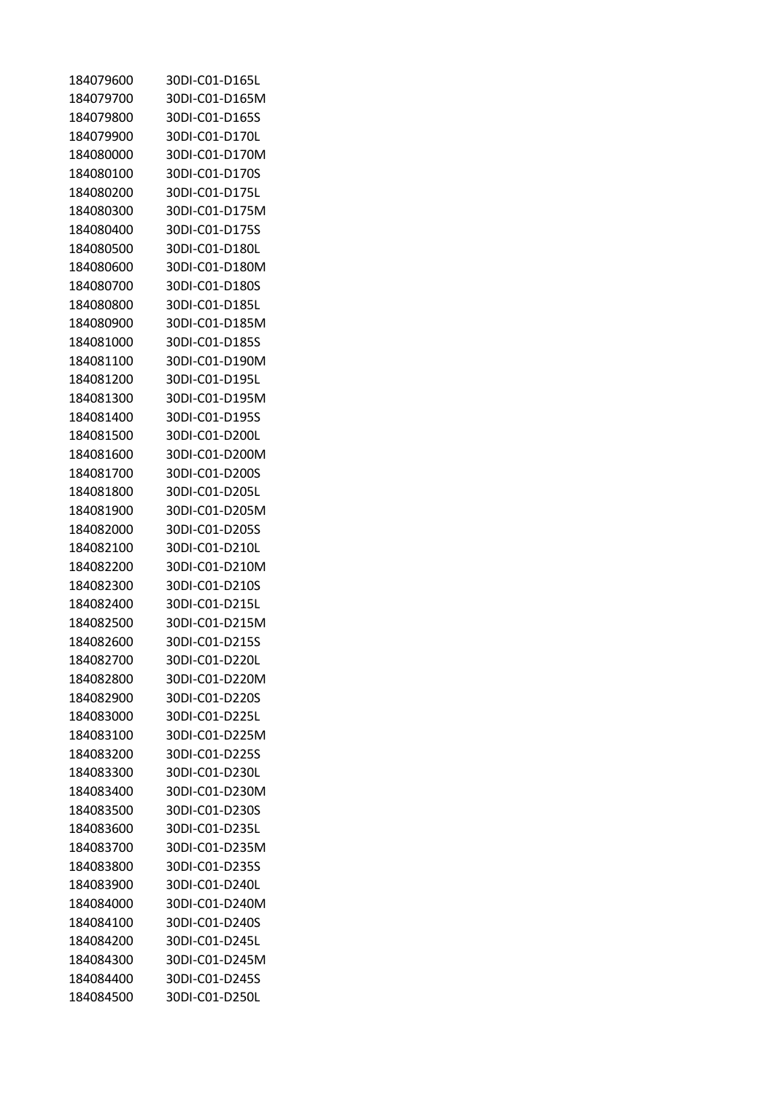| 184079600 | 30DI-C01-D165L |
|-----------|----------------|
| 184079700 | 30DI-C01-D165M |
| 184079800 | 30DI-C01-D165S |
| 184079900 | 30DI-C01-D170L |
| 184080000 | 30DI-C01-D170M |
| 184080100 | 30DI-C01-D170S |
| 184080200 | 30DI-C01-D175L |
| 184080300 | 30DI-C01-D175M |
| 184080400 | 30DI-C01-D175S |
| 184080500 | 30DI-C01-D180L |
| 184080600 | 30DI-C01-D180M |
| 184080700 | 30DI-C01-D180S |
| 184080800 | 30DI-C01-D185L |
| 184080900 | 30DI-C01-D185M |
| 184081000 | 30DI-C01-D185S |
| 184081100 | 30DI-C01-D190M |
| 184081200 | 30DI-C01-D195L |
| 184081300 | 30DI-C01-D195M |
| 184081400 | 30DI-C01-D195S |
| 184081500 | 30DI-C01-D200L |
| 184081600 | 30DI-C01-D200M |
| 184081700 | 30DI-C01-D200S |
| 184081800 | 30DI-C01-D205L |
| 184081900 | 30DI-C01-D205M |
| 184082000 | 30DI-C01-D205S |
| 184082100 | 30DI-C01-D210L |
| 184082200 | 30DI-C01-D210M |
| 184082300 | 30DI-C01-D210S |
| 184082400 | 30DI-C01-D215L |
| 184082500 | 30DI-C01-D215M |
| 184082600 | 30DI-C01-D215S |
| 184082700 | 30DI-C01-D220L |
| 184082800 | 30DI-C01-D220M |
| 184082900 | 30DI-C01-D220S |
| 184083000 | 30DI-C01-D225L |
| 184083100 | 30DI-C01-D225M |
| 184083200 | 30DI-C01-D225S |
| 184083300 | 30DI-C01-D230L |
| 184083400 | 30DI-C01-D230M |
| 184083500 | 30DI-C01-D230S |
| 184083600 | 30DI-C01-D235L |
| 184083700 | 30DI-C01-D235M |
| 184083800 | 30DI-C01-D235S |
| 184083900 | 30DI-C01-D240L |
| 184084000 | 30DI-C01-D240M |
| 184084100 | 30DI-C01-D240S |
| 184084200 | 30DI-C01-D245L |
| 184084300 | 30DI-C01-D245M |
| 184084400 | 30DI-C01-D245S |
| 184084500 | 30DI-C01-D250L |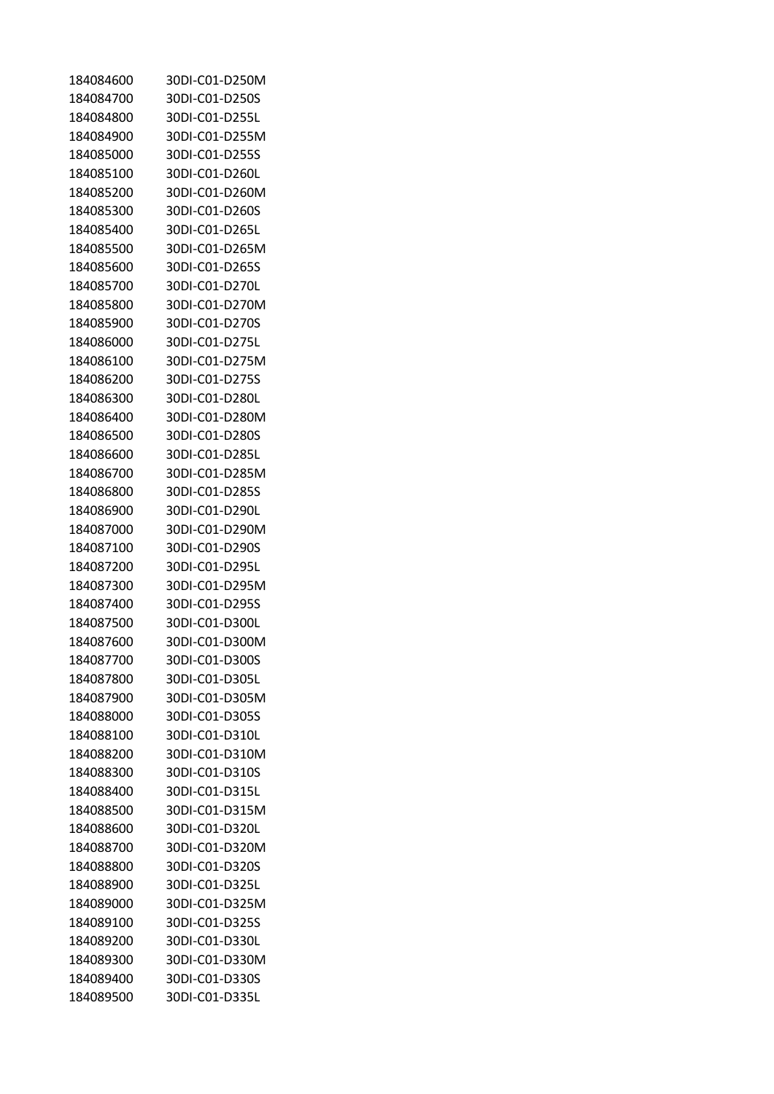| 184084600 | 30DI-C01-D250M |
|-----------|----------------|
| 184084700 | 30DI-C01-D250S |
| 184084800 | 30DI-C01-D255L |
| 184084900 | 30DI-C01-D255M |
| 184085000 | 30DI-C01-D255S |
| 184085100 | 30DI-C01-D260L |
| 184085200 | 30DI-C01-D260M |
| 184085300 | 30DI-C01-D260S |
| 184085400 | 30DI-C01-D265L |
| 184085500 | 30DI-C01-D265M |
| 184085600 | 30DI-C01-D265S |
| 184085700 | 30DI-C01-D270L |
| 184085800 | 30DI-C01-D270M |
| 184085900 | 30DI-C01-D270S |
| 184086000 | 30DI-C01-D275L |
| 184086100 | 30DI-C01-D275M |
| 184086200 | 30DI-C01-D275S |
| 184086300 | 30DI-C01-D280L |
| 184086400 | 30DI-C01-D280M |
| 184086500 | 30DI-C01-D280S |
| 184086600 | 30DI-C01-D285L |
| 184086700 | 30DI-C01-D285M |
| 184086800 | 30DI-C01-D285S |
| 184086900 | 30DI-C01-D290L |
| 184087000 | 30DI-C01-D290M |
| 184087100 | 30DI-C01-D290S |
| 184087200 | 30DI-C01-D295L |
| 184087300 | 30DI-C01-D295M |
| 184087400 | 30DI-C01-D295S |
| 184087500 | 30DI-C01-D300L |
| 184087600 | 30DI-C01-D300M |
| 184087700 | 30DI-C01-D300S |
| 184087800 | 30DI-C01-D305L |
| 184087900 | 30DI-C01-D305M |
| 184088000 | 30DI-C01-D305S |
| 184088100 | 30DI-C01-D310L |
| 184088200 | 30DI-C01-D310M |
| 184088300 | 30DI-C01-D310S |
| 184088400 | 30DI-C01-D315L |
| 184088500 | 30DI-C01-D315M |
| 184088600 | 30DI-C01-D320L |
| 184088700 | 30DI-C01-D320M |
| 184088800 | 30DI-C01-D320S |
| 184088900 | 30DI-C01-D325L |
| 184089000 | 30DI-C01-D325M |
| 184089100 | 30DI-C01-D325S |
| 184089200 | 30DI-C01-D330L |
| 184089300 | 30DI-C01-D330M |
| 184089400 | 30DI-C01-D330S |
| 184089500 | 30DI-C01-D335L |
|           |                |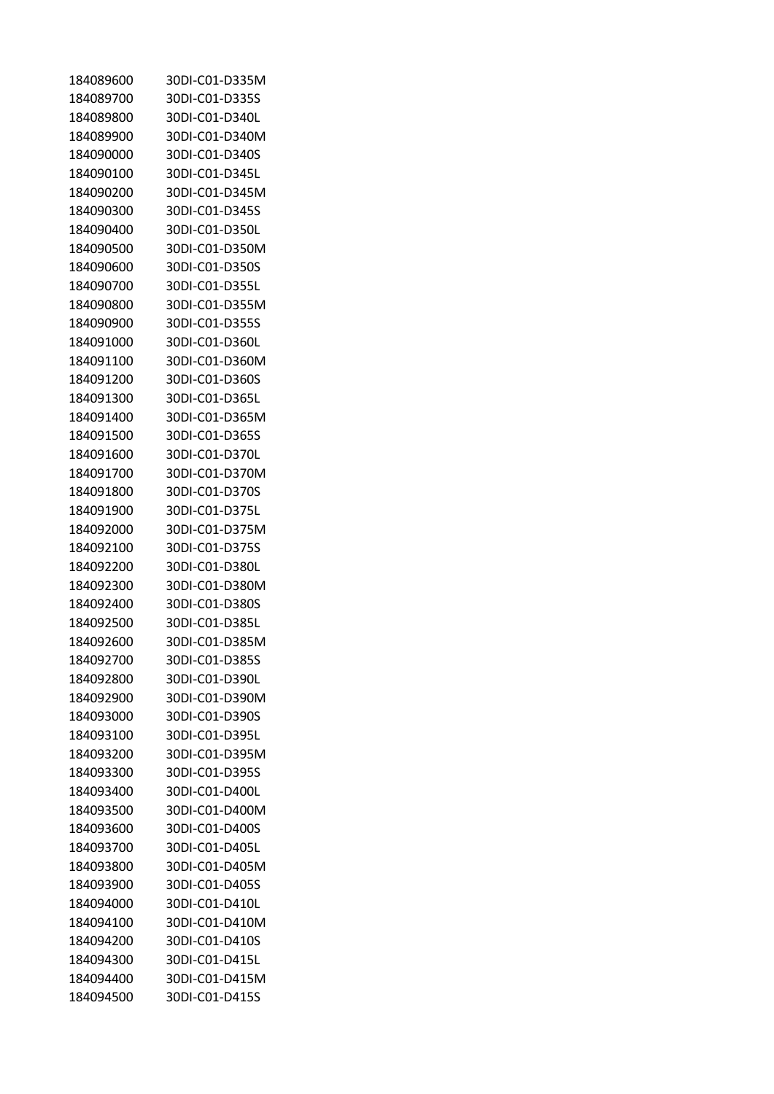| 184089600 | 30DI-C01-D335M |
|-----------|----------------|
| 184089700 | 30DI-C01-D335S |
| 184089800 | 30DI-C01-D340L |
| 184089900 | 30DI-C01-D340M |
| 184090000 | 30DI-C01-D340S |
| 184090100 | 30DI-C01-D345L |
| 184090200 | 30DI-C01-D345M |
| 184090300 | 30DI-C01-D345S |
| 184090400 | 30DI-C01-D350L |
| 184090500 | 30DI-C01-D350M |
| 184090600 | 30DI-C01-D350S |
| 184090700 | 30DI-C01-D355L |
| 184090800 | 30DI-C01-D355M |
| 184090900 | 30DI-C01-D355S |
| 184091000 | 30DI-C01-D360L |
| 184091100 | 30DI-C01-D360M |
| 184091200 | 30DI-C01-D360S |
| 184091300 | 30DI-C01-D365L |
| 184091400 | 30DI-C01-D365M |
| 184091500 | 30DI-C01-D365S |
| 184091600 | 30DI-C01-D370L |
| 184091700 | 30DI-C01-D370M |
| 184091800 | 30DI-C01-D370S |
| 184091900 | 30DI-C01-D375L |
| 184092000 | 30DI-C01-D375M |
| 184092100 | 30DI-C01-D375S |
| 184092200 | 30DI-C01-D380L |
| 184092300 | 30DI-C01-D380M |
| 184092400 | 30DI-C01-D380S |
| 184092500 | 30DI-C01-D385L |
| 184092600 | 30DI-C01-D385M |
| 184092700 | 30DI-C01-D385S |
| 184092800 | 30DI-C01-D390L |
| 184092900 | 30DI-C01-D390M |
| 184093000 | 30DI-C01-D390S |
| 184093100 | 30DI-C01-D395L |
| 184093200 | 30DI-C01-D395M |
| 184093300 | 30DI-C01-D395S |
| 184093400 | 30DI-C01-D400L |
| 184093500 | 30DI-C01-D400M |
| 184093600 | 30DI-C01-D400S |
| 184093700 | 30DI-C01-D405L |
| 184093800 | 30DI-C01-D405M |
| 184093900 | 30DI-C01-D405S |
| 184094000 | 30DI-C01-D410L |
| 184094100 | 30DI-C01-D410M |
| 184094200 | 30DI-C01-D410S |
| 184094300 | 30DI-C01-D415L |
| 184094400 | 30DI-C01-D415M |
| 184094500 | 30DI-C01-D415S |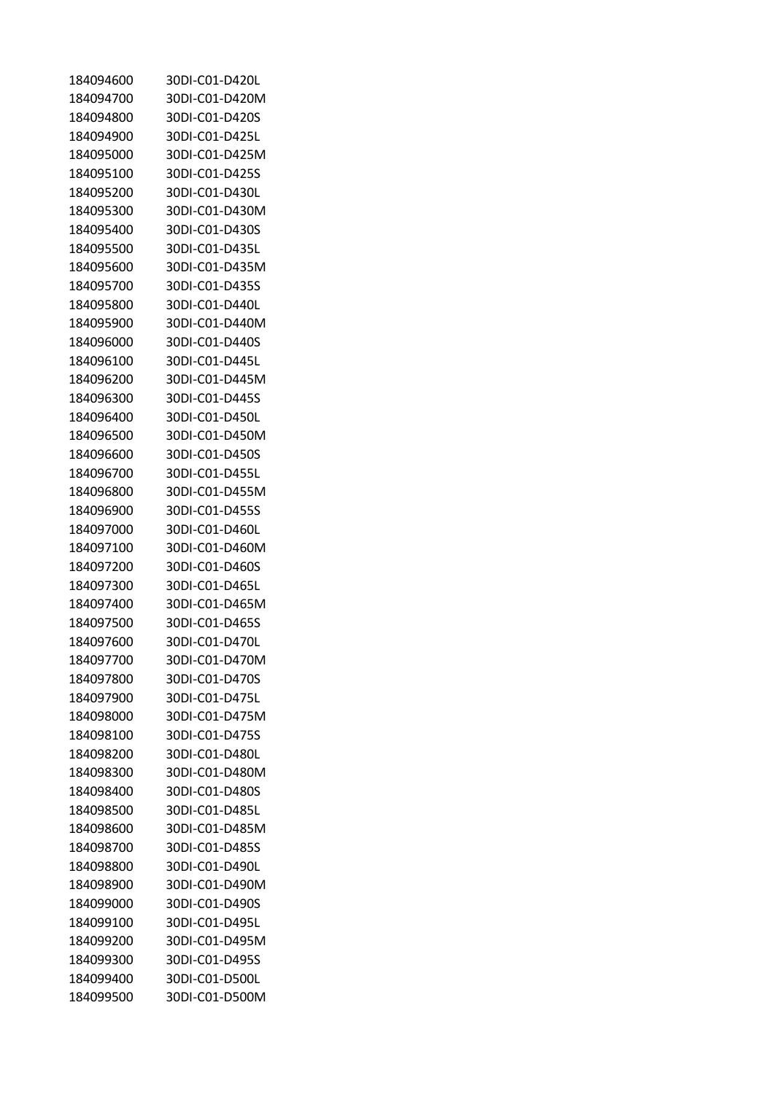| 184094600 | 30DI-C01-D420L |
|-----------|----------------|
| 184094700 | 30DI-C01-D420M |
| 184094800 | 30DI-C01-D420S |
| 184094900 | 30DI-C01-D425L |
| 184095000 | 30DI-C01-D425M |
| 184095100 | 30DI-C01-D425S |
| 184095200 | 30DI-C01-D430L |
| 184095300 | 30DI-C01-D430M |
| 184095400 | 30DI-C01-D430S |
| 184095500 | 30DI-C01-D435L |
| 184095600 | 30DI-C01-D435M |
| 184095700 | 30DI-C01-D435S |
| 184095800 | 30DI-C01-D440L |
| 184095900 | 30DI-C01-D440M |
| 184096000 | 30DI-C01-D440S |
| 184096100 | 30DI-C01-D445L |
| 184096200 | 30DI-C01-D445M |
| 184096300 | 30DI-C01-D445S |
| 184096400 | 30DI-C01-D450L |
| 184096500 | 30DI-C01-D450M |
| 184096600 | 30DI-C01-D450S |
| 184096700 | 30DI-C01-D455L |
| 184096800 | 30DI-C01-D455M |
| 184096900 | 30DI-C01-D455S |
| 184097000 | 30DI-C01-D460L |
| 184097100 | 30DI-C01-D460M |
| 184097200 | 30DI-C01-D460S |
| 184097300 | 30DI-C01-D465L |
| 184097400 | 30DI-C01-D465M |
| 184097500 | 30DI-C01-D465S |
| 184097600 | 30DI-C01-D470L |
| 184097700 | 30DI-C01-D470M |
| 184097800 | 30DI-C01-D470S |
| 184097900 | 30DI-C01-D475L |
| 184098000 | 30DI-C01-D475M |
| 184098100 | 30DI-C01-D475S |
| 184098200 | 30DI-C01-D480L |
| 184098300 | 30DI-C01-D480M |
| 184098400 | 30DI-C01-D480S |
| 184098500 | 30DI-C01-D485L |
| 184098600 | 30DI-C01-D485M |
| 184098700 | 30DI-C01-D485S |
| 184098800 | 30DI-C01-D490L |
| 184098900 | 30DI-C01-D490M |
| 184099000 | 30DI-C01-D490S |
| 184099100 | 30DI-C01-D495L |
| 184099200 | 30DI-C01-D495M |
| 184099300 | 30DI-C01-D495S |
| 184099400 | 30DI-C01-D500L |
| 184099500 | 30DI-C01-D500M |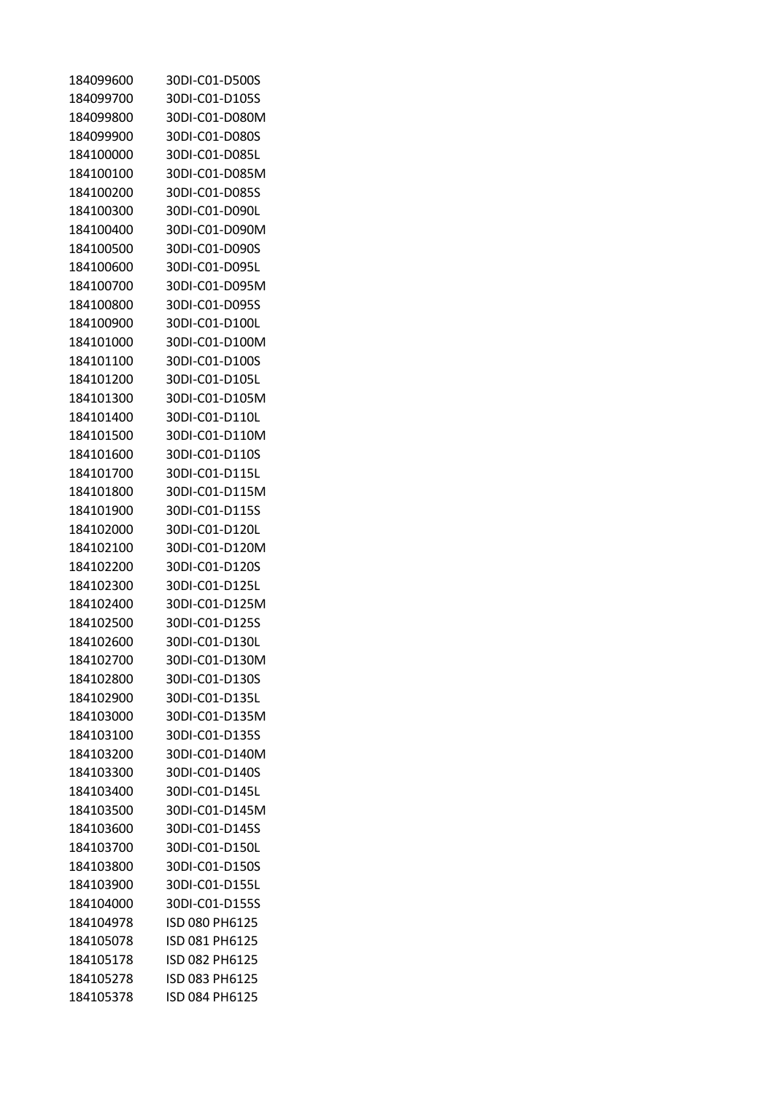| 184099600 | 30DI-C01-D500S |
|-----------|----------------|
| 184099700 | 30DI-C01-D105S |
| 184099800 | 30DI-C01-D080M |
| 184099900 | 30DI-C01-D080S |
| 184100000 | 30DI-C01-D085L |
| 184100100 | 30DI-C01-D085M |
| 184100200 | 30DI-C01-D085S |
| 184100300 | 30DI-C01-D090L |
| 184100400 | 30DI-C01-D090M |
| 184100500 | 30DI-C01-D090S |
| 184100600 | 30DI-C01-D095L |
|           |                |
| 184100700 | 30DI-C01-D095M |
| 184100800 | 30DI-C01-D095S |
| 184100900 | 30DI-C01-D100L |
| 184101000 | 30DI-C01-D100M |
| 184101100 | 30DI-C01-D100S |
| 184101200 | 30DI-C01-D105L |
| 184101300 | 30DI-C01-D105M |
| 184101400 | 30DI-C01-D110L |
| 184101500 | 30DI-C01-D110M |
| 184101600 | 30DI-C01-D110S |
| 184101700 | 30DI-C01-D115L |
| 184101800 | 30DI-C01-D115M |
| 184101900 | 30DI-C01-D115S |
| 184102000 | 30DI-C01-D120L |
| 184102100 | 30DI-C01-D120M |
| 184102200 | 30DI-C01-D120S |
| 184102300 | 30DI-C01-D125L |
| 184102400 | 30DI-C01-D125M |
| 184102500 | 30DI-C01-D125S |
| 184102600 | 30DI-C01-D130L |
| 184102700 | 30DI-C01-D130M |
| 184102800 | 30DI-C01-D130S |
| 184102900 | 30DI-C01-D135L |
| 184103000 | 30DI-C01-D135M |
| 184103100 | 30DI-C01-D135S |
| 184103200 | 30DI-C01-D140M |
| 184103300 | 30DI-C01-D140S |
| 184103400 | 30DI-C01-D145L |
| 184103500 | 30DI-C01-D145M |
| 184103600 | 30DI-C01-D145S |
| 184103700 | 30DI-C01-D150L |
| 184103800 | 30DI-C01-D150S |
| 184103900 | 30DI-C01-D155L |
| 184104000 | 30DI-C01-D155S |
| 184104978 | ISD 080 PH6125 |
| 184105078 | ISD 081 PH6125 |
| 184105178 | ISD 082 PH6125 |
| 184105278 | ISD 083 PH6125 |
| 184105378 | ISD 084 PH6125 |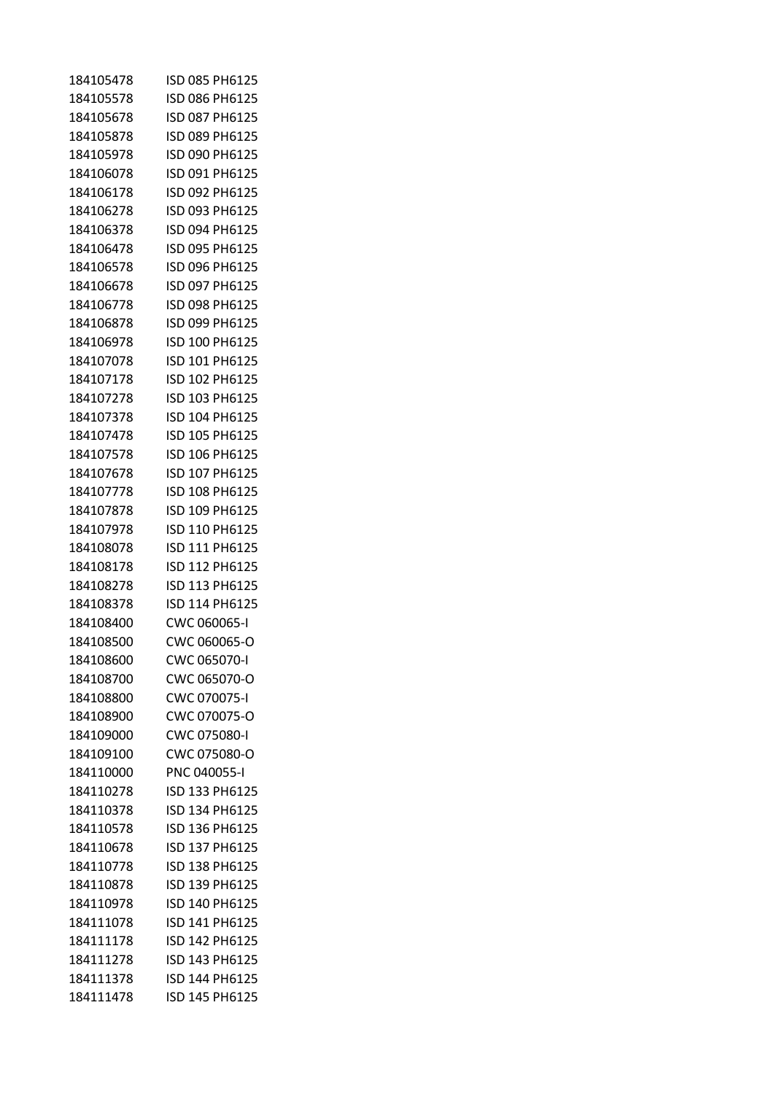| 184105478 | ISD 085 PH6125 |
|-----------|----------------|
| 184105578 | ISD 086 PH6125 |
| 184105678 | ISD 087 PH6125 |
| 184105878 | ISD 089 PH6125 |
| 184105978 | ISD 090 PH6125 |
| 184106078 | ISD 091 PH6125 |
| 184106178 | ISD 092 PH6125 |
| 184106278 | ISD 093 PH6125 |
| 184106378 | ISD 094 PH6125 |
| 184106478 | ISD 095 PH6125 |
| 184106578 | ISD 096 PH6125 |
| 184106678 | ISD 097 PH6125 |
| 184106778 | ISD 098 PH6125 |
| 184106878 | ISD 099 PH6125 |
| 184106978 | ISD 100 PH6125 |
| 184107078 | ISD 101 PH6125 |
| 184107178 | ISD 102 PH6125 |
| 184107278 | ISD 103 PH6125 |
| 184107378 | ISD 104 PH6125 |
| 184107478 | ISD 105 PH6125 |
| 184107578 | ISD 106 PH6125 |
| 184107678 | ISD 107 PH6125 |
| 184107778 | ISD 108 PH6125 |
| 184107878 | ISD 109 PH6125 |
| 184107978 | ISD 110 PH6125 |
| 184108078 | ISD 111 PH6125 |
| 184108178 | ISD 112 PH6125 |
| 184108278 | ISD 113 PH6125 |
| 184108378 | ISD 114 PH6125 |
| 184108400 | CWC 060065-I   |
| 184108500 | CWC 060065-O   |
| 184108600 | CWC 065070-I   |
| 184108700 | CWC 065070-O   |
| 184108800 | CWC 070075-I   |
| 184108900 | CWC 070075-O   |
| 184109000 | CWC 075080-I   |
| 184109100 | CWC 075080-O   |
| 184110000 | PNC 040055-I   |
| 184110278 | ISD 133 PH6125 |
| 184110378 | ISD 134 PH6125 |
| 184110578 | ISD 136 PH6125 |
| 184110678 | ISD 137 PH6125 |
| 184110778 | ISD 138 PH6125 |
| 184110878 | ISD 139 PH6125 |
| 184110978 | ISD 140 PH6125 |
| 184111078 | ISD 141 PH6125 |
| 184111178 | ISD 142 PH6125 |
| 184111278 | ISD 143 PH6125 |
| 184111378 | ISD 144 PH6125 |
| 184111478 | ISD 145 PH6125 |
|           |                |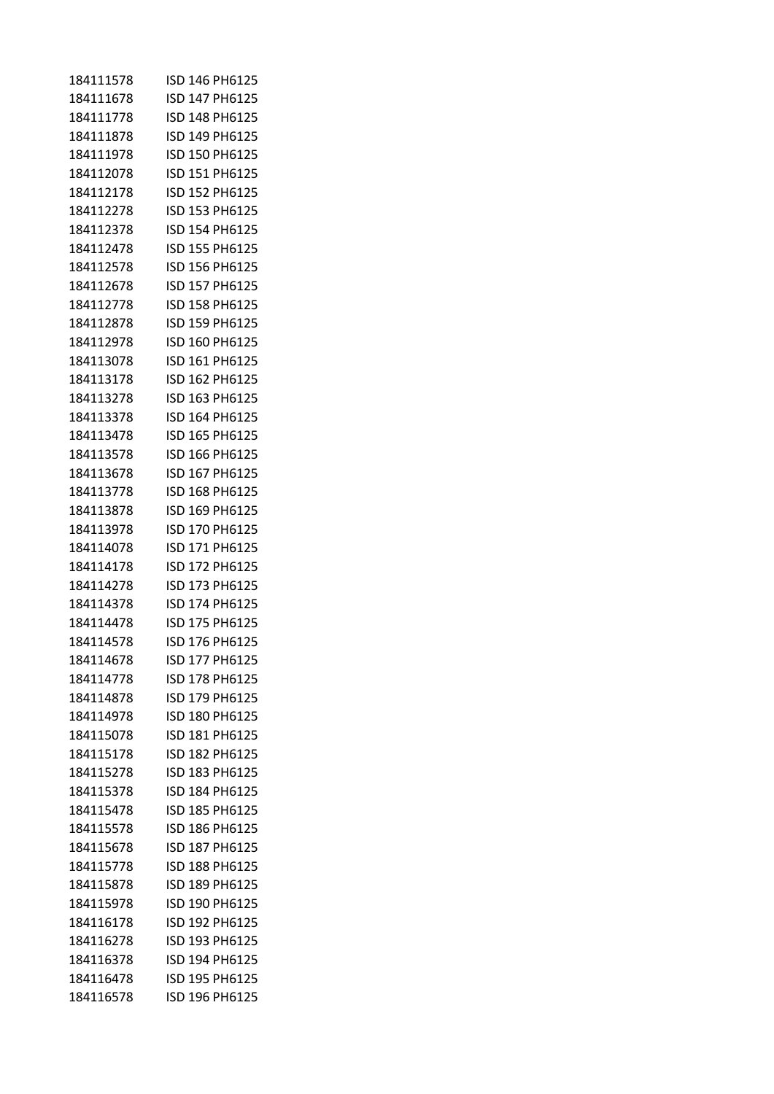| 184111578 | ISD 146 PH6125 |
|-----------|----------------|
| 184111678 | ISD 147 PH6125 |
| 184111778 | ISD 148 PH6125 |
| 184111878 | ISD 149 PH6125 |
| 184111978 | ISD 150 PH6125 |
| 184112078 | ISD 151 PH6125 |
| 184112178 | ISD 152 PH6125 |
| 184112278 | ISD 153 PH6125 |
| 184112378 | ISD 154 PH6125 |
| 184112478 | ISD 155 PH6125 |
| 184112578 | ISD 156 PH6125 |
| 184112678 | ISD 157 PH6125 |
| 184112778 | ISD 158 PH6125 |
| 184112878 | ISD 159 PH6125 |
| 184112978 | ISD 160 PH6125 |
| 184113078 | ISD 161 PH6125 |
| 184113178 | ISD 162 PH6125 |
| 184113278 | ISD 163 PH6125 |
| 184113378 | ISD 164 PH6125 |
| 184113478 | ISD 165 PH6125 |
| 184113578 | ISD 166 PH6125 |
| 184113678 | ISD 167 PH6125 |
| 184113778 | ISD 168 PH6125 |
| 184113878 | ISD 169 PH6125 |
| 184113978 | ISD 170 PH6125 |
| 184114078 | ISD 171 PH6125 |
| 184114178 | ISD 172 PH6125 |
| 184114278 | ISD 173 PH6125 |
| 184114378 | ISD 174 PH6125 |
| 184114478 | ISD 175 PH6125 |
| 184114578 | ISD 176 PH6125 |
| 184114678 | ISD 177 PH6125 |
| 184114778 | ISD 178 PH6125 |
| 184114878 | ISD 179 PH6125 |
| 184114978 | ISD 180 PH6125 |
| 184115078 | ISD 181 PH6125 |
| 184115178 | ISD 182 PH6125 |
| 184115278 | ISD 183 PH6125 |
| 184115378 | ISD 184 PH6125 |
| 184115478 | ISD 185 PH6125 |
| 184115578 | ISD 186 PH6125 |
| 184115678 | ISD 187 PH6125 |
| 184115778 | ISD 188 PH6125 |
| 184115878 | ISD 189 PH6125 |
| 184115978 | ISD 190 PH6125 |
| 184116178 | ISD 192 PH6125 |
| 184116278 | ISD 193 PH6125 |
| 184116378 | ISD 194 PH6125 |
| 184116478 | ISD 195 PH6125 |
| 184116578 | ISD 196 PH6125 |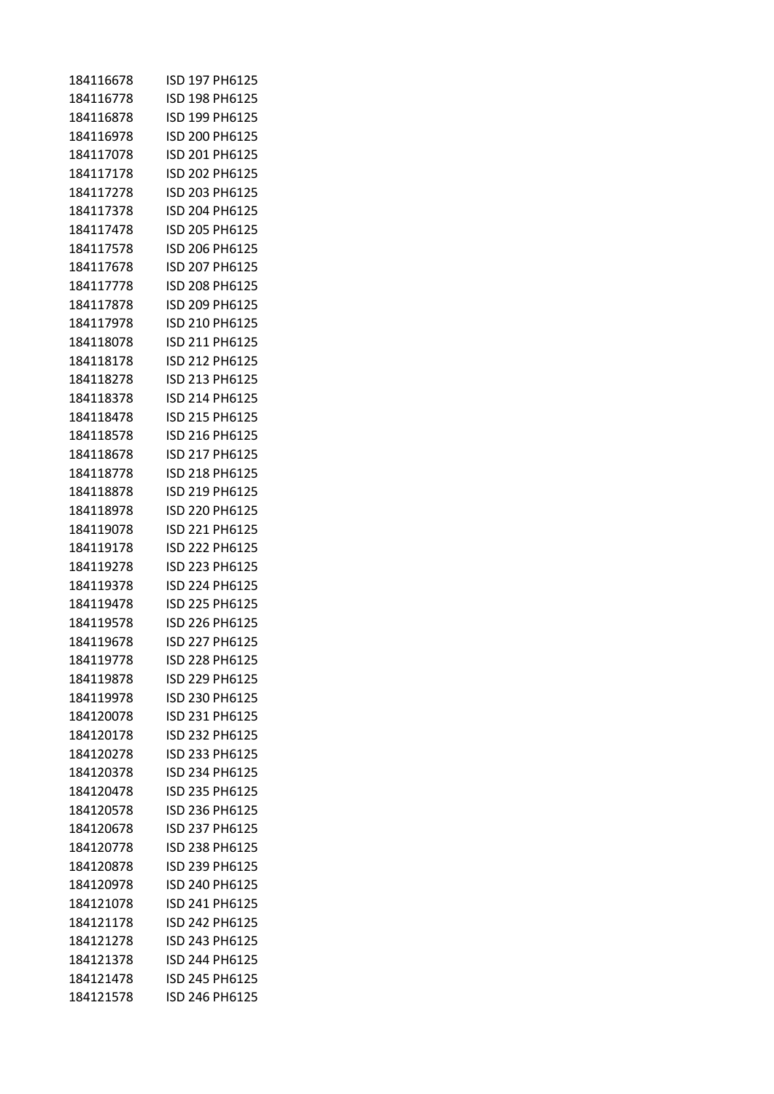| 184116678 | ISD 197 PH6125 |
|-----------|----------------|
| 184116778 | ISD 198 PH6125 |
| 184116878 | ISD 199 PH6125 |
| 184116978 | ISD 200 PH6125 |
| 184117078 | ISD 201 PH6125 |
| 184117178 | ISD 202 PH6125 |
| 184117278 | ISD 203 PH6125 |
| 184117378 | ISD 204 PH6125 |
| 184117478 | ISD 205 PH6125 |
| 184117578 | ISD 206 PH6125 |
| 184117678 | ISD 207 PH6125 |
| 184117778 | ISD 208 PH6125 |
| 184117878 | ISD 209 PH6125 |
| 184117978 | ISD 210 PH6125 |
| 184118078 | ISD 211 PH6125 |
| 184118178 | ISD 212 PH6125 |
| 184118278 | ISD 213 PH6125 |
| 184118378 | ISD 214 PH6125 |
| 184118478 | ISD 215 PH6125 |
| 184118578 | ISD 216 PH6125 |
| 184118678 | ISD 217 PH6125 |
| 184118778 | ISD 218 PH6125 |
| 184118878 | ISD 219 PH6125 |
| 184118978 | ISD 220 PH6125 |
| 184119078 | ISD 221 PH6125 |
| 184119178 | ISD 222 PH6125 |
| 184119278 | ISD 223 PH6125 |
| 184119378 | ISD 224 PH6125 |
| 184119478 | ISD 225 PH6125 |
| 184119578 | ISD 226 PH6125 |
| 184119678 | ISD 227 PH6125 |
| 184119778 | ISD 228 PH6125 |
| 184119878 | ISD 229 PH6125 |
| 184119978 | ISD 230 PH6125 |
| 184120078 | ISD 231 PH6125 |
| 184120178 | ISD 232 PH6125 |
| 184120278 | ISD 233 PH6125 |
| 184120378 | ISD 234 PH6125 |
| 184120478 | ISD 235 PH6125 |
| 184120578 | ISD 236 PH6125 |
| 184120678 | ISD 237 PH6125 |
| 184120778 | ISD 238 PH6125 |
| 184120878 | ISD 239 PH6125 |
| 184120978 | ISD 240 PH6125 |
| 184121078 | ISD 241 PH6125 |
| 184121178 | ISD 242 PH6125 |
| 184121278 | ISD 243 PH6125 |
| 184121378 | ISD 244 PH6125 |
| 184121478 | ISD 245 PH6125 |
| 184121578 | ISD 246 PH6125 |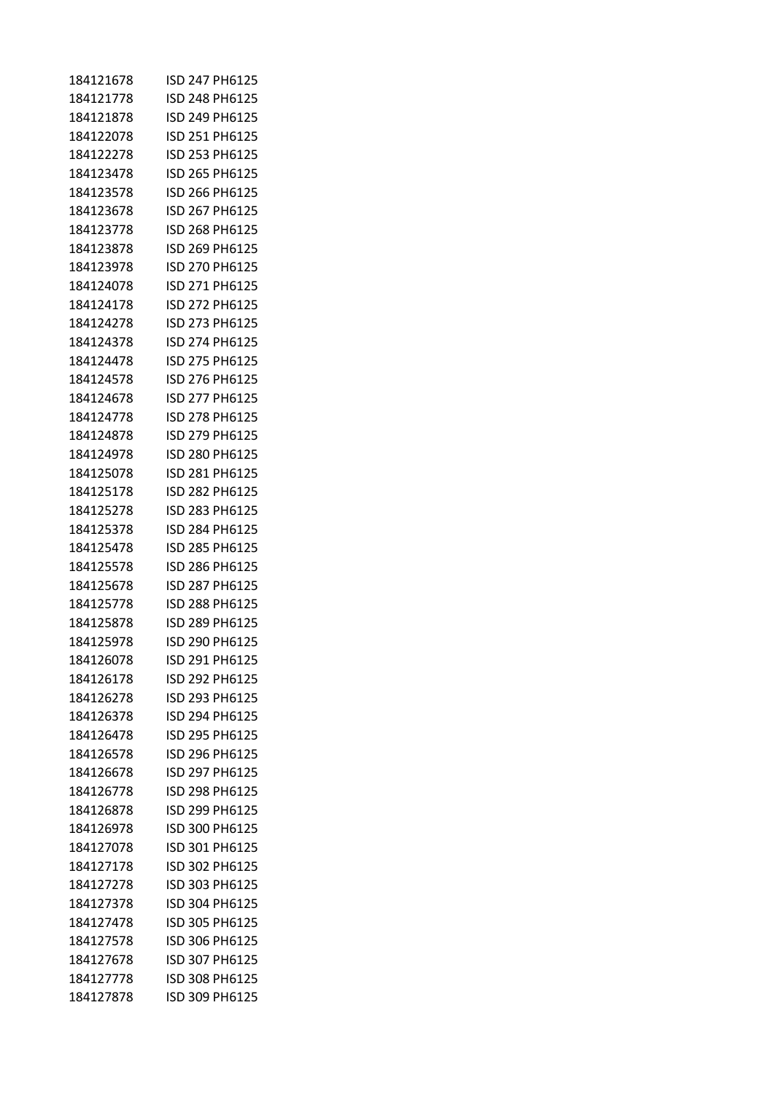| 184121678 | ISD 247 PH6125 |
|-----------|----------------|
| 184121778 | ISD 248 PH6125 |
| 184121878 | ISD 249 PH6125 |
| 184122078 | ISD 251 PH6125 |
| 184122278 | ISD 253 PH6125 |
| 184123478 | ISD 265 PH6125 |
| 184123578 | ISD 266 PH6125 |
| 184123678 | ISD 267 PH6125 |
| 184123778 | ISD 268 PH6125 |
| 184123878 | ISD 269 PH6125 |
| 184123978 | ISD 270 PH6125 |
| 184124078 | ISD 271 PH6125 |
| 184124178 | ISD 272 PH6125 |
| 184124278 | ISD 273 PH6125 |
| 184124378 | ISD 274 PH6125 |
| 184124478 | ISD 275 PH6125 |
| 184124578 | ISD 276 PH6125 |
| 184124678 | ISD 277 PH6125 |
| 184124778 | ISD 278 PH6125 |
| 184124878 | ISD 279 PH6125 |
| 184124978 | ISD 280 PH6125 |
| 184125078 | ISD 281 PH6125 |
| 184125178 | ISD 282 PH6125 |
| 184125278 | ISD 283 PH6125 |
| 184125378 | ISD 284 PH6125 |
| 184125478 | ISD 285 PH6125 |
| 184125578 | ISD 286 PH6125 |
| 184125678 | ISD 287 PH6125 |
| 184125778 | ISD 288 PH6125 |
| 184125878 | ISD 289 PH6125 |
| 184125978 | ISD 290 PH6125 |
| 184126078 | ISD 291 PH6125 |
| 184126178 | ISD 292 PH6125 |
| 184126278 | ISD 293 PH6125 |
| 184126378 | ISD 294 PH6125 |
| 184126478 | ISD 295 PH6125 |
| 184126578 | ISD 296 PH6125 |
| 184126678 | ISD 297 PH6125 |
| 184126778 | ISD 298 PH6125 |
| 184126878 | ISD 299 PH6125 |
| 184126978 | ISD 300 PH6125 |
| 184127078 | ISD 301 PH6125 |
| 184127178 | ISD 302 PH6125 |
| 184127278 | ISD 303 PH6125 |
| 184127378 | ISD 304 PH6125 |
| 184127478 | ISD 305 PH6125 |
| 184127578 | ISD 306 PH6125 |
| 184127678 | ISD 307 PH6125 |
| 184127778 | ISD 308 PH6125 |
| 184127878 | ISD 309 PH6125 |
|           |                |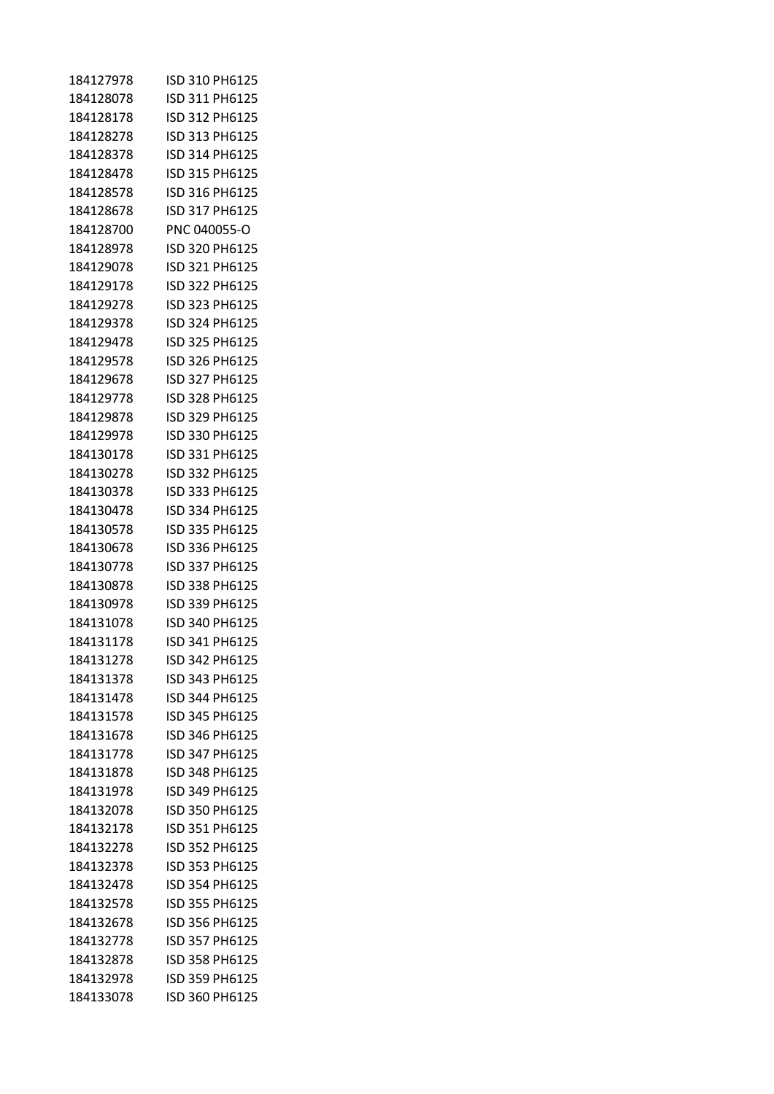| 184127978 | ISD 310 PH6125 |
|-----------|----------------|
| 184128078 | ISD 311 PH6125 |
| 184128178 | ISD 312 PH6125 |
| 184128278 | ISD 313 PH6125 |
| 184128378 | ISD 314 PH6125 |
| 184128478 | ISD 315 PH6125 |
| 184128578 | ISD 316 PH6125 |
| 184128678 | ISD 317 PH6125 |
| 184128700 | PNC 040055-O   |
| 184128978 | ISD 320 PH6125 |
| 184129078 | ISD 321 PH6125 |
| 184129178 | ISD 322 PH6125 |
| 184129278 | ISD 323 PH6125 |
| 184129378 | ISD 324 PH6125 |
| 184129478 | ISD 325 PH6125 |
| 184129578 | ISD 326 PH6125 |
| 184129678 | ISD 327 PH6125 |
| 184129778 | ISD 328 PH6125 |
| 184129878 | ISD 329 PH6125 |
| 184129978 | ISD 330 PH6125 |
| 184130178 | ISD 331 PH6125 |
| 184130278 | ISD 332 PH6125 |
| 184130378 | ISD 333 PH6125 |
| 184130478 | ISD 334 PH6125 |
| 184130578 | ISD 335 PH6125 |
| 184130678 | ISD 336 PH6125 |
| 184130778 | ISD 337 PH6125 |
| 184130878 | ISD 338 PH6125 |
| 184130978 | ISD 339 PH6125 |
| 184131078 | ISD 340 PH6125 |
| 184131178 | ISD 341 PH6125 |
| 184131278 | ISD 342 PH6125 |
| 184131378 | ISD 343 PH6125 |
| 184131478 | ISD 344 PH6125 |
| 184131578 | ISD 345 PH6125 |
| 184131678 | ISD 346 PH6125 |
| 184131778 | ISD 347 PH6125 |
| 184131878 | ISD 348 PH6125 |
| 184131978 | ISD 349 PH6125 |
| 184132078 | ISD 350 PH6125 |
| 184132178 | ISD 351 PH6125 |
| 184132278 | ISD 352 PH6125 |
| 184132378 | ISD 353 PH6125 |
| 184132478 | ISD 354 PH6125 |
| 184132578 | ISD 355 PH6125 |
| 184132678 | ISD 356 PH6125 |
| 184132778 | ISD 357 PH6125 |
| 184132878 | ISD 358 PH6125 |
| 184132978 | ISD 359 PH6125 |
| 184133078 | ISD 360 PH6125 |
|           |                |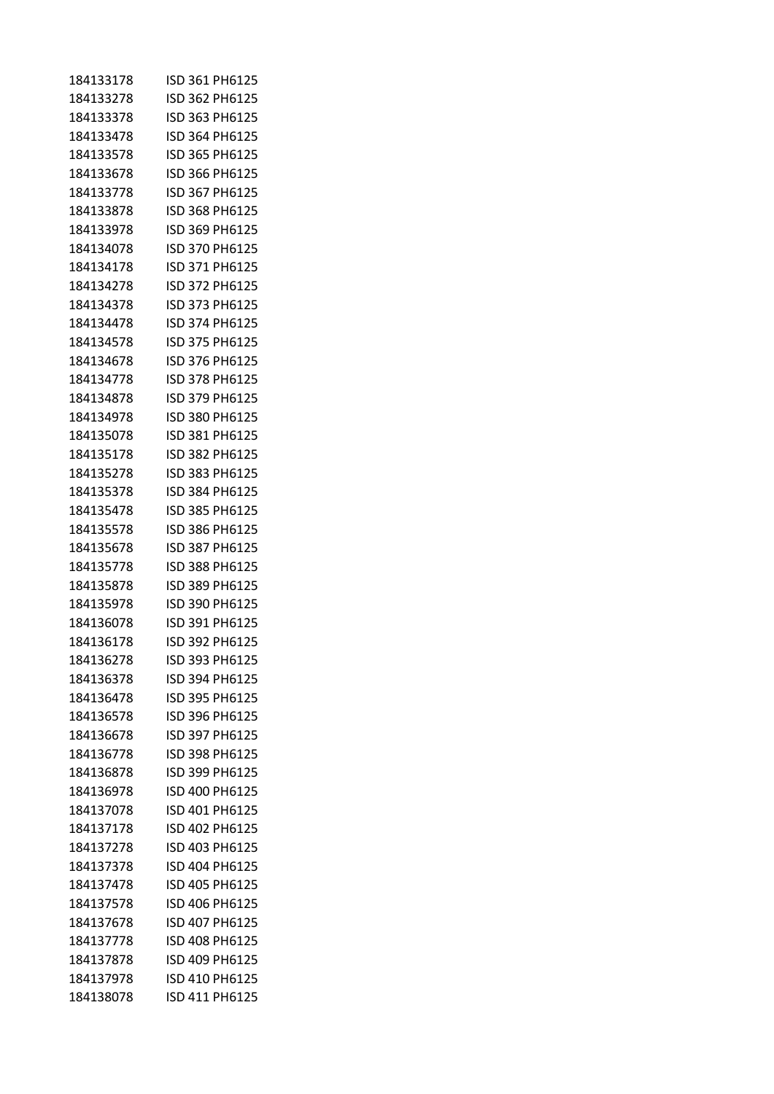| 184133178 | ISD 361 PH6125 |
|-----------|----------------|
| 184133278 | ISD 362 PH6125 |
| 184133378 | ISD 363 PH6125 |
| 184133478 | ISD 364 PH6125 |
| 184133578 | ISD 365 PH6125 |
| 184133678 | ISD 366 PH6125 |
| 184133778 | ISD 367 PH6125 |
| 184133878 | ISD 368 PH6125 |
| 184133978 | ISD 369 PH6125 |
| 184134078 | ISD 370 PH6125 |
| 184134178 | ISD 371 PH6125 |
| 184134278 | ISD 372 PH6125 |
| 184134378 | ISD 373 PH6125 |
| 184134478 | ISD 374 PH6125 |
| 184134578 | ISD 375 PH6125 |
| 184134678 | ISD 376 PH6125 |
| 184134778 | ISD 378 PH6125 |
| 184134878 | ISD 379 PH6125 |
| 184134978 | ISD 380 PH6125 |
| 184135078 | ISD 381 PH6125 |
| 184135178 | ISD 382 PH6125 |
| 184135278 | ISD 383 PH6125 |
| 184135378 | ISD 384 PH6125 |
| 184135478 | ISD 385 PH6125 |
| 184135578 | ISD 386 PH6125 |
| 184135678 | ISD 387 PH6125 |
| 184135778 | ISD 388 PH6125 |
| 184135878 | ISD 389 PH6125 |
| 184135978 | ISD 390 PH6125 |
| 184136078 | ISD 391 PH6125 |
| 184136178 | ISD 392 PH6125 |
| 184136278 | ISD 393 PH6125 |
| 184136378 | ISD 394 PH6125 |
| 184136478 | ISD 395 PH6125 |
| 184136578 | ISD 396 PH6125 |
| 184136678 | ISD 397 PH6125 |
| 184136778 | ISD 398 PH6125 |
| 184136878 | ISD 399 PH6125 |
| 184136978 | ISD 400 PH6125 |
| 184137078 | ISD 401 PH6125 |
| 184137178 | ISD 402 PH6125 |
| 184137278 | ISD 403 PH6125 |
| 184137378 | ISD 404 PH6125 |
| 184137478 | ISD 405 PH6125 |
| 184137578 | ISD 406 PH6125 |
| 184137678 | ISD 407 PH6125 |
| 184137778 | ISD 408 PH6125 |
| 184137878 | ISD 409 PH6125 |
| 184137978 | ISD 410 PH6125 |
| 184138078 | ISD 411 PH6125 |
|           |                |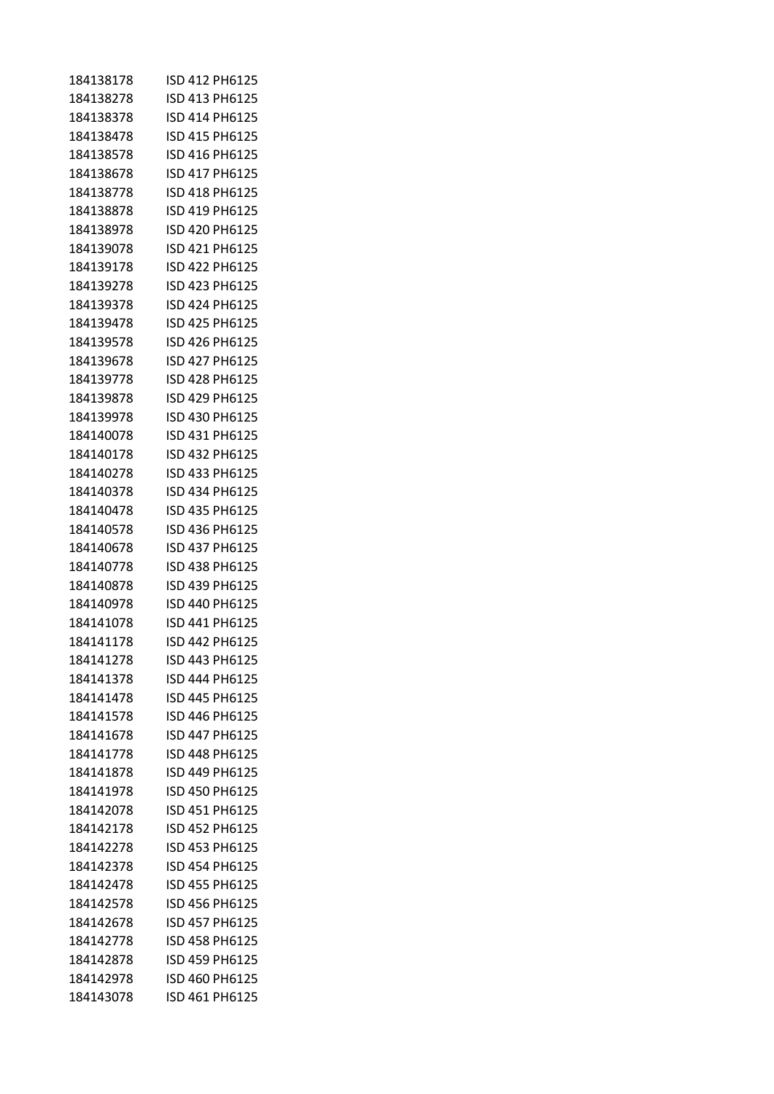| 184138178 | ISD 412 PH6125 |
|-----------|----------------|
| 184138278 | ISD 413 PH6125 |
| 184138378 | ISD 414 PH6125 |
| 184138478 | ISD 415 PH6125 |
| 184138578 | ISD 416 PH6125 |
| 184138678 | ISD 417 PH6125 |
| 184138778 | ISD 418 PH6125 |
| 184138878 | ISD 419 PH6125 |
| 184138978 | ISD 420 PH6125 |
| 184139078 | ISD 421 PH6125 |
| 184139178 | ISD 422 PH6125 |
| 184139278 | ISD 423 PH6125 |
| 184139378 | ISD 424 PH6125 |
| 184139478 | ISD 425 PH6125 |
| 184139578 | ISD 426 PH6125 |
| 184139678 | ISD 427 PH6125 |
| 184139778 | ISD 428 PH6125 |
| 184139878 | ISD 429 PH6125 |
| 184139978 | ISD 430 PH6125 |
| 184140078 | ISD 431 PH6125 |
| 184140178 | ISD 432 PH6125 |
| 184140278 | ISD 433 PH6125 |
| 184140378 | ISD 434 PH6125 |
| 184140478 | ISD 435 PH6125 |
| 184140578 | ISD 436 PH6125 |
| 184140678 | ISD 437 PH6125 |
| 184140778 | ISD 438 PH6125 |
| 184140878 | ISD 439 PH6125 |
| 184140978 | ISD 440 PH6125 |
| 184141078 | ISD 441 PH6125 |
| 184141178 | ISD 442 PH6125 |
| 184141278 | ISD 443 PH6125 |
| 184141378 | ISD 444 PH6125 |
| 184141478 | ISD 445 PH6125 |
| 184141578 | ISD 446 PH6125 |
| 184141678 | ISD 447 PH6125 |
| 184141778 | ISD 448 PH6125 |
| 184141878 | ISD 449 PH6125 |
| 184141978 | ISD 450 PH6125 |
| 184142078 | ISD 451 PH6125 |
| 184142178 | ISD 452 PH6125 |
| 184142278 | ISD 453 PH6125 |
| 184142378 | ISD 454 PH6125 |
| 184142478 | ISD 455 PH6125 |
| 184142578 | ISD 456 PH6125 |
| 184142678 | ISD 457 PH6125 |
| 184142778 | ISD 458 PH6125 |
| 184142878 | ISD 459 PH6125 |
| 184142978 | ISD 460 PH6125 |
| 184143078 | ISD 461 PH6125 |
|           |                |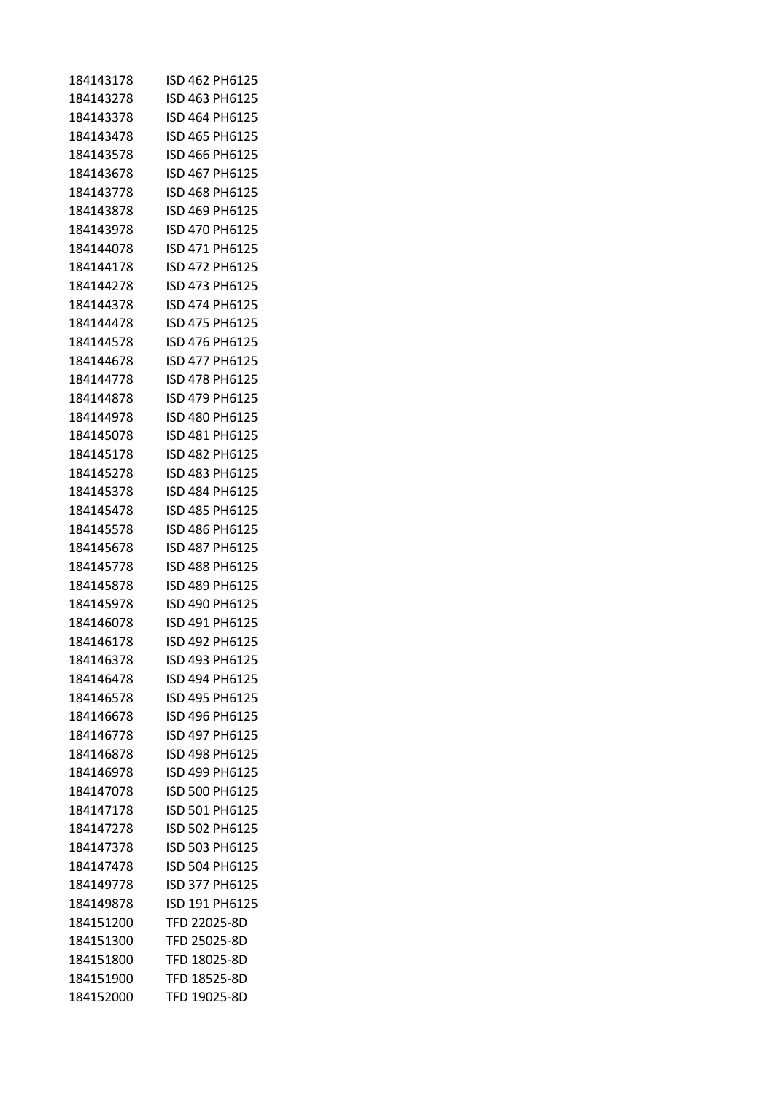| 184143178 | ISD 462 PH6125 |
|-----------|----------------|
| 184143278 | ISD 463 PH6125 |
| 184143378 | ISD 464 PH6125 |
| 184143478 | ISD 465 PH6125 |
| 184143578 | ISD 466 PH6125 |
| 184143678 | ISD 467 PH6125 |
| 184143778 | ISD 468 PH6125 |
| 184143878 | ISD 469 PH6125 |
| 184143978 | ISD 470 PH6125 |
| 184144078 | ISD 471 PH6125 |
| 184144178 | ISD 472 PH6125 |
| 184144278 | ISD 473 PH6125 |
| 184144378 | ISD 474 PH6125 |
| 184144478 | ISD 475 PH6125 |
| 184144578 | ISD 476 PH6125 |
| 184144678 | ISD 477 PH6125 |
| 184144778 | ISD 478 PH6125 |
| 184144878 | ISD 479 PH6125 |
| 184144978 | ISD 480 PH6125 |
| 184145078 | ISD 481 PH6125 |
| 184145178 | ISD 482 PH6125 |
| 184145278 | ISD 483 PH6125 |
| 184145378 | ISD 484 PH6125 |
| 184145478 | ISD 485 PH6125 |
| 184145578 | ISD 486 PH6125 |
| 184145678 | ISD 487 PH6125 |
| 184145778 | ISD 488 PH6125 |
| 184145878 | ISD 489 PH6125 |
| 184145978 | ISD 490 PH6125 |
| 184146078 | ISD 491 PH6125 |
| 184146178 | ISD 492 PH6125 |
| 184146378 | ISD 493 PH6125 |
| 184146478 | ISD 494 PH6125 |
| 184146578 | ISD 495 PH6125 |
| 184146678 | ISD 496 PH6125 |
| 184146778 | ISD 497 PH6125 |
| 184146878 | ISD 498 PH6125 |
| 184146978 | ISD 499 PH6125 |
| 184147078 | ISD 500 PH6125 |
| 184147178 | ISD 501 PH6125 |
| 184147278 | ISD 502 PH6125 |
| 184147378 | ISD 503 PH6125 |
| 184147478 | ISD 504 PH6125 |
| 184149778 | ISD 377 PH6125 |
| 184149878 | ISD 191 PH6125 |
| 184151200 | TFD 22025-8D   |
| 184151300 | TFD 25025-8D   |
| 184151800 | TFD 18025-8D   |
| 184151900 | TFD 18525-8D   |
| 184152000 | TFD 19025-8D   |
|           |                |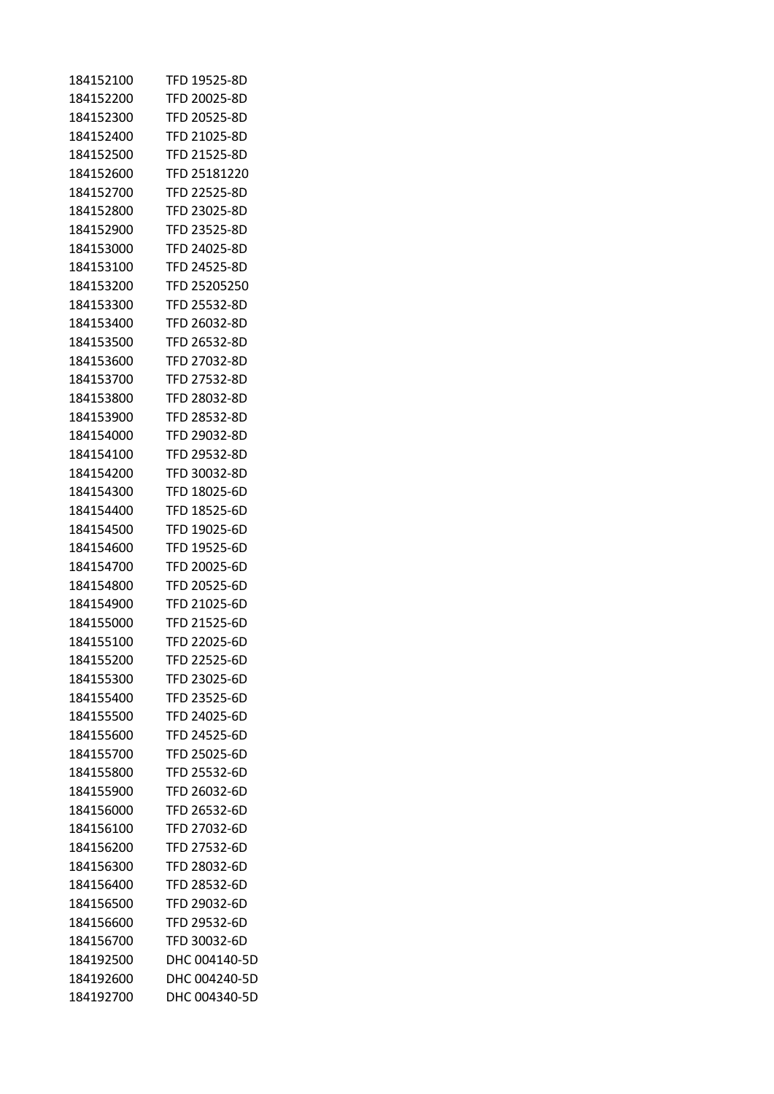| 184152100 | TFD 19525-8D        |
|-----------|---------------------|
| 184152200 | TFD 20025-8D        |
| 184152300 | TFD 20525-8D        |
| 184152400 | <b>TFD 21025-8D</b> |
| 184152500 | TFD 21525-8D        |
| 184152600 | TFD 25181220        |
| 184152700 | TFD 22525-8D        |
| 184152800 | TFD 23025-8D        |
| 184152900 | TFD 23525-8D        |
| 184153000 | TFD 24025-8D        |
| 184153100 | TFD 24525-8D        |
| 184153200 | TFD 25205250        |
| 184153300 | TFD 25532-8D        |
| 184153400 | TFD 26032-8D        |
| 184153500 | TFD 26532-8D        |
| 184153600 | TFD 27032-8D        |
| 184153700 | TFD 27532-8D        |
| 184153800 | TFD 28032-8D        |
| 184153900 | TFD 28532-8D        |
| 184154000 | TFD 29032-8D        |
| 184154100 | TFD 29532-8D        |
| 184154200 | TFD 30032-8D        |
| 184154300 | TFD 18025-6D        |
| 184154400 | TFD 18525-6D        |
| 184154500 | TFD 19025-6D        |
| 184154600 | TFD 19525-6D        |
| 184154700 | TFD 20025-6D        |
| 184154800 | TFD 20525-6D        |
| 184154900 | TFD 21025-6D        |
| 184155000 | TFD 21525-6D        |
| 184155100 | TFD 22025-6D        |
| 184155200 | TFD 22525-6D        |
| 184155300 | TFD 23025-6D        |
| 184155400 | TFD 23525-6D        |
| 184155500 | TFD 24025-6D        |
| 184155600 | TFD 24525-6D        |
| 184155700 | TFD 25025-6D        |
| 184155800 | TFD 25532-6D        |
| 184155900 | TFD 26032-6D        |
| 184156000 | TFD 26532-6D        |
| 184156100 | TFD 27032-6D        |
| 184156200 | TFD 27532-6D        |
| 184156300 | TFD 28032-6D        |
| 184156400 | TFD 28532-6D        |
| 184156500 | TFD 29032-6D        |
| 184156600 | TFD 29532-6D        |
| 184156700 | TFD 30032-6D        |
| 184192500 | DHC 004140-5D       |
| 184192600 | DHC 004240-5D       |
| 184192700 | DHC 004340-5D       |
|           |                     |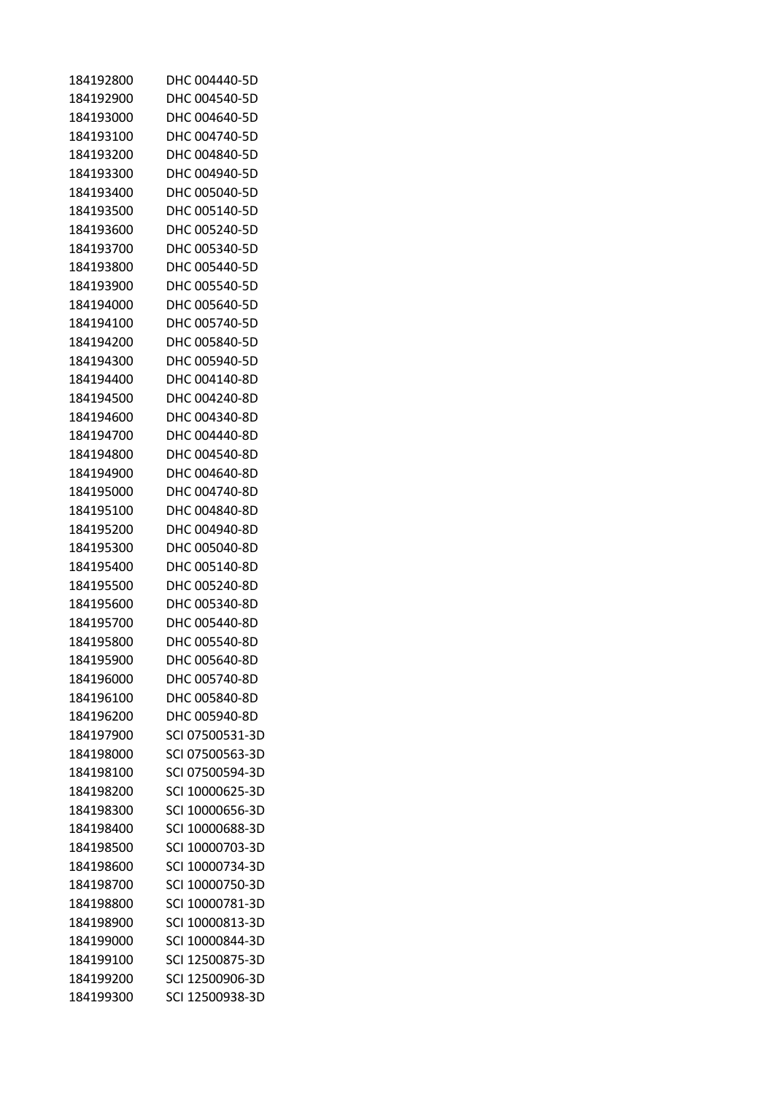| 184192800 | DHC 004440-5D   |
|-----------|-----------------|
| 184192900 | DHC 004540-5D   |
| 184193000 | DHC 004640-5D   |
| 184193100 | DHC 004740-5D   |
| 184193200 | DHC 004840-5D   |
| 184193300 | DHC 004940-5D   |
| 184193400 | DHC 005040-5D   |
| 184193500 | DHC 005140-5D   |
| 184193600 | DHC 005240-5D   |
| 184193700 | DHC 005340-5D   |
| 184193800 | DHC 005440-5D   |
| 184193900 | DHC 005540-5D   |
| 184194000 | DHC 005640-5D   |
| 184194100 | DHC 005740-5D   |
| 184194200 | DHC 005840-5D   |
| 184194300 | DHC 005940-5D   |
| 184194400 | DHC 004140-8D   |
| 184194500 | DHC 004240-8D   |
| 184194600 | DHC 004340-8D   |
| 184194700 | DHC 004440-8D   |
| 184194800 | DHC 004540-8D   |
|           |                 |
| 184194900 | DHC 004640-8D   |
| 184195000 | DHC 004740-8D   |
| 184195100 | DHC 004840-8D   |
| 184195200 | DHC 004940-8D   |
| 184195300 | DHC 005040-8D   |
| 184195400 | DHC 005140-8D   |
| 184195500 | DHC 005240-8D   |
| 184195600 | DHC 005340-8D   |
| 184195700 | DHC 005440-8D   |
| 184195800 | DHC 005540-8D   |
| 184195900 | DHC 005640-8D   |
| 184196000 | DHC 005740-8D   |
| 184196100 | DHC 005840-8D   |
| 184196200 | DHC 005940-8D   |
| 184197900 | SCI 07500531-3D |
| 184198000 | SCI 07500563-3D |
| 184198100 | SCI 07500594-3D |
| 184198200 | SCI 10000625-3D |
| 184198300 | SCI 10000656-3D |
| 184198400 | SCI 10000688-3D |
| 184198500 | SCI 10000703-3D |
| 184198600 | SCI 10000734-3D |
| 184198700 | SCI 10000750-3D |
| 184198800 | SCI 10000781-3D |
| 184198900 | SCI 10000813-3D |
| 184199000 | SCI 10000844-3D |
| 184199100 | SCI 12500875-3D |
| 184199200 | SCI 12500906-3D |
| 184199300 | SCI 12500938-3D |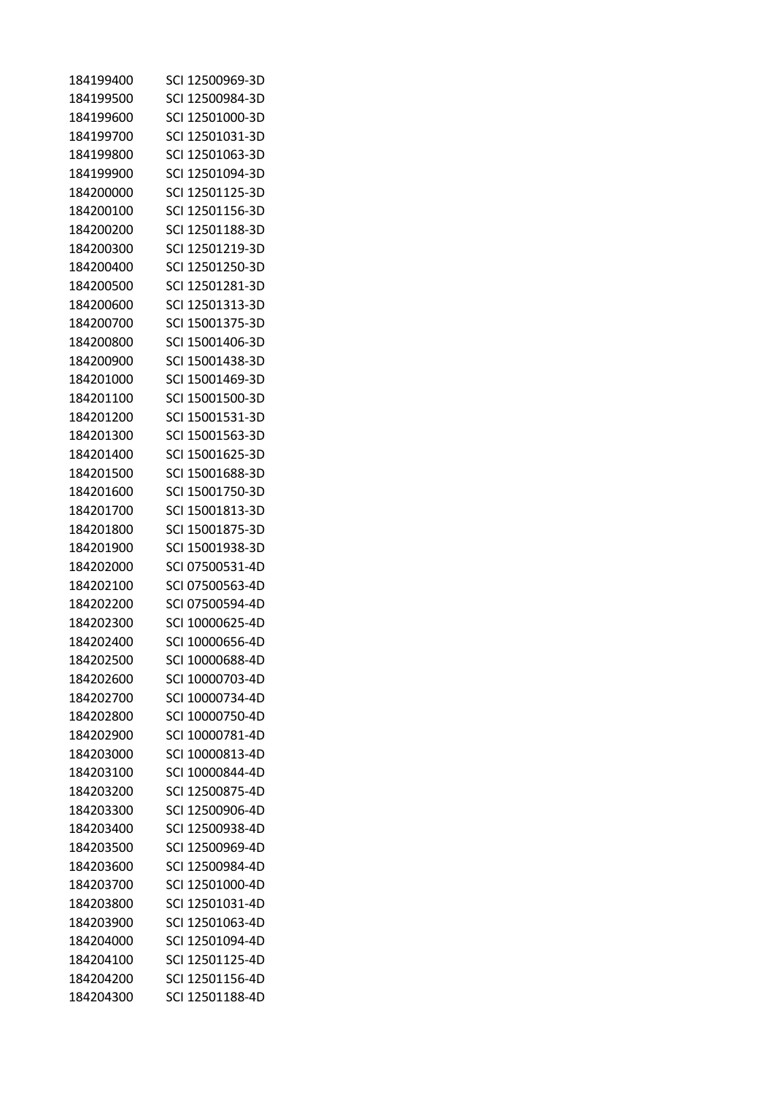| 184199400 | SCI 12500969-3D |
|-----------|-----------------|
| 184199500 | SCI 12500984-3D |
| 184199600 | SCI 12501000-3D |
| 184199700 | SCI 12501031-3D |
| 184199800 | SCI 12501063-3D |
| 184199900 | SCI 12501094-3D |
| 184200000 | SCI 12501125-3D |
| 184200100 | SCI 12501156-3D |
| 184200200 | SCI 12501188-3D |
| 184200300 | SCI 12501219-3D |
| 184200400 | SCI 12501250-3D |
| 184200500 | SCI 12501281-3D |
| 184200600 | SCI 12501313-3D |
| 184200700 | SCI 15001375-3D |
| 184200800 | SCI 15001406-3D |
| 184200900 | SCI 15001438-3D |
| 184201000 | SCI 15001469-3D |
| 184201100 | SCI 15001500-3D |
| 184201200 | SCI 15001531-3D |
| 184201300 | SCI 15001563-3D |
| 184201400 | SCI 15001625-3D |
| 184201500 | SCI 15001688-3D |
| 184201600 | SCI 15001750-3D |
| 184201700 | SCI 15001813-3D |
| 184201800 | SCI 15001875-3D |
| 184201900 | SCI 15001938-3D |
| 184202000 | SCI 07500531-4D |
| 184202100 | SCI 07500563-4D |
| 184202200 | SCI 07500594-4D |
| 184202300 | SCI 10000625-4D |
| 184202400 | SCI 10000656-4D |
| 184202500 | SCI 10000688-4D |
| 184202600 | SCI 10000703-4D |
| 184202700 | SCI 10000734-4D |
| 184202800 | SCI 10000750-4D |
| 184202900 | SCI 10000781-4D |
| 184203000 | SCI 10000813-4D |
| 184203100 | SCI 10000844-4D |
| 184203200 | SCI 12500875-4D |
| 184203300 | SCI 12500906-4D |
| 184203400 | SCI 12500938-4D |
| 184203500 | SCI 12500969-4D |
| 184203600 | SCI 12500984-4D |
| 184203700 | SCI 12501000-4D |
| 184203800 | SCI 12501031-4D |
| 184203900 | SCI 12501063-4D |
| 184204000 | SCI 12501094-4D |
| 184204100 | SCI 12501125-4D |
| 184204200 | SCI 12501156-4D |
| 184204300 | SCI 12501188-4D |
|           |                 |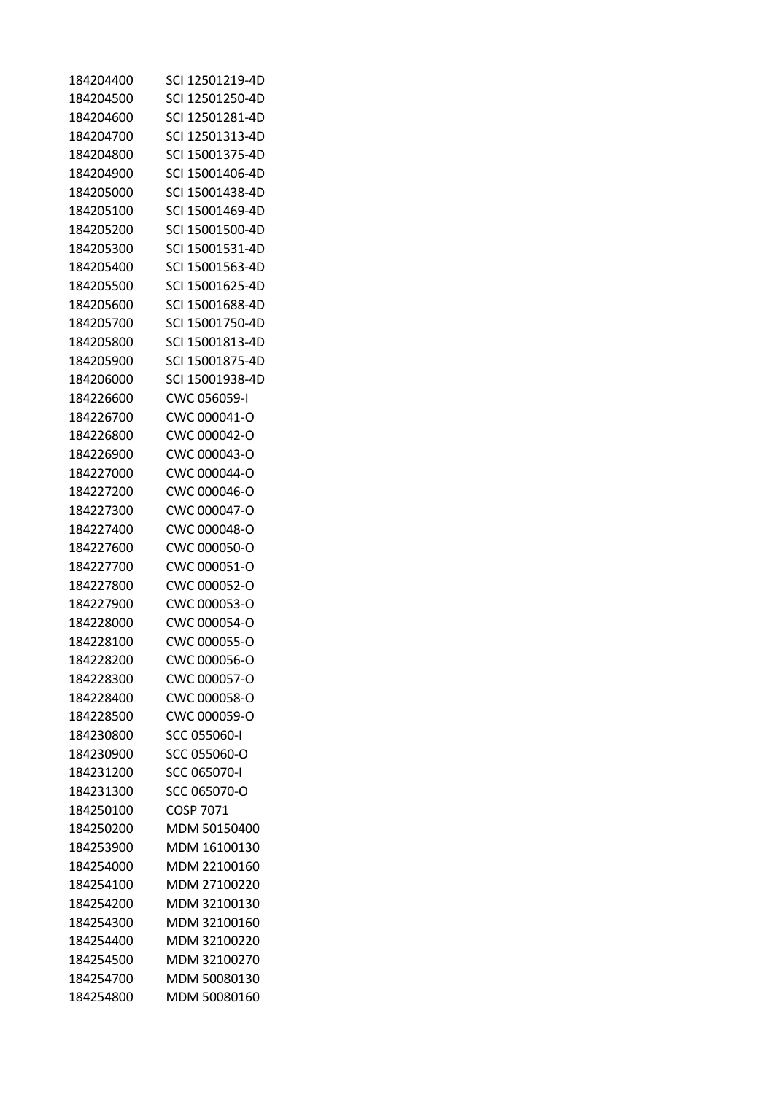| 184204400 | SCI 12501219-4D |
|-----------|-----------------|
| 184204500 | SCI 12501250-4D |
| 184204600 | SCI 12501281-4D |
| 184204700 | SCI 12501313-4D |
| 184204800 | SCI 15001375-4D |
| 184204900 | SCI 15001406-4D |
| 184205000 | SCI 15001438-4D |
| 184205100 | SCI 15001469-4D |
| 184205200 | SCI 15001500-4D |
| 184205300 | SCI 15001531-4D |
| 184205400 | SCI 15001563-4D |
| 184205500 | SCI 15001625-4D |
| 184205600 | SCI 15001688-4D |
| 184205700 | SCI 15001750-4D |
| 184205800 | SCI 15001813-4D |
| 184205900 | SCI 15001875-4D |
| 184206000 | SCI 15001938-4D |
| 184226600 | CWC 056059-I    |
| 184226700 | CWC 000041-O    |
| 184226800 | CWC 000042-O    |
| 184226900 | CWC 000043-O    |
| 184227000 | CWC 000044-O    |
| 184227200 | CWC 000046-O    |
| 184227300 | CWC 000047-O    |
| 184227400 | CWC 000048-O    |
| 184227600 | CWC 000050-O    |
| 184227700 | CWC 000051-O    |
| 184227800 | CWC 000052-O    |
| 184227900 | CWC 000053-O    |
| 184228000 | CWC 000054-O    |
| 184228100 | CWC 000055-O    |
| 184228200 | CWC 000056-O    |
| 184228300 | CWC 000057-O    |
| 184228400 | CWC 000058-O    |
| 184228500 | CWC 000059-O    |
| 184230800 | SCC 055060-I    |
| 184230900 | SCC 055060-O    |
| 184231200 | SCC 065070-I    |
| 184231300 | SCC 065070-O    |
| 184250100 | COSP 7071       |
| 184250200 | MDM 50150400    |
| 184253900 | MDM 16100130    |
| 184254000 | MDM 22100160    |
| 184254100 | MDM 27100220    |
| 184254200 | MDM 32100130    |
| 184254300 | MDM 32100160    |
| 184254400 | MDM 32100220    |
| 184254500 | MDM 32100270    |
| 184254700 | MDM 50080130    |
| 184254800 | MDM 50080160    |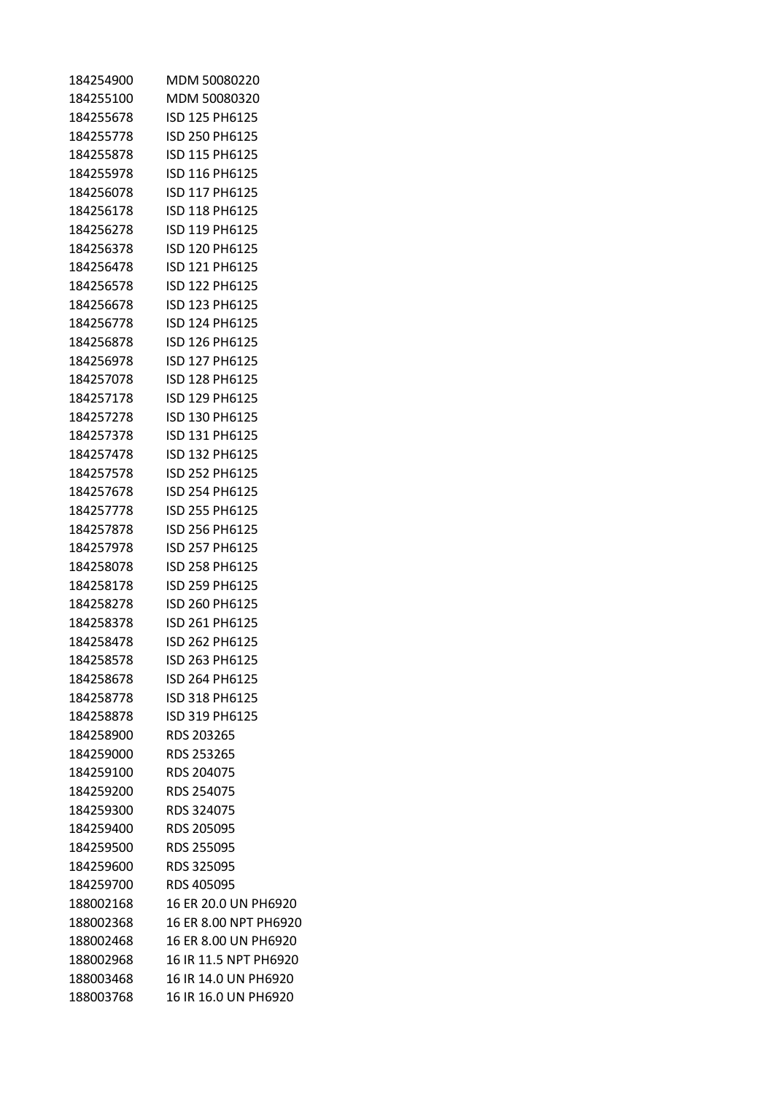| 184254900 | MDM 50080220          |
|-----------|-----------------------|
| 184255100 | MDM 50080320          |
| 184255678 | ISD 125 PH6125        |
| 184255778 | ISD 250 PH6125        |
| 184255878 | ISD 115 PH6125        |
| 184255978 | ISD 116 PH6125        |
| 184256078 | ISD 117 PH6125        |
| 184256178 | ISD 118 PH6125        |
| 184256278 | ISD 119 PH6125        |
| 184256378 | ISD 120 PH6125        |
| 184256478 | ISD 121 PH6125        |
| 184256578 | ISD 122 PH6125        |
| 184256678 | ISD 123 PH6125        |
| 184256778 | ISD 124 PH6125        |
| 184256878 | ISD 126 PH6125        |
| 184256978 | ISD 127 PH6125        |
| 184257078 | ISD 128 PH6125        |
| 184257178 | ISD 129 PH6125        |
| 184257278 | ISD 130 PH6125        |
| 184257378 | ISD 131 PH6125        |
| 184257478 | ISD 132 PH6125        |
| 184257578 | ISD 252 PH6125        |
| 184257678 | ISD 254 PH6125        |
| 184257778 | ISD 255 PH6125        |
| 184257878 | ISD 256 PH6125        |
| 184257978 | ISD 257 PH6125        |
| 184258078 | ISD 258 PH6125        |
| 184258178 | ISD 259 PH6125        |
| 184258278 | ISD 260 PH6125        |
| 184258378 | ISD 261 PH6125        |
| 184258478 | ISD 262 PH6125        |
| 184258578 | ISD 263 PH6125        |
| 184258678 | ISD 264 PH6125        |
| 184258778 | ISD 318 PH6125        |
| 184258878 | ISD 319 PH6125        |
| 184258900 | RDS 203265            |
| 184259000 | <b>RDS 253265</b>     |
| 184259100 | RDS 204075            |
| 184259200 | RDS 254075            |
| 184259300 | RDS 324075            |
| 184259400 | <b>RDS 205095</b>     |
| 184259500 | RDS 255095            |
| 184259600 | RDS 325095            |
| 184259700 | RDS 405095            |
| 188002168 | 16 ER 20.0 UN PH6920  |
| 188002368 | 16 ER 8.00 NPT PH6920 |
| 188002468 | 16 ER 8.00 UN PH6920  |
| 188002968 | 16 IR 11.5 NPT PH6920 |
| 188003468 | 16 IR 14.0 UN PH6920  |
| 188003768 | 16 IR 16.0 UN PH6920  |
|           |                       |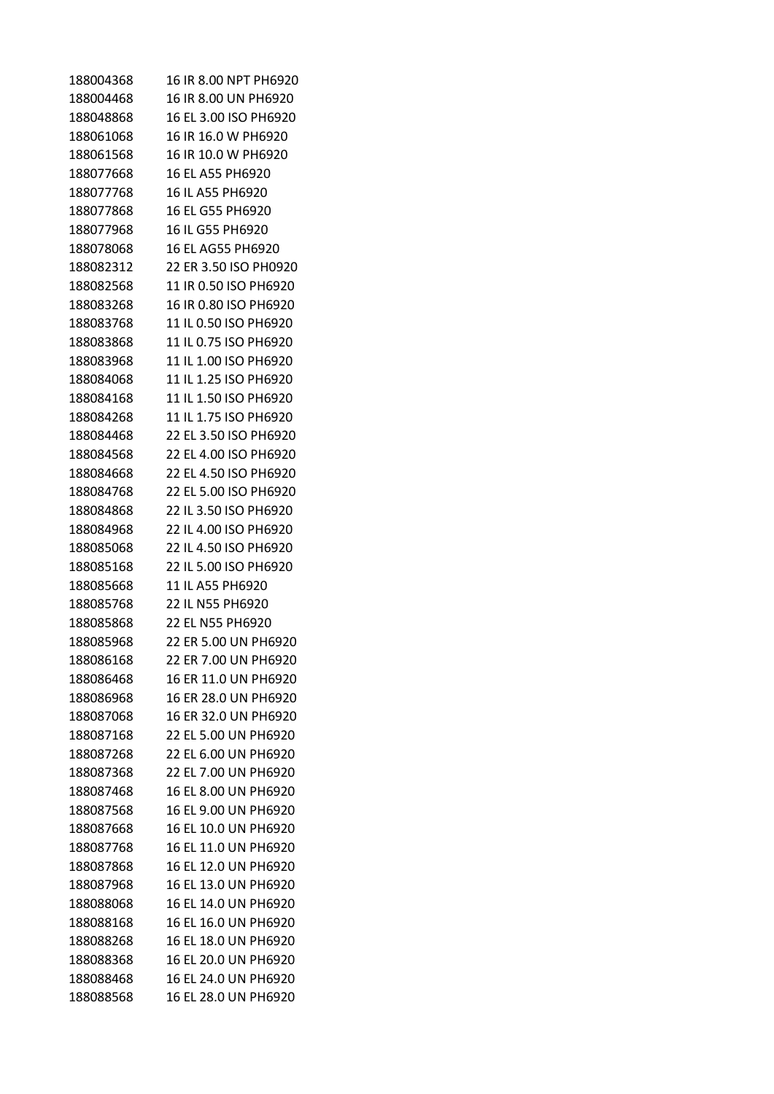| 188004368 | 16 IR 8.00 NPT PH6920 |
|-----------|-----------------------|
| 188004468 | 16 IR 8.00 UN PH6920  |
| 188048868 | 16 EL 3.00 ISO PH6920 |
| 188061068 | 16 IR 16.0 W PH6920   |
| 188061568 | 16 IR 10.0 W PH6920   |
| 188077668 | 16 EL A55 PH6920      |
| 188077768 | 16 IL A55 PH6920      |
| 188077868 | 16 EL G55 PH6920      |
| 188077968 | 16 IL G55 PH6920      |
| 188078068 | 16 FL AG55 PH6920     |
| 188082312 | 22 ER 3.50 ISO PH0920 |
| 188082568 | 11 IR 0.50 ISO PH6920 |
| 188083268 | 16 IR 0.80 ISO PH6920 |
| 188083768 | 11 IL 0.50 ISO PH6920 |
| 188083868 | 11 IL 0.75 ISO PH6920 |
| 188083968 | 11 IL 1.00 ISO PH6920 |
| 188084068 | 11 IL 1.25 ISO PH6920 |
| 188084168 | 11 IL 1.50 ISO PH6920 |
| 188084268 | 11 IL 1.75 ISO PH6920 |
| 188084468 | 22 EL 3.50 ISO PH6920 |
| 188084568 | 22 EL 4.00 ISO PH6920 |
| 188084668 | 22 EL 4.50 ISO PH6920 |
| 188084768 | 22 EL 5.00 ISO PH6920 |
| 188084868 | 22 IL 3.50 ISO PH6920 |
| 188084968 | 22 IL 4.00 ISO PH6920 |
| 188085068 | 22 IL 4.50 ISO PH6920 |
| 188085168 | 22 IL 5.00 ISO PH6920 |
| 188085668 | 11 IL A55 PH6920      |
| 188085768 | 22 IL N55 PH6920      |
| 188085868 | 22 EL N55 PH6920      |
| 188085968 | 22 ER 5.00 UN PH6920  |
| 188086168 | 22 ER 7.00 UN PH6920  |
| 188086468 | 16 ER 11.0 UN PH6920  |
| 188086968 | 16 ER 28.0 UN PH6920  |
| 188087068 | 16 ER 32.0 UN PH6920  |
| 188087168 | 22 EL 5.00 UN PH6920  |
| 188087268 | 22 EL 6.00 UN PH6920  |
| 188087368 | 22 EL 7.00 UN PH6920  |
| 188087468 | 16 EL 8.00 UN PH6920  |
| 188087568 | 16 EL 9.00 UN PH6920  |
| 188087668 | 16 EL 10.0 UN PH6920  |
| 188087768 | 16 EL 11.0 UN PH6920  |
| 188087868 | 16 EL 12.0 UN PH6920  |
| 188087968 | 16 EL 13.0 UN PH6920  |
| 188088068 | 16 EL 14.0 UN PH6920  |
| 188088168 | 16 EL 16.0 UN PH6920  |
| 188088268 | 16 EL 18.0 UN PH6920  |
| 188088368 | 16 EL 20.0 UN PH6920  |
| 188088468 | 16 EL 24.0 UN PH6920  |
| 188088568 | 16 EL 28.0 UN PH6920  |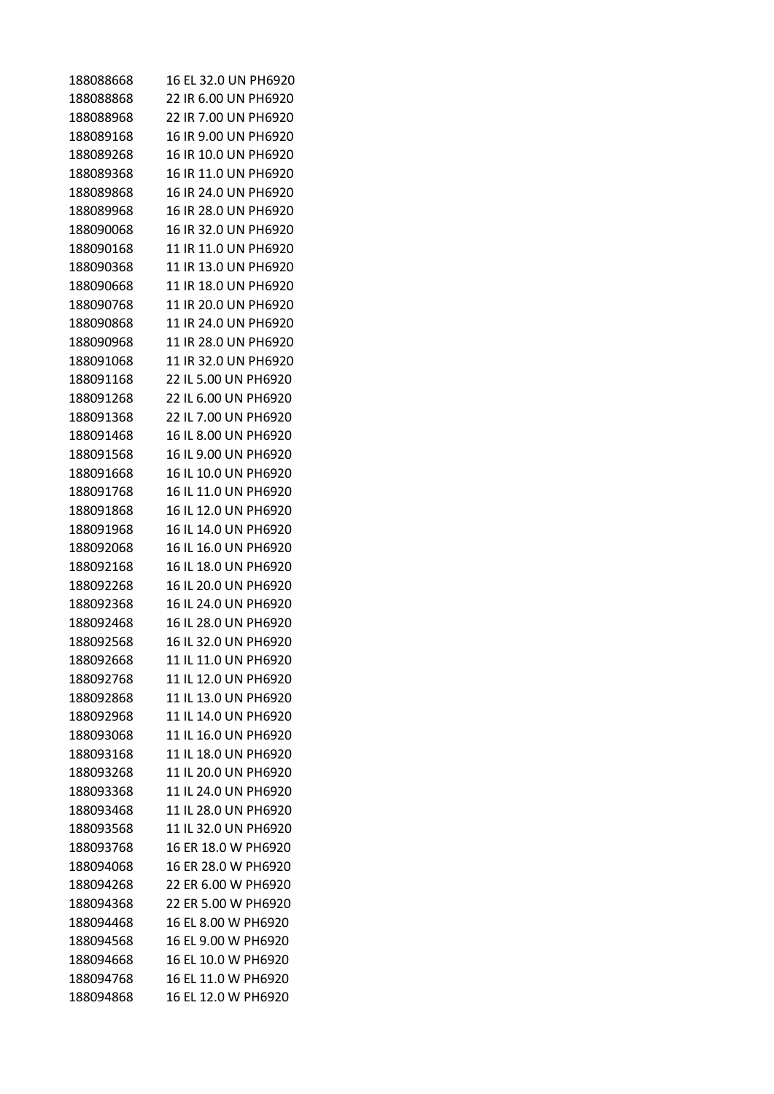|           | 16 EL 32.0 UN PH6920                         |
|-----------|----------------------------------------------|
| 188088668 |                                              |
| 188088868 | 22 IR 6.00 UN PH6920<br>22 IR 7.00 UN PH6920 |
| 188088968 |                                              |
| 188089168 | 16 IR 9.00 UN PH6920                         |
| 188089268 | 16 IR 10.0 UN PH6920                         |
| 188089368 | 16 IR 11.0 UN PH6920                         |
| 188089868 | 16 IR 24.0 UN PH6920                         |
| 188089968 | 16 IR 28.0 UN PH6920                         |
| 188090068 | 16 IR 32.0 UN PH6920                         |
| 188090168 | 11 IR 11.0 UN PH6920                         |
| 188090368 | 11 IR 13.0 UN PH6920                         |
| 188090668 | 11 IR 18.0 UN PH6920                         |
| 188090768 | 11 IR 20.0 UN PH6920                         |
| 188090868 | 11 IR 24.0 UN PH6920                         |
| 188090968 | 11 IR 28.0 UN PH6920                         |
| 188091068 | 11 IR 32.0 UN PH6920                         |
| 188091168 | 22 IL 5.00 UN PH6920                         |
| 188091268 | 22 IL 6.00 UN PH6920                         |
| 188091368 | 22 IL 7.00 UN PH6920                         |
| 188091468 | 16 IL 8.00 UN PH6920                         |
| 188091568 | 16 IL 9.00 UN PH6920                         |
| 188091668 | 16 IL 10.0 UN PH6920                         |
| 188091768 | 16 IL 11.0 UN PH6920                         |
| 188091868 | 16 IL 12.0 UN PH6920                         |
| 188091968 | 16 IL 14.0 UN PH6920                         |
| 188092068 | 16 IL 16.0 UN PH6920                         |
| 188092168 | 16 IL 18.0 UN PH6920                         |
| 188092268 | 16 IL 20.0 UN PH6920                         |
| 188092368 | 16 IL 24.0 UN PH6920                         |
| 188092468 | 16 IL 28.0 UN PH6920                         |
| 188092568 | 16 IL 32.0 UN PH6920                         |
| 188092668 | 11 IL 11.0 UN PH6920                         |
| 188092768 | 11 IL 12.0 UN PH6920                         |
| 188092868 | 11 IL 13.0 UN PH6920                         |
| 188092968 | 11 IL 14.0 UN PH6920                         |
| 188093068 | 11 IL 16.0 UN PH6920                         |
| 188093168 | 11 IL 18.0 UN PH6920                         |
| 188093268 | 11 IL 20.0 UN PH6920                         |
| 188093368 | 11 IL 24.0 UN PH6920                         |
| 188093468 | 11 IL 28.0 UN PH6920                         |
| 188093568 | 11 IL 32.0 UN PH6920                         |
| 188093768 | 16 ER 18.0 W PH6920                          |
| 188094068 | 16 ER 28.0 W PH6920                          |
| 188094268 | 22 ER 6.00 W PH6920                          |
| 188094368 | 22 ER 5.00 W PH6920                          |
| 188094468 | 16 EL 8.00 W PH6920                          |
| 188094568 | 16 EL 9.00 W PH6920                          |
| 188094668 | 16 EL 10.0 W PH6920                          |
| 188094768 | 16 EL 11.0 W PH6920                          |
| 188094868 | 16 EL 12.0 W PH6920                          |
|           |                                              |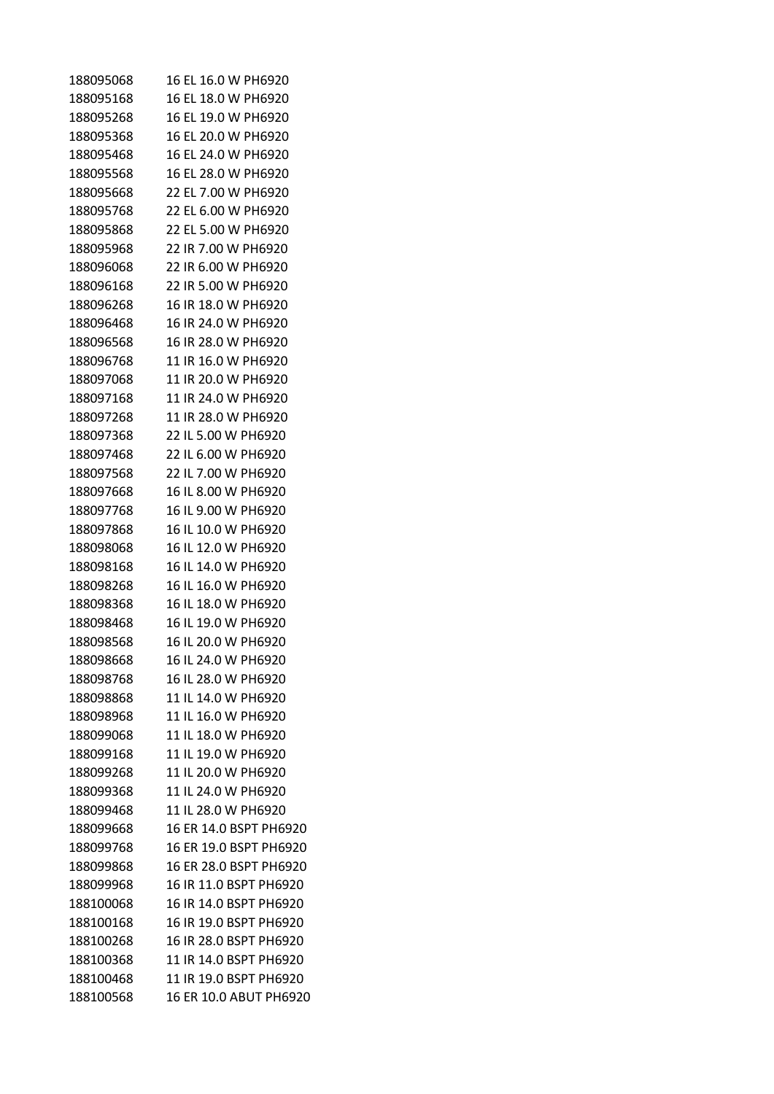| 188095068 | 16 EL 16.0 W PH6920    |
|-----------|------------------------|
| 188095168 | 16 EL 18.0 W PH6920    |
| 188095268 | 16 EL 19.0 W PH6920    |
| 188095368 | 16 EL 20.0 W PH6920    |
| 188095468 | 16 EL 24.0 W PH6920    |
| 188095568 | 16 EL 28.0 W PH6920    |
| 188095668 | 22 EL 7.00 W PH6920    |
| 188095768 | 22 EL 6.00 W PH6920    |
| 188095868 | 22 EL 5.00 W PH6920    |
| 188095968 | 22 IR 7.00 W PH6920    |
| 188096068 | 22 IR 6.00 W PH6920    |
| 188096168 | 22 IR 5.00 W PH6920    |
| 188096268 | 16 IR 18.0 W PH6920    |
| 188096468 | 16 IR 24.0 W PH6920    |
| 188096568 | 16 IR 28.0 W PH6920    |
| 188096768 | 11 IR 16.0 W PH6920    |
| 188097068 | 11 IR 20.0 W PH6920    |
| 188097168 | 11 IR 24.0 W PH6920    |
| 188097268 | 11 IR 28.0 W PH6920    |
| 188097368 | 22 IL 5.00 W PH6920    |
| 188097468 | 22 IL 6.00 W PH6920    |
| 188097568 | 22 IL 7.00 W PH6920    |
| 188097668 | 16 IL 8.00 W PH6920    |
| 188097768 | 16 IL 9.00 W PH6920    |
| 188097868 | 16 IL 10.0 W PH6920    |
| 188098068 | 16 IL 12.0 W PH6920    |
| 188098168 | 16 IL 14.0 W PH6920    |
| 188098268 | 16 IL 16.0 W PH6920    |
| 188098368 | 16 IL 18.0 W PH6920    |
| 188098468 | 16 IL 19.0 W PH6920    |
| 188098568 | 16 IL 20.0 W PH6920    |
| 188098668 | 16 IL 24.0 W PH6920    |
| 188098768 | 16 IL 28.0 W PH6920    |
| 188098868 | 11 IL 14.0 W PH6920    |
| 188098968 | 11 IL 16.0 W PH6920    |
| 188099068 | 11 IL 18.0 W PH6920    |
| 188099168 | 11 IL 19.0 W PH6920    |
| 188099268 | 11 IL 20.0 W PH6920    |
| 188099368 | 11 IL 24.0 W PH6920    |
| 188099468 | 11 IL 28.0 W PH6920    |
| 188099668 | 16 ER 14.0 BSPT PH6920 |
| 188099768 | 16 ER 19.0 BSPT PH6920 |
| 188099868 | 16 ER 28.0 BSPT PH6920 |
| 188099968 | 16 IR 11.0 BSPT PH6920 |
| 188100068 | 16 IR 14.0 BSPT PH6920 |
| 188100168 | 16 IR 19.0 BSPT PH6920 |
| 188100268 | 16 IR 28.0 BSPT PH6920 |
| 188100368 | 11 IR 14.0 BSPT PH6920 |
| 188100468 | 11 IR 19.0 BSPT PH6920 |
| 188100568 | 16 ER 10.0 ABUT PH6920 |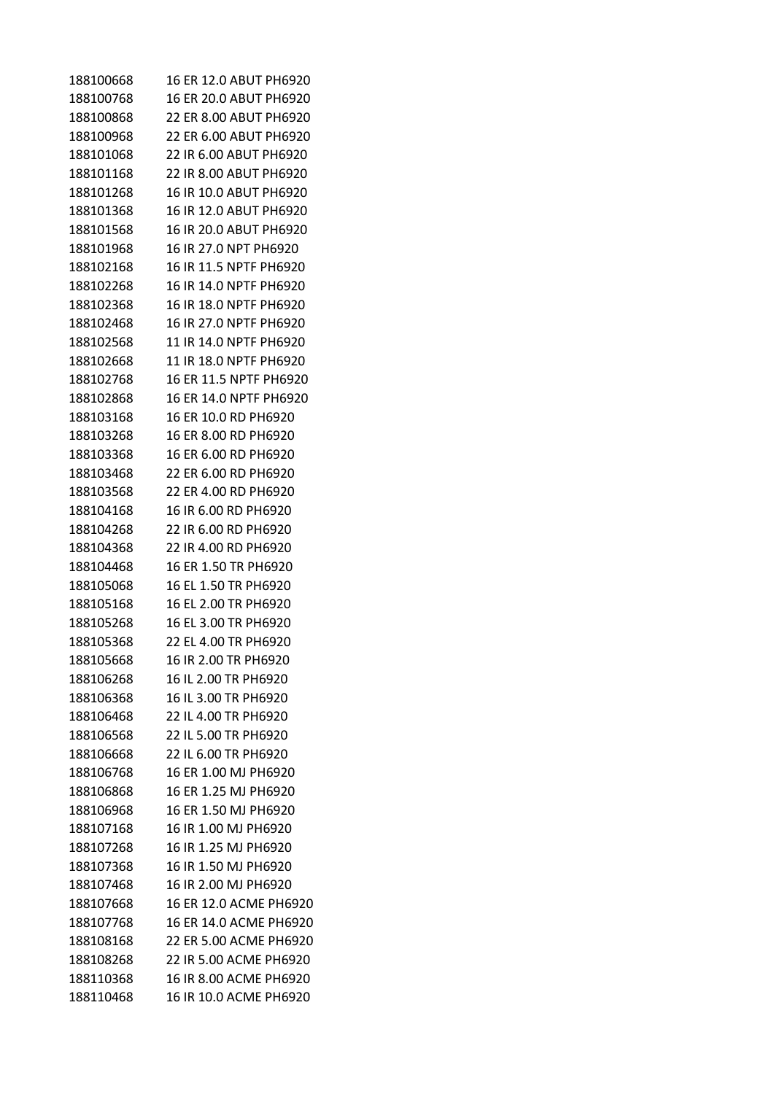| 188100668 | 16 ER 12.0 ABUT PH6920 |
|-----------|------------------------|
| 188100768 | 16 ER 20.0 ABUT PH6920 |
| 188100868 | 22 ER 8.00 ABUT PH6920 |
| 188100968 | 22 ER 6.00 ABUT PH6920 |
| 188101068 | 22 IR 6.00 ABUT PH6920 |
| 188101168 | 22 IR 8.00 ABUT PH6920 |
| 188101268 | 16 IR 10.0 ABUT PH6920 |
| 188101368 | 16 IR 12.0 ABUT PH6920 |
| 188101568 | 16 IR 20.0 ABUT PH6920 |
| 188101968 | 16 IR 27.0 NPT PH6920  |
| 188102168 | 16 IR 11.5 NPTF PH6920 |
| 188102268 | 16 IR 14.0 NPTF PH6920 |
| 188102368 | 16 IR 18.0 NPTF PH6920 |
| 188102468 | 16 IR 27.0 NPTF PH6920 |
| 188102568 | 11 IR 14.0 NPTF PH6920 |
| 188102668 | 11 IR 18.0 NPTF PH6920 |
| 188102768 | 16 ER 11.5 NPTF PH6920 |
| 188102868 | 16 ER 14.0 NPTF PH6920 |
| 188103168 | 16 ER 10.0 RD PH6920   |
| 188103268 | 16 ER 8.00 RD PH6920   |
| 188103368 | 16 ER 6.00 RD PH6920   |
| 188103468 | 22 ER 6.00 RD PH6920   |
| 188103568 | 22 ER 4.00 RD PH6920   |
| 188104168 | 16 IR 6.00 RD PH6920   |
| 188104268 | 22 IR 6.00 RD PH6920   |
| 188104368 | 22 IR 4.00 RD PH6920   |
| 188104468 | 16 ER 1.50 TR PH6920   |
| 188105068 | 16 EL 1.50 TR PH6920   |
| 188105168 | 16 EL 2.00 TR PH6920   |
| 188105268 | 16 EL 3.00 TR PH6920   |
| 188105368 | 22 EL 4.00 TR PH6920   |
| 188105668 | 16 IR 2.00 TR PH6920   |
| 188106268 | 16 IL 2.00 TR PH6920   |
| 188106368 | 16 IL 3.00 TR PH6920   |
| 188106468 | 22 IL 4.00 TR PH6920   |
| 188106568 | 22 IL 5.00 TR PH6920   |
| 188106668 | 22 IL 6.00 TR PH6920   |
| 188106768 | 16 ER 1.00 MJ PH6920   |
| 188106868 | 16 ER 1.25 MJ PH6920   |
| 188106968 | 16 ER 1.50 MJ PH6920   |
| 188107168 | 16 IR 1.00 MJ PH6920   |
| 188107268 | 16 IR 1.25 MJ PH6920   |
| 188107368 | 16 IR 1.50 MJ PH6920   |
| 188107468 | 16 IR 2.00 MJ PH6920   |
| 188107668 | 16 ER 12.0 ACME PH6920 |
| 188107768 | 16 ER 14.0 ACME PH6920 |
| 188108168 | 22 ER 5.00 ACME PH6920 |
| 188108268 | 22 IR 5.00 ACME PH6920 |
| 188110368 | 16 IR 8.00 ACME PH6920 |
| 188110468 | 16 IR 10.0 ACME PH6920 |
|           |                        |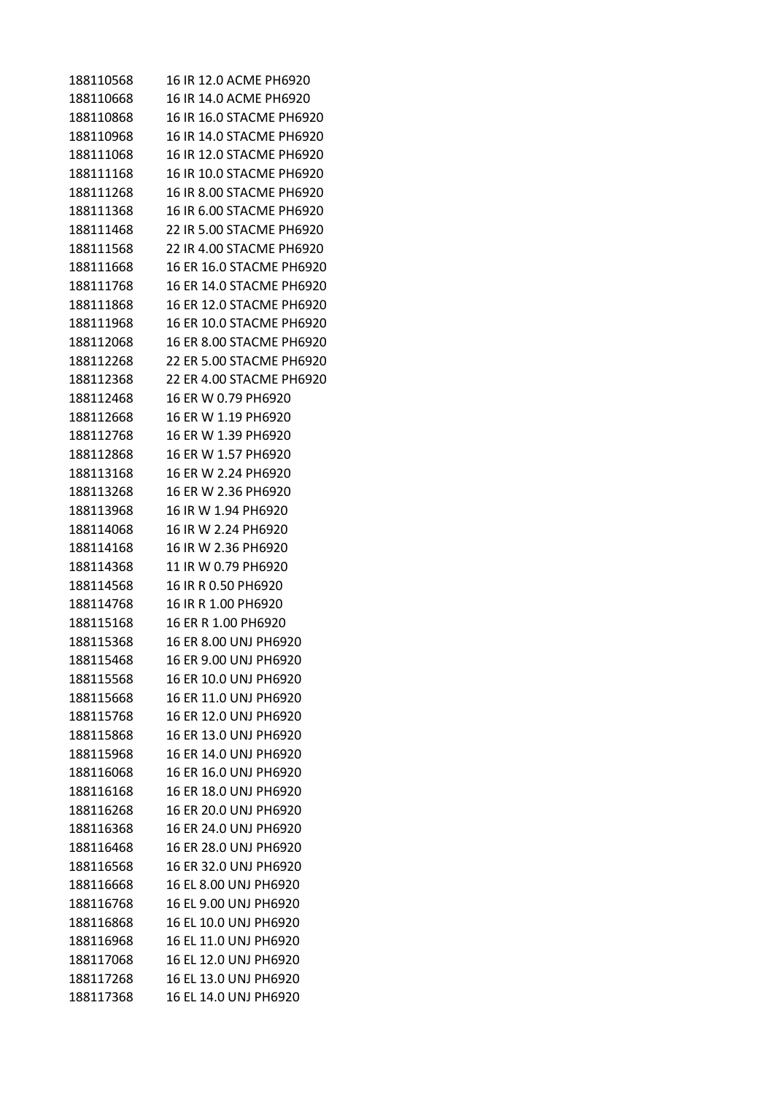| 188110568 | 16 IR 12.0 ACME PH6920   |
|-----------|--------------------------|
| 188110668 | 16 IR 14.0 ACME PH6920   |
| 188110868 | 16 IR 16.0 STACME PH6920 |
| 188110968 | 16 IR 14.0 STACME PH6920 |
| 188111068 | 16 IR 12.0 STACME PH6920 |
| 188111168 | 16 IR 10.0 STACME PH6920 |
| 188111268 | 16 IR 8.00 STACME PH6920 |
| 188111368 | 16 IR 6.00 STACME PH6920 |
| 188111468 | 22 IR 5.00 STACME PH6920 |
| 188111568 | 22 IR 4.00 STACME PH6920 |
| 188111668 | 16 ER 16.0 STACME PH6920 |
| 188111768 | 16 ER 14.0 STACME PH6920 |
| 188111868 | 16 ER 12.0 STACME PH6920 |
| 188111968 | 16 ER 10.0 STACME PH6920 |
| 188112068 | 16 ER 8.00 STACME PH6920 |
| 188112268 | 22 ER 5.00 STACME PH6920 |
| 188112368 | 22 ER 4.00 STACME PH6920 |
| 188112468 | 16 ER W 0.79 PH6920      |
| 188112668 | 16 ER W 1.19 PH6920      |
| 188112768 | 16 ER W 1.39 PH6920      |
| 188112868 | 16 ER W 1.57 PH6920      |
| 188113168 | 16 ER W 2.24 PH6920      |
| 188113268 | 16 ER W 2.36 PH6920      |
| 188113968 | 16 IR W 1.94 PH6920      |
| 188114068 | 16 IR W 2.24 PH6920      |
| 188114168 | 16 IR W 2.36 PH6920      |
| 188114368 | 11 IR W 0.79 PH6920      |
| 188114568 | 16 IR R 0.50 PH6920      |
| 188114768 | 16 IR R 1.00 PH6920      |
| 188115168 | 16 ER R 1.00 PH6920      |
| 188115368 | 16 ER 8.00 UNJ PH6920    |
| 188115468 | 16 ER 9.00 UNJ PH6920    |
| 188115568 | 16 ER 10.0 UNJ PH6920    |
| 188115668 | 16 ER 11.0 UNJ PH6920    |
| 188115768 | 16 ER 12.0 UNJ PH6920    |
| 188115868 | 16 ER 13.0 UNJ PH6920    |
| 188115968 | 16 ER 14.0 UNJ PH6920    |
| 188116068 | 16 ER 16.0 UNJ PH6920    |
| 188116168 | 16 ER 18.0 UNJ PH6920    |
| 188116268 | 16 ER 20.0 UNJ PH6920    |
| 188116368 | 16 ER 24.0 UNJ PH6920    |
| 188116468 | 16 ER 28.0 UNJ PH6920    |
| 188116568 | 16 ER 32.0 UNJ PH6920    |
| 188116668 | 16 EL 8.00 UNJ PH6920    |
| 188116768 | 16 EL 9.00 UNJ PH6920    |
| 188116868 | 16 EL 10.0 UNJ PH6920    |
| 188116968 | 16 EL 11.0 UNJ PH6920    |
| 188117068 | 16 EL 12.0 UNJ PH6920    |
| 188117268 | 16 EL 13.0 UNJ PH6920    |
| 188117368 | 16 EL 14.0 UNJ PH6920    |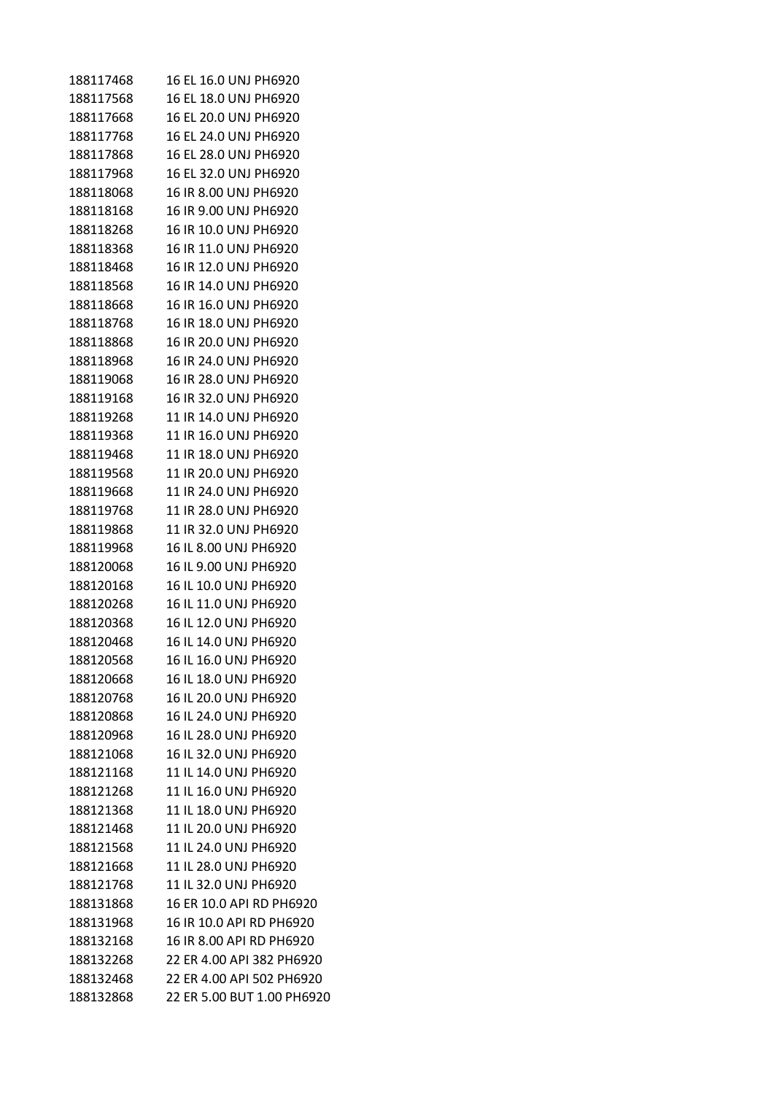| 188117468 | 16 EL 16.0 UNJ PH6920      |
|-----------|----------------------------|
| 188117568 | 16 EL 18.0 UNJ PH6920      |
| 188117668 | 16 EL 20.0 UNJ PH6920      |
| 188117768 | 16 EL 24.0 UNJ PH6920      |
| 188117868 | 16 EL 28.0 UNJ PH6920      |
| 188117968 | 16 EL 32.0 UNJ PH6920      |
| 188118068 | 16 IR 8.00 UNJ PH6920      |
| 188118168 | 16 IR 9.00 UNJ PH6920      |
| 188118268 | 16 IR 10.0 UNJ PH6920      |
| 188118368 | 16 IR 11.0 UNJ PH6920      |
| 188118468 | 16 IR 12.0 UNJ PH6920      |
| 188118568 | 16 IR 14.0 UNJ PH6920      |
| 188118668 | 16 IR 16.0 UNJ PH6920      |
| 188118768 | 16 IR 18.0 UNJ PH6920      |
| 188118868 | 16 IR 20.0 UNJ PH6920      |
| 188118968 | 16 IR 24.0 UNJ PH6920      |
| 188119068 | 16 IR 28.0 UNJ PH6920      |
| 188119168 | 16 IR 32.0 UNJ PH6920      |
| 188119268 | 11 IR 14.0 UNJ PH6920      |
| 188119368 | 11 IR 16.0 UNJ PH6920      |
| 188119468 | 11 IR 18.0 UNJ PH6920      |
| 188119568 | 11 IR 20.0 UNJ PH6920      |
| 188119668 | 11 IR 24.0 UNJ PH6920      |
| 188119768 | 11 IR 28.0 UNJ PH6920      |
| 188119868 | 11 IR 32.0 UNJ PH6920      |
| 188119968 | 16 IL 8.00 UNJ PH6920      |
| 188120068 | 16 IL 9.00 UNJ PH6920      |
| 188120168 | 16 IL 10.0 UNJ PH6920      |
| 188120268 | 16 IL 11.0 UNJ PH6920      |
| 188120368 | 16 IL 12.0 UNJ PH6920      |
| 188120468 | 16 IL 14.0 UNJ PH6920      |
| 188120568 | 16 IL 16.0 UNJ PH6920      |
| 188120668 | 16 IL 18.0 UNJ PH6920      |
| 188120768 | 16 IL 20.0 UNJ PH6920      |
| 188120868 | 16 IL 24.0 UNJ PH6920      |
| 188120968 | 16 IL 28.0 UNJ PH6920      |
| 188121068 | 16 IL 32.0 UNJ PH6920      |
| 188121168 | 11 IL 14.0 UNJ PH6920      |
| 188121268 | 11 IL 16.0 UNJ PH6920      |
| 188121368 | 11 IL 18.0 UNJ PH6920      |
| 188121468 | 11 IL 20.0 UNJ PH6920      |
| 188121568 | 11 IL 24.0 UNJ PH6920      |
| 188121668 | 11 IL 28.0 UNJ PH6920      |
| 188121768 | 11 IL 32.0 UNJ PH6920      |
| 188131868 | 16 ER 10.0 API RD PH6920   |
| 188131968 | 16 IR 10.0 API RD PH6920   |
| 188132168 | 16 IR 8.00 API RD PH6920   |
| 188132268 | 22 ER 4.00 API 382 PH6920  |
| 188132468 | 22 ER 4.00 API 502 PH6920  |
| 188132868 | 22 ER 5.00 BUT 1.00 PH6920 |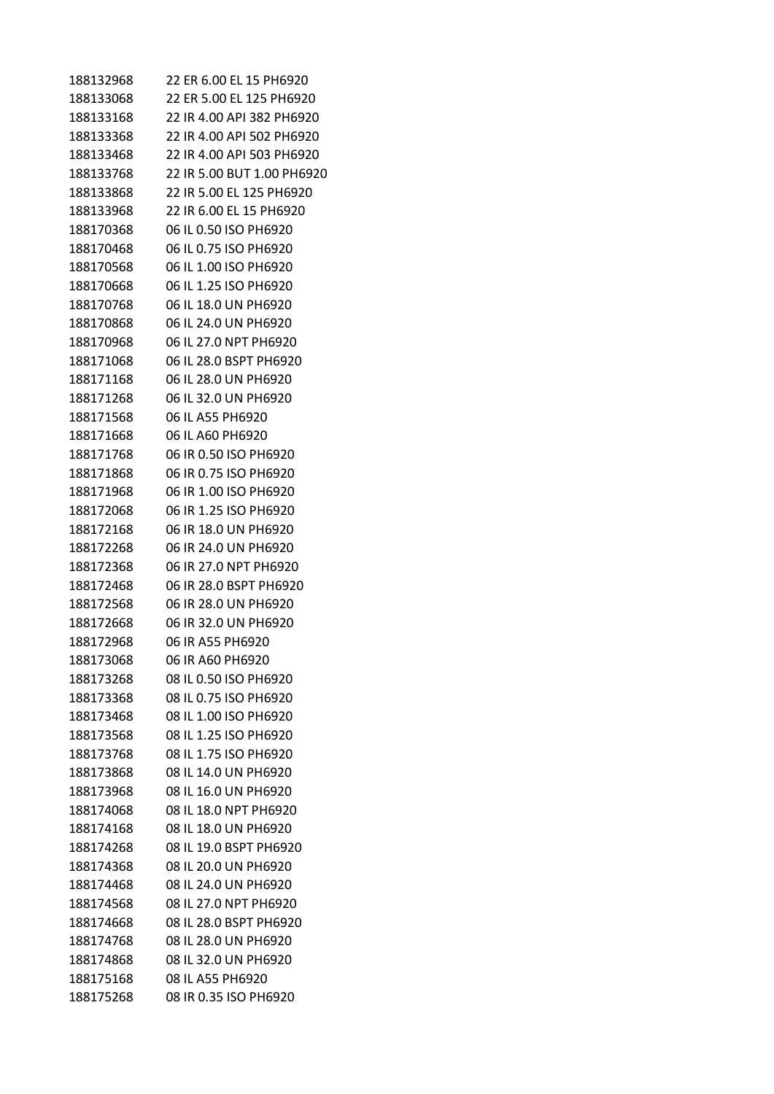| 22 ER 6.00 EL 15 PH6920<br>188132968<br>22 ER 5.00 EL 125 PH6920<br>188133068<br>188133168<br>22 IR 4.00 API 382 PH6920<br>188133368<br>22 IR 4.00 API 502 PH6920<br>188133468<br>22 IR 4.00 API 503 PH6920<br>188133768<br>22 IR 5.00 BUT 1.00 PH6920 |  |
|--------------------------------------------------------------------------------------------------------------------------------------------------------------------------------------------------------------------------------------------------------|--|
|                                                                                                                                                                                                                                                        |  |
|                                                                                                                                                                                                                                                        |  |
|                                                                                                                                                                                                                                                        |  |
|                                                                                                                                                                                                                                                        |  |
|                                                                                                                                                                                                                                                        |  |
|                                                                                                                                                                                                                                                        |  |
| 188133868<br>22 IR 5.00 EL 125 PH6920                                                                                                                                                                                                                  |  |
| 188133968<br>22 IR 6.00 EL 15 PH6920                                                                                                                                                                                                                   |  |
| 188170368<br>06 IL 0.50 ISO PH6920                                                                                                                                                                                                                     |  |
| 188170468<br>06 IL 0.75 ISO PH6920                                                                                                                                                                                                                     |  |
| 188170568<br>06 IL 1.00 ISO PH6920                                                                                                                                                                                                                     |  |
| 188170668<br>06 IL 1.25 ISO PH6920                                                                                                                                                                                                                     |  |
| 188170768<br>06 IL 18.0 UN PH6920                                                                                                                                                                                                                      |  |
| 188170868<br>06 IL 24.0 UN PH6920                                                                                                                                                                                                                      |  |
| 188170968<br>06 IL 27.0 NPT PH6920                                                                                                                                                                                                                     |  |
| 188171068<br>06 IL 28.0 BSPT PH6920                                                                                                                                                                                                                    |  |
| 188171168<br>06 IL 28.0 UN PH6920                                                                                                                                                                                                                      |  |
| 188171268<br>06 IL 32.0 UN PH6920                                                                                                                                                                                                                      |  |
| 188171568<br>06 IL A55 PH6920                                                                                                                                                                                                                          |  |
| 188171668<br>06 IL A60 PH6920                                                                                                                                                                                                                          |  |
| 188171768<br>06 IR 0.50 ISO PH6920                                                                                                                                                                                                                     |  |
|                                                                                                                                                                                                                                                        |  |
| 06 IR 0.75 ISO PH6920<br>188171868                                                                                                                                                                                                                     |  |
| 188171968<br>06 IR 1.00 ISO PH6920                                                                                                                                                                                                                     |  |
| 06 IR 1.25 ISO PH6920<br>188172068                                                                                                                                                                                                                     |  |
| 188172168<br>06 IR 18.0 UN PH6920                                                                                                                                                                                                                      |  |
| 188172268<br>06 IR 24.0 UN PH6920                                                                                                                                                                                                                      |  |
| 188172368<br>06 IR 27.0 NPT PH6920                                                                                                                                                                                                                     |  |
| 188172468<br>06 IR 28.0 BSPT PH6920                                                                                                                                                                                                                    |  |
| 188172568<br>06 IR 28.0 UN PH6920                                                                                                                                                                                                                      |  |
| 188172668<br>06 IR 32.0 UN PH6920                                                                                                                                                                                                                      |  |
| 06 IR A55 PH6920<br>188172968                                                                                                                                                                                                                          |  |
| 06 IR A60 PH6920<br>188173068                                                                                                                                                                                                                          |  |
| 188173268<br>08 IL 0.50 ISO PH6920                                                                                                                                                                                                                     |  |
| 188173368<br>08 IL 0.75 ISO PH6920                                                                                                                                                                                                                     |  |
| 08 IL 1.00 ISO PH6920<br>188173468                                                                                                                                                                                                                     |  |
| 08 IL 1.25 ISO PH6920<br>188173568                                                                                                                                                                                                                     |  |
| 188173768<br>08 IL 1.75 ISO PH6920                                                                                                                                                                                                                     |  |
| 188173868<br>08 IL 14.0 UN PH6920                                                                                                                                                                                                                      |  |
| 188173968<br>08 IL 16.0 UN PH6920                                                                                                                                                                                                                      |  |
| 08 IL 18.0 NPT PH6920<br>188174068                                                                                                                                                                                                                     |  |
| 08 IL 18.0 UN PH6920<br>188174168                                                                                                                                                                                                                      |  |
| 08 IL 19.0 BSPT PH6920<br>188174268                                                                                                                                                                                                                    |  |
| 188174368<br>08 IL 20.0 UN PH6920                                                                                                                                                                                                                      |  |
| 188174468<br>08 IL 24.0 UN PH6920                                                                                                                                                                                                                      |  |
| 08 IL 27.0 NPT PH6920<br>188174568                                                                                                                                                                                                                     |  |
| 08 IL 28.0 BSPT PH6920<br>188174668                                                                                                                                                                                                                    |  |
| 08 IL 28.0 UN PH6920<br>188174768                                                                                                                                                                                                                      |  |
| 188174868<br>08 IL 32.0 UN PH6920                                                                                                                                                                                                                      |  |
| 188175168<br>08 IL A55 PH6920                                                                                                                                                                                                                          |  |
| 188175268<br>08 IR 0.35 ISO PH6920                                                                                                                                                                                                                     |  |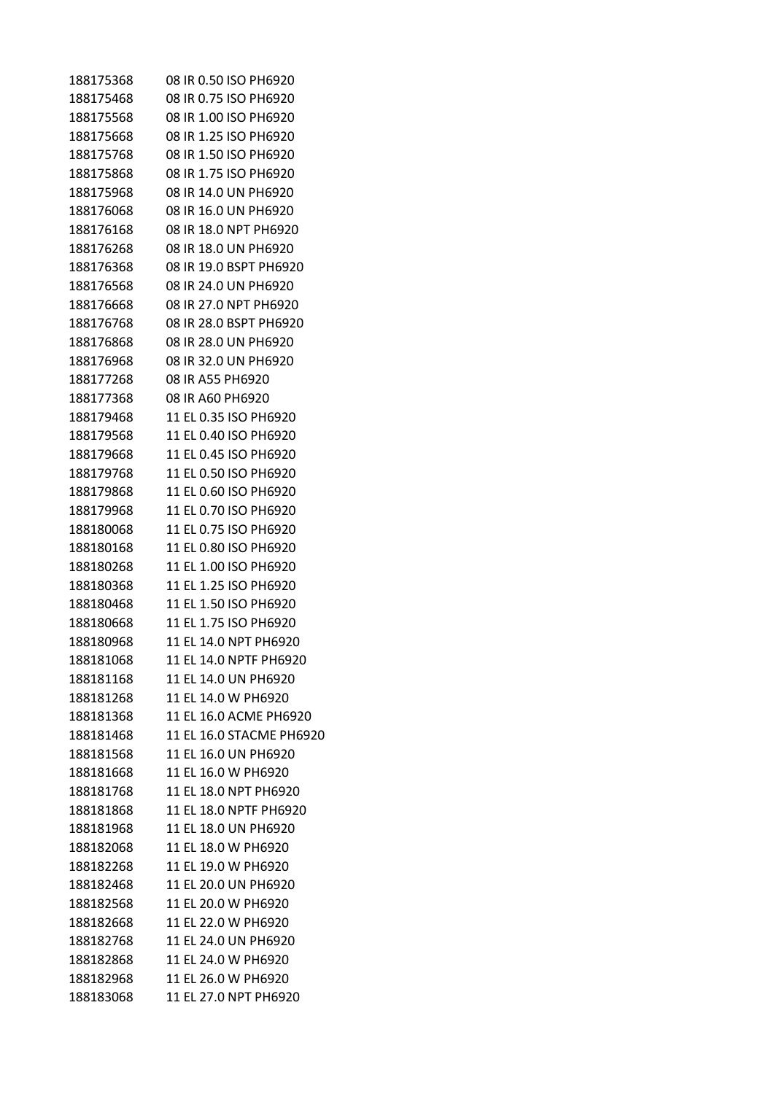| 188175368 | 08 IR 0.50 ISO PH6920    |
|-----------|--------------------------|
| 188175468 | 08 IR 0.75 ISO PH6920    |
| 188175568 | 08 IR 1.00 ISO PH6920    |
| 188175668 | 08 IR 1.25 ISO PH6920    |
| 188175768 | 08 IR 1.50 ISO PH6920    |
| 188175868 | 08 IR 1.75 ISO PH6920    |
| 188175968 | 08 IR 14.0 UN PH6920     |
| 188176068 | 08 IR 16.0 UN PH6920     |
| 188176168 | 08 IR 18.0 NPT PH6920    |
| 188176268 | 08 IR 18.0 UN PH6920     |
| 188176368 | 08 IR 19.0 BSPT PH6920   |
| 188176568 | 08 IR 24.0 UN PH6920     |
| 188176668 | 08 IR 27.0 NPT PH6920    |
| 188176768 | 08 IR 28.0 BSPT PH6920   |
| 188176868 | 08 IR 28.0 UN PH6920     |
| 188176968 | 08 IR 32.0 UN PH6920     |
| 188177268 | 08 IR A55 PH6920         |
| 188177368 | 08 IR A60 PH6920         |
| 188179468 | 11 EL 0.35 ISO PH6920    |
| 188179568 | 11 EL 0.40 ISO PH6920    |
| 188179668 | 11 EL 0.45 ISO PH6920    |
| 188179768 | 11 EL 0.50 ISO PH6920    |
| 188179868 | 11 EL 0.60 ISO PH6920    |
| 188179968 | 11 EL 0.70 ISO PH6920    |
| 188180068 | 11 EL 0.75 ISO PH6920    |
| 188180168 | 11 EL 0.80 ISO PH6920    |
| 188180268 | 11 EL 1.00 ISO PH6920    |
| 188180368 | 11 EL 1.25 ISO PH6920    |
| 188180468 | 11 EL 1.50 ISO PH6920    |
| 188180668 | 11 EL 1.75 ISO PH6920    |
| 188180968 | 11 EL 14.0 NPT PH6920    |
| 188181068 | 11 EL 14.0 NPTF PH6920   |
| 188181168 | 11 EL 14.0 UN PH6920     |
| 188181268 | 11 EL 14.0 W PH6920      |
| 188181368 | 11 EL 16.0 ACME PH6920   |
| 188181468 | 11 EL 16.0 STACME PH6920 |
| 188181568 | 11 EL 16.0 UN PH6920     |
| 188181668 | 11 EL 16.0 W PH6920      |
| 188181768 | 11 EL 18.0 NPT PH6920    |
| 188181868 | 11 EL 18.0 NPTF PH6920   |
| 188181968 | 11 EL 18.0 UN PH6920     |
| 188182068 | 11 EL 18.0 W PH6920      |
| 188182268 | 11 EL 19.0 W PH6920      |
| 188182468 | 11 EL 20.0 UN PH6920     |
| 188182568 | 11 EL 20.0 W PH6920      |
| 188182668 | 11 EL 22.0 W PH6920      |
| 188182768 | 11 EL 24.0 UN PH6920     |
| 188182868 | 11 EL 24.0 W PH6920      |
| 188182968 | 11 EL 26.0 W PH6920      |
| 188183068 | 11 EL 27.0 NPT PH6920    |
|           |                          |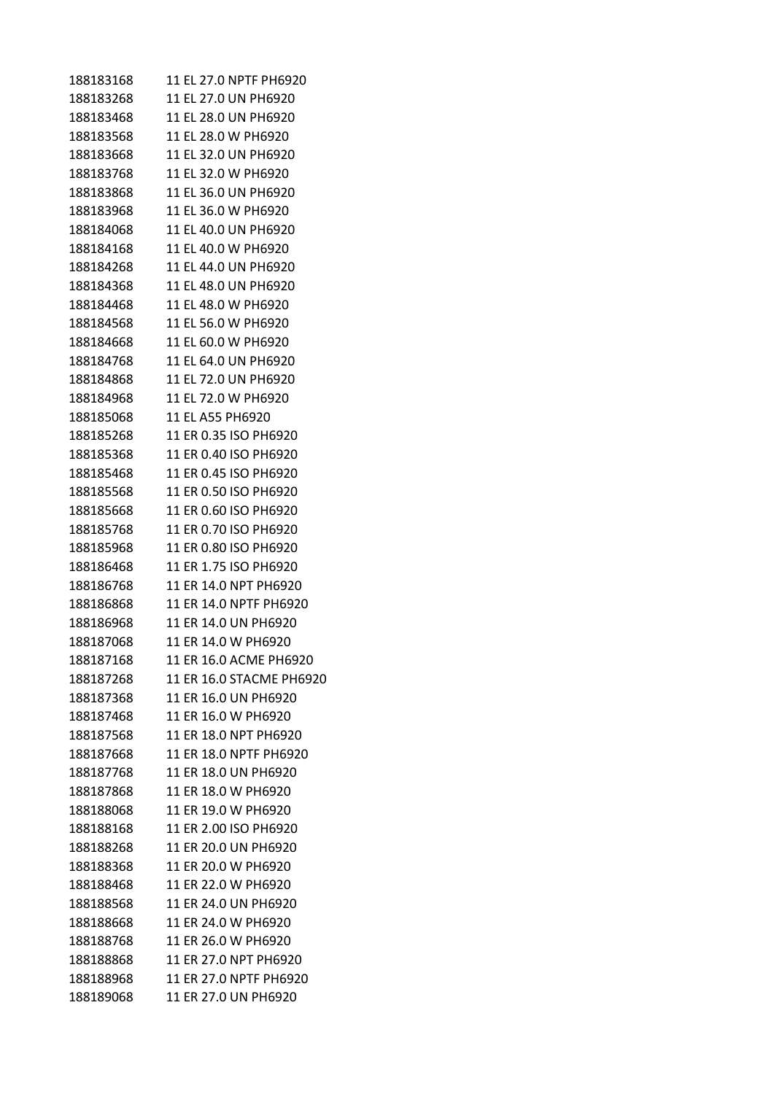| 188183168 | 11 EL 27.0 NPTF PH6920   |
|-----------|--------------------------|
| 188183268 | 11 EL 27.0 UN PH6920     |
| 188183468 | 11 EL 28.0 UN PH6920     |
| 188183568 | 11 EL 28.0 W PH6920      |
| 188183668 | 11 EL 32.0 UN PH6920     |
| 188183768 | 11 EL 32.0 W PH6920      |
| 188183868 | 11 EL 36.0 UN PH6920     |
| 188183968 | 11 EL 36.0 W PH6920      |
| 188184068 | 11 EL 40.0 UN PH6920     |
| 188184168 | 11 EL 40.0 W PH6920      |
| 188184268 | 11 EL 44.0 UN PH6920     |
| 188184368 | 11 EL 48.0 UN PH6920     |
| 188184468 | 11 EL 48.0 W PH6920      |
| 188184568 | 11 EL 56.0 W PH6920      |
| 188184668 | 11 EL 60.0 W PH6920      |
| 188184768 | 11 EL 64.0 UN PH6920     |
| 188184868 | 11 EL 72.0 UN PH6920     |
| 188184968 | 11 EL 72.0 W PH6920      |
| 188185068 | 11 EL A55 PH6920         |
| 188185268 | 11 ER 0.35 ISO PH6920    |
| 188185368 | 11 ER 0.40 ISO PH6920    |
| 188185468 | 11 ER 0.45 ISO PH6920    |
| 188185568 | 11 ER 0.50 ISO PH6920    |
| 188185668 | 11 ER 0.60 ISO PH6920    |
| 188185768 | 11 ER 0.70 ISO PH6920    |
| 188185968 | 11 ER 0.80 ISO PH6920    |
| 188186468 | 11 ER 1.75 ISO PH6920    |
| 188186768 | 11 ER 14.0 NPT PH6920    |
| 188186868 | 11 ER 14.0 NPTF PH6920   |
| 188186968 | 11 ER 14.0 UN PH6920     |
| 188187068 | 11 ER 14.0 W PH6920      |
| 188187168 | 11 ER 16.0 ACME PH6920   |
| 188187268 | 11 ER 16.0 STACME PH6920 |
| 188187368 | 11 ER 16.0 UN PH6920     |
| 188187468 | 11 ER 16.0 W PH6920      |
| 188187568 | 11 ER 18.0 NPT PH6920    |
| 188187668 | 11 ER 18.0 NPTF PH6920   |
| 188187768 | 11 ER 18.0 UN PH6920     |
| 188187868 | 11 ER 18.0 W PH6920      |
| 188188068 | 11 ER 19.0 W PH6920      |
| 188188168 | 11 ER 2.00 ISO PH6920    |
| 188188268 | 11 ER 20.0 UN PH6920     |
| 188188368 | 11 ER 20.0 W PH6920      |
| 188188468 | 11 ER 22.0 W PH6920      |
| 188188568 | 11 ER 24.0 UN PH6920     |
| 188188668 | 11 ER 24.0 W PH6920      |
| 188188768 | 11 ER 26.0 W PH6920      |
| 188188868 | 11 ER 27.0 NPT PH6920    |
| 188188968 | 11 ER 27.0 NPTF PH6920   |
| 188189068 | 11 ER 27.0 UN PH6920     |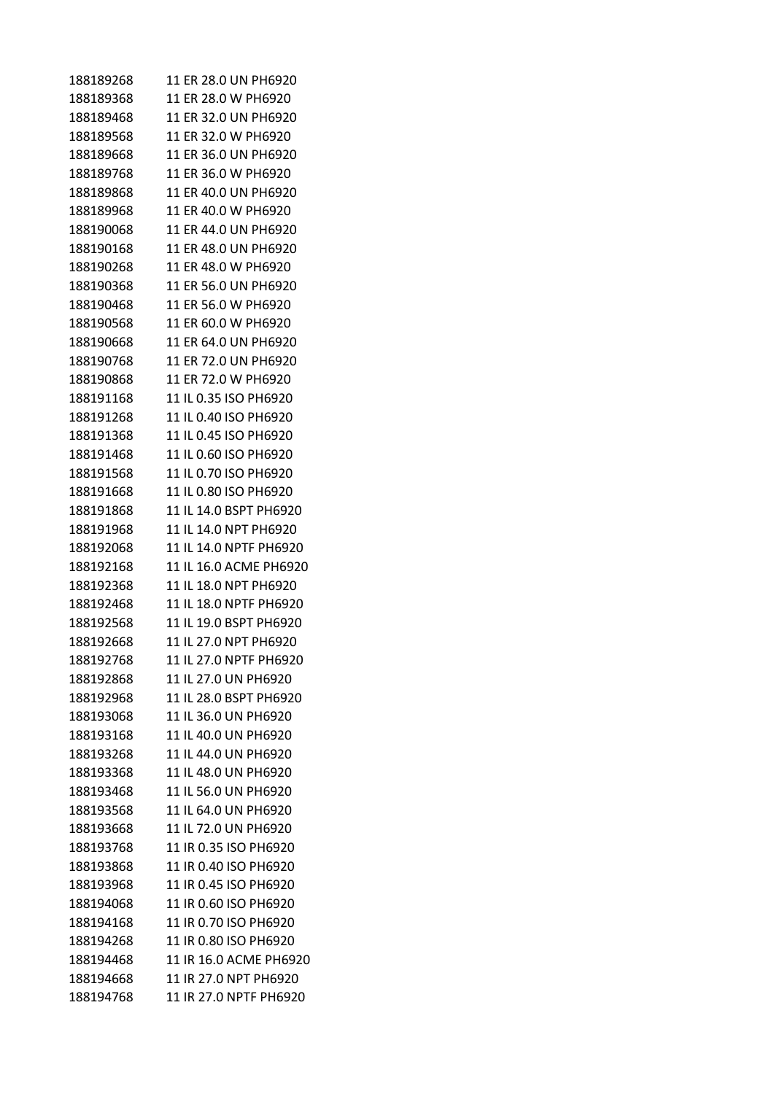| 188189268 | 11 ER 28.0 UN PH6920   |
|-----------|------------------------|
| 188189368 | 11 ER 28.0 W PH6920    |
| 188189468 | 11 ER 32.0 UN PH6920   |
| 188189568 | 11 ER 32.0 W PH6920    |
| 188189668 | 11 ER 36.0 UN PH6920   |
| 188189768 | 11 ER 36.0 W PH6920    |
| 188189868 | 11 ER 40.0 UN PH6920   |
| 188189968 | 11 ER 40.0 W PH6920    |
| 188190068 | 11 ER 44.0 UN PH6920   |
| 188190168 | 11 ER 48.0 UN PH6920   |
| 188190268 | 11 ER 48.0 W PH6920    |
| 188190368 | 11 ER 56.0 UN PH6920   |
| 188190468 | 11 ER 56.0 W PH6920    |
| 188190568 | 11 FR 60.0 W PH6920    |
| 188190668 | 11 ER 64.0 UN PH6920   |
| 188190768 | 11 FR 72.0 UN PH6920   |
| 188190868 | 11 ER 72.0 W PH6920    |
| 188191168 | 11 IL 0.35 ISO PH6920  |
| 188191268 | 11 IL 0.40 ISO PH6920  |
| 188191368 | 11 IL 0.45 ISO PH6920  |
| 188191468 | 11 IL 0.60 ISO PH6920  |
| 188191568 | 11 IL 0.70 ISO PH6920  |
| 188191668 | 11 IL 0.80 ISO PH6920  |
| 188191868 | 11 IL 14.0 BSPT PH6920 |
| 188191968 | 11 IL 14.0 NPT PH6920  |
| 188192068 | 11 IL 14.0 NPTF PH6920 |
| 188192168 | 11 IL 16.0 ACME PH6920 |
| 188192368 | 11 IL 18.0 NPT PH6920  |
| 188192468 | 11 IL 18.0 NPTF PH6920 |
| 188192568 | 11 IL 19.0 BSPT PH6920 |
| 188192668 | 11 IL 27.0 NPT PH6920  |
| 188192768 | 11 IL 27.0 NPTF PH6920 |
| 188192868 | 11 IL 27.0 UN PH6920   |
| 188192968 | 11 IL 28.0 BSPT PH6920 |
| 188193068 | 11 IL 36.0 UN PH6920   |
| 188193168 | 11 IL 40.0 UN PH6920   |
| 188193268 | 11 IL 44.0 UN PH6920   |
| 188193368 | 11 IL 48.0 UN PH6920   |
| 188193468 | 11 IL 56.0 UN PH6920   |
| 188193568 | 11 IL 64.0 UN PH6920   |
| 188193668 | 11 IL 72.0 UN PH6920   |
| 188193768 | 11 IR 0.35 ISO PH6920  |
| 188193868 | 11 IR 0.40 ISO PH6920  |
| 188193968 | 11 IR 0.45 ISO PH6920  |
| 188194068 | 11 IR 0.60 ISO PH6920  |
| 188194168 | 11 IR 0.70 ISO PH6920  |
| 188194268 | 11 IR 0.80 ISO PH6920  |
| 188194468 | 11 IR 16.0 ACME PH6920 |
| 188194668 | 11 IR 27.0 NPT PH6920  |
| 188194768 | 11 IR 27.0 NPTF PH6920 |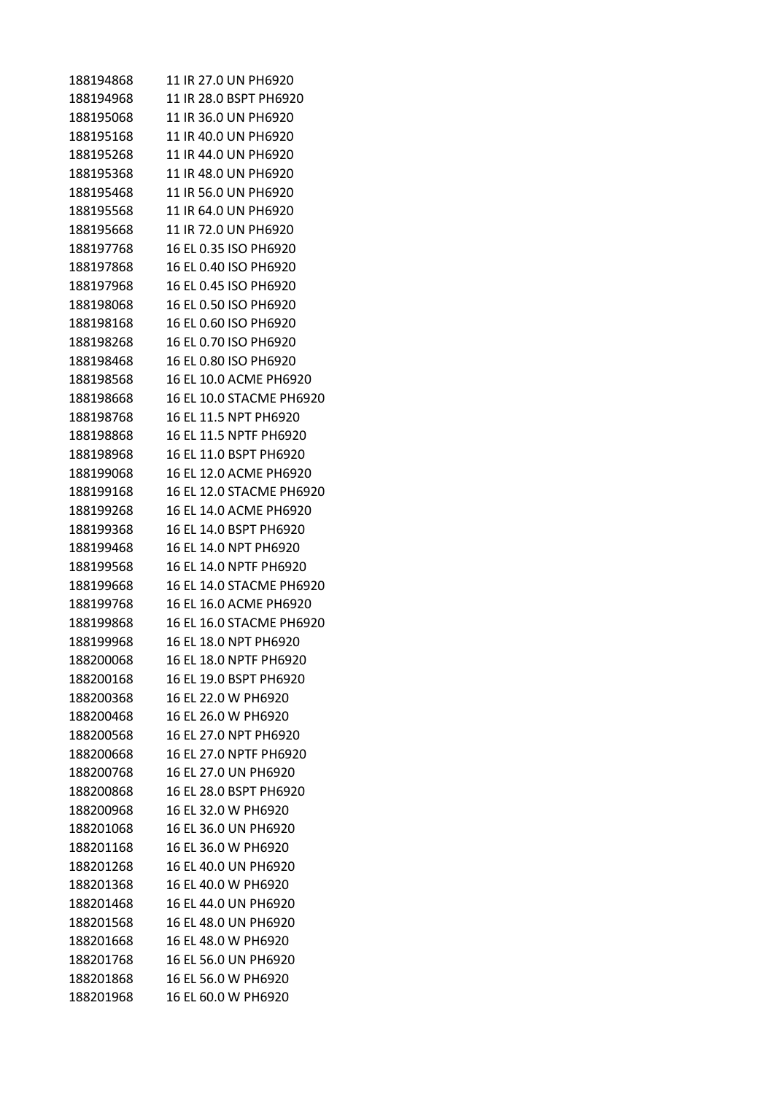| 188194868 | 11 IR 27.0 UN PH6920     |
|-----------|--------------------------|
| 188194968 | 11 IR 28.0 BSPT PH6920   |
| 188195068 | 11 IR 36.0 UN PH6920     |
| 188195168 | 11 IR 40.0 UN PH6920     |
| 188195268 | 11 IR 44.0 UN PH6920     |
| 188195368 | 11 IR 48.0 UN PH6920     |
| 188195468 | 11 IR 56.0 UN PH6920     |
| 188195568 | 11 IR 64.0 UN PH6920     |
| 188195668 | 11 IR 72.0 UN PH6920     |
| 188197768 | 16 EL 0.35 ISO PH6920    |
| 188197868 | 16 EL 0.40 ISO PH6920    |
| 188197968 | 16 EL 0.45 ISO PH6920    |
| 188198068 | 16 EL 0.50 ISO PH6920    |
| 188198168 | 16 EL 0.60 ISO PH6920    |
| 188198268 | 16 EL 0.70 ISO PH6920    |
| 188198468 | 16 EL 0.80 ISO PH6920    |
| 188198568 | 16 EL 10.0 ACME PH6920   |
| 188198668 | 16 EL 10.0 STACME PH6920 |
| 188198768 | 16 EL 11.5 NPT PH6920    |
| 188198868 | 16 EL 11.5 NPTF PH6920   |
| 188198968 | 16 EL 11.0 BSPT PH6920   |
| 188199068 | 16 EL 12.0 ACME PH6920   |
| 188199168 | 16 EL 12.0 STACME PH6920 |
| 188199268 | 16 EL 14.0 ACME PH6920   |
| 188199368 | 16 EL 14.0 BSPT PH6920   |
| 188199468 | 16 EL 14.0 NPT PH6920    |
| 188199568 | 16 EL 14.0 NPTF PH6920   |
| 188199668 | 16 EL 14.0 STACME PH6920 |
| 188199768 | 16 EL 16.0 ACME PH6920   |
| 188199868 | 16 EL 16.0 STACME PH6920 |
| 188199968 | 16 EL 18.0 NPT PH6920    |
| 188200068 | 16 EL 18.0 NPTF PH6920   |
| 188200168 | 16 EL 19.0 BSPT PH6920   |
| 188200368 | 16 EL 22.0 W PH6920      |
| 188200468 | 16 EL 26.0 W PH6920      |
| 188200568 | 16 EL 27.0 NPT PH6920    |
| 188200668 | 16 EL 27.0 NPTF PH6920   |
| 188200768 | 16 EL 27.0 UN PH6920     |
| 188200868 | 16 EL 28.0 BSPT PH6920   |
| 188200968 | 16 EL 32.0 W PH6920      |
| 188201068 | 16 EL 36.0 UN PH6920     |
| 188201168 | 16 EL 36.0 W PH6920      |
| 188201268 | 16 EL 40.0 UN PH6920     |
| 188201368 | 16 EL 40.0 W PH6920      |
| 188201468 | 16 EL 44.0 UN PH6920     |
| 188201568 | 16 EL 48.0 UN PH6920     |
| 188201668 | 16 EL 48.0 W PH6920      |
| 188201768 | 16 EL 56.0 UN PH6920     |
| 188201868 | 16 EL 56.0 W PH6920      |
| 188201968 | 16 EL 60.0 W PH6920      |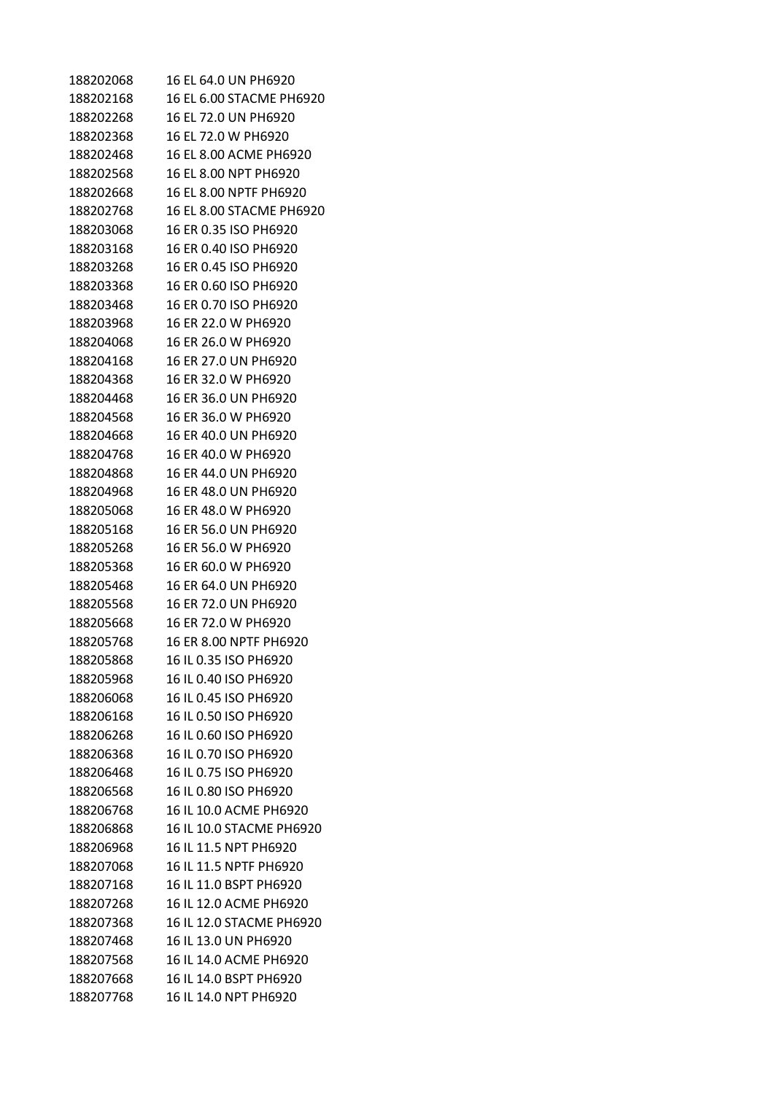| 188202068 | 16 EL 64.0 UN PH6920     |
|-----------|--------------------------|
| 188202168 | 16 EL 6.00 STACME PH6920 |
| 188202268 | 16 EL 72.0 UN PH6920     |
| 188202368 | 16 EL 72.0 W PH6920      |
| 188202468 | 16 EL 8.00 ACME PH6920   |
| 188202568 | 16 EL 8.00 NPT PH6920    |
| 188202668 | 16 EL 8.00 NPTF PH6920   |
| 188202768 | 16 EL 8.00 STACME PH6920 |
| 188203068 | 16 ER 0.35 ISO PH6920    |
| 188203168 | 16 ER 0.40 ISO PH6920    |
| 188203268 | 16 ER 0.45 ISO PH6920    |
| 188203368 | 16 ER 0.60 ISO PH6920    |
| 188203468 | 16 ER 0.70 ISO PH6920    |
| 188203968 | 16 ER 22.0 W PH6920      |
| 188204068 | 16 ER 26.0 W PH6920      |
| 188204168 | 16 ER 27.0 UN PH6920     |
| 188204368 | 16 ER 32.0 W PH6920      |
| 188204468 | 16 ER 36.0 UN PH6920     |
| 188204568 | 16 ER 36.0 W PH6920      |
| 188204668 | 16 ER 40.0 UN PH6920     |
| 188204768 | 16 ER 40.0 W PH6920      |
| 188204868 | 16 ER 44.0 UN PH6920     |
| 188204968 | 16 ER 48.0 UN PH6920     |
| 188205068 | 16 ER 48.0 W PH6920      |
| 188205168 | 16 ER 56.0 UN PH6920     |
| 188205268 | 16 ER 56.0 W PH6920      |
| 188205368 | 16 ER 60.0 W PH6920      |
| 188205468 | 16 ER 64.0 UN PH6920     |
| 188205568 | 16 ER 72.0 UN PH6920     |
| 188205668 | 16 ER 72.0 W PH6920      |
| 188205768 | 16 ER 8.00 NPTF PH6920   |
| 188205868 | 16 IL 0.35 ISO PH6920    |
| 188205968 | 16 IL 0.40 ISO PH6920    |
| 188206068 | 16 IL 0.45 ISO PH6920    |
| 188206168 | 16 IL 0.50 ISO PH6920    |
| 188206268 | 16 IL 0.60 ISO PH6920    |
| 188206368 | 16 IL 0.70 ISO PH6920    |
| 188206468 | 16 IL 0.75 ISO PH6920    |
| 188206568 | 16 IL 0.80 ISO PH6920    |
| 188206768 | 16 IL 10.0 ACME PH6920   |
| 188206868 | 16 IL 10.0 STACME PH6920 |
| 188206968 | 16 IL 11.5 NPT PH6920    |
| 188207068 | 16 IL 11.5 NPTF PH6920   |
| 188207168 | 16 IL 11.0 BSPT PH6920   |
| 188207268 | 16 IL 12.0 ACME PH6920   |
| 188207368 | 16 IL 12.0 STACME PH6920 |
| 188207468 | 16 IL 13.0 UN PH6920     |
| 188207568 | 16 IL 14.0 ACME PH6920   |
| 188207668 | 16 IL 14.0 BSPT PH6920   |
| 188207768 | 16 IL 14.0 NPT PH6920    |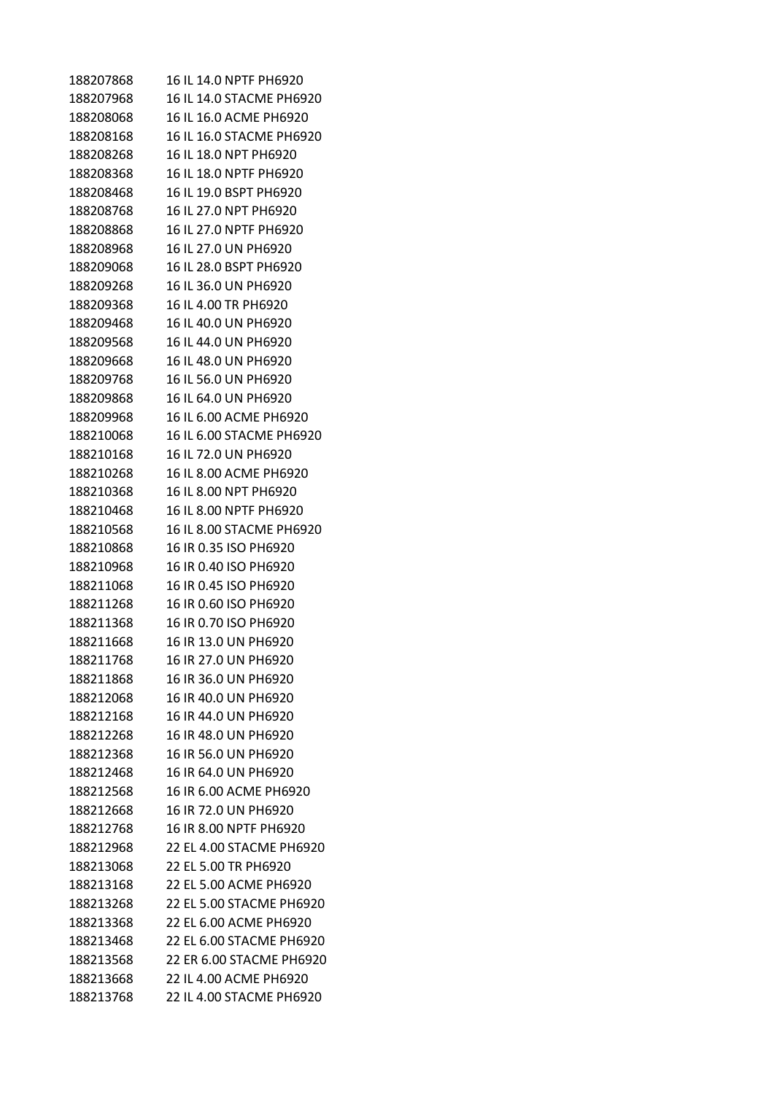| 188207868 | 16 IL 14.0 NPTF PH6920   |
|-----------|--------------------------|
| 188207968 | 16 IL 14.0 STACME PH6920 |
| 188208068 | 16 IL 16.0 ACME PH6920   |
| 188208168 | 16 IL 16.0 STACME PH6920 |
| 188208268 | 16 IL 18.0 NPT PH6920    |
| 188208368 | 16 IL 18.0 NPTF PH6920   |
| 188208468 | 16 IL 19.0 BSPT PH6920   |
| 188208768 | 16 IL 27.0 NPT PH6920    |
| 188208868 | 16 IL 27.0 NPTF PH6920   |
| 188208968 | 16 IL 27.0 UN PH6920     |
| 188209068 | 16 IL 28.0 BSPT PH6920   |
| 188209268 | 16 IL 36.0 UN PH6920     |
| 188209368 | 16 IL 4.00 TR PH6920     |
| 188209468 | 16 IL 40.0 UN PH6920     |
| 188209568 | 16 IL 44.0 UN PH6920     |
| 188209668 | 16 IL 48.0 UN PH6920     |
| 188209768 | 16 IL 56.0 UN PH6920     |
| 188209868 | 16 IL 64.0 UN PH6920     |
| 188209968 | 16 IL 6.00 ACME PH6920   |
| 188210068 | 16 IL 6.00 STACME PH6920 |
| 188210168 | 16 IL 72.0 UN PH6920     |
| 188210268 | 16 IL 8.00 ACME PH6920   |
| 188210368 | 16 IL 8.00 NPT PH6920    |
| 188210468 | 16 IL 8.00 NPTF PH6920   |
| 188210568 | 16 IL 8.00 STACME PH6920 |
| 188210868 | 16 IR 0.35 ISO PH6920    |
| 188210968 | 16 IR 0.40 ISO PH6920    |
| 188211068 | 16 IR 0.45 ISO PH6920    |
| 188211268 | 16 IR 0.60 ISO PH6920    |
| 188211368 | 16 IR 0.70 ISO PH6920    |
| 188211668 | 16 IR 13.0 UN PH6920     |
| 188211768 | 16 IR 27.0 UN PH6920     |
| 188211868 | 16 IR 36.0 UN PH6920     |
| 188212068 | 16 IR 40.0 UN PH6920     |
| 188212168 | 16 IR 44.0 UN PH6920     |
| 188212268 | 16 IR 48.0 UN PH6920     |
| 188212368 | 16 IR 56.0 UN PH6920     |
| 188212468 | 16 IR 64.0 UN PH6920     |
| 188212568 | 16 IR 6.00 ACME PH6920   |
| 188212668 | 16 IR 72.0 UN PH6920     |
| 188212768 | 16 IR 8.00 NPTF PH6920   |
| 188212968 | 22 EL 4.00 STACME PH6920 |
| 188213068 | 22 EL 5.00 TR PH6920     |
| 188213168 | 22 EL 5.00 ACME PH6920   |
| 188213268 | 22 EL 5.00 STACME PH6920 |
| 188213368 | 22 EL 6.00 ACME PH6920   |
| 188213468 | 22 EL 6.00 STACME PH6920 |
| 188213568 | 22 ER 6.00 STACME PH6920 |
| 188213668 | 22 IL 4.00 ACME PH6920   |
| 188213768 | 22 IL 4.00 STACME PH6920 |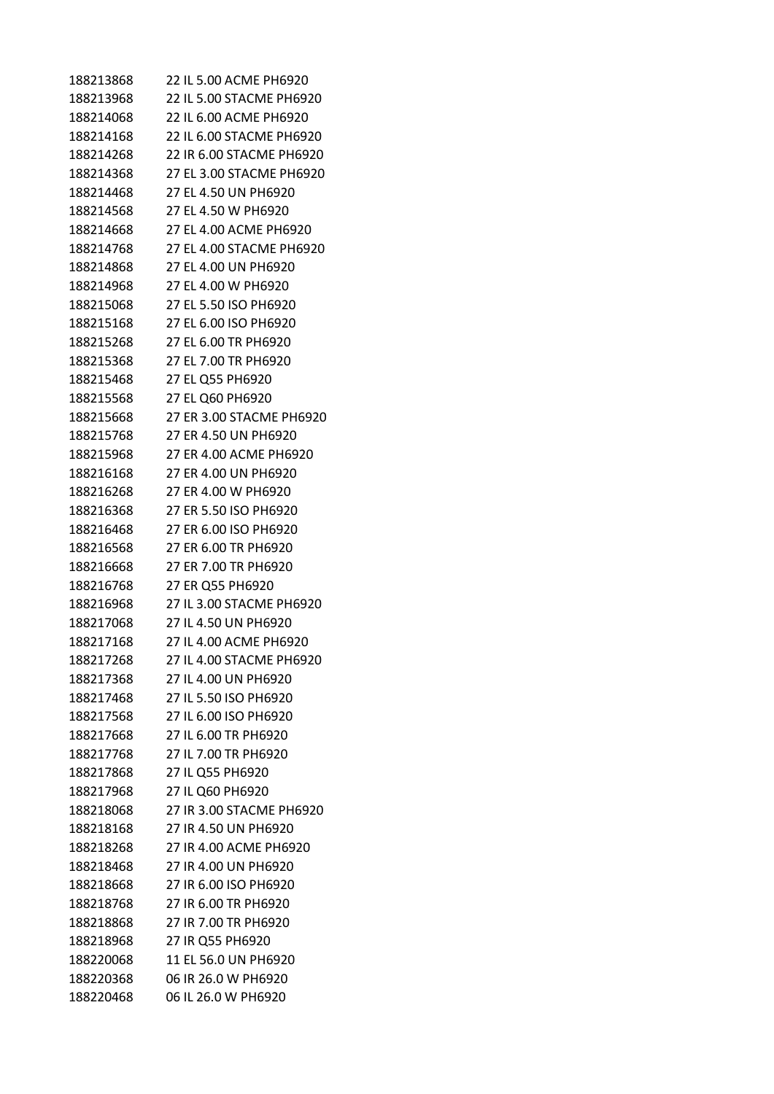| 188213868 | 22 IL 5.00 ACME PH6920   |
|-----------|--------------------------|
| 188213968 | 22 IL 5.00 STACME PH6920 |
| 188214068 | 22 IL 6.00 ACME PH6920   |
| 188214168 | 22 IL 6.00 STACME PH6920 |
| 188214268 | 22 IR 6.00 STACME PH6920 |
| 188214368 | 27 EL 3.00 STACME PH6920 |
| 188214468 | 27 EL 4.50 UN PH6920     |
| 188214568 | 27 EL 4.50 W PH6920      |
| 188214668 | 27 EL 4.00 ACME PH6920   |
| 188214768 | 27 EL 4.00 STACME PH6920 |
| 188214868 | 27 EL 4.00 UN PH6920     |
| 188214968 | 27 EL 4.00 W PH6920      |
| 188215068 | 27 EL 5.50 ISO PH6920    |
| 188215168 | 27 EL 6.00 ISO PH6920    |
| 188215268 | 27 EL 6.00 TR PH6920     |
| 188215368 | 27 EL 7.00 TR PH6920     |
| 188215468 | 27 EL Q55 PH6920         |
| 188215568 | 27 EL Q60 PH6920         |
| 188215668 | 27 ER 3.00 STACME PH6920 |
| 188215768 | 27 ER 4.50 UN PH6920     |
| 188215968 | 27 ER 4.00 ACME PH6920   |
| 188216168 | 27 ER 4.00 UN PH6920     |
| 188216268 | 27 ER 4.00 W PH6920      |
| 188216368 | 27 ER 5.50 ISO PH6920    |
| 188216468 | 27 ER 6.00 ISO PH6920    |
| 188216568 | 27 ER 6.00 TR PH6920     |
| 188216668 | 27 ER 7.00 TR PH6920     |
| 188216768 | 27 ER Q55 PH6920         |
| 188216968 | 27 IL 3.00 STACME PH6920 |
| 188217068 | 27 IL 4.50 UN PH6920     |
| 188217168 | 27 IL 4.00 ACME PH6920   |
| 188217268 | 27 IL 4.00 STACME PH6920 |
| 188217368 | 27 IL 4.00 UN PH6920     |
| 188217468 | 27 IL 5.50 ISO PH6920    |
| 188217568 | 27 IL 6.00 ISO PH6920    |
| 188217668 | 27 IL 6.00 TR PH6920     |
| 188217768 | 27 IL 7.00 TR PH6920     |
| 188217868 | 27 IL Q55 PH6920         |
| 188217968 | 27 IL Q60 PH6920         |
| 188218068 | 27 IR 3.00 STACME PH6920 |
| 188218168 | 27 IR 4.50 UN PH6920     |
| 188218268 | 27 IR 4.00 ACME PH6920   |
| 188218468 | 27 IR 4.00 UN PH6920     |
|           |                          |
| 188218668 | 27 IR 6.00 ISO PH6920    |
| 188218768 | 27 IR 6.00 TR PH6920     |
| 188218868 | 27 IR 7.00 TR PH6920     |
| 188218968 | 27 IR Q55 PH6920         |
| 188220068 | 11 EL 56.0 UN PH6920     |
| 188220368 | 06 IR 26.0 W PH6920      |
| 188220468 | 06 IL 26.0 W PH6920      |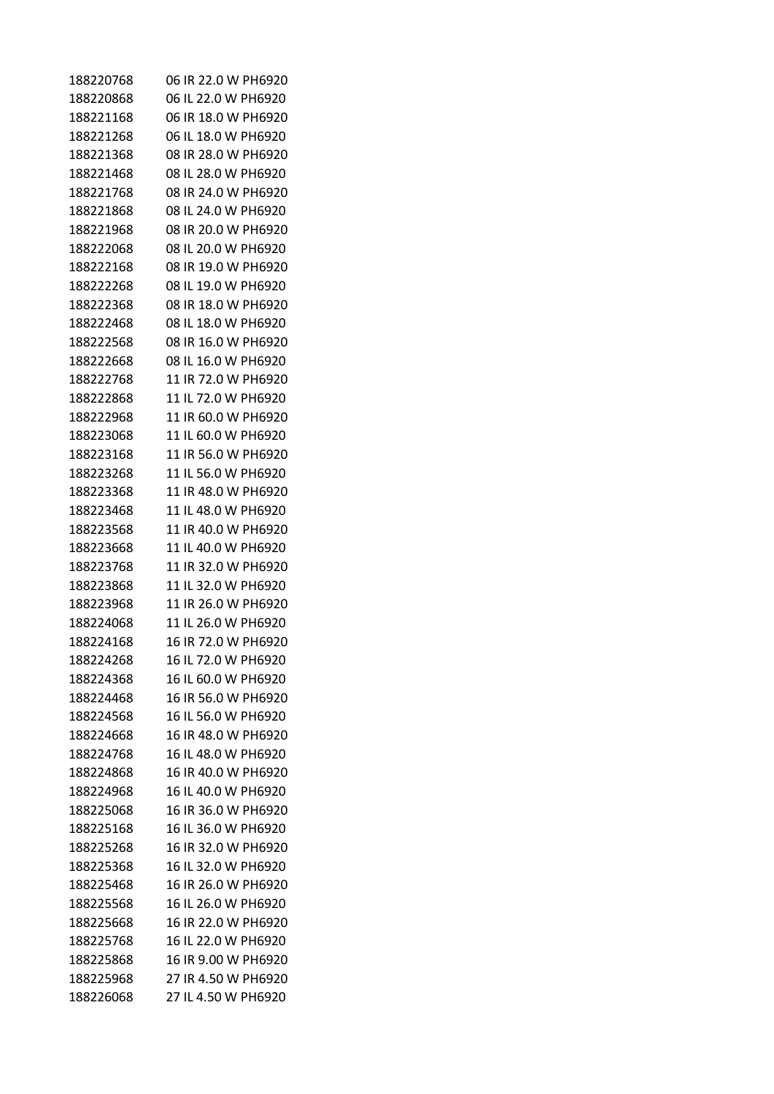| 188220768 | 06 IR 22.0 W PH6920 |
|-----------|---------------------|
| 188220868 | 06 IL 22.0 W PH6920 |
| 188221168 | 06 IR 18.0 W PH6920 |
| 188221268 | 06 IL 18.0 W PH6920 |
| 188221368 | 08 IR 28.0 W PH6920 |
| 188221468 | 08 IL 28.0 W PH6920 |
| 188221768 | 08 IR 24.0 W PH6920 |
| 188221868 | 08 IL 24.0 W PH6920 |
| 188221968 | 08 IR 20.0 W PH6920 |
| 188222068 | 08 IL 20.0 W PH6920 |
| 188222168 | 08 IR 19.0 W PH6920 |
| 188222268 | 08 IL 19.0 W PH6920 |
| 188222368 | 08 IR 18.0 W PH6920 |
| 188222468 | 08 IL 18.0 W PH6920 |
| 188222568 | 08 IR 16.0 W PH6920 |
| 188222668 | 08 IL 16.0 W PH6920 |
| 188222768 | 11 IR 72.0 W PH6920 |
| 188222868 | 11 IL 72.0 W PH6920 |
| 188222968 | 11 IR 60.0 W PH6920 |
| 188223068 | 11 IL 60.0 W PH6920 |
| 188223168 | 11 IR 56.0 W PH6920 |
| 188223268 | 11 IL 56.0 W PH6920 |
| 188223368 | 11 IR 48.0 W PH6920 |
| 188223468 | 11 IL 48.0 W PH6920 |
| 188223568 | 11 IR 40.0 W PH6920 |
| 188223668 | 11 IL 40.0 W PH6920 |
| 188223768 | 11 IR 32.0 W PH6920 |
| 188223868 | 11 IL 32.0 W PH6920 |
| 188223968 | 11 IR 26.0 W PH6920 |
| 188224068 | 11 IL 26.0 W PH6920 |
| 188224168 | 16 IR 72.0 W PH6920 |
| 188224268 | 16 IL 72.0 W PH6920 |
| 188224368 | 16 IL 60.0 W PH6920 |
| 188224468 | 16 IR 56.0 W PH6920 |
| 188224568 | 16 IL 56.0 W PH6920 |
| 188224668 | 16 IR 48.0 W PH6920 |
| 188224768 | 16 IL 48.0 W PH6920 |
| 188224868 | 16 IR 40.0 W PH6920 |
| 188224968 | 16 IL 40.0 W PH6920 |
| 188225068 | 16 IR 36.0 W PH6920 |
| 188225168 | 16 IL 36.0 W PH6920 |
| 188225268 | 16 IR 32.0 W PH6920 |
| 188225368 | 16 IL 32.0 W PH6920 |
| 188225468 | 16 IR 26.0 W PH6920 |
| 188225568 | 16 IL 26.0 W PH6920 |
| 188225668 | 16 IR 22.0 W PH6920 |
| 188225768 | 16 IL 22.0 W PH6920 |
| 188225868 | 16 IR 9.00 W PH6920 |
| 188225968 | 27 IR 4.50 W PH6920 |
| 188226068 | 27 IL 4.50 W PH6920 |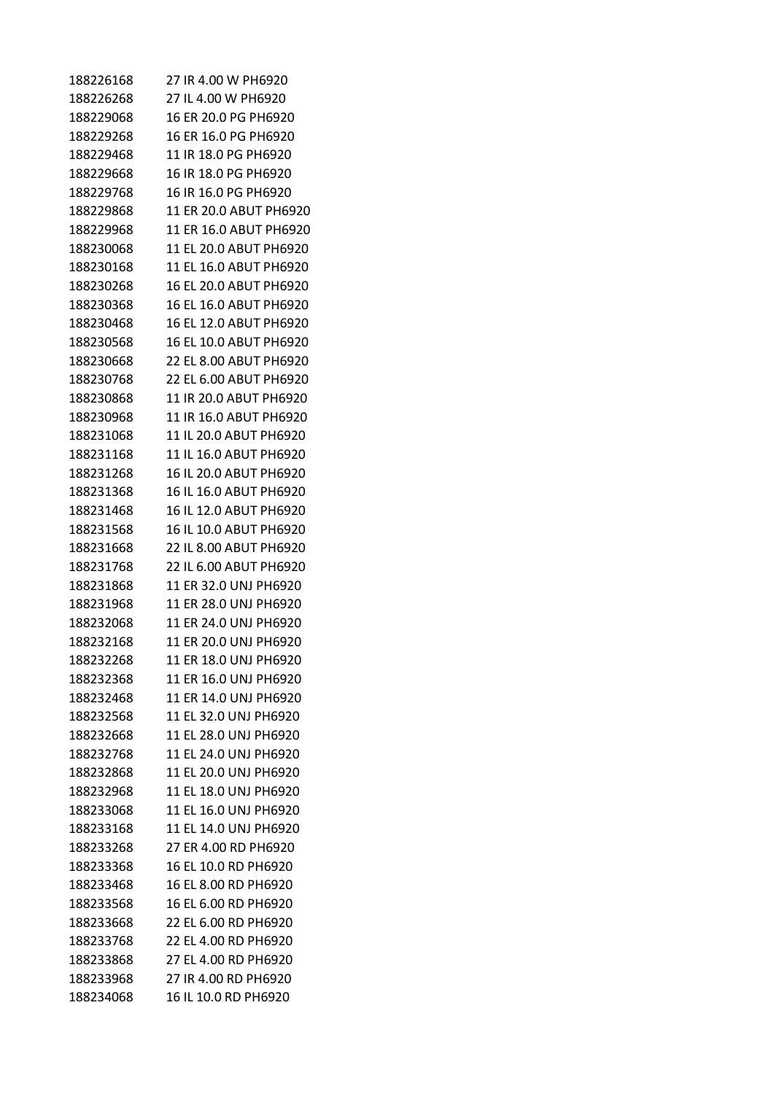| 188226168 | 27 IR 4.00 W PH6920    |
|-----------|------------------------|
| 188226268 | 27 IL 4.00 W PH6920    |
| 188229068 | 16 ER 20.0 PG PH6920   |
| 188229268 | 16 ER 16.0 PG PH6920   |
| 188229468 | 11 IR 18.0 PG PH6920   |
| 188229668 | 16 IR 18.0 PG PH6920   |
| 188229768 | 16 IR 16.0 PG PH6920   |
| 188229868 | 11 ER 20.0 ABUT PH6920 |
| 188229968 | 11 ER 16.0 ABUT PH6920 |
| 188230068 | 11 EL 20.0 ABUT PH6920 |
| 188230168 | 11 EL 16.0 ABUT PH6920 |
| 188230268 | 16 EL 20.0 ABUT PH6920 |
| 188230368 | 16 EL 16.0 ABUT PH6920 |
| 188230468 | 16 EL 12.0 ABUT PH6920 |
| 188230568 | 16 EL 10.0 ABUT PH6920 |
| 188230668 | 22 EL 8.00 ABUT PH6920 |
| 188230768 | 22 EL 6.00 ABUT PH6920 |
| 188230868 | 11 IR 20.0 ABUT PH6920 |
| 188230968 | 11 IR 16.0 ABUT PH6920 |
| 188231068 | 11 IL 20.0 ABUT PH6920 |
| 188231168 | 11 IL 16.0 ABUT PH6920 |
| 188231268 | 16 IL 20.0 ABUT PH6920 |
| 188231368 | 16 IL 16.0 ABUT PH6920 |
| 188231468 | 16 IL 12.0 ABUT PH6920 |
| 188231568 | 16 IL 10.0 ABUT PH6920 |
| 188231668 | 22 IL 8.00 ABUT PH6920 |
| 188231768 | 22 IL 6.00 ABUT PH6920 |
| 188231868 | 11 ER 32.0 UNJ PH6920  |
| 188231968 | 11 ER 28.0 UNJ PH6920  |
| 188232068 | 11 FR 24.0 UNJ PH6920  |
| 188232168 | 11 ER 20.0 UNJ PH6920  |
| 188232268 | 11 ER 18.0 UNJ PH6920  |
| 188232368 | 11 ER 16.0 UNJ PH6920  |
| 188232468 | 11 ER 14.0 UNJ PH6920  |
| 188232568 | 11 EL 32.0 UNJ PH6920  |
| 188232668 | 11 EL 28.0 UNJ PH6920  |
| 188232768 | 11 EL 24.0 UNJ PH6920  |
| 188232868 | 11 EL 20.0 UNJ PH6920  |
| 188232968 | 11 EL 18.0 UNJ PH6920  |
| 188233068 | 11 EL 16.0 UNJ PH6920  |
| 188233168 | 11 EL 14.0 UNJ PH6920  |
| 188233268 | 27 ER 4.00 RD PH6920   |
| 188233368 | 16 EL 10.0 RD PH6920   |
| 188233468 | 16 EL 8.00 RD PH6920   |
| 188233568 | 16 EL 6.00 RD PH6920   |
| 188233668 | 22 EL 6.00 RD PH6920   |
| 188233768 | 22 EL 4.00 RD PH6920   |
| 188233868 | 27 EL 4.00 RD PH6920   |
| 188233968 | 27 IR 4.00 RD PH6920   |
| 188234068 | 16 IL 10.0 RD PH6920   |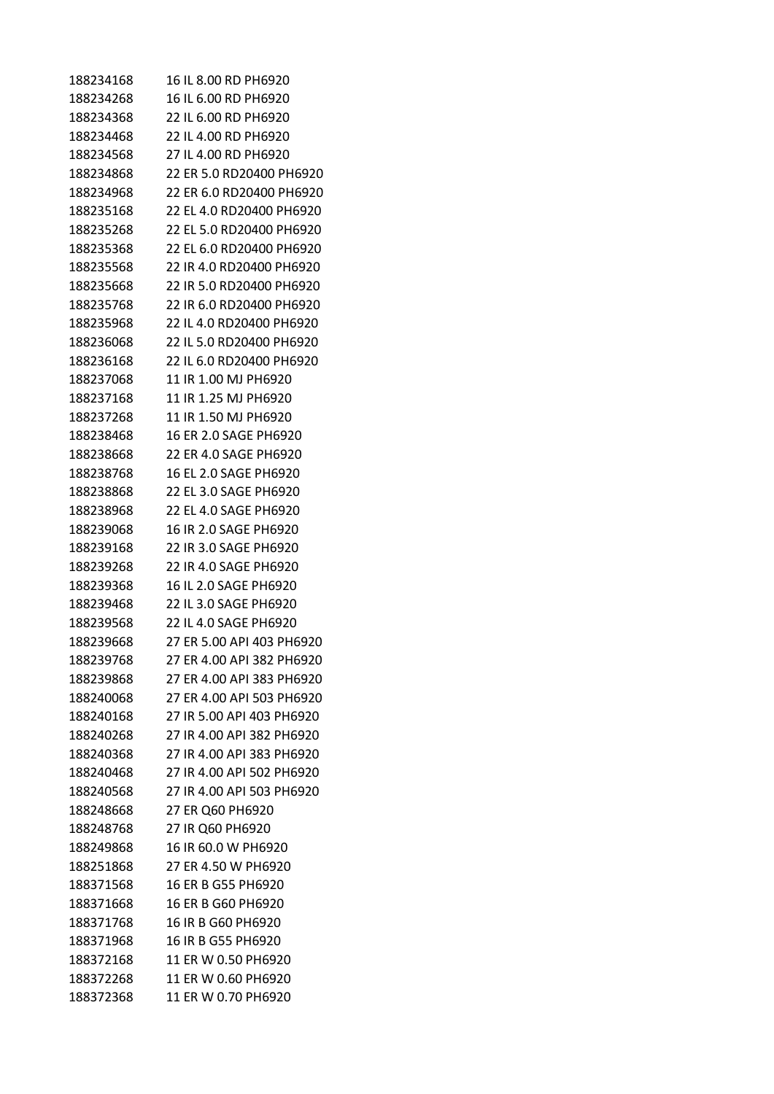| 188234168 | 16 IL 8.00 RD PH6920      |
|-----------|---------------------------|
| 188234268 | 16 IL 6.00 RD PH6920      |
| 188234368 | 22 IL 6.00 RD PH6920      |
| 188234468 | 22 IL 4.00 RD PH6920      |
| 188234568 | 27 IL 4.00 RD PH6920      |
| 188234868 | 22 ER 5.0 RD20400 PH6920  |
| 188234968 | 22 ER 6.0 RD20400 PH6920  |
| 188235168 | 22 EL 4.0 RD20400 PH6920  |
| 188235268 | 22 EL 5.0 RD20400 PH6920  |
| 188235368 | 22 EL 6.0 RD20400 PH6920  |
| 188235568 | 22 IR 4.0 RD20400 PH6920  |
| 188235668 | 22 IR 5.0 RD20400 PH6920  |
| 188235768 | 22 IR 6.0 RD20400 PH6920  |
| 188235968 | 22 IL 4.0 RD20400 PH6920  |
| 188236068 | 22 IL 5.0 RD20400 PH6920  |
| 188236168 | 22 IL 6.0 RD20400 PH6920  |
| 188237068 | 11 IR 1.00 MJ PH6920      |
| 188237168 | 11 IR 1.25 MJ PH6920      |
| 188237268 | 11 IR 1.50 MJ PH6920      |
| 188238468 | 16 ER 2.0 SAGE PH6920     |
| 188238668 | 22 ER 4.0 SAGE PH6920     |
| 188238768 | 16 EL 2.0 SAGE PH6920     |
| 188238868 | 22 EL 3.0 SAGE PH6920     |
| 188238968 | 22 EL 4.0 SAGE PH6920     |
| 188239068 | 16 IR 2.0 SAGE PH6920     |
| 188239168 | 22 IR 3.0 SAGE PH6920     |
| 188239268 | 22 IR 4.0 SAGE PH6920     |
| 188239368 | 16 IL 2.0 SAGE PH6920     |
| 188239468 | 22 IL 3.0 SAGE PH6920     |
| 188239568 | 22 IL 4.0 SAGE PH6920     |
| 188239668 | 27 ER 5.00 API 403 PH6920 |
| 188239768 | 27 ER 4.00 API 382 PH6920 |
| 188239868 | 27 ER 4.00 API 383 PH6920 |
| 188240068 | 27 ER 4.00 API 503 PH6920 |
| 188240168 | 27 IR 5.00 API 403 PH6920 |
| 188240268 | 27 IR 4.00 API 382 PH6920 |
| 188240368 | 27 IR 4.00 API 383 PH6920 |
| 188240468 | 27 IR 4.00 API 502 PH6920 |
| 188240568 | 27 IR 4.00 API 503 PH6920 |
| 188248668 | 27 ER Q60 PH6920          |
| 188248768 | 27 IR Q60 PH6920          |
| 188249868 | 16 IR 60.0 W PH6920       |
| 188251868 | 27 ER 4.50 W PH6920       |
| 188371568 | 16 ER B G55 PH6920        |
| 188371668 | 16 ER B G60 PH6920        |
| 188371768 | 16 IR B G60 PH6920        |
| 188371968 | 16 IR B G55 PH6920        |
| 188372168 | 11 ER W 0.50 PH6920       |
| 188372268 | 11 ER W 0.60 PH6920       |
| 188372368 | 11 ER W 0.70 PH6920       |
|           |                           |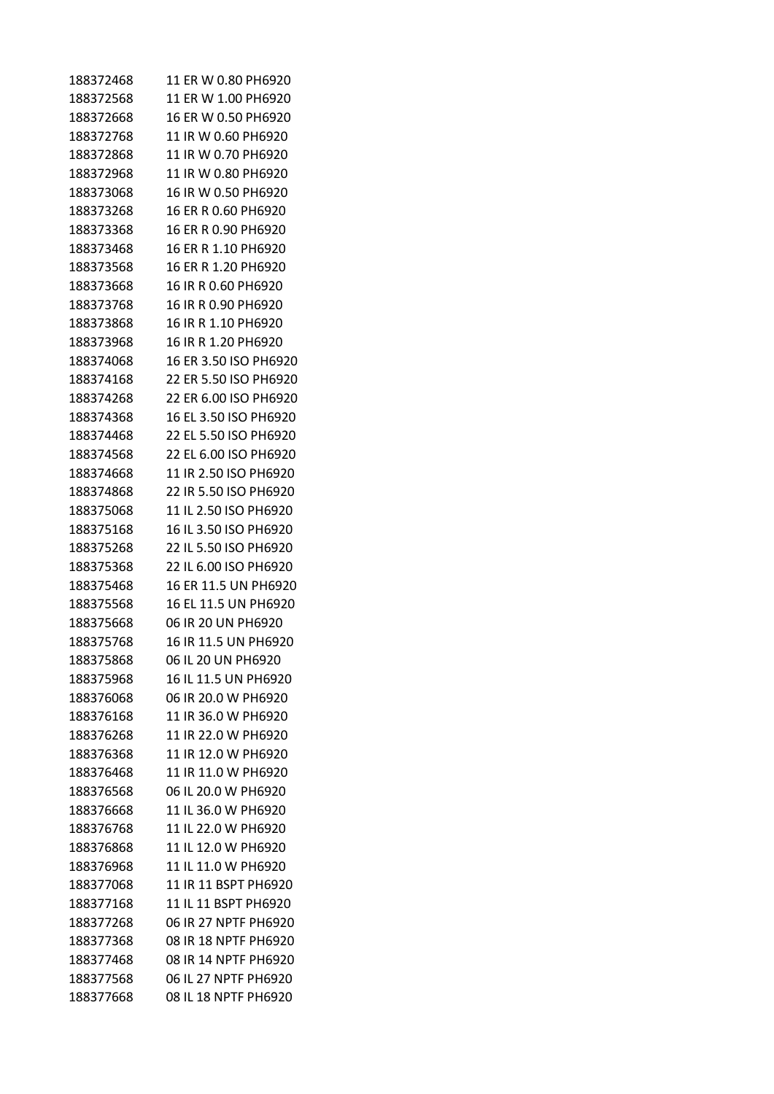| 188372468 | 11 ER W 0.80 PH6920   |
|-----------|-----------------------|
| 188372568 | 11 ER W 1.00 PH6920   |
| 188372668 | 16 ER W 0.50 PH6920   |
| 188372768 | 11 IR W 0.60 PH6920   |
| 188372868 | 11 IR W 0.70 PH6920   |
| 188372968 | 11 IR W 0.80 PH6920   |
| 188373068 | 16 IR W 0.50 PH6920   |
| 188373268 | 16 ER R 0.60 PH6920   |
| 188373368 | 16 ER R 0.90 PH6920   |
| 188373468 | 16 ER R 1.10 PH6920   |
| 188373568 | 16 ER R 1.20 PH6920   |
| 188373668 | 16 IR R 0.60 PH6920   |
| 188373768 | 16 IR R 0.90 PH6920   |
| 188373868 | 16 IR R 1.10 PH6920   |
| 188373968 | 16 IR R 1.20 PH6920   |
| 188374068 | 16 ER 3.50 ISO PH6920 |
| 188374168 | 22 ER 5.50 ISO PH6920 |
| 188374268 | 22 ER 6.00 ISO PH6920 |
| 188374368 | 16 EL 3.50 ISO PH6920 |
| 188374468 | 22 EL 5.50 ISO PH6920 |
| 188374568 | 22 EL 6.00 ISO PH6920 |
| 188374668 | 11 IR 2.50 ISO PH6920 |
| 188374868 | 22 IR 5.50 ISO PH6920 |
| 188375068 | 11 IL 2.50 ISO PH6920 |
| 188375168 | 16 IL 3.50 ISO PH6920 |
| 188375268 | 22 IL 5.50 ISO PH6920 |
| 188375368 | 22 IL 6.00 ISO PH6920 |
| 188375468 | 16 ER 11.5 UN PH6920  |
| 188375568 | 16 EL 11.5 UN PH6920  |
| 188375668 | 06 IR 20 UN PH6920    |
| 188375768 | 16 IR 11.5 UN PH6920  |
| 188375868 | 06 IL 20 UN PH6920    |
| 188375968 | 16 IL 11.5 UN PH6920  |
| 188376068 | 06 IR 20.0 W PH6920   |
| 188376168 | 11 IR 36.0 W PH6920   |
| 188376268 | 11 IR 22.0 W PH6920   |
| 188376368 | 11 IR 12.0 W PH6920   |
| 188376468 | 11 IR 11.0 W PH6920   |
| 188376568 | 06 IL 20.0 W PH6920   |
| 188376668 | 11 IL 36.0 W PH6920   |
| 188376768 | 11 IL 22.0 W PH6920   |
| 188376868 | 11 IL 12.0 W PH6920   |
| 188376968 | 11 IL 11.0 W PH6920   |
| 188377068 | 11 IR 11 BSPT PH6920  |
| 188377168 | 11 IL 11 BSPT PH6920  |
| 188377268 | 06 IR 27 NPTF PH6920  |
| 188377368 | 08 IR 18 NPTF PH6920  |
| 188377468 | 08 IR 14 NPTF PH6920  |
| 188377568 | 06 IL 27 NPTF PH6920  |
| 188377668 | 08 IL 18 NPTF PH6920  |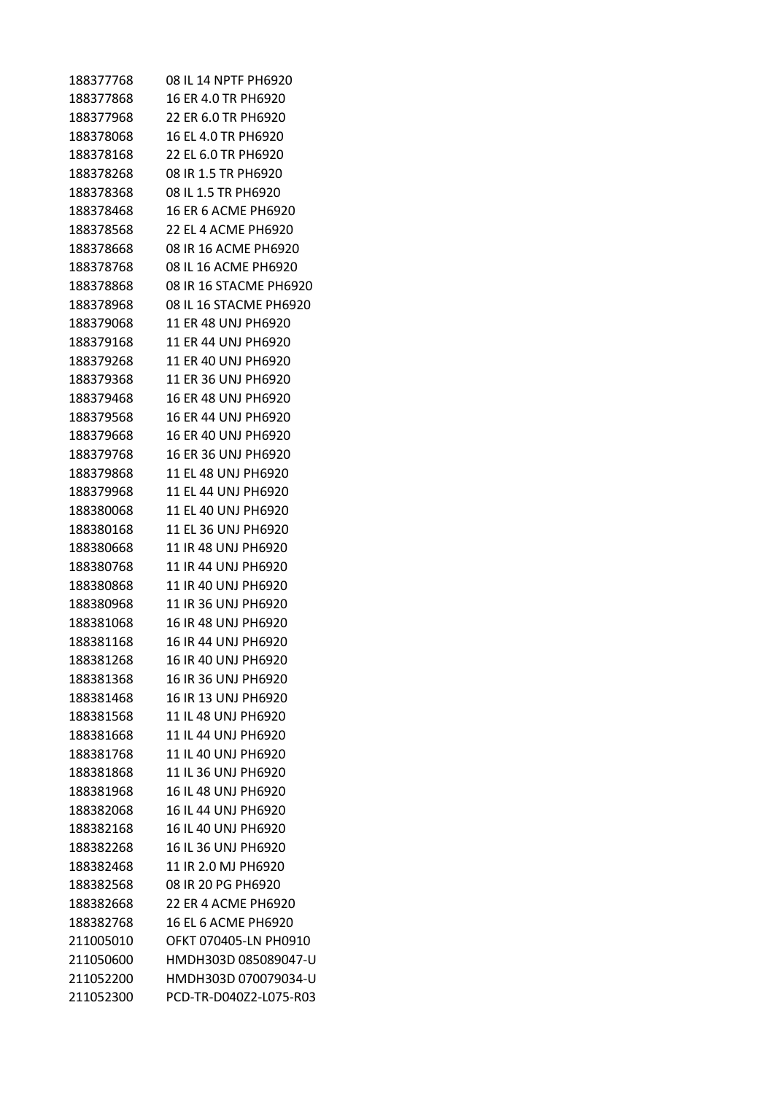| 188377768 | 08 IL 14 NPTF PH6920   |
|-----------|------------------------|
| 188377868 | 16 ER 4.0 TR PH6920    |
| 188377968 | 22 ER 6.0 TR PH6920    |
| 188378068 | 16 EL 4.0 TR PH6920    |
| 188378168 | 22 EL 6.0 TR PH6920    |
| 188378268 | 08 IR 1.5 TR PH6920    |
| 188378368 | 08 IL 1.5 TR PH6920    |
| 188378468 | 16 ER 6 ACME PH6920    |
| 188378568 | 22 EL 4 ACME PH6920    |
| 188378668 | 08 IR 16 ACME PH6920   |
| 188378768 | 08 IL 16 ACME PH6920   |
| 188378868 | 08 IR 16 STACME PH6920 |
| 188378968 | 08 IL 16 STACME PH6920 |
| 188379068 | 11 ER 48 UNJ PH6920    |
| 188379168 | 11 ER 44 UNJ PH6920    |
| 188379268 | 11 ER 40 UNJ PH6920    |
| 188379368 | 11 ER 36 UNJ PH6920    |
| 188379468 | 16 ER 48 UNJ PH6920    |
| 188379568 | 16 ER 44 UNJ PH6920    |
| 188379668 | 16 ER 40 UNJ PH6920    |
| 188379768 | 16 ER 36 UNJ PH6920    |
| 188379868 | 11 EL 48 UNJ PH6920    |
| 188379968 | 11 EL 44 UNJ PH6920    |
| 188380068 | 11 EL 40 UNJ PH6920    |
| 188380168 | 11 EL 36 UNJ PH6920    |
| 188380668 | 11 IR 48 UNJ PH6920    |
| 188380768 | 11 IR 44 UNJ PH6920    |
| 188380868 | 11 IR 40 UNJ PH6920    |
| 188380968 | 11 IR 36 UNJ PH6920    |
| 188381068 | 16 IR 48 UNJ PH6920    |
| 188381168 | 16 IR 44 UNJ PH6920    |
| 188381268 | 16 IR 40 UNJ PH6920    |
| 188381368 | 16 IR 36 UNJ PH6920    |
| 188381468 | 16 IR 13 UNJ PH6920    |
| 188381568 | 11 IL 48 UNJ PH6920    |
| 188381668 | 11 IL 44 UNJ PH6920    |
| 188381768 | 11 IL 40 UNJ PH6920    |
| 188381868 | 11 IL 36 UNJ PH6920    |
| 188381968 | 16 IL 48 UNJ PH6920    |
| 188382068 | 16 IL 44 UNJ PH6920    |
| 188382168 | 16 IL 40 UNJ PH6920    |
| 188382268 | 16 IL 36 UNJ PH6920    |
| 188382468 | 11 IR 2.0 MJ PH6920    |
| 188382568 | 08 IR 20 PG PH6920     |
| 188382668 | 22 ER 4 ACME PH6920    |
| 188382768 | 16 EL 6 ACME PH6920    |
| 211005010 | OFKT 070405-LN PH0910  |
| 211050600 | HMDH303D 085089047-U   |
| 211052200 | HMDH303D 070079034-U   |
| 211052300 | PCD-TR-D040Z2-L075-R03 |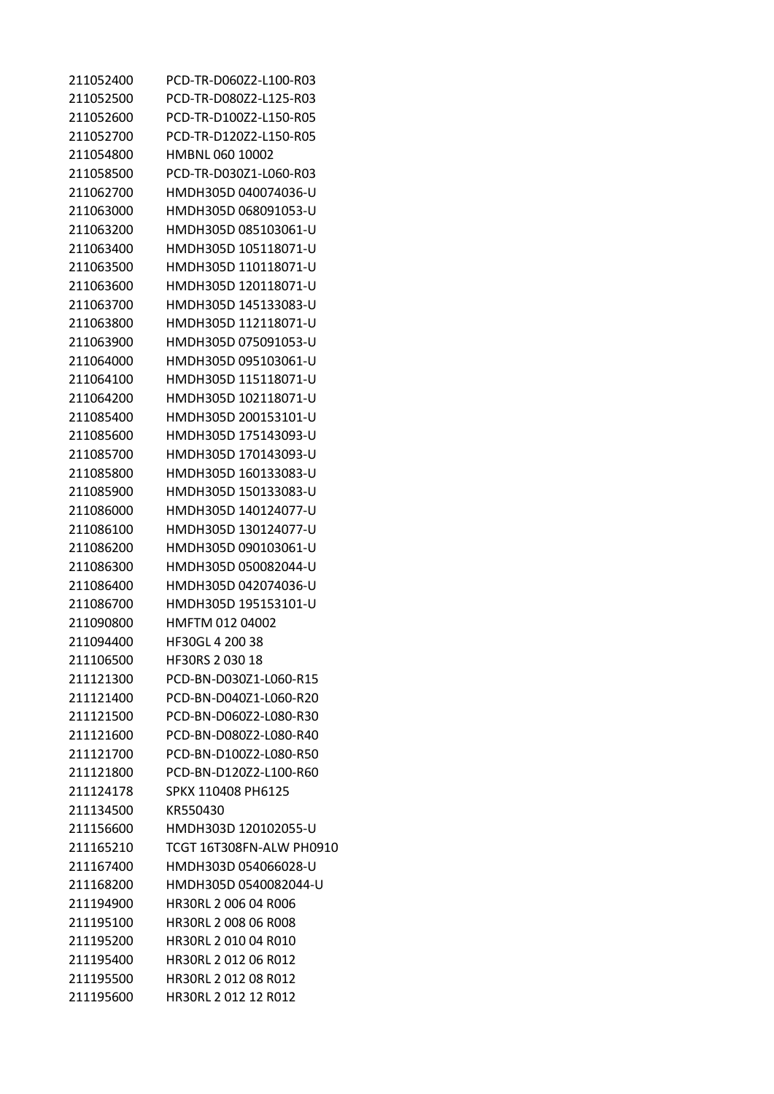| 211052400 | PCD-TR-D060Z2-L100-R03   |
|-----------|--------------------------|
| 211052500 | PCD-TR-D080Z2-L125-R03   |
| 211052600 | PCD-TR-D100Z2-L150-R05   |
| 211052700 | PCD-TR-D120Z2-L150-R05   |
| 211054800 | HMBNL 060 10002          |
| 211058500 | PCD-TR-D030Z1-L060-R03   |
| 211062700 | HMDH305D 040074036-U     |
| 211063000 | HMDH305D 068091053-U     |
| 211063200 | HMDH305D 085103061-U     |
| 211063400 | HMDH305D 105118071-U     |
| 211063500 | HMDH305D 110118071-U     |
| 211063600 | HMDH305D 120118071-U     |
| 211063700 | HMDH305D 145133083-U     |
| 211063800 | HMDH305D 112118071-U     |
| 211063900 | HMDH305D 075091053-U     |
| 211064000 | HMDH305D 095103061-U     |
| 211064100 | HMDH305D 115118071-U     |
| 211064200 | HMDH305D 102118071-U     |
| 211085400 | HMDH305D 200153101-U     |
| 211085600 | HMDH305D 175143093-U     |
| 211085700 | HMDH305D 170143093-U     |
| 211085800 | HMDH305D 160133083-U     |
| 211085900 | HMDH305D 150133083-U     |
| 211086000 | HMDH305D 140124077-U     |
| 211086100 | HMDH305D 130124077-U     |
| 211086200 | HMDH305D 090103061-U     |
| 211086300 | HMDH305D 050082044-U     |
| 211086400 | HMDH305D 042074036-U     |
| 211086700 | HMDH305D 195153101-U     |
| 211090800 | HMFTM 012 04002          |
| 211094400 | HF30GL 4 200 38          |
| 211106500 | HF30RS 2 030 18          |
| 211121300 | PCD-BN-D030Z1-L060-R15   |
| 211121400 | PCD-BN-D040Z1-L060-R20   |
| 211121500 | PCD-BN-D060Z2-L080-R30   |
| 211121600 | PCD-BN-D080Z2-L080-R40   |
| 211121700 | PCD-BN-D100Z2-L080-R50   |
| 211121800 | PCD-BN-D120Z2-L100-R60   |
| 211124178 | SPKX 110408 PH6125       |
| 211134500 | KR550430                 |
| 211156600 | HMDH303D 120102055-U     |
| 211165210 | TCGT 16T308FN-ALW PH0910 |
| 211167400 | HMDH303D 054066028-U     |
| 211168200 | HMDH305D 0540082044-U    |
| 211194900 | HR30RL 2 006 04 R006     |
| 211195100 | HR30RL 2 008 06 R008     |
| 211195200 | HR30RL 2 010 04 R010     |
| 211195400 | HR30RL 2 012 06 R012     |
| 211195500 | HR30RL 2 012 08 R012     |
| 211195600 | HR30RL 2 012 12 R012     |
|           |                          |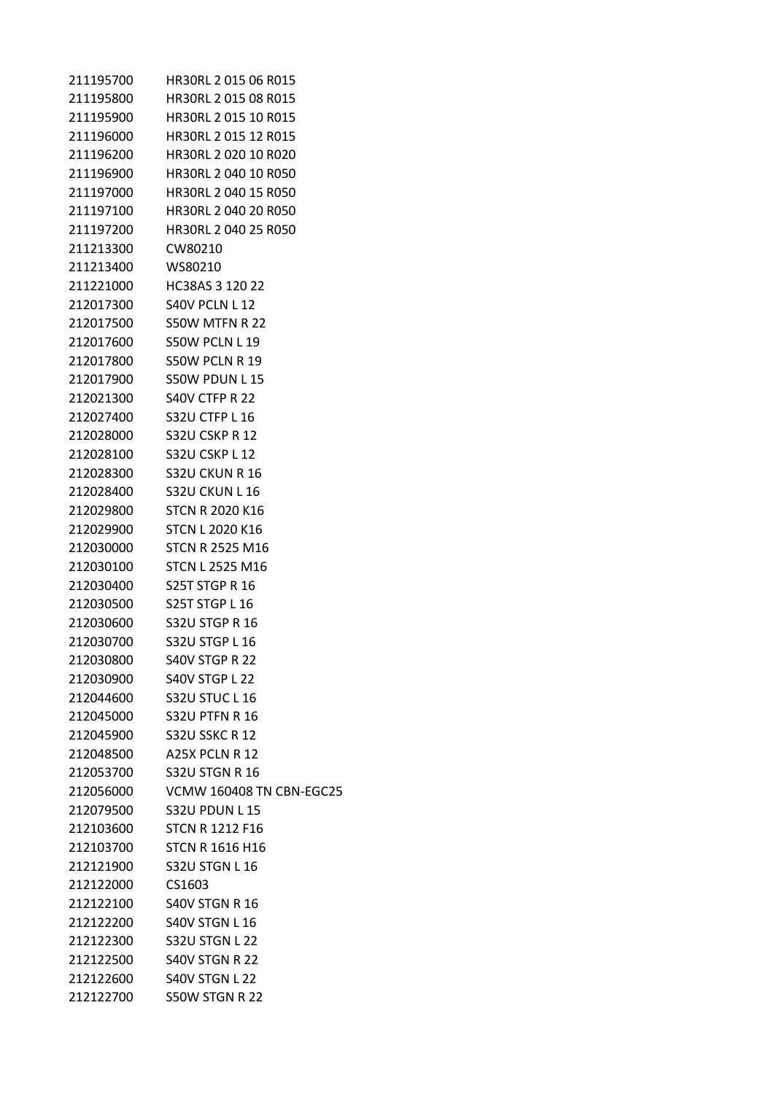| 211195700 | HR30RL 2 015 06 R015            |
|-----------|---------------------------------|
| 211195800 | HR30RL 2 015 08 R015            |
| 211195900 | HR30RL 2 015 10 R015            |
| 211196000 | HR30RL 2 015 12 R015            |
| 211196200 | <b>HR30RL 2 020 10 R020</b>     |
| 211196900 | HR30RL 2 040 10 R050            |
| 211197000 | HR30RL 2 040 15 R050            |
| 211197100 | HR30RL 2 040 20 R050            |
| 211197200 | HR30RL 2 040 25 R050            |
| 211213300 | CW80210                         |
| 211213400 | WS80210                         |
| 211221000 | HC38AS 3 120 22                 |
| 212017300 | S40V PCLN L12                   |
| 212017500 | S50W MTFN R 22                  |
| 212017600 | S50W PCLN L19                   |
| 212017800 | S50W PCLN R 19                  |
| 212017900 | S50W PDUN L15                   |
| 212021300 | <b>S40V CTFP R 22</b>           |
| 212027400 | S32U CTFP L 16                  |
| 212028000 | <b>S32U CSKP R 12</b>           |
| 212028100 | S32U CSKP L 12                  |
| 212028300 | <b>S32U CKUN R 16</b>           |
| 212028400 | S32U CKUN L 16                  |
| 212029800 | <b>STCN R 2020 K16</b>          |
| 212029900 | <b>STCN L 2020 K16</b>          |
| 212030000 | <b>STCN R 2525 M16</b>          |
| 212030100 | <b>STCN L 2525 M16</b>          |
| 212030400 | <b>S25T STGP R 16</b>           |
| 212030500 | <b>S25T STGP L 16</b>           |
| 212030600 | S32U STGP R 16                  |
| 212030700 | S32U STGP L 16                  |
| 212030800 | S40V STGP R 22                  |
| 212030900 | S40V STGP L 22                  |
| 212044600 | <b>S32U STUC L 16</b>           |
| 212045000 | <b>S32U PTFN R 16</b>           |
| 212045900 | S32U SSKC R 12                  |
| 212048500 | A25X PCLN R 12                  |
| 212053700 | <b>S32U STGN R 16</b>           |
| 212056000 | <b>VCMW 160408 TN CBN-EGC25</b> |
| 212079500 | <b>S32U PDUN L15</b>            |
| 212103600 | <b>STCN R 1212 F16</b>          |
| 212103700 | <b>STCN R 1616 H16</b>          |
| 212121900 | <b>S32U STGN L16</b>            |
| 212122000 | CS1603                          |
| 212122100 | <b>S40V STGN R 16</b>           |
| 212122200 | S40V STGN L 16                  |
| 212122300 | <b>S32U STGN L 22</b>           |
| 212122500 | S40V STGN R 22                  |
| 212122600 | S40V STGN L 22                  |
| 212122700 | S50W STGN R 22                  |
|           |                                 |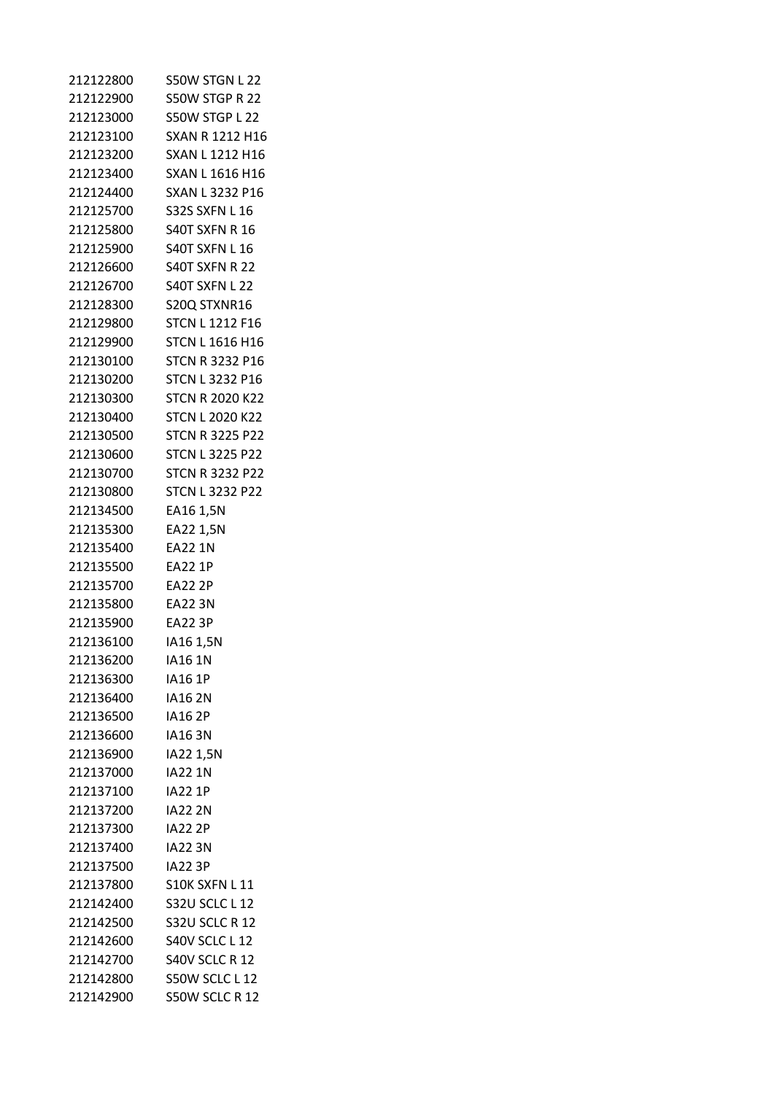| 212122800 | S50W STGN L 22         |
|-----------|------------------------|
| 212122900 | S50W STGP R 22         |
| 212123000 | S50W STGP L 22         |
| 212123100 | SXAN R 1212 H16        |
| 212123200 | <b>SXAN L 1212 H16</b> |
| 212123400 | SXAN L 1616 H16        |
| 212124400 | SXAN L 3232 P16        |
| 212125700 | <b>S32S SXFN L16</b>   |
| 212125800 | S40T SXFN R 16         |
| 212125900 | S40T SXFN L16          |
| 212126600 | S40T SXFN R 22         |
| 212126700 | S40T SXFN L 22         |
| 212128300 | S20Q STXNR16           |
| 212129800 | <b>STCN L1212 F16</b>  |
| 212129900 | <b>STCN L 1616 H16</b> |
| 212130100 | STCN R 3232 P16        |
| 212130200 | <b>STCN L 3232 P16</b> |
| 212130300 | <b>STCN R 2020 K22</b> |
| 212130400 | <b>STCN L 2020 K22</b> |
| 212130500 | <b>STCN R 3225 P22</b> |
| 212130600 | <b>STCN L 3225 P22</b> |
| 212130700 | <b>STCN R 3232 P22</b> |
| 212130800 | <b>STCN L 3232 P22</b> |
| 212134500 | EA16 1,5N              |
| 212135300 | EA22 1,5N              |
| 212135400 | EA22 1N                |
| 212135500 | <b>EA22 1P</b>         |
| 212135700 | EA22 2P                |
| 212135800 | EA22 3N                |
| 212135900 | <b>EA22 3P</b>         |
| 212136100 | IA16 1,5N              |
| 212136200 | <b>IA16 1N</b>         |
| 212136300 | <b>IA16 1P</b>         |
| 212136400 | <b>IA162N</b>          |
| 212136500 | <b>IA162P</b>          |
| 212136600 | IA16 3N                |
| 212136900 | IA22 1,5N              |
| 212137000 | <b>IA22 1N</b>         |
| 212137100 | <b>IA22 1P</b>         |
| 212137200 | <b>IA22 2N</b>         |
| 212137300 | <b>IA22 2P</b>         |
| 212137400 | <b>IA223N</b>          |
| 212137500 | <b>IA22 3P</b>         |
| 212137800 | S10K SXFN L 11         |
| 212142400 | S32U SCLC L 12         |
| 212142500 | S32U SCLC R 12         |
| 212142600 | <b>S40V SCLC L 12</b>  |
| 212142700 | S40V SCLC R 12         |
| 212142800 | S50W SCLC L 12         |
| 212142900 | S50W SCLC R 12         |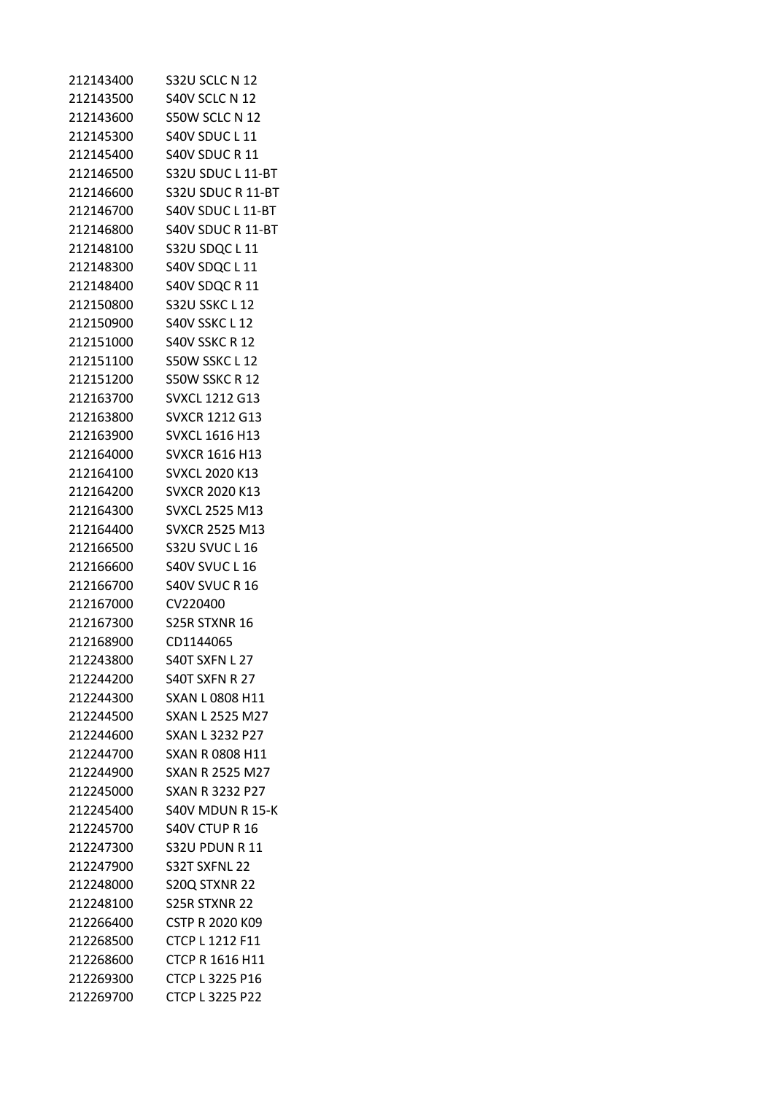| 212143400 | S32U SCLC N 12         |
|-----------|------------------------|
| 212143500 | S40V SCLC N 12         |
| 212143600 | S50W SCLC N 12         |
| 212145300 | S40V SDUC L 11         |
| 212145400 | S40V SDUC R 11         |
| 212146500 | S32U SDUC L 11-BT      |
| 212146600 | S32U SDUC R 11-BT      |
| 212146700 | S40V SDUC L 11-BT      |
| 212146800 | S40V SDUC R 11-BT      |
| 212148100 | S32U SDQC L 11         |
| 212148300 | S40V SDQC L 11         |
| 212148400 | S40V SDQC R 11         |
| 212150800 | S32U SSKC L 12         |
| 212150900 | S40V SSKC L 12         |
| 212151000 | <b>S40V SSKC R 12</b>  |
| 212151100 | S50W SSKC L 12         |
| 212151200 | S50W SSKC R 12         |
| 212163700 | <b>SVXCL 1212 G13</b>  |
| 212163800 | SVXCR 1212 G13         |
| 212163900 | <b>SVXCL 1616 H13</b>  |
| 212164000 | <b>SVXCR 1616 H13</b>  |
| 212164100 | <b>SVXCL 2020 K13</b>  |
| 212164200 | <b>SVXCR 2020 K13</b>  |
| 212164300 | <b>SVXCL 2525 M13</b>  |
| 212164400 | <b>SVXCR 2525 M13</b>  |
| 212166500 | S32U SVUC L 16         |
| 212166600 | <b>S40V SVUC L 16</b>  |
| 212166700 | <b>S40V SVUC R 16</b>  |
| 212167000 | CV220400               |
| 212167300 | S25R STXNR 16          |
| 212168900 | CD1144065              |
| 212243800 | S40T SXFN L 27         |
| 212244200 | S40T SXFN R 27         |
| 212244300 | <b>SXAN L0808 H11</b>  |
| 212244500 | <b>SXAN L 2525 M27</b> |
| 212244600 | SXAN L 3232 P27        |
| 212244700 | <b>SXAN R 0808 H11</b> |
| 212244900 | SXAN R 2525 M27        |
| 212245000 | <b>SXAN R 3232 P27</b> |
| 212245400 | S40V MDUN R 15-K       |
| 212245700 | S40V CTUP R 16         |
| 212247300 | <b>S32U PDUN R 11</b>  |
| 212247900 | S32T SXFNL 22          |
| 212248000 | S20Q STXNR 22          |
| 212248100 | S25R STXNR 22          |
| 212266400 | <b>CSTP R 2020 K09</b> |
| 212268500 | <b>CTCP L 1212 F11</b> |
| 212268600 | <b>CTCP R 1616 H11</b> |
| 212269300 | <b>CTCP L 3225 P16</b> |
| 212269700 | CTCP L 3225 P22        |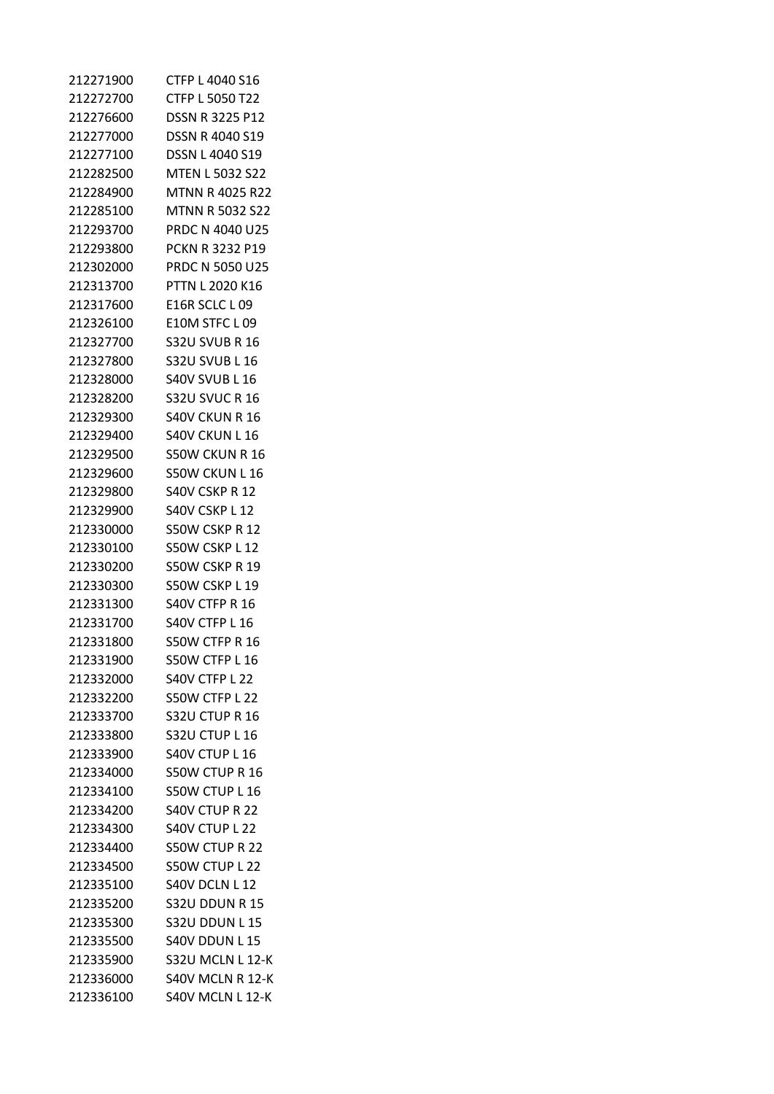| 212271900 | CTFP L 4040 S16        |
|-----------|------------------------|
| 212272700 | CTFP L 5050 T22        |
| 212276600 | <b>DSSN R 3225 P12</b> |
| 212277000 | DSSN R 4040 S19        |
| 212277100 | <b>DSSN L 4040 S19</b> |
| 212282500 | <b>MTEN L 5032 S22</b> |
| 212284900 | MTNN R 4025 R22        |
| 212285100 | <b>MTNN R 5032 S22</b> |
| 212293700 | PRDC N 4040 U25        |
| 212293800 | <b>PCKN R 3232 P19</b> |
| 212302000 | <b>PRDC N 5050 U25</b> |
| 212313700 | PTTN L 2020 K16        |
| 212317600 | E16R SCLC L 09         |
| 212326100 | E10M STFC L09          |
| 212327700 | S32U SVUB R 16         |
| 212327800 | <b>S32U SVUB L 16</b>  |
| 212328000 | <b>S40V SVUB L 16</b>  |
| 212328200 | <b>S32U SVUC R 16</b>  |
| 212329300 | S40V CKUN R 16         |
| 212329400 | S40V CKUN L 16         |
| 212329500 | S50W CKUN R 16         |
| 212329600 | <b>S50W CKUN L16</b>   |
| 212329800 | <b>S40V CSKP R 12</b>  |
| 212329900 | S40V CSKP L 12         |
| 212330000 | S50W CSKP R 12         |
| 212330100 | S50W CSKP L 12         |
| 212330200 | S50W CSKP R 19         |
| 212330300 | S50W CSKP L 19         |
| 212331300 | S40V CTFP R 16         |
| 212331700 | S40V CTFP L 16         |
| 212331800 | S50W CTFP R 16         |
| 212331900 | S50W CTFP L 16         |
| 212332000 | S40V CTFP L 22         |
| 212332200 | S50W CTFP L 22         |
| 212333700 | S32U CTUP R 16         |
| 212333800 | S32U CTUP L 16         |
| 212333900 | S40V CTUP L 16         |
| 212334000 | S50W CTUP R 16         |
| 212334100 | S50W CTUP L 16         |
| 212334200 | <b>S40V CTUP R 22</b>  |
| 212334300 | S40V CTUP L 22         |
| 212334400 | S50W CTUP R 22         |
| 212334500 | S50W CTUP L 22         |
| 212335100 | S40V DCLN L 12         |
| 212335200 | <b>S32U DDUN R 15</b>  |
| 212335300 | <b>S32U DDUN L15</b>   |
| 212335500 | S40V DDUN L 15         |
| 212335900 | S32U MCLN L 12-K       |
| 212336000 | S40V MCLN R 12-K       |
| 212336100 | S40V MCLN L 12-K       |
|           |                        |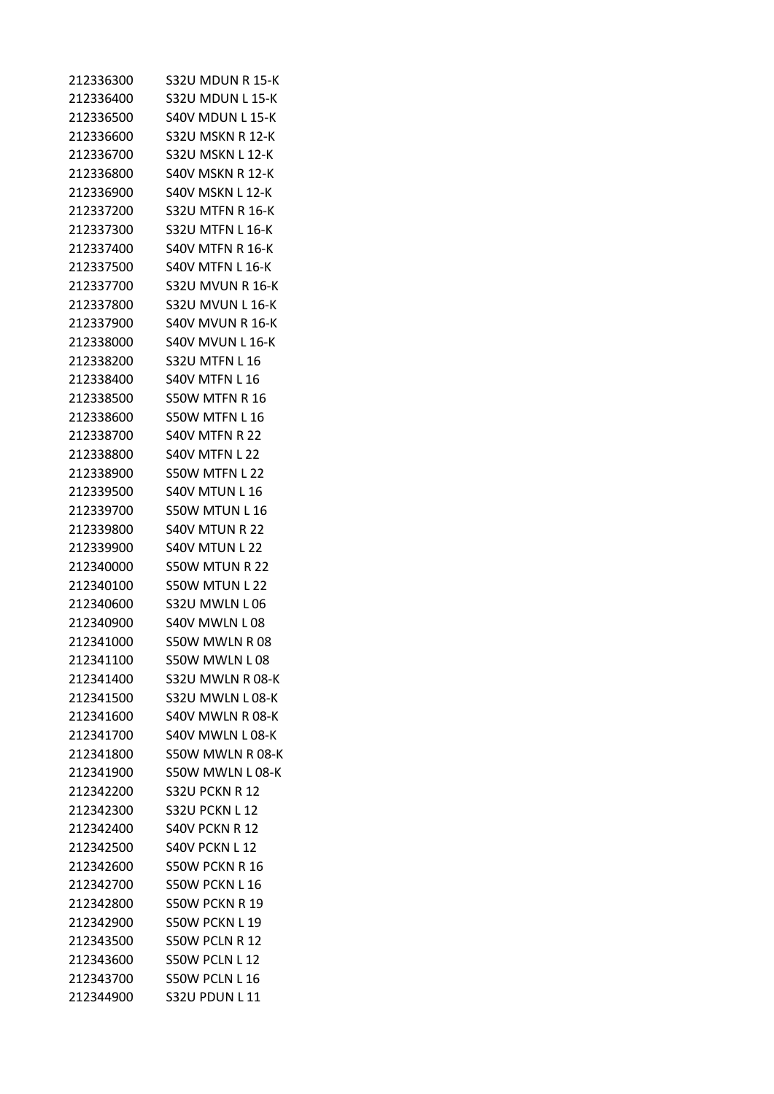| 212336300 | S32U MDUN R 15-K           |
|-----------|----------------------------|
| 212336400 | S32U MDUN L 15-K           |
| 212336500 | S40V MDUN L 15-K           |
| 212336600 | S32U MSKN R 12-K           |
| 212336700 | S32U MSKN L 12-K           |
|           | 212336800 S40V MSKN R 12-K |
| 212336900 | S40V MSKN L 12-K           |
| 212337200 | S32U MTFN R 16-K           |
| 212337300 | S32U MTFN L 16-K           |
| 212337400 | <b>S40V MTFN R 16-K</b>    |
|           | 212337500 S40V MTFN L 16-K |
| 212337700 | S32U MVUN R 16-K           |
| 212337800 | <b>S32U MVUN L 16-K</b>    |
| 212337900 | S40V MVUN R 16-K           |
| 212338000 | S40V MVUN L 16-K           |
|           | 212338200 S32U MTFN L 16   |
| 212338400 | <b>S40V MTFN L16</b>       |
| 212338500 | S50W MTFN R 16             |
| 212338600 | S50W MTFN L 16             |
| 212338700 | S40V MTFN R 22             |
|           | 212338800 S40V MTFN L 22   |
| 212338900 | S50W MTFN L 22             |
| 212339500 | <b>S40V MTUN L 16</b>      |
| 212339700 | S50W MTUN L 16             |
| 212339800 | S40V MTUN R 22             |
|           | 212339900 S40V MTUN L 22   |
| 212340000 | S50W MTUN R 22             |
| 212340100 | S50W MTUN L 22             |
| 212340600 | S32U MWLN L 06             |
| 212340900 | S40V MWLN L 08             |
| 212341000 | S50W MWLN R08              |
| 212341100 | S50W MWLN L08              |
| 212341400 | S32U MWLN R 08-K           |
| 212341500 | S32U MWLN L 08-K           |
| 212341600 | S40V MWLN R 08-K           |
| 212341700 | S40V MWLN L 08-K           |
| 212341800 | S50W MWLN R 08-K           |
| 212341900 | S50W MWLN L 08-K           |
| 212342200 | S32U PCKN R 12             |
| 212342300 | <b>S32U PCKN L12</b>       |
| 212342400 | S40V PCKN R 12             |
| 212342500 | S40V PCKN L12              |
| 212342600 | S50W PCKN R 16             |
| 212342700 | S50W PCKN L 16             |
| 212342800 | S50W PCKN R 19             |
| 212342900 | S50W PCKN L 19             |
| 212343500 | S50W PCLN R 12             |
| 212343600 | S50W PCLN L12              |
| 212343700 | S50W PCLN L 16             |
| 212344900 | <b>S32U PDUN L 11</b>      |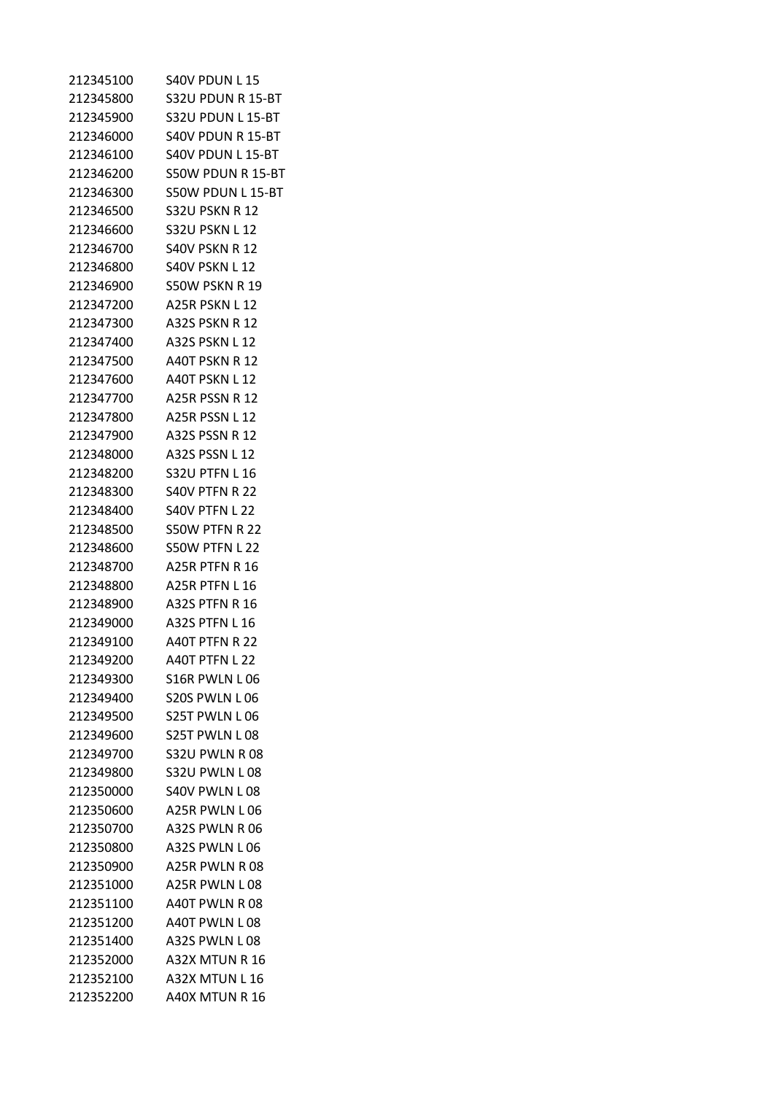| 212345100 | S40V PDUN L15        |
|-----------|----------------------|
| 212345800 | S32U PDUN R 15-BT    |
| 212345900 | S32U PDUN L 15-BT    |
| 212346000 | S40V PDUN R 15-BT    |
| 212346100 | S40V PDUN L 15-BT    |
| 212346200 | S50W PDUN R 15-BT    |
| 212346300 | S50W PDUN L 15-BT    |
| 212346500 | S32U PSKN R 12       |
| 212346600 | S32U PSKN L 12       |
| 212346700 | S40V PSKN R 12       |
| 212346800 | S40V PSKN L 12       |
| 212346900 | S50W PSKN R 19       |
| 212347200 | A25R PSKN L 12       |
| 212347300 | A32S PSKN R 12       |
| 212347400 | A32S PSKN L 12       |
| 212347500 | A40T PSKN R 12       |
| 212347600 | A40T PSKN L12        |
| 212347700 | A25R PSSN R 12       |
| 212347800 | <b>A25R PSSN L12</b> |
| 212347900 | A32S PSSN R 12       |
| 212348000 | A32S PSSN L 12       |
| 212348200 | S32U PTFN L16        |
| 212348300 | S40V PTFN R 22       |
| 212348400 | S40V PTFN L 22       |
| 212348500 | S50W PTFN R 22       |
| 212348600 | S50W PTFN L 22       |
| 212348700 | A25R PTFN R 16       |
| 212348800 | A25R PTFN L 16       |
| 212348900 | A32S PTFN R 16       |
| 212349000 | A32S PTFN L 16       |
| 212349100 | A40T PTFN R 22       |
| 212349200 | A40T PTFN L 22       |
| 212349300 | S16R PWLN L06        |
| 212349400 | S20S PWLN L06        |
| 212349500 | S25T PWLN L06        |
| 212349600 | S25T PWLN L 08       |
| 212349700 | S32U PWLN R08        |
| 212349800 | S32U PWLN L08        |
| 212350000 | S40V PWLN L08        |
| 212350600 | A25R PWLN L06        |
| 212350700 | A32S PWLN R 06       |
| 212350800 | A32S PWLN L06        |
| 212350900 | A25R PWLN R 08       |
| 212351000 | A25R PWLN L 08       |
| 212351100 | A40T PWLN R 08       |
| 212351200 | A40T PWLN L 08       |
| 212351400 | A32S PWLN L 08       |
| 212352000 | A32X MTUN R 16       |
| 212352100 | A32X MTUN L 16       |
| 212352200 | A40X MTUN R 16       |
|           |                      |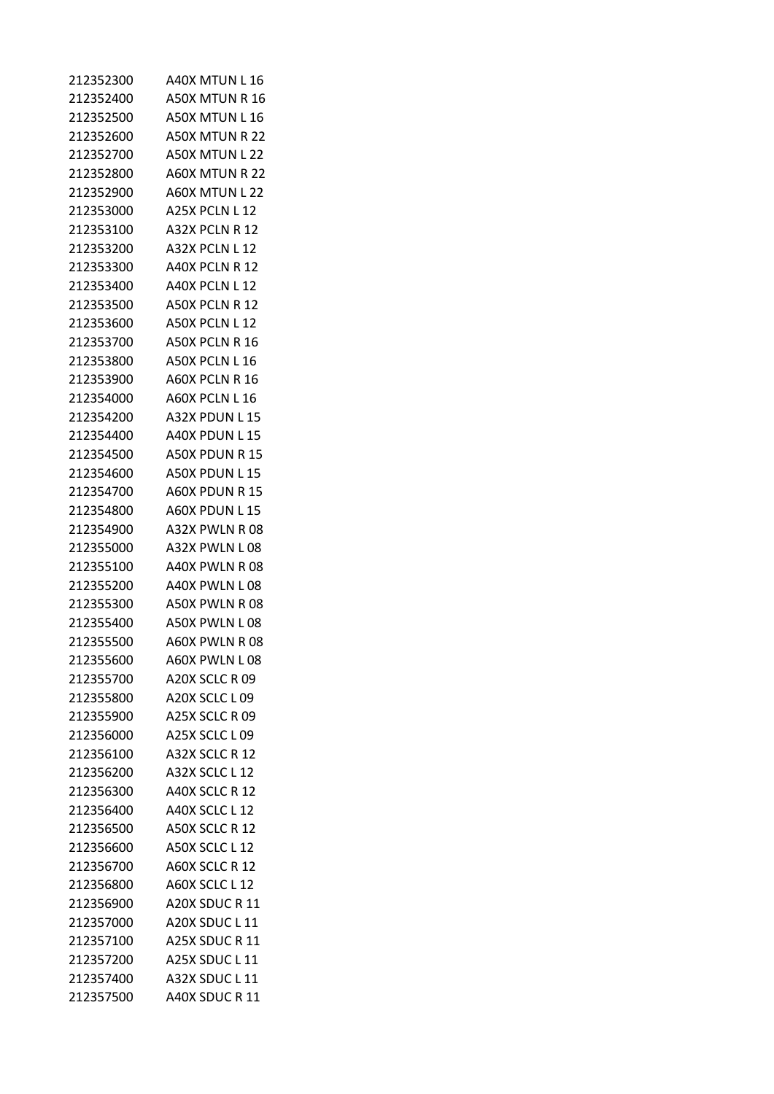| 212352300 | A40X MTUN L 16              |
|-----------|-----------------------------|
| 212352400 | A50X MTUN R 16              |
| 212352500 | A50X MTUN L 16              |
| 212352600 | A50X MTUN R 22              |
| 212352700 | A50X MTUN L 22              |
| 212352800 | A60X MTUN R 22              |
| 212352900 | A60X MTUN L 22              |
| 212353000 | A25X PCLN L 12              |
| 212353100 | A32X PCLN R 12              |
| 212353200 | A32X PCLN L 12              |
| 212353300 | A40X PCLN R 12              |
| 212353400 | A40X PCLN L 12              |
| 212353500 | A50X PCLN R 12              |
| 212353600 | A50X PCLN L 12              |
| 212353700 | A50X PCLN R 16              |
| 212353800 | A50X PCLN L 16              |
| 212353900 | A60X PCLN R 16              |
| 212354000 | A60X PCLN L 16              |
| 212354200 | A32X PDUN L 15              |
| 212354400 | A40X PDUN L 15              |
| 212354500 | A50X PDUN R 15              |
| 212354600 | A50X PDUN L 15              |
| 212354700 | A60X PDUN R 15              |
| 212354800 | A60X PDUN L15               |
| 212354900 | A32X PWLN R 08              |
| 212355000 | A32X PWLN L08               |
| 212355100 | A40X PWLN R 08              |
| 212355200 | A40X PWLN L08               |
| 212355300 | A50X PWLN R 08              |
| 212355400 | A50X PWLN L08               |
| 212355500 | A60X PWLN R08               |
| 212355600 | A60X PWLN L08               |
| 212355700 | A20X SCLC R 09              |
| 212355800 | A20X SCLC L09               |
| 212355900 | A <sub>25</sub> X SCLC R 09 |
| 212356000 | A25X SCLC L 09              |
| 212356100 | A32X SCLC R 12              |
| 212356200 | A32X SCLC L12               |
| 212356300 | A40X SCLC R 12              |
| 212356400 | A40X SCLC L 12              |
| 212356500 | A50X SCLC R 12              |
| 212356600 | A50X SCLC L 12              |
| 212356700 | A60X SCLC R 12              |
| 212356800 | A60X SCLC L12               |
| 212356900 | A20X SDUC R 11              |
| 212357000 | A20X SDUC L 11              |
| 212357100 | A25X SDUC R 11              |
| 212357200 | A25X SDUC L 11              |
| 212357400 | A32X SDUC L 11              |
| 212357500 | A40X SDUC R 11              |
|           |                             |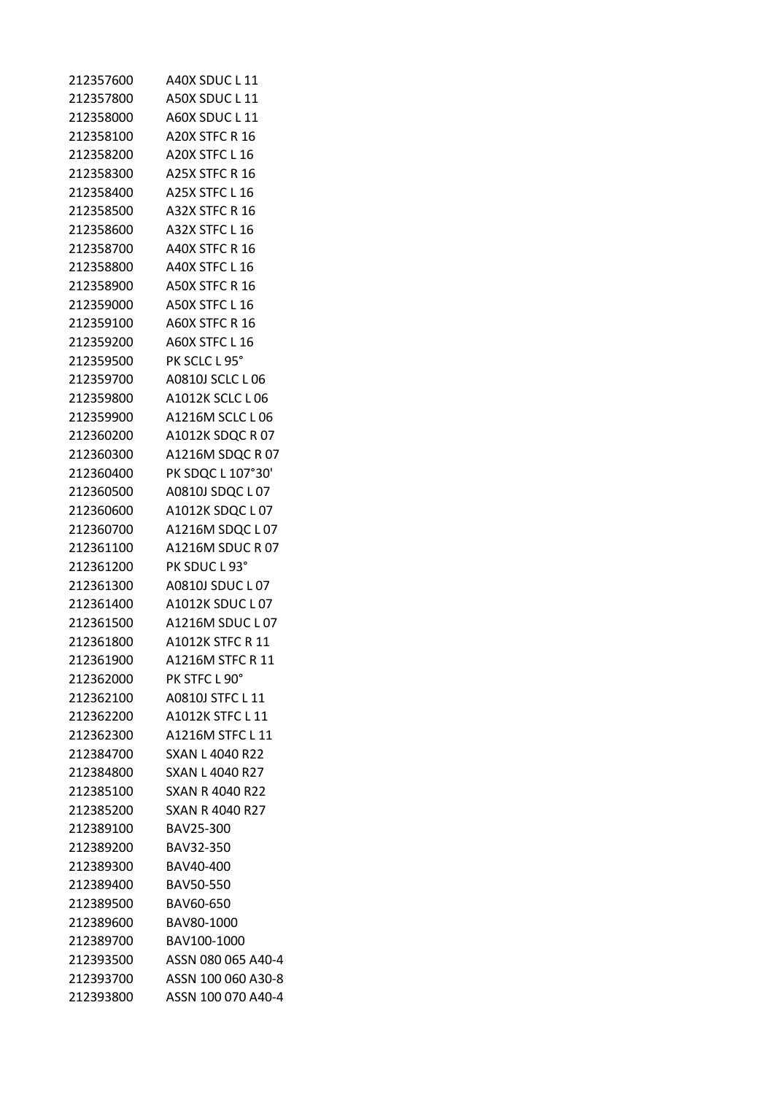| 212357600 | A40X SDUC L 11         |
|-----------|------------------------|
| 212357800 | A50X SDUC L 11         |
| 212358000 | A60X SDUC L 11         |
| 212358100 | A20X STFC R 16         |
| 212358200 | A20X STFC L 16         |
| 212358300 | A25X STFC R 16         |
| 212358400 | A25X STFC L 16         |
| 212358500 | A32X STFC R 16         |
| 212358600 | A32X STFC L 16         |
| 212358700 | A40X STFC R 16         |
| 212358800 | A40X STFC L 16         |
| 212358900 | <b>A50X STFC R 16</b>  |
| 212359000 | A50X STFC L 16         |
| 212359100 | A60X STFC R 16         |
| 212359200 | A60X STFC L 16         |
| 212359500 | PK SCLC L 95°          |
| 212359700 | A0810J SCLC L 06       |
| 212359800 | A1012K SCLC L 06       |
| 212359900 | A1216M SCLC L 06       |
| 212360200 | A1012K SDQC R 07       |
| 212360300 | A1216M SDQC R 07       |
| 212360400 | PK SDQC L 107°30'      |
| 212360500 | A0810J SDQC L 07       |
| 212360600 | A1012K SDQC L 07       |
| 212360700 | A1216M SDQC L 07       |
| 212361100 | A1216M SDUC R 07       |
| 212361200 | PK SDUC L 93°          |
| 212361300 | A0810J SDUC L 07       |
| 212361400 | A1012K SDUC L 07       |
| 212361500 | A1216M SDUC L07        |
| 212361800 | A1012K STFC R 11       |
| 212361900 | A1216M STFC R 11       |
| 212362000 | PK STFC L 90°          |
| 212362100 | A0810J STFC L 11       |
| 212362200 | A1012K STFC L 11       |
| 212362300 | A1216M STFC L 11       |
| 212384700 | <b>SXAN L 4040 R22</b> |
| 212384800 | <b>SXAN L 4040 R27</b> |
| 212385100 | <b>SXAN R 4040 R22</b> |
| 212385200 | <b>SXAN R 4040 R27</b> |
| 212389100 | BAV25-300              |
| 212389200 | BAV32-350              |
| 212389300 | BAV40-400              |
| 212389400 | <b>BAV50-550</b>       |
| 212389500 | BAV60-650              |
| 212389600 | BAV80-1000             |
| 212389700 | BAV100-1000            |
| 212393500 | ASSN 080 065 A40-4     |
| 212393700 | ASSN 100 060 A30-8     |
| 212393800 | ASSN 100 070 A40-4     |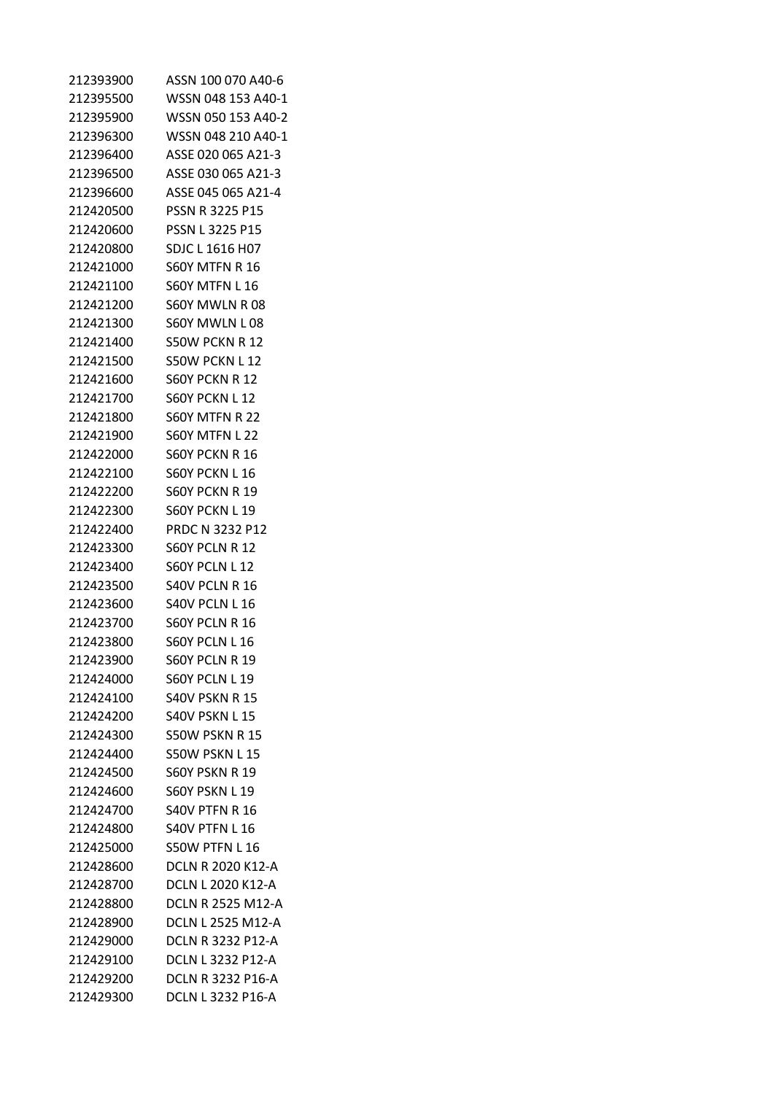| 212393900 | ASSN 100 070 A40-6       |
|-----------|--------------------------|
| 212395500 | WSSN 048 153 A40-1       |
| 212395900 | WSSN 050 153 A40-2       |
| 212396300 | WSSN 048 210 A40-1       |
| 212396400 | ASSE 020 065 A21-3       |
| 212396500 | ASSE 030 065 A21-3       |
| 212396600 | ASSE 045 065 A21-4       |
| 212420500 | PSSN R 3225 P15          |
| 212420600 | <b>PSSN L 3225 P15</b>   |
| 212420800 | SDJC L 1616 H07          |
| 212421000 | <b>S60Y MTFN R 16</b>    |
| 212421100 | <b>S60Y MTFN L 16</b>    |
| 212421200 | S60Y MWLN R08            |
| 212421300 | S60Y MWLN L08            |
| 212421400 | S50W PCKN R 12           |
| 212421500 | S50W PCKN L 12           |
| 212421600 | <b>S60Y PCKN R 12</b>    |
| 212421700 | S60Y PCKN L 12           |
| 212421800 | S60Y MTFN R 22           |
| 212421900 | S60Y MTFN L 22           |
| 212422000 | <b>S60Y PCKN R 16</b>    |
| 212422100 | S60Y PCKN L16            |
| 212422200 | S60Y PCKN R 19           |
| 212422300 | S60Y PCKN L 19           |
| 212422400 | <b>PRDC N 3232 P12</b>   |
| 212423300 | S60Y PCLN R 12           |
| 212423400 | S60Y PCLN L 12           |
| 212423500 | S40V PCLN R 16           |
| 212423600 | S40V PCLN L16            |
| 212423700 | <b>S60Y PCLN R 16</b>    |
| 212423800 | S60Y PCLN L 16           |
| 212423900 | S60Y PCLN R 19           |
| 212424000 | <b>S60Y PCLN L 19</b>    |
| 212424100 | <b>S40V PSKN R 15</b>    |
| 212424200 | <b>S40V PSKN L15</b>     |
| 212424300 | S50W PSKN R 15           |
| 212424400 | S50W PSKN L15            |
| 212424500 | <b>S60Y PSKN R 19</b>    |
| 212424600 | <b>S60Y PSKN L19</b>     |
| 212424700 | <b>S40V PTFN R 16</b>    |
| 212424800 | <b>S40V PTFN L 16</b>    |
| 212425000 | <b>S50W PTFN L16</b>     |
| 212428600 | <b>DCLN R 2020 K12-A</b> |
| 212428700 | <b>DCLN L 2020 K12-A</b> |
| 212428800 | <b>DCLN R 2525 M12-A</b> |
| 212428900 | DCLN L 2525 M12-A        |
| 212429000 | <b>DCLN R 3232 P12-A</b> |
| 212429100 | <b>DCLN L 3232 P12-A</b> |
| 212429200 | <b>DCLN R 3232 P16-A</b> |
| 212429300 | DCLN L 3232 P16-A        |
|           |                          |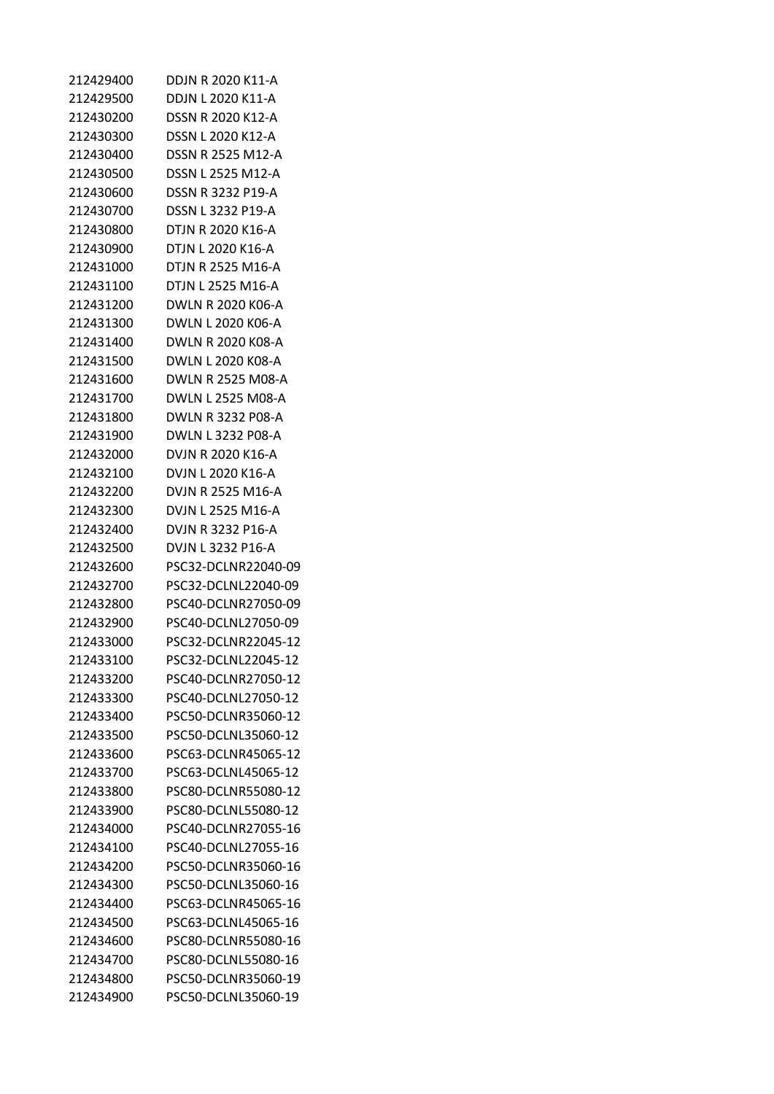| 212429400 | <b>DDJN R 2020 K11-A</b> |
|-----------|--------------------------|
| 212429500 | DDJN L 2020 K11-A        |
| 212430200 | <b>DSSN R 2020 K12-A</b> |
| 212430300 | DSSN L 2020 K12-A        |
| 212430400 | DSSN R 2525 M12-A        |
| 212430500 | DSSN L 2525 M12-A        |
| 212430600 | DSSN R 3232 P19-A        |
| 212430700 | DSSN L 3232 P19-A        |
| 212430800 | DTJN R 2020 K16-A        |
| 212430900 | DTJN L 2020 K16-A        |
| 212431000 | DTJN R 2525 M16-A        |
| 212431100 | DTJN L 2525 M16-A        |
| 212431200 | DWLN R 2020 K06-A        |
| 212431300 | DWLN L 2020 K06-A        |
| 212431400 | DWLN R 2020 K08-A        |
| 212431500 | DWLN L 2020 K08-A        |
| 212431600 | DWLN R 2525 M08-A        |
| 212431700 | DWLN L 2525 M08-A        |
| 212431800 | DWLN R 3232 P08-A        |
| 212431900 | DWLN L 3232 P08-A        |
| 212432000 | DVJN R 2020 K16-A        |
| 212432100 | DVJN L 2020 K16-A        |
| 212432200 | DVJN R 2525 M16-A        |
| 212432300 | DVJN L 2525 M16-A        |
| 212432400 | DVJN R 3232 P16-A        |
| 212432500 | DVJN L 3232 P16-A        |
| 212432600 | PSC32-DCLNR22040-09      |
| 212432700 | PSC32-DCLNL22040-09      |
| 212432800 | PSC40-DCLNR27050-09      |
| 212432900 | PSC40-DCLNL27050-09      |
| 212433000 | PSC32-DCLNR22045-12      |
| 212433100 | PSC32-DCLNL22045-12      |
| 212433200 | PSC40-DCLNR27050-12      |
| 212433300 | PSC40-DCLNL27050-12      |
| 212433400 | PSC50-DCLNR35060-12      |
| 212433500 | PSC50-DCLNL35060-12      |
| 212433600 | PSC63-DCLNR45065-12      |
| 212433700 | PSC63-DCLNL45065-12      |
| 212433800 | PSC80-DCLNR55080-12      |
| 212433900 | PSC80-DCLNL55080-12      |
| 212434000 | PSC40-DCLNR27055-16      |
| 212434100 | PSC40-DCLNL27055-16      |
| 212434200 | PSC50-DCLNR35060-16      |
| 212434300 | PSC50-DCLNL35060-16      |
| 212434400 | PSC63-DCLNR45065-16      |
| 212434500 | PSC63-DCLNL45065-16      |
| 212434600 | PSC80-DCLNR55080-16      |
| 212434700 | PSC80-DCLNL55080-16      |
| 212434800 | PSC50-DCLNR35060-19      |
| 212434900 | PSC50-DCLNL35060-19      |
|           |                          |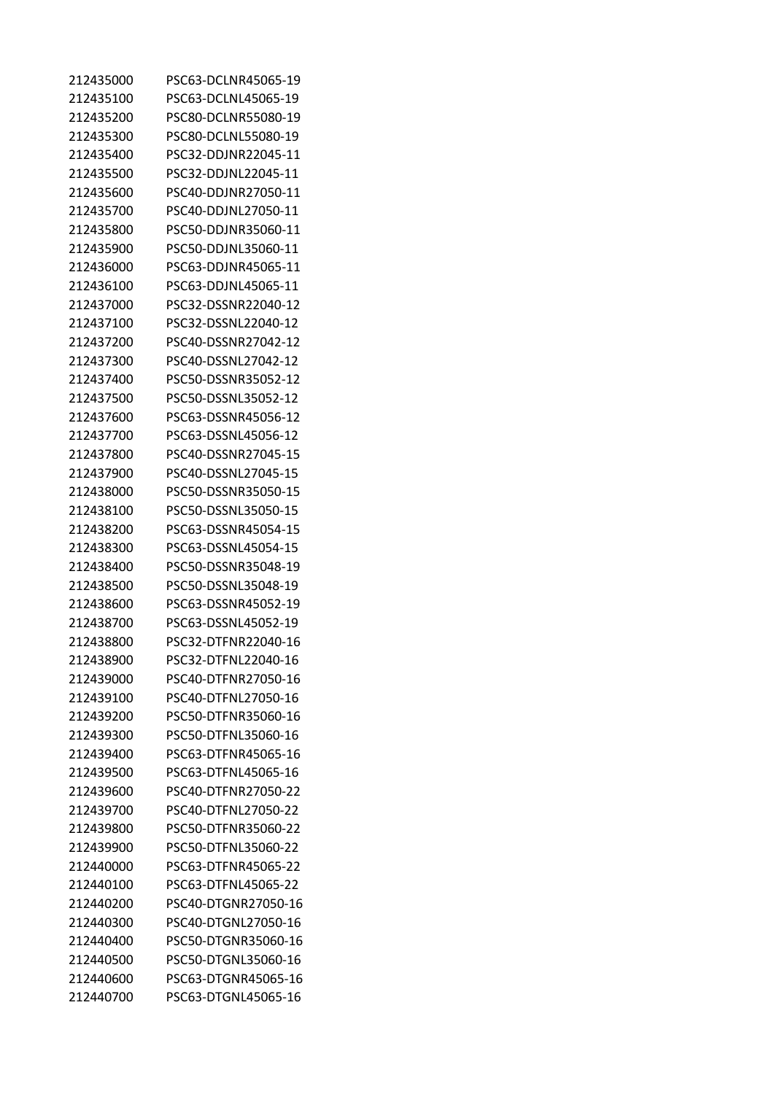| 212435000 | PSC63-DCLNR45065-19 |
|-----------|---------------------|
| 212435100 | PSC63-DCLNL45065-19 |
| 212435200 | PSC80-DCLNR55080-19 |
| 212435300 | PSC80-DCLNL55080-19 |
| 212435400 | PSC32-DDJNR22045-11 |
| 212435500 | PSC32-DDJNL22045-11 |
| 212435600 | PSC40-DDJNR27050-11 |
| 212435700 | PSC40-DDJNL27050-11 |
| 212435800 | PSC50-DDJNR35060-11 |
| 212435900 | PSC50-DDJNL35060-11 |
| 212436000 | PSC63-DDJNR45065-11 |
| 212436100 | PSC63-DDJNL45065-11 |
| 212437000 | PSC32-DSSNR22040-12 |
| 212437100 | PSC32-DSSNL22040-12 |
| 212437200 | PSC40-DSSNR27042-12 |
| 212437300 | PSC40-DSSNL27042-12 |
| 212437400 | PSC50-DSSNR35052-12 |
| 212437500 | PSC50-DSSNL35052-12 |
| 212437600 | PSC63-DSSNR45056-12 |
| 212437700 | PSC63-DSSNL45056-12 |
| 212437800 | PSC40-DSSNR27045-15 |
| 212437900 | PSC40-DSSNL27045-15 |
| 212438000 | PSC50-DSSNR35050-15 |
| 212438100 | PSC50-DSSNL35050-15 |
| 212438200 | PSC63-DSSNR45054-15 |
| 212438300 | PSC63-DSSNL45054-15 |
| 212438400 | PSC50-DSSNR35048-19 |
| 212438500 | PSC50-DSSNL35048-19 |
| 212438600 | PSC63-DSSNR45052-19 |
| 212438700 | PSC63-DSSNL45052-19 |
| 212438800 | PSC32-DTFNR22040-16 |
| 212438900 | PSC32-DTFNL22040-16 |
| 212439000 | PSC40-DTFNR27050-16 |
| 212439100 | PSC40-DTFNL27050-16 |
| 212439200 | PSC50-DTFNR35060-16 |
| 212439300 | PSC50-DTFNL35060-16 |
| 212439400 | PSC63-DTFNR45065-16 |
| 212439500 | PSC63-DTFNL45065-16 |
| 212439600 | PSC40-DTFNR27050-22 |
| 212439700 | PSC40-DTFNL27050-22 |
| 212439800 | PSC50-DTFNR35060-22 |
| 212439900 | PSC50-DTFNL35060-22 |
| 212440000 | PSC63-DTFNR45065-22 |
| 212440100 | PSC63-DTFNL45065-22 |
| 212440200 | PSC40-DTGNR27050-16 |
| 212440300 | PSC40-DTGNL27050-16 |
| 212440400 | PSC50-DTGNR35060-16 |
| 212440500 | PSC50-DTGNL35060-16 |
| 212440600 | PSC63-DTGNR45065-16 |
| 212440700 | PSC63-DTGNL45065-16 |
|           |                     |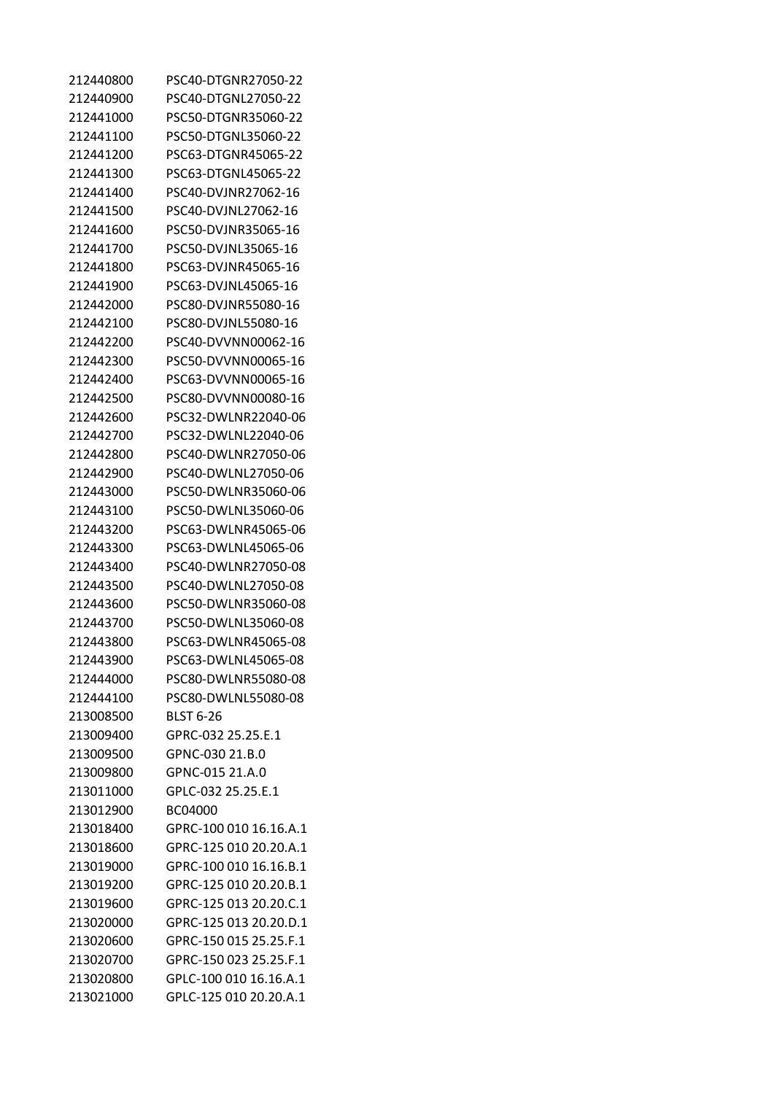| 212440800 | PSC40-DTGNR27050-22    |
|-----------|------------------------|
| 212440900 | PSC40-DTGNL27050-22    |
| 212441000 | PSC50-DTGNR35060-22    |
| 212441100 | PSC50-DTGNL35060-22    |
| 212441200 | PSC63-DTGNR45065-22    |
| 212441300 | PSC63-DTGNL45065-22    |
| 212441400 | PSC40-DVJNR27062-16    |
| 212441500 | PSC40-DVJNL27062-16    |
| 212441600 | PSC50-DVJNR35065-16    |
| 212441700 | PSC50-DVJNL35065-16    |
| 212441800 | PSC63-DVJNR45065-16    |
| 212441900 | PSC63-DVJNL45065-16    |
| 212442000 | PSC80-DVJNR55080-16    |
| 212442100 | PSC80-DVJNL55080-16    |
| 212442200 | PSC40-DVVNN00062-16    |
| 212442300 | PSC50-DVVNN00065-16    |
| 212442400 | PSC63-DVVNN00065-16    |
| 212442500 | PSC80-DVVNN00080-16    |
| 212442600 | PSC32-DWLNR22040-06    |
| 212442700 | PSC32-DWLNL22040-06    |
| 212442800 | PSC40-DWLNR27050-06    |
| 212442900 | PSC40-DWLNL27050-06    |
| 212443000 | PSC50-DWLNR35060-06    |
| 212443100 | PSC50-DWLNL35060-06    |
| 212443200 | PSC63-DWLNR45065-06    |
| 212443300 | PSC63-DWLNL45065-06    |
| 212443400 | PSC40-DWLNR27050-08    |
| 212443500 | PSC40-DWLNL27050-08    |
| 212443600 | PSC50-DWLNR35060-08    |
| 212443700 | PSC50-DWLNL35060-08    |
| 212443800 | PSC63-DWLNR45065-08    |
| 212443900 | PSC63-DWLNL45065-08    |
| 212444000 | PSC80-DWLNR55080-08    |
| 212444100 | PSC80-DWLNL55080-08    |
| 213008500 | <b>BLST 6-26</b>       |
| 213009400 | GPRC-032 25.25.E.1     |
| 213009500 | GPNC-030 21.B.0        |
| 213009800 | GPNC-015 21.A.0        |
| 213011000 | GPLC-032 25.25.E.1     |
| 213012900 | BC04000                |
| 213018400 | GPRC-100 010 16.16.A.1 |
| 213018600 | GPRC-125 010 20.20.A.1 |
| 213019000 | GPRC-100 010 16.16.B.1 |
| 213019200 | GPRC-125 010 20.20.B.1 |
| 213019600 | GPRC-125 013 20.20.C.1 |
| 213020000 | GPRC-125 013 20.20.D.1 |
| 213020600 | GPRC-150 015 25.25.F.1 |
| 213020700 | GPRC-150 023 25.25.F.1 |
| 213020800 | GPLC-100 010 16.16.A.1 |
| 213021000 | GPLC-125 010 20.20.A.1 |
|           |                        |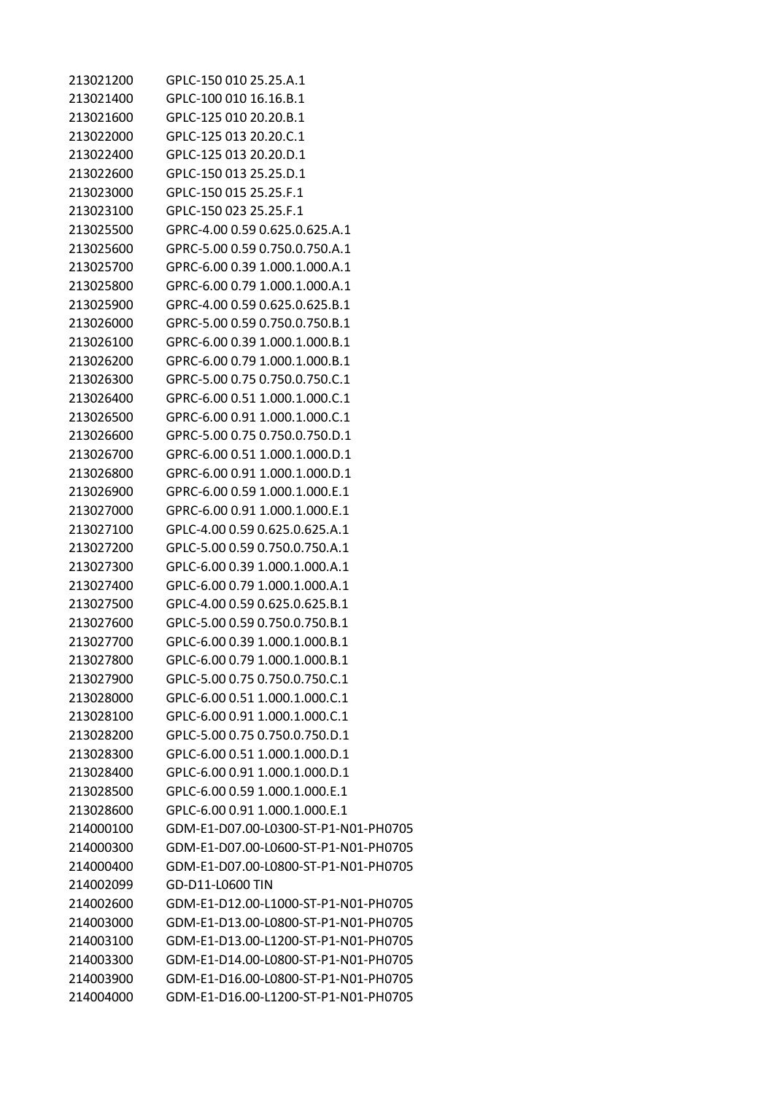| 213021200 | GPLC-150 010 25.25.A.1               |
|-----------|--------------------------------------|
| 213021400 | GPLC-100 010 16.16.B.1               |
| 213021600 | GPLC-125 010 20.20.B.1               |
| 213022000 | GPLC-125 013 20.20.C.1               |
| 213022400 | GPLC-125 013 20.20.D.1               |
| 213022600 | GPLC-150 013 25.25.D.1               |
| 213023000 | GPLC-150 015 25.25.F.1               |
| 213023100 | GPLC-150 023 25.25.F.1               |
| 213025500 | GPRC-4.00 0.59 0.625.0.625.A.1       |
| 213025600 | GPRC-5.00 0.59 0.750.0.750.A.1       |
| 213025700 | GPRC-6.00 0.39 1.000.1.000.A.1       |
| 213025800 | GPRC-6.00 0.79 1.000.1.000.A.1       |
| 213025900 | GPRC-4.00 0.59 0.625.0.625.B.1       |
| 213026000 | GPRC-5.00 0.59 0.750.0.750.B.1       |
| 213026100 | GPRC-6.00 0.39 1.000.1.000.B.1       |
| 213026200 | GPRC-6.00 0.79 1.000.1.000.B.1       |
| 213026300 | GPRC-5.00 0.75 0.750.0.750.C.1       |
| 213026400 | GPRC-6.00 0.51 1.000.1.000.C.1       |
| 213026500 | GPRC-6.00 0.91 1.000.1.000.C.1       |
| 213026600 | GPRC-5.00 0.75 0.750.0.750.D.1       |
| 213026700 | GPRC-6.00 0.51 1.000.1.000.D.1       |
| 213026800 | GPRC-6.00 0.91 1.000.1.000.D.1       |
| 213026900 | GPRC-6.00 0.59 1.000.1.000.E.1       |
| 213027000 | GPRC-6.00 0.91 1.000.1.000.E.1       |
| 213027100 | GPLC-4.00 0.59 0.625.0.625.A.1       |
| 213027200 | GPLC-5.00 0.59 0.750.0.750.A.1       |
| 213027300 | GPLC-6.00 0.39 1.000.1.000.A.1       |
| 213027400 | GPLC-6.00 0.79 1.000.1.000.A.1       |
| 213027500 | GPLC-4.00 0.59 0.625.0.625.B.1       |
| 213027600 | GPLC-5.00 0.59 0.750.0.750.B.1       |
| 213027700 | GPLC-6.00 0.39 1.000.1.000.B.1       |
| 213027800 | GPLC-6.00 0.79 1.000.1.000.B.1       |
| 213027900 | GPLC-5.00 0.75 0.750.0.750.C.1       |
| 213028000 | GPLC-6.00 0.51 1.000.1.000.C.1       |
| 213028100 | GPLC-6.00 0.91 1.000.1.000.C.1       |
| 213028200 | GPLC-5.00 0.75 0.750.0.750.D.1       |
| 213028300 | GPLC-6.00 0.51 1.000.1.000.D.1       |
| 213028400 | GPLC-6.00 0.91 1.000.1.000.D.1       |
| 213028500 | GPLC-6.00 0.59 1.000.1.000.E.1       |
| 213028600 | GPLC-6.00 0.91 1.000.1.000.E.1       |
| 214000100 | GDM-E1-D07.00-L0300-ST-P1-N01-PH0705 |
| 214000300 | GDM-E1-D07.00-L0600-ST-P1-N01-PH0705 |
| 214000400 | GDM-E1-D07.00-L0800-ST-P1-N01-PH0705 |
| 214002099 | GD-D11-L0600 TIN                     |
| 214002600 | GDM-E1-D12.00-L1000-ST-P1-N01-PH0705 |
| 214003000 | GDM-E1-D13.00-L0800-ST-P1-N01-PH0705 |
| 214003100 | GDM-E1-D13.00-L1200-ST-P1-N01-PH0705 |
| 214003300 | GDM-E1-D14.00-L0800-ST-P1-N01-PH0705 |
| 214003900 | GDM-E1-D16.00-L0800-ST-P1-N01-PH0705 |
| 214004000 | GDM-E1-D16.00-L1200-ST-P1-N01-PH0705 |
|           |                                      |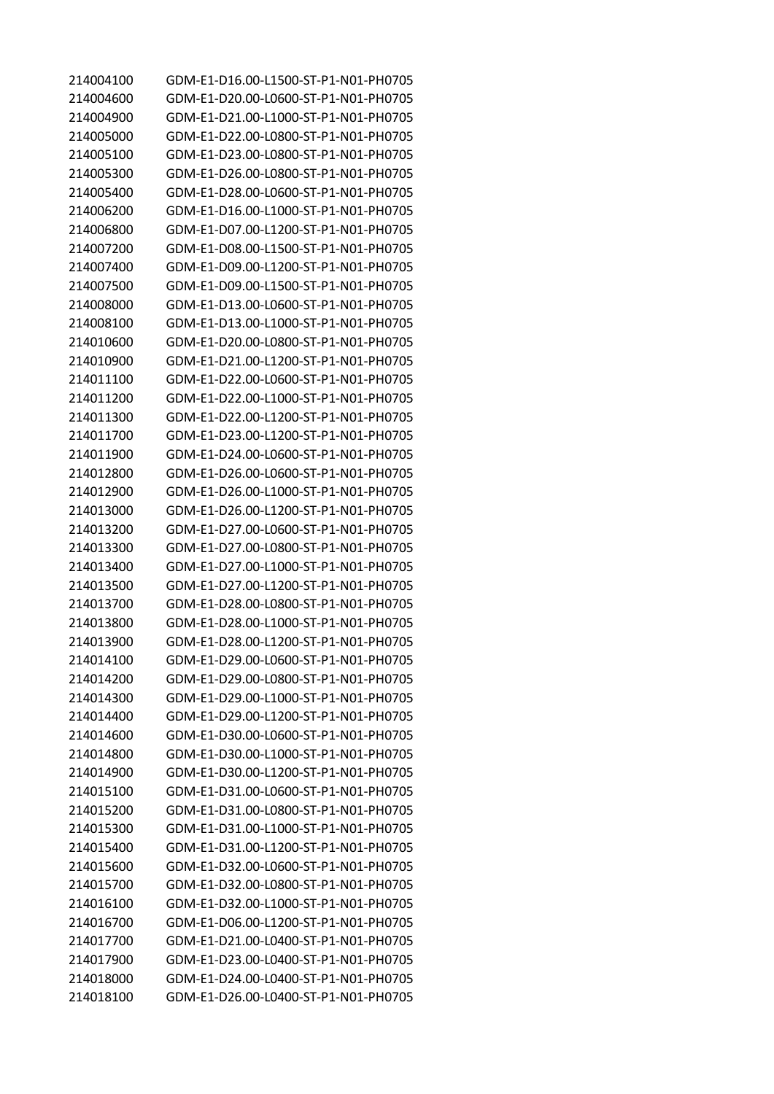| 214004100 | GDM-E1-D16.00-L1500-ST-P1-N01-PH0705 |
|-----------|--------------------------------------|
| 214004600 | GDM-E1-D20.00-L0600-ST-P1-N01-PH0705 |
| 214004900 | GDM-E1-D21.00-L1000-ST-P1-N01-PH0705 |
| 214005000 | GDM-E1-D22.00-L0800-ST-P1-N01-PH0705 |
| 214005100 | GDM-E1-D23.00-L0800-ST-P1-N01-PH0705 |
| 214005300 | GDM-E1-D26.00-L0800-ST-P1-N01-PH0705 |
| 214005400 | GDM-E1-D28.00-L0600-ST-P1-N01-PH0705 |
| 214006200 | GDM-E1-D16.00-L1000-ST-P1-N01-PH0705 |
| 214006800 | GDM-E1-D07.00-L1200-ST-P1-N01-PH0705 |
| 214007200 | GDM-E1-D08.00-L1500-ST-P1-N01-PH0705 |
| 214007400 | GDM-E1-D09.00-L1200-ST-P1-N01-PH0705 |
| 214007500 | GDM-E1-D09.00-L1500-ST-P1-N01-PH0705 |
| 214008000 | GDM-E1-D13.00-L0600-ST-P1-N01-PH0705 |
| 214008100 | GDM-E1-D13.00-L1000-ST-P1-N01-PH0705 |
| 214010600 | GDM-E1-D20.00-L0800-ST-P1-N01-PH0705 |
| 214010900 | GDM-E1-D21.00-L1200-ST-P1-N01-PH0705 |
| 214011100 | GDM-E1-D22.00-L0600-ST-P1-N01-PH0705 |
| 214011200 | GDM-E1-D22.00-L1000-ST-P1-N01-PH0705 |
| 214011300 | GDM-E1-D22.00-L1200-ST-P1-N01-PH0705 |
| 214011700 | GDM-E1-D23.00-L1200-ST-P1-N01-PH0705 |
| 214011900 | GDM-E1-D24.00-L0600-ST-P1-N01-PH0705 |
| 214012800 | GDM-E1-D26.00-L0600-ST-P1-N01-PH0705 |
| 214012900 | GDM-E1-D26.00-L1000-ST-P1-N01-PH0705 |
| 214013000 | GDM-E1-D26.00-L1200-ST-P1-N01-PH0705 |
| 214013200 | GDM-E1-D27.00-L0600-ST-P1-N01-PH0705 |
| 214013300 | GDM-E1-D27.00-L0800-ST-P1-N01-PH0705 |
| 214013400 | GDM-E1-D27.00-L1000-ST-P1-N01-PH0705 |
| 214013500 | GDM-E1-D27.00-L1200-ST-P1-N01-PH0705 |
| 214013700 | GDM-E1-D28.00-L0800-ST-P1-N01-PH0705 |
| 214013800 | GDM-E1-D28.00-L1000-ST-P1-N01-PH0705 |
| 214013900 | GDM-E1-D28.00-L1200-ST-P1-N01-PH0705 |
| 214014100 | GDM-E1-D29.00-L0600-ST-P1-N01-PH0705 |
| 214014200 | GDM-E1-D29.00-L0800-ST-P1-N01-PH0705 |
| 214014300 | GDM-E1-D29.00-L1000-ST-P1-N01-PH0705 |
| 214014400 | GDM-E1-D29.00-L1200-ST-P1-N01-PH0705 |
| 214014600 | GDM-E1-D30.00-L0600-ST-P1-N01-PH0705 |
| 214014800 | GDM-E1-D30.00-L1000-ST-P1-N01-PH0705 |
| 214014900 | GDM-E1-D30.00-L1200-ST-P1-N01-PH0705 |
| 214015100 | GDM-F1-D31.00-L0600-ST-P1-N01-PH0705 |
| 214015200 | GDM-E1-D31.00-L0800-ST-P1-N01-PH0705 |
| 214015300 | GDM-E1-D31.00-L1000-ST-P1-N01-PH0705 |
| 214015400 | GDM-E1-D31.00-L1200-ST-P1-N01-PH0705 |
| 214015600 | GDM-E1-D32.00-L0600-ST-P1-N01-PH0705 |
| 214015700 | GDM-E1-D32.00-L0800-ST-P1-N01-PH0705 |
| 214016100 | GDM-E1-D32.00-L1000-ST-P1-N01-PH0705 |
| 214016700 | GDM-E1-D06.00-L1200-ST-P1-N01-PH0705 |
| 214017700 | GDM-E1-D21.00-L0400-ST-P1-N01-PH0705 |
| 214017900 | GDM-E1-D23.00-L0400-ST-P1-N01-PH0705 |
| 214018000 | GDM-E1-D24.00-L0400-ST-P1-N01-PH0705 |
| 214018100 | GDM-E1-D26.00-L0400-ST-P1-N01-PH0705 |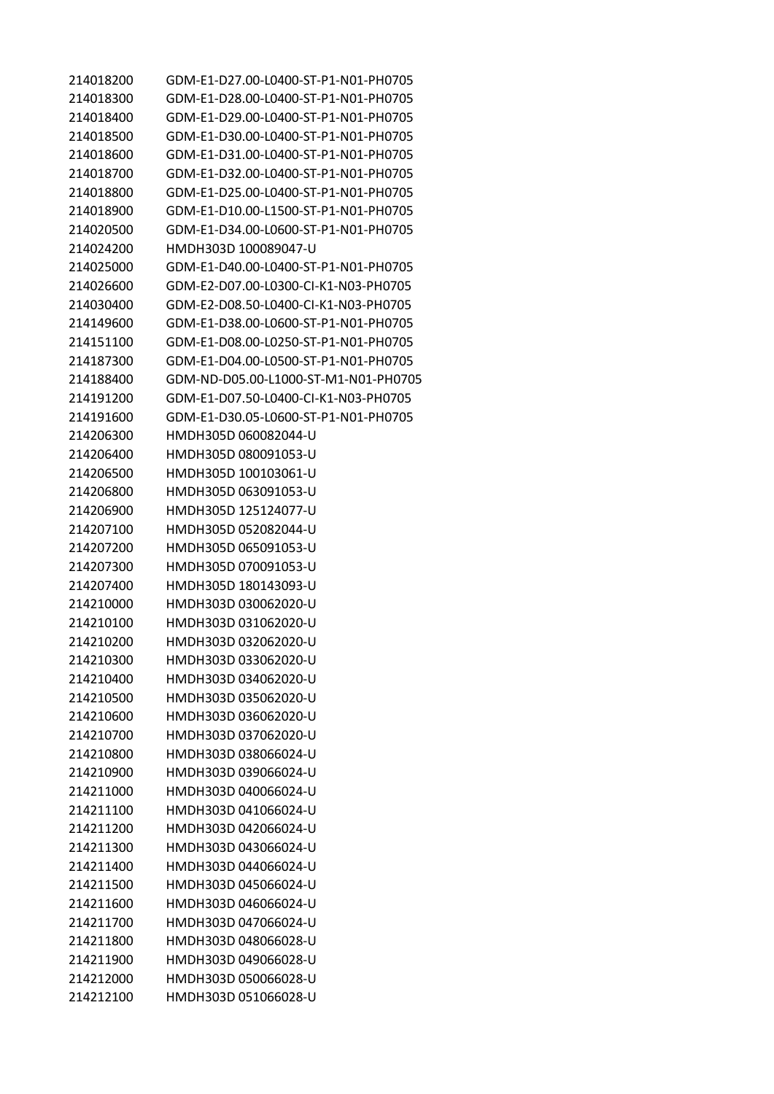GDM-E1-D27.00-L0400-ST-P1-N01-PH0705 GDM-E1-D28.00-L0400-ST-P1-N01-PH0705 GDM-E1-D29.00-L0400-ST-P1-N01-PH0705 GDM-E1-D30.00-L0400-ST-P1-N01-PH0705 GDM-E1-D31.00-L0400-ST-P1-N01-PH0705 GDM-E1-D32.00-L0400-ST-P1-N01-PH0705 GDM-E1-D25.00-L0400-ST-P1-N01-PH0705 GDM-E1-D10.00-L1500-ST-P1-N01-PH0705 GDM-E1-D34.00-L0600-ST-P1-N01-PH0705 HMDH303D 100089047-U GDM-E1-D40.00-L0400-ST-P1-N01-PH0705 GDM-E2-D07.00-L0300-CI-K1-N03-PH0705 GDM-E2-D08.50-L0400-CI-K1-N03-PH0705 GDM-E1-D38.00-L0600-ST-P1-N01-PH0705 GDM-E1-D08.00-L0250-ST-P1-N01-PH0705 GDM-E1-D04.00-L0500-ST-P1-N01-PH0705 GDM-ND-D05.00-L1000-ST-M1-N01-PH0705 GDM-E1-D07.50-L0400-CI-K1-N03-PH0705 GDM-E1-D30.05-L0600-ST-P1-N01-PH0705 HMDH305D 060082044-U HMDH305D 080091053-U HMDH305D 100103061-U HMDH305D 063091053-U HMDH305D 125124077-U HMDH305D 052082044-U HMDH305D 065091053-U HMDH305D 070091053-U HMDH305D 180143093-U HMDH303D 030062020-U HMDH303D 031062020-U HMDH303D 032062020-U HMDH303D 033062020-U HMDH303D 034062020-U HMDH303D 035062020-U HMDH303D 036062020-U HMDH303D 037062020-U HMDH303D 038066024-U HMDH303D 039066024-U HMDH303D 040066024-U HMDH303D 041066024-U HMDH303D 042066024-U HMDH303D 043066024-U HMDH303D 044066024-U HMDH303D 045066024-U HMDH303D 046066024-U HMDH303D 047066024-U HMDH303D 048066028-U HMDH303D 049066028-U HMDH303D 050066028-U HMDH303D 051066028-U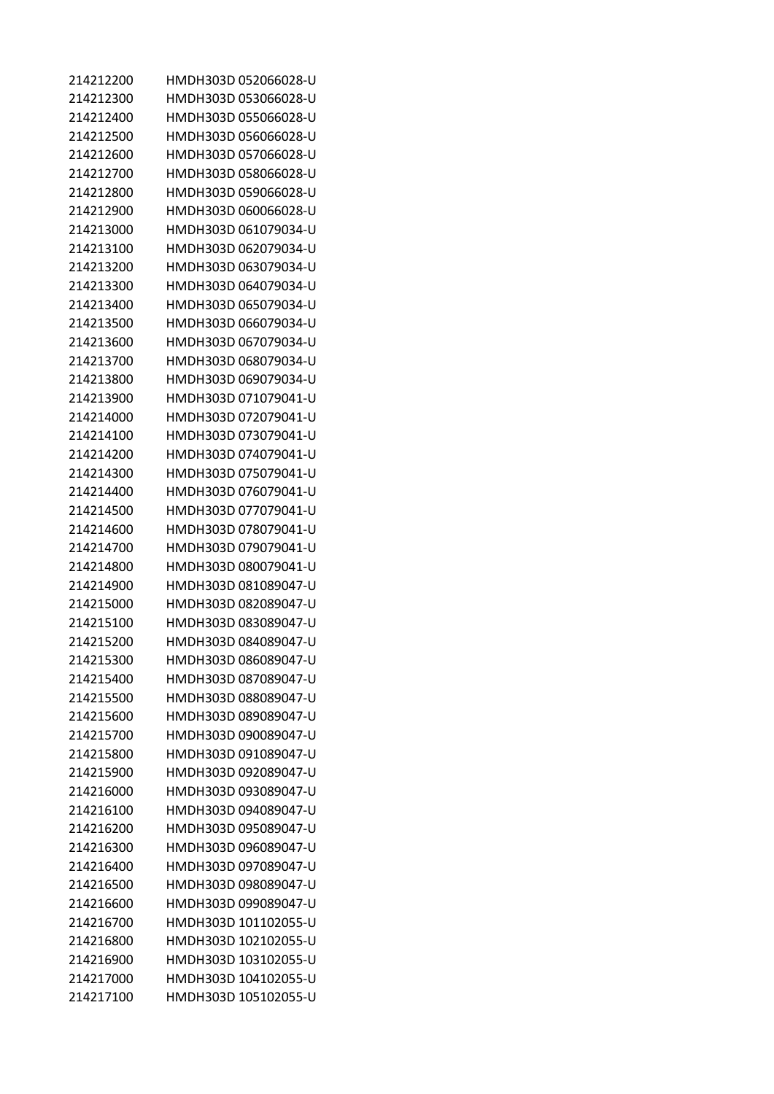| 214212200 | HMDH303D 052066028-U |
|-----------|----------------------|
| 214212300 | HMDH303D 053066028-U |
| 214212400 | HMDH303D 055066028-U |
| 214212500 | HMDH303D 056066028-U |
| 214212600 | HMDH303D 057066028-U |
| 214212700 | HMDH303D 058066028-U |
| 214212800 | HMDH303D 059066028-U |
| 214212900 | HMDH303D 060066028-U |
| 214213000 | HMDH303D 061079034-U |
| 214213100 | HMDH303D 062079034-U |
| 214213200 | HMDH303D 063079034-U |
| 214213300 | HMDH303D 064079034-U |
| 214213400 | HMDH303D 065079034-U |
| 214213500 | HMDH303D 066079034-U |
| 214213600 | HMDH303D 067079034-U |
| 214213700 | HMDH303D 068079034-U |
| 214213800 | HMDH303D 069079034-U |
| 214213900 | HMDH303D 071079041-U |
| 214214000 | HMDH303D 072079041-U |
| 214214100 | HMDH303D 073079041-U |
| 214214200 | HMDH303D 074079041-U |
| 214214300 | HMDH303D 075079041-U |
| 214214400 | HMDH303D 076079041-U |
| 214214500 | HMDH303D 077079041-U |
| 214214600 | HMDH303D 078079041-U |
| 214214700 | HMDH303D 079079041-U |
| 214214800 | HMDH303D 080079041-U |
| 214214900 | HMDH303D 081089047-U |
| 214215000 | HMDH303D 082089047-U |
| 214215100 | HMDH303D 083089047-U |
| 214215200 | HMDH303D 084089047-U |
| 214215300 | HMDH303D 086089047-U |
| 214215400 | HMDH303D 087089047-U |
| 214215500 | HMDH303D 088089047-U |
| 214215600 | HMDH303D 089089047-U |
| 214215700 | HMDH303D 090089047-U |
| 214215800 | HMDH303D 091089047-U |
| 214215900 | HMDH303D 092089047-U |
| 214216000 | HMDH303D 093089047-U |
| 214216100 | HMDH303D 094089047-U |
| 214216200 | HMDH303D 095089047-U |
| 214216300 | HMDH303D 096089047-U |
| 214216400 | HMDH303D 097089047-U |
| 214216500 | HMDH303D 098089047-U |
| 214216600 | HMDH303D 099089047-U |
| 214216700 | HMDH303D 101102055-U |
| 214216800 | HMDH303D 102102055-U |
| 214216900 | HMDH303D 103102055-U |
| 214217000 | HMDH303D 104102055-U |
| 214217100 | HMDH303D 105102055-U |
|           |                      |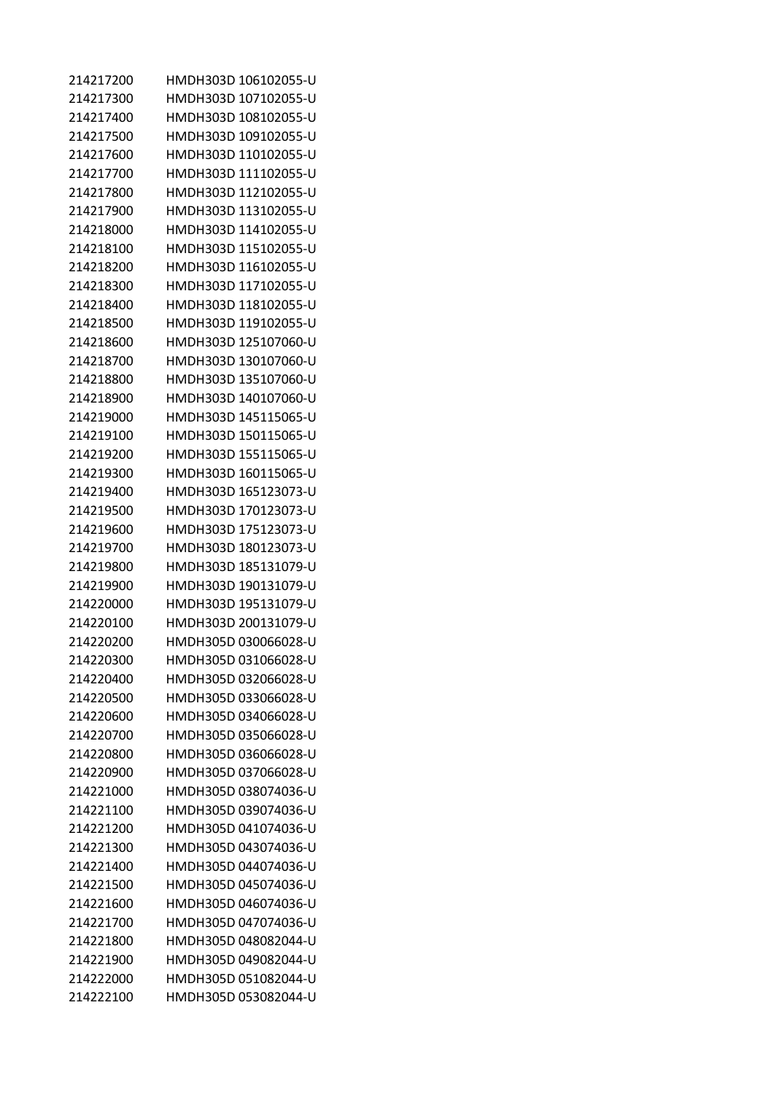| 214217200 | HMDH303D 106102055-U |
|-----------|----------------------|
| 214217300 | HMDH303D 107102055-U |
| 214217400 | HMDH303D 108102055-U |
| 214217500 | HMDH303D 109102055-U |
| 214217600 | HMDH303D 110102055-U |
| 214217700 | HMDH303D 111102055-U |
| 214217800 | HMDH303D 112102055-U |
| 214217900 | HMDH303D 113102055-U |
| 214218000 | HMDH303D 114102055-U |
| 214218100 | HMDH303D 115102055-U |
| 214218200 | HMDH303D 116102055-U |
| 214218300 | HMDH303D 117102055-U |
| 214218400 | HMDH303D 118102055-U |
| 214218500 | HMDH303D 119102055-U |
| 214218600 | HMDH303D 125107060-U |
| 214218700 | HMDH303D 130107060-U |
| 214218800 | HMDH303D 135107060-U |
| 214218900 | HMDH303D 140107060-U |
| 214219000 | HMDH303D 145115065-U |
| 214219100 | HMDH303D 150115065-U |
| 214219200 | HMDH303D 155115065-U |
| 214219300 | HMDH303D 160115065-U |
| 214219400 | HMDH303D 165123073-U |
| 214219500 | HMDH303D 170123073-U |
| 214219600 | HMDH303D 175123073-U |
| 214219700 | HMDH303D 180123073-U |
| 214219800 | HMDH303D 185131079-U |
| 214219900 | HMDH303D 190131079-U |
| 214220000 | HMDH303D 195131079-U |
| 214220100 | HMDH303D 200131079-U |
| 214220200 | HMDH305D 030066028-U |
| 214220300 | HMDH305D 031066028-U |
| 214220400 | HMDH305D 032066028-U |
| 214220500 | HMDH305D 033066028-U |
| 214220600 | HMDH305D 034066028-U |
| 214220700 | HMDH305D 035066028-U |
| 214220800 | HMDH305D 036066028-U |
| 214220900 | HMDH305D 037066028-U |
| 214221000 | HMDH305D 038074036-U |
| 214221100 | HMDH305D 039074036-U |
| 214221200 | HMDH305D 041074036-U |
| 214221300 | HMDH305D 043074036-U |
| 214221400 | HMDH305D 044074036-U |
| 214221500 | HMDH305D 045074036-U |
| 214221600 | HMDH305D 046074036-U |
| 214221700 | HMDH305D 047074036-U |
| 214221800 | HMDH305D 048082044-U |
| 214221900 | HMDH305D 049082044-U |
| 214222000 | HMDH305D 051082044-U |
| 214222100 | HMDH305D 053082044-U |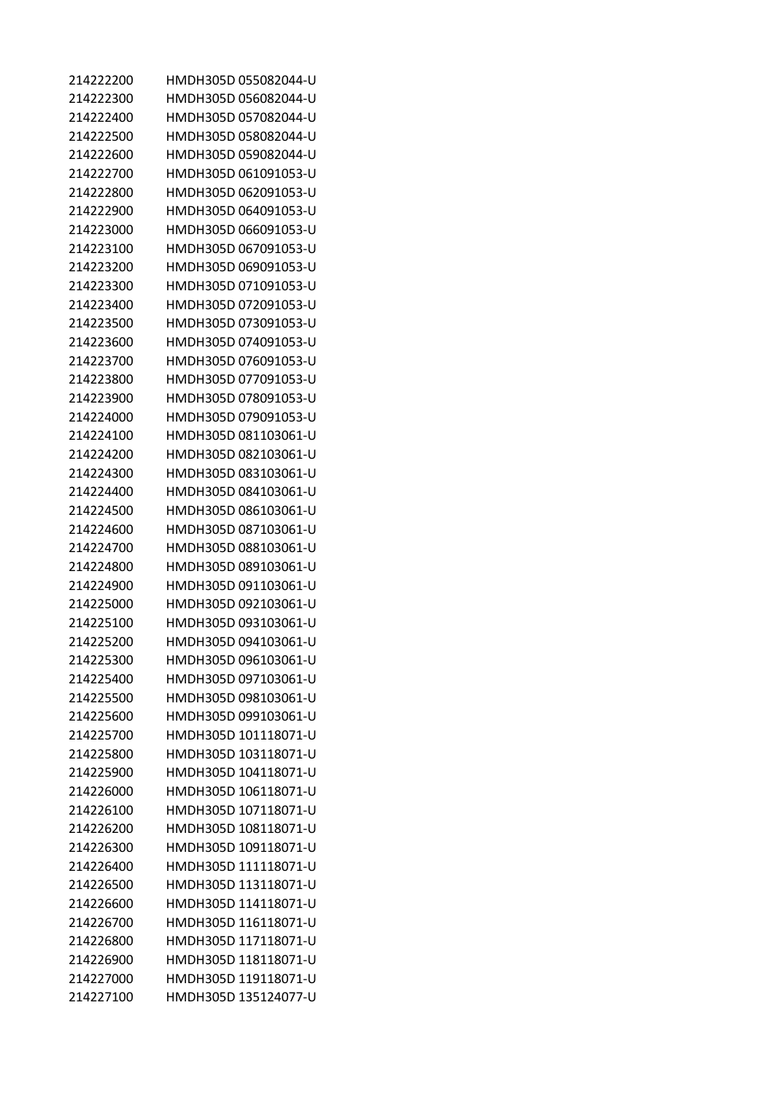| HMDH305D 055082044-U |
|----------------------|
| HMDH305D 056082044-U |
| HMDH305D 057082044-U |
| HMDH305D 058082044-U |
| HMDH305D 059082044-U |
| HMDH305D 061091053-U |
| HMDH305D 062091053-U |
| HMDH305D 064091053-U |
| HMDH305D 066091053-U |
| HMDH305D 067091053-U |
| HMDH305D 069091053-U |
| HMDH305D 071091053-U |
| HMDH305D 072091053-U |
| HMDH305D 073091053-U |
| HMDH305D 074091053-U |
| HMDH305D 076091053-U |
| HMDH305D 077091053-U |
| HMDH305D 078091053-U |
| HMDH305D 079091053-U |
| HMDH305D 081103061-U |
| HMDH305D 082103061-U |
| HMDH305D 083103061-U |
| HMDH305D 084103061-U |
| HMDH305D 086103061-U |
| HMDH305D 087103061-U |
| HMDH305D 088103061-U |
| HMDH305D 089103061-U |
| HMDH305D 091103061-U |
| HMDH305D 092103061-U |
| HMDH305D 093103061-U |
| HMDH305D 094103061-U |
| HMDH305D 096103061-U |
| HMDH305D 097103061-U |
| HMDH305D 098103061-U |
| HMDH305D 099103061-U |
| HMDH305D 101118071-U |
| HMDH305D 103118071-U |
| HMDH305D 104118071-U |
| HMDH305D 106118071-U |
| HMDH305D 107118071-U |
| HMDH305D 108118071-U |
| HMDH305D 109118071-U |
| HMDH305D 111118071-U |
|                      |
| HMDH305D 113118071-U |
| HMDH305D 114118071-U |
| HMDH305D 116118071-U |
| HMDH305D 117118071-U |
| HMDH305D 118118071-U |
| HMDH305D 119118071-U |
|                      |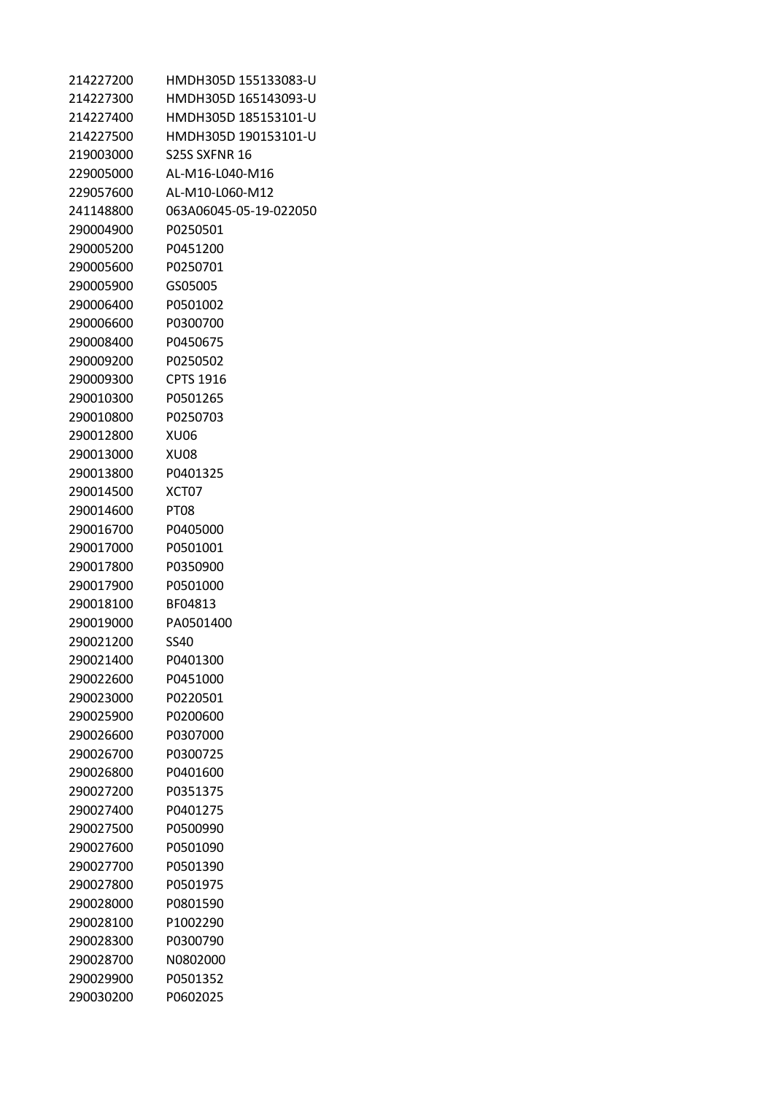| 214227200 | HMDH305D 155133083-U   |
|-----------|------------------------|
| 214227300 | HMDH305D 165143093-U   |
| 214227400 | HMDH305D 185153101-U   |
| 214227500 | HMDH305D 190153101-U   |
| 219003000 | S25S SXFNR 16          |
| 229005000 | AL-M16-L040-M16        |
| 229057600 | AL-M10-L060-M12        |
| 241148800 | 063A06045-05-19-022050 |
| 290004900 | P0250501               |
| 290005200 | P0451200               |
| 290005600 | P0250701               |
| 290005900 | GS05005                |
| 290006400 | P0501002               |
| 290006600 | P0300700               |
| 290008400 | P0450675               |
| 290009200 | P0250502               |
| 290009300 | <b>CPTS 1916</b>       |
| 290010300 | P0501265               |
| 290010800 | P0250703               |
| 290012800 | XU06                   |
| 290013000 | XU08                   |
| 290013800 | P0401325               |
| 290014500 | XCT07                  |
| 290014600 | PT08                   |
| 290016700 | P0405000               |
| 290017000 | P0501001               |
| 290017800 | P0350900               |
| 290017900 | P0501000               |
| 290018100 | BF04813                |
| 290019000 | PA0501400              |
| 290021200 | SS40                   |
| 290021400 | P0401300               |
| 290022600 | P0451000               |
| 290023000 | P0220501               |
| 290025900 | P0200600               |
| 290026600 | P0307000               |
| 290026700 | P0300725               |
| 290026800 | P0401600               |
| 290027200 | P0351375               |
| 290027400 | P0401275               |
| 290027500 | P0500990               |
| 290027600 | P0501090               |
| 290027700 | P0501390               |
| 290027800 | P0501975               |
| 290028000 | P0801590               |
| 290028100 | P1002290               |
| 290028300 | P0300790               |
| 290028700 | N0802000               |
| 290029900 | P0501352               |
|           |                        |
| 290030200 | P0602025               |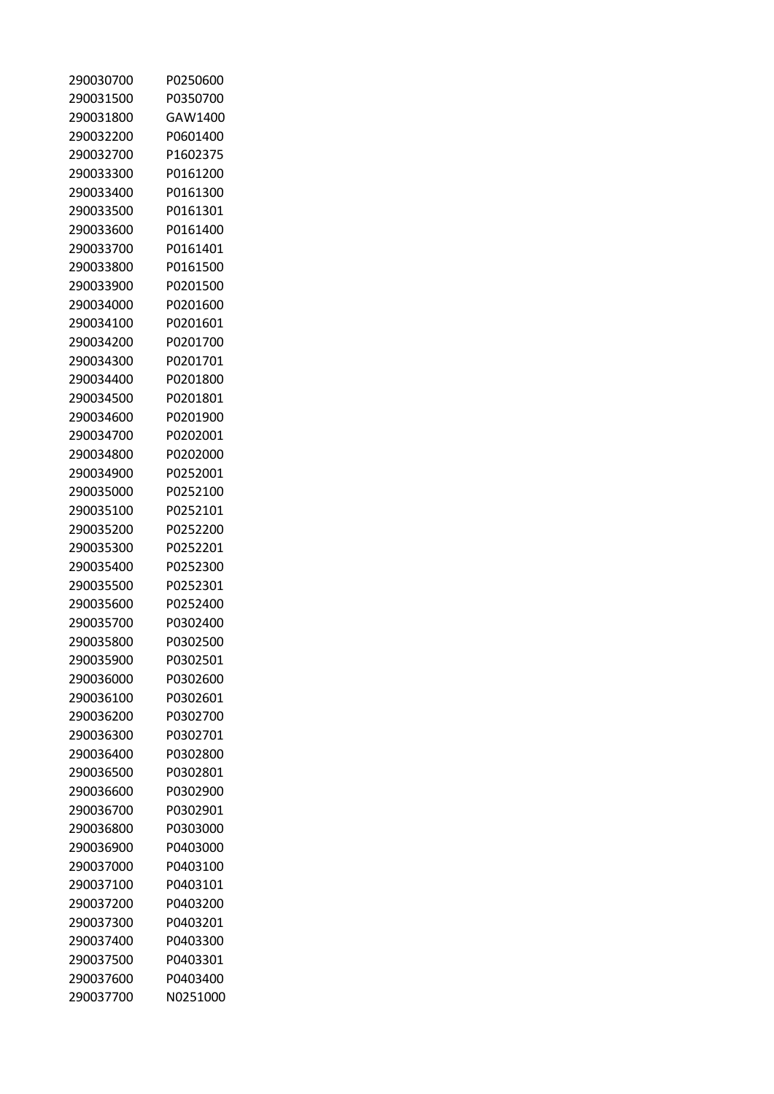| 290030700 | P0250600 |
|-----------|----------|
| 290031500 | P0350700 |
| 290031800 | GAW1400  |
| 290032200 | P0601400 |
| 290032700 | P1602375 |
| 290033300 | P0161200 |
| 290033400 | P0161300 |
| 290033500 | P0161301 |
| 290033600 | P0161400 |
| 290033700 | P0161401 |
| 290033800 | P0161500 |
| 290033900 | P0201500 |
| 290034000 | P0201600 |
| 290034100 | P0201601 |
| 290034200 | P0201700 |
| 290034300 | P0201701 |
| 290034400 | P0201800 |
| 290034500 | P0201801 |
| 290034600 | P0201900 |
| 290034700 | P0202001 |
| 290034800 | P0202000 |
| 290034900 | P0252001 |
| 290035000 | P0252100 |
| 290035100 | P0252101 |
| 290035200 | P0252200 |
| 290035300 | P0252201 |
| 290035400 | P0252300 |
| 290035500 | P0252301 |
| 290035600 | P0252400 |
| 290035700 | P0302400 |
| 290035800 | P0302500 |
| 290035900 | P0302501 |
| 290036000 | P0302600 |
| 290036100 | P0302601 |
| 290036200 | P0302700 |
| 290036300 | P0302701 |
| 290036400 | P0302800 |
| 290036500 | P0302801 |
| 290036600 | P0302900 |
| 290036700 | P0302901 |
| 290036800 | P0303000 |
| 290036900 | P0403000 |
| 290037000 | P0403100 |
| 290037100 | P0403101 |
| 290037200 | P0403200 |
| 290037300 | P0403201 |
| 290037400 | P0403300 |
| 290037500 | P0403301 |
| 290037600 | P0403400 |
| 290037700 | N0251000 |
|           |          |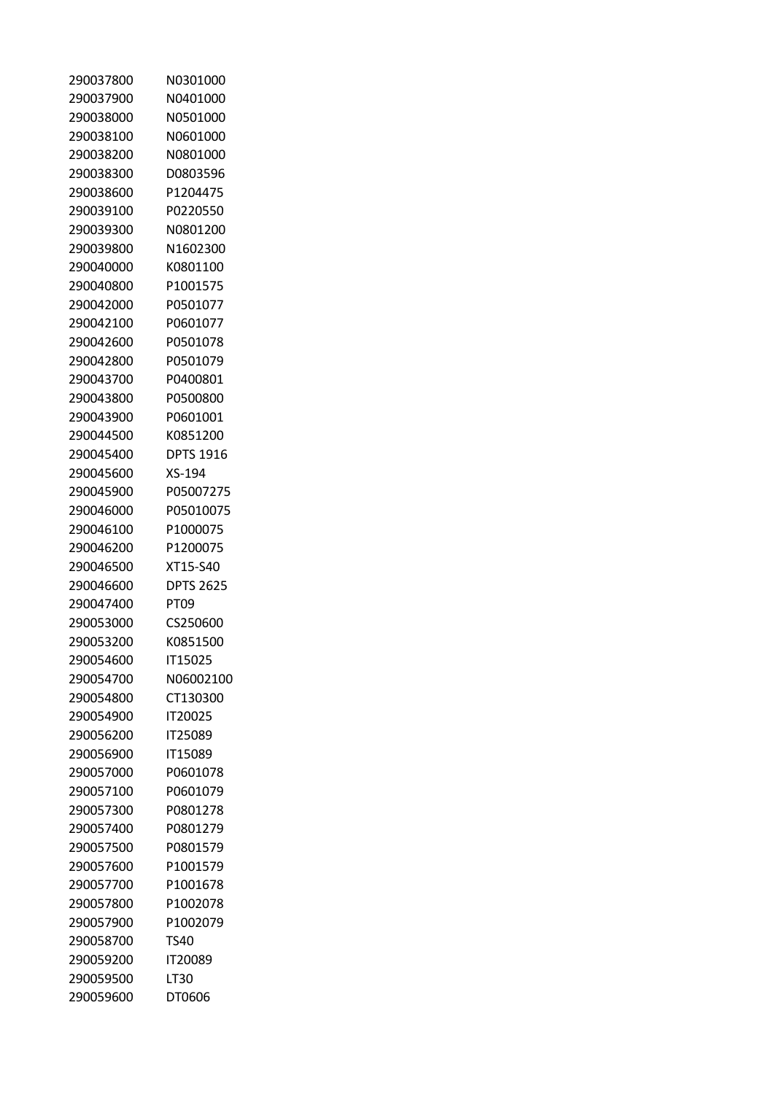| 290037800 | N0301000         |
|-----------|------------------|
| 290037900 | N0401000         |
| 290038000 | N0501000         |
| 290038100 | N0601000         |
| 290038200 | N0801000         |
| 290038300 | D0803596         |
| 290038600 | P1204475         |
| 290039100 | P0220550         |
| 290039300 | N0801200         |
| 290039800 | N1602300         |
| 290040000 | K0801100         |
| 290040800 | P1001575         |
| 290042000 | P0501077         |
| 290042100 | P0601077         |
| 290042600 | P0501078         |
| 290042800 | P0501079         |
| 290043700 | P0400801         |
| 290043800 | P0500800         |
| 290043900 | P0601001         |
| 290044500 | K0851200         |
| 290045400 | <b>DPTS 1916</b> |
| 290045600 | XS-194           |
| 290045900 | P05007275        |
| 290046000 | P05010075        |
| 290046100 | P1000075         |
| 290046200 | P1200075         |
| 290046500 | XT15-S40         |
| 290046600 | <b>DPTS 2625</b> |
| 290047400 | PT09             |
| 290053000 | CS250600         |
| 290053200 | K0851500         |
| 290054600 | IT15025          |
| 290054700 | N06002100        |
| 290054800 | CT130300         |
| 290054900 | <b>IT20025</b>   |
| 290056200 | <b>IT25089</b>   |
| 290056900 | IT15089          |
| 290057000 | P0601078         |
| 290057100 | P0601079         |
| 290057300 | P0801278         |
| 290057400 | P0801279         |
| 290057500 | P0801579         |
| 290057600 | P1001579         |
| 290057700 | P1001678         |
| 290057800 | P1002078         |
| 290057900 | P1002079         |
| 290058700 | TS40             |
| 290059200 | <b>IT20089</b>   |
| 290059500 | LT30             |
|           |                  |
| 290059600 | DT0606           |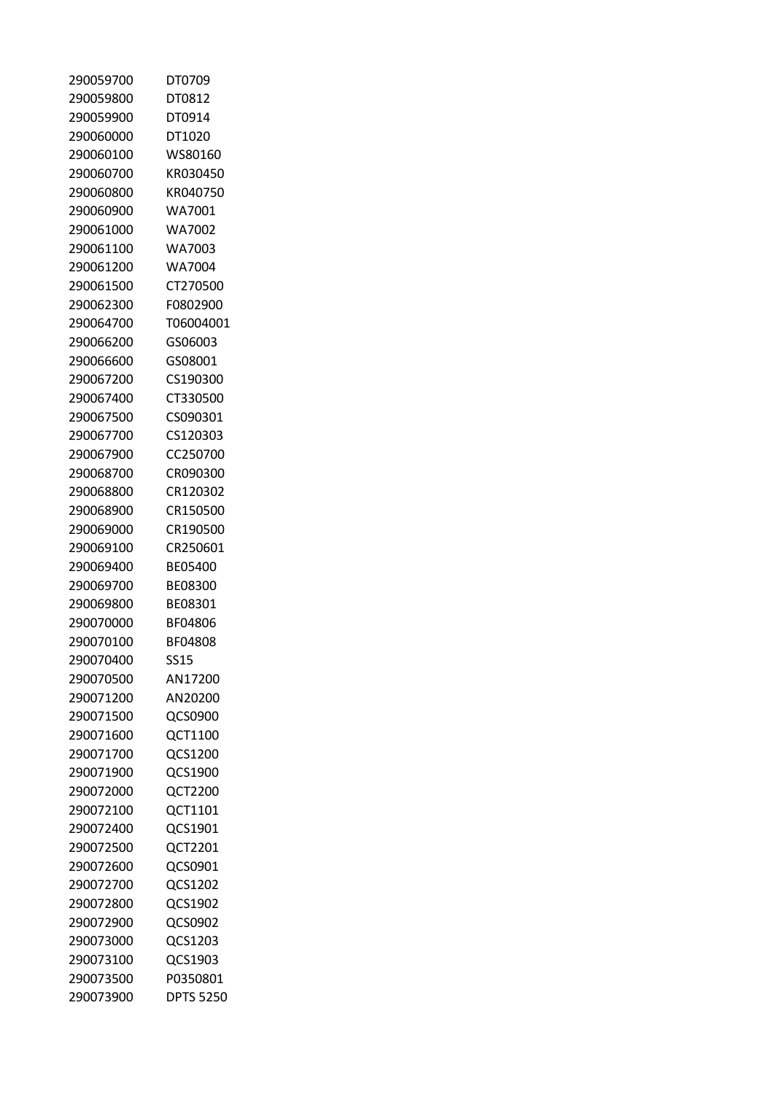| 290059700 | DT0709           |
|-----------|------------------|
| 290059800 | DT0812           |
| 290059900 | DT0914           |
| 290060000 | DT1020           |
| 290060100 | WS80160          |
| 290060700 | KR030450         |
| 290060800 | KR040750         |
| 290060900 | WA7001           |
| 290061000 | WA7002           |
| 290061100 | WA7003           |
| 290061200 | WA7004           |
| 290061500 | CT270500         |
| 290062300 | F0802900         |
| 290064700 | T06004001        |
| 290066200 | GS06003          |
| 290066600 | GS08001          |
| 290067200 | CS190300         |
| 290067400 | CT330500         |
| 290067500 | CS090301         |
| 290067700 | CS120303         |
| 290067900 | CC250700         |
| 290068700 | CR090300         |
| 290068800 | CR120302         |
| 290068900 | CR150500         |
| 290069000 | CR190500         |
| 290069100 | CR250601         |
| 290069400 | BE05400          |
| 290069700 | BF08300          |
| 290069800 | BF08301          |
|           |                  |
| 290070000 | BF04806          |
| 290070100 | BF04808          |
| 290070400 | <b>SS15</b>      |
| 290070500 | AN17200          |
| 290071200 | AN20200          |
| 290071500 | QCS0900          |
| 290071600 | QCT1100          |
| 290071700 | QCS1200          |
| 290071900 | QCS1900          |
| 290072000 | <b>QCT2200</b>   |
| 290072100 | QCT1101          |
| 290072400 | QCS1901          |
| 290072500 | QCT2201          |
| 290072600 | QCS0901          |
| 290072700 | QCS1202          |
| 290072800 | QCS1902          |
| 290072900 | QCS0902          |
| 290073000 | QCS1203          |
| 290073100 | QCS1903          |
| 290073500 | P0350801         |
| 290073900 | <b>DPTS 5250</b> |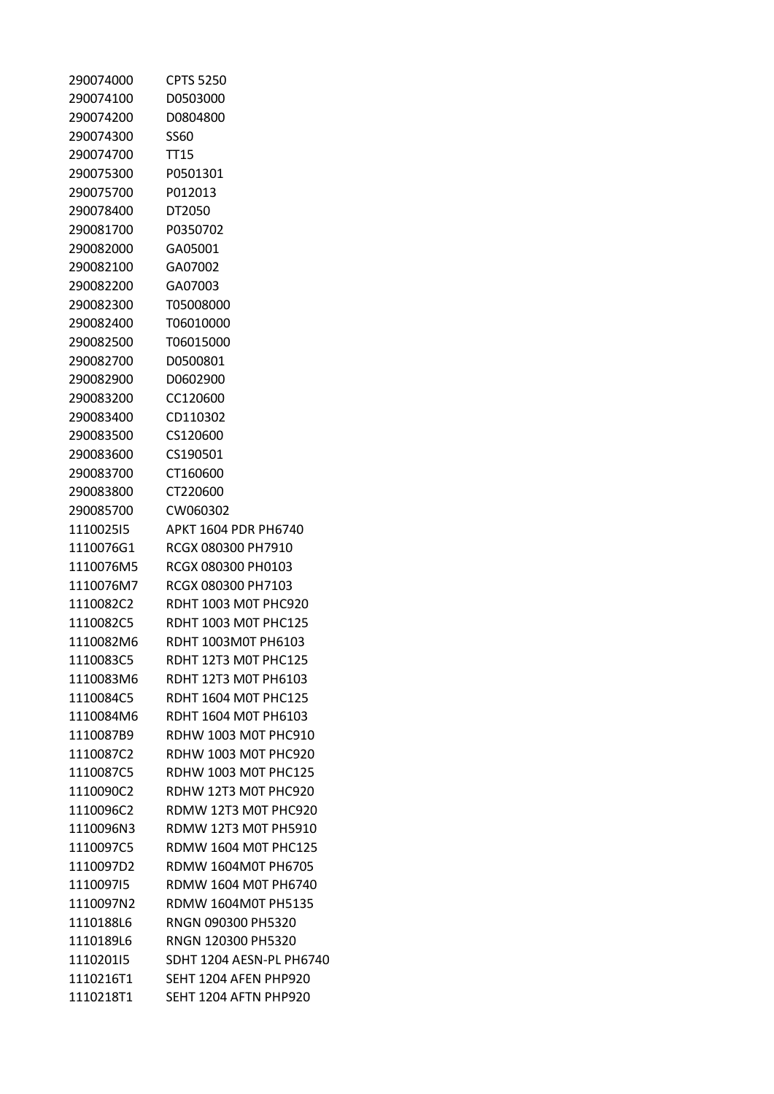| 290074000 | <b>CPTS 5250</b>            |
|-----------|-----------------------------|
| 290074100 | D0503000                    |
| 290074200 | D0804800                    |
| 290074300 | SS60                        |
| 290074700 | <b>TT15</b>                 |
| 290075300 | P0501301                    |
| 290075700 | P012013                     |
| 290078400 | DT2050                      |
| 290081700 | P0350702                    |
| 290082000 | GA05001                     |
| 290082100 | GA07002                     |
| 290082200 | GA07003                     |
| 290082300 | T05008000                   |
| 290082400 | T06010000                   |
| 290082500 | T06015000                   |
| 290082700 | D0500801                    |
| 290082900 | D0602900                    |
| 290083200 | CC120600                    |
| 290083400 | CD110302                    |
| 290083500 | CS120600                    |
| 290083600 | CS190501                    |
| 290083700 | CT160600                    |
| 290083800 | CT220600                    |
| 290085700 | CW060302                    |
| 111002515 | APKT 1604 PDR PH6740        |
| 1110076G1 | RCGX 080300 PH7910          |
| 1110076M5 | RCGX 080300 PH0103          |
| 1110076M7 | RCGX 080300 PH7103          |
| 1110082C2 | RDHT 1003 M0T PHC920        |
| 1110082C5 | <b>RDHT 1003 M0T PHC125</b> |
| 1110082M6 | RDHT 1003M0T PH6103         |
| 1110083C5 | RDHT 12T3 M0T PHC125        |
| 1110083M6 | RDHT 12T3 M0T PH6103        |
| 1110084C5 | <b>RDHT 1604 M0T PHC125</b> |
| 1110084M6 | RDHT 1604 M0T PH6103        |
| 1110087B9 | RDHW 1003 M0T PHC910        |
| 1110087C2 | RDHW 1003 M0T PHC920        |
| 1110087C5 | <b>RDHW 1003 M0T PHC125</b> |
| 1110090C2 | RDHW 12T3 M0T PHC920        |
| 1110096C2 | RDMW 12T3 M0T PHC920        |
| 1110096N3 | RDMW 12T3 M0T PH5910        |
| 1110097C5 | <b>RDMW 1604 M0T PHC125</b> |
| 1110097D2 | <b>RDMW 1604M0T PH6705</b>  |
| 111009715 | RDMW 1604 M0T PH6740        |
| 1110097N2 | RDMW 1604M0T PH5135         |
| 1110188L6 | RNGN 090300 PH5320          |
| 1110189L6 | RNGN 120300 PH5320          |
| 111020115 | SDHT 1204 AESN-PL PH6740    |
| 1110216T1 | SEHT 1204 AFEN PHP920       |
| 1110218T1 | SEHT 1204 AFTN PHP920       |
|           |                             |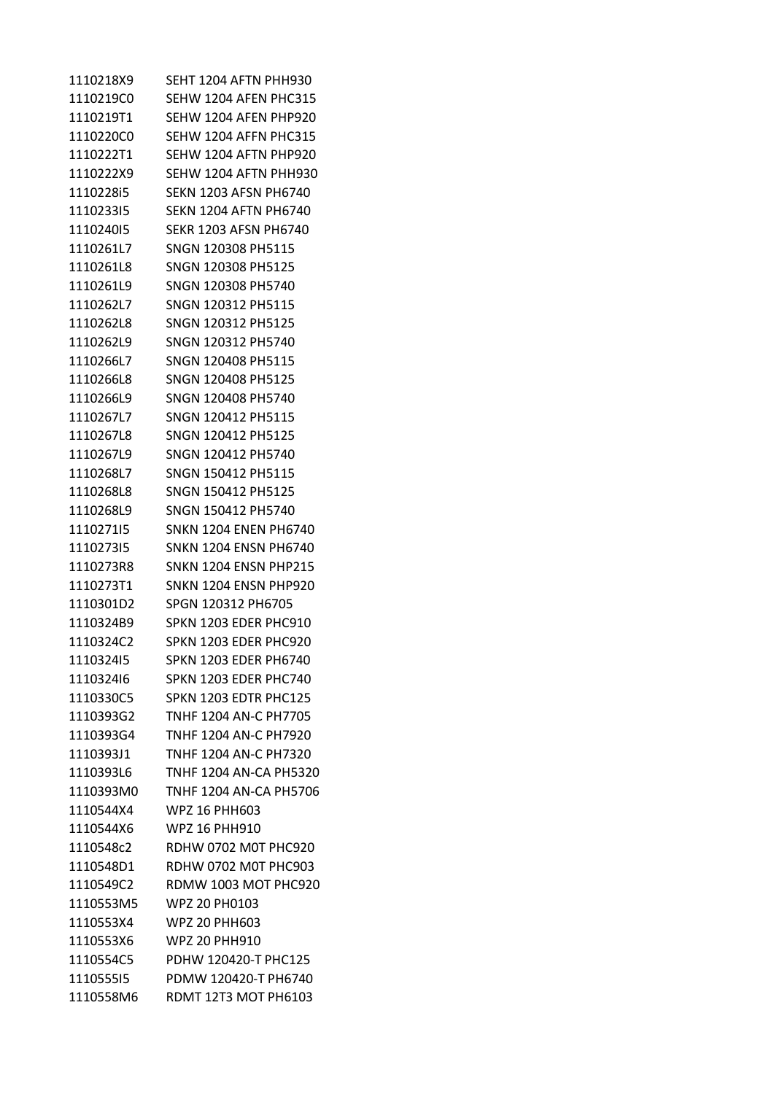| 1110218X9 | SEHT 1204 AFTN PHH930         |
|-----------|-------------------------------|
| 1110219C0 | SEHW 1204 AFEN PHC315         |
| 1110219T1 | SEHW 1204 AFEN PHP920         |
| 1110220C0 | SEHW 1204 AFFN PHC315         |
| 1110222T1 | SEHW 1204 AFTN PHP920         |
| 1110222X9 | SEHW 1204 AFTN PHH930         |
| 1110228i5 | <b>SEKN 1203 AFSN PH6740</b>  |
| 111023315 | <b>SEKN 1204 AFTN PH6740</b>  |
| 111024015 | SEKR 1203 AFSN PH6740         |
| 1110261L7 | SNGN 120308 PH5115            |
| 1110261L8 | SNGN 120308 PH5125            |
| 1110261L9 | SNGN 120308 PH5740            |
| 1110262L7 | SNGN 120312 PH5115            |
| 1110262L8 | SNGN 120312 PH5125            |
| 1110262L9 | SNGN 120312 PH5740            |
| 1110266L7 | SNGN 120408 PH5115            |
| 1110266L8 | SNGN 120408 PH5125            |
| 1110266L9 | SNGN 120408 PH5740            |
| 1110267L7 | SNGN 120412 PH5115            |
| 1110267L8 | SNGN 120412 PH5125            |
| 1110267L9 | SNGN 120412 PH5740            |
| 1110268L7 | SNGN 150412 PH5115            |
| 1110268L8 | SNGN 150412 PH5125            |
| 1110268L9 | SNGN 150412 PH5740            |
| 111027115 | <b>SNKN 1204 ENEN PH6740</b>  |
| 111027315 | <b>SNKN 1204 ENSN PH6740</b>  |
| 1110273R8 | <b>SNKN 1204 ENSN PHP215</b>  |
| 1110273T1 | SNKN 1204 ENSN PHP920         |
| 1110301D2 | SPGN 120312 PH6705            |
| 1110324B9 | SPKN 1203 EDER PHC910         |
| 1110324C2 | SPKN 1203 EDER PHC920         |
| 111032415 | SPKN 1203 EDER PH6740         |
| 111032416 | SPKN 1203 EDER PHC740         |
| 1110330C5 | SPKN 1203 EDTR PHC125         |
| 1110393G2 | TNHF 1204 AN-C PH7705         |
| 1110393G4 | TNHF 1204 AN-C PH7920         |
| 1110393J1 | TNHF 1204 AN-C PH7320         |
| 1110393L6 | <b>TNHF 1204 AN-CA PH5320</b> |
| 1110393M0 | TNHF 1204 AN-CA PH5706        |
| 1110544X4 | WPZ 16 PHH603                 |
| 1110544X6 | WPZ 16 PHH910                 |
| 1110548c2 | RDHW 0702 M0T PHC920          |
| 1110548D1 | RDHW 0702 M0T PHC903          |
| 1110549C2 | RDMW 1003 MOT PHC920          |
| 1110553M5 | WPZ 20 PH0103                 |
| 1110553X4 | <b>WPZ 20 PHH603</b>          |
| 1110553X6 | <b>WPZ 20 PHH910</b>          |
| 1110554C5 | PDHW 120420-T PHC125          |
| 111055515 | PDMW 120420-T PH6740          |
| 1110558M6 | RDMT 12T3 MOT PH6103          |
|           |                               |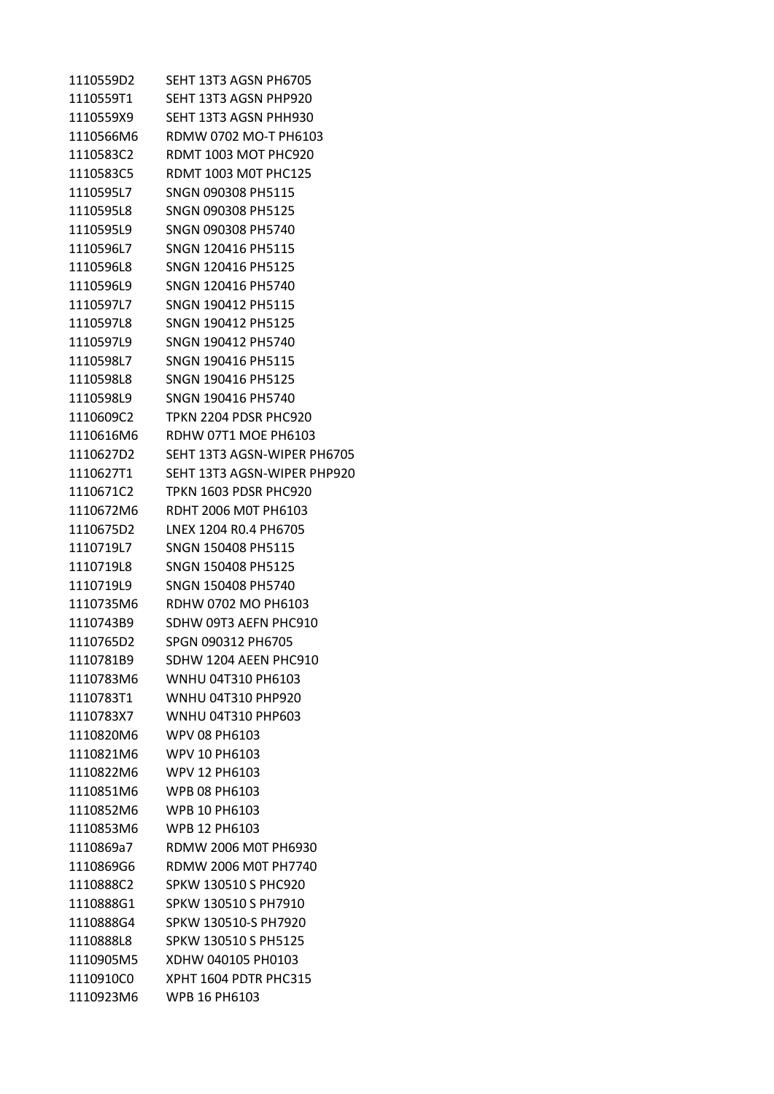| 1110559D2 | SEHT 13T3 AGSN PH6705       |
|-----------|-----------------------------|
| 1110559T1 | SEHT 13T3 AGSN PHP920       |
| 1110559X9 | SEHT 13T3 AGSN PHH930       |
| 1110566M6 | RDMW 0702 MO-T PH6103       |
| 1110583C2 | RDMT 1003 MOT PHC920        |
| 1110583C5 | <b>RDMT 1003 M0T PHC125</b> |
| 1110595L7 | SNGN 090308 PH5115          |
| 1110595L8 | SNGN 090308 PH5125          |
| 1110595L9 | SNGN 090308 PH5740          |
| 1110596L7 | SNGN 120416 PH5115          |
| 1110596L8 | SNGN 120416 PH5125          |
| 1110596L9 | SNGN 120416 PH5740          |
| 1110597L7 | SNGN 190412 PH5115          |
| 1110597L8 | SNGN 190412 PH5125          |
| 1110597L9 | SNGN 190412 PH5740          |
| 1110598L7 | SNGN 190416 PH5115          |
| 1110598L8 | SNGN 190416 PH5125          |
| 1110598L9 | SNGN 190416 PH5740          |
| 1110609C2 | TPKN 2204 PDSR PHC920       |
| 1110616M6 | RDHW 07T1 MOE PH6103        |
| 1110627D2 | SEHT 13T3 AGSN-WIPER PH6705 |
| 1110627T1 | SEHT 13T3 AGSN-WIPER PHP920 |
| 1110671C2 | TPKN 1603 PDSR PHC920       |
| 1110672M6 | RDHT 2006 MOT PH6103        |
| 1110675D2 | LNEX 1204 RO.4 PH6705       |
| 1110719L7 | SNGN 150408 PH5115          |
| 1110719L8 | SNGN 150408 PH5125          |
| 1110719L9 | SNGN 150408 PH5740          |
| 1110735M6 | RDHW 0702 MO PH6103         |
| 1110743B9 | SDHW 09T3 AEFN PHC910       |
| 1110765D2 | SPGN 090312 PH6705          |
| 1110781B9 | SDHW 1204 AEEN PHC910       |
| 1110783M6 | WNHU 04T310 PH6103          |
| 1110783T1 | <b>WNHU 04T310 PHP920</b>   |
| 1110783X7 | WNHU 04T310 PHP603          |
| 1110820M6 | WPV 08 PH6103               |
| 1110821M6 | WPV 10 PH6103               |
| 1110822M6 | <b>WPV 12 PH6103</b>        |
| 1110851M6 | <b>WPB 08 PH6103</b>        |
| 1110852M6 | <b>WPB 10 PH6103</b>        |
| 1110853M6 | <b>WPB 12 PH6103</b>        |
| 1110869a7 | RDMW 2006 M0T PH6930        |
| 1110869G6 | RDMW 2006 M0T PH7740        |
| 1110888C2 | SPKW 130510 S PHC920        |
| 1110888G1 | SPKW 130510 S PH7910        |
| 1110888G4 | SPKW 130510-S PH7920        |
| 1110888L8 | SPKW 130510 S PH5125        |
| 1110905M5 | XDHW 040105 PH0103          |
| 1110910C0 | XPHT 1604 PDTR PHC315       |
| 1110923M6 | WPB 16 PH6103               |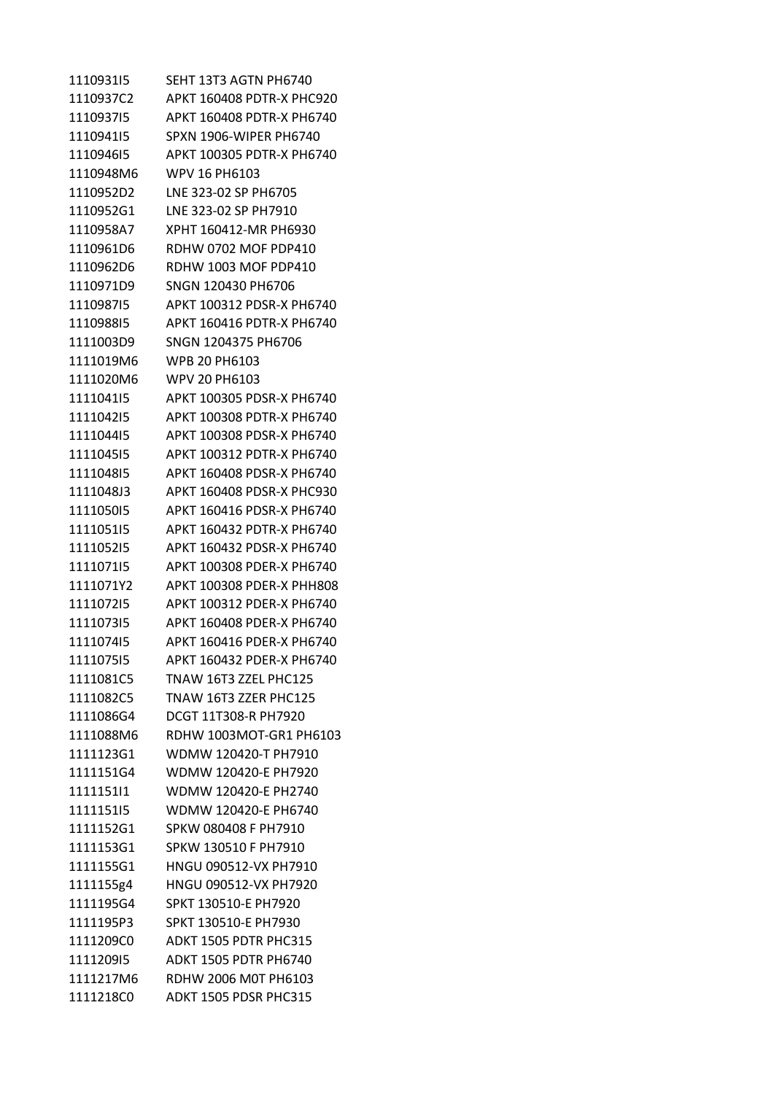1110931I5 SEHT 13T3 AGTN PH6740 1110937C2 APKT 160408 PDTR-X PHC920 1110937I5 APKT 160408 PDTR-X PH6740 1110941I5 SPXN 1906-WIPER PH6740 1110946I5 APKT 100305 PDTR-X PH6740 1110948M6 WPV 16 PH6103 1110952D2 LNE 323-02 SP PH6705 1110952G1 LNE 323-02 SP PH7910 1110958A7 XPHT 160412-MR PH6930 1110961D6 RDHW 0702 MOF PDP410 1110962D6 RDHW 1003 MOF PDP410 1110971D9 SNGN 120430 PH6706 1110987I5 APKT 100312 PDSR-X PH6740 1110988I5 APKT 160416 PDTR-X PH6740 1111003D9 SNGN 1204375 PH6706 1111019M6 WPB 20 PH6103 1111020M6 WPV 20 PH6103 1111041I5 APKT 100305 PDSR-X PH6740 1111042I5 APKT 100308 PDTR-X PH6740 1111044I5 APKT 100308 PDSR-X PH6740 1111045I5 APKT 100312 PDTR-X PH6740 1111048I5 APKT 160408 PDSR-X PH6740 1111048J3 APKT 160408 PDSR-X PHC930 1111050I5 APKT 160416 PDSR-X PH6740 1111051I5 APKT 160432 PDTR-X PH6740 1111052I5 APKT 160432 PDSR-X PH6740 1111071I5 APKT 100308 PDER-X PH6740 1111071Y2 APKT 100308 PDER-X PHH808 1111072I5 APKT 100312 PDER-X PH6740 1111073I5 APKT 160408 PDER-X PH6740 1111074I5 APKT 160416 PDER-X PH6740 1111075I5 APKT 160432 PDER-X PH6740 1111081C5 TNAW 16T3 ZZEL PHC125 1111082C5 TNAW 16T3 ZZER PHC125 1111086G4 DCGT 11T308-R PH7920 1111088M6 RDHW 1003MOT-GR1 PH6103 1111123G1 WDMW 120420-T PH7910 1111151G4 WDMW 120420-E PH7920 1111151I1 WDMW 120420-E PH2740 1111151I5 WDMW 120420-E PH6740 1111152G1 SPKW 080408 F PH7910 1111153G1 SPKW 130510 F PH7910 1111155G1 HNGU 090512-VX PH7910 1111155g4 HNGU 090512-VX PH7920 1111195G4 SPKT 130510-E PH7920 1111195P3 SPKT 130510-E PH7930 1111209C0 ADKT 1505 PDTR PHC315 1111209I5 ADKT 1505 PDTR PH6740 1111217M6 RDHW 2006 M0T PH6103 1111218C0 ADKT 1505 PDSR PHC315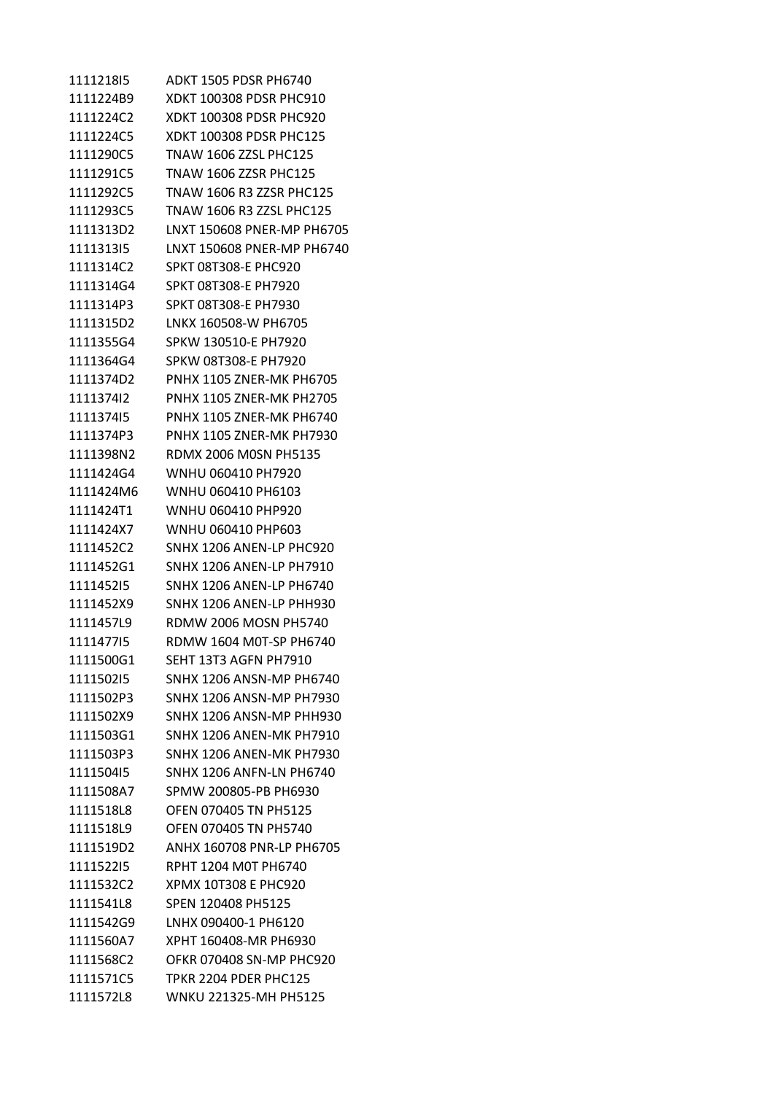1111218I5 ADKT 1505 PDSR PH6740 1111224B9 XDKT 100308 PDSR PHC910 1111224C2 XDKT 100308 PDSR PHC920 1111224C5 XDKT 100308 PDSR PHC125 1111290C5 TNAW 1606 ZZSL PHC125 1111291C5 TNAW 1606 ZZSR PHC125 1111292C5 TNAW 1606 R3 ZZSR PHC125 1111293C5 TNAW 1606 R3 ZZSL PHC125 1111313D2 LNXT 150608 PNER-MP PH6705 1111313I5 LNXT 150608 PNER-MP PH6740 1111314C2 SPKT 08T308-E PHC920 1111314G4 SPKT 08T308-E PH7920 1111314P3 SPKT 08T308-E PH7930 1111315D2 LNKX 160508-W PH6705 1111355G4 SPKW 130510-E PH7920 1111364G4 SPKW 08T308-E PH7920 1111374D2 PNHX 1105 ZNER-MK PH6705 1111374I2 PNHX 1105 ZNER-MK PH2705 1111374I5 PNHX 1105 ZNER-MK PH6740 1111374P3 PNHX 1105 ZNER-MK PH7930 1111398N2 RDMX 2006 M0SN PH5135 1111424G4 WNHU 060410 PH7920 1111424M6 WNHU 060410 PH6103 1111424T1 WNHU 060410 PHP920 1111424X7 WNHU 060410 PHP603 1111452C2 SNHX 1206 ANEN-LP PHC920 1111452G1 SNHX 1206 ANEN-LP PH7910 1111452I5 SNHX 1206 ANEN-LP PH6740 1111452X9 SNHX 1206 ANEN-LP PHH930 1111457L9 RDMW 2006 MOSN PH5740 1111477I5 RDMW 1604 M0T-SP PH6740 1111500G1 SEHT 13T3 AGFN PH7910 1111502I5 SNHX 1206 ANSN-MP PH6740 1111502P3 SNHX 1206 ANSN-MP PH7930 1111502X9 SNHX 1206 ANSN-MP PHH930 1111503G1 SNHX 1206 ANEN-MK PH7910 1111503P3 SNHX 1206 ANEN-MK PH7930 1111504I5 SNHX 1206 ANFN-LN PH6740 1111508A7 SPMW 200805-PB PH6930 1111518L8 OFEN 070405 TN PH5125 1111518L9 OFEN 070405 TN PH5740 1111519D2 ANHX 160708 PNR-LP PH6705 1111522I5 RPHT 1204 M0T PH6740 1111532C2 XPMX 10T308 E PHC920 1111541L8 SPEN 120408 PH5125 1111542G9 LNHX 090400-1 PH6120 1111560A7 XPHT 160408-MR PH6930 1111568C2 OFKR 070408 SN-MP PHC920 1111571C5 TPKR 2204 PDER PHC125 1111572L8 WNKU 221325-MH PH5125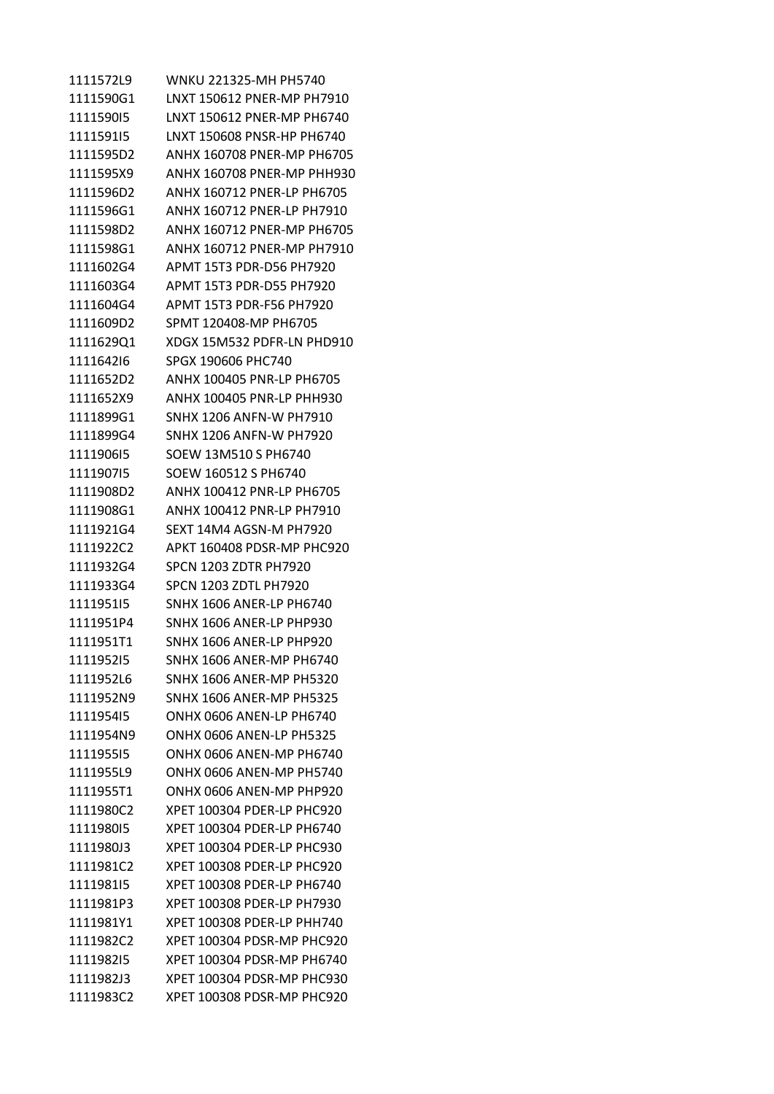1111572L9 WNKU 221325-MH PH5740 1111590G1 LNXT 150612 PNER-MP PH7910 1111590I5 LNXT 150612 PNER-MP PH6740 1111591I5 LNXT 150608 PNSR-HP PH6740 1111595D2 ANHX 160708 PNER-MP PH6705 1111595X9 ANHX 160708 PNER-MP PHH930 1111596D2 ANHX 160712 PNER-LP PH6705 1111596G1 ANHX 160712 PNER-LP PH7910 1111598D2 ANHX 160712 PNER-MP PH6705 1111598G1 ANHX 160712 PNER-MP PH7910 1111602G4 APMT 15T3 PDR-D56 PH7920 1111603G4 APMT 15T3 PDR-D55 PH7920 1111604G4 APMT 15T3 PDR-F56 PH7920 1111609D2 SPMT 120408-MP PH6705 1111629Q1 XDGX 15M532 PDFR-LN PHD910 1111642I6 SPGX 190606 PHC740 1111652D2 ANHX 100405 PNR-LP PH6705 1111652X9 ANHX 100405 PNR-LP PHH930 1111899G1 SNHX 1206 ANFN-W PH7910 1111899G4 SNHX 1206 ANFN-W PH7920 1111906I5 SOEW 13M510 S PH6740 1111907I5 SOEW 160512 S PH6740 1111908D2 ANHX 100412 PNR-LP PH6705 1111908G1 ANHX 100412 PNR-LP PH7910 1111921G4 SEXT 14M4 AGSN-M PH7920 1111922C2 APKT 160408 PDSR-MP PHC920 1111932G4 SPCN 1203 ZDTR PH7920 1111933G4 SPCN 1203 ZDTL PH7920 1111951I5 SNHX 1606 ANER-LP PH6740 1111951P4 SNHX 1606 ANER-LP PHP930 1111951T1 SNHX 1606 ANER-LP PHP920 1111952I5 SNHX 1606 ANER-MP PH6740 1111952L6 SNHX 1606 ANER-MP PH5320 1111952N9 SNHX 1606 ANER-MP PH5325 1111954I5 ONHX 0606 ANEN-LP PH6740 1111954N9 ONHX 0606 ANEN-LP PH5325 1111955I5 ONHX 0606 ANEN-MP PH6740 1111955L9 ONHX 0606 ANEN-MP PH5740 1111955T1 ONHX 0606 ANEN-MP PHP920 1111980C2 XPET 100304 PDER-LP PHC920 1111980I5 XPET 100304 PDER-LP PH6740 1111980J3 XPET 100304 PDER-LP PHC930 1111981C2 XPET 100308 PDER-LP PHC920 1111981I5 XPET 100308 PDER-LP PH6740 1111981P3 XPET 100308 PDER-LP PH7930 1111981Y1 XPET 100308 PDER-LP PHH740 1111982C2 XPET 100304 PDSR-MP PHC920 1111982I5 XPET 100304 PDSR-MP PH6740 1111982J3 XPET 100304 PDSR-MP PHC930 1111983C2 XPET 100308 PDSR-MP PHC920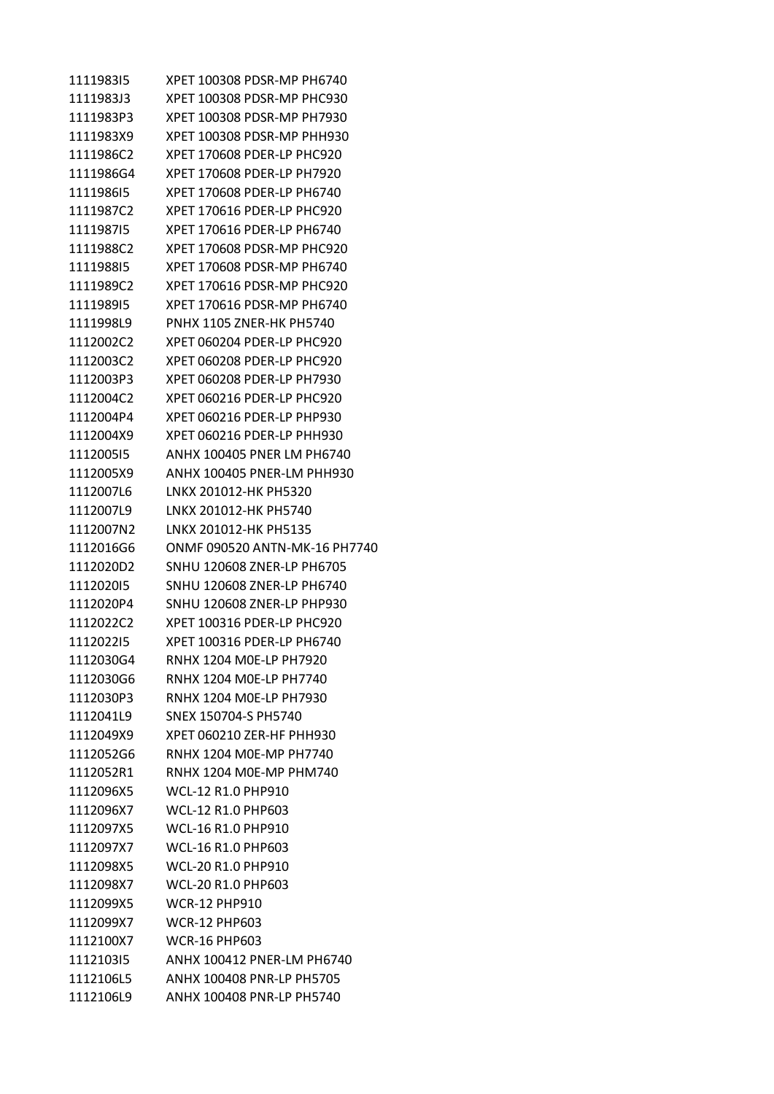| 111198315 | XPET 100308 PDSR-MP PH6740        |
|-----------|-----------------------------------|
| 1111983J3 | XPET 100308 PDSR-MP PHC930        |
| 1111983P3 | XPET 100308 PDSR-MP PH7930        |
| 1111983X9 | XPET 100308 PDSR-MP PHH930        |
| 1111986C2 | XPET 170608 PDER-LP PHC920        |
| 1111986G4 | XPET 170608 PDER-LP PH7920        |
| 111198615 | XPET 170608 PDER-LP PH6740        |
| 1111987C2 | XPET 170616 PDER-LP PHC920        |
| 111198715 | XPET 170616 PDER-LP PH6740        |
| 1111988C2 | XPET 170608 PDSR-MP PHC920        |
| 111198815 | XPET 170608 PDSR-MP PH6740        |
| 1111989C2 | XPET 170616 PDSR-MP PHC920        |
| 111198915 | XPET 170616 PDSR-MP PH6740        |
| 1111998L9 | <b>PNHX 1105 ZNER-HK PH5740</b>   |
| 1112002C2 | XPET 060204 PDER-LP PHC920        |
| 1112003C2 | XPET 060208 PDER-LP PHC920        |
| 1112003P3 | XPET 060208 PDER-LP PH7930        |
| 1112004C2 | XPET 060216 PDER-LP PHC920        |
| 1112004P4 | XPET 060216 PDER-LP PHP930        |
| 1112004X9 | XPET 060216 PDER-LP PHH930        |
| 111200515 | ANHX 100405 PNER LM PH6740        |
| 1112005X9 | ANHX 100405 PNER-LM PHH930        |
| 1112007L6 | LNKX 201012-HK PH5320             |
| 1112007L9 | LNKX 201012-HK PH5740             |
| 1112007N2 | LNKX 201012-HK PH5135             |
| 1112016G6 | ONMF 090520 ANTN-MK-16 PH7740     |
| 1112020D2 | SNHU 120608 ZNER-LP PH6705        |
| 111202015 | <b>SNHU 120608 ZNER-LP PH6740</b> |
| 1112020P4 | <b>SNHU 120608 ZNER-LP PHP930</b> |
| 1112022C2 | XPET 100316 PDER-LP PHC920        |
| 111202215 | XPET 100316 PDER-LP PH6740        |
| 1112030G4 | RNHX 1204 M0E-LP PH7920           |
| 1112030G6 | RNHX 1204 MOF-LP PH7740           |
| 1112030P3 | RNHX 1204 MOE-LP PH7930           |
| 1112041L9 | SNEX 150704-S PH5740              |
| 1112049X9 | XPET 060210 ZER-HF PHH930         |
| 1112052G6 | RNHX 1204 MOE-MP PH7740           |
| 1112052R1 | <b>RNHX 1204 MOE-MP PHM740</b>    |
| 1112096X5 | <b>WCL-12 R1.0 PHP910</b>         |
| 1112096X7 | <b>WCL-12 R1.0 PHP603</b>         |
| 1112097X5 | <b>WCL-16 R1.0 PHP910</b>         |
| 1112097X7 | WCL-16 R1.0 PHP603                |
| 1112098X5 | <b>WCL-20 R1.0 PHP910</b>         |
| 1112098X7 | WCL-20 R1.0 PHP603                |
| 1112099X5 | <b>WCR-12 PHP910</b>              |
| 1112099X7 | <b>WCR-12 PHP603</b>              |
| 1112100X7 | <b>WCR-16 PHP603</b>              |
| 111210315 | ANHX 100412 PNER-LM PH6740        |
| 1112106L5 | ANHX 100408 PNR-LP PH5705         |
| 1112106L9 | ANHX 100408 PNR-LP PH5740         |
|           |                                   |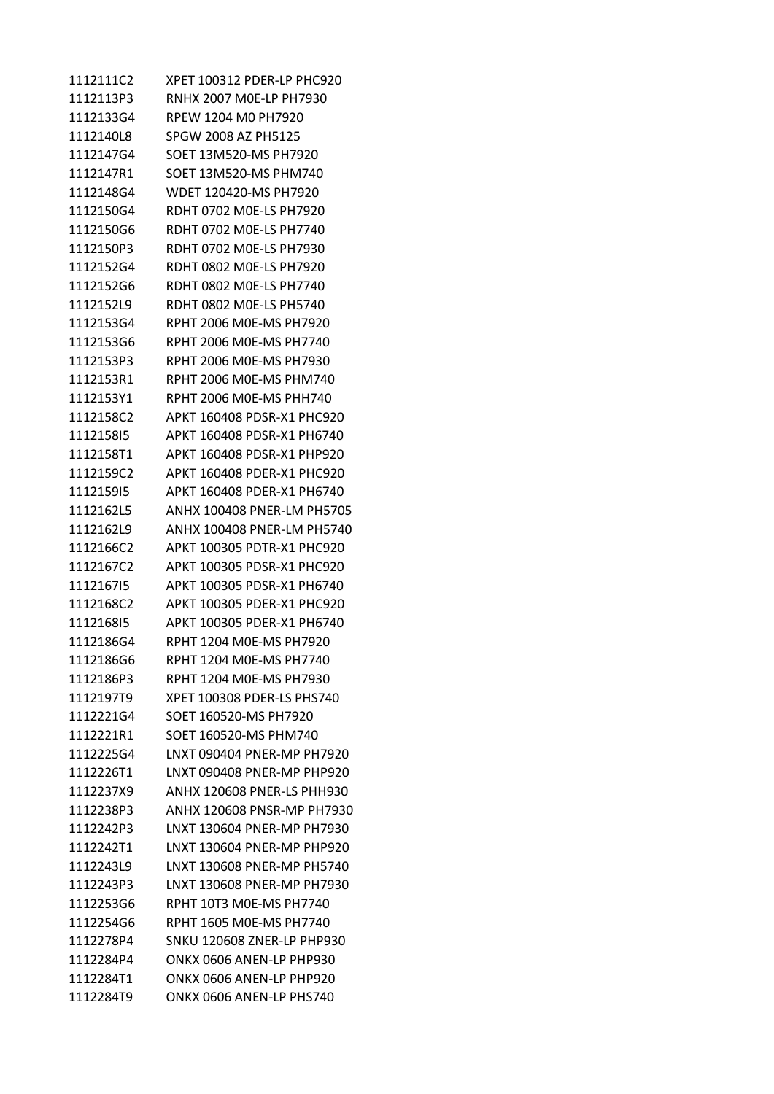| 1112111C2 | XPET 100312 PDER-LP PHC920        |
|-----------|-----------------------------------|
| 1112113P3 | RNHX 2007 MOE-LP PH7930           |
| 1112133G4 | RPEW 1204 M0 PH7920               |
| 1112140L8 | SPGW 2008 AZ PH5125               |
| 1112147G4 | SOET 13M520-MS PH7920             |
| 1112147R1 | SOET 13M520-MS PHM740             |
| 1112148G4 | WDET 120420-MS PH7920             |
| 1112150G4 | RDHT 0702 M0E-LS PH7920           |
| 1112150G6 | RDHT 0702 M0E-LS PH7740           |
| 1112150P3 | RDHT 0702 M0E-LS PH7930           |
| 1112152G4 | RDHT 0802 M0E-LS PH7920           |
| 1112152G6 | RDHT 0802 M0E-LS PH7740           |
| 1112152L9 | RDHT 0802 M0E-LS PH5740           |
| 1112153G4 | RPHT 2006 MOE-MS PH7920           |
| 1112153G6 | RPHT 2006 M0E-MS PH7740           |
| 1112153P3 | RPHT 2006 M0E-MS PH7930           |
| 1112153R1 | RPHT 2006 MOE-MS PHM740           |
| 1112153Y1 | RPHT 2006 MOE-MS PHH740           |
| 1112158C2 | APKT 160408 PDSR-X1 PHC920        |
| 111215815 | APKT 160408 PDSR-X1 PH6740        |
| 1112158T1 | APKT 160408 PDSR-X1 PHP920        |
| 1112159C2 | APKT 160408 PDER-X1 PHC920        |
| 111215915 | APKT 160408 PDER-X1 PH6740        |
| 1112162L5 | ANHX 100408 PNER-LM PH5705        |
| 1112162L9 | ANHX 100408 PNER-LM PH5740        |
| 1112166C2 | APKT 100305 PDTR-X1 PHC920        |
| 1112167C2 | APKT 100305 PDSR-X1 PHC920        |
| 111216715 | APKT 100305 PDSR-X1 PH6740        |
| 1112168C2 | APKT 100305 PDER-X1 PHC920        |
| 111216815 | APKT 100305 PDER-X1 PH6740        |
| 1112186G4 | RPHT 1204 M0E-MS PH7920           |
| 1112186G6 | RPHT 1204 M0E-MS PH7740           |
| 1112186P3 | RPHT 1204 M0E-MS PH7930           |
| 1112197T9 | XPFT 100308 PDFR-LS PHS740        |
| 1112221G4 | SOET 160520-MS PH7920             |
| 1112221R1 | SOET 160520-MS PHM740             |
| 1112225G4 | LNXT 090404 PNFR-MP PH7920        |
| 1112226T1 | LNXT 090408 PNER-MP PHP920        |
| 1112237X9 | ANHX 120608 PNFR-LS PHH930        |
| 1112238P3 | ANHX 120608 PNSR-MP PH7930        |
| 1112242P3 | LNXT 130604 PNER-MP PH7930        |
| 1112242T1 | LNXT 130604 PNER-MP PHP920        |
| 1112243L9 | LNXT 130608 PNER-MP PH5740        |
| 1112243P3 | LNXT 130608 PNER-MP PH7930        |
| 1112253G6 | RPHT 10T3 M0E-MS PH7740           |
| 1112254G6 | RPHT 1605 M0E-MS PH7740           |
| 1112278P4 | <b>SNKU 120608 ZNER-LP PHP930</b> |
| 1112284P4 | ONKX 0606 ANEN-LP PHP930          |
| 1112284T1 | ONKX 0606 ANEN-LP PHP920          |
| 1112284T9 | ONKX 0606 ANEN-LP PHS740          |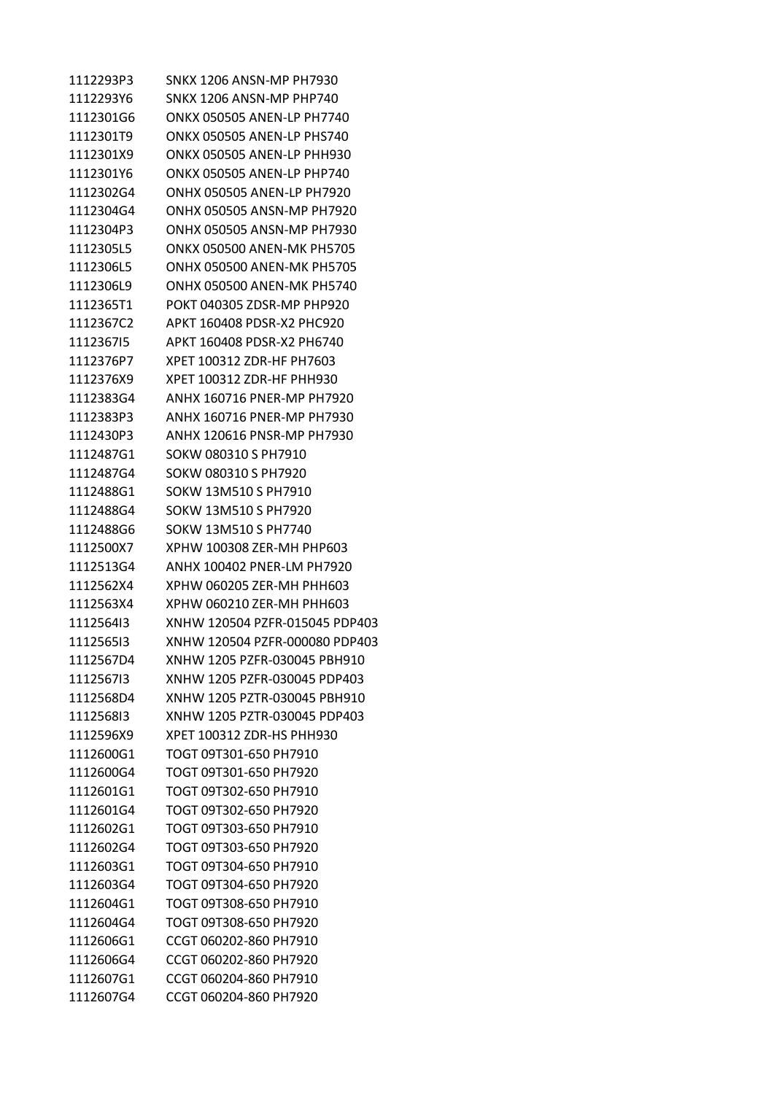1112293P3 SNKX 1206 ANSN-MP PH7930 1112293Y6 SNKX 1206 ANSN-MP PHP740 1112301G6 ONKX 050505 ANEN-LP PH7740 1112301T9 ONKX 050505 ANEN-LP PHS740 1112301X9 ONKX 050505 ANEN-LP PHH930 1112301Y6 ONKX 050505 ANEN-LP PHP740 1112302G4 ONHX 050505 ANEN-LP PH7920 1112304G4 ONHX 050505 ANSN-MP PH7920 1112304P3 ONHX 050505 ANSN-MP PH7930 1112305L5 ONKX 050500 ANEN-MK PH5705 1112306L5 ONHX 050500 ANEN-MK PH5705 1112306L9 ONHX 050500 ANEN-MK PH5740 1112365T1 POKT 040305 ZDSR-MP PHP920 1112367C2 APKT 160408 PDSR-X2 PHC920 1112367I5 APKT 160408 PDSR-X2 PH6740 1112376P7 XPET 100312 ZDR-HF PH7603 1112376X9 XPET 100312 ZDR-HF PHH930 1112383G4 ANHX 160716 PNER-MP PH7920 1112383P3 ANHX 160716 PNER-MP PH7930 1112430P3 ANHX 120616 PNSR-MP PH7930 1112487G1 SOKW 080310 S PH7910 1112487G4 SOKW 080310 S PH7920 1112488G1 SOKW 13M510 S PH7910 1112488G4 SOKW 13M510 S PH7920 1112488G6 SOKW 13M510 S PH7740 1112500X7 XPHW 100308 ZER-MH PHP603 1112513G4 ANHX 100402 PNER-LM PH7920 1112562X4 XPHW 060205 ZER-MH PHH603 1112563X4 XPHW 060210 ZER-MH PHH603 1112564I3 XNHW 120504 PZFR-015045 PDP403 1112565I3 XNHW 120504 PZFR-000080 PDP403 1112567D4 XNHW 1205 PZFR-030045 PBH910 1112567I3 XNHW 1205 PZFR-030045 PDP403 1112568D4 XNHW 1205 PZTR-030045 PBH910 1112568I3 XNHW 1205 PZTR-030045 PDP403 1112596X9 XPET 100312 ZDR-HS PHH930 1112600G1 TOGT 09T301-650 PH7910 1112600G4 TOGT 09T301-650 PH7920 1112601G1 TOGT 09T302-650 PH7910 1112601G4 TOGT 09T302-650 PH7920 1112602G1 TOGT 09T303-650 PH7910 1112602G4 TOGT 09T303-650 PH7920 1112603G1 TOGT 09T304-650 PH7910 1112603G4 TOGT 09T304-650 PH7920 1112604G1 TOGT 09T308-650 PH7910 1112604G4 TOGT 09T308-650 PH7920 1112606G1 CCGT 060202-860 PH7910 1112606G4 CCGT 060202-860 PH7920 1112607G1 CCGT 060204-860 PH7910 1112607G4 CCGT 060204-860 PH7920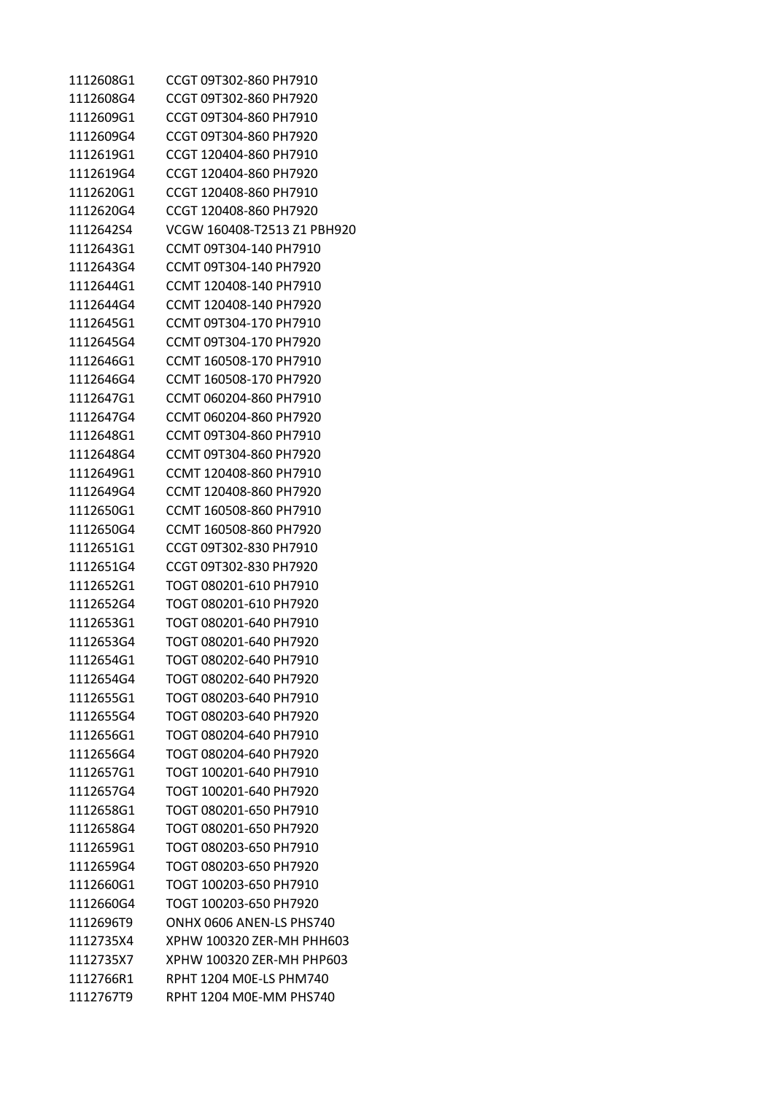| 1112608G1 | CCGT 09T302-860 PH7910      |
|-----------|-----------------------------|
| 1112608G4 | CCGT 09T302-860 PH7920      |
| 1112609G1 | CCGT 09T304-860 PH7910      |
| 1112609G4 | CCGT 09T304-860 PH7920      |
| 1112619G1 | CCGT 120404-860 PH7910      |
| 1112619G4 | CCGT 120404-860 PH7920      |
| 1112620G1 | CCGT 120408-860 PH7910      |
| 1112620G4 | CCGT 120408-860 PH7920      |
| 1112642S4 | VCGW 160408-T2513 Z1 PBH920 |
| 1112643G1 | CCMT 09T304-140 PH7910      |
| 1112643G4 | CCMT 09T304-140 PH7920      |
| 1112644G1 | CCMT 120408-140 PH7910      |
| 1112644G4 | CCMT 120408-140 PH7920      |
| 1112645G1 | CCMT 09T304-170 PH7910      |
| 1112645G4 | CCMT 09T304-170 PH7920      |
| 1112646G1 | CCMT 160508-170 PH7910      |
| 1112646G4 | CCMT 160508-170 PH7920      |
| 1112647G1 | CCMT 060204-860 PH7910      |
| 1112647G4 | CCMT 060204-860 PH7920      |
| 1112648G1 | CCMT 09T304-860 PH7910      |
| 1112648G4 | CCMT 09T304-860 PH7920      |
| 1112649G1 | CCMT 120408-860 PH7910      |
| 1112649G4 | CCMT 120408-860 PH7920      |
| 1112650G1 | CCMT 160508-860 PH7910      |
| 1112650G4 | CCMT 160508-860 PH7920      |
| 1112651G1 | CCGT 09T302-830 PH7910      |
| 1112651G4 | CCGT 09T302-830 PH7920      |
| 1112652G1 | TOGT 080201-610 PH7910      |
| 1112652G4 | TOGT 080201-610 PH7920      |
| 1112653G1 | TOGT 080201-640 PH7910      |
| 1112653G4 | TOGT 080201-640 PH7920      |
| 1112654G1 | TOGT 080202-640 PH7910      |
| 1112654G4 | TOGT 080202-640 PH7920      |
| 1112655G1 | TOGT 080203-640 PH7910      |
| 1112655G4 | TOGT 080203-640 PH7920      |
| 1112656G1 | TOGT 080204-640 PH7910      |
| 1112656G4 | TOGT 080204-640 PH7920      |
| 1112657G1 | TOGT 100201-640 PH7910      |
| 1112657G4 | TOGT 100201-640 PH7920      |
| 1112658G1 | TOGT 080201-650 PH7910      |
| 1112658G4 | TOGT 080201-650 PH7920      |
| 1112659G1 | TOGT 080203-650 PH7910      |
| 1112659G4 | TOGT 080203-650 PH7920      |
| 1112660G1 | TOGT 100203-650 PH7910      |
| 1112660G4 | TOGT 100203-650 PH7920      |
| 1112696T9 | ONHX 0606 ANEN-LS PHS740    |
| 1112735X4 | XPHW 100320 ZER-MH PHH603   |
| 1112735X7 | XPHW 100320 ZER-MH PHP603   |
| 1112766R1 | RPHT 1204 MOE-LS PHM740     |
| 1112767T9 | RPHT 1204 M0E-MM PHS740     |
|           |                             |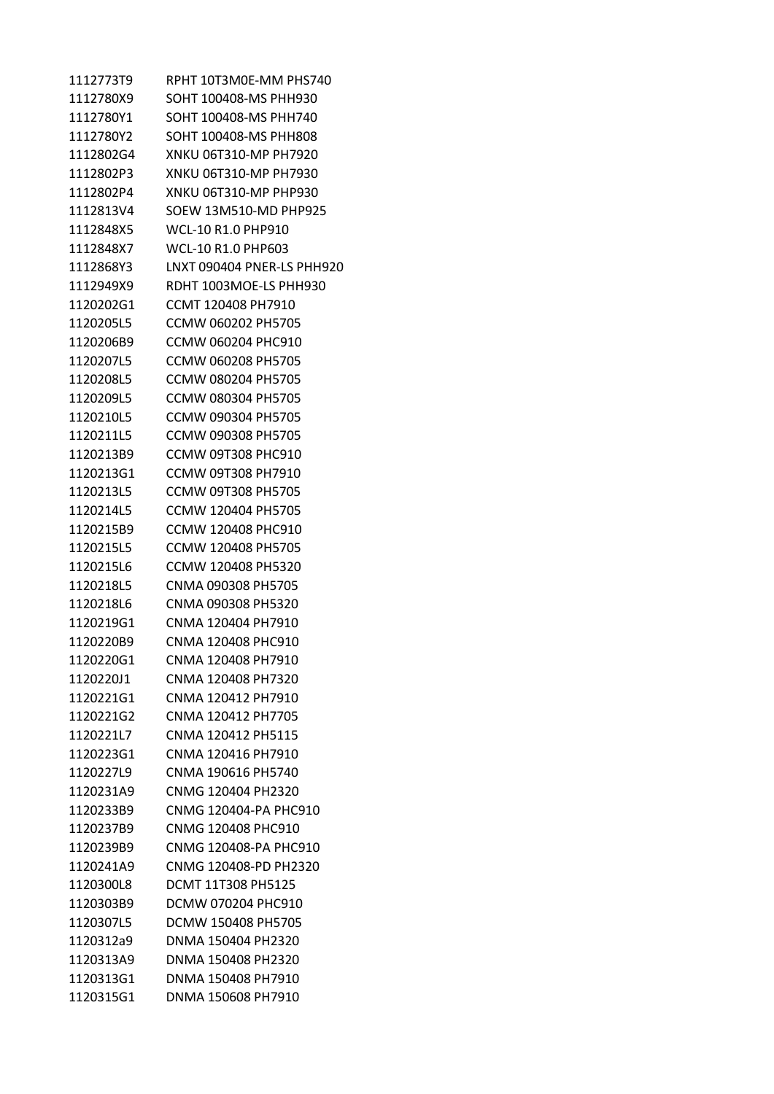| 1112773T9 | RPHT 10T3M0E-MM PHS740     |
|-----------|----------------------------|
| 1112780X9 | SOHT 100408-MS PHH930      |
| 1112780Y1 | SOHT 100408-MS PHH740      |
| 1112780Y2 | SOHT 100408-MS PHH808      |
| 1112802G4 | XNKU 06T310-MP PH7920      |
| 1112802P3 | XNKU 06T310-MP PH7930      |
| 1112802P4 | XNKU 06T310-MP PHP930      |
| 1112813V4 | SOEW 13M510-MD PHP925      |
| 1112848X5 | <b>WCL-10 R1.0 PHP910</b>  |
| 1112848X7 | <b>WCL-10 R1.0 PHP603</b>  |
| 1112868Y3 | LNXT 090404 PNER-LS PHH920 |
| 1112949X9 | RDHT 1003MOE-LS PHH930     |
| 1120202G1 | CCMT 120408 PH7910         |
| 1120205L5 | CCMW 060202 PH5705         |
| 1120206B9 | <b>CCMW 060204 PHC910</b>  |
| 1120207L5 | CCMW 060208 PH5705         |
| 1120208L5 | CCMW 080204 PH5705         |
| 1120209L5 | CCMW 080304 PH5705         |
| 1120210L5 | CCMW 090304 PH5705         |
| 1120211L5 | CCMW 090308 PH5705         |
| 1120213B9 | <b>CCMW 09T308 PHC910</b>  |
| 1120213G1 | CCMW 09T308 PH7910         |
| 1120213L5 | <b>CCMW 09T308 PH5705</b>  |
| 1120214L5 | CCMW 120404 PH5705         |
| 1120215B9 | <b>CCMW 120408 PHC910</b>  |
| 1120215L5 | CCMW 120408 PH5705         |
| 1120215L6 | CCMW 120408 PH5320         |
| 1120218L5 | CNMA 090308 PH5705         |
| 1120218L6 | CNMA 090308 PH5320         |
| 1120219G1 | CNMA 120404 PH7910         |
| 1120220B9 | CNMA 120408 PHC910         |
| 1120220G1 | CNMA 120408 PH7910         |
| 1120220J1 | CNMA 120408 PH7320         |
| 1120221G1 | CNMA 120412 PH7910         |
| 1120221G2 | CNMA 120412 PH7705         |
| 1120221L7 | CNMA 120412 PH5115         |
| 1120223G1 | CNMA 120416 PH7910         |
| 1120227L9 | CNMA 190616 PH5740         |
| 1120231A9 | CNMG 120404 PH2320         |
| 1120233B9 | CNMG 120404-PA PHC910      |
| 1120237B9 | CNMG 120408 PHC910         |
| 1120239B9 | CNMG 120408-PA PHC910      |
| 1120241A9 | CNMG 120408-PD PH2320      |
| 1120300L8 | <b>DCMT 11T308 PH5125</b>  |
| 1120303B9 | DCMW 070204 PHC910         |
| 1120307L5 | DCMW 150408 PH5705         |
| 1120312a9 | DNMA 150404 PH2320         |
| 1120313A9 | DNMA 150408 PH2320         |
| 1120313G1 | DNMA 150408 PH7910         |
| 1120315G1 | DNMA 150608 PH7910         |
|           |                            |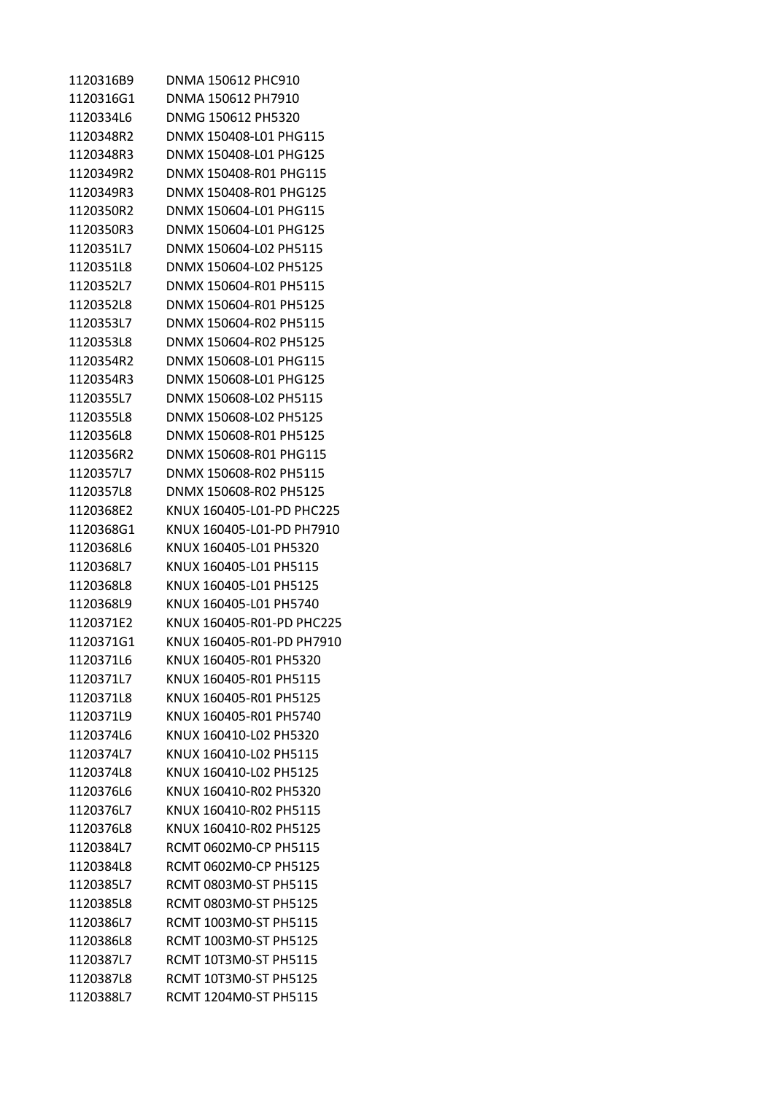| 1120316B9 | DNMA 150612 PHC910        |
|-----------|---------------------------|
| 1120316G1 | DNMA 150612 PH7910        |
| 1120334L6 | DNMG 150612 PH5320        |
| 1120348R2 | DNMX 150408-L01 PHG115    |
| 1120348R3 | DNMX 150408-L01 PHG125    |
| 1120349R2 | DNMX 150408-R01 PHG115    |
| 1120349R3 | DNMX 150408-R01 PHG125    |
| 1120350R2 | DNMX 150604-L01 PHG115    |
| 1120350R3 | DNMX 150604-L01 PHG125    |
| 1120351L7 | DNMX 150604-L02 PH5115    |
| 1120351L8 | DNMX 150604-L02 PH5125    |
| 1120352L7 | DNMX 150604-R01 PH5115    |
| 1120352L8 | DNMX 150604-R01 PH5125    |
| 1120353L7 | DNMX 150604-R02 PH5115    |
| 1120353L8 | DNMX 150604-R02 PH5125    |
| 1120354R2 | DNMX 150608-L01 PHG115    |
| 1120354R3 | DNMX 150608-L01 PHG125    |
| 1120355L7 | DNMX 150608-L02 PH5115    |
| 1120355L8 | DNMX 150608-L02 PH5125    |
| 1120356L8 | DNMX 150608-R01 PH5125    |
| 1120356R2 | DNMX 150608-R01 PHG115    |
| 1120357L7 | DNMX 150608-R02 PH5115    |
| 1120357L8 | DNMX 150608-R02 PH5125    |
| 1120368E2 | KNUX 160405-L01-PD PHC225 |
| 1120368G1 | KNUX 160405-L01-PD PH7910 |
| 1120368L6 | KNUX 160405-L01 PH5320    |
| 1120368L7 | KNUX 160405-L01 PH5115    |
| 1120368L8 | KNUX 160405-L01 PH5125    |
| 1120368L9 | KNUX 160405-L01 PH5740    |
| 1120371E2 | KNUX 160405-R01-PD PHC225 |
| 1120371G1 | KNUX 160405-R01-PD PH7910 |
| 1120371L6 | KNUX 160405-R01 PH5320    |
| 1120371L7 | KNUX 160405-R01 PH5115    |
| 1120371L8 | KNUX 160405-R01 PH5125    |
| 1120371L9 | KNUX 160405-R01 PH5740    |
| 1120374L6 | KNUX 160410-L02 PH5320    |
| 1120374L7 | KNUX 160410-L02 PH5115    |
| 1120374L8 | KNUX 160410-L02 PH5125    |
| 1120376L6 | KNUX 160410-R02 PH5320    |
| 1120376L7 | KNUX 160410-R02 PH5115    |
| 1120376L8 | KNUX 160410-R02 PH5125    |
| 1120384L7 | RCMT 0602M0-CP PH5115     |
| 1120384L8 | RCMT 0602M0-CP PH5125     |
| 1120385L7 | RCMT 0803M0-ST PH5115     |
| 1120385L8 | RCMT 0803M0-ST PH5125     |
| 1120386L7 | RCMT 1003M0-ST PH5115     |
| 1120386L8 | RCMT 1003M0-ST PH5125     |
| 1120387L7 | RCMT 10T3M0-ST PH5115     |
| 1120387L8 | RCMT 10T3M0-ST PH5125     |
| 1120388L7 | RCMT 1204M0-ST PH5115     |
|           |                           |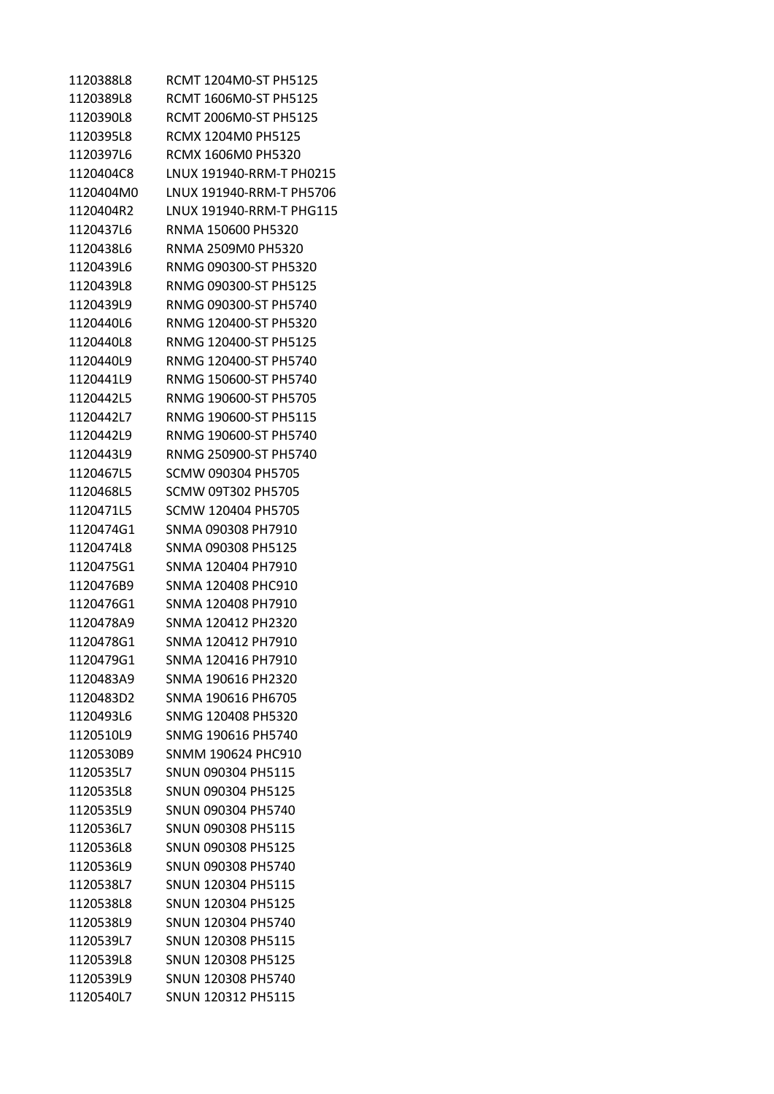| 1120388L8 | RCMT 1204M0-ST PH5125    |
|-----------|--------------------------|
| 1120389L8 | RCMT 1606M0-ST PH5125    |
| 1120390L8 | RCMT 2006M0-ST PH5125    |
| 1120395L8 | RCMX 1204M0 PH5125       |
| 1120397L6 | RCMX 1606M0 PH5320       |
| 1120404C8 | LNUX 191940-RRM-T PH0215 |
| 1120404M0 | LNUX 191940-RRM-T PH5706 |
| 1120404R2 | LNUX 191940-RRM-T PHG115 |
| 1120437L6 | RNMA 150600 PH5320       |
| 1120438L6 | RNMA 2509M0 PH5320       |
| 1120439L6 | RNMG 090300-ST PH5320    |
| 1120439L8 | RNMG 090300-ST PH5125    |
| 1120439L9 | RNMG 090300-ST PH5740    |
| 1120440L6 | RNMG 120400-ST PH5320    |
| 1120440L8 | RNMG 120400-ST PH5125    |
| 1120440L9 | RNMG 120400-ST PH5740    |
| 1120441L9 | RNMG 150600-ST PH5740    |
| 1120442L5 | RNMG 190600-ST PH5705    |
| 1120442L7 | RNMG 190600-ST PH5115    |
| 1120442L9 | RNMG 190600-ST PH5740    |
| 1120443L9 | RNMG 250900-ST PH5740    |
| 1120467L5 | SCMW 090304 PH5705       |
| 1120468L5 | SCMW 09T302 PH5705       |
| 1120471L5 | SCMW 120404 PH5705       |
| 1120474G1 | SNMA 090308 PH7910       |
| 1120474L8 | SNMA 090308 PH5125       |
| 1120475G1 | SNMA 120404 PH7910       |
| 1120476B9 | SNMA 120408 PHC910       |
| 1120476G1 | SNMA 120408 PH7910       |
| 1120478A9 | SNMA 120412 PH2320       |
| 1120478G1 | SNMA 120412 PH7910       |
| 1120479G1 | SNMA 120416 PH7910       |
| 1120483A9 | SNMA 190616 PH2320       |
| 1120483D2 | SNMA 190616 PH6705       |
| 1120493L6 | SNMG 120408 PH5320       |
| 1120510L9 | SNMG 190616 PH5740       |
| 1120530B9 | SNMM 190624 PHC910       |
| 1120535L7 | SNUN 090304 PH5115       |
| 1120535L8 | SNUN 090304 PH5125       |
| 1120535L9 | SNUN 090304 PH5740       |
| 1120536L7 | SNUN 090308 PH5115       |
| 1120536L8 | SNUN 090308 PH5125       |
| 1120536L9 | SNUN 090308 PH5740       |
| 1120538L7 | SNUN 120304 PH5115       |
| 1120538L8 | SNUN 120304 PH5125       |
| 1120538L9 | SNUN 120304 PH5740       |
| 1120539L7 | SNUN 120308 PH5115       |
| 1120539L8 | SNUN 120308 PH5125       |
| 1120539L9 | SNUN 120308 PH5740       |
| 1120540L7 | SNUN 120312 PH5115       |
|           |                          |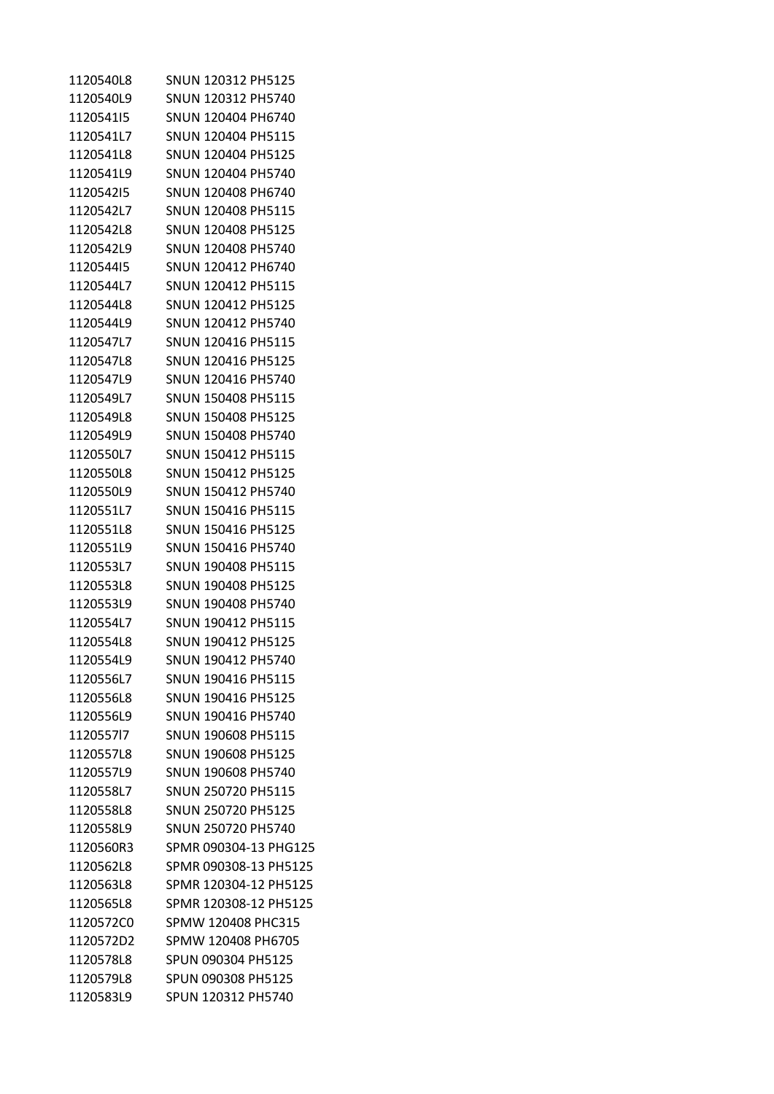| 1120540L8 | SNUN 120312 PH5125    |
|-----------|-----------------------|
| 1120540L9 | SNUN 120312 PH5740    |
| 112054115 | SNUN 120404 PH6740    |
| 1120541L7 | SNUN 120404 PH5115    |
| 1120541L8 | SNUN 120404 PH5125    |
| 1120541L9 | SNUN 120404 PH5740    |
| 112054215 | SNUN 120408 PH6740    |
| 1120542L7 | SNUN 120408 PH5115    |
| 1120542L8 | SNUN 120408 PH5125    |
| 1120542L9 | SNUN 120408 PH5740    |
| 112054415 | SNUN 120412 PH6740    |
| 1120544L7 | SNUN 120412 PH5115    |
| 1120544L8 | SNUN 120412 PH5125    |
| 1120544L9 | SNUN 120412 PH5740    |
| 1120547L7 | SNUN 120416 PH5115    |
| 1120547L8 | SNUN 120416 PH5125    |
| 1120547L9 | SNUN 120416 PH5740    |
| 1120549L7 | SNUN 150408 PH5115    |
| 1120549L8 | SNUN 150408 PH5125    |
| 1120549L9 | SNUN 150408 PH5740    |
| 1120550L7 | SNUN 150412 PH5115    |
| 1120550L8 | SNUN 150412 PH5125    |
| 1120550L9 | SNUN 150412 PH5740    |
| 1120551L7 | SNUN 150416 PH5115    |
| 1120551L8 | SNUN 150416 PH5125    |
| 1120551L9 | SNUN 150416 PH5740    |
| 1120553L7 | SNUN 190408 PH5115    |
| 1120553L8 | SNUN 190408 PH5125    |
| 1120553L9 | SNUN 190408 PH5740    |
| 1120554L7 | SNUN 190412 PH5115    |
| 1120554L8 | SNUN 190412 PH5125    |
| 1120554L9 | SNUN 190412 PH5740    |
| 1120556L7 | SNUN 190416 PH5115    |
| 1120556L8 | SNUN 190416 PH5125    |
| 1120556L9 | SNUN 190416 PH5740    |
| 112055717 | SNUN 190608 PH5115    |
| 1120557L8 | SNUN 190608 PH5125    |
| 1120557L9 | SNUN 190608 PH5740    |
| 1120558L7 | SNUN 250720 PH5115    |
| 1120558L8 | SNUN 250720 PH5125    |
| 1120558L9 | SNUN 250720 PH5740    |
| 1120560R3 | SPMR 090304-13 PHG125 |
| 1120562L8 | SPMR 090308-13 PH5125 |
| 1120563L8 | SPMR 120304-12 PH5125 |
| 1120565L8 | SPMR 120308-12 PH5125 |
| 1120572C0 | SPMW 120408 PHC315    |
| 1120572D2 | SPMW 120408 PH6705    |
| 1120578L8 | SPUN 090304 PH5125    |
| 1120579L8 | SPUN 090308 PH5125    |
| 1120583L9 | SPUN 120312 PH5740    |
|           |                       |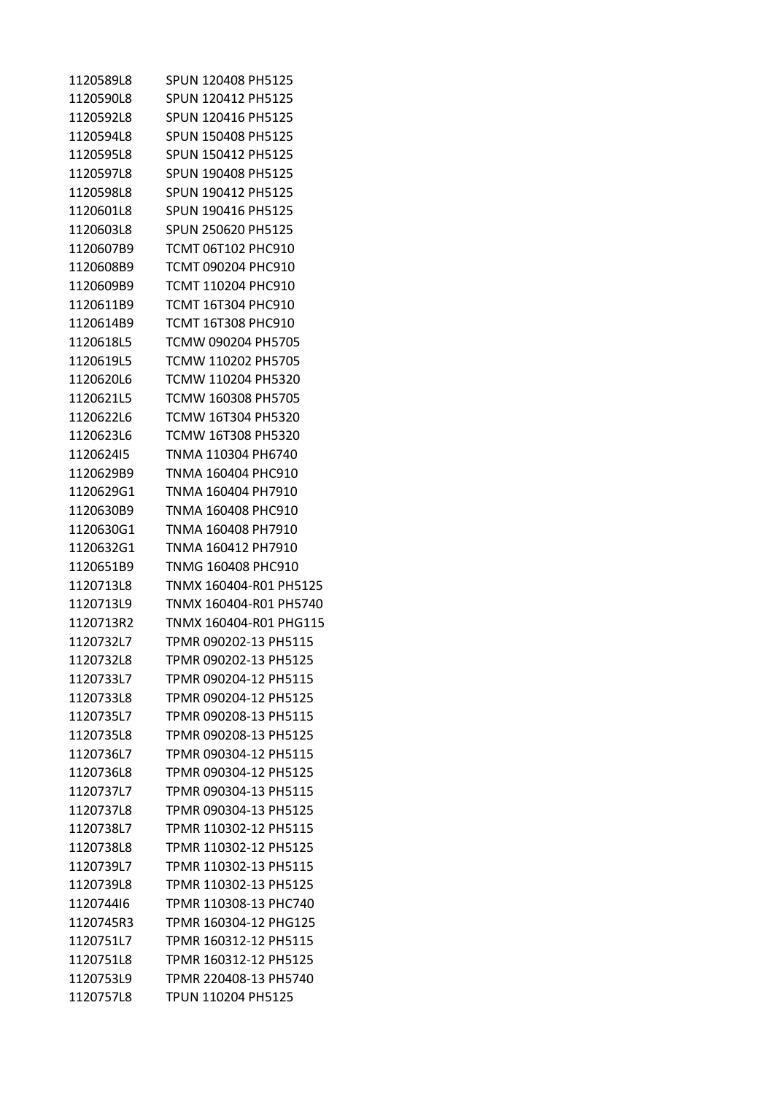| 1120589L8 | SPUN 120408 PH5125        |
|-----------|---------------------------|
| 1120590L8 | SPUN 120412 PH5125        |
| 1120592L8 | SPUN 120416 PH5125        |
| 1120594L8 | SPUN 150408 PH5125        |
| 1120595L8 | SPUN 150412 PH5125        |
| 1120597L8 | SPUN 190408 PH5125        |
| 1120598L8 | SPUN 190412 PH5125        |
| 1120601L8 | SPUN 190416 PH5125        |
| 1120603L8 | SPUN 250620 PH5125        |
| 1120607B9 | <b>TCMT 06T102 PHC910</b> |
| 1120608B9 | TCMT 090204 PHC910        |
| 1120609B9 | TCMT 110204 PHC910        |
| 1120611B9 | TCMT 16T304 PHC910        |
| 1120614B9 | TCMT 16T308 PHC910        |
| 1120618L5 | TCMW 090204 PH5705        |
| 1120619L5 | TCMW 110202 PH5705        |
| 1120620L6 | TCMW 110204 PH5320        |
| 1120621L5 | TCMW 160308 PH5705        |
| 1120622L6 | TCMW 16T304 PH5320        |
| 1120623L6 | <b>TCMW 16T308 PH5320</b> |
| 112062415 | TNMA 110304 PH6740        |
| 1120629B9 | TNMA 160404 PHC910        |
| 1120629G1 | TNMA 160404 PH7910        |
| 1120630B9 | TNMA 160408 PHC910        |
| 1120630G1 | TNMA 160408 PH7910        |
| 1120632G1 | TNMA 160412 PH7910        |
| 1120651B9 | TNMG 160408 PHC910        |
| 1120713L8 | TNMX 160404-R01 PH5125    |
| 1120713L9 | TNMX 160404-R01 PH5740    |
| 1120713R2 | TNMX 160404-R01 PHG115    |
| 1120732L7 | TPMR 090202-13 PH5115     |
| 1120732L8 | TPMR 090202-13 PH5125     |
| 1120733L7 | TPMR 090204-12 PH5115     |
| 1120733L8 | TPMR 090204-12 PH5125     |
| 1120735L7 | TPMR 090208-13 PH5115     |
| 1120735L8 | TPMR 090208-13 PH5125     |
| 1120736L7 | TPMR 090304-12 PH5115     |
| 1120736L8 | TPMR 090304-12 PH5125     |
| 1120737L7 | TPMR 090304-13 PH5115     |
| 1120737L8 | TPMR 090304-13 PH5125     |
| 1120738L7 | TPMR 110302-12 PH5115     |
| 1120738L8 | TPMR 110302-12 PH5125     |
| 1120739L7 | TPMR 110302-13 PH5115     |
| 1120739L8 | TPMR 110302-13 PH5125     |
| 112074416 | TPMR 110308-13 PHC740     |
| 1120745R3 | TPMR 160304-12 PHG125     |
| 1120751L7 | TPMR 160312-12 PH5115     |
| 1120751L8 | TPMR 160312-12 PH5125     |
| 1120753L9 | TPMR 220408-13 PH5740     |
| 1120757L8 | TPUN 110204 PH5125        |
|           |                           |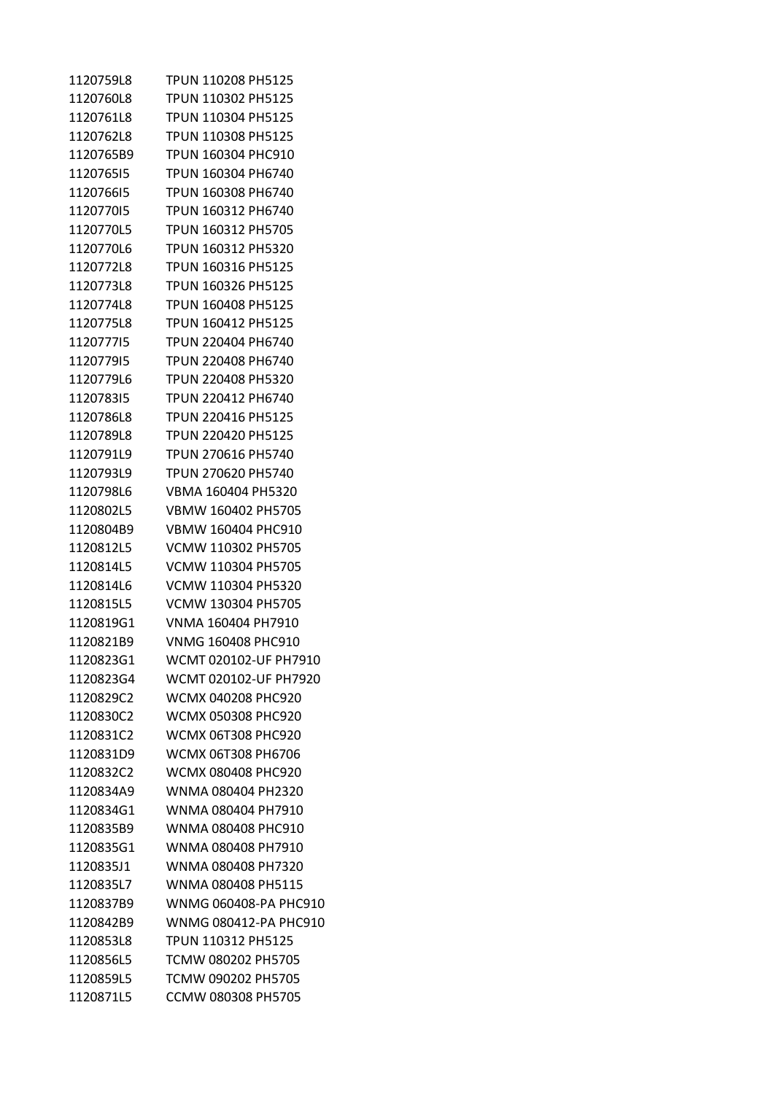| 1120759L8 | TPUN 110208 PH5125        |
|-----------|---------------------------|
| 1120760L8 | TPUN 110302 PH5125        |
| 1120761L8 | TPUN 110304 PH5125        |
| 1120762L8 | TPUN 110308 PH5125        |
| 1120765B9 | <b>TPUN 160304 PHC910</b> |
| 112076515 | TPUN 160304 PH6740        |
| 112076615 | TPUN 160308 PH6740        |
| 112077015 | TPUN 160312 PH6740        |
| 1120770L5 | TPUN 160312 PH5705        |
| 1120770L6 | TPUN 160312 PH5320        |
| 1120772L8 | TPUN 160316 PH5125        |
| 1120773L8 | <b>TPUN 160326 PH5125</b> |
| 1120774L8 | TPUN 160408 PH5125        |
| 1120775L8 | TPUN 160412 PH5125        |
| 112077715 | TPUN 220404 PH6740        |
| 112077915 | TPUN 220408 PH6740        |
| 1120779L6 | TPUN 220408 PH5320        |
| 112078315 | TPUN 220412 PH6740        |
| 1120786L8 | TPUN 220416 PH5125        |
| 1120789L8 | TPUN 220420 PH5125        |
| 1120791L9 | TPUN 270616 PH5740        |
| 1120793L9 | TPUN 270620 PH5740        |
| 1120798L6 | VBMA 160404 PH5320        |
| 1120802L5 | VBMW 160402 PH5705        |
| 1120804B9 | VBMW 160404 PHC910        |
| 1120812L5 | VCMW 110302 PH5705        |
| 1120814L5 | VCMW 110304 PH5705        |
| 1120814L6 | VCMW 110304 PH5320        |
| 1120815L5 | <b>VCMW 130304 PH5705</b> |
| 1120819G1 | VNMA 160404 PH7910        |
| 1120821B9 | VNMG 160408 PHC910        |
| 1120823G1 | WCMT 020102-UF PH7910     |
| 1120823G4 | WCMT 020102-UF PH7920     |
| 1120829C2 | WCMX 040208 PHC920        |
| 1120830C2 | <b>WCMX 050308 PHC920</b> |
| 1120831C2 | <b>WCMX 06T308 PHC920</b> |
| 1120831D9 | WCMX 06T308 PH6706        |
| 1120832C2 | <b>WCMX 080408 PHC920</b> |
| 1120834A9 | WNMA 080404 PH2320        |
| 1120834G1 | WNMA 080404 PH7910        |
| 1120835B9 | <b>WNMA 080408 PHC910</b> |
| 1120835G1 | WNMA 080408 PH7910        |
| 1120835J1 | WNMA 080408 PH7320        |
| 1120835L7 | WNMA 080408 PH5115        |
| 1120837B9 | WNMG 060408-PA PHC910     |
| 1120842B9 | WNMG 080412-PA PHC910     |
| 1120853L8 | TPUN 110312 PH5125        |
| 1120856L5 | TCMW 080202 PH5705        |
| 1120859L5 | TCMW 090202 PH5705        |
| 1120871L5 | CCMW 080308 PH5705        |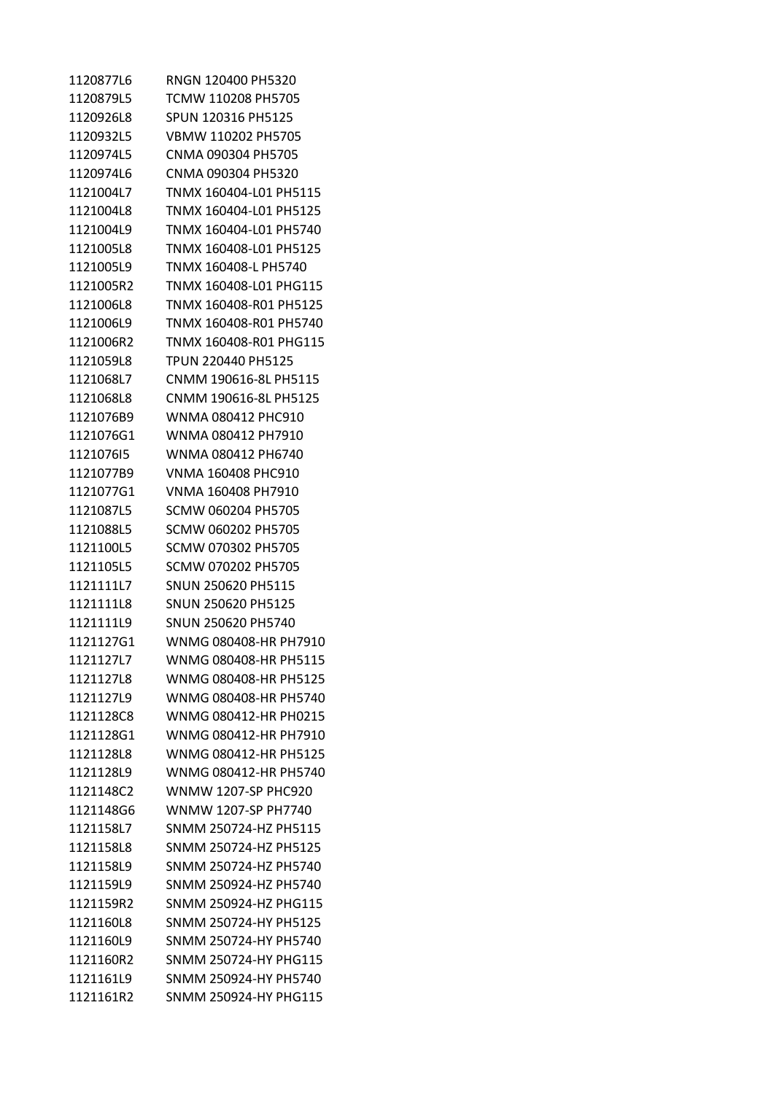| 1120877L6 | RNGN 120400 PH5320     |
|-----------|------------------------|
| 1120879L5 | TCMW 110208 PH5705     |
| 1120926L8 | SPUN 120316 PH5125     |
| 1120932L5 | VBMW 110202 PH5705     |
| 1120974L5 | CNMA 090304 PH5705     |
| 1120974L6 | CNMA 090304 PH5320     |
| 1121004L7 | TNMX 160404-L01 PH5115 |
| 1121004L8 | TNMX 160404-L01 PH5125 |
| 1121004L9 | TNMX 160404-L01 PH5740 |
| 1121005L8 | TNMX 160408-L01 PH5125 |
| 1121005L9 | TNMX 160408-L PH5740   |
| 1121005R2 | TNMX 160408-L01 PHG115 |
| 1121006L8 | TNMX 160408-R01 PH5125 |
| 1121006L9 | TNMX 160408-R01 PH5740 |
| 1121006R2 | TNMX 160408-R01 PHG115 |
| 1121059L8 | TPUN 220440 PH5125     |
| 1121068L7 | CNMM 190616-8L PH5115  |
| 1121068L8 | CNMM 190616-8L PH5125  |
| 1121076B9 | WNMA 080412 PHC910     |
| 1121076G1 | WNMA 080412 PH7910     |
| 112107615 | WNMA 080412 PH6740     |
| 1121077B9 | VNMA 160408 PHC910     |
| 1121077G1 | VNMA 160408 PH7910     |
| 1121087L5 | SCMW 060204 PH5705     |
| 1121088L5 | SCMW 060202 PH5705     |
| 1121100L5 | SCMW 070302 PH5705     |
| 1121105L5 | SCMW 070202 PH5705     |
| 1121111L7 | SNUN 250620 PH5115     |
| 1121111L8 | SNUN 250620 PH5125     |
| 1121111L9 | SNUN 250620 PH5740     |
| 1121127G1 | WNMG 080408-HR PH7910  |
| 1121127L7 | WNMG 080408-HR PH5115  |
| 1121127L8 | WNMG 080408-HR PH5125  |
| 1121127L9 | WNMG 080408-HR PH5740  |
| 1121128C8 | WNMG 080412-HR PH0215  |
| 1121128G1 | WNMG 080412-HR PH7910  |
| 1121128L8 | WNMG 080412-HR PH5125  |
| 1121128L9 | WNMG 080412-HR PH5740  |
| 1121148C2 | WNMW 1207-SP PHC920    |
| 1121148G6 | WNMW 1207-SP PH7740    |
| 1121158L7 | SNMM 250724-HZ PH5115  |
| 1121158L8 | SNMM 250724-HZ PH5125  |
| 1121158L9 | SNMM 250724-HZ PH5740  |
| 1121159L9 | SNMM 250924-HZ PH5740  |
| 1121159R2 | SNMM 250924-HZ PHG115  |
| 1121160L8 | SNMM 250724-HY PH5125  |
| 1121160L9 | SNMM 250724-HY PH5740  |
| 1121160R2 | SNMM 250724-HY PHG115  |
| 1121161L9 | SNMM 250924-HY PH5740  |
| 1121161R2 | SNMM 250924-HY PHG115  |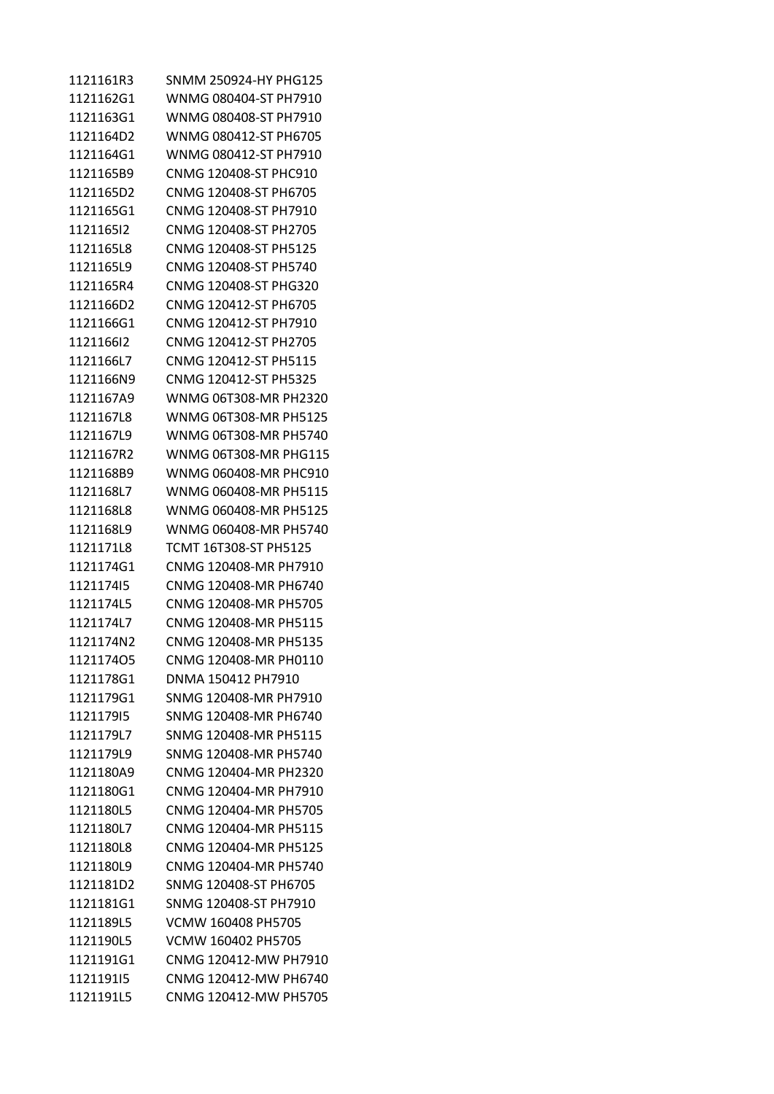| 1121161R3 | SNMM 250924-HY PHG125 |
|-----------|-----------------------|
| 1121162G1 | WNMG 080404-ST PH7910 |
| 1121163G1 | WNMG 080408-ST PH7910 |
| 1121164D2 | WNMG 080412-ST PH6705 |
| 1121164G1 | WNMG 080412-ST PH7910 |
| 1121165B9 | CNMG 120408-ST PHC910 |
| 1121165D2 | CNMG 120408-ST PH6705 |
| 1121165G1 | CNMG 120408-ST PH7910 |
| 112116512 | CNMG 120408-ST PH2705 |
| 1121165L8 | CNMG 120408-ST PH5125 |
| 1121165L9 | CNMG 120408-ST PH5740 |
| 1121165R4 | CNMG 120408-ST PHG320 |
| 1121166D2 | CNMG 120412-ST PH6705 |
| 1121166G1 | CNMG 120412-ST PH7910 |
| 112116612 | CNMG 120412-ST PH2705 |
| 1121166L7 | CNMG 120412-ST PH5115 |
| 1121166N9 | CNMG 120412-ST PH5325 |
| 1121167A9 | WNMG 06T308-MR PH2320 |
| 1121167L8 | WNMG 06T308-MR PH5125 |
| 1121167L9 | WNMG 06T308-MR PH5740 |
| 1121167R2 | WNMG 06T308-MR PHG115 |
| 1121168B9 | WNMG 060408-MR PHC910 |
| 1121168L7 | WNMG 060408-MR PH5115 |
| 1121168L8 | WNMG 060408-MR PH5125 |
| 1121168L9 | WNMG 060408-MR PH5740 |
| 1121171L8 | TCMT 16T308-ST PH5125 |
| 1121174G1 | CNMG 120408-MR PH7910 |
| 112117415 | CNMG 120408-MR PH6740 |
| 1121174L5 | CNMG 120408-MR PH5705 |
| 1121174L7 | CNMG 120408-MR PH5115 |
| 1121174N2 | CNMG 120408-MR PH5135 |
| 112117405 | CNMG 120408-MR PH0110 |
| 1121178G1 | DNMA 150412 PH7910    |
| 1121179G1 | SNMG 120408-MR PH7910 |
| 112117915 | SNMG 120408-MR PH6740 |
| 1121179L7 | SNMG 120408-MR PH5115 |
| 1121179L9 | SNMG 120408-MR PH5740 |
| 1121180A9 | CNMG 120404-MR PH2320 |
| 1121180G1 | CNMG 120404-MR PH7910 |
| 1121180L5 | CNMG 120404-MR PH5705 |
| 1121180L7 | CNMG 120404-MR PH5115 |
| 1121180L8 | CNMG 120404-MR PH5125 |
| 1121180L9 | CNMG 120404-MR PH5740 |
| 1121181D2 | SNMG 120408-ST PH6705 |
| 1121181G1 | SNMG 120408-ST PH7910 |
| 1121189L5 | VCMW 160408 PH5705    |
| 1121190L5 | VCMW 160402 PH5705    |
| 1121191G1 | CNMG 120412-MW PH7910 |
| 112119115 | CNMG 120412-MW PH6740 |
| 1121191L5 | CNMG 120412-MW PH5705 |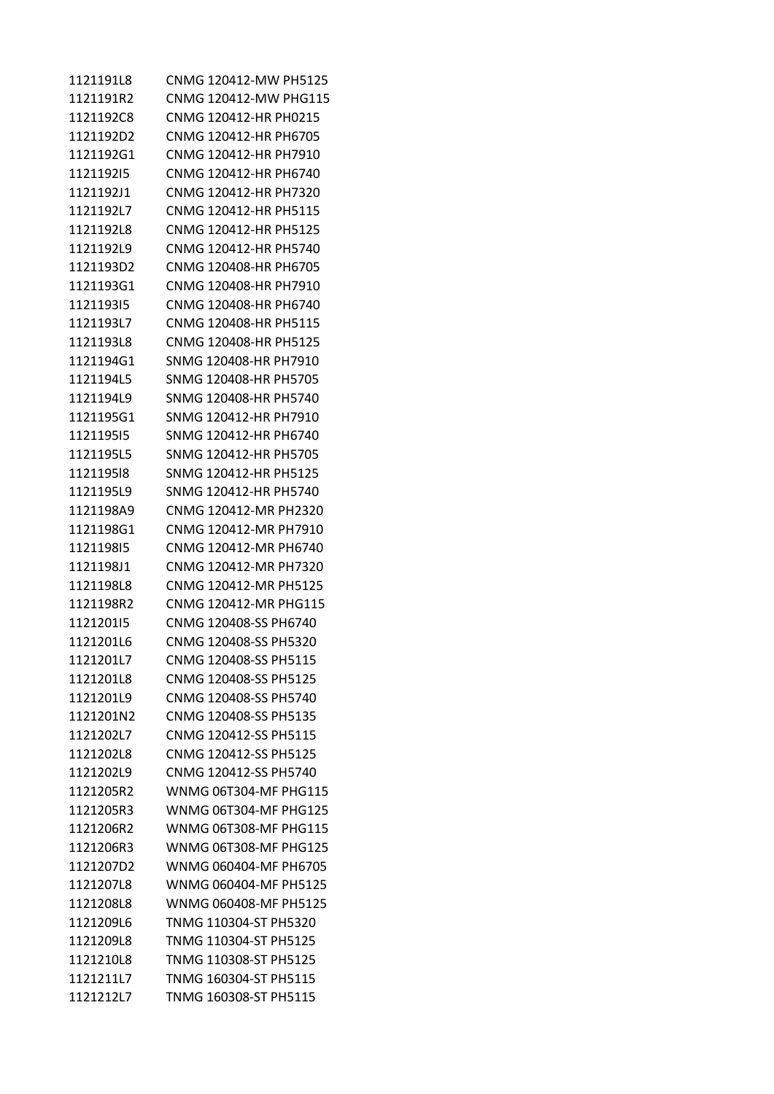| 1121191L8 | CNMG 120412-MW PH5125        |
|-----------|------------------------------|
| 1121191R2 | CNMG 120412-MW PHG115        |
| 1121192C8 | CNMG 120412-HR PH0215        |
| 1121192D2 | CNMG 120412-HR PH6705        |
| 1121192G1 | CNMG 120412-HR PH7910        |
| 112119215 | CNMG 120412-HR PH6740        |
| 1121192J1 | CNMG 120412-HR PH7320        |
| 1121192L7 | CNMG 120412-HR PH5115        |
| 1121192L8 | CNMG 120412-HR PH5125        |
| 1121192L9 | CNMG 120412-HR PH5740        |
| 1121193D2 | CNMG 120408-HR PH6705        |
| 1121193G1 | CNMG 120408-HR PH7910        |
| 112119315 | CNMG 120408-HR PH6740        |
| 1121193L7 | CNMG 120408-HR PH5115        |
| 1121193L8 | CNMG 120408-HR PH5125        |
| 1121194G1 | SNMG 120408-HR PH7910        |
| 1121194L5 | SNMG 120408-HR PH5705        |
| 1121194L9 | SNMG 120408-HR PH5740        |
| 1121195G1 | SNMG 120412-HR PH7910        |
| 112119515 | SNMG 120412-HR PH6740        |
| 1121195L5 | SNMG 120412-HR PH5705        |
| 112119518 | SNMG 120412-HR PH5125        |
| 1121195L9 | SNMG 120412-HR PH5740        |
| 1121198A9 | CNMG 120412-MR PH2320        |
| 1121198G1 | CNMG 120412-MR PH7910        |
| 112119815 | CNMG 120412-MR PH6740        |
| 1121198J1 | CNMG 120412-MR PH7320        |
| 1121198L8 | CNMG 120412-MR PH5125        |
| 1121198R2 | CNMG 120412-MR PHG115        |
| 112120115 | CNMG 120408-SS PH6740        |
| 1121201L6 | CNMG 120408-SS PH5320        |
| 1121201L7 | CNMG 120408-SS PH5115        |
| 1121201L8 | CNMG 120408-SS PH5125        |
| 1121201L9 | CNMG 120408-SS PH5740        |
| 1121201N2 | CNMG 120408-SS PH5135        |
| 1121202L7 | CNMG 120412-SS PH5115        |
| 1121202L8 | CNMG 120412-SS PH5125        |
| 1121202L9 | CNMG 120412-SS PH5740        |
| 1121205R2 | WNMG 06T304-MF PHG115        |
| 1121205R3 | WNMG 06T304-MF PHG125        |
| 1121206R2 | WNMG 06T308-MF PHG115        |
| 1121206R3 | <b>WNMG 06T308-MF PHG125</b> |
| 1121207D2 | WNMG 060404-MF PH6705        |
| 1121207L8 | WNMG 060404-MF PH5125        |
| 1121208L8 | WNMG 060408-MF PH5125        |
| 1121209L6 | TNMG 110304-ST PH5320        |
| 1121209L8 | TNMG 110304-ST PH5125        |
| 1121210L8 | TNMG 110308-ST PH5125        |
| 1121211L7 | TNMG 160304-ST PH5115        |
| 1121212L7 | TNMG 160308-ST PH5115        |
|           |                              |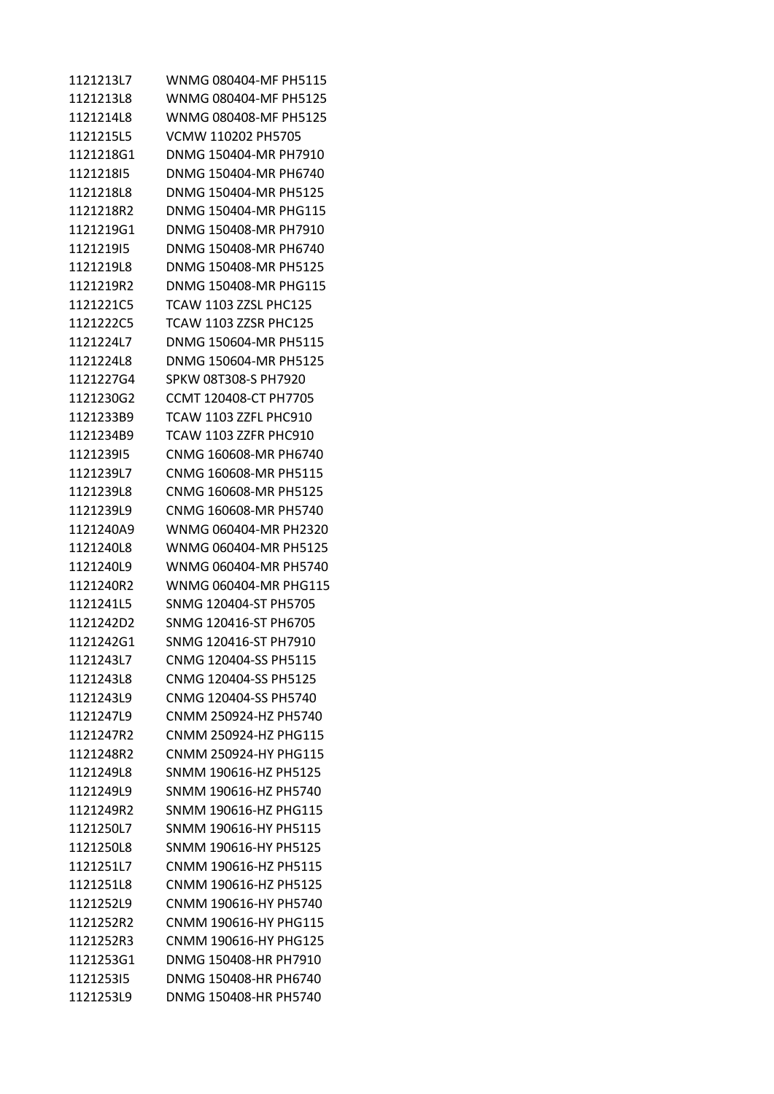1121213L7 WNMG 080404-MF PH5115 1121213L8 WNMG 080404-MF PH5125 1121214L8 WNMG 080408-MF PH5125 1121215L5 VCMW 110202 PH5705 1121218G1 DNMG 150404-MR PH7910 1121218I5 DNMG 150404-MR PH6740 1121218L8 DNMG 150404-MR PH5125 1121218R2 DNMG 150404-MR PHG115 1121219G1 DNMG 150408-MR PH7910 1121219I5 DNMG 150408-MR PH6740 1121219L8 DNMG 150408-MR PH5125 1121219R2 DNMG 150408-MR PHG115 1121221C5 TCAW 1103 ZZSL PHC125 1121222C5 TCAW 1103 ZZSR PHC125 1121224L7 DNMG 150604-MR PH5115 1121224L8 DNMG 150604-MR PH5125 1121227G4 SPKW 08T308-S PH7920 1121230G2 CCMT 120408-CT PH7705 1121233B9 TCAW 1103 ZZFL PHC910 1121234B9 TCAW 1103 ZZFR PHC910 1121239I5 CNMG 160608-MR PH6740 1121239L7 CNMG 160608-MR PH5115 1121239L8 CNMG 160608-MR PH5125 1121239L9 CNMG 160608-MR PH5740 1121240A9 WNMG 060404-MR PH2320 1121240L8 WNMG 060404-MR PH5125 1121240L9 WNMG 060404-MR PH5740 1121240R2 WNMG 060404-MR PHG115 1121241L5 SNMG 120404-ST PH5705 1121242D2 SNMG 120416-ST PH6705 1121242G1 SNMG 120416-ST PH7910 1121243L7 CNMG 120404-SS PH5115 1121243L8 CNMG 120404-SS PH5125 1121243L9 CNMG 120404-SS PH5740 1121247L9 CNMM 250924-HZ PH5740 1121247R2 CNMM 250924-HZ PHG115 1121248R2 CNMM 250924-HY PHG115 1121249L8 SNMM 190616-HZ PH5125 1121249L9 SNMM 190616-HZ PH5740 1121249R2 SNMM 190616-HZ PHG115 1121250L7 SNMM 190616-HY PH5115 1121250L8 SNMM 190616-HY PH5125 1121251L7 CNMM 190616-HZ PH5115 1121251L8 CNMM 190616-HZ PH5125 1121252L9 CNMM 190616-HY PH5740 1121252R2 CNMM 190616-HY PHG115 1121252R3 CNMM 190616-HY PHG125 1121253G1 DNMG 150408-HR PH7910 1121253I5 DNMG 150408-HR PH6740 1121253L9 DNMG 150408-HR PH5740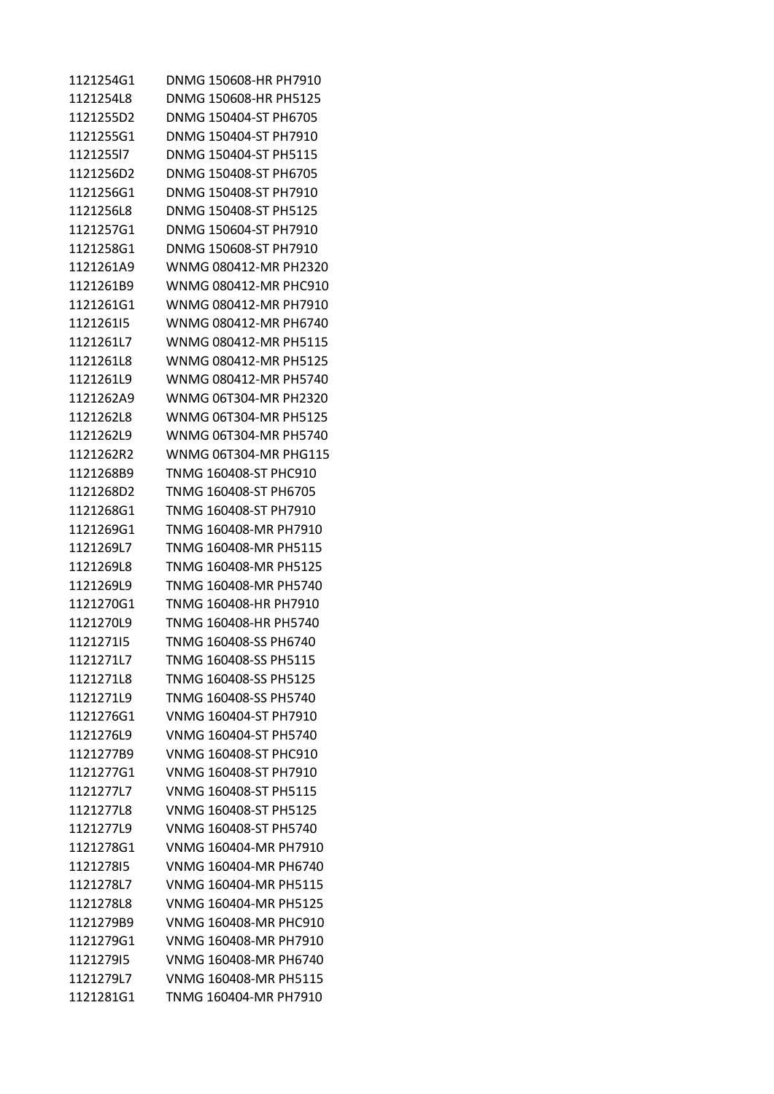| 1121254G1 | DNMG 150608-HR PH7910 |
|-----------|-----------------------|
| 1121254L8 | DNMG 150608-HR PH5125 |
| 1121255D2 | DNMG 150404-ST PH6705 |
| 1121255G1 | DNMG 150404-ST PH7910 |
| 112125517 | DNMG 150404-ST PH5115 |
| 1121256D2 | DNMG 150408-ST PH6705 |
| 1121256G1 | DNMG 150408-ST PH7910 |
| 1121256L8 | DNMG 150408-ST PH5125 |
| 1121257G1 | DNMG 150604-ST PH7910 |
| 1121258G1 | DNMG 150608-ST PH7910 |
| 1121261A9 | WNMG 080412-MR PH2320 |
| 1121261B9 | WNMG 080412-MR PHC910 |
| 1121261G1 | WNMG 080412-MR PH7910 |
| 112126115 | WNMG 080412-MR PH6740 |
| 1121261L7 | WNMG 080412-MR PH5115 |
| 1121261L8 | WNMG 080412-MR PH5125 |
| 1121261L9 | WNMG 080412-MR PH5740 |
| 1121262A9 | WNMG 06T304-MR PH2320 |
| 1121262L8 | WNMG 06T304-MR PH5125 |
| 1121262L9 | WNMG 06T304-MR PH5740 |
| 1121262R2 | WNMG 06T304-MR PHG115 |
| 1121268B9 | TNMG 160408-ST PHC910 |
| 1121268D2 | TNMG 160408-ST PH6705 |
| 1121268G1 | TNMG 160408-ST PH7910 |
| 1121269G1 | TNMG 160408-MR PH7910 |
| 1121269L7 | TNMG 160408-MR PH5115 |
| 1121269L8 | TNMG 160408-MR PH5125 |
| 1121269L9 | TNMG 160408-MR PH5740 |
| 1121270G1 | TNMG 160408-HR PH7910 |
| 1121270L9 | TNMG 160408-HR PH5740 |
| 112127115 | TNMG 160408-SS PH6740 |
| 1121271L7 | TNMG 160408-SS PH5115 |
| 1121271L8 | TNMG 160408-SS PH5125 |
| 1121271L9 | TNMG 160408-SS PH5740 |
| 1121276G1 | VNMG 160404-ST PH7910 |
| 1121276L9 | VNMG 160404-ST PH5740 |
| 1121277B9 | VNMG 160408-ST PHC910 |
| 1121277G1 | VNMG 160408-ST PH7910 |
| 1121277L7 | VNMG 160408-ST PH5115 |
| 1121277L8 | VNMG 160408-ST PH5125 |
| 1121277L9 | VNMG 160408-ST PH5740 |
| 1121278G1 | VNMG 160404-MR PH7910 |
| 112127815 | VNMG 160404-MR PH6740 |
| 1121278L7 | VNMG 160404-MR PH5115 |
| 1121278L8 | VNMG 160404-MR PH5125 |
| 1121279B9 | VNMG 160408-MR PHC910 |
| 1121279G1 | VNMG 160408-MR PH7910 |
| 112127915 | VNMG 160408-MR PH6740 |
| 1121279L7 | VNMG 160408-MR PH5115 |
| 1121281G1 | TNMG 160404-MR PH7910 |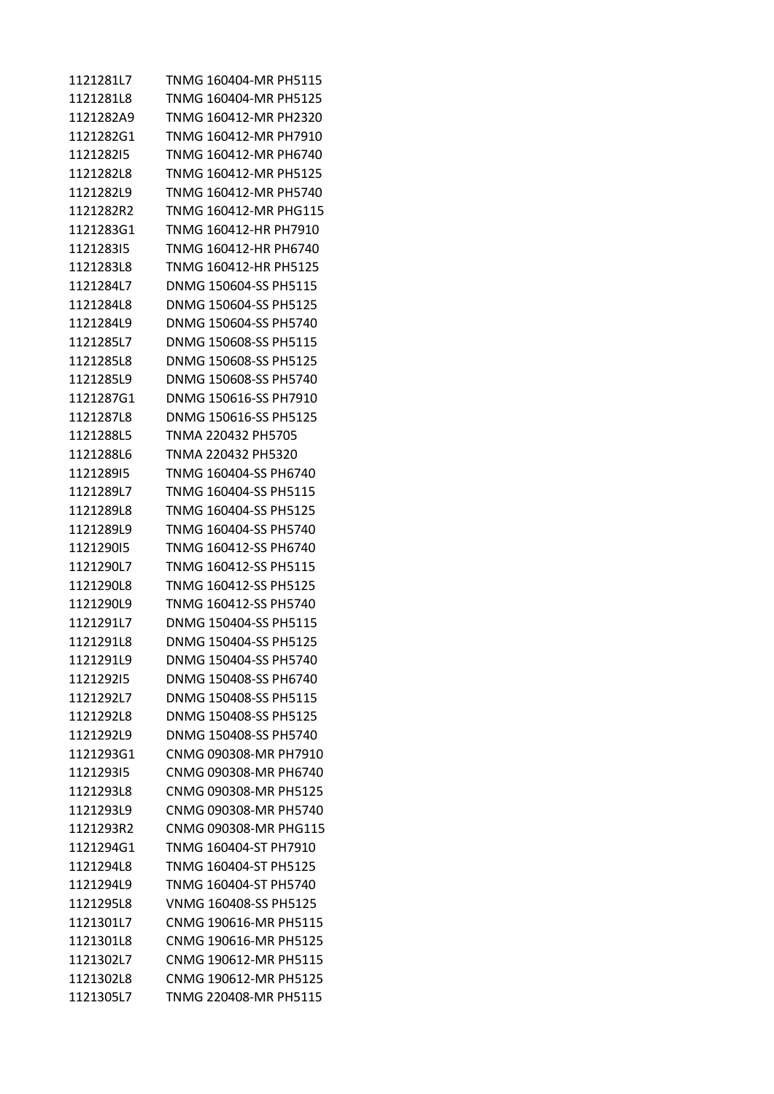| 1121281L7 | TNMG 160404-MR PH5115 |
|-----------|-----------------------|
| 1121281L8 | TNMG 160404-MR PH5125 |
| 1121282A9 | TNMG 160412-MR PH2320 |
| 1121282G1 | TNMG 160412-MR PH7910 |
| 112128215 | TNMG 160412-MR PH6740 |
| 1121282L8 | TNMG 160412-MR PH5125 |
| 1121282L9 | TNMG 160412-MR PH5740 |
| 1121282R2 | TNMG 160412-MR PHG115 |
| 1121283G1 | TNMG 160412-HR PH7910 |
| 112128315 | TNMG 160412-HR PH6740 |
| 1121283L8 | TNMG 160412-HR PH5125 |
| 1121284L7 | DNMG 150604-SS PH5115 |
| 1121284L8 | DNMG 150604-SS PH5125 |
| 1121284L9 | DNMG 150604-SS PH5740 |
| 1121285L7 | DNMG 150608-SS PH5115 |
| 1121285L8 | DNMG 150608-SS PH5125 |
| 1121285L9 | DNMG 150608-SS PH5740 |
| 1121287G1 | DNMG 150616-SS PH7910 |
| 1121287L8 | DNMG 150616-SS PH5125 |
| 1121288L5 | TNMA 220432 PH5705    |
| 1121288L6 | TNMA 220432 PH5320    |
| 112128915 | TNMG 160404-SS PH6740 |
| 1121289L7 | TNMG 160404-SS PH5115 |
| 1121289L8 | TNMG 160404-SS PH5125 |
| 1121289L9 | TNMG 160404-SS PH5740 |
| 112129015 | TNMG 160412-SS PH6740 |
| 1121290L7 | TNMG 160412-SS PH5115 |
| 1121290L8 | TNMG 160412-SS PH5125 |
| 1121290L9 | TNMG 160412-SS PH5740 |
| 1121291L7 | DNMG 150404-SS PH5115 |
| 1121291L8 | DNMG 150404-SS PH5125 |
| 1121291L9 | DNMG 150404-SS PH5740 |
| 112129215 | DNMG 150408-SS PH6740 |
| 1121292L7 | DNMG 150408-SS PH5115 |
| 1121292L8 | DNMG 150408-SS PH5125 |
| 1121292L9 | DNMG 150408-SS PH5740 |
| 1121293G1 | CNMG 090308-MR PH7910 |
| 112129315 | CNMG 090308-MR PH6740 |
| 1121293L8 | CNMG 090308-MR PH5125 |
| 1121293L9 | CNMG 090308-MR PH5740 |
| 1121293R2 | CNMG 090308-MR PHG115 |
| 1121294G1 | TNMG 160404-ST PH7910 |
| 1121294L8 | TNMG 160404-ST PH5125 |
| 1121294L9 | TNMG 160404-ST PH5740 |
| 1121295L8 | VNMG 160408-SS PH5125 |
| 1121301L7 | CNMG 190616-MR PH5115 |
| 1121301L8 | CNMG 190616-MR PH5125 |
| 1121302L7 | CNMG 190612-MR PH5115 |
| 1121302L8 | CNMG 190612-MR PH5125 |
| 1121305L7 | TNMG 220408-MR PH5115 |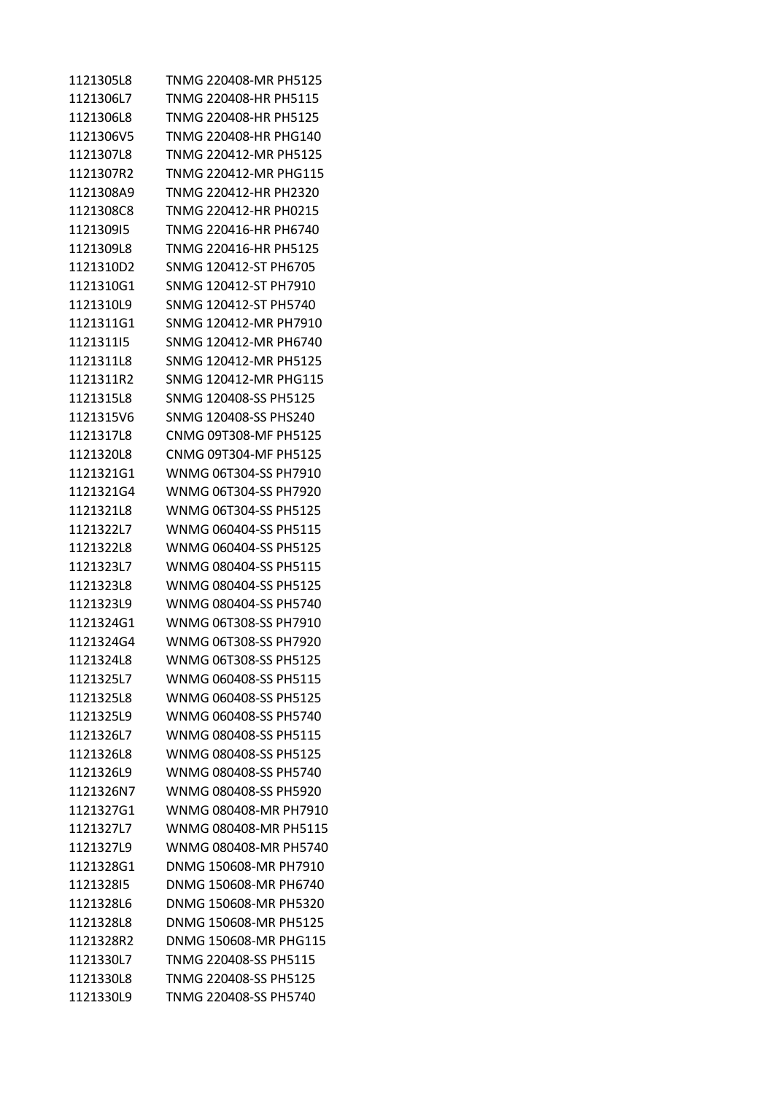| 1121305L8 | TNMG 220408-MR PH5125 |
|-----------|-----------------------|
| 1121306L7 | TNMG 220408-HR PH5115 |
| 1121306L8 | TNMG 220408-HR PH5125 |
| 1121306V5 | TNMG 220408-HR PHG140 |
| 1121307L8 | TNMG 220412-MR PH5125 |
| 1121307R2 | TNMG 220412-MR PHG115 |
| 1121308A9 | TNMG 220412-HR PH2320 |
| 1121308C8 | TNMG 220412-HR PH0215 |
| 112130915 | TNMG 220416-HR PH6740 |
| 1121309L8 | TNMG 220416-HR PH5125 |
| 1121310D2 | SNMG 120412-ST PH6705 |
| 1121310G1 | SNMG 120412-ST PH7910 |
| 1121310L9 | SNMG 120412-ST PH5740 |
| 1121311G1 | SNMG 120412-MR PH7910 |
| 112131115 | SNMG 120412-MR PH6740 |
| 1121311L8 | SNMG 120412-MR PH5125 |
| 1121311R2 | SNMG 120412-MR PHG115 |
| 1121315L8 | SNMG 120408-SS PH5125 |
| 1121315V6 | SNMG 120408-SS PHS240 |
| 1121317L8 | CNMG 09T308-MF PH5125 |
| 1121320L8 | CNMG 09T304-MF PH5125 |
| 1121321G1 | WNMG 06T304-SS PH7910 |
| 1121321G4 | WNMG 06T304-SS PH7920 |
| 1121321L8 | WNMG 06T304-SS PH5125 |
| 1121322L7 | WNMG 060404-SS PH5115 |
| 1121322L8 | WNMG 060404-SS PH5125 |
| 1121323L7 | WNMG 080404-SS PH5115 |
| 1121323L8 | WNMG 080404-SS PH5125 |
| 1121323L9 | WNMG 080404-SS PH5740 |
| 1121324G1 | WNMG 06T308-SS PH7910 |
| 1121324G4 | WNMG 06T308-SS PH7920 |
| 1121324L8 | WNMG 06T308-SS PH5125 |
| 1121325L7 | WNMG 060408-SS PH5115 |
| 1121325L8 | WNMG 060408-SS PH5125 |
| 1121325L9 | WNMG 060408-SS PH5740 |
| 1121326L7 | WNMG 080408-SS PH5115 |
| 1121326L8 | WNMG 080408-SS PH5125 |
| 1121326L9 | WNMG 080408-SS PH5740 |
| 1121326N7 | WNMG 080408-SS PH5920 |
| 1121327G1 | WNMG 080408-MR PH7910 |
| 1121327L7 | WNMG 080408-MR PH5115 |
| 1121327L9 | WNMG 080408-MR PH5740 |
| 1121328G1 | DNMG 150608-MR PH7910 |
| 112132815 | DNMG 150608-MR PH6740 |
| 1121328L6 | DNMG 150608-MR PH5320 |
| 1121328L8 | DNMG 150608-MR PH5125 |
| 1121328R2 | DNMG 150608-MR PHG115 |
| 1121330L7 | TNMG 220408-SS PH5115 |
| 1121330L8 | TNMG 220408-SS PH5125 |
| 1121330L9 | TNMG 220408-SS PH5740 |
|           |                       |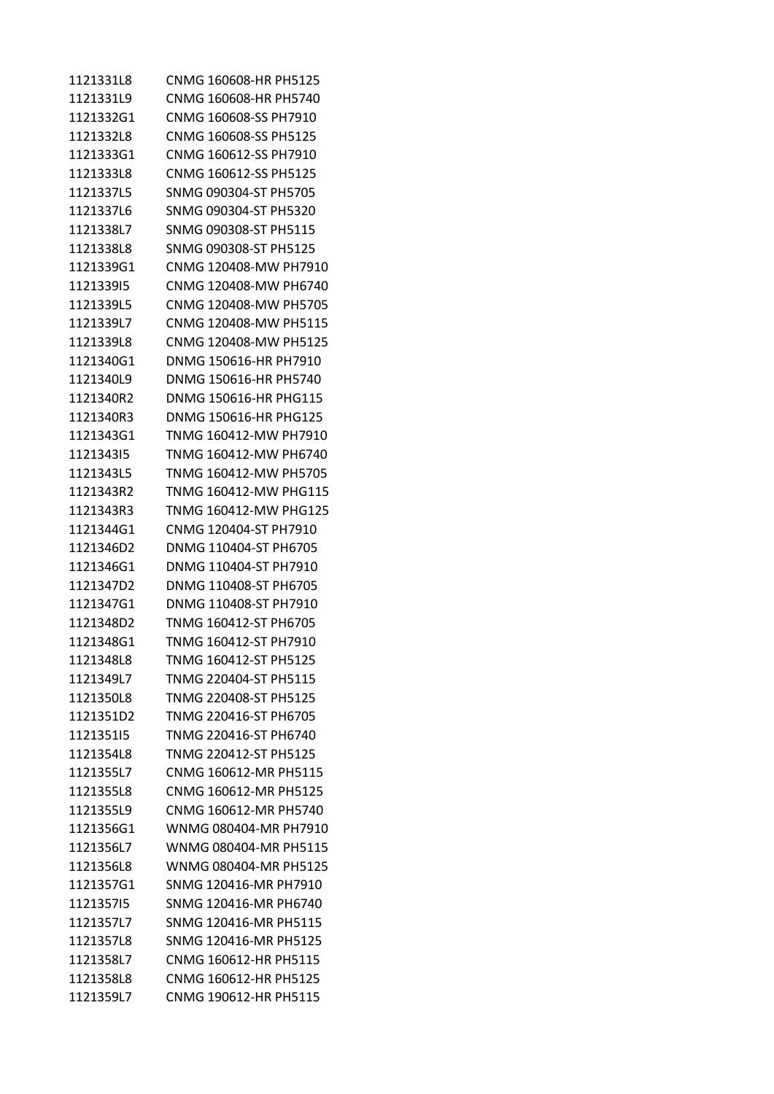| 1121331L8 | CNMG 160608-HR PH5125 |
|-----------|-----------------------|
| 1121331L9 | CNMG 160608-HR PH5740 |
| 1121332G1 | CNMG 160608-SS PH7910 |
| 1121332L8 | CNMG 160608-SS PH5125 |
| 1121333G1 | CNMG 160612-SS PH7910 |
| 1121333L8 | CNMG 160612-SS PH5125 |
| 1121337L5 | SNMG 090304-ST PH5705 |
| 1121337L6 | SNMG 090304-ST PH5320 |
| 1121338L7 | SNMG 090308-ST PH5115 |
| 1121338L8 | SNMG 090308-ST PH5125 |
| 1121339G1 | CNMG 120408-MW PH7910 |
| 112133915 | CNMG 120408-MW PH6740 |
|           |                       |
| 1121339L5 | CNMG 120408-MW PH5705 |
| 1121339L7 | CNMG 120408-MW PH5115 |
| 1121339L8 | CNMG 120408-MW PH5125 |
| 1121340G1 | DNMG 150616-HR PH7910 |
| 1121340L9 | DNMG 150616-HR PH5740 |
| 1121340R2 | DNMG 150616-HR PHG115 |
| 1121340R3 | DNMG 150616-HR PHG125 |
| 1121343G1 | TNMG 160412-MW PH7910 |
| 112134315 | TNMG 160412-MW PH6740 |
| 1121343L5 | TNMG 160412-MW PH5705 |
| 1121343R2 | TNMG 160412-MW PHG115 |
| 1121343R3 | TNMG 160412-MW PHG125 |
| 1121344G1 | CNMG 120404-ST PH7910 |
| 1121346D2 | DNMG 110404-ST PH6705 |
| 1121346G1 | DNMG 110404-ST PH7910 |
| 1121347D2 | DNMG 110408-ST PH6705 |
| 1121347G1 | DNMG 110408-ST PH7910 |
| 1121348D2 | TNMG 160412-ST PH6705 |
| 1121348G1 | TNMG 160412-ST PH7910 |
| 1121348L8 | TNMG 160412-ST PH5125 |
| 1121349L7 | TNMG 220404-ST PH5115 |
| 1121350L8 | TNMG 220408-ST PH5125 |
| 1121351D2 | TNMG 220416-ST PH6705 |
| 112135115 | TNMG 220416-ST PH6740 |
| 1121354L8 | TNMG 220412-ST PH5125 |
| 1121355L7 | CNMG 160612-MR PH5115 |
| 1121355L8 | CNMG 160612-MR PH5125 |
|           |                       |
| 1121355L9 | CNMG 160612-MR PH5740 |
| 1121356G1 | WNMG 080404-MR PH7910 |
| 1121356L7 | WNMG 080404-MR PH5115 |
| 1121356L8 | WNMG 080404-MR PH5125 |
| 1121357G1 | SNMG 120416-MR PH7910 |
| 112135715 | SNMG 120416-MR PH6740 |
| 1121357L7 | SNMG 120416-MR PH5115 |
| 1121357L8 | SNMG 120416-MR PH5125 |
| 1121358L7 | CNMG 160612-HR PH5115 |
| 1121358L8 | CNMG 160612-HR PH5125 |
| 1121359L7 | CNMG 190612-HR PH5115 |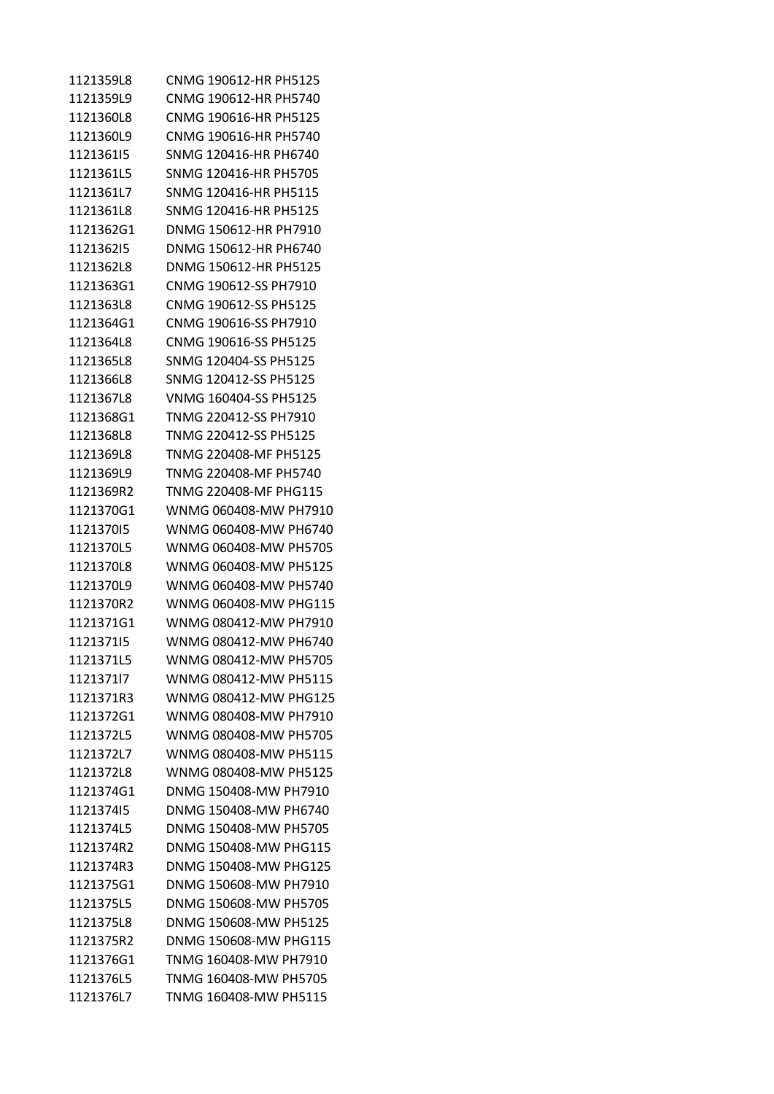| 1121359L8 | CNMG 190612-HR PH5125 |
|-----------|-----------------------|
| 1121359L9 | CNMG 190612-HR PH5740 |
| 1121360L8 | CNMG 190616-HR PH5125 |
| 1121360L9 | CNMG 190616-HR PH5740 |
| 112136115 | SNMG 120416-HR PH6740 |
| 1121361L5 | SNMG 120416-HR PH5705 |
| 1121361L7 | SNMG 120416-HR PH5115 |
| 1121361L8 | SNMG 120416-HR PH5125 |
| 1121362G1 | DNMG 150612-HR PH7910 |
| 112136215 | DNMG 150612-HR PH6740 |
| 1121362L8 | DNMG 150612-HR PH5125 |
| 1121363G1 | CNMG 190612-SS PH7910 |
| 1121363L8 | CNMG 190612-SS PH5125 |
| 1121364G1 | CNMG 190616-SS PH7910 |
| 1121364L8 | CNMG 190616-SS PH5125 |
| 1121365L8 | SNMG 120404-SS PH5125 |
| 1121366L8 | SNMG 120412-SS PH5125 |
| 1121367L8 | VNMG 160404-SS PH5125 |
| 1121368G1 | TNMG 220412-SS PH7910 |
| 1121368L8 | TNMG 220412-SS PH5125 |
| 1121369L8 | TNMG 220408-MF PH5125 |
| 1121369L9 | TNMG 220408-MF PH5740 |
| 1121369R2 | TNMG 220408-MF PHG115 |
| 1121370G1 | WNMG 060408-MW PH7910 |
| 112137015 | WNMG 060408-MW PH6740 |
| 1121370L5 | WNMG 060408-MW PH5705 |
| 1121370L8 | WNMG 060408-MW PH5125 |
| 1121370L9 | WNMG 060408-MW PH5740 |
| 1121370R2 | WNMG 060408-MW PHG115 |
| 1121371G1 | WNMG 080412-MW PH7910 |
| 112137115 | WNMG 080412-MW PH6740 |
| 1121371L5 | WNMG 080412-MW PH5705 |
| 112137117 | WNMG 080412-MW PH5115 |
| 1121371R3 | WNMG 080412-MW PHG125 |
| 1121372G1 | WNMG 080408-MW PH7910 |
| 1121372L5 | WNMG 080408-MW PH5705 |
| 1121372L7 | WNMG 080408-MW PH5115 |
| 1121372L8 | WNMG 080408-MW PH5125 |
| 1121374G1 | DNMG 150408-MW PH7910 |
| 112137415 | DNMG 150408-MW PH6740 |
| 1121374L5 | DNMG 150408-MW PH5705 |
| 1121374R2 | DNMG 150408-MW PHG115 |
| 1121374R3 | DNMG 150408-MW PHG125 |
| 1121375G1 | DNMG 150608-MW PH7910 |
| 1121375L5 | DNMG 150608-MW PH5705 |
| 1121375L8 | DNMG 150608-MW PH5125 |
| 1121375R2 | DNMG 150608-MW PHG115 |
| 1121376G1 | TNMG 160408-MW PH7910 |
| 1121376L5 | TNMG 160408-MW PH5705 |
| 1121376L7 | TNMG 160408-MW PH5115 |
|           |                       |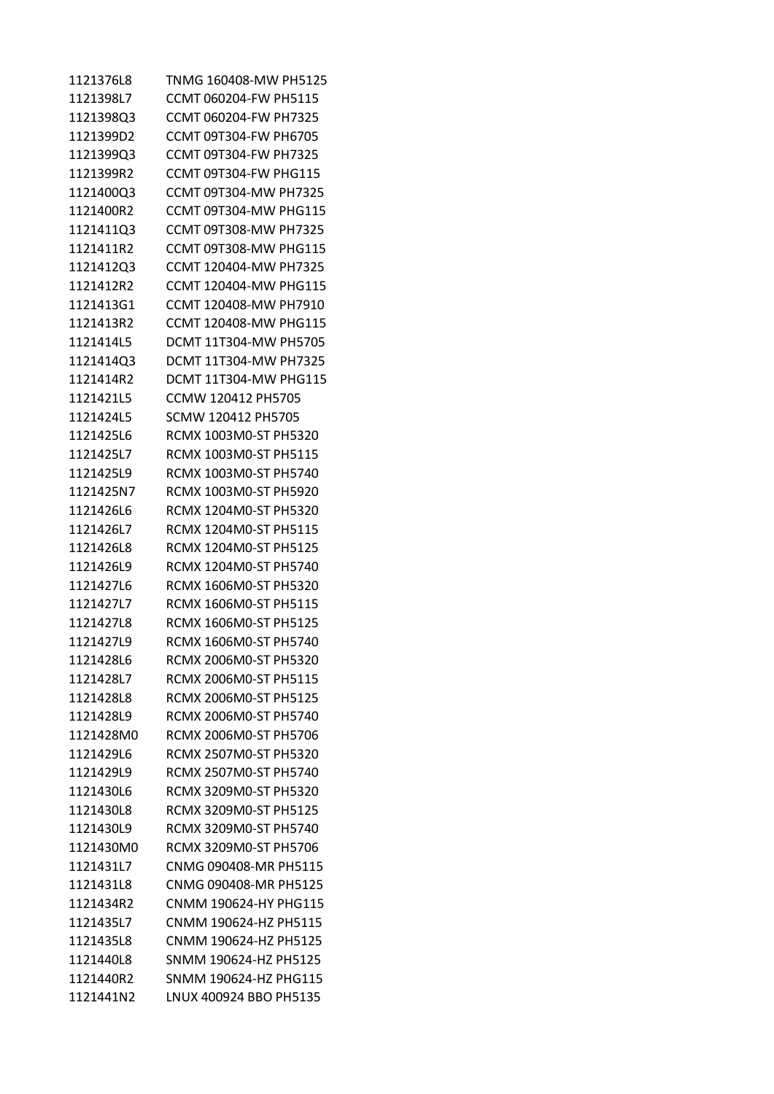| 1121376L8 | TNMG 160408-MW PH5125        |
|-----------|------------------------------|
| 1121398L7 | CCMT 060204-FW PH5115        |
| 1121398Q3 | CCMT 060204-FW PH7325        |
| 1121399D2 | CCMT 09T304-FW PH6705        |
| 1121399Q3 | CCMT 09T304-FW PH7325        |
| 1121399R2 | <b>CCMT 09T304-FW PHG115</b> |
| 1121400Q3 | CCMT 09T304-MW PH7325        |
| 1121400R2 | <b>CCMT 09T304-MW PHG115</b> |
| 1121411Q3 | CCMT 09T308-MW PH7325        |
| 1121411R2 | CCMT 09T308-MW PHG115        |
| 1121412Q3 | CCMT 120404-MW PH7325        |
| 1121412R2 | CCMT 120404-MW PHG115        |
| 1121413G1 | CCMT 120408-MW PH7910        |
| 1121413R2 | CCMT 120408-MW PHG115        |
| 1121414L5 | DCMT 11T304-MW PH5705        |
| 1121414Q3 | DCMT 11T304-MW PH7325        |
| 1121414R2 | <b>DCMT 11T304-MW PHG115</b> |
| 1121421L5 | CCMW 120412 PH5705           |
| 1121424L5 | SCMW 120412 PH5705           |
| 1121425L6 | RCMX 1003M0-ST PH5320        |
| 1121425L7 | RCMX 1003M0-ST PH5115        |
| 1121425L9 | RCMX 1003M0-ST PH5740        |
| 1121425N7 | RCMX 1003M0-ST PH5920        |
| 1121426L6 | RCMX 1204M0-ST PH5320        |
| 1121426L7 | RCMX 1204M0-ST PH5115        |
| 1121426L8 | RCMX 1204M0-ST PH5125        |
| 1121426L9 | RCMX 1204M0-ST PH5740        |
| 1121427L6 | RCMX 1606M0-ST PH5320        |
| 1121427L7 | RCMX 1606M0-ST PH5115        |
| 1121427L8 | RCMX 1606M0-ST PH5125        |
| 1121427L9 | RCMX 1606M0-ST PH5740        |
| 1121428L6 | RCMX 2006M0-ST PH5320        |
| 1121428L7 | RCMX 2006M0-ST PH5115        |
| 1121428L8 | RCMX 2006M0-ST PH5125        |
| 1121428L9 | RCMX 2006M0-ST PH5740        |
| 1121428M0 | RCMX 2006M0-ST PH5706        |
| 1121429L6 | RCMX 2507M0-ST PH5320        |
| 1121429L9 | RCMX 2507M0-ST PH5740        |
| 1121430L6 | RCMX 3209M0-ST PH5320        |
| 1121430L8 | RCMX 3209M0-ST PH5125        |
| 1121430L9 | RCMX 3209M0-ST PH5740        |
| 1121430M0 | RCMX 3209M0-ST PH5706        |
| 1121431L7 | CNMG 090408-MR PH5115        |
| 1121431L8 | CNMG 090408-MR PH5125        |
| 1121434R2 | CNMM 190624-HY PHG115        |
| 1121435L7 | CNMM 190624-HZ PH5115        |
| 1121435L8 | CNMM 190624-HZ PH5125        |
| 1121440L8 | SNMM 190624-HZ PH5125        |
| 1121440R2 | SNMM 190624-HZ PHG115        |
| 1121441N2 | LNUX 400924 BBO PH5135       |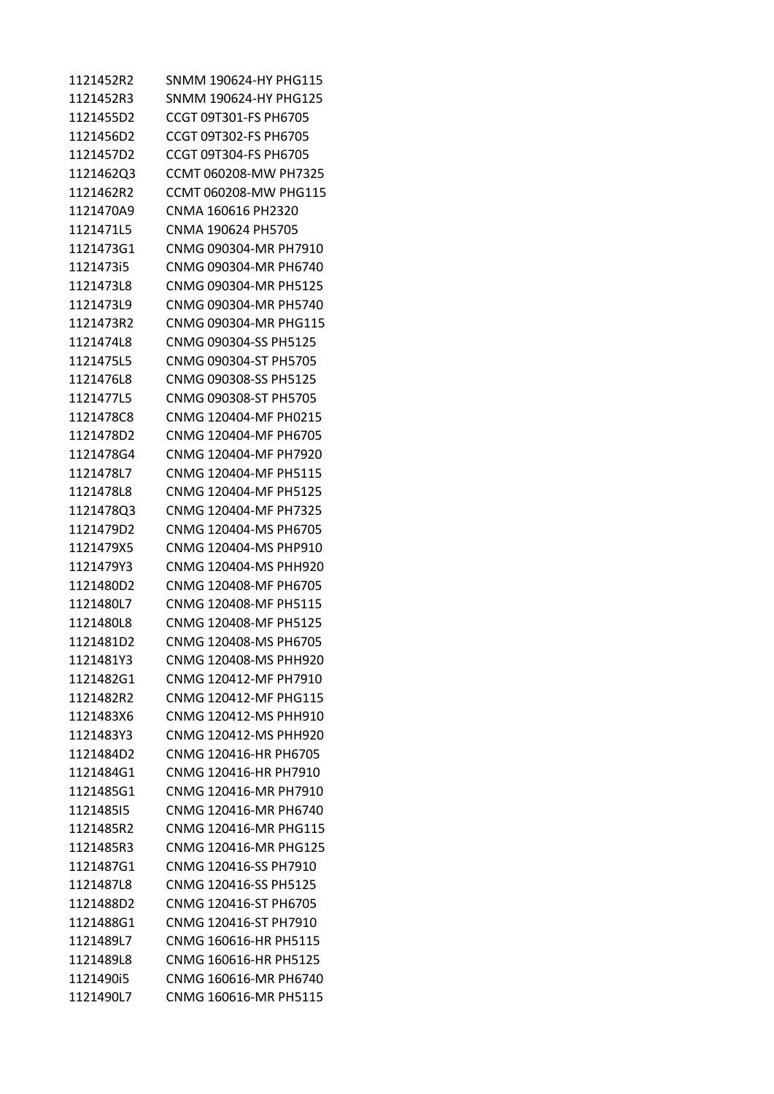| 1121452R2 | SNMM 190624-HY PHG115 |
|-----------|-----------------------|
| 1121452R3 | SNMM 190624-HY PHG125 |
| 1121455D2 | CCGT 09T301-FS PH6705 |
| 1121456D2 | CCGT 09T302-FS PH6705 |
| 1121457D2 | CCGT 09T304-FS PH6705 |
| 1121462Q3 | CCMT 060208-MW PH7325 |
| 1121462R2 | CCMT 060208-MW PHG115 |
| 1121470A9 | CNMA 160616 PH2320    |
| 1121471L5 | CNMA 190624 PH5705    |
| 1121473G1 | CNMG 090304-MR PH7910 |
| 1121473i5 | CNMG 090304-MR PH6740 |
| 1121473L8 | CNMG 090304-MR PH5125 |
| 1121473L9 | CNMG 090304-MR PH5740 |
| 1121473R2 | CNMG 090304-MR PHG115 |
| 1121474L8 | CNMG 090304-SS PH5125 |
| 1121475L5 | CNMG 090304-ST PH5705 |
| 1121476L8 | CNMG 090308-SS PH5125 |
| 1121477L5 | CNMG 090308-ST PH5705 |
| 1121478C8 | CNMG 120404-MF PH0215 |
| 1121478D2 | CNMG 120404-MF PH6705 |
| 1121478G4 | CNMG 120404-MF PH7920 |
| 1121478L7 | CNMG 120404-MF PH5115 |
| 1121478L8 | CNMG 120404-MF PH5125 |
| 1121478Q3 | CNMG 120404-MF PH7325 |
| 1121479D2 | CNMG 120404-MS PH6705 |
| 1121479X5 | CNMG 120404-MS PHP910 |
| 1121479Y3 | CNMG 120404-MS PHH920 |
| 1121480D2 | CNMG 120408-MF PH6705 |
| 1121480L7 | CNMG 120408-MF PH5115 |
| 1121480L8 | CNMG 120408-MF PH5125 |
| 1121481D2 | CNMG 120408-MS PH6705 |
| 1121481Y3 | CNMG 120408-MS PHH920 |
| 1121482G1 | CNMG 120412-MF PH7910 |
| 1121482R2 | CNMG 120412-MF PHG115 |
| 1121483X6 | CNMG 120412-MS PHH910 |
| 1121483Y3 | CNMG 120412-MS PHH920 |
| 1121484D2 | CNMG 120416-HR PH6705 |
| 1121484G1 | CNMG 120416-HR PH7910 |
| 1121485G1 | CNMG 120416-MR PH7910 |
| 112148515 | CNMG 120416-MR PH6740 |
| 1121485R2 | CNMG 120416-MR PHG115 |
| 1121485R3 | CNMG 120416-MR PHG125 |
| 1121487G1 | CNMG 120416-SS PH7910 |
| 1121487L8 | CNMG 120416-SS PH5125 |
| 1121488D2 | CNMG 120416-ST PH6705 |
| 1121488G1 | CNMG 120416-ST PH7910 |
| 1121489L7 | CNMG 160616-HR PH5115 |
| 1121489L8 | CNMG 160616-HR PH5125 |
| 1121490i5 | CNMG 160616-MR PH6740 |
| 1121490L7 | CNMG 160616-MR PH5115 |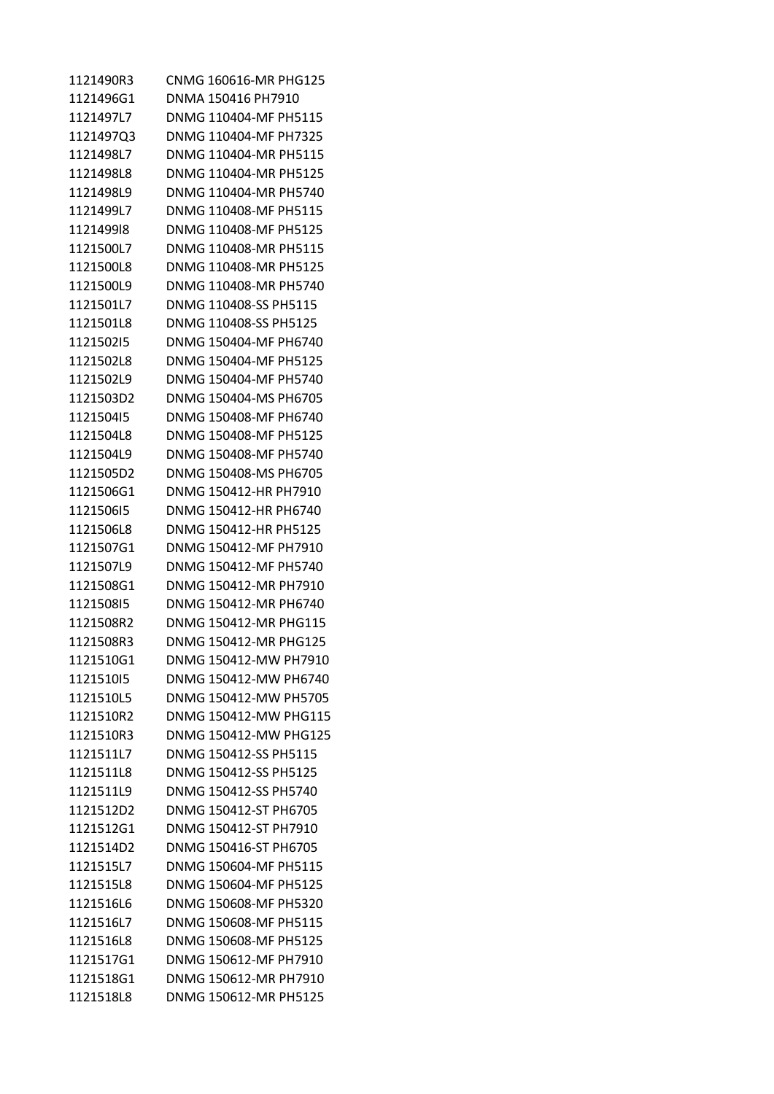| 1121490R3 | CNMG 160616-MR PHG125 |
|-----------|-----------------------|
| 1121496G1 | DNMA 150416 PH7910    |
| 1121497L7 | DNMG 110404-MF PH5115 |
| 1121497Q3 | DNMG 110404-MF PH7325 |
| 1121498L7 | DNMG 110404-MR PH5115 |
| 1121498L8 | DNMG 110404-MR PH5125 |
| 1121498L9 | DNMG 110404-MR PH5740 |
| 1121499L7 | DNMG 110408-MF PH5115 |
| 112149918 | DNMG 110408-MF PH5125 |
| 1121500L7 | DNMG 110408-MR PH5115 |
| 1121500L8 | DNMG 110408-MR PH5125 |
| 1121500L9 | DNMG 110408-MR PH5740 |
| 1121501L7 | DNMG 110408-SS PH5115 |
| 1121501L8 | DNMG 110408-SS PH5125 |
| 112150215 | DNMG 150404-MF PH6740 |
| 1121502L8 | DNMG 150404-MF PH5125 |
| 1121502L9 | DNMG 150404-MF PH5740 |
| 1121503D2 | DNMG 150404-MS PH6705 |
| 112150415 | DNMG 150408-MF PH6740 |
| 1121504L8 | DNMG 150408-MF PH5125 |
| 1121504L9 | DNMG 150408-MF PH5740 |
| 1121505D2 | DNMG 150408-MS PH6705 |
| 1121506G1 | DNMG 150412-HR PH7910 |
| 112150615 | DNMG 150412-HR PH6740 |
| 1121506L8 | DNMG 150412-HR PH5125 |
| 1121507G1 | DNMG 150412-MF PH7910 |
| 1121507L9 | DNMG 150412-MF PH5740 |
| 1121508G1 | DNMG 150412-MR PH7910 |
| 112150815 | DNMG 150412-MR PH6740 |
| 1121508R2 | DNMG 150412-MR PHG115 |
| 1121508R3 | DNMG 150412-MR PHG125 |
| 1121510G1 | DNMG 150412-MW PH7910 |
| 112151015 | DNMG 150412-MW PH6740 |
| 1121510L5 | DNMG 150412-MW PH5705 |
| 1121510R2 | DNMG 150412-MW PHG115 |
| 1121510R3 | DNMG 150412-MW PHG125 |
| 1121511L7 | DNMG 150412-SS PH5115 |
| 1121511L8 | DNMG 150412-SS PH5125 |
| 1121511L9 | DNMG 150412-SS PH5740 |
| 1121512D2 | DNMG 150412-ST PH6705 |
| 1121512G1 | DNMG 150412-ST PH7910 |
| 1121514D2 | DNMG 150416-ST PH6705 |
| 1121515L7 | DNMG 150604-MF PH5115 |
| 1121515L8 | DNMG 150604-MF PH5125 |
| 1121516L6 | DNMG 150608-MF PH5320 |
| 1121516L7 | DNMG 150608-MF PH5115 |
| 1121516L8 | DNMG 150608-MF PH5125 |
| 1121517G1 | DNMG 150612-MF PH7910 |
| 1121518G1 | DNMG 150612-MR PH7910 |
| 1121518L8 | DNMG 150612-MR PH5125 |
|           |                       |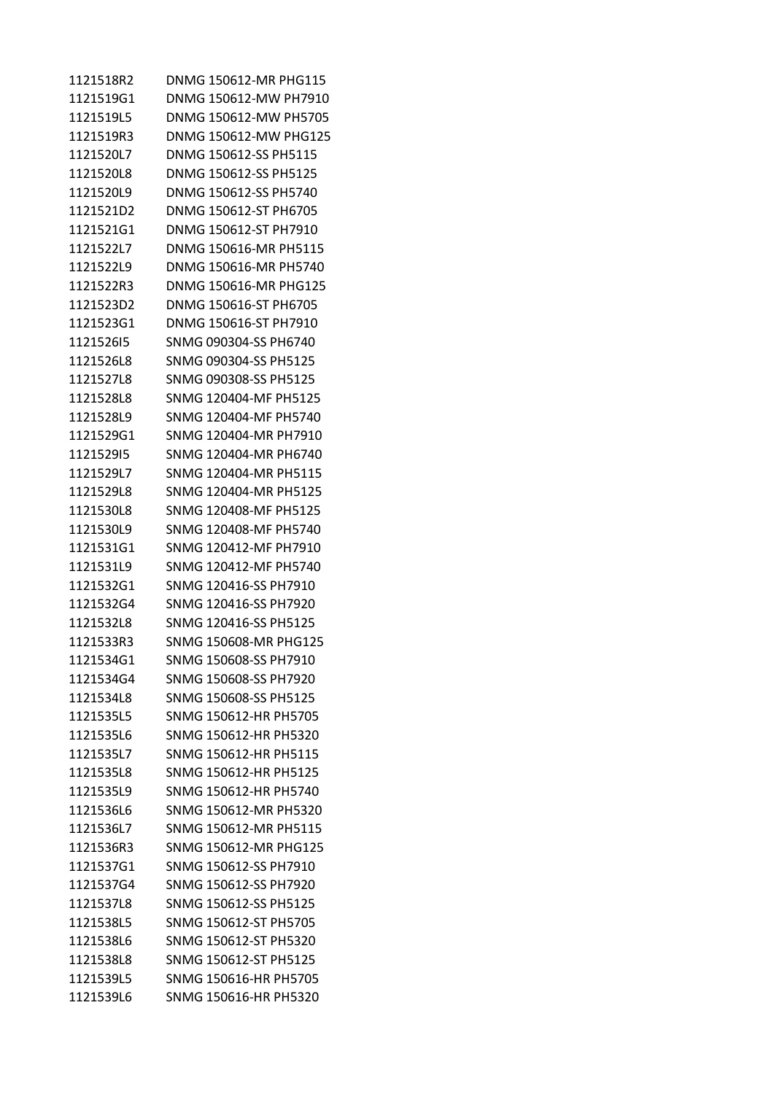| 1121518R2 | DNMG 150612-MR PHG115 |
|-----------|-----------------------|
| 1121519G1 | DNMG 150612-MW PH7910 |
| 1121519L5 | DNMG 150612-MW PH5705 |
| 1121519R3 | DNMG 150612-MW PHG125 |
| 1121520L7 | DNMG 150612-SS PH5115 |
| 1121520L8 | DNMG 150612-SS PH5125 |
| 1121520L9 | DNMG 150612-SS PH5740 |
| 1121521D2 | DNMG 150612-ST PH6705 |
| 1121521G1 | DNMG 150612-ST PH7910 |
| 1121522L7 | DNMG 150616-MR PH5115 |
| 1121522L9 | DNMG 150616-MR PH5740 |
| 1121522R3 | DNMG 150616-MR PHG125 |
| 1121523D2 | DNMG 150616-ST PH6705 |
| 1121523G1 | DNMG 150616-ST PH7910 |
| 112152615 | SNMG 090304-SS PH6740 |
| 1121526L8 | SNMG 090304-SS PH5125 |
| 1121527L8 | SNMG 090308-SS PH5125 |
| 1121528L8 | SNMG 120404-MF PH5125 |
| 1121528L9 | SNMG 120404-MF PH5740 |
| 1121529G1 | SNMG 120404-MR PH7910 |
| 112152915 | SNMG 120404-MR PH6740 |
| 1121529L7 | SNMG 120404-MR PH5115 |
| 1121529L8 | SNMG 120404-MR PH5125 |
| 1121530L8 | SNMG 120408-MF PH5125 |
| 1121530L9 | SNMG 120408-MF PH5740 |
| 1121531G1 | SNMG 120412-MF PH7910 |
| 1121531L9 | SNMG 120412-MF PH5740 |
| 1121532G1 | SNMG 120416-SS PH7910 |
| 1121532G4 | SNMG 120416-SS PH7920 |
| 1121532L8 | SNMG 120416-SS PH5125 |
| 1121533R3 | SNMG 150608-MR PHG125 |
| 1121534G1 | SNMG 150608-SS PH7910 |
| 1121534G4 | SNMG 150608-SS PH7920 |
| 1121534L8 | SNMG 150608-SS PH5125 |
| 1121535L5 | SNMG 150612-HR PH5705 |
| 1121535L6 | SNMG 150612-HR PH5320 |
| 1121535L7 | SNMG 150612-HR PH5115 |
| 1121535L8 | SNMG 150612-HR PH5125 |
| 1121535L9 | SNMG 150612-HR PH5740 |
| 1121536L6 | SNMG 150612-MR PH5320 |
| 1121536L7 | SNMG 150612-MR PH5115 |
| 1121536R3 | SNMG 150612-MR PHG125 |
| 1121537G1 | SNMG 150612-SS PH7910 |
| 1121537G4 | SNMG 150612-SS PH7920 |
| 1121537L8 | SNMG 150612-SS PH5125 |
| 1121538L5 | SNMG 150612-ST PH5705 |
| 1121538L6 | SNMG 150612-ST PH5320 |
| 1121538L8 | SNMG 150612-ST PH5125 |
| 1121539L5 | SNMG 150616-HR PH5705 |
| 1121539L6 | SNMG 150616-HR PH5320 |
|           |                       |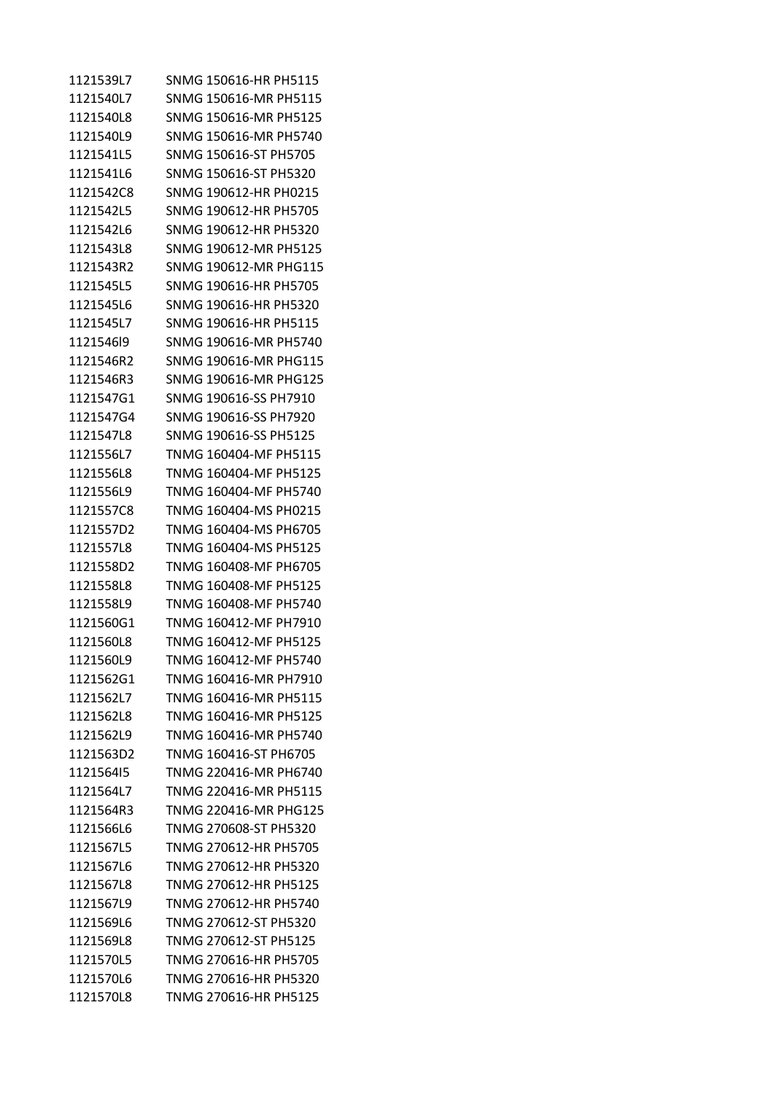| 1121539L7 | SNMG 150616-HR PH5115 |
|-----------|-----------------------|
| 1121540L7 | SNMG 150616-MR PH5115 |
| 1121540L8 | SNMG 150616-MR PH5125 |
| 1121540L9 | SNMG 150616-MR PH5740 |
| 1121541L5 | SNMG 150616-ST PH5705 |
| 1121541L6 | SNMG 150616-ST PH5320 |
| 1121542C8 | SNMG 190612-HR PH0215 |
| 1121542L5 | SNMG 190612-HR PH5705 |
| 1121542L6 | SNMG 190612-HR PH5320 |
| 1121543L8 | SNMG 190612-MR PH5125 |
| 1121543R2 | SNMG 190612-MR PHG115 |
| 1121545L5 | SNMG 190616-HR PH5705 |
| 1121545L6 | SNMG 190616-HR PH5320 |
| 1121545L7 | SNMG 190616-HR PH5115 |
| 1121546l9 | SNMG 190616-MR PH5740 |
| 1121546R2 | SNMG 190616-MR PHG115 |
| 1121546R3 | SNMG 190616-MR PHG125 |
| 1121547G1 | SNMG 190616-SS PH7910 |
| 1121547G4 | SNMG 190616-SS PH7920 |
| 1121547L8 | SNMG 190616-SS PH5125 |
| 1121556L7 | TNMG 160404-MF PH5115 |
| 1121556L8 | TNMG 160404-MF PH5125 |
| 1121556L9 | TNMG 160404-MF PH5740 |
| 1121557C8 | TNMG 160404-MS PH0215 |
| 1121557D2 | TNMG 160404-MS PH6705 |
| 1121557L8 | TNMG 160404-MS PH5125 |
| 1121558D2 | TNMG 160408-MF PH6705 |
| 1121558L8 | TNMG 160408-MF PH5125 |
| 1121558L9 | TNMG 160408-MF PH5740 |
| 1121560G1 | TNMG 160412-MF PH7910 |
| 1121560L8 | TNMG 160412-MF PH5125 |
| 1121560L9 | TNMG 160412-MF PH5740 |
| 1121562G1 | TNMG 160416-MR PH7910 |
| 1121562L7 | TNMG 160416-MR PH5115 |
| 1121562L8 | TNMG 160416-MR PH5125 |
| 1121562L9 | TNMG 160416-MR PH5740 |
| 1121563D2 | TNMG 160416-ST PH6705 |
| 112156415 | TNMG 220416-MR PH6740 |
| 1121564L7 | TNMG 220416-MR PH5115 |
| 1121564R3 | TNMG 220416-MR PHG125 |
| 1121566L6 | TNMG 270608-ST PH5320 |
| 1121567L5 | TNMG 270612-HR PH5705 |
| 1121567L6 | TNMG 270612-HR PH5320 |
| 1121567L8 | TNMG 270612-HR PH5125 |
| 1121567L9 | TNMG 270612-HR PH5740 |
| 1121569L6 | TNMG 270612-ST PH5320 |
| 1121569L8 | TNMG 270612-ST PH5125 |
| 1121570L5 | TNMG 270616-HR PH5705 |
| 1121570L6 | TNMG 270616-HR PH5320 |
| 1121570L8 | TNMG 270616-HR PH5125 |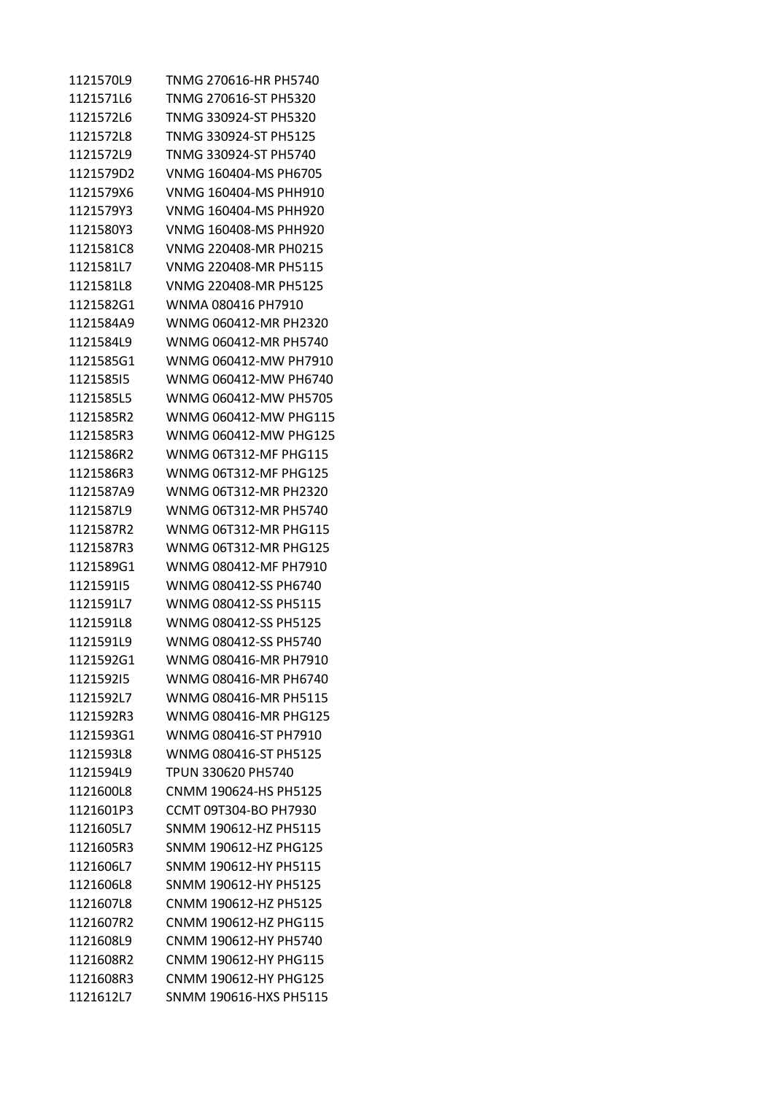| 1121570L9 | TNMG 270616-HR PH5740  |
|-----------|------------------------|
| 1121571L6 | TNMG 270616-ST PH5320  |
| 1121572L6 | TNMG 330924-ST PH5320  |
| 1121572L8 | TNMG 330924-ST PH5125  |
| 1121572L9 | TNMG 330924-ST PH5740  |
| 1121579D2 | VNMG 160404-MS PH6705  |
| 1121579X6 | VNMG 160404-MS PHH910  |
| 1121579Y3 | VNMG 160404-MS PHH920  |
| 1121580Y3 | VNMG 160408-MS PHH920  |
| 1121581C8 | VNMG 220408-MR PH0215  |
| 1121581L7 | VNMG 220408-MR PH5115  |
| 1121581L8 | VNMG 220408-MR PH5125  |
| 1121582G1 | WNMA 080416 PH7910     |
| 1121584A9 | WNMG 060412-MR PH2320  |
| 1121584L9 | WNMG 060412-MR PH5740  |
| 1121585G1 | WNMG 060412-MW PH7910  |
| 112158515 | WNMG 060412-MW PH6740  |
| 1121585L5 | WNMG 060412-MW PH5705  |
| 1121585R2 | WNMG 060412-MW PHG115  |
| 1121585R3 | WNMG 060412-MW PHG125  |
| 1121586R2 | WNMG 06T312-MF PHG115  |
| 1121586R3 | WNMG 06T312-MF PHG125  |
| 1121587A9 | WNMG 06T312-MR PH2320  |
| 1121587L9 | WNMG 06T312-MR PH5740  |
| 1121587R2 | WNMG 06T312-MR PHG115  |
| 1121587R3 | WNMG 06T312-MR PHG125  |
| 1121589G1 | WNMG 080412-MF PH7910  |
| 112159115 | WNMG 080412-SS PH6740  |
| 1121591L7 | WNMG 080412-SS PH5115  |
| 1121591L8 | WNMG 080412-SS PH5125  |
| 1121591L9 | WNMG 080412-SS PH5740  |
| 1121592G1 | WNMG 080416-MR PH7910  |
| 112159215 | WNMG 080416-MR PH6740  |
| 1121592L7 | WNMG 080416-MR PH5115  |
| 1121592R3 | WNMG 080416-MR PHG125  |
| 1121593G1 | WNMG 080416-ST PH7910  |
| 1121593L8 | WNMG 080416-ST PH5125  |
| 1121594L9 | TPUN 330620 PH5740     |
| 1121600L8 | CNMM 190624-HS PH5125  |
| 1121601P3 | CCMT 09T304-BO PH7930  |
| 1121605L7 | SNMM 190612-HZ PH5115  |
| 1121605R3 | SNMM 190612-HZ PHG125  |
| 1121606L7 | SNMM 190612-HY PH5115  |
| 1121606L8 | SNMM 190612-HY PH5125  |
| 1121607L8 | CNMM 190612-HZ PH5125  |
| 1121607R2 | CNMM 190612-HZ PHG115  |
| 1121608L9 | CNMM 190612-HY PH5740  |
| 1121608R2 | CNMM 190612-HY PHG115  |
| 1121608R3 | CNMM 190612-HY PHG125  |
| 1121612L7 | SNMM 190616-HXS PH5115 |
|           |                        |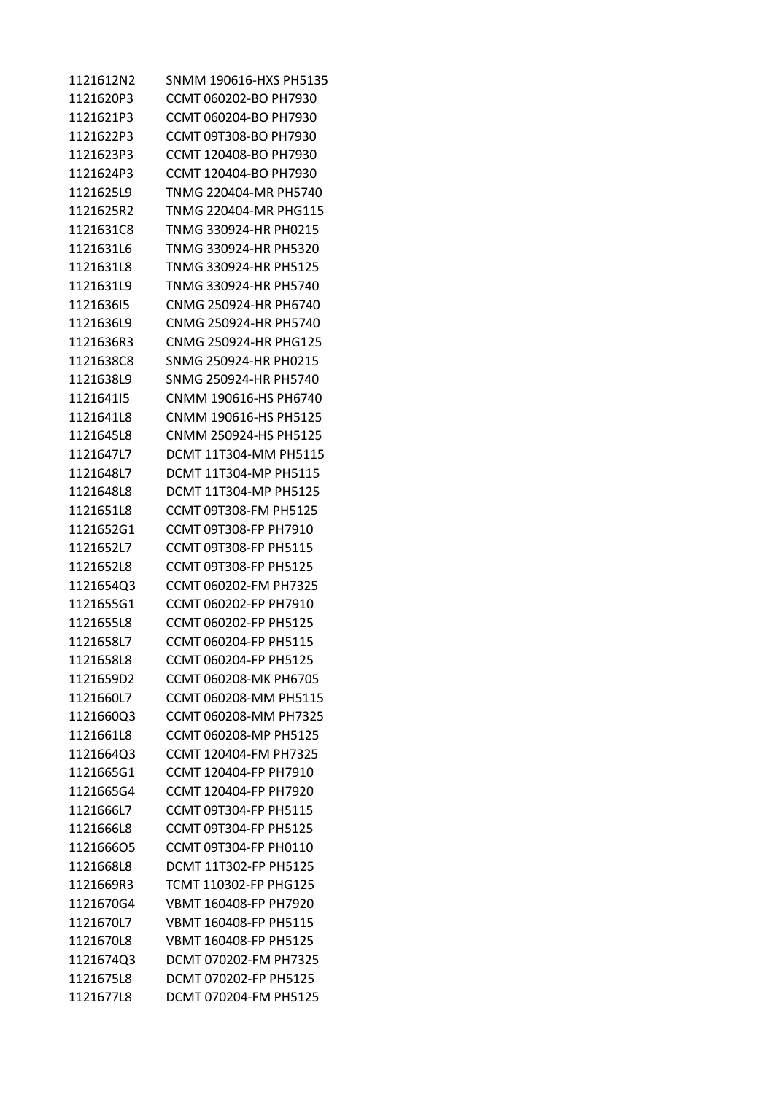| 1121612N2 | SNMM 190616-HXS PH5135       |
|-----------|------------------------------|
| 1121620P3 | CCMT 060202-BO PH7930        |
| 1121621P3 | CCMT 060204-BO PH7930        |
| 1121622P3 | CCMT 09T308-BO PH7930        |
| 1121623P3 | CCMT 120408-BO PH7930        |
| 1121624P3 | CCMT 120404-BO PH7930        |
| 1121625L9 | TNMG 220404-MR PH5740        |
| 1121625R2 | TNMG 220404-MR PHG115        |
| 1121631C8 | TNMG 330924-HR PH0215        |
| 1121631L6 | TNMG 330924-HR PH5320        |
| 1121631L8 | TNMG 330924-HR PH5125        |
| 1121631L9 | TNMG 330924-HR PH5740        |
| 112163615 | CNMG 250924-HR PH6740        |
| 1121636L9 | CNMG 250924-HR PH5740        |
| 1121636R3 | CNMG 250924-HR PHG125        |
| 1121638C8 | SNMG 250924-HR PH0215        |
| 1121638L9 | SNMG 250924-HR PH5740        |
| 112164115 | CNMM 190616-HS PH6740        |
| 1121641L8 | CNMM 190616-HS PH5125        |
| 1121645L8 | CNMM 250924-HS PH5125        |
| 1121647L7 | DCMT 11T304-MM PH5115        |
| 1121648L7 | DCMT 11T304-MP PH5115        |
| 1121648L8 | DCMT 11T304-MP PH5125        |
| 1121651L8 | CCMT 09T308-FM PH5125        |
| 1121652G1 | CCMT 09T308-FP PH7910        |
| 1121652L7 | CCMT 09T308-FP PH5115        |
| 1121652L8 | CCMT 09T308-FP PH5125        |
| 1121654Q3 | CCMT 060202-FM PH7325        |
| 1121655G1 | CCMT 060202-FP PH7910        |
| 1121655L8 | CCMT 060202-FP PH5125        |
| 1121658L7 | CCMT 060204-FP PH5115        |
| 1121658L8 | CCMT 060204-FP PH5125        |
| 1121659D2 | CCMT 060208-MK PH6705        |
| 1121660L7 | CCMT 060208-MM PH5115        |
| 1121660Q3 | CCMT 060208-MM PH7325        |
| 1121661L8 | CCMT 060208-MP PH5125        |
| 1121664Q3 | CCMT 120404-FM PH7325        |
| 1121665G1 | CCMT 120404-FP PH7910        |
| 1121665G4 | CCMT 120404-FP PH7920        |
| 1121666L7 | CCMT 09T304-FP PH5115        |
| 1121666L8 | <b>CCMT 09T304-FP PH5125</b> |
| 112166605 | CCMT 09T304-FP PH0110        |
| 1121668L8 | <b>DCMT 11T302-FP PH5125</b> |
| 1121669R3 | TCMT 110302-FP PHG125        |
| 1121670G4 | VBMT 160408-FP PH7920        |
| 1121670L7 | VBMT 160408-FP PH5115        |
| 1121670L8 | VBMT 160408-FP PH5125        |
| 1121674Q3 | DCMT 070202-FM PH7325        |
| 1121675L8 | DCMT 070202-FP PH5125        |
| 1121677L8 | DCMT 070204-FM PH5125        |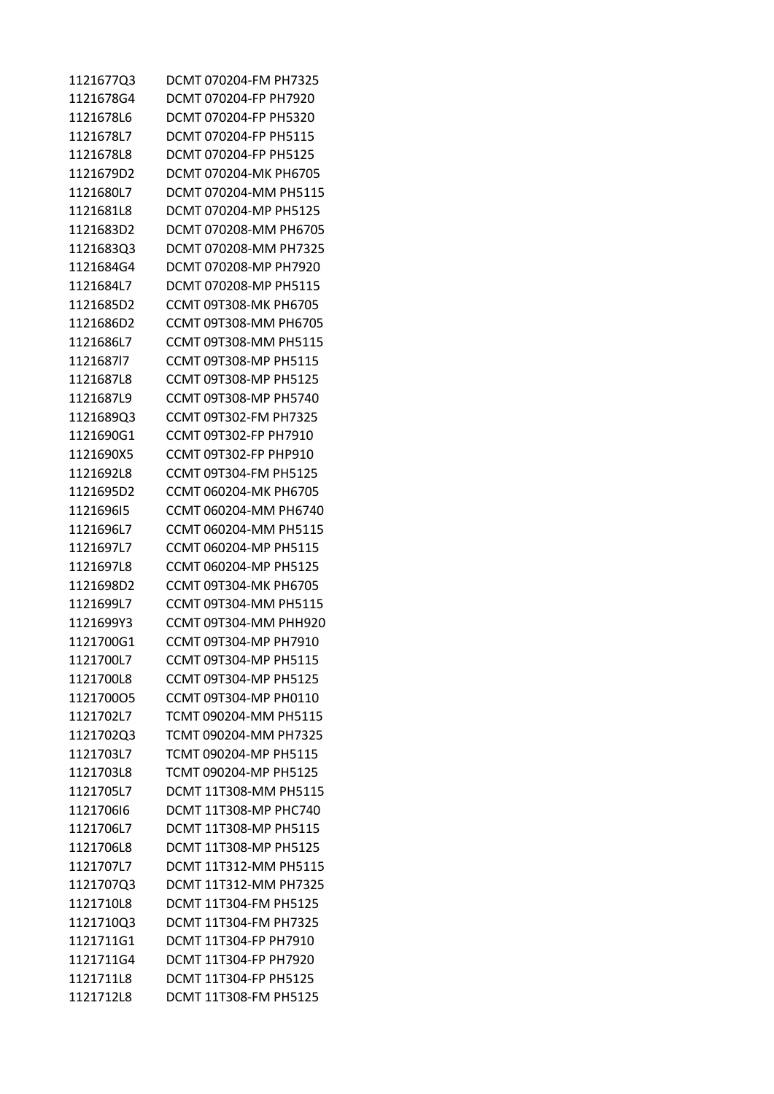| 1121677Q3 | DCMT 070204-FM PH7325        |
|-----------|------------------------------|
| 1121678G4 | DCMT 070204-FP PH7920        |
| 1121678L6 | DCMT 070204-FP PH5320        |
| 1121678L7 | DCMT 070204-FP PH5115        |
| 1121678L8 | DCMT 070204-FP PH5125        |
| 1121679D2 | DCMT 070204-MK PH6705        |
| 1121680L7 | DCMT 070204-MM PH5115        |
| 1121681L8 | DCMT 070204-MP PH5125        |
| 1121683D2 | DCMT 070208-MM PH6705        |
| 1121683Q3 | DCMT 070208-MM PH7325        |
| 1121684G4 | DCMT 070208-MP PH7920        |
| 1121684L7 | DCMT 070208-MP PH5115        |
| 1121685D2 | CCMT 09T308-MK PH6705        |
| 1121686D2 | CCMT 09T308-MM PH6705        |
| 1121686L7 | CCMT 09T308-MM PH5115        |
| 1121687l7 | CCMT 09T308-MP PH5115        |
| 1121687L8 | CCMT 09T308-MP PH5125        |
| 1121687L9 | CCMT 09T308-MP PH5740        |
| 1121689Q3 | CCMT 09T302-FM PH7325        |
| 1121690G1 | CCMT 09T302-FP PH7910        |
| 1121690X5 | CCMT 09T302-FP PHP910        |
| 1121692L8 | CCMT 09T304-FM PH5125        |
| 1121695D2 | CCMT 060204-MK PH6705        |
| 112169615 | CCMT 060204-MM PH6740        |
| 1121696L7 | CCMT 060204-MM PH5115        |
| 1121697L7 | CCMT 060204-MP PH5115        |
| 1121697L8 | CCMT 060204-MP PH5125        |
| 1121698D2 | CCMT 09T304-MK PH6705        |
| 1121699L7 | CCMT 09T304-MM PH5115        |
| 1121699Y3 | CCMT 09T304-MM PHH920        |
| 1121700G1 | CCMT 09T304-MP PH7910        |
| 1121700L7 | CCMT 09T304-MP PH5115        |
| 1121700L8 | CCMT 09T304-MP PH5125        |
| 112170005 | CCMT 09T304-MP PH0110        |
| 1121702L7 | TCMT 090204-MM PH5115        |
| 1121702Q3 | TCMT 090204-MM PH7325        |
| 1121703L7 | TCMT 090204-MP PH5115        |
| 1121703L8 | TCMT 090204-MP PH5125        |
| 1121705L7 | DCMT 11T308-MM PH5115        |
| 112170616 | DCMT 11T308-MP PHC740        |
| 1121706L7 | DCMT 11T308-MP PH5115        |
| 1121706L8 | DCMT 11T308-MP PH5125        |
| 1121707L7 | <b>DCMT 11T312-MM PH5115</b> |
| 1121707Q3 | DCMT 11T312-MM PH7325        |
| 1121710L8 | DCMT 11T304-FM PH5125        |
| 1121710Q3 | DCMT 11T304-FM PH7325        |
| 1121711G1 | DCMT 11T304-FP PH7910        |
| 1121711G4 | DCMT 11T304-FP PH7920        |
| 1121711L8 | <b>DCMT 11T304-FP PH5125</b> |
| 1121712L8 | DCMT 11T308-FM PH5125        |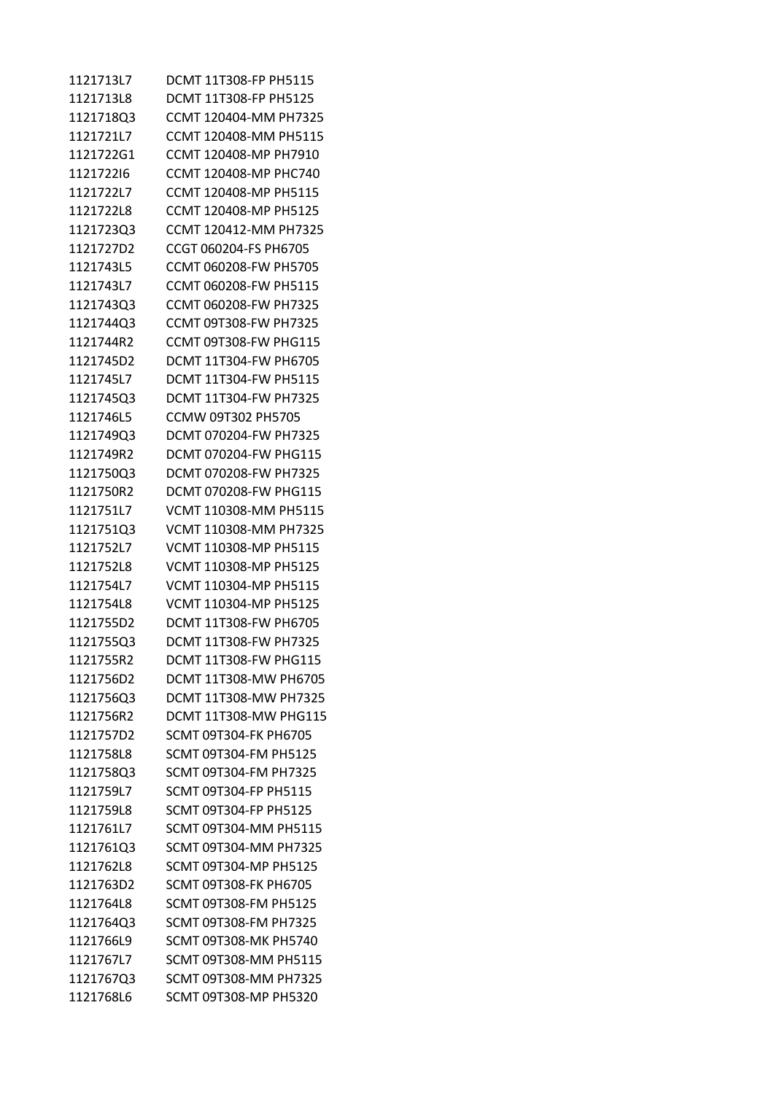| 1121713L7 | DCMT 11T308-FP PH5115        |
|-----------|------------------------------|
| 1121713L8 | <b>DCMT 11T308-FP PH5125</b> |
| 1121718Q3 | CCMT 120404-MM PH7325        |
| 1121721L7 | CCMT 120408-MM PH5115        |
| 1121722G1 | CCMT 120408-MP PH7910        |
| 112172216 | CCMT 120408-MP PHC740        |
| 1121722L7 | CCMT 120408-MP PH5115        |
| 1121722L8 | CCMT 120408-MP PH5125        |
| 1121723Q3 | CCMT 120412-MM PH7325        |
| 1121727D2 | CCGT 060204-FS PH6705        |
| 1121743L5 | CCMT 060208-FW PH5705        |
| 1121743L7 | CCMT 060208-FW PH5115        |
| 1121743Q3 | CCMT 060208-FW PH7325        |
| 1121744Q3 | CCMT 09T308-FW PH7325        |
| 1121744R2 | <b>CCMT 09T308-FW PHG115</b> |
| 1121745D2 | DCMT 11T304-FW PH6705        |
| 1121745L7 | DCMT 11T304-FW PH5115        |
| 1121745Q3 | DCMT 11T304-FW PH7325        |
| 1121746L5 | CCMW 09T302 PH5705           |
| 1121749Q3 | DCMT 070204-FW PH7325        |
| 1121749R2 | DCMT 070204-FW PHG115        |
| 1121750Q3 | DCMT 070208-FW PH7325        |
| 1121750R2 | DCMT 070208-FW PHG115        |
| 1121751L7 | VCMT 110308-MM PH5115        |
| 1121751Q3 | VCMT 110308-MM PH7325        |
| 1121752L7 | VCMT 110308-MP PH5115        |
| 1121752L8 | VCMT 110308-MP PH5125        |
| 1121754L7 | VCMT 110304-MP PH5115        |
| 1121754L8 | VCMT 110304-MP PH5125        |
| 1121755D2 | DCMT 11T308-FW PH6705        |
| 1121755Q3 | DCMT 11T308-FW PH7325        |
| 1121755R2 | <b>DCMT 11T308-FW PHG115</b> |
| 1121756D2 | DCMT 11T308-MW PH6705        |
| 1121756Q3 | DCMT 11T308-MW PH7325        |
| 1121756R2 | <b>DCMT 11T308-MW PHG115</b> |
| 1121757D2 | SCMT 09T304-FK PH6705        |
| 1121758L8 | SCMT 09T304-FM PH5125        |
| 1121758Q3 | SCMT 09T304-FM PH7325        |
| 1121759L7 | SCMT 09T304-FP PH5115        |
| 1121759L8 | SCMT 09T304-FP PH5125        |
| 1121761L7 | SCMT 09T304-MM PH5115        |
| 1121761Q3 | SCMT 09T304-MM PH7325        |
| 1121762L8 | SCMT 09T304-MP PH5125        |
| 1121763D2 | <b>SCMT 09T308-FK PH6705</b> |
| 1121764L8 | SCMT 09T308-FM PH5125        |
| 1121764Q3 | SCMT 09T308-FM PH7325        |
| 1121766L9 | SCMT 09T308-MK PH5740        |
| 1121767L7 | SCMT 09T308-MM PH5115        |
| 1121767Q3 | SCMT 09T308-MM PH7325        |
| 1121768L6 | SCMT 09T308-MP PH5320        |
|           |                              |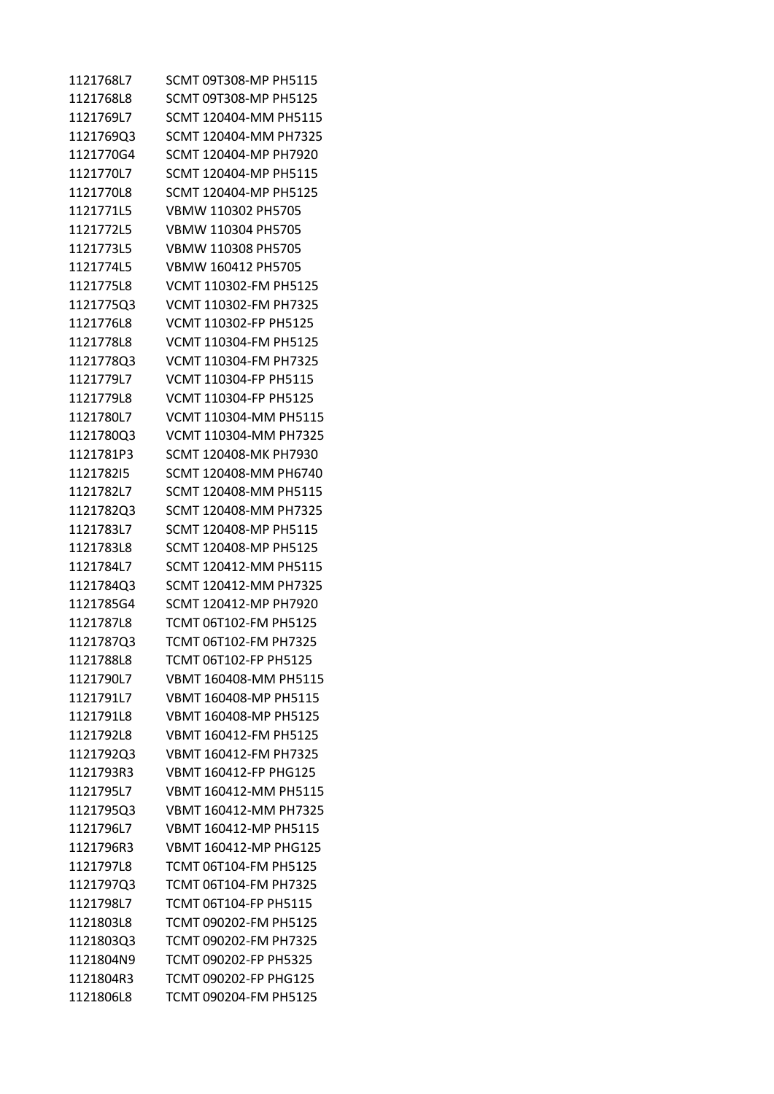| 1121768L7 | SCMT 09T308-MP PH5115 |
|-----------|-----------------------|
| 1121768L8 | SCMT 09T308-MP PH5125 |
| 1121769L7 | SCMT 120404-MM PH5115 |
| 1121769Q3 | SCMT 120404-MM PH7325 |
| 1121770G4 | SCMT 120404-MP PH7920 |
| 1121770L7 | SCMT 120404-MP PH5115 |
| 1121770L8 | SCMT 120404-MP PH5125 |
| 1121771L5 | VBMW 110302 PH5705    |
| 1121772L5 | VBMW 110304 PH5705    |
| 1121773L5 | VBMW 110308 PH5705    |
| 1121774L5 | VBMW 160412 PH5705    |
| 1121775L8 | VCMT 110302-FM PH5125 |
| 1121775Q3 | VCMT 110302-FM PH7325 |
| 1121776L8 | VCMT 110302-FP PH5125 |
| 1121778L8 | VCMT 110304-FM PH5125 |
| 1121778Q3 | VCMT 110304-FM PH7325 |
| 1121779L7 | VCMT 110304-FP PH5115 |
| 1121779L8 | VCMT 110304-FP PH5125 |
| 1121780L7 | VCMT 110304-MM PH5115 |
| 1121780Q3 | VCMT 110304-MM PH7325 |
| 1121781P3 | SCMT 120408-MK PH7930 |
| 112178215 | SCMT 120408-MM PH6740 |
| 1121782L7 | SCMT 120408-MM PH5115 |
| 1121782Q3 | SCMT 120408-MM PH7325 |
| 1121783L7 | SCMT 120408-MP PH5115 |
| 1121783L8 | SCMT 120408-MP PH5125 |
| 1121784L7 | SCMT 120412-MM PH5115 |
| 1121784Q3 | SCMT 120412-MM PH7325 |
| 1121785G4 | SCMT 120412-MP PH7920 |
| 1121787L8 | TCMT 06T102-FM PH5125 |
| 1121787Q3 | TCMT 06T102-FM PH7325 |
| 1121788L8 | TCMT 06T102-FP PH5125 |
| 1121790L7 | VBMT 160408-MM PH5115 |
| 1121791L7 | VBMT 160408-MP PH5115 |
| 1121791L8 | VBMT 160408-MP PH5125 |
| 1121792L8 | VBMT 160412-FM PH5125 |
| 1121792Q3 | VBMT 160412-FM PH7325 |
| 1121793R3 | VBMT 160412-FP PHG125 |
| 1121795L7 | VBMT 160412-MM PH5115 |
| 1121795Q3 | VBMT 160412-MM PH7325 |
| 1121796L7 | VBMT 160412-MP PH5115 |
| 1121796R3 | VBMT 160412-MP PHG125 |
| 1121797L8 | TCMT 06T104-FM PH5125 |
| 1121797Q3 | TCMT 06T104-FM PH7325 |
| 1121798L7 | TCMT 06T104-FP PH5115 |
| 1121803L8 | TCMT 090202-FM PH5125 |
| 1121803Q3 | TCMT 090202-FM PH7325 |
| 1121804N9 | TCMT 090202-FP PH5325 |
| 1121804R3 | TCMT 090202-FP PHG125 |
| 1121806L8 | TCMT 090204-FM PH5125 |
|           |                       |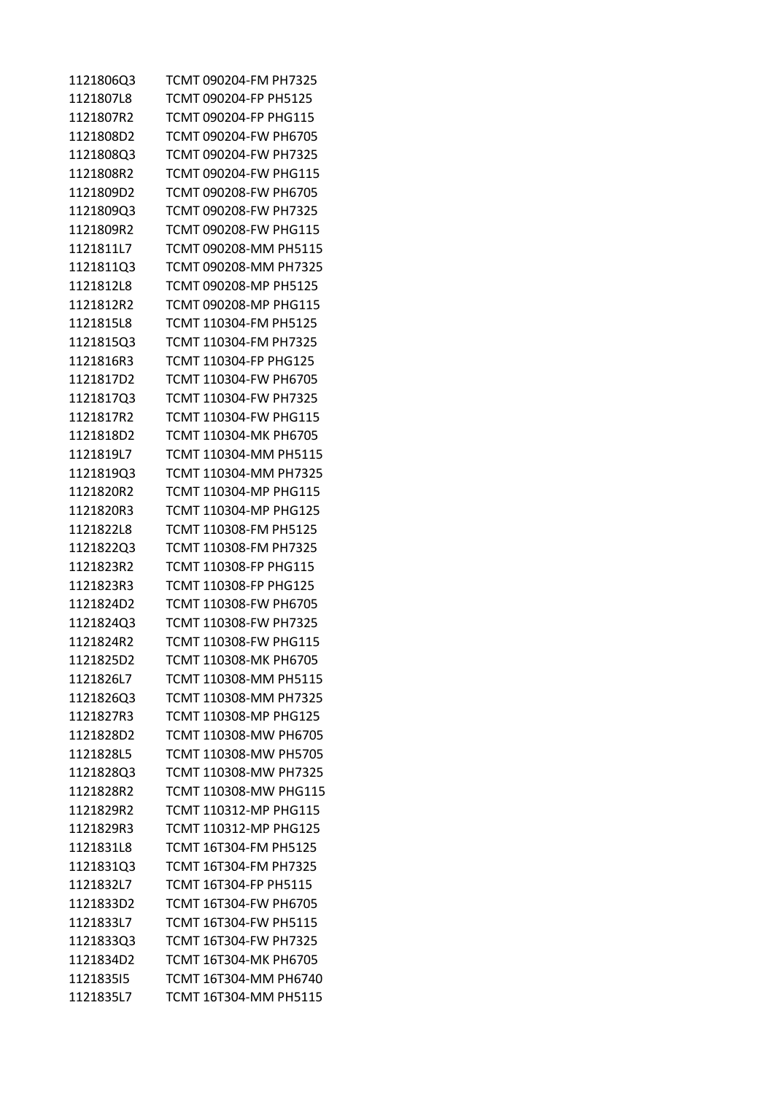| 1121806Q3 | TCMT 090204-FM PH7325 |
|-----------|-----------------------|
| 1121807L8 | TCMT 090204-FP PH5125 |
| 1121807R2 | TCMT 090204-FP PHG115 |
| 1121808D2 | TCMT 090204-FW PH6705 |
| 1121808Q3 | TCMT 090204-FW PH7325 |
| 1121808R2 | TCMT 090204-FW PHG115 |
| 1121809D2 | TCMT 090208-FW PH6705 |
| 1121809Q3 | TCMT 090208-FW PH7325 |
| 1121809R2 | TCMT 090208-FW PHG115 |
| 1121811L7 | TCMT 090208-MM PH5115 |
| 1121811Q3 | TCMT 090208-MM PH7325 |
| 1121812L8 | TCMT 090208-MP PH5125 |
| 1121812R2 | TCMT 090208-MP PHG115 |
| 1121815L8 | TCMT 110304-FM PH5125 |
| 1121815Q3 | TCMT 110304-FM PH7325 |
| 1121816R3 | TCMT 110304-FP PHG125 |
| 1121817D2 | TCMT 110304-FW PH6705 |
| 1121817Q3 | TCMT 110304-FW PH7325 |
| 1121817R2 | TCMT 110304-FW PHG115 |
| 1121818D2 | TCMT 110304-MK PH6705 |
| 1121819L7 | TCMT 110304-MM PH5115 |
| 1121819Q3 | TCMT 110304-MM PH7325 |
| 1121820R2 | TCMT 110304-MP PHG115 |
| 1121820R3 | TCMT 110304-MP PHG125 |
| 1121822L8 | TCMT 110308-FM PH5125 |
| 1121822Q3 | TCMT 110308-FM PH7325 |
| 1121823R2 | TCMT 110308-FP PHG115 |
| 1121823R3 | TCMT 110308-FP PHG125 |
| 1121824D2 | TCMT 110308-FW PH6705 |
| 1121824Q3 | TCMT 110308-FW PH7325 |
| 1121824R2 | TCMT 110308-FW PHG115 |
| 1121825D2 | TCMT 110308-MK PH6705 |
| 1121826L7 | TCMT 110308-MM PH5115 |
| 1121826Q3 | TCMT 110308-MM PH7325 |
| 1121827R3 | TCMT 110308-MP PHG125 |
| 1121828D2 | TCMT 110308-MW PH6705 |
| 1121828L5 | TCMT 110308-MW PH5705 |
| 1121828Q3 | TCMT 110308-MW PH7325 |
| 1121828R2 | TCMT 110308-MW PHG115 |
| 1121829R2 | TCMT 110312-MP PHG115 |
| 1121829R3 | TCMT 110312-MP PHG125 |
| 1121831L8 | TCMT 16T304-FM PH5125 |
| 1121831Q3 | TCMT 16T304-FM PH7325 |
| 1121832L7 | TCMT 16T304-FP PH5115 |
| 1121833D2 | TCMT 16T304-FW PH6705 |
| 1121833L7 | TCMT 16T304-FW PH5115 |
| 1121833Q3 | TCMT 16T304-FW PH7325 |
| 1121834D2 | TCMT 16T304-MK PH6705 |
| 112183515 | TCMT 16T304-MM PH6740 |
| 1121835L7 | TCMT 16T304-MM PH5115 |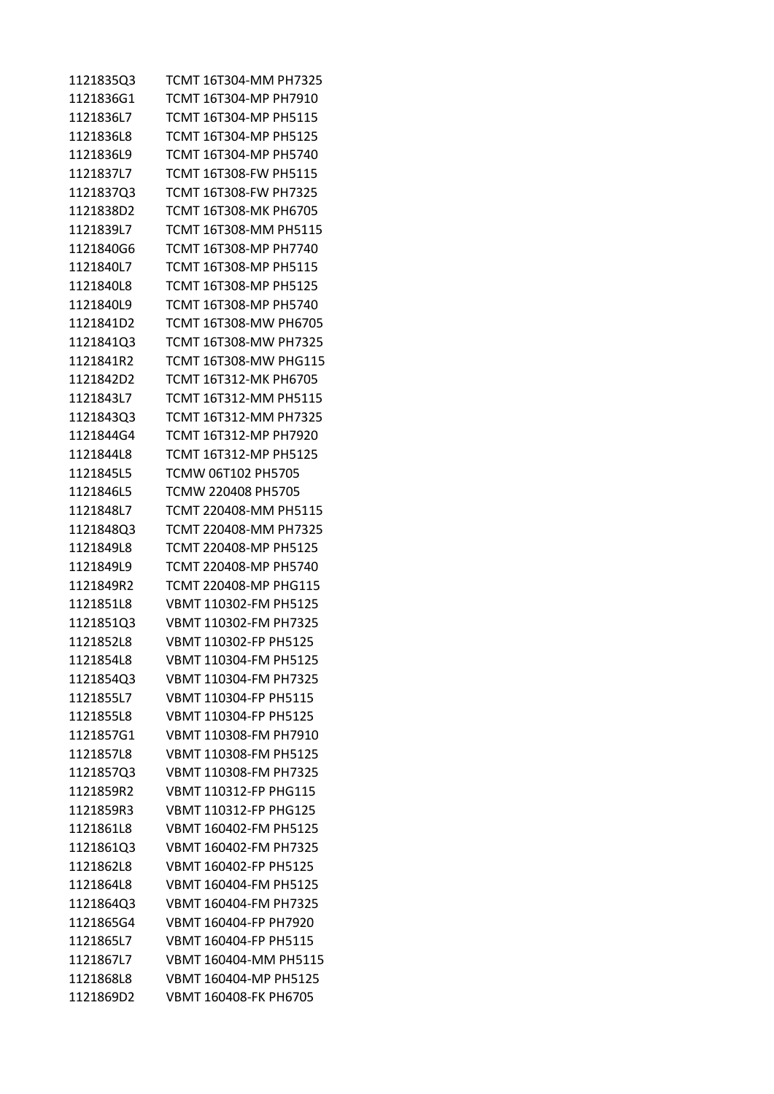| 112183503 | TCMT 16T304-MM PH7325        |
|-----------|------------------------------|
| 1121836G1 | TCMT 16T304-MP PH7910        |
| 1121836L7 | TCMT 16T304-MP PH5115        |
| 1121836L8 | TCMT 16T304-MP PH5125        |
| 1121836L9 | TCMT 16T304-MP PH5740        |
| 1121837L7 | TCMT 16T308-FW PH5115        |
| 1121837Q3 | TCMT 16T308-FW PH7325        |
| 1121838D2 | TCMT 16T308-MK PH6705        |
| 1121839L7 | TCMT 16T308-MM PH5115        |
| 1121840G6 | TCMT 16T308-MP PH7740        |
| 1121840L7 | TCMT 16T308-MP PH5115        |
| 1121840L8 | TCMT 16T308-MP PH5125        |
| 1121840L9 | TCMT 16T308-MP PH5740        |
| 1121841D2 | TCMT 16T308-MW PH6705        |
| 1121841Q3 | TCMT 16T308-MW PH7325        |
| 1121841R2 | TCMT 16T308-MW PHG115        |
| 1121842D2 | TCMT 16T312-MK PH6705        |
| 1121843L7 | TCMT 16T312-MM PH5115        |
| 1121843Q3 | TCMT 16T312-MM PH7325        |
| 1121844G4 | TCMT 16T312-MP PH7920        |
| 1121844L8 | TCMT 16T312-MP PH5125        |
| 1121845L5 | TCMW 06T102 PH5705           |
| 1121846L5 | TCMW 220408 PH5705           |
| 1121848L7 | TCMT 220408-MM PH5115        |
| 1121848Q3 | TCMT 220408-MM PH7325        |
| 1121849L8 | TCMT 220408-MP PH5125        |
| 1121849L9 | TCMT 220408-MP PH5740        |
| 1121849R2 | TCMT 220408-MP PHG115        |
| 1121851L8 | VBMT 110302-FM PH5125        |
| 1121851Q3 | VBMT 110302-FM PH7325        |
| 1121852L8 | VBMT 110302-FP PH5125        |
| 1121854L8 | VBMT 110304-FM PH5125        |
| 1121854Q3 | VBMT 110304-FM PH7325        |
| 1121855L7 | VBMT 110304-FP PH5115        |
| 1121855L8 | VBMT 110304-FP PH5125        |
| 1121857G1 | VBMT 110308-FM PH7910        |
| 1121857L8 | VBMT 110308-FM PH5125        |
| 1121857Q3 | VBMT 110308-FM PH7325        |
| 1121859R2 | VBMT 110312-FP PHG115        |
| 1121859R3 | <b>VBMT 110312-FP PHG125</b> |
| 1121861L8 | VBMT 160402-FM PH5125        |
| 1121861Q3 | VBMT 160402-FM PH7325        |
| 1121862L8 | VBMT 160402-FP PH5125        |
| 1121864L8 | VBMT 160404-FM PH5125        |
| 1121864Q3 | VBMT 160404-FM PH7325        |
| 1121865G4 | VBMT 160404-FP PH7920        |
| 1121865L7 | VBMT 160404-FP PH5115        |
| 1121867L7 | VBMT 160404-MM PH5115        |
| 1121868L8 | VBMT 160404-MP PH5125        |
| 1121869D2 | VBMT 160408-FK PH6705        |
|           |                              |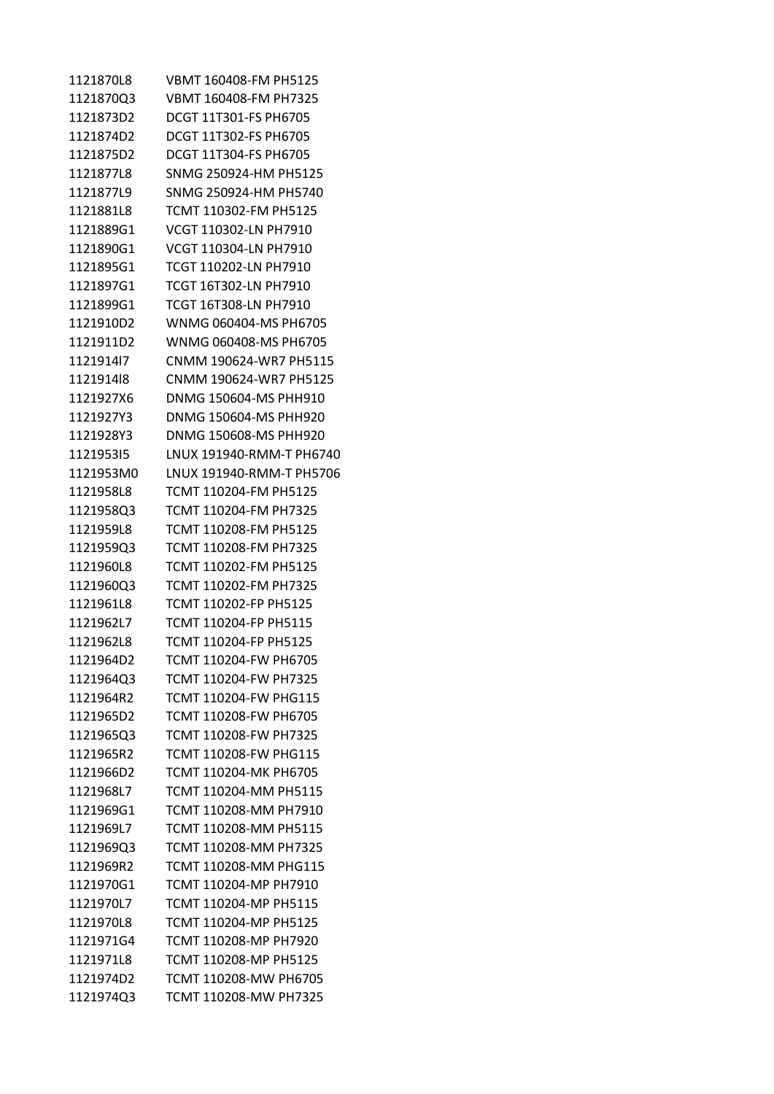1121870L8 VBMT 160408-FM PH5125 1121870Q3 VBMT 160408-FM PH7325 1121873D2 DCGT 11T301-FS PH6705 1121874D2 DCGT 11T302-FS PH6705 1121875D2 DCGT 11T304-FS PH6705 1121877L8 SNMG 250924-HM PH5125 1121877L9 SNMG 250924-HM PH5740 1121881L8 TCMT 110302-FM PH5125 1121889G1 VCGT 110302-LN PH7910 1121890G1 VCGT 110304-LN PH7910 1121895G1 TCGT 110202-LN PH7910 1121897G1 TCGT 16T302-LN PH7910 1121899G1 TCGT 16T308-LN PH7910 1121910D2 WNMG 060404-MS PH6705 1121911D2 WNMG 060408-MS PH6705 1121914l7 CNMM 190624-WR7 PH5115 1121914l8 CNMM 190624-WR7 PH5125 1121927X6 DNMG 150604-MS PHH910 1121927Y3 DNMG 150604-MS PHH920 1121928Y3 DNMG 150608-MS PHH920 1121953I5 LNUX 191940-RMM-T PH6740 1121953M0 LNUX 191940-RMM-T PH5706 1121958L8 TCMT 110204-FM PH5125 1121958Q3 TCMT 110204-FM PH7325 1121959L8 TCMT 110208-FM PH5125 1121959Q3 TCMT 110208-FM PH7325 1121960L8 TCMT 110202-FM PH5125 1121960Q3 TCMT 110202-FM PH7325 1121961L8 TCMT 110202-FP PH5125 1121962L7 TCMT 110204-FP PH5115 1121962L8 TCMT 110204-FP PH5125 1121964D2 TCMT 110204-FW PH6705 1121964Q3 TCMT 110204-FW PH7325 1121964R2 TCMT 110204-FW PHG115 1121965D2 TCMT 110208-FW PH6705 1121965Q3 TCMT 110208-FW PH7325 1121965R2 TCMT 110208-FW PHG115 1121966D2 TCMT 110204-MK PH6705 1121968L7 TCMT 110204-MM PH5115 1121969G1 TCMT 110208-MM PH7910 1121969L7 TCMT 110208-MM PH5115 1121969Q3 TCMT 110208-MM PH7325 1121969R2 TCMT 110208-MM PHG115 1121970G1 TCMT 110204-MP PH7910 1121970L7 TCMT 110204-MP PH5115 1121970L8 TCMT 110204-MP PH5125 1121971G4 TCMT 110208-MP PH7920 1121971L8 TCMT 110208-MP PH5125 1121974D2 TCMT 110208-MW PH6705 1121974Q3 TCMT 110208-MW PH7325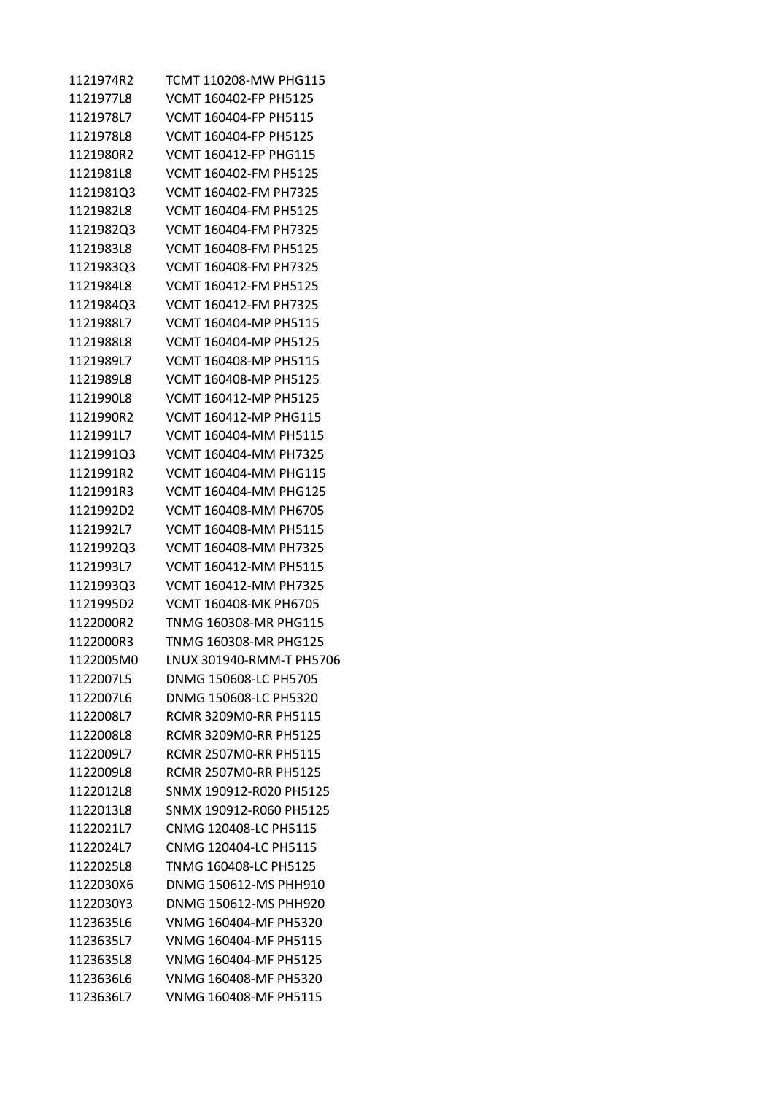| 1121974R2 | TCMT 110208-MW PHG115        |
|-----------|------------------------------|
| 1121977L8 | VCMT 160402-FP PH5125        |
| 1121978L7 | VCMT 160404-FP PH5115        |
| 1121978L8 | VCMT 160404-FP PH5125        |
| 1121980R2 | <b>VCMT 160412-FP PHG115</b> |
| 1121981L8 | VCMT 160402-FM PH5125        |
| 1121981Q3 | VCMT 160402-FM PH7325        |
| 1121982L8 | VCMT 160404-FM PH5125        |
| 1121982Q3 | VCMT 160404-FM PH7325        |
| 1121983L8 | VCMT 160408-FM PH5125        |
| 1121983Q3 | VCMT 160408-FM PH7325        |
| 1121984L8 | VCMT 160412-FM PH5125        |
| 1121984Q3 | VCMT 160412-FM PH7325        |
| 1121988L7 | VCMT 160404-MP PH5115        |
| 1121988L8 | VCMT 160404-MP PH5125        |
| 1121989L7 | VCMT 160408-MP PH5115        |
| 1121989L8 | VCMT 160408-MP PH5125        |
| 1121990L8 | VCMT 160412-MP PH5125        |
| 1121990R2 | VCMT 160412-MP PHG115        |
| 1121991L7 | VCMT 160404-MM PH5115        |
| 1121991Q3 | VCMT 160404-MM PH7325        |
| 1121991R2 | VCMT 160404-MM PHG115        |
| 1121991R3 | VCMT 160404-MM PHG125        |
| 1121992D2 | VCMT 160408-MM PH6705        |
| 1121992L7 | VCMT 160408-MM PH5115        |
| 1121992Q3 | VCMT 160408-MM PH7325        |
| 1121993L7 | VCMT 160412-MM PH5115        |
| 1121993Q3 | VCMT 160412-MM PH7325        |
| 1121995D2 | VCMT 160408-MK PH6705        |
| 1122000R2 | TNMG 160308-MR PHG115        |
| 1122000R3 | TNMG 160308-MR PHG125        |
| 1122005M0 | LNUX 301940-RMM-T PH5706     |
| 1122007L5 | DNMG 150608-LC PH5705        |
| 1122007L6 | DNMG 150608-LC PH5320        |
| 1122008L7 | RCMR 3209M0-RR PH5115        |
| 1122008L8 | RCMR 3209M0-RR PH5125        |
| 1122009L7 | RCMR 2507M0-RR PH5115        |
| 1122009L8 | <b>RCMR 2507M0-RR PH5125</b> |
| 1122012L8 | SNMX 190912-R020 PH5125      |
| 1122013L8 | SNMX 190912-R060 PH5125      |
| 1122021L7 | CNMG 120408-LC PH5115        |
| 1122024L7 | CNMG 120404-LC PH5115        |
| 1122025L8 | TNMG 160408-LC PH5125        |
| 1122030X6 | DNMG 150612-MS PHH910        |
| 1122030Y3 | DNMG 150612-MS PHH920        |
| 1123635L6 | VNMG 160404-MF PH5320        |
| 1123635L7 | VNMG 160404-MF PH5115        |
| 1123635L8 | VNMG 160404-MF PH5125        |
| 1123636L6 | VNMG 160408-MF PH5320        |
| 1123636L7 | VNMG 160408-MF PH5115        |
|           |                              |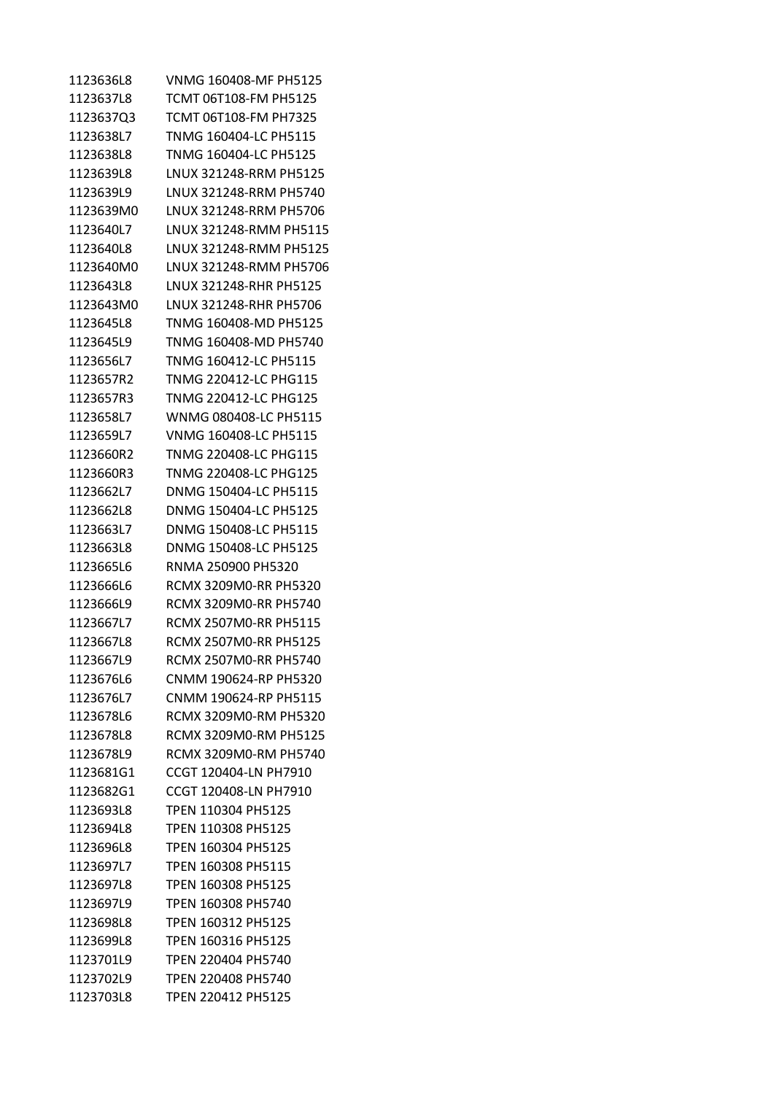| 1123636L8 | VNMG 160408-MF PH5125     |
|-----------|---------------------------|
| 1123637L8 | TCMT 06T108-FM PH5125     |
| 1123637Q3 | TCMT 06T108-FM PH7325     |
| 1123638L7 | TNMG 160404-LC PH5115     |
| 1123638L8 | TNMG 160404-LC PH5125     |
| 1123639L8 | LNUX 321248-RRM PH5125    |
| 1123639L9 | LNUX 321248-RRM PH5740    |
| 1123639M0 | LNUX 321248-RRM PH5706    |
| 1123640L7 | LNUX 321248-RMM PH5115    |
| 1123640L8 | LNUX 321248-RMM PH5125    |
| 1123640M0 | LNUX 321248-RMM PH5706    |
| 1123643L8 | LNUX 321248-RHR PH5125    |
| 1123643M0 | LNUX 321248-RHR PH5706    |
| 1123645L8 | TNMG 160408-MD PH5125     |
| 1123645L9 | TNMG 160408-MD PH5740     |
| 1123656L7 | TNMG 160412-LC PH5115     |
| 1123657R2 | TNMG 220412-LC PHG115     |
| 1123657R3 | TNMG 220412-LC PHG125     |
| 1123658L7 | WNMG 080408-LC PH5115     |
| 1123659L7 | VNMG 160408-LC PH5115     |
| 1123660R2 | TNMG 220408-LC PHG115     |
| 1123660R3 | TNMG 220408-LC PHG125     |
| 1123662L7 | DNMG 150404-LC PH5115     |
| 1123662L8 | DNMG 150404-LC PH5125     |
| 1123663L7 | DNMG 150408-LC PH5115     |
| 1123663L8 | DNMG 150408-LC PH5125     |
| 1123665L6 | RNMA 250900 PH5320        |
| 1123666L6 | RCMX 3209M0-RR PH5320     |
| 1123666L9 | RCMX 3209M0-RR PH5740     |
| 1123667L7 | RCMX 2507M0-RR PH5115     |
| 1123667L8 | RCMX 2507M0-RR PH5125     |
| 1123667L9 | RCMX 2507M0-RR PH5740     |
| 1123676L6 | CNMM 190624-RP PH5320     |
| 1123676L7 | CNMM 190624-RP PH5115     |
| 1123678L6 | RCMX 3209M0-RM PH5320     |
| 1123678L8 | RCMX 3209M0-RM PH5125     |
| 1123678L9 | RCMX 3209M0-RM PH5740     |
| 1123681G1 | CCGT 120404-LN PH7910     |
| 1123682G1 | CCGT 120408-LN PH7910     |
| 1123693L8 | TPEN 110304 PH5125        |
| 1123694L8 | TPEN 110308 PH5125        |
| 1123696L8 | TPEN 160304 PH5125        |
| 1123697L7 | TPEN 160308 PH5115        |
| 1123697L8 | TPEN 160308 PH5125        |
| 1123697L9 | TPEN 160308 PH5740        |
| 1123698L8 | TPEN 160312 PH5125        |
| 1123699L8 | TPEN 160316 PH5125        |
| 1123701L9 | TPEN 220404 PH5740        |
| 1123702L9 | TPEN 220408 PH5740        |
| 1123703L8 | <b>TPEN 220412 PH5125</b> |
|           |                           |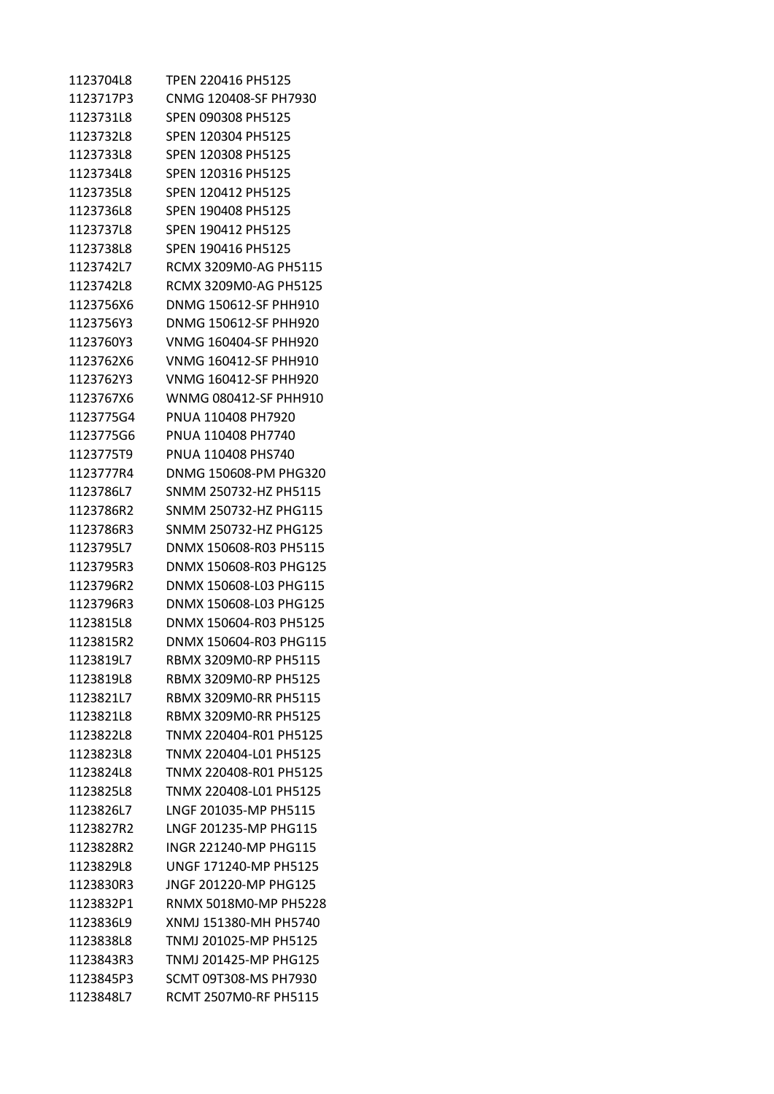1123704L8 TPEN 220416 PH5125 1123717P3 CNMG 120408-SF PH7930 1123731L8 SPEN 090308 PH5125 1123732L8 SPEN 120304 PH5125 1123733L8 SPEN 120308 PH5125 1123734L8 SPEN 120316 PH5125 1123735L8 SPEN 120412 PH5125 1123736L8 SPEN 190408 PH5125 1123737L8 SPEN 190412 PH5125 1123738L8 SPEN 190416 PH5125 1123742L7 RCMX 3209M0-AG PH5115 1123742L8 RCMX 3209M0-AG PH5125 1123756X6 DNMG 150612-SF PHH910 1123756Y3 DNMG 150612-SF PHH920 1123760Y3 VNMG 160404-SF PHH920 1123762X6 VNMG 160412-SF PHH910 1123762Y3 VNMG 160412-SF PHH920 1123767X6 WNMG 080412-SF PHH910 1123775G4 PNUA 110408 PH7920 1123775G6 PNUA 110408 PH7740 1123775T9 PNUA 110408 PHS740 1123777R4 DNMG 150608-PM PHG320 1123786L7 SNMM 250732-HZ PH5115 1123786R2 SNMM 250732-HZ PHG115 1123786R3 SNMM 250732-HZ PHG125 1123795L7 DNMX 150608-R03 PH5115 1123795R3 DNMX 150608-R03 PHG125 1123796R2 DNMX 150608-L03 PHG115 1123796R3 DNMX 150608-L03 PHG125 1123815L8 DNMX 150604-R03 PH5125 1123815R2 DNMX 150604-R03 PHG115 1123819L7 RBMX 3209M0-RP PH5115 1123819L8 RBMX 3209M0-RP PH5125 1123821L7 RBMX 3209M0-RR PH5115 1123821L8 RBMX 3209M0-RR PH5125 1123822L8 TNMX 220404-R01 PH5125 1123823L8 TNMX 220404-L01 PH5125 1123824L8 TNMX 220408-R01 PH5125 1123825L8 TNMX 220408-L01 PH5125 1123826L7 LNGF 201035-MP PH5115 1123827R2 LNGF 201235-MP PHG115 1123828R2 INGR 221240-MP PHG115 1123829L8 UNGF 171240-MP PH5125 1123830R3 JNGF 201220-MP PHG125 1123832P1 RNMX 5018M0-MP PH5228 1123836L9 XNMJ 151380-MH PH5740 1123838L8 TNMJ 201025-MP PH5125 1123843R3 TNMJ 201425-MP PHG125 1123845P3 SCMT 09T308-MS PH7930 1123848L7 RCMT 2507M0-RF PH5115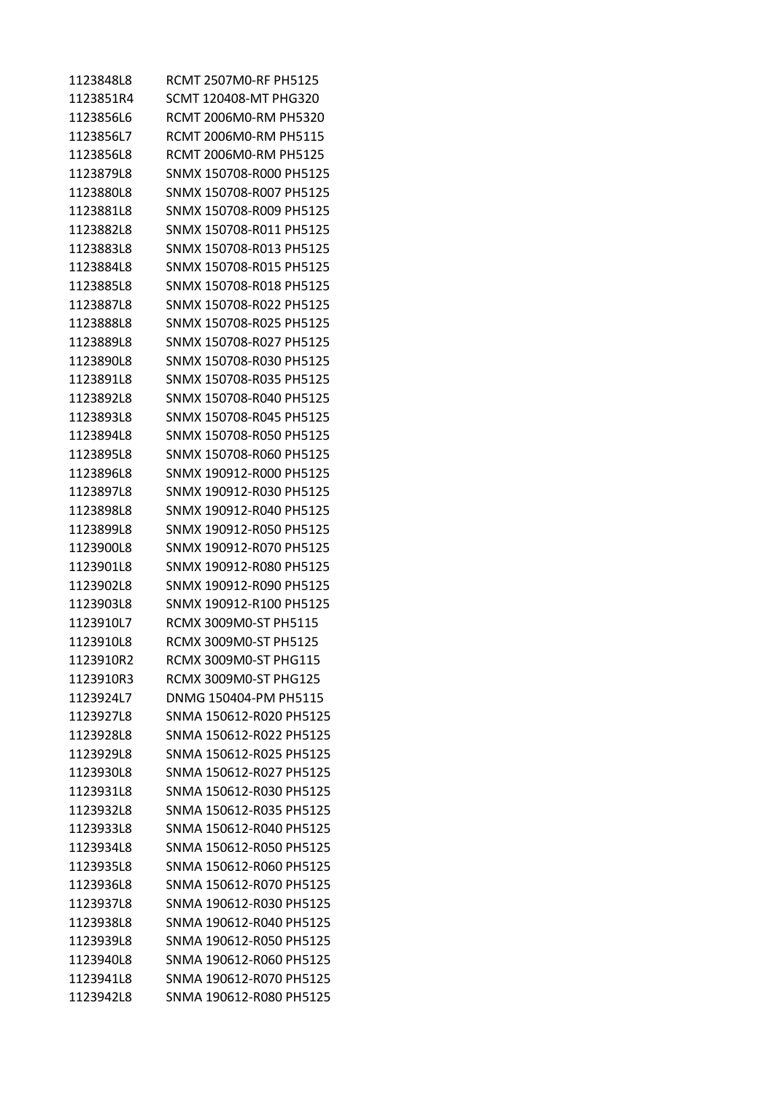| 1123848L8 | RCMT 2507M0-RF PH5125   |
|-----------|-------------------------|
| 1123851R4 | SCMT 120408-MT PHG320   |
| 1123856L6 | RCMT 2006M0-RM PH5320   |
| 1123856L7 | RCMT 2006M0-RM PH5115   |
| 1123856L8 | RCMT 2006M0-RM PH5125   |
| 1123879L8 | SNMX 150708-R000 PH5125 |
| 1123880L8 | SNMX 150708-R007 PH5125 |
| 1123881L8 | SNMX 150708-R009 PH5125 |
| 1123882L8 | SNMX 150708-R011 PH5125 |
| 1123883L8 | SNMX 150708-R013 PH5125 |
| 1123884L8 | SNMX 150708-R015 PH5125 |
| 1123885L8 | SNMX 150708-R018 PH5125 |
| 1123887L8 | SNMX 150708-R022 PH5125 |
| 1123888L8 | SNMX 150708-R025 PH5125 |
| 1123889L8 | SNMX 150708-R027 PH5125 |
| 1123890L8 | SNMX 150708-R030 PH5125 |
| 1123891L8 | SNMX 150708-R035 PH5125 |
| 1123892L8 | SNMX 150708-R040 PH5125 |
| 1123893L8 | SNMX 150708-R045 PH5125 |
| 1123894L8 | SNMX 150708-R050 PH5125 |
| 1123895L8 | SNMX 150708-R060 PH5125 |
| 1123896L8 | SNMX 190912-R000 PH5125 |
| 1123897L8 | SNMX 190912-R030 PH5125 |
| 1123898L8 | SNMX 190912-R040 PH5125 |
| 1123899L8 | SNMX 190912-R050 PH5125 |
| 1123900L8 | SNMX 190912-R070 PH5125 |
| 1123901L8 | SNMX 190912-R080 PH5125 |
| 1123902L8 | SNMX 190912-R090 PH5125 |
| 1123903L8 | SNMX 190912-R100 PH5125 |
| 1123910L7 | RCMX 3009M0-ST PH5115   |
| 1123910L8 | RCMX 3009M0-ST PH5125   |
| 1123910R2 | RCMX 3009M0-ST PHG115   |
| 1123910R3 | RCMX 3009M0-ST PHG125   |
| 1123924L7 | DNMG 150404-PM PH5115   |
| 1123927L8 | SNMA 150612-R020 PH5125 |
| 1123928L8 | SNMA 150612-R022 PH5125 |
| 1123929L8 | SNMA 150612-R025 PH5125 |
| 1123930L8 | SNMA 150612-R027 PH5125 |
| 1123931L8 | SNMA 150612-R030 PH5125 |
| 1123932L8 | SNMA 150612-R035 PH5125 |
| 1123933L8 | SNMA 150612-R040 PH5125 |
| 1123934L8 | SNMA 150612-R050 PH5125 |
| 1123935L8 | SNMA 150612-R060 PH5125 |
| 1123936L8 | SNMA 150612-R070 PH5125 |
| 1123937L8 | SNMA 190612-R030 PH5125 |
| 1123938L8 | SNMA 190612-R040 PH5125 |
| 1123939L8 | SNMA 190612-R050 PH5125 |
| 1123940L8 | SNMA 190612-R060 PH5125 |
| 1123941L8 | SNMA 190612-R070 PH5125 |
| 1123942L8 | SNMA 190612-R080 PH5125 |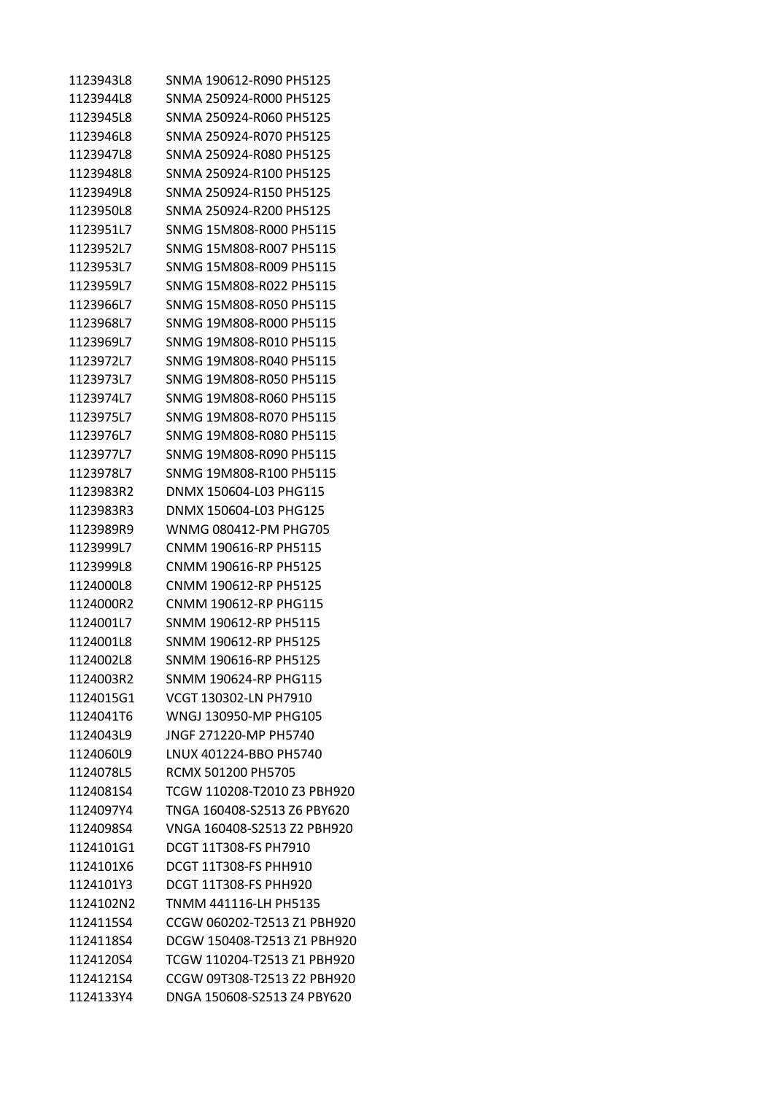| 1123943L8 | SNMA 190612-R090 PH5125      |
|-----------|------------------------------|
| 1123944L8 | SNMA 250924-R000 PH5125      |
| 1123945L8 | SNMA 250924-R060 PH5125      |
| 1123946L8 | SNMA 250924-R070 PH5125      |
| 1123947L8 | SNMA 250924-R080 PH5125      |
| 1123948L8 | SNMA 250924-R100 PH5125      |
| 1123949L8 | SNMA 250924-R150 PH5125      |
| 1123950L8 | SNMA 250924-R200 PH5125      |
| 1123951L7 | SNMG 15M808-R000 PH5115      |
| 1123952L7 | SNMG 15M808-R007 PH5115      |
| 1123953L7 | SNMG 15M808-R009 PH5115      |
| 1123959L7 | SNMG 15M808-R022 PH5115      |
| 1123966L7 | SNMG 15M808-R050 PH5115      |
| 1123968L7 | SNMG 19M808-R000 PH5115      |
| 1123969L7 | SNMG 19M808-R010 PH5115      |
| 1123972L7 | SNMG 19M808-R040 PH5115      |
| 1123973L7 | SNMG 19M808-R050 PH5115      |
| 1123974L7 | SNMG 19M808-R060 PH5115      |
| 1123975L7 | SNMG 19M808-R070 PH5115      |
| 1123976L7 | SNMG 19M808-R080 PH5115      |
| 1123977L7 | SNMG 19M808-R090 PH5115      |
| 1123978L7 | SNMG 19M808-R100 PH5115      |
| 1123983R2 | DNMX 150604-L03 PHG115       |
| 1123983R3 | DNMX 150604-L03 PHG125       |
| 1123989R9 | WNMG 080412-PM PHG705        |
| 1123999L7 | CNMM 190616-RP PH5115        |
| 1123999L8 | CNMM 190616-RP PH5125        |
| 1124000L8 | CNMM 190612-RP PH5125        |
| 1124000R2 | CNMM 190612-RP PHG115        |
| 1124001L7 | SNMM 190612-RP PH5115        |
| 1124001L8 | SNMM 190612-RP PH5125        |
| 1124002L8 | SNMM 190616-RP PH5125        |
| 1124003R2 | SNMM 190624-RP PHG115        |
| 1124015G1 | VCGT 130302-LN PH7910        |
| 1124041T6 | WNGJ 130950-MP PHG105        |
| 1124043L9 | JNGF 271220-MP PH5740        |
| 1124060L9 | LNUX 401224-BBO PH5740       |
| 1124078L5 | RCMX 501200 PH5705           |
| 1124081S4 | TCGW 110208-T2010 Z3 PBH920  |
| 1124097Y4 | TNGA 160408-S2513 Z6 PBY620  |
| 1124098S4 | VNGA 160408-S2513 Z2 PBH920  |
| 1124101G1 | DCGT 11T308-FS PH7910        |
| 1124101X6 | <b>DCGT 11T308-FS PHH910</b> |
| 1124101Y3 | <b>DCGT 11T308-FS PHH920</b> |
| 1124102N2 | TNMM 441116-LH PH5135        |
| 1124115S4 | CCGW 060202-T2513 Z1 PBH920  |
| 1124118S4 | DCGW 150408-T2513 Z1 PBH920  |
| 1124120S4 | TCGW 110204-T2513 Z1 PBH920  |
| 1124121S4 | CCGW 09T308-T2513 Z2 PBH920  |
| 1124133Y4 | DNGA 150608-S2513 Z4 PBY620  |
|           |                              |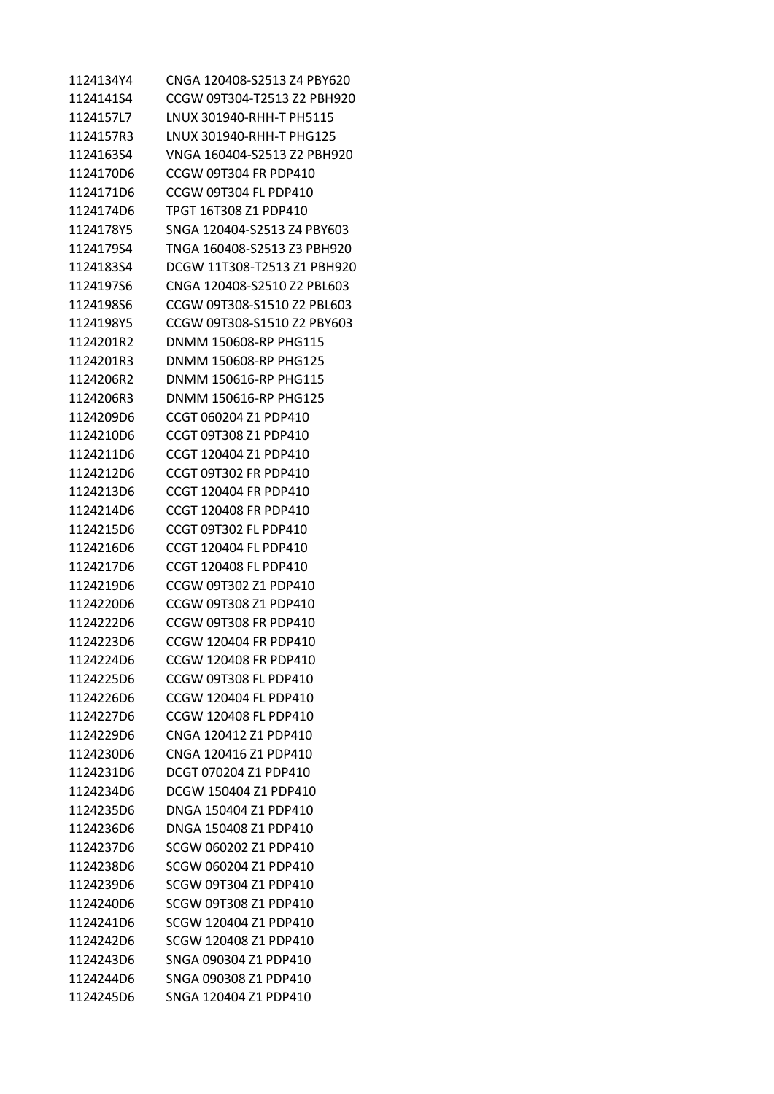1124134Y4 CNGA 120408-S2513 Z4 PBY620 1124141S4 CCGW 09T304-T2513 Z2 PBH920 1124157L7 LNUX 301940-RHH-T PH5115 1124157R3 LNUX 301940-RHH-T PHG125 1124163S4 VNGA 160404-S2513 Z2 PBH920 1124170D6 CCGW 09T304 FR PDP410 1124171D6 CCGW 09T304 FL PDP410 1124174D6 TPGT 16T308 Z1 PDP410 1124178Y5 SNGA 120404-S2513 Z4 PBY603 1124179S4 TNGA 160408-S2513 Z3 PBH920 1124183S4 DCGW 11T308-T2513 Z1 PBH920 1124197S6 CNGA 120408-S2510 Z2 PBL603 1124198S6 CCGW 09T308-S1510 Z2 PBL603 1124198Y5 CCGW 09T308-S1510 Z2 PBY603 1124201R2 DNMM 150608-RP PHG115 1124201R3 DNMM 150608-RP PHG125 1124206R2 DNMM 150616-RP PHG115 1124206R3 DNMM 150616-RP PHG125 1124209D6 CCGT 060204 Z1 PDP410 1124210D6 CCGT 09T308 Z1 PDP410 1124211D6 CCGT 120404 Z1 PDP410 1124212D6 CCGT 09T302 FR PDP410 1124213D6 CCGT 120404 FR PDP410 1124214D6 CCGT 120408 FR PDP410 1124215D6 CCGT 09T302 FL PDP410 1124216D6 CCGT 120404 FL PDP410 1124217D6 CCGT 120408 FL PDP410 1124219D6 CCGW 09T302 Z1 PDP410 1124220D6 CCGW 09T308 Z1 PDP410 1124222D6 CCGW 09T308 FR PDP410 1124223D6 CCGW 120404 FR PDP410 1124224D6 CCGW 120408 FR PDP410 1124225D6 CCGW 09T308 FL PDP410 1124226D6 CCGW 120404 FL PDP410 1124227D6 CCGW 120408 FL PDP410 1124229D6 CNGA 120412 Z1 PDP410 1124230D6 CNGA 120416 Z1 PDP410 1124231D6 DCGT 070204 Z1 PDP410 1124234D6 DCGW 150404 Z1 PDP410 1124235D6 DNGA 150404 Z1 PDP410 1124236D6 DNGA 150408 Z1 PDP410 1124237D6 SCGW 060202 Z1 PDP410 1124238D6 SCGW 060204 Z1 PDP410 1124239D6 SCGW 09T304 Z1 PDP410 1124240D6 SCGW 09T308 Z1 PDP410 1124241D6 SCGW 120404 Z1 PDP410 1124242D6 SCGW 120408 Z1 PDP410 1124243D6 SNGA 090304 Z1 PDP410 1124244D6 SNGA 090308 Z1 PDP410 1124245D6 SNGA 120404 Z1 PDP410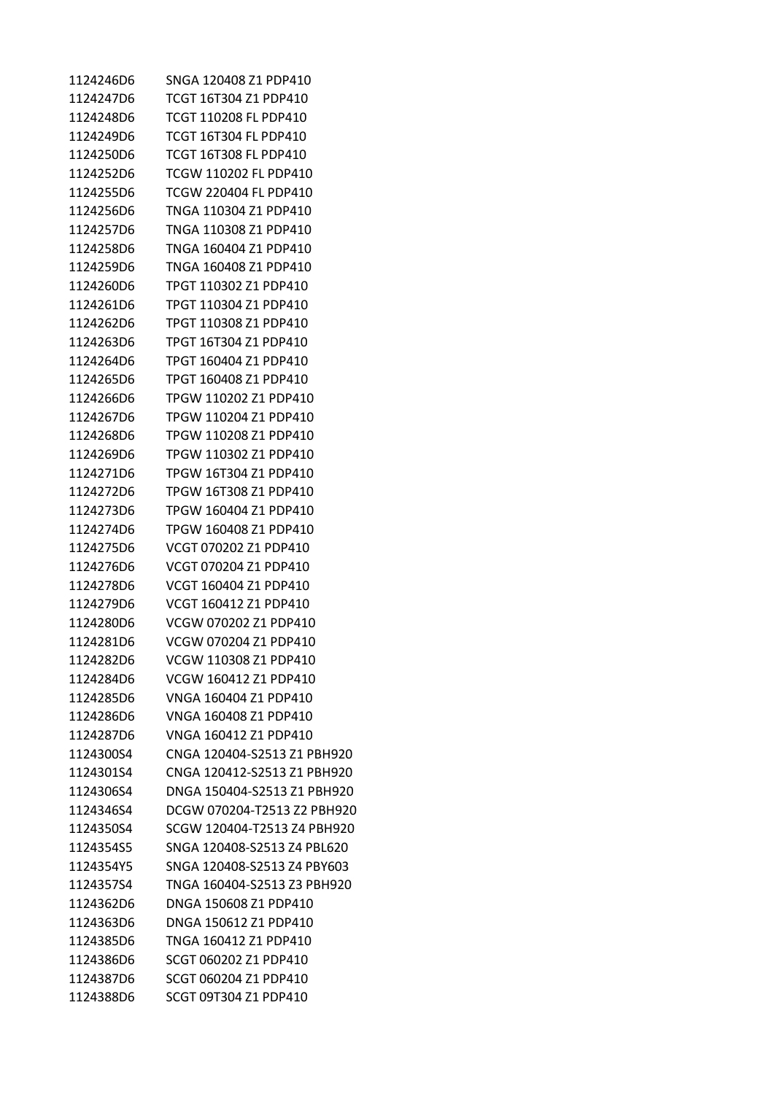| 1124246D6 | SNGA 120408 Z1 PDP410       |
|-----------|-----------------------------|
| 1124247D6 | TCGT 16T304 Z1 PDP410       |
| 1124248D6 | TCGT 110208 FL PDP410       |
| 1124249D6 | TCGT 16T304 FL PDP410       |
| 1124250D6 | TCGT 16T308 FL PDP410       |
| 1124252D6 | TCGW 110202 FL PDP410       |
| 1124255D6 | TCGW 220404 FL PDP410       |
| 1124256D6 | TNGA 110304 Z1 PDP410       |
| 1124257D6 | TNGA 110308 Z1 PDP410       |
| 1124258D6 | TNGA 160404 Z1 PDP410       |
| 1124259D6 | TNGA 160408 Z1 PDP410       |
| 1124260D6 | TPGT 110302 Z1 PDP410       |
| 1124261D6 | TPGT 110304 Z1 PDP410       |
| 1124262D6 | TPGT 110308 Z1 PDP410       |
| 1124263D6 | TPGT 16T304 Z1 PDP410       |
| 1124264D6 | TPGT 160404 Z1 PDP410       |
| 1124265D6 | TPGT 160408 Z1 PDP410       |
| 1124266D6 | TPGW 110202 Z1 PDP410       |
| 1124267D6 | TPGW 110204 Z1 PDP410       |
| 1124268D6 | TPGW 110208 Z1 PDP410       |
| 1124269D6 | TPGW 110302 Z1 PDP410       |
| 1124271D6 | TPGW 16T304 Z1 PDP410       |
| 1124272D6 | TPGW 16T308 Z1 PDP410       |
| 1124273D6 | TPGW 160404 Z1 PDP410       |
| 1124274D6 | TPGW 160408 Z1 PDP410       |
| 1124275D6 | VCGT 070202 Z1 PDP410       |
| 1124276D6 | VCGT 070204 Z1 PDP410       |
| 1124278D6 | VCGT 160404 Z1 PDP410       |
| 1124279D6 | VCGT 160412 Z1 PDP410       |
| 1124280D6 | VCGW 070202 Z1 PDP410       |
| 1124281D6 | VCGW 070204 Z1 PDP410       |
| 1124282D6 | VCGW 110308 Z1 PDP410       |
| 1124284D6 | VCGW 160412 Z1 PDP410       |
| 1124285D6 | VNGA 160404 Z1 PDP410       |
| 1124286D6 | VNGA 160408 Z1 PDP410       |
| 1124287D6 | VNGA 160412 Z1 PDP410       |
| 1124300S4 | CNGA 120404-S2513 Z1 PBH920 |
| 1124301S4 | CNGA 120412-S2513 Z1 PBH920 |
| 1124306S4 | DNGA 150404-S2513 Z1 PBH920 |
| 1124346S4 | DCGW 070204-T2513 Z2 PBH920 |
| 1124350S4 | SCGW 120404-T2513 Z4 PBH920 |
| 1124354S5 | SNGA 120408-S2513 Z4 PBL620 |
| 1124354Y5 | SNGA 120408-S2513 Z4 PBY603 |
| 1124357S4 | TNGA 160404-S2513 Z3 PBH920 |
| 1124362D6 | DNGA 150608 Z1 PDP410       |
| 1124363D6 | DNGA 150612 Z1 PDP410       |
| 1124385D6 | TNGA 160412 Z1 PDP410       |
| 1124386D6 | SCGT 060202 Z1 PDP410       |
| 1124387D6 | SCGT 060204 Z1 PDP410       |
| 1124388D6 | SCGT 09T304 Z1 PDP410       |
|           |                             |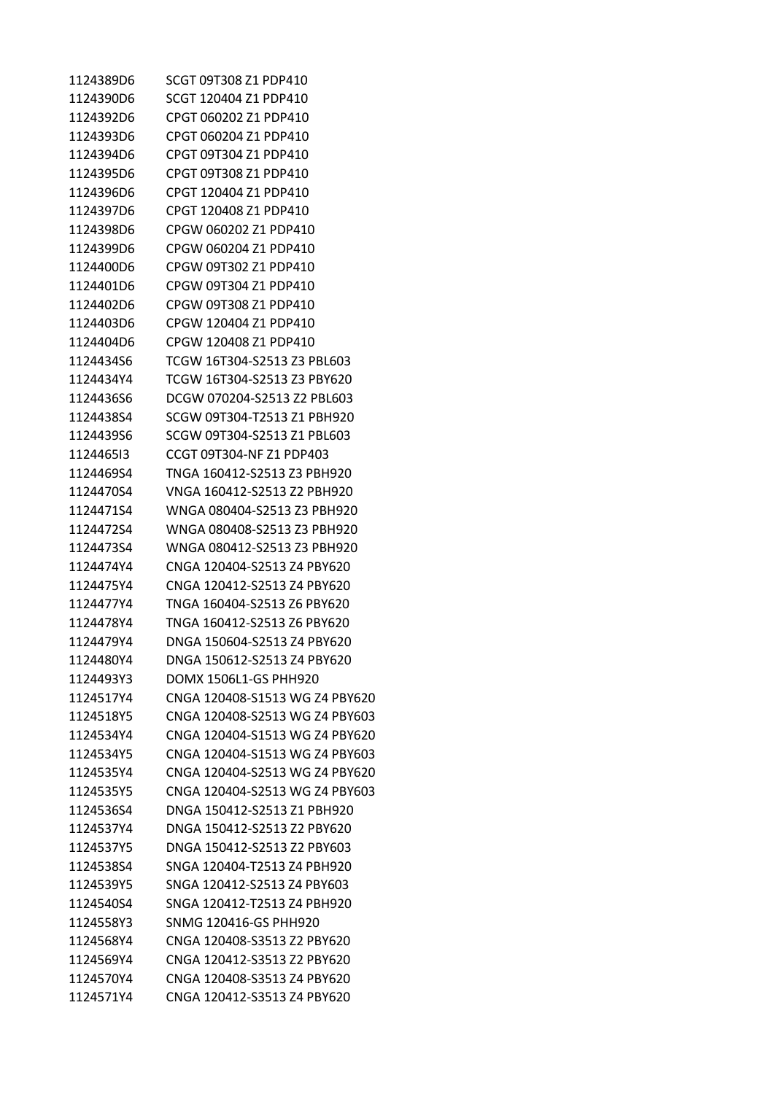1124389D6 SCGT 09T308 Z1 PDP410 1124390D6 SCGT 120404 Z1 PDP410 1124392D6 CPGT 060202 Z1 PDP410 1124393D6 CPGT 060204 Z1 PDP410 1124394D6 CPGT 09T304 Z1 PDP410 1124395D6 CPGT 09T308 Z1 PDP410 1124396D6 CPGT 120404 Z1 PDP410 1124397D6 CPGT 120408 Z1 PDP410 1124398D6 CPGW 060202 Z1 PDP410 1124399D6 CPGW 060204 Z1 PDP410 1124400D6 CPGW 09T302 Z1 PDP410 1124401D6 CPGW 09T304 Z1 PDP410 1124402D6 CPGW 09T308 Z1 PDP410 1124403D6 CPGW 120404 Z1 PDP410 1124404D6 CPGW 120408 Z1 PDP410 1124434S6 TCGW 16T304-S2513 Z3 PBL603 1124434Y4 TCGW 16T304-S2513 Z3 PBY620 1124436S6 DCGW 070204-S2513 Z2 PBL603 1124438S4 SCGW 09T304-T2513 Z1 PBH920 1124439S6 SCGW 09T304-S2513 Z1 PBL603 1124465I3 CCGT 09T304-NF Z1 PDP403 1124469S4 TNGA 160412-S2513 Z3 PBH920 1124470S4 VNGA 160412-S2513 Z2 PBH920 1124471S4 WNGA 080404-S2513 Z3 PBH920 1124472S4 WNGA 080408-S2513 Z3 PBH920 1124473S4 WNGA 080412-S2513 Z3 PBH920 1124474Y4 CNGA 120404-S2513 Z4 PBY620 1124475Y4 CNGA 120412-S2513 Z4 PBY620 1124477Y4 TNGA 160404-S2513 Z6 PBY620 1124478Y4 TNGA 160412-S2513 Z6 PBY620 1124479Y4 DNGA 150604-S2513 Z4 PBY620 1124480Y4 DNGA 150612-S2513 Z4 PBY620 1124493Y3 DOMX 1506L1-GS PHH920 1124517Y4 CNGA 120408-S1513 WG Z4 PBY620 1124518Y5 CNGA 120408-S2513 WG Z4 PBY603 1124534Y4 CNGA 120404-S1513 WG Z4 PBY620 1124534Y5 CNGA 120404-S1513 WG Z4 PBY603 1124535Y4 CNGA 120404-S2513 WG Z4 PBY620 1124535Y5 CNGA 120404-S2513 WG Z4 PBY603 1124536S4 DNGA 150412-S2513 Z1 PBH920 1124537Y4 DNGA 150412-S2513 Z2 PBY620 1124537Y5 DNGA 150412-S2513 Z2 PBY603 1124538S4 SNGA 120404-T2513 Z4 PBH920 1124539Y5 SNGA 120412-S2513 Z4 PBY603 1124540S4 SNGA 120412-T2513 Z4 PBH920 1124558Y3 SNMG 120416-GS PHH920 1124568Y4 CNGA 120408-S3513 Z2 PBY620 1124569Y4 CNGA 120412-S3513 Z2 PBY620 1124570Y4 CNGA 120408-S3513 Z4 PBY620 1124571Y4 CNGA 120412-S3513 Z4 PBY620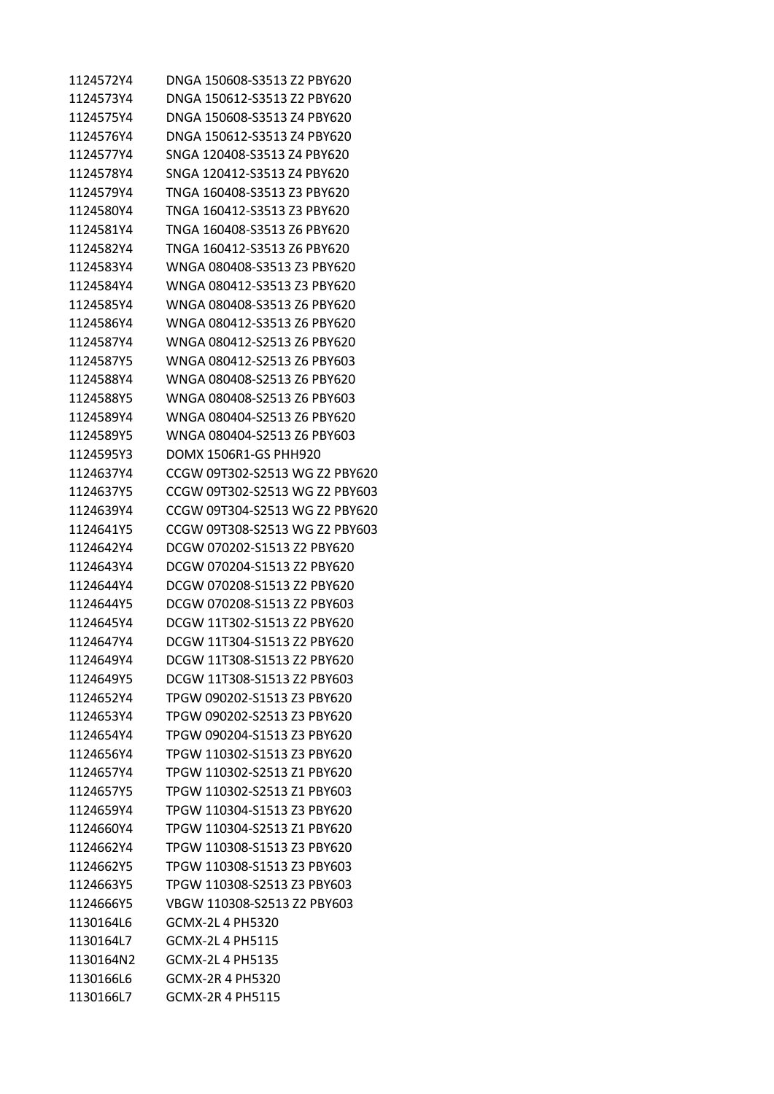| 1124572Y4 | DNGA 150608-S3513 Z2 PBY620    |
|-----------|--------------------------------|
| 1124573Y4 | DNGA 150612-S3513 Z2 PBY620    |
| 1124575Y4 | DNGA 150608-S3513 Z4 PBY620    |
| 1124576Y4 | DNGA 150612-S3513 Z4 PBY620    |
| 1124577Y4 | SNGA 120408-S3513 Z4 PBY620    |
| 1124578Y4 | SNGA 120412-S3513 Z4 PBY620    |
| 1124579Y4 | TNGA 160408-S3513 Z3 PBY620    |
| 1124580Y4 | TNGA 160412-S3513 Z3 PBY620    |
| 1124581Y4 | TNGA 160408-S3513 Z6 PBY620    |
| 1124582Y4 | TNGA 160412-S3513 Z6 PBY620    |
| 1124583Y4 | WNGA 080408-S3513 Z3 PBY620    |
| 1124584Y4 | WNGA 080412-S3513 Z3 PBY620    |
| 1124585Y4 | WNGA 080408-S3513 Z6 PBY620    |
| 1124586Y4 | WNGA 080412-S3513 Z6 PBY620    |
| 1124587Y4 | WNGA 080412-S2513 Z6 PBY620    |
| 1124587Y5 | WNGA 080412-S2513 Z6 PBY603    |
| 1124588Y4 | WNGA 080408-S2513 Z6 PBY620    |
| 1124588Y5 | WNGA 080408-S2513 Z6 PBY603    |
| 1124589Y4 | WNGA 080404-S2513 Z6 PBY620    |
| 1124589Y5 | WNGA 080404-S2513 Z6 PBY603    |
| 1124595Y3 | DOMX 1506R1-GS PHH920          |
| 1124637Y4 | CCGW 09T302-S2513 WG Z2 PBY620 |
| 1124637Y5 | CCGW 09T302-S2513 WG Z2 PBY603 |
| 1124639Y4 | CCGW 09T304-S2513 WG Z2 PBY620 |
| 1124641Y5 | CCGW 09T308-S2513 WG Z2 PBY603 |
| 1124642Y4 | DCGW 070202-S1513 Z2 PBY620    |
| 1124643Y4 | DCGW 070204-S1513 Z2 PBY620    |
| 1124644Y4 | DCGW 070208-S1513 Z2 PBY620    |
| 1124644Y5 | DCGW 070208-S1513 Z2 PBY603    |
| 1124645Y4 | DCGW 11T302-S1513 Z2 PBY620    |
| 1124647Y4 | DCGW 11T304-S1513 Z2 PBY620    |
| 1124649Y4 | DCGW 11T308-S1513 Z2 PBY620    |
| 1124649Y5 | DCGW 11T308-S1513 Z2 PBY603    |
| 1124652Y4 | TPGW 090202-S1513 Z3 PBY620    |
| 1124653Y4 | TPGW 090202-S2513 Z3 PBY620    |
| 1124654Y4 | TPGW 090204-S1513 Z3 PBY620    |
| 1124656Y4 | TPGW 110302-S1513 Z3 PBY620    |
| 1124657Y4 | TPGW 110302-S2513 Z1 PBY620    |
| 1124657Y5 | TPGW 110302-S2513 Z1 PBY603    |
| 1124659Y4 | TPGW 110304-S1513 Z3 PBY620    |
| 1124660Y4 | TPGW 110304-S2513 Z1 PBY620    |
| 1124662Y4 | TPGW 110308-S1513 Z3 PBY620    |
| 1124662Y5 | TPGW 110308-S1513 Z3 PBY603    |
| 1124663Y5 | TPGW 110308-S2513 Z3 PBY603    |
| 1124666Y5 | VBGW 110308-S2513 Z2 PBY603    |
| 1130164L6 | <b>GCMX-2L4 PH5320</b>         |
| 1130164L7 | GCMX-2L 4 PH5115               |
| 1130164N2 | <b>GCMX-2L4 PH5135</b>         |
| 1130166L6 | GCMX-2R 4 PH5320               |
| 1130166L7 | GCMX-2R 4 PH5115               |
|           |                                |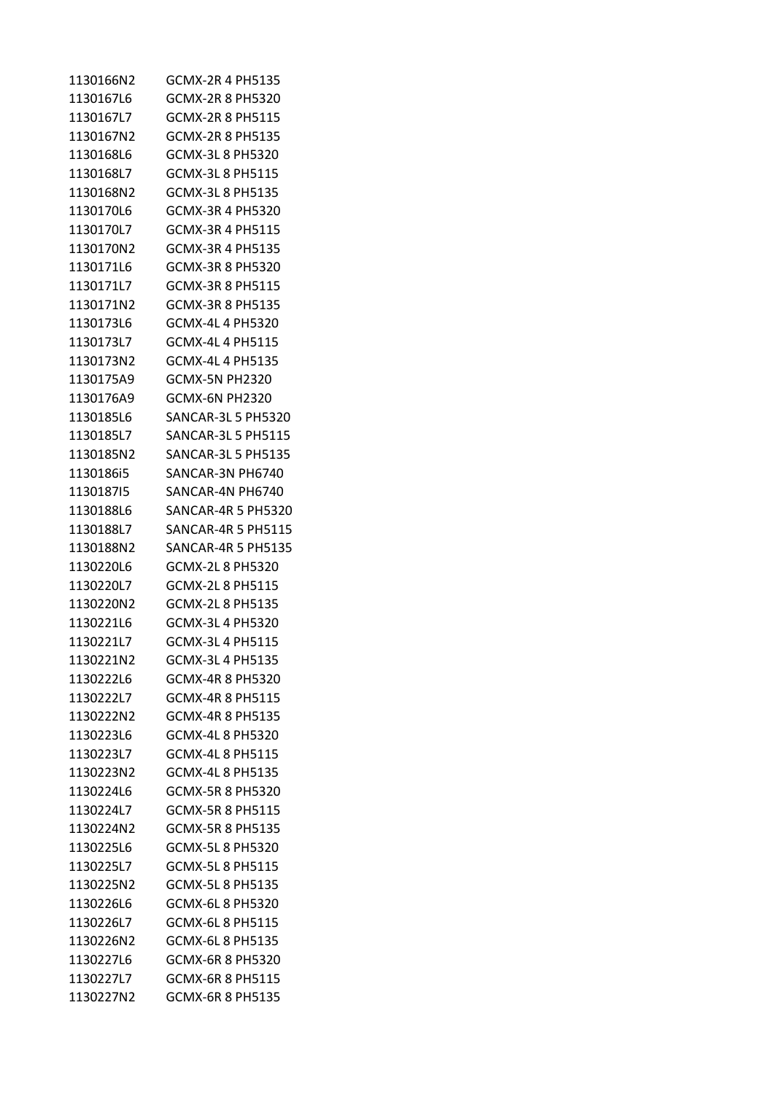| 1130166N2 | GCMX-2R 4 PH5135          |
|-----------|---------------------------|
| 1130167L6 | GCMX-2R 8 PH5320          |
| 1130167L7 | GCMX-2R 8 PH5115          |
| 1130167N2 | GCMX-2R 8 PH5135          |
| 1130168L6 | GCMX-3L 8 PH5320          |
| 1130168L7 | GCMX-3L 8 PH5115          |
| 1130168N2 | GCMX-3L 8 PH5135          |
| 1130170L6 | GCMX-3R 4 PH5320          |
| 1130170L7 | GCMX-3R 4 PH5115          |
| 1130170N2 | GCMX-3R 4 PH5135          |
| 1130171L6 | GCMX-3R 8 PH5320          |
| 1130171L7 | GCMX-3R 8 PH5115          |
| 1130171N2 | GCMX-3R 8 PH5135          |
| 1130173L6 | GCMX-4L 4 PH5320          |
| 1130173L7 | GCMX-4L 4 PH5115          |
| 1130173N2 | GCMX-4L 4 PH5135          |
| 1130175A9 | GCMX-5N PH2320            |
| 1130176A9 | GCMX-6N PH2320            |
| 1130185L6 | SANCAR-3L 5 PH5320        |
| 1130185L7 | <b>SANCAR-3L 5 PH5115</b> |
| 1130185N2 | <b>SANCAR-3L 5 PH5135</b> |
| 1130186i5 | SANCAR-3N PH6740          |
| 113018715 | SANCAR-4N PH6740          |
| 1130188L6 | SANCAR-4R 5 PH5320        |
| 1130188L7 | <b>SANCAR-4R 5 PH5115</b> |
| 1130188N2 | <b>SANCAR-4R 5 PH5135</b> |
| 1130220L6 | GCMX-2L 8 PH5320          |
| 1130220L7 | GCMX-2L 8 PH5115          |
| 1130220N2 | GCMX-2L 8 PH5135          |
| 1130221L6 | GCMX-3L 4 PH5320          |
| 1130221L7 | GCMX-3L 4 PH5115          |
| 1130221N2 | GCMX-3L 4 PH5135          |
| 1130222L6 | GCMX-4R 8 PH5320          |
| 1130222L7 | GCMX-4R 8 PH5115          |
| 1130222N2 | GCMX-4R 8 PH5135          |
| 1130223L6 | GCMX-4L 8 PH5320          |
| 1130223L7 | GCMX-4L 8 PH5115          |
| 1130223N2 | GCMX-4L 8 PH5135          |
| 1130224L6 | <b>GCMX-5R 8 PH5320</b>   |
| 1130224L7 | GCMX-5R 8 PH5115          |
| 1130224N2 | <b>GCMX-5R 8 PH5135</b>   |
| 1130225L6 | <b>GCMX-5L8 PH5320</b>    |
| 1130225L7 | <b>GCMX-5L8 PH5115</b>    |
| 1130225N2 | <b>GCMX-5L8 PH5135</b>    |
| 1130226L6 | GCMX-6L 8 PH5320          |
| 1130226L7 | GCMX-6L 8 PH5115          |
| 1130226N2 | GCMX-6L 8 PH5135          |
| 1130227L6 | GCMX-6R 8 PH5320          |
| 1130227L7 | GCMX-6R 8 PH5115          |
|           |                           |
| 1130227N2 | <b>GCMX-6R 8 PH5135</b>   |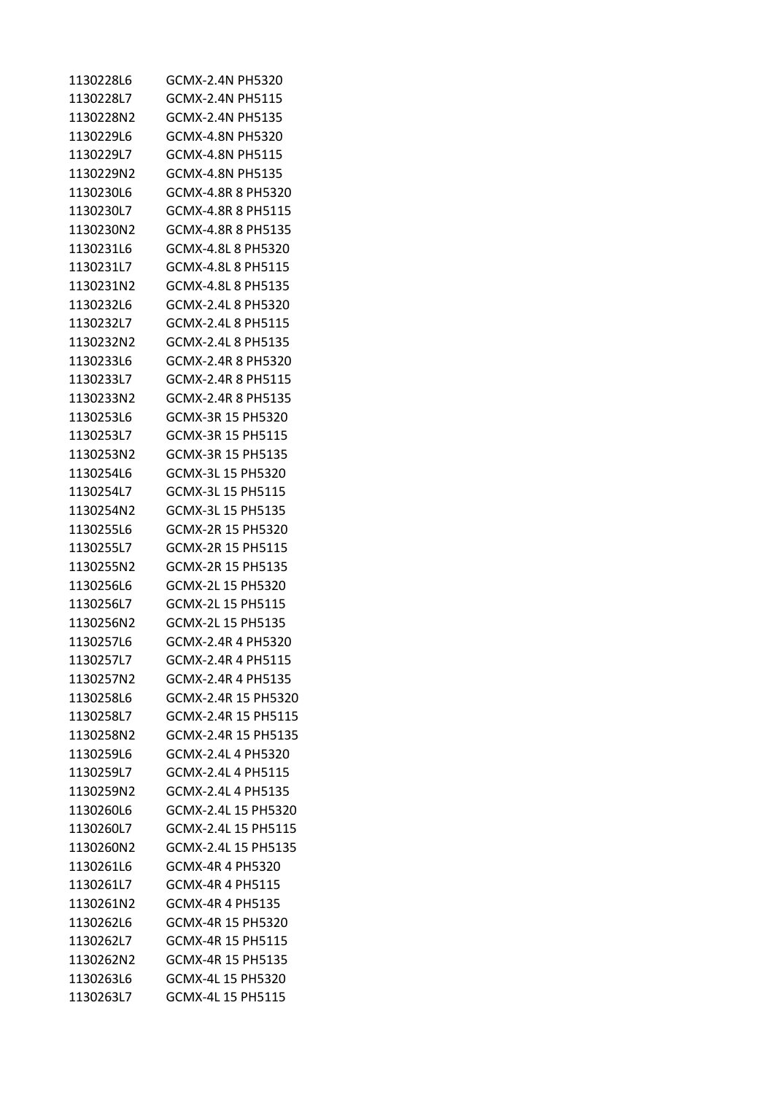| 1130228L6 | GCMX-2.4N PH5320     |
|-----------|----------------------|
| 1130228L7 | GCMX-2.4N PH5115     |
| 1130228N2 | GCMX-2.4N PH5135     |
| 1130229L6 | GCMX-4.8N PH5320     |
| 1130229L7 | GCMX-4.8N PH5115     |
| 1130229N2 | GCMX-4.8N PH5135     |
| 1130230L6 | GCMX-4.8R 8 PH5320   |
| 1130230L7 | GCMX-4.8R 8 PH5115   |
| 1130230N2 | GCMX-4.8R 8 PH5135   |
| 1130231L6 | GCMX-4.8L 8 PH5320   |
| 1130231L7 | GCMX-4.8L 8 PH5115   |
| 1130231N2 | GCMX-4.8L 8 PH5135   |
| 1130232L6 | GCMX-2.4L 8 PH5320   |
| 1130232L7 | GCMX-2.4L 8 PH5115   |
| 1130232N2 | GCMX-2.4L 8 PH5135   |
| 1130233L6 | GCMX-2.4R 8 PH5320   |
| 1130233L7 | GCMX-2.4R  8  PH5115 |
| 1130233N2 | GCMX-2.4R 8 PH5135   |
| 1130253L6 | GCMX-3R 15 PH5320    |
| 1130253L7 | GCMX-3R 15 PH5115    |
| 1130253N2 | GCMX-3R 15 PH5135    |
| 1130254L6 | GCMX-3L 15 PH5320    |
| 1130254L7 | GCMX-3L 15 PH5115    |
| 1130254N2 | GCMX-3L 15 PH5135    |
| 1130255L6 | GCMX-2R 15 PH5320    |
| 1130255L7 | GCMX-2R 15 PH5115    |
| 1130255N2 | GCMX-2R 15 PH5135    |
| 1130256L6 | GCMX-2L 15 PH5320    |
| 1130256L7 | GCMX-2L 15 PH5115    |
| 1130256N2 | GCMX-2L 15 PH5135    |
| 1130257L6 | GCMX-2.4R 4 PH5320   |
| 1130257L7 | GCMX-2.4R 4 PH5115   |
| 1130257N2 | GCMX-2.4R 4 PH5135   |
| 1130258L6 | GCMX-2.4R 15 PH5320  |
| 1130258L7 | GCMX-2.4R 15 PH5115  |
| 1130258N2 | GCMX-2.4R 15 PH5135  |
| 1130259L6 | GCMX-2.4L 4 PH5320   |
| 1130259L7 | GCMX-2.4L 4 PH5115   |
| 1130259N2 | GCMX-2.4L 4 PH5135   |
| 1130260L6 | GCMX-2.4L 15 PH5320  |
| 1130260L7 | GCMX-2.4L 15 PH5115  |
| 1130260N2 | GCMX-2.4L 15 PH5135  |
| 1130261L6 | GCMX-4R 4 PH5320     |
| 1130261L7 | GCMX-4R 4 PH5115     |
| 1130261N2 | GCMX-4R 4 PH5135     |
| 1130262L6 | GCMX-4R 15 PH5320    |
| 1130262L7 | GCMX-4R 15 PH5115    |
| 1130262N2 | GCMX-4R 15 PH5135    |
| 1130263L6 | GCMX-4L 15 PH5320    |
| 1130263L7 | GCMX-4L 15 PH5115    |
|           |                      |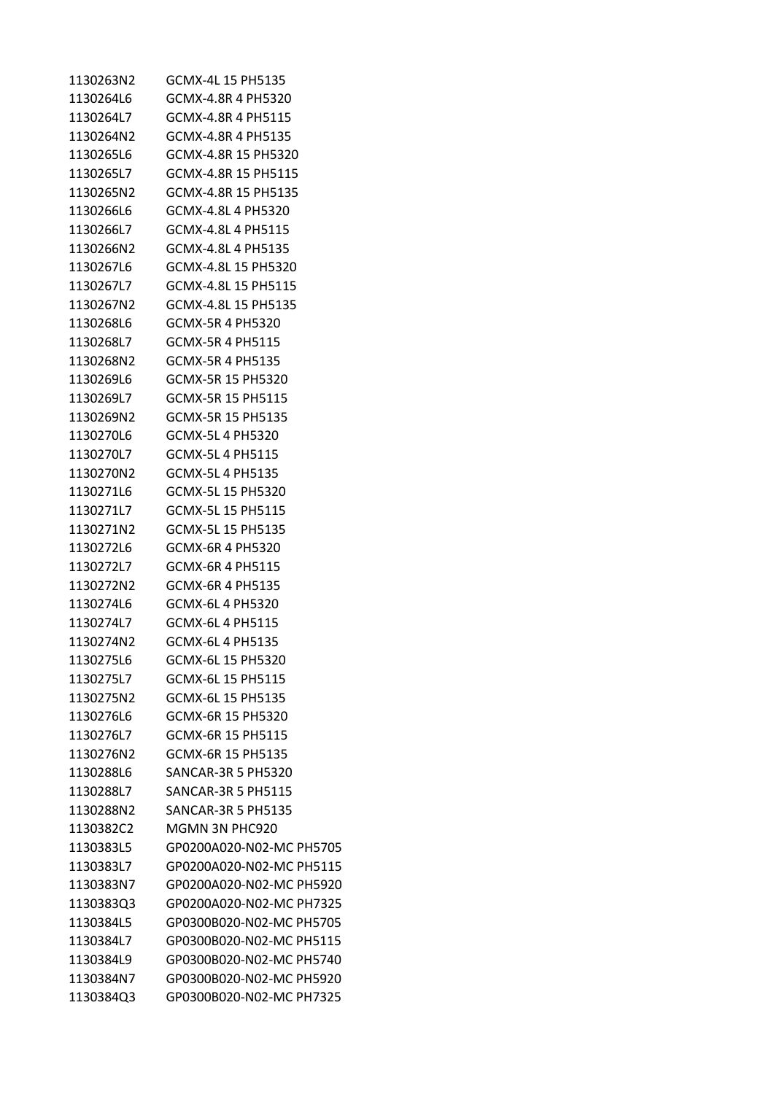| 1130263N2 | GCMX-4L 15 PH5135         |
|-----------|---------------------------|
| 1130264L6 | GCMX-4.8R 4 PH5320        |
| 1130264L7 | GCMX-4.8R 4 PH5115        |
| 1130264N2 | GCMX-4.8R 4 PH5135        |
| 1130265L6 | GCMX-4.8R 15 PH5320       |
| 1130265L7 | GCMX-4.8R 15 PH5115       |
| 1130265N2 | GCMX-4.8R 15 PH5135       |
| 1130266L6 | GCMX-4.8L 4 PH5320        |
| 1130266L7 | GCMX-4.8L 4 PH5115        |
| 1130266N2 | GCMX-4.8L 4 PH5135        |
| 1130267L6 | GCMX-4.8L 15 PH5320       |
| 1130267L7 | GCMX-4.8L 15 PH5115       |
| 1130267N2 | GCMX-4.8L 15 PH5135       |
| 1130268L6 | <b>GCMX-5R 4 PH5320</b>   |
| 1130268L7 | <b>GCMX-5R 4 PH5115</b>   |
| 1130268N2 | <b>GCMX-5R 4 PH5135</b>   |
| 1130269L6 | GCMX-5R 15 PH5320         |
| 1130269L7 | GCMX-5R 15 PH5115         |
| 1130269N2 | GCMX-5R 15 PH5135         |
| 1130270L6 | GCMX-5L 4 PH5320          |
| 1130270L7 | GCMX-5L 4 PH5115          |
| 1130270N2 | GCMX-5L 4 PH5135          |
| 1130271L6 | GCMX-5L 15 PH5320         |
| 1130271L7 | GCMX-5L 15 PH5115         |
| 1130271N2 | GCMX-5L 15 PH5135         |
| 1130272L6 | GCMX-6R 4 PH5320          |
| 1130272L7 | GCMX-6R 4 PH5115          |
| 1130272N2 | GCMX-6R 4 PH5135          |
| 1130274L6 | GCMX-6L 4 PH5320          |
| 1130274L7 | GCMX-6L 4 PH5115          |
| 1130274N2 | GCMX-6L 4 PH5135          |
| 1130275L6 | GCMX-6L 15 PH5320         |
| 1130275L7 | GCMX-6L 15 PH5115         |
| 1130275N2 | GCMX-6L 15 PH5135         |
| 1130276L6 | GCMX-6R 15 PH5320         |
| 1130276L7 | GCMX-6R 15 PH5115         |
| 1130276N2 | GCMX-6R 15 PH5135         |
| 1130288L6 | SANCAR-3R 5 PH5320        |
| 1130288L7 | <b>SANCAR-3R 5 PH5115</b> |
| 1130288N2 | SANCAR-3R 5 PH5135        |
| 1130382C2 | MGMN 3N PHC920            |
| 1130383L5 | GP0200A020-N02-MC PH5705  |
| 1130383L7 | GP0200A020-N02-MC PH5115  |
| 1130383N7 | GP0200A020-N02-MC PH5920  |
| 1130383Q3 | GP0200A020-N02-MC PH7325  |
| 1130384L5 | GP0300B020-N02-MC PH5705  |
| 1130384L7 | GP0300B020-N02-MC PH5115  |
| 1130384L9 | GP0300B020-N02-MC PH5740  |
| 1130384N7 | GP0300B020-N02-MC PH5920  |
| 1130384Q3 | GP0300B020-N02-MC PH7325  |
|           |                           |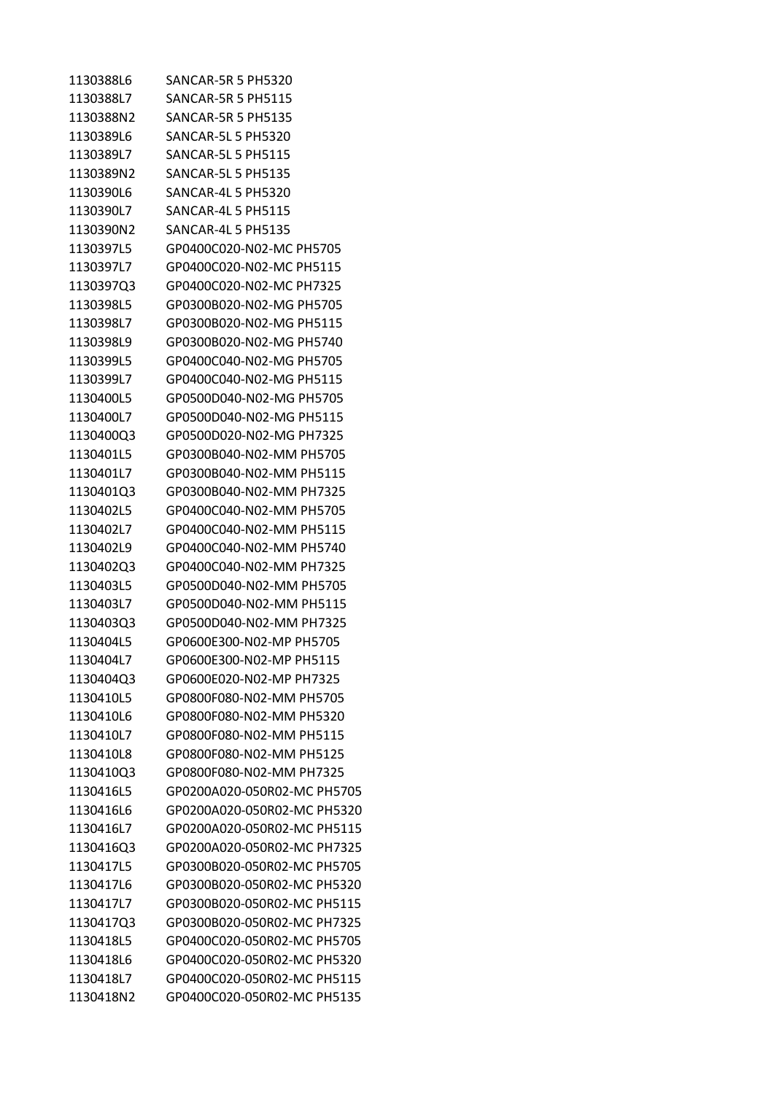| 1130388L6 | SANCAR-5R 5 PH5320          |
|-----------|-----------------------------|
| 1130388L7 | <b>SANCAR-5R 5 PH5115</b>   |
| 1130388N2 | <b>SANCAR-5R 5 PH5135</b>   |
| 1130389L6 | <b>SANCAR-5L 5 PH5320</b>   |
| 1130389L7 | <b>SANCAR-5L 5 PH5115</b>   |
| 1130389N2 | <b>SANCAR-5L 5 PH5135</b>   |
| 1130390L6 | SANCAR-4L 5 PH5320          |
| 1130390L7 | <b>SANCAR-4L 5 PH5115</b>   |
| 1130390N2 | SANCAR-4L 5 PH5135          |
| 1130397L5 | GP0400C020-N02-MC PH5705    |
| 1130397L7 | GP0400C020-N02-MC PH5115    |
| 1130397Q3 | GP0400C020-N02-MC PH7325    |
| 1130398L5 | GP0300B020-N02-MG PH5705    |
| 1130398L7 | GP0300B020-N02-MG PH5115    |
| 1130398L9 | GP0300B020-N02-MG PH5740    |
| 1130399L5 | GP0400C040-N02-MG PH5705    |
| 1130399L7 | GP0400C040-N02-MG PH5115    |
| 1130400L5 | GP0500D040-N02-MG PH5705    |
| 1130400L7 | GP0500D040-N02-MG PH5115    |
| 1130400Q3 | GP0500D020-N02-MG PH7325    |
| 1130401L5 | GP0300B040-N02-MM PH5705    |
| 1130401L7 | GP0300B040-N02-MM PH5115    |
| 1130401Q3 | GP0300B040-N02-MM PH7325    |
| 1130402L5 | GP0400C040-N02-MM PH5705    |
| 1130402L7 | GP0400C040-N02-MM PH5115    |
| 1130402L9 | GP0400C040-N02-MM PH5740    |
| 1130402Q3 | GP0400C040-N02-MM PH7325    |
| 1130403L5 | GP0500D040-N02-MM PH5705    |
| 1130403L7 | GP0500D040-N02-MM PH5115    |
| 1130403Q3 | GP0500D040-N02-MM PH7325    |
| 1130404L5 | GP0600E300-N02-MP PH5705    |
| 1130404L7 | GP0600E300-N02-MP PH5115    |
| 1130404Q3 | GP0600E020-N02-MP PH7325    |
| 1130410L5 | GP0800F080-N02-MM PH5705    |
| 1130410L6 | GP0800F080-N02-MM PH5320    |
| 1130410L7 | GP0800F080-N02-MM PH5115    |
| 1130410L8 | GP0800F080-N02-MM PH5125    |
| 1130410Q3 | GP0800F080-N02-MM PH7325    |
| 1130416L5 | GP0200A020-050R02-MC PH5705 |
| 1130416L6 | GP0200A020-050R02-MC PH5320 |
| 1130416L7 | GP0200A020-050R02-MC PH5115 |
| 1130416Q3 | GP0200A020-050R02-MC PH7325 |
| 1130417L5 | GP0300B020-050R02-MC PH5705 |
| 1130417L6 | GP0300B020-050R02-MC PH5320 |
| 1130417L7 | GP0300B020-050R02-MC PH5115 |
| 1130417Q3 | GP0300B020-050R02-MC PH7325 |
| 1130418L5 | GP0400C020-050R02-MC PH5705 |
| 1130418L6 | GP0400C020-050R02-MC PH5320 |
| 1130418L7 | GP0400C020-050R02-MC PH5115 |
| 1130418N2 | GP0400C020-050R02-MC PH5135 |
|           |                             |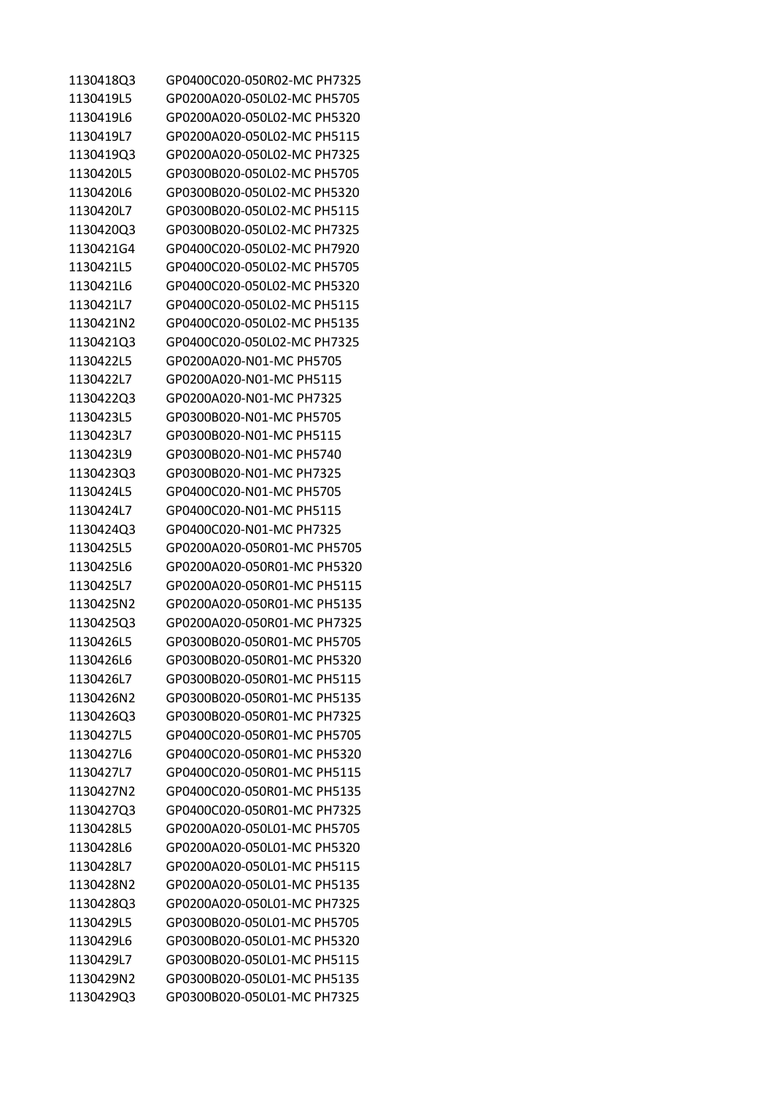| 1130418Q3 | GP0400C020-050R02-MC PH7325 |
|-----------|-----------------------------|
| 1130419L5 | GP0200A020-050L02-MC PH5705 |
| 1130419L6 | GP0200A020-050L02-MC PH5320 |
| 1130419L7 | GP0200A020-050L02-MC PH5115 |
| 1130419Q3 | GP0200A020-050L02-MC PH7325 |
| 1130420L5 | GP0300B020-050L02-MC PH5705 |
| 1130420L6 | GP0300B020-050L02-MC PH5320 |
| 1130420L7 | GP0300B020-050L02-MC PH5115 |
| 1130420Q3 | GP0300B020-050L02-MC PH7325 |
| 1130421G4 | GP0400C020-050L02-MC PH7920 |
| 1130421L5 | GP0400C020-050L02-MC PH5705 |
| 1130421L6 | GP0400C020-050L02-MC PH5320 |
| 1130421L7 | GP0400C020-050L02-MC PH5115 |
| 1130421N2 | GP0400C020-050L02-MC PH5135 |
| 1130421Q3 | GP0400C020-050L02-MC PH7325 |
| 1130422L5 | GP0200A020-N01-MC PH5705    |
| 1130422L7 | GP0200A020-N01-MC PH5115    |
| 1130422Q3 | GP0200A020-N01-MC PH7325    |
| 1130423L5 | GP0300B020-N01-MC PH5705    |
| 1130423L7 | GP0300B020-N01-MC PH5115    |
| 1130423L9 | GP0300B020-N01-MC PH5740    |
| 1130423Q3 | GP0300B020-N01-MC PH7325    |
| 1130424L5 | GP0400C020-N01-MC PH5705    |
| 1130424L7 | GP0400C020-N01-MC PH5115    |
| 1130424Q3 | GP0400C020-N01-MC PH7325    |
| 1130425L5 | GP0200A020-050R01-MC PH5705 |
| 1130425L6 | GP0200A020-050R01-MC PH5320 |
| 1130425L7 | GP0200A020-050R01-MC PH5115 |
| 1130425N2 | GP0200A020-050R01-MC PH5135 |
| 1130425Q3 | GP0200A020-050R01-MC PH7325 |
| 1130426L5 | GP0300B020-050R01-MC PH5705 |
| 1130426L6 | GP0300B020-050R01-MC PH5320 |
| 1130426L7 | GP0300B020-050R01-MC PH5115 |
| 1130426N2 | GP0300B020-050R01-MC PH5135 |
| 1130426Q3 | GP0300B020-050R01-MC PH7325 |
| 1130427L5 | GP0400C020-050R01-MC PH5705 |
| 1130427L6 | GP0400C020-050R01-MC PH5320 |
| 1130427L7 | GP0400C020-050R01-MC PH5115 |
| 1130427N2 | GP0400C020-050R01-MC PH5135 |
| 1130427Q3 | GP0400C020-050R01-MC PH7325 |
| 1130428L5 | GP0200A020-050L01-MC PH5705 |
| 1130428L6 | GP0200A020-050L01-MC PH5320 |
| 1130428L7 | GP0200A020-050L01-MC PH5115 |
| 1130428N2 | GP0200A020-050L01-MC PH5135 |
| 1130428Q3 | GP0200A020-050L01-MC PH7325 |
| 1130429L5 | GP0300B020-050L01-MC PH5705 |
| 1130429L6 | GP0300B020-050L01-MC PH5320 |
| 1130429L7 | GP0300B020-050L01-MC PH5115 |
| 1130429N2 | GP0300B020-050L01-MC PH5135 |
| 1130429Q3 | GP0300B020-050L01-MC PH7325 |
|           |                             |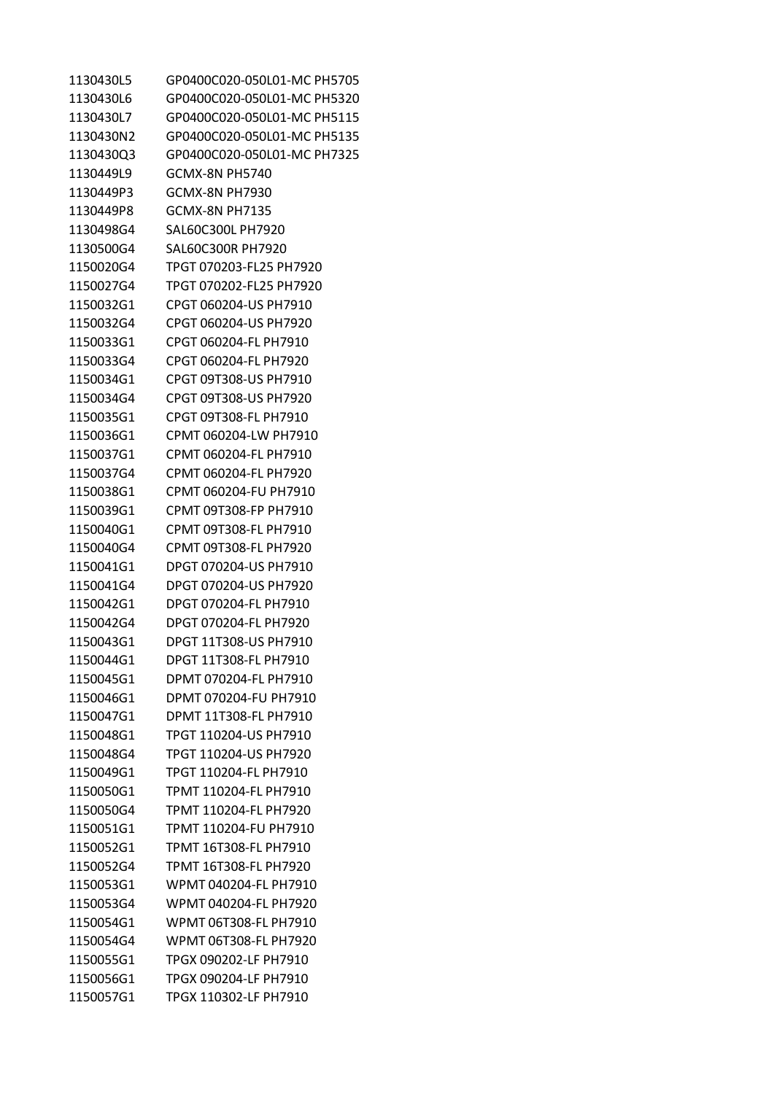| 1130430L5 | GP0400C020-050L01-MC PH5705 |
|-----------|-----------------------------|
| 1130430L6 | GP0400C020-050L01-MC PH5320 |
| 1130430L7 | GP0400C020-050L01-MC PH5115 |
| 1130430N2 | GP0400C020-050L01-MC PH5135 |
| 1130430O3 | GP0400C020-050L01-MC PH7325 |
| 1130449L9 | GCMX-8N PH5740              |
| 1130449P3 | GCMX-8N PH7930              |
| 1130449P8 | GCMX-8N PH7135              |
| 1130498G4 | SAL60C300L PH7920           |
| 1130500G4 | SAL60C300R PH7920           |
| 1150020G4 | TPGT 070203-FL25 PH7920     |
| 1150027G4 | TPGT 070202-FL25 PH7920     |
| 1150032G1 | CPGT 060204-US PH7910       |
| 1150032G4 | CPGT 060204-US PH7920       |
| 1150033G1 | CPGT 060204-FL PH7910       |
| 1150033G4 | CPGT 060204-FL PH7920       |
| 1150034G1 | CPGT 09T308-US PH7910       |
|           |                             |
| 1150034G4 | CPGT 09T308-US PH7920       |
| 1150035G1 | CPGT 09T308-FL PH7910       |
| 1150036G1 | CPMT 060204-LW PH7910       |
| 1150037G1 | CPMT 060204-FL PH7910       |
| 1150037G4 | CPMT 060204-FL PH7920       |
| 1150038G1 | CPMT 060204-FU PH7910       |
| 1150039G1 | CPMT 09T308-FP PH7910       |
| 1150040G1 | CPMT 09T308-FL PH7910       |
| 1150040G4 | CPMT 09T308-FL PH7920       |
| 1150041G1 | DPGT 070204-US PH7910       |
| 1150041G4 | DPGT 070204-US PH7920       |
| 1150042G1 | DPGT 070204-FL PH7910       |
| 1150042G4 | DPGT 070204-FL PH7920       |
| 1150043G1 | DPGT 11T308-US PH7910       |
| 1150044G1 | DPGT 11T308-FL PH7910       |
| 1150045G1 | DPMT 070204-FL PH7910       |
| 1150046G1 | DPMT 070204-FU PH7910       |
| 1150047G1 | DPMT 11T308-FL PH7910       |
| 1150048G1 | TPGT 110204-US PH7910       |
| 1150048G4 | TPGT 110204-US PH7920       |
| 1150049G1 | TPGT 110204-FL PH7910       |
| 1150050G1 | TPMT 110204-FL PH7910       |
| 1150050G4 | TPMT 110204-FL PH7920       |
| 1150051G1 | TPMT 110204-FU PH7910       |
| 1150052G1 | TPMT 16T308-FL PH7910       |
| 1150052G4 | TPMT 16T308-FL PH7920       |
| 1150053G1 | WPMT 040204-FL PH7910       |
| 1150053G4 | WPMT 040204-FL PH7920       |
| 1150054G1 | WPMT 06T308-FL PH7910       |
| 1150054G4 | WPMT 06T308-FL PH7920       |
| 1150055G1 | TPGX 090202-LF PH7910       |
| 1150056G1 | TPGX 090204-LF PH7910       |
| 1150057G1 | TPGX 110302-LF PH7910       |
|           |                             |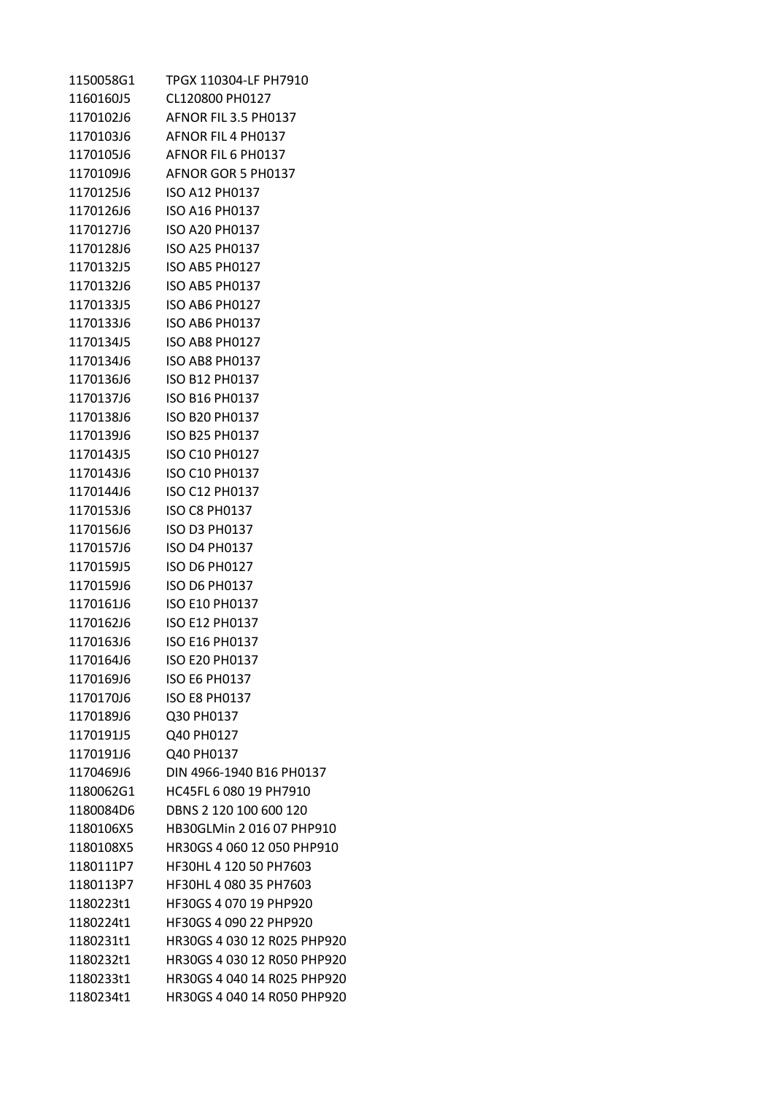| 1150058G1 | TPGX 110304-LF PH7910       |
|-----------|-----------------------------|
| 1160160J5 | CL120800 PH0127             |
| 1170102J6 | AFNOR FIL 3.5 PH0137        |
| 1170103J6 | AFNOR FIL 4 PH0137          |
| 1170105J6 | AFNOR FIL 6 PH0137          |
| 1170109J6 | AFNOR GOR 5 PH0137          |
|           |                             |
| 1170126J6 | ISO A16 PH0137              |
| 1170127J6 | ISO A20 PH0137              |
| 1170128J6 | <b>ISO A25 PH0137</b>       |
| 1170132J5 | ISO AB5 PH0127              |
|           |                             |
| 1170133J5 | ISO AB6 PH0127              |
| 1170133J6 | ISO AB6 PH0137              |
|           | 1170134J5 ISO AB8 PH0127    |
| 1170134J6 | <b>ISO AB8 PH0137</b>       |
|           |                             |
| 1170137J6 | ISO B16 PH0137              |
| 1170138J6 | ISO B20 PH0137              |
| 1170139J6 | <b>ISO B25 PH0137</b>       |
| 1170143J5 | <b>ISO C10 PH0127</b>       |
|           |                             |
| 1170144J6 | ISO C12 PH0137              |
| 1170153J6 | <b>ISO C8 PH0137</b>        |
| 1170156J6 | ISO D3 PH0137               |
| 1170157J6 | <b>ISO D4 PH0137</b>        |
|           | 1170159J5 ISO D6 PH0127     |
| 1170159J6 | <b>ISO D6 PH0137</b>        |
| 1170161J6 | ISO E10 PH0137              |
| 1170162J6 | <b>ISO E12 PH0137</b>       |
| 1170163J6 | <b>ISO E16 PH0137</b>       |
| 1170164J6 | <b>ISO E20 PH0137</b>       |
| 1170169J6 | <b>ISO E6 PH0137</b>        |
| 1170170J6 | <b>ISO E8 PH0137</b>        |
| 1170189J6 | Q30 PH0137                  |
| 1170191J5 | Q40 PH0127                  |
| 1170191J6 | Q40 PH0137                  |
| 1170469J6 | DIN 4966-1940 B16 PH0137    |
| 1180062G1 | HC45FL 6 080 19 PH7910      |
| 1180084D6 | DBNS 2 120 100 600 120      |
| 1180106X5 | HB30GLMin 2 016 07 PHP910   |
| 1180108X5 | HR30GS 4 060 12 050 PHP910  |
| 1180111P7 | HF30HL 4 120 50 PH7603      |
| 1180113P7 | HF30HL 4 080 35 PH7603      |
| 1180223t1 | HF30GS 4 070 19 PHP920      |
| 1180224t1 | HF30GS 4 090 22 PHP920      |
| 1180231t1 | HR30GS 4 030 12 R025 PHP920 |
| 1180232t1 | HR30GS 4 030 12 R050 PHP920 |
| 1180233t1 | HR30GS 4 040 14 R025 PHP920 |
| 1180234t1 | HR30GS 4 040 14 R050 PHP920 |
|           |                             |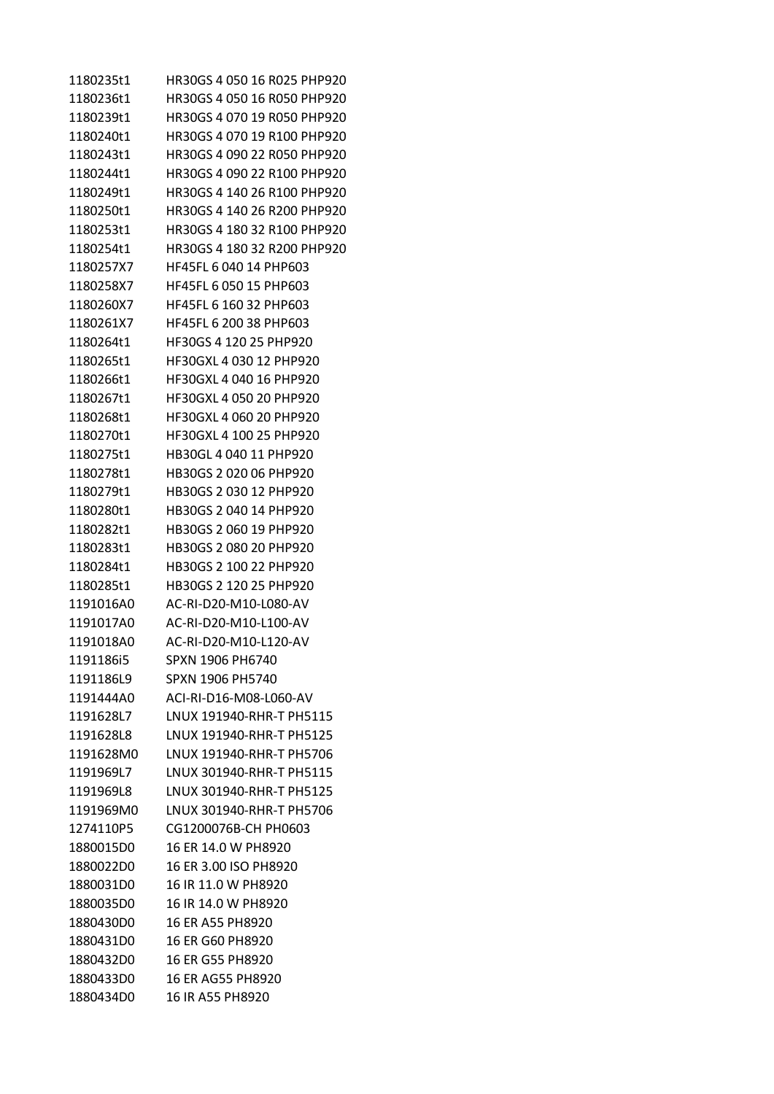| 1180235t1 | HR30GS 4 050 16 R025 PHP920 |
|-----------|-----------------------------|
| 1180236t1 | HR30GS 4 050 16 R050 PHP920 |
| 1180239t1 | HR30GS 4 070 19 R050 PHP920 |
| 1180240t1 | HR30GS 4 070 19 R100 PHP920 |
| 1180243t1 | HR30GS 4 090 22 R050 PHP920 |
| 1180244t1 | HR30GS 4 090 22 R100 PHP920 |
| 1180249t1 | HR30GS 4 140 26 R100 PHP920 |
| 1180250t1 | HR30GS 4 140 26 R200 PHP920 |
| 1180253t1 | HR30GS 4 180 32 R100 PHP920 |
| 1180254t1 | HR30GS 4 180 32 R200 PHP920 |
| 1180257X7 | HF45FL 6 040 14 PHP603      |
| 1180258X7 | HF45FL 6 050 15 PHP603      |
| 1180260X7 | HF45FL 6 160 32 PHP603      |
| 1180261X7 | HF45FL 6 200 38 PHP603      |
| 1180264t1 | HF30GS 4 120 25 PHP920      |
| 1180265t1 | HF30GXL 4 030 12 PHP920     |
| 1180266t1 | HF30GXL 4 040 16 PHP920     |
| 1180267t1 | HF30GXL 4 050 20 PHP920     |
| 1180268t1 | HF30GXL 4 060 20 PHP920     |
| 1180270t1 | HF30GXL 4 100 25 PHP920     |
| 1180275t1 | HB30GL 4 040 11 PHP920      |
| 1180278t1 | HB30GS 2 020 06 PHP920      |
| 1180279t1 | HB30GS 2 030 12 PHP920      |
| 1180280t1 | HB30GS 2 040 14 PHP920      |
| 1180282t1 | HB30GS 2 060 19 PHP920      |
| 1180283t1 | HB30GS 2 080 20 PHP920      |
| 1180284t1 | HB30GS 2 100 22 PHP920      |
| 1180285t1 | HB30GS 2 120 25 PHP920      |
| 1191016A0 | AC-RI-D20-M10-L080-AV       |
| 1191017A0 | AC-RI-D20-M10-L100-AV       |
| 1191018A0 | AC-RI-D20-M10-L120-AV       |
| 1191186i5 | SPXN 1906 PH6740            |
| 1191186L9 | SPXN 1906 PH5740            |
| 1191444A0 | ACI-RI-D16-M08-L060-AV      |
| 1191628L7 | LNUX 191940-RHR-T PH5115    |
| 1191628L8 | LNUX 191940-RHR-T PH5125    |
| 1191628M0 | LNUX 191940-RHR-T PH5706    |
| 1191969L7 | LNUX 301940-RHR-T PH5115    |
| 1191969L8 | LNUX 301940-RHR-T PH5125    |
| 1191969M0 | LNUX 301940-RHR-T PH5706    |
| 1274110P5 | CG1200076B-CH PH0603        |
| 1880015D0 | 16 ER 14.0 W PH8920         |
| 1880022D0 | 16 ER 3.00 ISO PH8920       |
| 1880031D0 | 16 IR 11.0 W PH8920         |
| 1880035D0 | 16 IR 14.0 W PH8920         |
| 1880430D0 | 16 ER A55 PH8920            |
| 1880431D0 | 16 ER G60 PH8920            |
| 1880432D0 | 16 ER G55 PH8920            |
| 1880433D0 | 16 ER AG55 PH8920           |
| 1880434D0 | 16 IR A55 PH8920            |
|           |                             |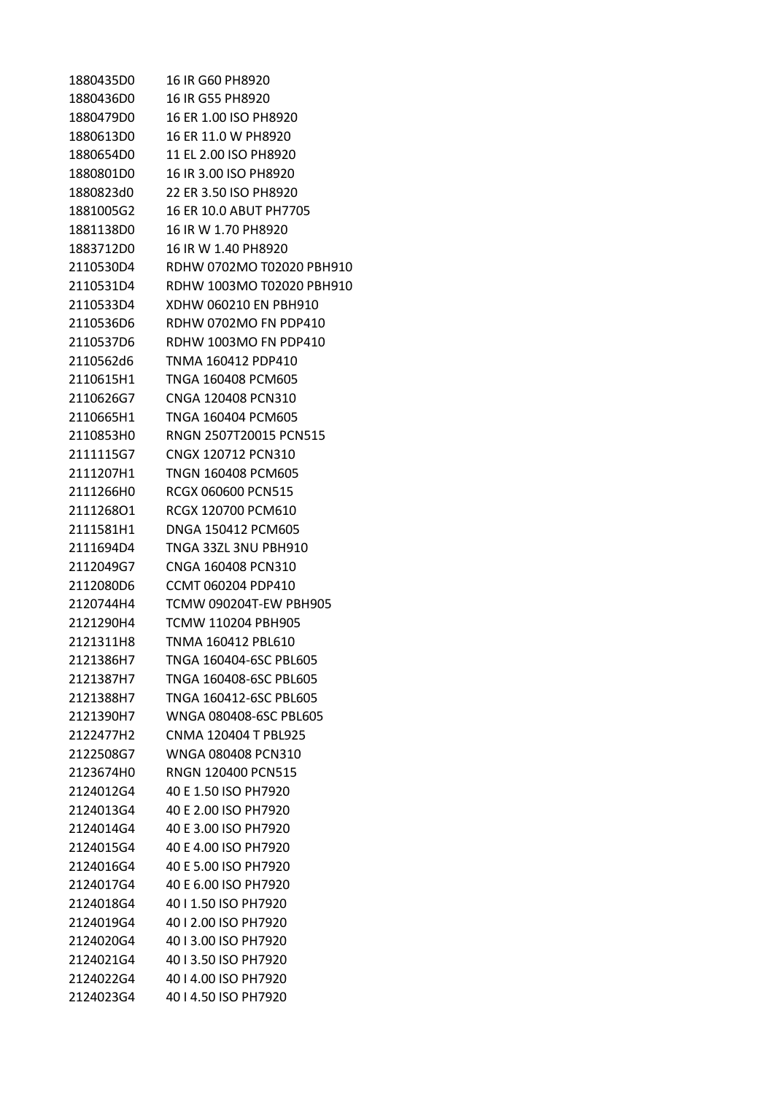| 1880435D0 | 16 IR G60 PH8920          |
|-----------|---------------------------|
| 1880436D0 | 16 IR G55 PH8920          |
| 1880479D0 | 16 ER 1.00 ISO PH8920     |
| 1880613D0 | 16 ER 11.0 W PH8920       |
| 1880654D0 | 11 EL 2.00 ISO PH8920     |
| 1880801D0 | 16 IR 3.00 ISO PH8920     |
| 1880823d0 | 22 ER 3.50 ISO PH8920     |
| 1881005G2 | 16 ER 10.0 ABUT PH7705    |
| 1881138D0 | 16 IR W 1.70 PH8920       |
| 1883712D0 | 16 IR W 1.40 PH8920       |
| 2110530D4 | RDHW 0702MO T02020 PBH910 |
| 2110531D4 | RDHW 1003MO T02020 PBH910 |
| 2110533D4 | XDHW 060210 EN PBH910     |
| 2110536D6 | RDHW 0702MO FN PDP410     |
| 2110537D6 | RDHW 1003MO FN PDP410     |
| 2110562d6 | TNMA 160412 PDP410        |
| 2110615H1 | TNGA 160408 PCM605        |
| 2110626G7 | CNGA 120408 PCN310        |
| 2110665H1 | TNGA 160404 PCM605        |
| 2110853H0 | RNGN 2507T20015 PCN515    |
| 2111115G7 | CNGX 120712 PCN310        |
| 2111207H1 | TNGN 160408 PCM605        |
| 2111266H0 | RCGX 060600 PCN515        |
| 211126801 | RCGX 120700 PCM610        |
| 2111581H1 | DNGA 150412 PCM605        |
| 2111694D4 | TNGA 33ZL 3NU PBH910      |
| 2112049G7 | CNGA 160408 PCN310        |
| 2112080D6 | CCMT 060204 PDP410        |
| 2120744H4 | TCMW 090204T-EW PBH905    |
| 2121290H4 | TCMW 110204 PBH905        |
| 2121311H8 | TNMA 160412 PBL610        |
| 2121386H7 | TNGA 160404-6SC PBL605    |
| 2121387H7 | TNGA 160408-6SC PBL605    |
| 2121388H7 | TNGA 160412-6SC PBL605    |
| 2121390H7 | WNGA 080408-6SC PBL605    |
| 2122477H2 | CNMA 120404 T PBL925      |
| 2122508G7 | WNGA 080408 PCN310        |
| 2123674H0 | <b>RNGN 120400 PCN515</b> |
| 2124012G4 | 40 E 1.50 ISO PH7920      |
| 2124013G4 | 40 E 2.00 ISO PH7920      |
| 2124014G4 | 40 E 3.00 ISO PH7920      |
| 2124015G4 | 40 E 4.00 ISO PH7920      |
| 2124016G4 | 40 E 5.00 ISO PH7920      |
| 2124017G4 | 40 E 6.00 ISO PH7920      |
| 2124018G4 | 40   1.50 ISO PH7920      |
| 2124019G4 | 40   2.00 ISO PH7920      |
| 2124020G4 | 40   3.00 ISO PH7920      |
| 2124021G4 | 40   3.50 ISO PH7920      |
| 2124022G4 | 40   4.00 ISO PH7920      |
| 2124023G4 | 40   4.50 ISO PH7920      |
|           |                           |